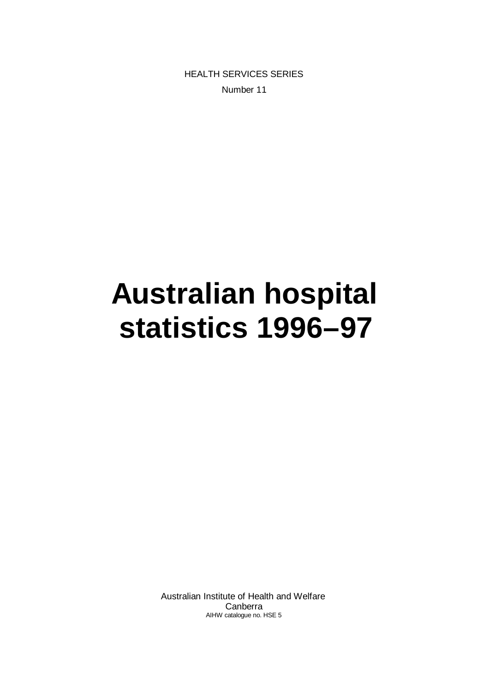HEALTH SERVICES SERIES Number 11

# **Australian hospital statistics 1996–97**

Australian Institute of Health and Welfare Canberra AIHW catalogue no. HSE 5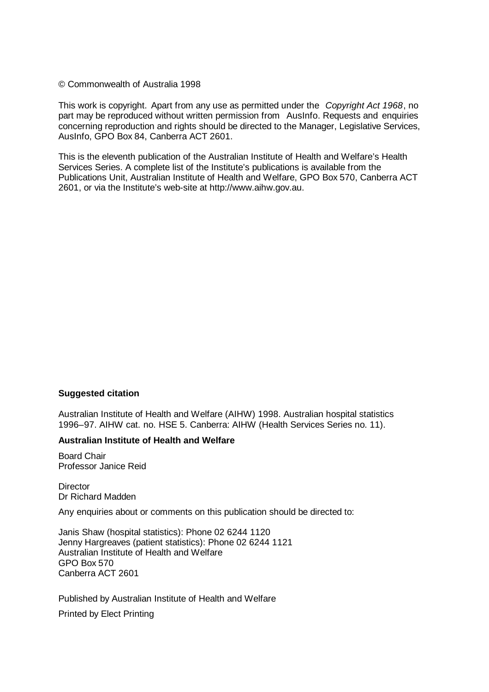#### © Commonwealth of Australia 1998

This work is copyright. Apart from any use as permitted under the *Copyright Act 1968*, no part may be reproduced without written permission from AusInfo. Requests and enquiries concerning reproduction and rights should be directed to the Manager, Legislative Services, AusInfo, GPO Box 84, Canberra ACT 2601.

This is the eleventh publication of the Australian Institute of Health and Welfare's Health Services Series. A complete list of the Institute's publications is available from the Publications Unit, Australian Institute of Health and Welfare, GPO Box 570, Canberra ACT 2601, or via the Institute's web-site at http://www.aihw.gov.au.

#### **Suggested citation**

Australian Institute of Health and Welfare (AIHW) 1998. Australian hospital statistics 1996–97. AIHW cat. no. HSE 5. Canberra: AIHW (Health Services Series no. 11).

#### **Australian Institute of Health and Welfare**

Board Chair Professor Janice Reid

**Director** Dr Richard Madden

Any enquiries about or comments on this publication should be directed to:

Janis Shaw (hospital statistics): Phone 02 6244 1120 Jenny Hargreaves (patient statistics): Phone 02 6244 1121 Australian Institute of Health and Welfare GPO Box 570 Canberra ACT 2601

Published by Australian Institute of Health and Welfare

Printed by Elect Printing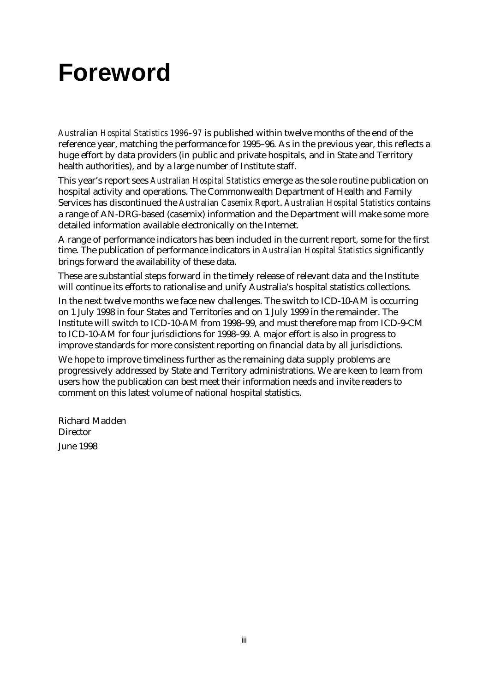## **Foreword**

*Australian Hospital Statistics 1996–97* is published within twelve months of the end of the reference year, matching the performance for 1995–96. As in the previous year, this reflects a huge effort by data providers (in public and private hospitals, and in State and Territory health authorities), and by a large number of Institute staff.

This year's report sees *Australian Hospital Statistics* emerge as the sole routine publication on hospital activity and operations. The Commonwealth Department of Health and Family Services has discontinued the *Australian Casemix Report*. *Australian Hospital Statistics* contains a range of AN-DRG-based (casemix) information and the Department will make some more detailed information available electronically on the Internet.

A range of performance indicators has been included in the current report, some for the first time. The publication of performance indicators in *Australian Hospital Statistics* significantly brings forward the availability of these data.

These are substantial steps forward in the timely release of relevant data and the Institute will continue its efforts to rationalise and unify Australia's hospital statistics collections.

In the next twelve months we face new challenges. The switch to ICD-10-AM is occurring on 1 July 1998 in four States and Territories and on 1 July 1999 in the remainder. The Institute will switch to ICD-10-AM from 1998–99, and must therefore map from ICD-9-CM to ICD-10-AM for four jurisdictions for 1998–99. A major effort is also in progress to improve standards for more consistent reporting on financial data by all jurisdictions.

We hope to improve timeliness further as the remaining data supply problems are progressively addressed by State and Territory administrations. We are keen to learn from users how the publication can best meet their information needs and invite readers to comment on this latest volume of national hospital statistics.

Richard Madden **Director** June 1998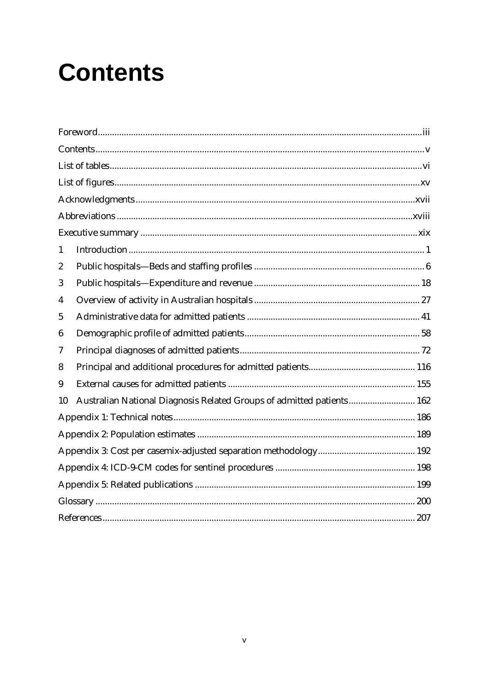# **Contents**

| 1  |                                                                       |  |
|----|-----------------------------------------------------------------------|--|
| 2  |                                                                       |  |
| 3  |                                                                       |  |
| 4  |                                                                       |  |
| 5  |                                                                       |  |
| 6  |                                                                       |  |
| 7  |                                                                       |  |
| 8  |                                                                       |  |
| 9  |                                                                       |  |
| 10 | Australian National Diagnosis Related Groups of admitted patients 162 |  |
|    |                                                                       |  |
|    |                                                                       |  |
|    |                                                                       |  |
|    |                                                                       |  |
|    |                                                                       |  |
|    |                                                                       |  |
|    |                                                                       |  |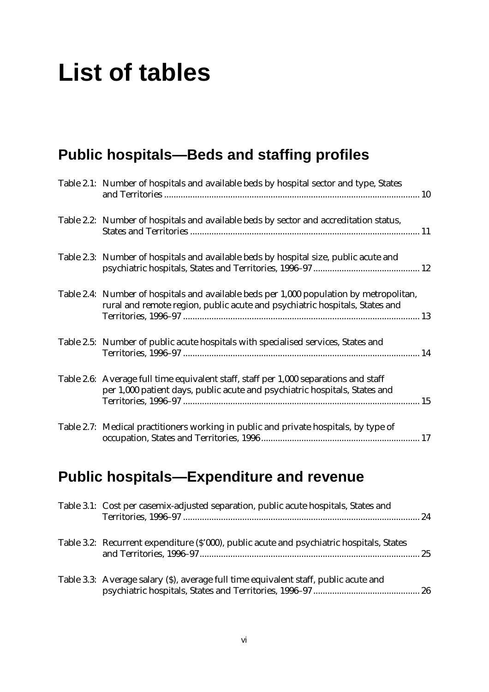## **List of tables**

## **Public hospitals— Beds and staffing profiles**

| Table 2.1: Number of hospitals and available beds by hospital sector and type, States                                                                                  |  |
|------------------------------------------------------------------------------------------------------------------------------------------------------------------------|--|
| Table 2.2: Number of hospitals and available beds by sector and accreditation status,                                                                                  |  |
| Table 2.3: Number of hospitals and available beds by hospital size, public acute and                                                                                   |  |
| Table 2.4: Number of hospitals and available beds per 1,000 population by metropolitan,<br>rural and remote region, public acute and psychiatric hospitals, States and |  |
| Table 2.5: Number of public acute hospitals with specialised services, States and                                                                                      |  |
| Table 2.6: Average full time equivalent staff, staff per 1,000 separations and staff<br>per 1,000 patient days, public acute and psychiatric hospitals, States and     |  |
| Table 2.7: Medical practitioners working in public and private hospitals, by type of                                                                                   |  |

## **Public hospitals— Expenditure and revenue**

| Table 3.1: Cost per casemix-adjusted separation, public acute hospitals, States and       |  |
|-------------------------------------------------------------------------------------------|--|
| Table 3.2: Recurrent expenditure (\$'000), public acute and psychiatric hospitals, States |  |
| Table 3.3: Average salary (\$), average full time equivalent staff, public acute and      |  |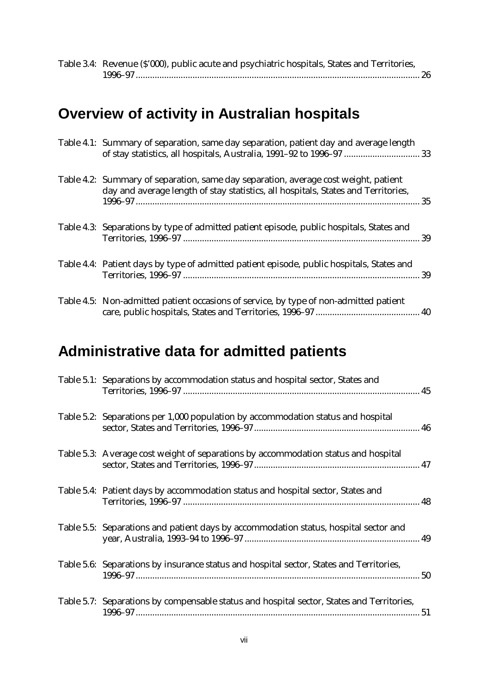| Table 3.4: Revenue (\$'000), public acute and psychiatric hospitals, States and Territories, |  |
|----------------------------------------------------------------------------------------------|--|
|                                                                                              |  |

## **Overview of activity in Australian hospitals**

| Table 4.1: Summary of separation, same day separation, patient day and average length<br>of stay statistics, all hospitals, Australia, 1991-92 to 1996-97  33            |  |
|--------------------------------------------------------------------------------------------------------------------------------------------------------------------------|--|
| Table 4.2: Summary of separation, same day separation, average cost weight, patient<br>day and average length of stay statistics, all hospitals, States and Territories, |  |
| Table 4.3: Separations by type of admitted patient episode, public hospitals, States and                                                                                 |  |
| Table 4.4: Patient days by type of admitted patient episode, public hospitals, States and                                                                                |  |
| Table 4.5: Non-admitted patient occasions of service, by type of non-admitted patient                                                                                    |  |

### **Administrative data for admitted patients**

| Table 5.1: Separations by accommodation status and hospital sector, States and            |  |
|-------------------------------------------------------------------------------------------|--|
| Table 5.2: Separations per 1,000 population by accommodation status and hospital          |  |
| Table 5.3: Average cost weight of separations by accommodation status and hospital        |  |
| Table 5.4: Patient days by accommodation status and hospital sector, States and           |  |
| Table 5.5: Separations and patient days by accommodation status, hospital sector and      |  |
| Table 5.6: Separations by insurance status and hospital sector, States and Territories,   |  |
| Table 5.7: Separations by compensable status and hospital sector, States and Territories, |  |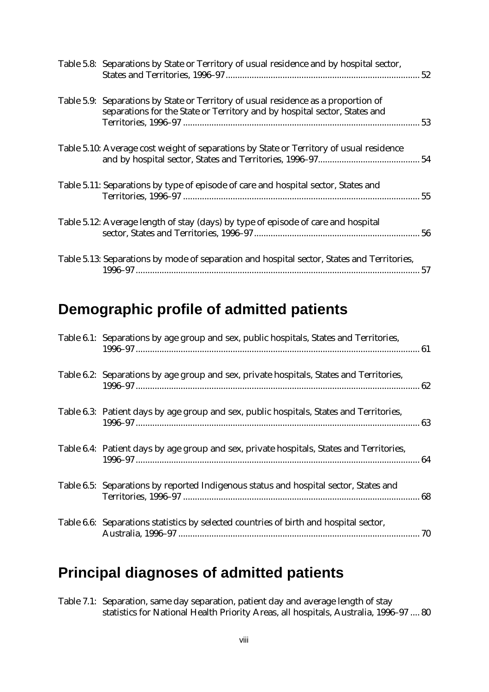| Table 5.8: Separations by State or Territory of usual residence and by hospital sector,                                                                         |  |
|-----------------------------------------------------------------------------------------------------------------------------------------------------------------|--|
| Table 5.9: Separations by State or Territory of usual residence as a proportion of<br>separations for the State or Territory and by hospital sector, States and |  |
| Table 5.10: Average cost weight of separations by State or Territory of usual residence                                                                         |  |
| Table 5.11: Separations by type of episode of care and hospital sector, States and                                                                              |  |
| Table 5.12: Average length of stay (days) by type of episode of care and hospital                                                                               |  |
| Table 5.13: Separations by mode of separation and hospital sector, States and Territories,                                                                      |  |

#### **Demographic profile of admitted patients**

| Table 6.1: Separations by age group and sex, public hospitals, States and Territories,   |  |
|------------------------------------------------------------------------------------------|--|
| Table 6.2: Separations by age group and sex, private hospitals, States and Territories,  |  |
| Table 6.3: Patient days by age group and sex, public hospitals, States and Territories,  |  |
| Table 6.4: Patient days by age group and sex, private hospitals, States and Territories, |  |
| Table 6.5: Separations by reported Indigenous status and hospital sector, States and     |  |
| Table 6.6: Separations statistics by selected countries of birth and hospital sector,    |  |

#### **Principal diagnoses of admitted patients**

Table 7.1: Separation, same day separation, patient day and average length of stay statistics for National Health Priority Areas, all hospitals, Australia, 1996–97 .... 80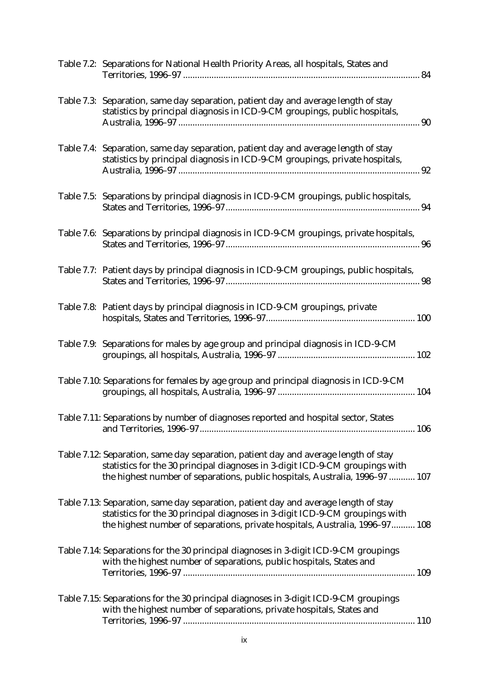| Table 7.2: Separations for National Health Priority Areas, all hospitals, States and                                                                                                                                                                |  |
|-----------------------------------------------------------------------------------------------------------------------------------------------------------------------------------------------------------------------------------------------------|--|
| Table 7.3: Separation, same day separation, patient day and average length of stay<br>statistics by principal diagnosis in ICD-9-CM groupings, public hospitals,                                                                                    |  |
| Table 7.4: Separation, same day separation, patient day and average length of stay<br>statistics by principal diagnosis in ICD-9-CM groupings, private hospitals,                                                                                   |  |
| Table 7.5: Separations by principal diagnosis in ICD-9-CM groupings, public hospitals,                                                                                                                                                              |  |
| Table 7.6: Separations by principal diagnosis in ICD-9-CM groupings, private hospitals,                                                                                                                                                             |  |
| Table 7.7: Patient days by principal diagnosis in ICD-9-CM groupings, public hospitals,                                                                                                                                                             |  |
| Table 7.8: Patient days by principal diagnosis in ICD-9-CM groupings, private                                                                                                                                                                       |  |
| Table 7.9: Separations for males by age group and principal diagnosis in ICD-9-CM                                                                                                                                                                   |  |
| Table 7.10: Separations for females by age group and principal diagnosis in ICD-9-CM                                                                                                                                                                |  |
| Table 7.11: Separations by number of diagnoses reported and hospital sector, States                                                                                                                                                                 |  |
| Table 7.12: Separation, same day separation, patient day and average length of stay<br>statistics for the 30 principal diagnoses in 3-digit ICD-9-CM groupings with<br>the highest number of separations, public hospitals, Australia, 1996-97  107 |  |
| Table 7.13: Separation, same day separation, patient day and average length of stay<br>statistics for the 30 principal diagnoses in 3-digit ICD-9-CM groupings with<br>the highest number of separations, private hospitals, Australia, 1996-97 108 |  |
| Table 7.14: Separations for the 30 principal diagnoses in 3-digit ICD-9-CM groupings<br>with the highest number of separations, public hospitals, States and                                                                                        |  |
| Table 7.15: Separations for the 30 principal diagnoses in 3-digit ICD-9-CM groupings<br>with the highest number of separations, private hospitals, States and                                                                                       |  |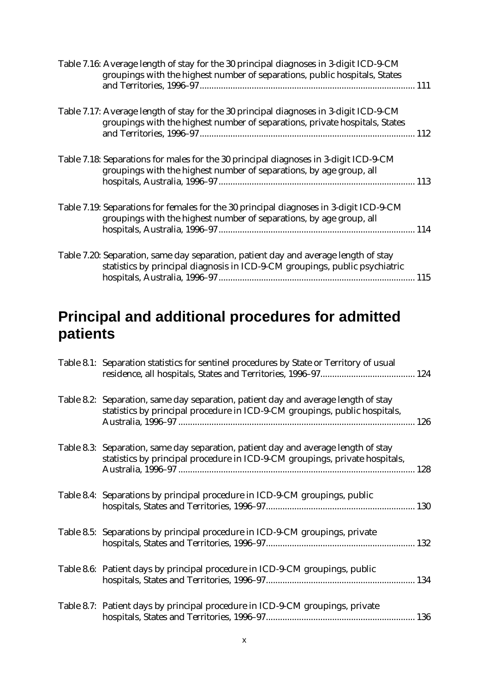| Table 7.16: Average length of stay for the 30 principal diagnoses in 3-digit ICD-9-CM<br>groupings with the highest number of separations, public hospitals, States  |             |
|----------------------------------------------------------------------------------------------------------------------------------------------------------------------|-------------|
| Table 7.17: Average length of stay for the 30 principal diagnoses in 3-digit ICD-9-CM<br>groupings with the highest number of separations, private hospitals, States |             |
| Table 7.18: Separations for males for the 30 principal diagnoses in 3-digit ICD-9-CM<br>groupings with the highest number of separations, by age group, all          |             |
| Table 7.19: Separations for females for the 30 principal diagnoses in 3-digit ICD-9-CM<br>groupings with the highest number of separations, by age group, all        |             |
| Table 7.20: Separation, same day separation, patient day and average length of stay<br>statistics by principal diagnosis in ICD-9-CM groupings, public psychiatric   | $\dots$ 115 |

### **Principal and additional procedures for admitted patients**

| Table 8.1: Separation statistics for sentinel procedures by State or Territory of usual                                                                           |  |
|-------------------------------------------------------------------------------------------------------------------------------------------------------------------|--|
| Table 8.2: Separation, same day separation, patient day and average length of stay<br>statistics by principal procedure in ICD-9-CM groupings, public hospitals,  |  |
| Table 8.3: Separation, same day separation, patient day and average length of stay<br>statistics by principal procedure in ICD-9-CM groupings, private hospitals, |  |
| Table 8.4: Separations by principal procedure in ICD-9-CM groupings, public                                                                                       |  |
| Table 8.5: Separations by principal procedure in ICD-9-CM groupings, private                                                                                      |  |
| Table 8.6: Patient days by principal procedure in ICD-9-CM groupings, public                                                                                      |  |
| Table 8.7: Patient days by principal procedure in ICD-9-CM groupings, private                                                                                     |  |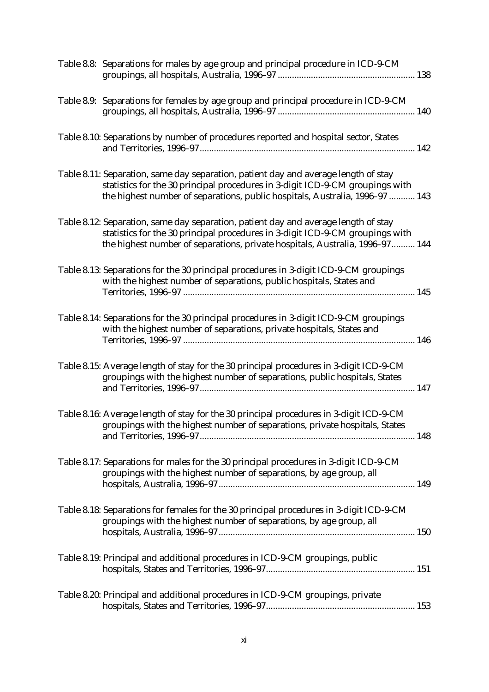| Table 8.8: Separations for males by age group and principal procedure in ICD-9-CM                                                                                                                                                                    |  |
|------------------------------------------------------------------------------------------------------------------------------------------------------------------------------------------------------------------------------------------------------|--|
| Table 8.9: Separations for females by age group and principal procedure in ICD-9-CM                                                                                                                                                                  |  |
| Table 8.10: Separations by number of procedures reported and hospital sector, States                                                                                                                                                                 |  |
| Table 8.11: Separation, same day separation, patient day and average length of stay<br>statistics for the 30 principal procedures in 3-digit ICD-9-CM groupings with<br>the highest number of separations, public hospitals, Australia, 1996-97  143 |  |
| Table 8.12: Separation, same day separation, patient day and average length of stay<br>statistics for the 30 principal procedures in 3-digit ICD-9-CM groupings with<br>the highest number of separations, private hospitals, Australia, 1996-97 144 |  |
| Table 8.13: Separations for the 30 principal procedures in 3-digit ICD-9-CM groupings<br>with the highest number of separations, public hospitals, States and                                                                                        |  |
| Table 8.14: Separations for the 30 principal procedures in 3-digit ICD-9-CM groupings<br>with the highest number of separations, private hospitals, States and                                                                                       |  |
| Table 8.15: Average length of stay for the 30 principal procedures in 3-digit ICD-9-CM<br>groupings with the highest number of separations, public hospitals, States                                                                                 |  |
| Table 8.16: Average length of stay for the 30 principal procedures in 3-digit ICD-9-CM<br>groupings with the highest number of separations, private hospitals, States                                                                                |  |
| Table 8.17: Separations for males for the 30 principal procedures in 3-digit ICD-9-CM<br>groupings with the highest number of separations, by age group, all                                                                                         |  |
| Table 8.18: Separations for females for the 30 principal procedures in 3-digit ICD-9-CM<br>groupings with the highest number of separations, by age group, all                                                                                       |  |
| Table 8.19: Principal and additional procedures in ICD-9-CM groupings, public                                                                                                                                                                        |  |
| Table 8.20: Principal and additional procedures in ICD-9-CM groupings, private                                                                                                                                                                       |  |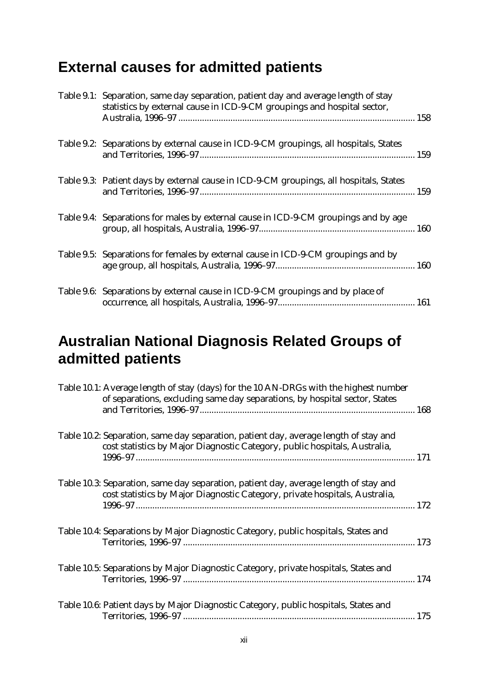## **External causes for admitted patients**

| Table 9.1: Separation, same day separation, patient day and average length of stay<br>statistics by external cause in ICD-9-CM groupings and hospital sector, |  |
|---------------------------------------------------------------------------------------------------------------------------------------------------------------|--|
| Table 9.2: Separations by external cause in ICD-9-CM groupings, all hospitals, States                                                                         |  |
| Table 9.3: Patient days by external cause in ICD-9-CM groupings, all hospitals, States                                                                        |  |
| Table 9.4: Separations for males by external cause in ICD-9-CM groupings and by age                                                                           |  |
| Table 9.5: Separations for females by external cause in ICD-9-CM groupings and by                                                                             |  |
| Table 9.6: Separations by external cause in ICD-9-CM groupings and by place of                                                                                |  |

### **Australian National Diagnosis Related Groups of admitted patients**

| Table 10.1: Average length of stay (days) for the 10 AN-DRGs with the highest number<br>of separations, excluding same day separations, by hospital sector, States  |  |
|---------------------------------------------------------------------------------------------------------------------------------------------------------------------|--|
| Table 10.2: Separation, same day separation, patient day, average length of stay and<br>cost statistics by Major Diagnostic Category, public hospitals, Australia,  |  |
| Table 10.3: Separation, same day separation, patient day, average length of stay and<br>cost statistics by Major Diagnostic Category, private hospitals, Australia, |  |
| Table 10.4: Separations by Major Diagnostic Category, public hospitals, States and                                                                                  |  |
| Table 10.5: Separations by Major Diagnostic Category, private hospitals, States and                                                                                 |  |
| Table 10.6: Patient days by Major Diagnostic Category, public hospitals, States and                                                                                 |  |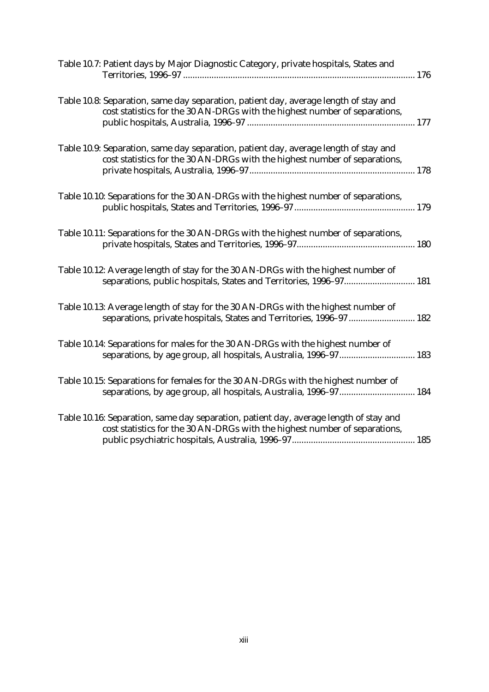| Table 10.7: Patient days by Major Diagnostic Category, private hospitals, States and                                                                                |  |
|---------------------------------------------------------------------------------------------------------------------------------------------------------------------|--|
| Table 10.8: Separation, same day separation, patient day, average length of stay and<br>cost statistics for the 30 AN-DRGs with the highest number of separations,  |  |
| Table 10.9: Separation, same day separation, patient day, average length of stay and<br>cost statistics for the 30 AN-DRGs with the highest number of separations,  |  |
| Table 10.10: Separations for the 30 AN-DRGs with the highest number of separations,                                                                                 |  |
| Table 10.11: Separations for the 30 AN-DRGs with the highest number of separations,                                                                                 |  |
| Table 10.12: Average length of stay for the 30 AN-DRGs with the highest number of<br>separations, public hospitals, States and Territories, 1996-97 181             |  |
| Table 10.13: Average length of stay for the 30 AN-DRGs with the highest number of<br>separations, private hospitals, States and Territories, 1996-97 182            |  |
| Table 10.14: Separations for males for the 30 AN-DRGs with the highest number of<br>separations, by age group, all hospitals, Australia, 1996-97 183                |  |
| Table 10.15: Separations for females for the 30 AN-DRGs with the highest number of<br>separations, by age group, all hospitals, Australia, 1996-97 184              |  |
| Table 10.16: Separation, same day separation, patient day, average length of stay and<br>cost statistics for the 30 AN-DRGs with the highest number of separations, |  |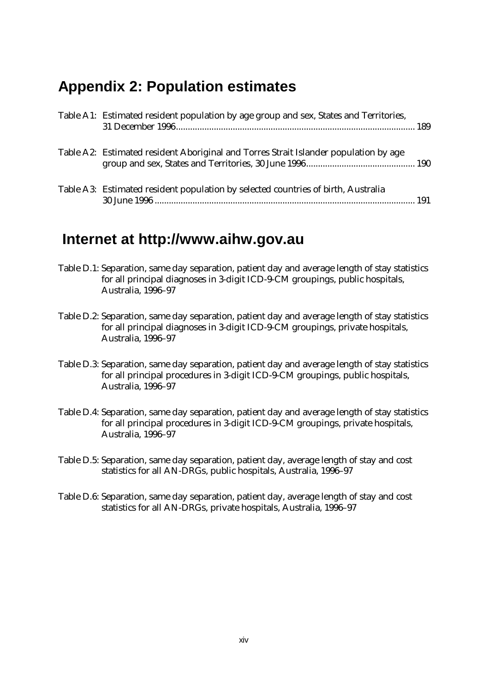#### **Appendix 2: Population estimates**

| Table A1: Estimated resident population by age group and sex, States and Territories, |  |
|---------------------------------------------------------------------------------------|--|
| Table A2: Estimated resident Aboriginal and Torres Strait Islander population by age  |  |
| Table A3: Estimated resident population by selected countries of birth, Australia     |  |

#### **Internet at http://www.aihw.gov.au**

- Table D.1: Separation, same day separation, patient day and average length of stay statistics for all principal diagnoses in 3-digit ICD-9-CM groupings, public hospitals, Australia, 1996–97
- Table D.2: Separation, same day separation, patient day and average length of stay statistics for all principal diagnoses in 3-digit ICD-9-CM groupings, private hospitals, Australia, 1996–97
- Table D.3: Separation, same day separation, patient day and average length of stay statistics for all principal procedures in 3-digit ICD-9-CM groupings, public hospitals, Australia, 1996–97
- Table D.4: Separation, same day separation, patient day and average length of stay statistics for all principal procedures in 3-digit ICD-9-CM groupings, private hospitals, Australia, 1996–97
- Table D.5: Separation, same day separation, patient day, average length of stay and cost statistics for all AN-DRGs, public hospitals, Australia, 1996–97
- Table D.6: Separation, same day separation, patient day, average length of stay and cost statistics for all AN-DRGs, private hospitals, Australia, 1996–97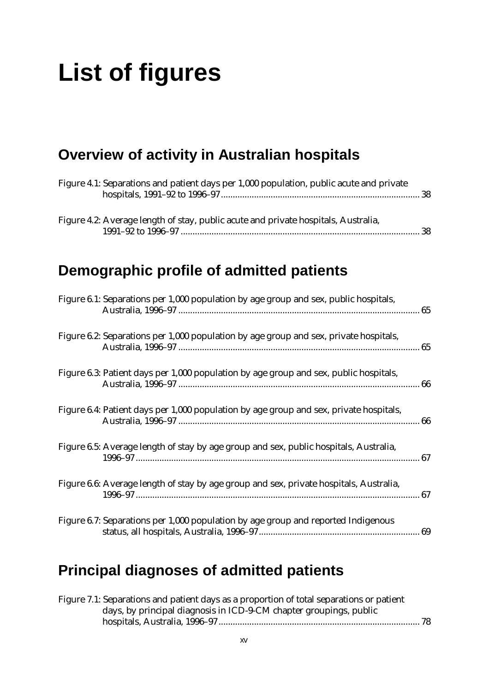## **List of figures**

## **Overview of activity in Australian hospitals**

| Figure 4.1: Separations and patient days per 1,000 population, public acute and private |
|-----------------------------------------------------------------------------------------|
| Figure 4.2: Average length of stay, public acute and private hospitals, Australia,      |
| Demographic profile of admitted patients                                                |
| Figure 6.1: Separations per 1,000 population by age group and sex, public hospitals,    |
| Figure 6.2: Separations per 1,000 population by age group and sex, private hospitals,   |
| Figure 6.3: Patient days per 1,000 population by age group and sex, public hospitals,   |
| Figure 6.4: Patient days per 1,000 population by age group and sex, private hospitals,  |
| Figure 6.5: Average length of stay by age group and sex, public hospitals, Australia,   |
| Figure 6.6: Average length of stay by age group and sex, private hospitals, Australia,  |
| Figure 6.7: Separations per 1,000 population by age group and reported Indigenous       |

## **Principal diagnoses of admitted patients**

| Figure 7.1: Separations and patient days as a proportion of total separations or patient |  |
|------------------------------------------------------------------------------------------|--|
| days, by principal diagnosis in ICD-9-CM chapter groupings, public                       |  |
|                                                                                          |  |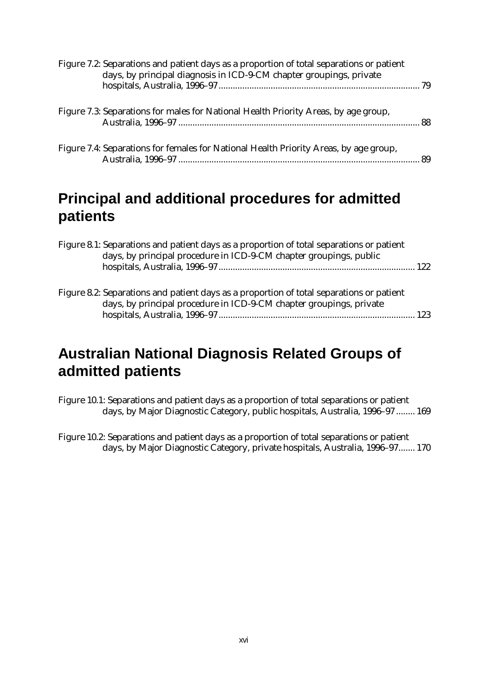| Figure 7.2: Separations and patient days as a proportion of total separations or patient<br>days, by principal diagnosis in ICD-9-CM chapter groupings, private |  |
|-----------------------------------------------------------------------------------------------------------------------------------------------------------------|--|
| Figure 7.3: Separations for males for National Health Priority Areas, by age group,                                                                             |  |
| Figure 7.4: Separations for females for National Health Priority Areas, by age group,                                                                           |  |

#### **Principal and additional procedures for admitted patients**

| Figure 8.1: Separations and patient days as a proportion of total separations or patient<br>days, by principal procedure in ICD-9-CM chapter groupings, public  |  |
|-----------------------------------------------------------------------------------------------------------------------------------------------------------------|--|
| Figure 8.2: Separations and patient days as a proportion of total separations or patient<br>days, by principal procedure in ICD-9-CM chapter groupings, private |  |

### **Australian National Diagnosis Related Groups of admitted patients**

Figure 10.1: Separations and patient days as a proportion of total separations or patient days, by Major Diagnostic Category, public hospitals, Australia, 1996–97 ........ 169

Figure 10.2: Separations and patient days as a proportion of total separations or patient days, by Major Diagnostic Category, private hospitals, Australia, 1996–97....... 170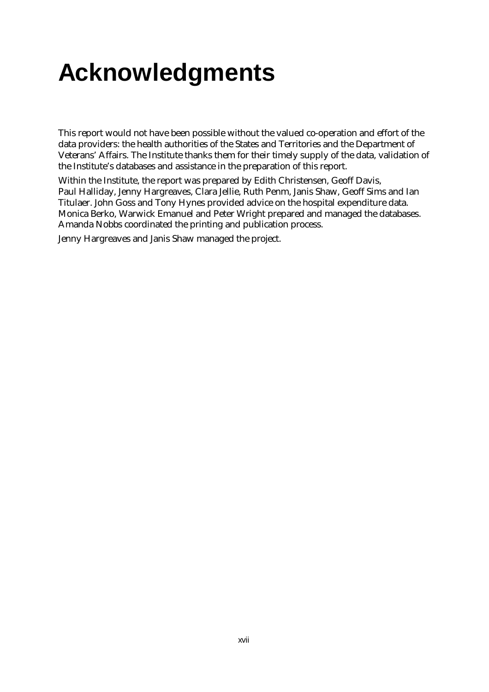## **Acknowledgments**

This report would not have been possible without the valued co-operation and effort of the data providers: the health authorities of the States and Territories and the Department of Veterans' Affairs. The Institute thanks them for their timely supply of the data, validation of the Institute's databases and assistance in the preparation of this report.

Within the Institute, the report was prepared by Edith Christensen, Geoff Davis, Paul Halliday, Jenny Hargreaves, Clara Jellie, Ruth Penm, Janis Shaw, Geoff Sims and Ian Titulaer. John Goss and Tony Hynes provided advice on the hospital expenditure data. Monica Berko, Warwick Emanuel and Peter Wright prepared and managed the databases. Amanda Nobbs coordinated the printing and publication process.

Jenny Hargreaves and Janis Shaw managed the project.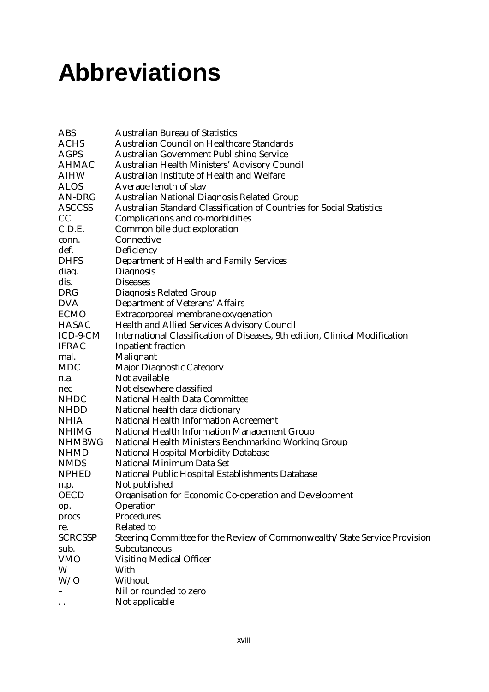## **Abbreviations**

| <b>ABS</b>           | <b>Australian Bureau of Statistics</b>                                       |
|----------------------|------------------------------------------------------------------------------|
| <b>ACHS</b>          | <b>Australian Council on Healthcare Standards</b>                            |
| <b>AGPS</b>          | Australian Government Publishing Service                                     |
| <b>AHMAC</b>         | Australian Health Ministers' Advisory Council                                |
| <b>AIHW</b>          | <b>Australian Institute of Health and Welfare</b>                            |
| <b>ALOS</b>          | Average length of stay                                                       |
| AN-DRG               | Australian National Diagnosis Related Group                                  |
| <b>ASCCSS</b>        | Australian Standard Classification of Countries for Social Statistics        |
| CC                   | Complications and co-morbidities                                             |
| C.D.E.               | Common bile duct exploration                                                 |
| conn.                | Connective                                                                   |
| def.                 | Deficiency                                                                   |
| <b>DHFS</b>          | Department of Health and Family Services                                     |
| diag.                | <b>Diagnosis</b>                                                             |
| dis.                 | <b>Diseases</b>                                                              |
| <b>DRG</b>           | Diagnosis Related Group                                                      |
| <b>DVA</b>           | Department of Veterans' Affairs                                              |
| <b>ECMO</b>          | Extracorporeal membrane oxygenation                                          |
| <b>HASAC</b>         | <b>Health and Allied Services Advisory Council</b>                           |
| ICD-9-CM             | International Classification of Diseases. 9th edition. Clinical Modification |
| <b>IFRAC</b>         | <b>Inpatient fraction</b>                                                    |
| mal.                 | Malignant                                                                    |
| <b>MDC</b>           | <b>Major Diagnostic Category</b>                                             |
| n.a.                 | Not available                                                                |
| nec                  | Not elsewhere classified                                                     |
| <b>NHDC</b>          | <b>National Health Data Committee</b>                                        |
| <b>NHDD</b>          | National health data dictionary                                              |
| <b>NHIA</b>          | <b>National Health Information Agreement</b>                                 |
| <b>NHIMG</b>         | <b>National Health Information Management Group</b>                          |
| <b>NHMBWG</b>        | National Health Ministers Benchmarking Working Group                         |
| <b>NHMD</b>          | <b>National Hospital Morbidity Database</b>                                  |
| <b>NMDS</b>          | National Minimum Data Set                                                    |
| <b>NPHED</b>         | National Public Hospital Establishments Database                             |
| n.p.                 | Not published                                                                |
| <b>OECD</b>          | Organisation for Economic Co-operation and Development                       |
| op.                  | Operation                                                                    |
| procs                | Procedures                                                                   |
| re.                  | <b>Related to</b>                                                            |
| <b>SCRCSSP</b>       | Steering Committee for the Review of Commonwealth/State Service Provision    |
| sub.                 | Subcutaneous                                                                 |
| <b>VMO</b>           | <b>Visiting Medical Officer</b>                                              |
| W                    | With                                                                         |
| W/O                  | Without                                                                      |
|                      | Nil or rounded to zero                                                       |
| $\ddot{\phantom{0}}$ | Not applicable                                                               |
|                      |                                                                              |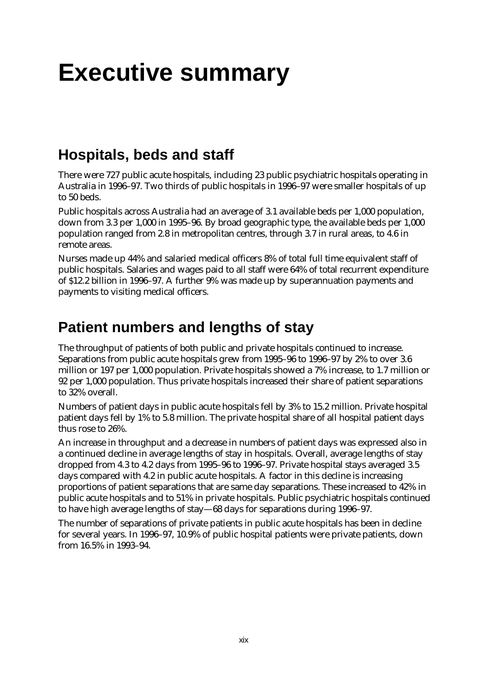## **Executive summary**

### **Hospitals, beds and staff**

There were 727 public acute hospitals, including 23 public psychiatric hospitals operating in Australia in 1996–97. Two thirds of public hospitals in 1996–97 were smaller hospitals of up to 50 beds.

Public hospitals across Australia had an average of 3.1 available beds per 1,000 population, down from 3.3 per 1,000 in 1995–96. By broad geographic type, the available beds per 1,000 population ranged from 2.8 in metropolitan centres, through 3.7 in rural areas, to 4.6 in remote areas.

Nurses made up 44% and salaried medical officers 8% of total full time equivalent staff of public hospitals. Salaries and wages paid to all staff were 64% of total recurrent expenditure of \$12.2 billion in 1996–97. A further 9% was made up by superannuation payments and payments to visiting medical officers.

### **Patient numbers and lengths of stay**

The throughput of patients of both public and private hospitals continued to increase. Separations from public acute hospitals grew from 1995–96 to 1996–97 by 2% to over 3.6 million or 197 per 1,000 population. Private hospitals showed a 7% increase, to 1.7 million or 92 per 1,000 population. Thus private hospitals increased their share of patient separations to 32% overall.

Numbers of patient days in public acute hospitals fell by 3% to 15.2 million. Private hospital patient days fell by 1% to 5.8 million. The private hospital share of all hospital patient days thus rose to 26%.

An increase in throughput and a decrease in numbers of patient days was expressed also in a continued decline in average lengths of stay in hospitals. Overall, average lengths of stay dropped from 4.3 to 4.2 days from 1995–96 to 1996–97. Private hospital stays averaged 3.5 days compared with 4.2 in public acute hospitals. A factor in this decline is increasing proportions of patient separations that are same day separations. These increased to 42% in public acute hospitals and to 51% in private hospitals. Public psychiatric hospitals continued to have high average lengths of stay— 68 days for separations during 1996–97.

The number of separations of private patients in public acute hospitals has been in decline for several years. In 1996–97, 10.9% of public hospital patients were private patients, down from 16.5% in 1993–94.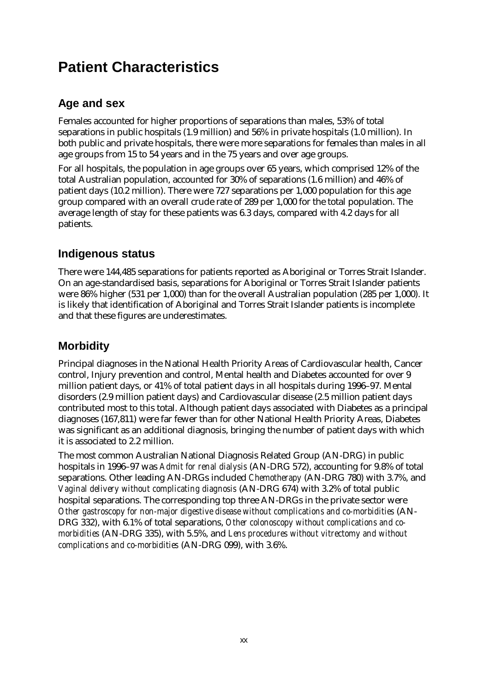### **Patient Characteristics**

#### **Age and sex**

Females accounted for higher proportions of separations than males, 53% of total separations in public hospitals (1.9 million) and 56% in private hospitals (1.0 million). In both public and private hospitals, there were more separations for females than males in all age groups from 15 to 54 years and in the 75 years and over age groups.

For all hospitals, the population in age groups over 65 years, which comprised 12% of the total Australian population, accounted for 30% of separations (1.6 million) and 46% of patient days (10.2 million). There were 727 separations per 1,000 population for this age group compared with an overall crude rate of 289 per 1,000 for the total population. The average length of stay for these patients was 6.3 days, compared with 4.2 days for all patients.

#### **Indigenous status**

There were 144,485 separations for patients reported as Aboriginal or Torres Strait Islander. On an age-standardised basis, separations for Aboriginal or Torres Strait Islander patients were 86% higher (531 per 1,000) than for the overall Australian population (285 per 1,000). It is likely that identification of Aboriginal and Torres Strait Islander patients is incomplete and that these figures are underestimates.

#### **Morbidity**

Principal diagnoses in the National Health Priority Areas of Cardiovascular health, Cancer control, Injury prevention and control, Mental health and Diabetes accounted for over 9 million patient days, or 41% of total patient days in all hospitals during 1996–97. Mental disorders (2.9 million patient days) and Cardiovascular disease (2.5 million patient days contributed most to this total. Although patient days associated with Diabetes as a principal diagnoses (167,811) were far fewer than for other National Health Priority Areas, Diabetes was significant as an additional diagnosis, bringing the number of patient days with which it is associated to 2.2 million.

The most common Australian National Diagnosis Related Group (AN-DRG) in public hospitals in 1996–97 was *Admit for renal dialysis* (AN-DRG 572), accounting for 9.8% of total separations. Other leading AN-DRGs included *Chemotherapy* (AN-DRG 780) with 3.7%, and *Vaginal delivery without complicating diagnosis* (AN-DRG 674) with 3.2% of total public hospital separations. The corresponding top three AN-DRGs in the private sector were *Other gastroscopy for non-major digestive disease without complications and co-morbidities* (AN-DRG 332), with 6.1% of total separations, *Other colonoscopy without complications and comorbidities* (AN-DRG 335), with 5.5%, and *Lens procedures without vitrectomy and without complications and co-morbidities* (AN-DRG 099), with 3.6%.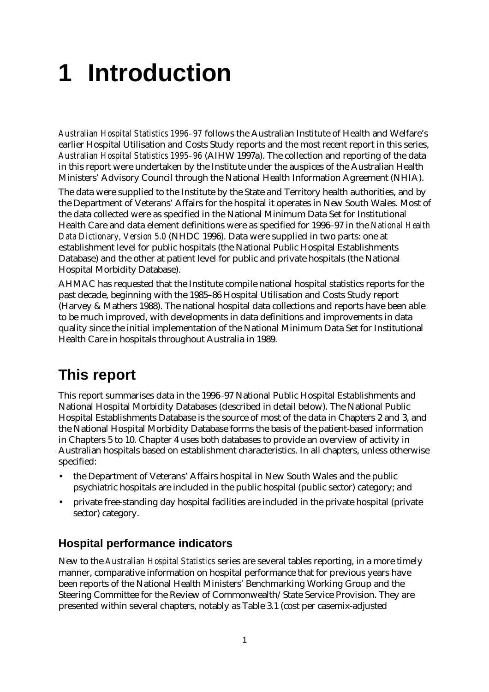# **1 Introduction**

*Australian Hospital Statistics 1996–97* follows the Australian Institute of Health and Welfare's earlier Hospital Utilisation and Costs Study reports and the most recent report in this series, *Australian Hospital Statistics 1995–96* (AIHW 1997a). The collection and reporting of the data in this report were undertaken by the Institute under the auspices of the Australian Health Ministers' Advisory Council through the National Health Information Agreement (NHIA).

The data were supplied to the Institute by the State and Territory health authorities, and by the Department of Veterans' Affairs for the hospital it operates in New South Wales. Most of the data collected were as specified in the National Minimum Data Set for Institutional Health Care and data element definitions were as specified for 1996–97 in the *National Health Data Dictionary, Version 5.0* (NHDC 1996). Data were supplied in two parts: one at establishment level for public hospitals (the National Public Hospital Establishments Database) and the other at patient level for public and private hospitals (the National Hospital Morbidity Database).

AHMAC has requested that the Institute compile national hospital statistics reports for the past decade, beginning with the 1985–86 Hospital Utilisation and Costs Study report (Harvey & Mathers 1988). The national hospital data collections and reports have been able to be much improved, with developments in data definitions and improvements in data quality since the initial implementation of the National Minimum Data Set for Institutional Health Care in hospitals throughout Australia in 1989.

### **This report**

This report summarises data in the 1996–97 National Public Hospital Establishments and National Hospital Morbidity Databases (described in detail below). The National Public Hospital Establishments Database is the source of most of the data in Chapters 2 and 3, and the National Hospital Morbidity Database forms the basis of the patient-based information in Chapters 5 to 10. Chapter 4 uses both databases to provide an overview of activity in Australian hospitals based on establishment characteristics. In all chapters, unless otherwise specified:

- the Department of Veterans' Affairs hospital in New South Wales and the public psychiatric hospitals are included in the public hospital (public sector) category; and
- private free-standing day hospital facilities are included in the private hospital (private sector) category.

#### **Hospital performance indicators**

New to the *Australian Hospital Statistics* series are several tables reporting, in a more timely manner, comparative information on hospital performance that for previous years have been reports of the National Health Ministers' Benchmarking Working Group and the Steering Committee for the Review of Commonwealth/State Service Provision. They are presented within several chapters, notably as Table 3.1 (cost per casemix-adjusted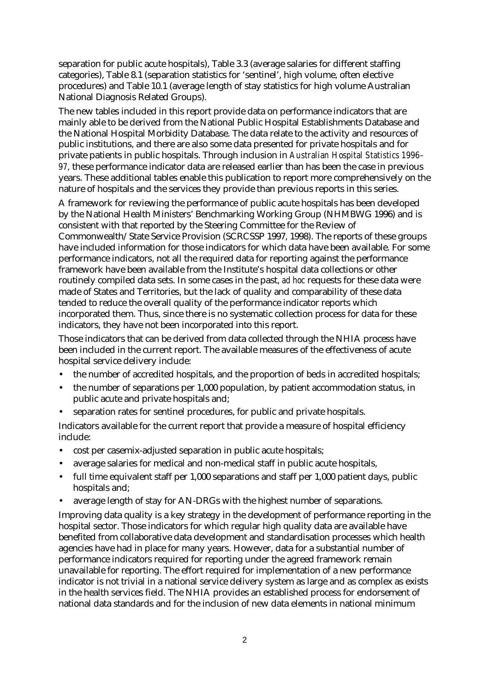separation for public acute hospitals), Table 3.3 (average salaries for different staffing categories), Table 8.1 (separation statistics for 'sentinel', high volume, often elective procedures) and Table 10.1 (average length of stay statistics for high volume Australian National Diagnosis Related Groups).

The new tables included in this report provide data on performance indicators that are mainly able to be derived from the National Public Hospital Establishments Database and the National Hospital Morbidity Database. The data relate to the activity and resources of public institutions, and there are also some data presented for private hospitals and for private patients in public hospitals. Through inclusion in *Australian Hospital Statistics 1996– 97,* these performance indicator data are released earlier than has been the case in previous years. These additional tables enable this publication to report more comprehensively on the nature of hospitals and the services they provide than previous reports in this series.

A framework for reviewing the performance of public acute hospitals has been developed by the National Health Ministers' Benchmarking Working Group (NHMBWG 1996) and is consistent with that reported by the Steering Committee for the Review of Commonwealth/State Service Provision (SCRCSSP 1997, 1998). The reports of these groups have included information for those indicators for which data have been available. For some performance indicators, not all the required data for reporting against the performance framework have been available from the Institute's hospital data collections or other routinely compiled data sets. In some cases in the past, *ad hoc* requests for these data were made of States and Territories, but the lack of quality and comparability of these data tended to reduce the overall quality of the performance indicator reports which incorporated them. Thus, since there is no systematic collection process for data for these indicators, they have not been incorporated into this report.

Those indicators that can be derived from data collected through the NHIA process have been included in the current report. The available measures of the effectiveness of acute hospital service delivery include:

- the number of accredited hospitals, and the proportion of beds in accredited hospitals;
- the number of separations per 1,000 population, by patient accommodation status, in public acute and private hospitals and;
- separation rates for sentinel procedures, for public and private hospitals.

Indicators available for the current report that provide a measure of hospital efficiency include:

- cost per casemix-adjusted separation in public acute hospitals;
- average salaries for medical and non-medical staff in public acute hospitals,
- full time equivalent staff per 1,000 separations and staff per 1,000 patient days, public hospitals and;
- average length of stay for AN-DRGs with the highest number of separations.

Improving data quality is a key strategy in the development of performance reporting in the hospital sector. Those indicators for which regular high quality data are available have benefited from collaborative data development and standardisation processes which health agencies have had in place for many years. However, data for a substantial number of performance indicators required for reporting under the agreed framework remain unavailable for reporting. The effort required for implementation of a new performance indicator is not trivial in a national service delivery system as large and as complex as exists in the health services field. The NHIA provides an established process for endorsement of national data standards and for the inclusion of new data elements in national minimum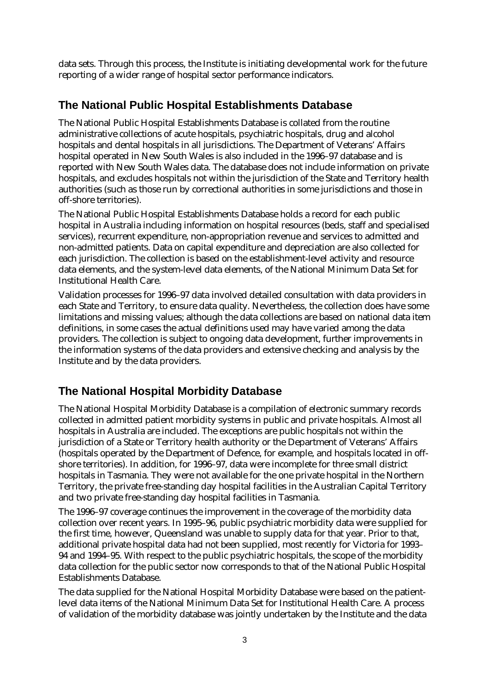data sets. Through this process, the Institute is initiating developmental work for the future reporting of a wider range of hospital sector performance indicators.

#### **The National Public Hospital Establishments Database**

The National Public Hospital Establishments Database is collated from the routine administrative collections of acute hospitals, psychiatric hospitals, drug and alcohol hospitals and dental hospitals in all jurisdictions. The Department of Veterans' Affairs hospital operated in New South Wales is also included in the 1996–97 database and is reported with New South Wales data. The database does not include information on private hospitals, and excludes hospitals not within the jurisdiction of the State and Territory health authorities (such as those run by correctional authorities in some jurisdictions and those in off-shore territories).

The National Public Hospital Establishments Database holds a record for each public hospital in Australia including information on hospital resources (beds, staff and specialised services), recurrent expenditure, non-appropriation revenue and services to admitted and non-admitted patients. Data on capital expenditure and depreciation are also collected for each jurisdiction. The collection is based on the establishment-level activity and resource data elements, and the system-level data elements, of the National Minimum Data Set for Institutional Health Care.

Validation processes for 1996–97 data involved detailed consultation with data providers in each State and Territory, to ensure data quality. Nevertheless, the collection does have some limitations and missing values; although the data collections are based on national data item definitions, in some cases the actual definitions used may have varied among the data providers. The collection is subject to ongoing data development, further improvements in the information systems of the data providers and extensive checking and analysis by the Institute and by the data providers.

#### **The National Hospital Morbidity Database**

The National Hospital Morbidity Database is a compilation of electronic summary records collected in admitted patient morbidity systems in public and private hospitals. Almost all hospitals in Australia are included. The exceptions are public hospitals not within the jurisdiction of a State or Territory health authority or the Department of Veterans' Affairs (hospitals operated by the Department of Defence, for example, and hospitals located in offshore territories). In addition, for 1996–97, data were incomplete for three small district hospitals in Tasmania. They were not available for the one private hospital in the Northern Territory, the private free-standing day hospital facilities in the Australian Capital Territory and two private free-standing day hospital facilities in Tasmania.

The 1996–97 coverage continues the improvement in the coverage of the morbidity data collection over recent years. In 1995–96, public psychiatric morbidity data were supplied for the first time, however, Queensland was unable to supply data for that year. Prior to that, additional private hospital data had not been supplied, most recently for Victoria for 1993– 94 and 1994–95. With respect to the public psychiatric hospitals, the scope of the morbidity data collection for the public sector now corresponds to that of the National Public Hospital Establishments Database.

The data supplied for the National Hospital Morbidity Database were based on the patientlevel data items of the National Minimum Data Set for Institutional Health Care. A process of validation of the morbidity database was jointly undertaken by the Institute and the data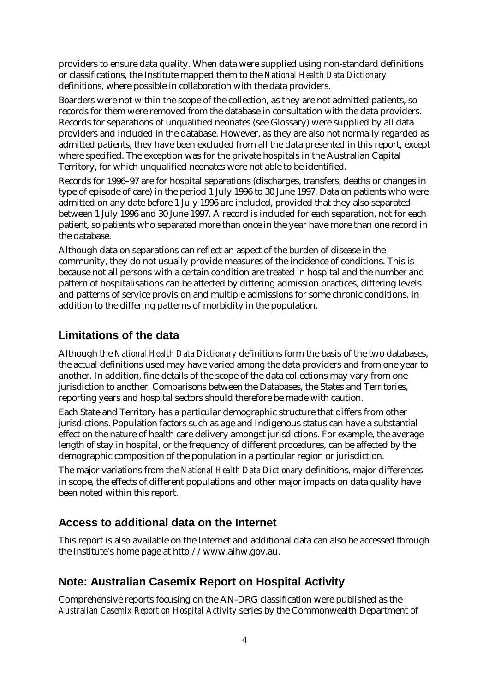providers to ensure data quality. When data were supplied using non-standard definitions or classifications, the Institute mapped them to the *National Health Data Dictionary* definitions, where possible in collaboration with the data providers.

Boarders were not within the scope of the collection, as they are not admitted patients, so records for them were removed from the database in consultation with the data providers. Records for separations of unqualified neonates (see Glossary) were supplied by all data providers and included in the database. However, as they are also not normally regarded as admitted patients, they have been excluded from all the data presented in this report, except where specified. The exception was for the private hospitals in the Australian Capital Territory, for which unqualified neonates were not able to be identified.

Records for 1996–97 are for hospital separations (discharges, transfers, deaths or changes in type of episode of care) in the period 1 July 1996 to 30 June 1997. Data on patients who were admitted on any date before 1 July 1996 are included, provided that they also separated between 1 July 1996 and 30 June 1997. A record is included for each separation, not for each patient, so patients who separated more than once in the year have more than one record in the database.

Although data on separations can reflect an aspect of the burden of disease in the community, they do not usually provide measures of the incidence of conditions. This is because not all persons with a certain condition are treated in hospital and the number and pattern of hospitalisations can be affected by differing admission practices, differing levels and patterns of service provision and multiple admissions for some chronic conditions, in addition to the differing patterns of morbidity in the population.

#### **Limitations of the data**

Although the *National Health Data Dictionary* definitions form the basis of the two databases, the actual definitions used may have varied among the data providers and from one year to another. In addition, fine details of the scope of the data collections may vary from one jurisdiction to another. Comparisons between the Databases, the States and Territories, reporting years and hospital sectors should therefore be made with caution.

Each State and Territory has a particular demographic structure that differs from other jurisdictions. Population factors such as age and Indigenous status can have a substantial effect on the nature of health care delivery amongst jurisdictions. For example, the average length of stay in hospital, or the frequency of different procedures, can be affected by the demographic composition of the population in a particular region or jurisdiction.

The major variations from the *National Health Data Dictionary* definitions, major differences in scope, the effects of different populations and other major impacts on data quality have been noted within this report.

#### **Access to additional data on the Internet**

This report is also available on the Internet and additional data can also be accessed through the Institute's home page at http://www.aihw.gov.au.

#### **Note: Australian Casemix Report on Hospital Activity**

Comprehensive reports focusing on the AN-DRG classification were published as the *Australian Casemix Report on Hospital Activity* series by the Commonwealth Department of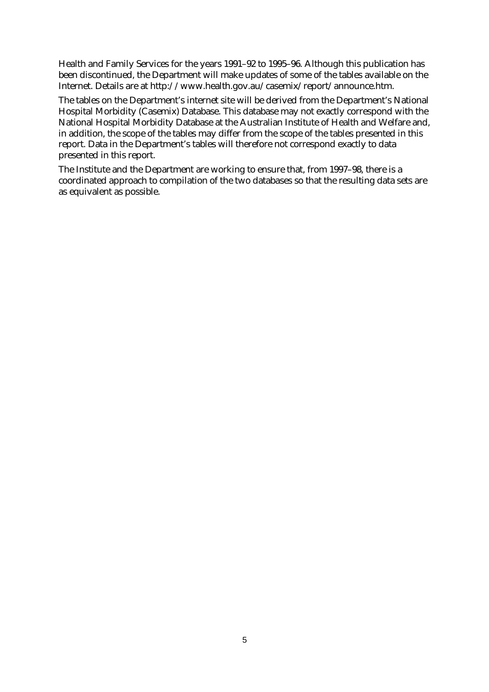Health and Family Services for the years 1991–92 to 1995–96. Although this publication has been discontinued, the Department will make updates of some of the tables available on the Internet. Details are at http://www.health.gov.au/casemix/report/announce.htm.

The tables on the Department's internet site will be derived from the Department's National Hospital Morbidity (Casemix) Database. This database may not exactly correspond with the National Hospital Morbidity Database at the Australian Institute of Health and Welfare and, in addition, the scope of the tables may differ from the scope of the tables presented in this report. Data in the Department's tables will therefore not correspond exactly to data presented in this report.

The Institute and the Department are working to ensure that, from 1997–98, there is a coordinated approach to compilation of the two databases so that the resulting data sets are as equivalent as possible.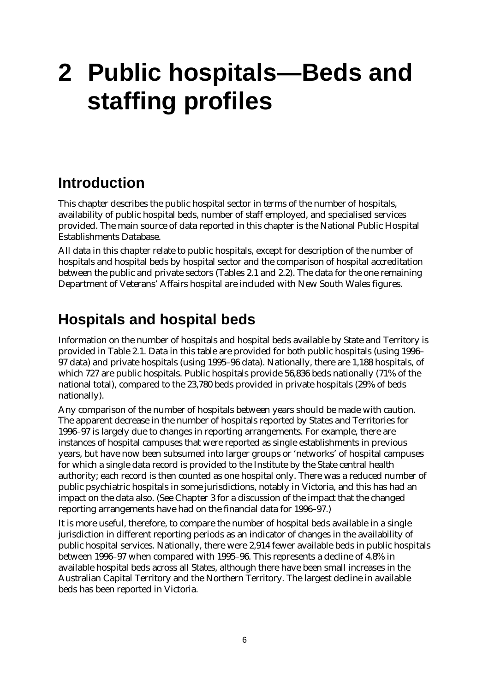## **2 Public hospitals— Beds and staffing profiles**

### **Introduction**

This chapter describes the public hospital sector in terms of the number of hospitals, availability of public hospital beds, number of staff employed, and specialised services provided. The main source of data reported in this chapter is the National Public Hospital Establishments Database.

All data in this chapter relate to public hospitals, except for description of the number of hospitals and hospital beds by hospital sector and the comparison of hospital accreditation between the public and private sectors (Tables 2.1 and 2.2). The data for the one remaining Department of Veterans' Affairs hospital are included with New South Wales figures.

#### **Hospitals and hospital beds**

Information on the number of hospitals and hospital beds available by State and Territory is provided in Table 2.1. Data in this table are provided for both public hospitals (using 1996– 97 data) and private hospitals (using 1995–96 data). Nationally, there are 1,188 hospitals, of which 727 are public hospitals. Public hospitals provide 56,836 beds nationally (71% of the national total), compared to the 23,780 beds provided in private hospitals (29% of beds nationally).

Any comparison of the number of hospitals between years should be made with caution. The apparent decrease in the number of hospitals reported by States and Territories for 1996–97 is largely due to changes in reporting arrangements. For example, there are instances of hospital campuses that were reported as single establishments in previous years, but have now been subsumed into larger groups or 'networks' of hospital campuses for which a single data record is provided to the Institute by the State central health authority; each record is then counted as one hospital only. There was a reduced number of public psychiatric hospitals in some jurisdictions, notably in Victoria, and this has had an impact on the data also. (See Chapter 3 for a discussion of the impact that the changed reporting arrangements have had on the financial data for 1996–97.)

It is more useful, therefore, to compare the number of hospital beds available in a single jurisdiction in different reporting periods as an indicator of changes in the availability of public hospital services. Nationally, there were 2,914 fewer available beds in public hospitals between 1996–97 when compared with 1995–96. This represents a decline of 4.8% in available hospital beds across all States, although there have been small increases in the Australian Capital Territory and the Northern Territory. The largest decline in available beds has been reported in Victoria.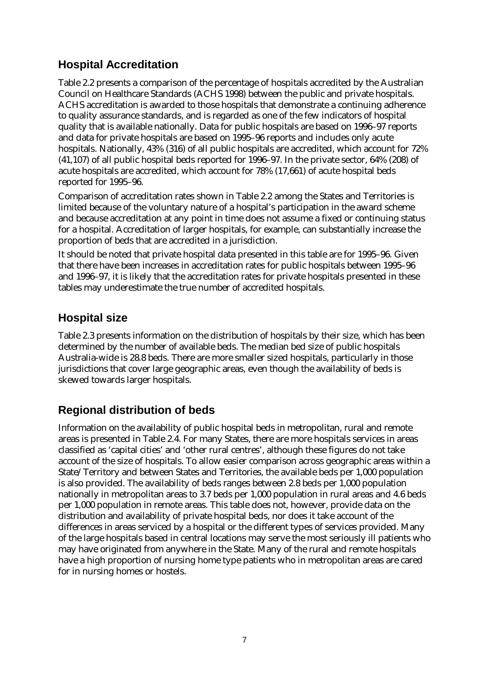#### **Hospital Accreditation**

Table 2.2 presents a comparison of the percentage of hospitals accredited by the Australian Council on Healthcare Standards (ACHS 1998) between the public and private hospitals. ACHS accreditation is awarded to those hospitals that demonstrate a continuing adherence to quality assurance standards, and is regarded as one of the few indicators of hospital quality that is available nationally. Data for public hospitals are based on 1996–97 reports and data for private hospitals are based on 1995–96 reports and includes only acute hospitals. Nationally, 43% (316) of all public hospitals are accredited, which account for 72% (41,107) of all public hospital beds reported for 1996–97. In the private sector, 64% (208) of acute hospitals are accredited, which account for 78% (17,661) of acute hospital beds reported for 1995–96.

Comparison of accreditation rates shown in Table 2.2 among the States and Territories is limited because of the voluntary nature of a hospital's participation in the award scheme and because accreditation at any point in time does not assume a fixed or continuing status for a hospital. Accreditation of larger hospitals, for example, can substantially increase the proportion of beds that are accredited in a jurisdiction.

It should be noted that private hospital data presented in this table are for 1995–96. Given that there have been increases in accreditation rates for public hospitals between 1995–96 and 1996–97, it is likely that the accreditation rates for private hospitals presented in these tables may underestimate the true number of accredited hospitals.

#### **Hospital size**

Table 2.3 presents information on the distribution of hospitals by their size, which has been determined by the number of available beds. The median bed size of public hospitals Australia-wide is 28.8 beds. There are more smaller sized hospitals, particularly in those jurisdictions that cover large geographic areas, even though the availability of beds is skewed towards larger hospitals.

#### **Regional distribution of beds**

Information on the availability of public hospital beds in metropolitan, rural and remote areas is presented in Table 2.4. For many States, there are more hospitals services in areas classified as 'capital cities' and 'other rural centres', although these figures do not take account of the size of hospitals. To allow easier comparison across geographic areas within a State/Territory and between States and Territories, the available beds per 1,000 population is also provided. The availability of beds ranges between 2.8 beds per 1,000 population nationally in metropolitan areas to 3.7 beds per 1,000 population in rural areas and 4.6 beds per 1,000 population in remote areas. This table does not, however, provide data on the distribution and availability of private hospital beds, nor does it take account of the differences in areas serviced by a hospital or the different types of services provided. Many of the large hospitals based in central locations may serve the most seriously ill patients who may have originated from anywhere in the State. Many of the rural and remote hospitals have a high proportion of nursing home type patients who in metropolitan areas are cared for in nursing homes or hostels.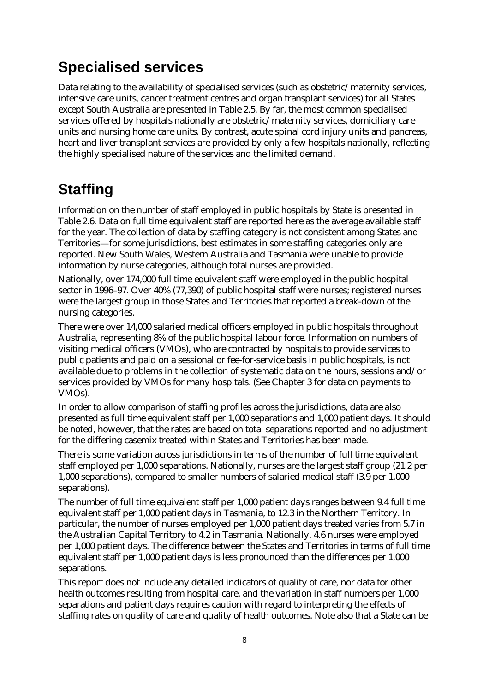### **Specialised services**

Data relating to the availability of specialised services (such as obstetric/maternity services, intensive care units, cancer treatment centres and organ transplant services) for all States except South Australia are presented in Table 2.5. By far, the most common specialised services offered by hospitals nationally are obstetric/maternity services, domiciliary care units and nursing home care units. By contrast, acute spinal cord injury units and pancreas, heart and liver transplant services are provided by only a few hospitals nationally, reflecting the highly specialised nature of the services and the limited demand.

## **Staffing**

Information on the number of staff employed in public hospitals by State is presented in Table 2.6. Data on full time equivalent staff are reported here as the average available staff for the year. The collection of data by staffing category is not consistent among States and Territories— for some jurisdictions, best estimates in some staffing categories only are reported. New South Wales, Western Australia and Tasmania were unable to provide information by nurse categories, although total nurses are provided.

Nationally, over 174,000 full time equivalent staff were employed in the public hospital sector in 1996–97. Over 40% (77,390) of public hospital staff were nurses; registered nurses were the largest group in those States and Territories that reported a break-down of the nursing categories.

There were over 14,000 salaried medical officers employed in public hospitals throughout Australia, representing 8% of the public hospital labour force. Information on numbers of visiting medical officers (VMOs), who are contracted by hospitals to provide services to public patients and paid on a sessional or fee-for-service basis in public hospitals, is not available due to problems in the collection of systematic data on the hours, sessions and/or services provided by VMOs for many hospitals. (See Chapter 3 for data on payments to VMOs).

In order to allow comparison of staffing profiles across the jurisdictions, data are also presented as full time equivalent staff per 1,000 separations and 1,000 patient days. It should be noted, however, that the rates are based on total separations reported and no adjustment for the differing casemix treated within States and Territories has been made.

There is some variation across jurisdictions in terms of the number of full time equivalent staff employed per 1,000 separations. Nationally, nurses are the largest staff group (21.2 per 1,000 separations), compared to smaller numbers of salaried medical staff (3.9 per 1,000 separations).

The number of full time equivalent staff per 1,000 patient days ranges between 9.4 full time equivalent staff per 1,000 patient days in Tasmania, to 12.3 in the Northern Territory. In particular, the number of nurses employed per 1,000 patient days treated varies from 5.7 in the Australian Capital Territory to 4.2 in Tasmania. Nationally, 4.6 nurses were employed per 1,000 patient days. The difference between the States and Territories in terms of full time equivalent staff per 1,000 patient days is less pronounced than the differences per 1,000 separations.

This report does not include any detailed indicators of quality of care, nor data for other health outcomes resulting from hospital care, and the variation in staff numbers per 1,000 separations and patient days requires caution with regard to interpreting the effects of staffing rates on quality of care and quality of health outcomes. Note also that a State can be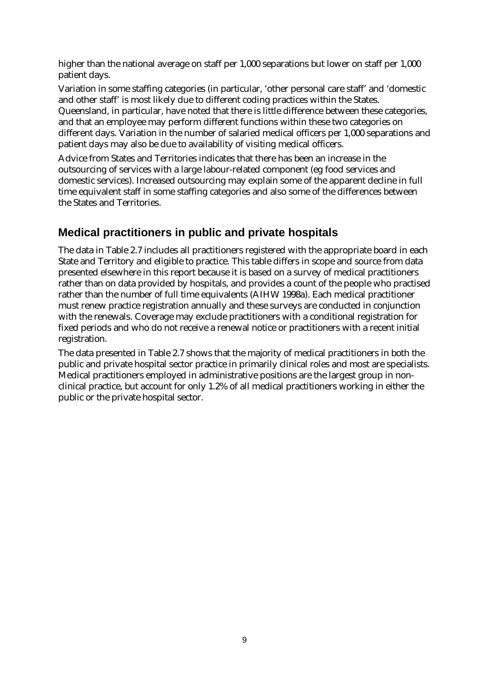higher than the national average on staff per 1,000 separations but lower on staff per 1,000 patient days.

Variation in some staffing categories (in particular, 'other personal care staff' and 'domestic and other staff' is most likely due to different coding practices within the States. Queensland, in particular, have noted that there is little difference between these categories, and that an employee may perform different functions within these two categories on different days. Variation in the number of salaried medical officers per 1,000 separations and patient days may also be due to availability of visiting medical officers.

Advice from States and Territories indicates that there has been an increase in the outsourcing of services with a large labour-related component (eg food services and domestic services). Increased outsourcing may explain some of the apparent decline in full time equivalent staff in some staffing categories and also some of the differences between the States and Territories.

#### **Medical practitioners in public and private hospitals**

The data in Table 2.7 includes all practitioners registered with the appropriate board in each State and Territory and eligible to practice. This table differs in scope and source from data presented elsewhere in this report because it is based on a survey of medical practitioners rather than on data provided by hospitals, and provides a count of the people who practised rather than the number of full time equivalents (AIHW 1998a). Each medical practitioner must renew practice registration annually and these surveys are conducted in conjunction with the renewals. Coverage may exclude practitioners with a conditional registration for fixed periods and who do not receive a renewal notice or practitioners with a recent initial registration.

The data presented in Table 2.7 shows that the majority of medical practitioners in both the public and private hospital sector practice in primarily clinical roles and most are specialists. Medical practitioners employed in administrative positions are the largest group in nonclinical practice, but account for only 1.2% of all medical practitioners working in either the public or the private hospital sector.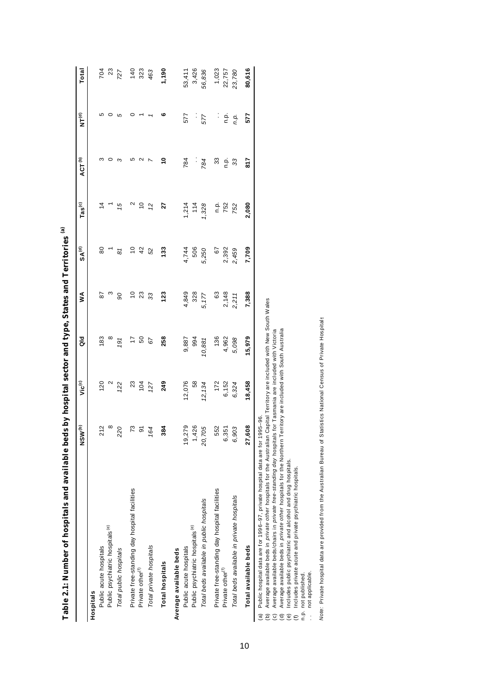|                                                                                 | NSW <sup>(b)</sup>                                       | Vic <sup>(c)</sup>                                   | ਰ<br>ਹ       | ≸                    | $SA^{(d)}$           | $\mathsf{Las}^\mathsf{(c)}$ | ACT <sup>(b)</sup> | <b>E</b><br>NTC | Total                     |
|---------------------------------------------------------------------------------|----------------------------------------------------------|------------------------------------------------------|--------------|----------------------|----------------------|-----------------------------|--------------------|-----------------|---------------------------|
| Hospitals                                                                       |                                                          |                                                      |              |                      |                      |                             |                    |                 |                           |
| Public acute hospitals                                                          |                                                          | 120                                                  | 183          | 28                   | 80                   |                             | ო                  | ഥ               |                           |
| Public psychiatric hospitals <sup>(e)</sup>                                     | $\frac{21}{8}$                                           |                                                      | $\infty$     | ო                    |                      |                             |                    |                 | 70<br>23<br>727           |
| Total public hospitals                                                          | 220                                                      | $\frac{2}{122}$                                      | 191          | 90                   | 81                   | 15                          | ო                  | Ю               |                           |
| Private free-standing day hospital facilities                                   |                                                          |                                                      | 17           | $\Xi$                | Ö,                   | $\mathbf{\Omega}$           | Ю                  |                 |                           |
| Private other <sup>(f)</sup>                                                    | $73$ $64$                                                | 23<br>104                                            | 50           | 23                   | 42                   | $\overline{c}$              |                    |                 | $140$<br>323<br>463       |
| Total private hospitals                                                         |                                                          | 127                                                  | 67           | 33                   | 52                   | 12                          |                    |                 |                           |
| <b>Total hospitals</b>                                                          | 384                                                      | 249                                                  | 258          | 123                  | 133                  | 27                          | ٥Ļ                 | ဖ               | 1,190                     |
| Average available beds                                                          |                                                          |                                                      |              |                      |                      |                             |                    |                 |                           |
| Public acute hospitals                                                          |                                                          | 12,076                                               | 9,887        | 4,849                |                      |                             | 784                | 577             |                           |
| Public psychiatric hospitals <sup>(e)</sup>                                     |                                                          | 58                                                   | 994          | 328                  | 4,744<br>506         | $1,214$<br>114              | Ì,                 | $\vdots$        | 53,411<br>3,426           |
| Total beds available in public hospitals                                        | $\begin{array}{c} 19,279 \\ 1,426 \\ 20,705 \end{array}$ | 12, 134                                              | 10,881       | 5,177                | 5,250                | 1,328                       | 784                | 577             | 56,836                    |
| Private free-standing day hospital facilities                                   |                                                          |                                                      |              |                      |                      |                             | 33                 |                 |                           |
| Private other <sup>(f)</sup>                                                    | 552<br>6,351                                             | $\begin{array}{c} 172 \\ 6,152 \\ 6,324 \end{array}$ | 136<br>4,962 | 63<br>2,148<br>2,211 | 67<br>2,392<br>2,459 | n.p.<br>752                 | ف<br>م             | نے :<br>ع       | 1,023<br>22,757<br>23,780 |
| Total beds available in private hospitals                                       | 6,903                                                    |                                                      | 5,098        |                      |                      | 752                         | 33                 | n.p.            |                           |
| Total available beds                                                            | 27,608                                                   | 18,458                                               | 15,979       | 7,388                | 7,709                | 2,080                       | 2.18               | 577             | 80,616                    |
| (a) Public bospital data are for 1996–97, private bospital data are for 1995–96 |                                                          |                                                      |              |                      |                      |                             |                    |                 |                           |

**Table 2.1: Number of hospitals and available beds by hospital sector and type, States and Territories** Table 2.1: Number of hospitals and available beds by hospital sector and type, States and Territories <sup>(a)</sup>

(a) Public hospital data are for 1996–97, private hospital data are for 1995–96.

Public hospital data are for 1996-97, private hospital data are for 1995–96.<br>Average available beds in *private other* hospitals for the Australian Capital Territory are included with New South Wales<br>Average available beds (b) Average available beds in *private other* hospitals for the Australian Capital Territory are included with New South Wales. 

(c) Average available beds/chairs in *private free-standing day* hospitals for Tasmania are included with Victoria.

(d) Average available beds in *private other* hospitals for the Northern Territory are included with South Australia.

Includes public psychiatric and alcohol and drug hospitals. (e) Includes public psychiatric and alcohol and drug hospitals.

Includes private acute and private psychiatric hospitals.<br>not published.<br>not applicable. (f) Includes private acute and private psychiatric hospitals.

n.p. not published.

. not applicable.  $\frac{1}{2}$  Note: Private hospital data are provided from the Australian Bureau of Statistics National Census of Private Hospitals *Note:* Private hospital data are provided from the Australian Bureau of Statistics National Census of Private Hospitals.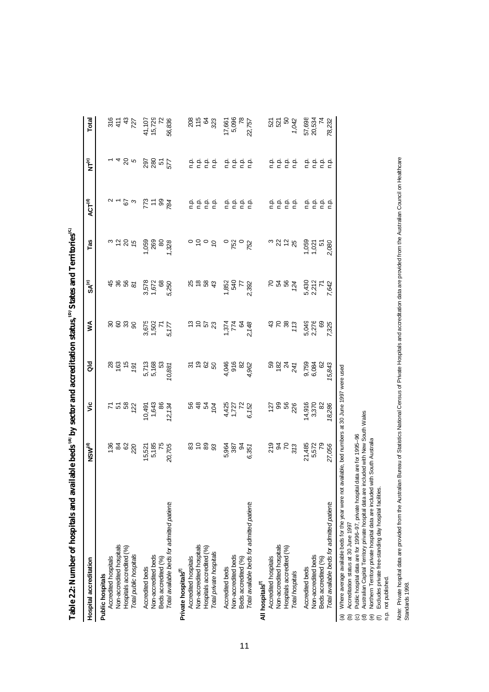| Hospital accreditation                                                                                  | NSW <sup>(d)</sup>    | š                                     | <b>PO</b>              | ≸                                                       | SA®                              | Tas                     | <b>ACT<sup>(d)</sup></b> | $\widetilde{\mathsf{F}}$ | Total                  |
|---------------------------------------------------------------------------------------------------------|-----------------------|---------------------------------------|------------------------|---------------------------------------------------------|----------------------------------|-------------------------|--------------------------|--------------------------|------------------------|
| Public hospitals                                                                                        |                       |                                       |                        |                                                         |                                  |                         |                          |                          |                        |
| Accredited hospitals                                                                                    |                       |                                       |                        |                                                         |                                  |                         |                          |                          |                        |
| Non-accredited hospitals                                                                                | \$282                 |                                       | ಇ ಜಿ ಕ                 | 8888                                                    | 4865                             | 3286                    | $v - 2a$                 | - 4 8 p                  |                        |
| Hospitals accredited (%)                                                                                |                       |                                       |                        |                                                         |                                  |                         |                          |                          |                        |
| Total public hospitals                                                                                  |                       |                                       | 191                    |                                                         |                                  |                         |                          |                          | $28 + 32$              |
| Accredited beds                                                                                         |                       |                                       |                        |                                                         |                                  |                         |                          |                          |                        |
| Non-accredited beds                                                                                     | 15,521<br>5,185<br>75 |                                       | 5,713<br>5,168<br>5,3  |                                                         |                                  |                         | ದೆ = ೫ ಕ                 | <b>2855</b>              | 41,107<br>15,729<br>72 |
| Beds accredited (%)                                                                                     |                       |                                       |                        |                                                         |                                  |                         |                          |                          |                        |
| Total available beds for admitted patients                                                              | 20,705                | 10,491<br>1,643<br>12, 134<br>12, 134 | 10,881                 | 3,675<br>1,502<br>5,177                                 | 3,578<br>1,672<br>5,250          | 328                     |                          |                          | 56,836                 |
| Private hospitals <sup>(f)</sup>                                                                        |                       |                                       |                        |                                                         |                                  |                         |                          |                          |                        |
| Accredited hospitals                                                                                    |                       |                                       |                        |                                                         |                                  |                         |                          |                          |                        |
| Non-accredited hospitals                                                                                | <b>8588</b>           |                                       | 2009                   | $\frac{1}{2}$ $\frac{1}{2}$ $\frac{1}{2}$ $\frac{1}{2}$ | $\frac{8}{3}$                    | $\overline{5}$          |                          |                          | 2015<br>2015<br>2015   |
| Hospitals accredited (%)                                                                                |                       |                                       |                        |                                                         |                                  |                         |                          |                          |                        |
| Total private hospitals                                                                                 |                       | <b>88422</b>                          |                        |                                                         |                                  |                         | 흐흐흐흐                     | 흐흐흐흐                     | 323                    |
| Accredited beds                                                                                         |                       |                                       |                        |                                                         |                                  |                         |                          |                          |                        |
| Non-accredited beds                                                                                     | 5.987<br>ವಿಜ್ಞಾನ      |                                       |                        |                                                         |                                  | ಂ<br>೧೯೦<br>೧೯          |                          |                          | 17,661<br>5,096<br>78  |
| Beds accredited (%)                                                                                     |                       |                                       |                        |                                                         |                                  |                         |                          |                          |                        |
| Total available beds for admitted patients                                                              | 6,351                 | 4,425<br>1,727<br>6, 152              | 4,046<br>916<br>4,962  | $7,374$<br>$7,48$<br>$7,48$<br>$7,48$                   | $7,852$<br>540<br>7,392<br>2,392 |                         | 음 음 음 음<br>음 음 음         | e e e e<br>c c c c       | 22,757                 |
| All hospitals <sup>(f)</sup>                                                                            |                       |                                       |                        |                                                         |                                  |                         |                          |                          |                        |
| Accredited hospitals                                                                                    |                       |                                       |                        |                                                         |                                  |                         |                          |                          |                        |
| Non-accredited hospitals                                                                                | ភ្លួង ខ្លួ            |                                       | <b>B</b> 82 37 52      | 3582                                                    | <b>ខ</b> ឌ ឌ ឌ្                  | 325                     | 후 후 후 후<br>후 후 후 후       | 후 후 후 후<br>후 후 후 후       | <u>ង</u> ងួ ន          |
| Hospitals accredited (%)                                                                                |                       |                                       |                        |                                                         |                                  |                         |                          |                          |                        |
| Total hospitals                                                                                         |                       |                                       |                        |                                                         |                                  |                         |                          |                          | 1,042                  |
| Accredited beds                                                                                         |                       | 14,916                                |                        |                                                         |                                  |                         |                          |                          |                        |
| Non-accredited beds                                                                                     | 21,485<br>5,572<br>79 | 3,370                                 | 9,759<br>6,084<br>6,02 | 5,049<br>0,276<br>5,276<br>5,275                        | 5,217<br>2,217<br>5,217<br>5,42  | 1.050<br>1.021<br>1.051 | e e e e<br>c c c c       | agaa<br>cccc             | 57,698<br>20,534<br>74 |
| Beds accredited (%)                                                                                     |                       | 82                                    |                        |                                                         |                                  |                         |                          |                          |                        |
| Total available beds for admitted patients                                                              | 27,056                | 18,286                                | 15,843                 |                                                         |                                  | 2,080                   |                          |                          | 78,232                 |
| (a) Where average available beds for the year were not available, bed numbers at 30 June 1997 were used |                       |                                       |                        |                                                         |                                  |                         |                          |                          |                        |

**Table 2.2: Number of hospitals and available beds (a) by sector and accreditation status, (b) States and Territories**

**(c)**

(b) Accreditation status at 30 June 1997.

(c) Public hospital data are for 1996–97, private hospital data are for 1995–96.

(b) Accreditation status at 30 June 1997<br>(c) Public hospital data are for 1996–97, private hospital data are for 1995–96<br>(d) Australian Capital Territory private hospital data are included with New South Wales<br>(e) Northern (d) Australian Capital Territory private hospital data are included with New South Wales.

(e) Northern Territory private hospital data are included with South Australia.

(f) Excludes private free-standing day hospital facilities.

n.p. not published.

Note: Private hospital data are provided from the Australian Bureau of Statistics National Census of Private Hospitals and accreditation data are provided from the Australian Council on Healthcare<br>Standards 1998. Note: Private hospital data are provided from the Australian Bureau of Statistics National Census of Private Hospitals and accreditation data are provided from the Australian Council on Healthcare Standards 1998.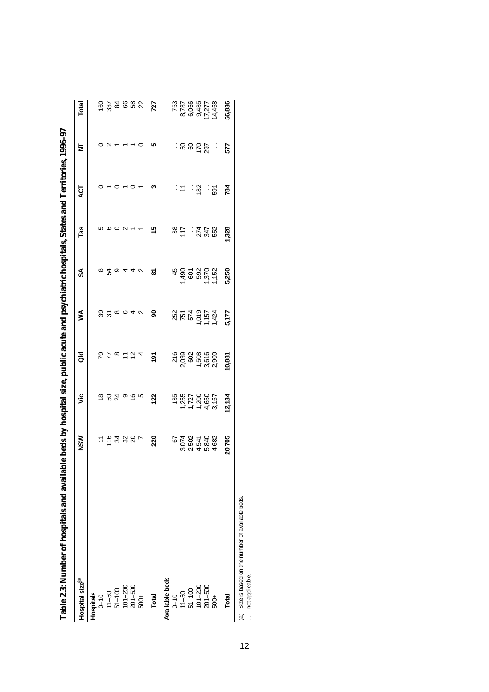| , председния по принимати по принимати с после принимати и принимати и принимати и принимати и принимати и принимати и принимати и принимати и принимати и принимати и принимати и принимати и принимати и принимати и приним |        |                                                                        |                                                   |                             |                    |                         |               |          |                                                    |
|-------------------------------------------------------------------------------------------------------------------------------------------------------------------------------------------------------------------------------|--------|------------------------------------------------------------------------|---------------------------------------------------|-----------------------------|--------------------|-------------------------|---------------|----------|----------------------------------------------------|
| Hospital size <sup>(a)</sup>                                                                                                                                                                                                  | NSW    | ۶Ë                                                                     | aio                                               | ⋚                           | SA                 | Tas                     | <b>ACT</b>    | Ż        | Total                                              |
| Hospitals                                                                                                                                                                                                                     |        |                                                                        |                                                   |                             |                    |                         |               |          |                                                    |
| $0 - 10$                                                                                                                                                                                                                      |        |                                                                        |                                                   |                             |                    |                         |               |          |                                                    |
| $11 - 50$                                                                                                                                                                                                                     |        |                                                                        | $P P \in \mathfrak{S}$ $\pm$ $P \in \mathfrak{S}$ | <u>တ္ထိ ဗီ ထိ ႕ ပ</u>       | <b>8 2 9 4 4 6</b> | $\circ$ $\circ$ $\circ$ |               | $\sim$   | 6.8888                                             |
|                                                                                                                                                                                                                               |        |                                                                        |                                                   |                             |                    |                         | $\circ$       |          |                                                    |
| $51-100$<br>$101-200$<br>$201-500$                                                                                                                                                                                            |        |                                                                        |                                                   |                             |                    |                         |               |          |                                                    |
|                                                                                                                                                                                                                               |        |                                                                        |                                                   |                             |                    |                         | $\circ$       |          |                                                    |
| 500+                                                                                                                                                                                                                          | 7.6488 |                                                                        |                                                   |                             |                    |                         |               |          |                                                    |
| <b>Total</b>                                                                                                                                                                                                                  | 220    | 122                                                                    | $\frac{5}{2}$                                     | နွ                          | ౚ                  | 15                      | ∾             | ۱Ω       | 727                                                |
| Available beds                                                                                                                                                                                                                |        |                                                                        |                                                   |                             |                    |                         |               |          |                                                    |
| $0 - 10$                                                                                                                                                                                                                      |        |                                                                        |                                                   |                             |                    |                         |               |          |                                                    |
| $11 - 50$                                                                                                                                                                                                                     |        |                                                                        |                                                   |                             |                    | $rac{38}{17}$           | $\frac{1}{2}$ |          |                                                    |
|                                                                                                                                                                                                                               |        |                                                                        |                                                   |                             |                    |                         | Î,            | $-58858$ |                                                    |
|                                                                                                                                                                                                                               |        |                                                                        |                                                   |                             |                    |                         | 182           |          |                                                    |
|                                                                                                                                                                                                                               |        |                                                                        |                                                   |                             |                    |                         | Ì             |          |                                                    |
| 51-100<br>101-200<br>201-500<br>500+                                                                                                                                                                                          |        | $135$<br>$7,200$<br>$7,720$<br>$7,700$<br>$7,650$<br>$7,700$<br>$8,60$ | 216<br>2030<br>2008<br>2009<br>2009<br>2009       | 252<br>7574<br>1575<br>1574 |                    | : វី 3 និ               | 591           | Ĵ        | 753<br>8,786<br>8,066<br>8,777<br>8,7468<br>14,468 |
| Total                                                                                                                                                                                                                         | 20,705 | 12,134                                                                 | 10,881                                            | 5,177                       | 5,250              | 1,328                   | 784           | 577      | 56,836                                             |
| (a) Size is based on the number of available beds.<br>not applicable.                                                                                                                                                         |        |                                                                        |                                                   |                             |                    |                         |               |          |                                                    |

Table 2.8 Number of hospitals and available beds by hospital size, public acute and psychiatric hospitals. States and Territories, 1996-97 **Table 2.3: Number of hospitals and available beds by hospital size, public acute and psychiatric hospitals, States and Territories, 1996–97**

12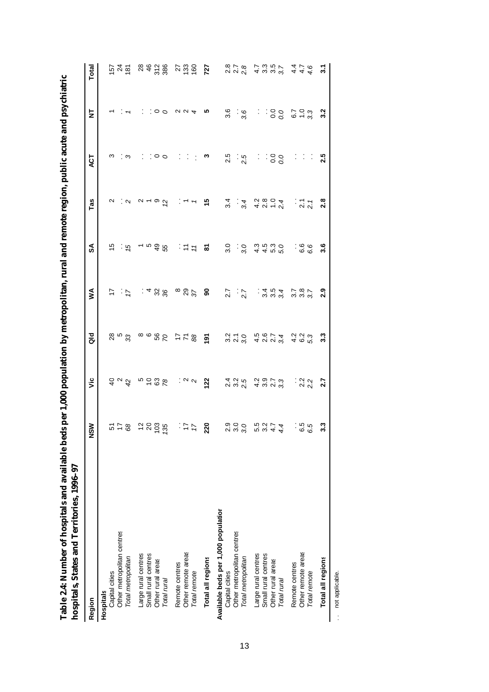| I           |                                         |
|-------------|-----------------------------------------|
| ı           |                                         |
|             |                                         |
|             |                                         |
|             |                                         |
| l           |                                         |
|             |                                         |
|             |                                         |
| ֚֚          |                                         |
| l           |                                         |
|             |                                         |
|             |                                         |
|             |                                         |
|             |                                         |
|             |                                         |
|             |                                         |
| l           |                                         |
| ı           |                                         |
|             |                                         |
|             |                                         |
| ֚֚֡         |                                         |
|             |                                         |
|             |                                         |
| ı           |                                         |
| ı           |                                         |
|             |                                         |
|             |                                         |
| ı           |                                         |
|             |                                         |
| ׇ֚֘֝֕<br>I  |                                         |
| ֠<br>Ï<br>l | ı                                       |
|             |                                         |
|             |                                         |
| I           |                                         |
|             | $\mathcal{L}^{\text{max}}_{\text{max}}$ |
| l<br>֠      |                                         |
| l           | l                                       |
| ¢           | Ì                                       |
|             |                                         |
|             |                                         |
|             |                                         |
|             |                                         |
| I           |                                         |
| I           | l                                       |
|             |                                         |

| <b>NATIONAL RESERVATION CONTINUES.</b> |                     |                                           |                                                                       |                                |                      |                                           |                 |                                                                                                                                                                                                                                |                    |
|----------------------------------------|---------------------|-------------------------------------------|-----------------------------------------------------------------------|--------------------------------|----------------------|-------------------------------------------|-----------------|--------------------------------------------------------------------------------------------------------------------------------------------------------------------------------------------------------------------------------|--------------------|
| Region                                 | NSM                 | yic                                       | $\frac{d}{d}$                                                         | ⋚                              | SA                   | Tas                                       | ACT             | ż                                                                                                                                                                                                                              | Total              |
| Hospitals                              |                     |                                           |                                                                       |                                |                      |                                           |                 |                                                                                                                                                                                                                                |                    |
| Capital cities                         |                     |                                           |                                                                       | 1,                             | Ю                    |                                           | ო               |                                                                                                                                                                                                                                |                    |
| Other metropolitan centres             |                     |                                           |                                                                       |                                |                      |                                           |                 |                                                                                                                                                                                                                                |                    |
| Total metropolitan                     | 8 <i>그</i> 그        | 999                                       | ని చి                                                                 | $\frac{1}{2}$                  | : ပ္                 | $\sim$ $\sim$                             | ຸຕ              |                                                                                                                                                                                                                                | <u>ನ ಸ ಹ</u>       |
| Large rural centres                    |                     |                                           |                                                                       |                                |                      | $N - 90$                                  |                 |                                                                                                                                                                                                                                |                    |
| Small rural centres                    |                     |                                           |                                                                       |                                |                      |                                           |                 |                                                                                                                                                                                                                                |                    |
| Other rural areas                      | 28800               |                                           |                                                                       | 488                            | ~ ¤ ფ ო<br>4 წ       |                                           | $\circ$ $\circ$ | $\circ$ $\circ$                                                                                                                                                                                                                |                    |
| Total rura                             |                     | 0.588                                     |                                                                       |                                |                      |                                           |                 |                                                                                                                                                                                                                                | 88888              |
| Remote centres                         |                     |                                           |                                                                       |                                |                      |                                           | Î,              |                                                                                                                                                                                                                                |                    |
| Other remote areas                     | : $\overline{z}$    |                                           |                                                                       |                                |                      | $\frac{1}{2}$ $\frac{1}{2}$               | $\sim$          | $\alpha$ $\alpha$ 4                                                                                                                                                                                                            |                    |
| Total remote                           |                     |                                           |                                                                       |                                | $\frac{1}{2}$        |                                           | ÷               |                                                                                                                                                                                                                                | ង ឆ្នំ ទី          |
| Total all regions                      | 220                 | $\frac{1}{2}$ $\frac{1}{2}$ $\frac{1}{2}$ | $\frac{5}{6}$ $\frac{8}{7}$ $\frac{7}{7}$ $\frac{8}{7}$ $\frac{6}{9}$ | $^{\infty}$ $\%$ $\frac{8}{9}$ | ៵                    | 45                                        | ო               | ທ                                                                                                                                                                                                                              | 727                |
| Available beds per 1,000 population    |                     |                                           |                                                                       |                                |                      |                                           |                 |                                                                                                                                                                                                                                |                    |
| Capital cities                         |                     |                                           |                                                                       | 2.7                            | 3.0                  | $3\overline{4}$                           | 2.5             | 3.6                                                                                                                                                                                                                            |                    |
| Other metropolitan centres             |                     |                                           |                                                                       |                                |                      |                                           |                 |                                                                                                                                                                                                                                |                    |
| Total metropolitan                     | $\circ \circ \circ$ |                                           |                                                                       | $\frac{1}{2}$                  | $\frac{1}{3}$        | $\frac{1}{2}$                             | $\frac{5}{2}$   | $\frac{6}{3}$                                                                                                                                                                                                                  | 878<br>2278        |
| Large rural centres                    | $3.274$<br>$3.274$  | d d d d d d d d<br>4 d d d d d d d d      | siro nora<br>Siro nora                                                |                                |                      |                                           | $\cdot$         |                                                                                                                                                                                                                                |                    |
| Small rural centres                    |                     |                                           |                                                                       |                                |                      |                                           |                 |                                                                                                                                                                                                                                |                    |
| Other rural areas                      |                     |                                           |                                                                       |                                |                      |                                           |                 |                                                                                                                                                                                                                                |                    |
| Total rurai                            |                     |                                           |                                                                       | $304$<br>3002                  | 4 4 4 4 9<br>4 4 4 9 | $4.904$<br>$4.904$                        | 300             | $3.38$ $-2.3$ $-2.3$ $-2.3$ $-2.3$ $-2.3$ $-2.3$ $-2.3$ $-2.3$ $-2.3$ $-2.3$ $-2.3$ $-2.3$ $-2.3$ $-2.3$ $-2.3$ $-2.3$ $-2.3$ $-2.3$ $-2.3$ $-2.3$ $-2.3$ $-2.3$ $-2.3$ $-2.3$ $-2.3$ $-2.3$ $-2.3$ $-2.3$ $-2.3$ $-2.3$ $-2.$ | てい<br>ことこと<br>トラスト |
| Remote centres                         |                     |                                           |                                                                       |                                |                      |                                           |                 |                                                                                                                                                                                                                                |                    |
| Other remote areas                     | ု ဟု ဟု             | $\frac{2}{2}$<br>$\frac{2}{2}$            | 4 6 13<br>4 6 13                                                      | $787$<br>$387$                 | ∶င်္မ<br>6 မ်        | $\frac{1}{2}$ $\frac{7}{2}$ $\frac{7}{2}$ | Ļ,              |                                                                                                                                                                                                                                | $4470$<br>$479$    |
| Total remote                           |                     |                                           |                                                                       |                                |                      |                                           | ÷,              |                                                                                                                                                                                                                                |                    |
| Total all regions                      | ှု                  | 2.7                                       | 3.3                                                                   | <b>2.9</b>                     | 3.6                  | 2.8                                       | 2.5             | 3.2                                                                                                                                                                                                                            | $\tilde{3}$        |

.. not applicable. .. not applicable.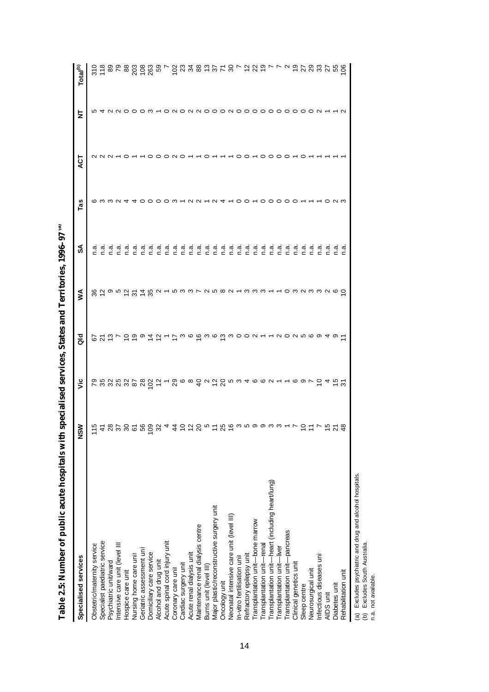| Specialised services                              | ℥<br>ΰ<br>Ζ                                                                 | νã | $\frac{d}{d}$ | ⋚                           | వ్ | Tas | <b>ACT</b>      | 눈 | Total <sup>(b)</sup> |
|---------------------------------------------------|-----------------------------------------------------------------------------|----|---------------|-----------------------------|----|-----|-----------------|---|----------------------|
| Obstetric/maternity service                       |                                                                             |    |               |                             |    |     |                 |   |                      |
| Specialist paediatric service                     |                                                                             |    |               |                             |    |     |                 |   |                      |
| Psychiatric unit/ward                             |                                                                             |    |               |                             |    |     |                 |   |                      |
| Intensive care unit (level III                    |                                                                             |    |               |                             |    |     |                 |   |                      |
| Hospice care unit                                 |                                                                             |    |               |                             |    |     |                 |   |                      |
| Nursing home care unit                            | 15 れ 80 岁 80 印 80 80 4 7 2 2 2 9 0 1 2 80 9 0 0 0 0 0 0 0 0 1 7 2 2 7 9 2 9 |    |               | 822952258212922242242242324 |    |     |                 |   |                      |
| Geriatric assessment unit                         |                                                                             |    |               |                             |    |     |                 |   |                      |
| Domiciliary care service                          |                                                                             |    |               |                             |    |     |                 |   |                      |
| Alcohol and drug unit                             |                                                                             |    |               |                             |    |     |                 |   |                      |
| Acute spinal cord injury unit                     |                                                                             |    |               |                             |    |     |                 |   |                      |
| Coronary care unit                                |                                                                             |    |               |                             |    |     | $\circ$ $\circ$ |   |                      |
| Cardiac surgery unit                              |                                                                             |    |               |                             |    |     |                 |   |                      |
| Acute renal dialysis unit                         |                                                                             |    |               |                             |    |     |                 |   |                      |
| Maintenance renal dialysis centre                 |                                                                             |    |               |                             |    |     |                 |   |                      |
| Burns unit (level III)                            |                                                                             |    |               |                             |    |     |                 |   |                      |
| Major plastic/reconstructive surgery unit         |                                                                             |    |               |                             |    |     |                 |   |                      |
| Oncology unit                                     |                                                                             |    |               |                             |    |     |                 |   |                      |
| Neonatal intensive care unit (level III)          |                                                                             |    |               |                             |    |     |                 |   |                      |
| In-vitro fertilisation uni                        |                                                                             |    |               |                             |    |     |                 |   |                      |
| Refractory epilepsy unit                          |                                                                             |    |               |                             |    |     |                 |   |                      |
| Transplantation unit-bone marrow                  |                                                                             |    |               |                             |    |     |                 |   |                      |
| Transplantation unit-renal                        |                                                                             |    |               |                             |    |     |                 |   |                      |
| Transplantation unit-heart (including heart/lung) |                                                                             |    |               |                             |    |     |                 |   |                      |
| Transplantation unit-liver                        |                                                                             |    |               |                             |    |     |                 |   |                      |
| Transplantation unit-pancreas                     |                                                                             |    |               |                             |    |     |                 |   |                      |
| Clinical genetics unit                            |                                                                             |    |               |                             |    |     |                 |   |                      |
| Sleep centre                                      |                                                                             |    |               |                             |    |     |                 |   |                      |
| Neurosurgical unit                                |                                                                             |    |               |                             |    |     |                 |   |                      |
| Infectious diseases unit                          |                                                                             |    |               |                             |    |     |                 |   |                      |
| AIDS unit                                         |                                                                             |    |               |                             |    |     |                 |   |                      |
| Diabetes unit                                     |                                                                             |    |               |                             |    |     |                 |   |                      |
| Rehabilitation unit                               |                                                                             |    |               |                             |    |     |                 |   |                      |

14

**Table 2.5: Number of public acute hospitals with specialised services, States and Territories, 1996–97** Table 2.5: Number of public acute hospitals with specialised services, States and Territories, 1996-97<sup>"</sup>

(a) Excludes psychiatric and drug and alcohol hospitals.<br>(b) Excludes South Australia.<br>n.a. not available. (a) Excludes psychiatric and drug and alcohol hospitals.

(b) Excludes South Australia.

n.a. not available.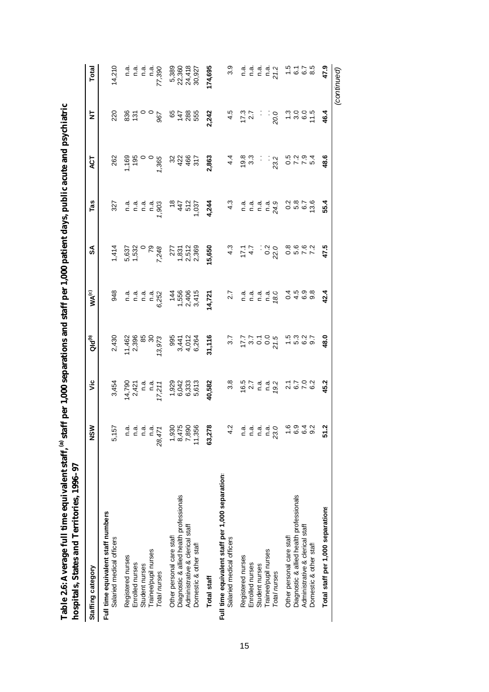| l<br>I                                     |                  |
|--------------------------------------------|------------------|
| I<br>ı<br>l                                |                  |
| ć<br>ׇ֚֘֡<br>֚֚֚֬<br>I<br>l<br>ŗ<br>)<br>י | ç<br>ì<br>¢<br>Ï |

| moshrans, salta i film i film est fest i                                      |                                                       |                                                     |                                         |                                                                |                                    |                                                                                                                                                                                                                                                                                              |                               |                      |                                     |
|-------------------------------------------------------------------------------|-------------------------------------------------------|-----------------------------------------------------|-----------------------------------------|----------------------------------------------------------------|------------------------------------|----------------------------------------------------------------------------------------------------------------------------------------------------------------------------------------------------------------------------------------------------------------------------------------------|-------------------------------|----------------------|-------------------------------------|
| Staffing category                                                             | <b>NSM</b>                                            | vic                                                 | $Q1d^{(b)}$                             | $WA^{(c)}$                                                     | వ్                                 | Tas                                                                                                                                                                                                                                                                                          | ДČТ                           | ₹                    | Total                               |
| Full time equivalent staff numbers<br>Salaried medical officers               | 5,157                                                 | 3,454                                               | 2,430                                   | 948                                                            | 1,414                              | 327                                                                                                                                                                                                                                                                                          | 262                           | 220                  | 14,210                              |
| Registered nurses<br>Enrolled nurses                                          |                                                       |                                                     | 11,462<br>1996<br>1997<br>19973         |                                                                |                                    |                                                                                                                                                                                                                                                                                              | $7,365$<br>$7,365$<br>$7,365$ |                      |                                     |
| Student nurses                                                                |                                                       |                                                     |                                         |                                                                |                                    |                                                                                                                                                                                                                                                                                              |                               |                      | a a a a<br>c c c c                  |
| Trainee/pupil nurses<br>Total nurses                                          | n a a a a<br>n a a a a<br>n a a a<br>28,471<br>28,471 | $14,790$<br>2,421<br>2,421<br>17,211<br>17,211      |                                         |                                                                | 5,537<br>1,532<br>7,248<br>7,248   | ם פו פו פוס<br>פו פו פו פוס<br>ב                                                                                                                                                                                                                                                             |                               | $-\frac{6}{8}$       | 77,390                              |
| Diagnostic & allied health professionals<br>Other personal care staff         |                                                       | $1,929$<br>$6,043$<br>$6,033$<br>$6,613$<br>$6,613$ |                                         |                                                                |                                    |                                                                                                                                                                                                                                                                                              | $32467$<br>$4467$             |                      |                                     |
| Administrative & clerical staff<br>Domestic & other staff                     | $7,890$<br>$7,890$<br>$7,890$<br>$7,356$<br>$11,356$  |                                                     | 995<br>3,441<br>3,412<br>4,012<br>6,264 | $7,500$<br>$7,400$<br>$7,415$<br>$6,415$<br>$6,606$<br>$6,605$ | 277<br>2857<br>289<br>289          | $\frac{475}{37}$                                                                                                                                                                                                                                                                             |                               | <b>85855</b><br>9585 | 5,389<br>22,360<br>24,418<br>30,927 |
| <b>Total staff</b>                                                            | 63,278                                                | 40,582                                              | 31,116                                  | 14,721                                                         | 15,650                             | 4,244                                                                                                                                                                                                                                                                                        | 2,863                         | 2,242                | 174,695                             |
| Full time equivalent staff per 1,000 separation:<br>Salaried medical officers | 4.2                                                   | $3.\overline{8}$                                    | 3.7                                     | 2.7                                                            | $4.\overline{3}$                   |                                                                                                                                                                                                                                                                                              | 4.4                           | 4.5                  | 3.9                                 |
| Registered nurses<br>Enrolled nurses                                          |                                                       |                                                     |                                         |                                                                |                                    |                                                                                                                                                                                                                                                                                              | $19.8$<br>3.3                 | $17.3$<br>2.7        |                                     |
| Student nurses                                                                |                                                       |                                                     |                                         |                                                                |                                    |                                                                                                                                                                                                                                                                                              | i.                            | Ì.                   | aiaiai<br>⊂⊂⊂                       |
| Trainee/pupil nurses<br>Total nurses                                          |                                                       | $16.7$<br>$2.7$<br>$1.4$<br>$1.4$<br>$1.2$<br>$1.2$ | $77,700,710$<br>0.000                   | ם הם הם<br>ככככם<br>ה                                          | $17.7$<br>$4.7$<br>$0.2$<br>$22.0$ | $\begin{array}{cc} \mathbf{.3} & \mathbf{.4} & \mathbf{.5} & \mathbf{.4} \\ \mathbf{.5} & \mathbf{.5} & \mathbf{.6} & \mathbf{.6} & \mathbf{.5} \\ \mathbf{.6} & \mathbf{.6} & \mathbf{.6} & \mathbf{.5} & \mathbf{.7} \\ \mathbf{.7} & \mathbf{.8} & \mathbf{.7} & \mathbf{.7} \end{array}$ | 23.2                          | 20.05                | $\frac{a}{21.2}$                    |
| Other personal care staff                                                     |                                                       |                                                     |                                         |                                                                |                                    |                                                                                                                                                                                                                                                                                              |                               |                      |                                     |
| Diagnostic & allied health professionals<br>Administrative & clerical staff   | 0 0 0 0<br>0 0 0 0<br>0 0 0 0                         | 7702<br>2010<br>2010                                | $10000 + 0000$                          | 04609<br>04609                                                 |                                    | 0<br>0 10 10 10<br>0 10 10 10                                                                                                                                                                                                                                                                | 0 7 7 9<br>0 7 9 9<br>0 7 9 9 | $7.0000$<br>$7.007$  | $7.775$<br>$7.75$                   |
| Domestic & other staff                                                        |                                                       |                                                     |                                         |                                                                |                                    |                                                                                                                                                                                                                                                                                              |                               |                      |                                     |
| Total staff per 1,000 separations                                             | Ņ<br>5                                                | 45.2                                                | 48.0                                    | 42.4                                                           | 47.5                               | 55.4                                                                                                                                                                                                                                                                                         | 48.6                          | 46.4                 | 47.9                                |
|                                                                               |                                                       |                                                     |                                         |                                                                |                                    |                                                                                                                                                                                                                                                                                              |                               |                      | (continued)                         |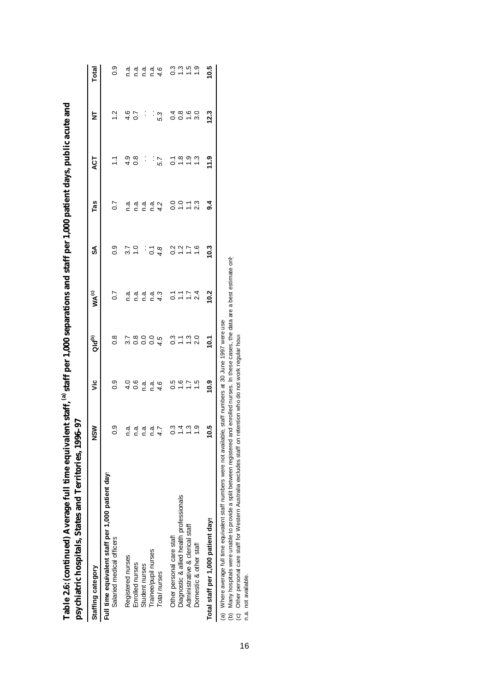| psychiatric hospitals, States and Territories, 1996-97<br><b>CHARGE COMPANY CONTINUES AND STRAIGHT OF A STRAIGHT OF A STRAIGHT OF A STRAIGHT OF A STRAIGHT OF A STRAIGHT OF A STRAIGHT OF A STRAIGHT OF A STRAIGHT OF A STRAIGHT OF A STRAIGHT OF A STRAIGHT OF A STRAIGHT OF A STRAIGHT O</b> | m stann.      |                    |                               | TRIS MILE I DEI 2000 SCIUNTIN SULLE       |                 |                  | <b>The Town Pauli Car Public and The Pauli Care of the Sould Albemond</b>           |                |                 |
|------------------------------------------------------------------------------------------------------------------------------------------------------------------------------------------------------------------------------------------------------------------------------------------------|---------------|--------------------|-------------------------------|-------------------------------------------|-----------------|------------------|-------------------------------------------------------------------------------------|----------------|-----------------|
| Staffing category                                                                                                                                                                                                                                                                              | <u>ต</u>      | ۊ                  | ald <sup>(a)</sup>            | WA <sup>(c)</sup>                         | SA              | Tas              | ACT                                                                                 | ₹              | Total           |
| Full time equivalent staff per 1,000 patient day.<br>Salaried medical officers                                                                                                                                                                                                                 | တ္            | 0.9                | $0.\overline{8}$              | $\overline{0}$                            | 0.9             | $\overline{0.7}$ |                                                                                     | $\frac{2}{1}$  | 0.9             |
| Registered nurses                                                                                                                                                                                                                                                                              | n.a.          |                    |                               |                                           |                 | n.a.             | 4.9                                                                                 |                | n.a             |
| Enrolled nurses                                                                                                                                                                                                                                                                                | n.ai          | $\frac{0}{10}$ 0.6 | 2<br>2000 4<br>2000 4         | aiaiai<br>cicic                           | $\frac{7}{1.0}$ |                  | $\frac{8}{3}$                                                                       | $\frac{6}{10}$ | n.a             |
| Student nurses                                                                                                                                                                                                                                                                                 | n.a.          | n.a.               |                               |                                           | Ĵ               | n a<br>n a       | $\ddot{\cdot}$                                                                      | Ĵ              | n.a             |
| Trainee/pupil nurses                                                                                                                                                                                                                                                                           | n.a.          | n.a.               |                               | n a                                       |                 |                  | $\ddot{\cdot}$                                                                      |                |                 |
| Total nurses                                                                                                                                                                                                                                                                                   |               | 4.6                |                               | 4.3                                       | $\frac{4}{9}$   | $\frac{a}{4}$    | 5.7                                                                                 | 5.3            | $\frac{a}{4.6}$ |
| Other personal care staff                                                                                                                                                                                                                                                                      |               |                    |                               |                                           |                 |                  |                                                                                     |                |                 |
| Diagnostic & allied health professionals                                                                                                                                                                                                                                                       |               | 0.5<br>0.7         |                               |                                           | 0.077           | 0.000            | $\frac{1}{2}$ $\frac{1}{2}$ $\frac{1}{2}$ $\frac{1}{2}$ $\frac{1}{2}$ $\frac{1}{2}$ |                | 0.3<br>0.7      |
| Administrative & clerical staff                                                                                                                                                                                                                                                                |               | $\ddot{ }$ :       | 3 1 1 2<br>0 1 1 2<br>0 1 1 2 | $\frac{7}{0}$ $\frac{7}{1}$ $\frac{7}{0}$ |                 | $\sum$           |                                                                                     | 0000           | $\frac{5}{1}$   |
| Domestic & other staff                                                                                                                                                                                                                                                                         |               | $\frac{5}{1}$      |                               | 2.4                                       | $\frac{6}{1}$   | 2.3              | $\frac{3}{2}$                                                                       | 3.0            | $\frac{0}{1}$   |
| Total staff per 1,000 patient days                                                                                                                                                                                                                                                             | <u>۹</u>      | 10.9               | 10<br>2                       | 10.2                                      | 10.3            | $\overline{9}$   | 11.9                                                                                | 12.3           | 10.5            |
| $\sim$                                                                                                                                                                                                                                                                                         | $\frac{1}{2}$ |                    |                               |                                           |                 |                  |                                                                                     |                |                 |

**Table 2.6: (continued) Average full time equivalent staff,** Table 2.6: (continued) Average full time equivalent staff<sup>(a)</sup> staff per 1.000 separations and staff per 1.000 patient days, public acute and  **staff per 1,000 separations and staff per 1,000 patient days, public acute and** 

(a) Where average full time equivalent staff numbers were not available, staff numbers at 30 June 1997 were used.

(a) Where average full time equivalent staff numbers were not available, staff numbers at 30 June 1997 were use<br>(b) Many hospitals were unable to provide a split between registered and enrolled nurses. In these cases, the (b) Many hospitals were unable to provide a split between registered and enrolled nurses. In these cases, the data are a best estimate only.

(c) Other personal care staff for Western Australia excludes staff on retention who do not work regular hours.

n.a. not available.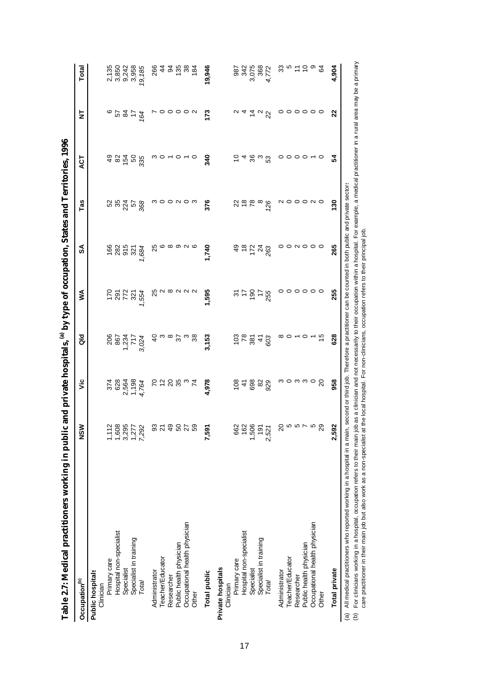| Table 2.7: Medical practitioners working in public |                                                                           |        |                              |                                 | and private hospitals, (a) by type of occupation, States and Territories, 1996 |                        |                                                                               |                           |                                               |
|----------------------------------------------------|---------------------------------------------------------------------------|--------|------------------------------|---------------------------------|--------------------------------------------------------------------------------|------------------------|-------------------------------------------------------------------------------|---------------------------|-----------------------------------------------|
| Occupation <sup>(b)</sup>                          | NSW                                                                       | yic    | as<br>G                      | ≸                               | SÁ                                                                             | Tas                    | ACT                                                                           | ₫                         | Total                                         |
| <b>Public hospitals</b><br>Clinician               |                                                                           |        |                              |                                 |                                                                                |                        |                                                                               |                           |                                               |
| Primary care                                       |                                                                           |        |                              |                                 |                                                                                |                        |                                                                               |                           |                                               |
| Hospital non-specialist                            |                                                                           |        | 2021<br>2021<br>2022<br>2022 | 128720                          | 168257881                                                                      | ង <i>ង</i> ភ្លុំ ង ន្ល | ទំនង្គមន្ល                                                                    | 5420                      |                                               |
| Specialist                                         |                                                                           |        |                              |                                 |                                                                                |                        |                                                                               |                           |                                               |
| Specialist in training                             |                                                                           |        |                              |                                 |                                                                                |                        |                                                                               |                           |                                               |
| Total                                              | $1,008$<br>$1,008$<br>$1,008$<br>$1,008$<br>$1,008$<br>$1,008$<br>$1,008$ |        |                              |                                 |                                                                                |                        |                                                                               |                           | 21350<br>202128<br>2021362<br>2021362         |
| Administrator                                      |                                                                           |        | 9                            |                                 | 25                                                                             |                        |                                                                               |                           |                                               |
| Teacher/Educator                                   | <b>323828</b>                                                             | つねのあるは |                              | na ma ma                        |                                                                                | n o o n o n            | $\mathfrak{O} \rightarrow \mathfrak{O} \rightarrow \mathfrak{O} \mathfrak{O}$ |                           | 842882                                        |
| Researcher                                         |                                                                           |        |                              |                                 |                                                                                |                        |                                                                               |                           |                                               |
| Public health physician                            |                                                                           |        | စ္က မွ စ                     |                                 | $\circ$ $\circ$ $\circ$ $\circ$                                                |                        |                                                                               | 00N                       |                                               |
| Occupational health physician                      |                                                                           |        |                              |                                 |                                                                                |                        |                                                                               |                           |                                               |
| Other                                              |                                                                           |        |                              |                                 |                                                                                |                        |                                                                               |                           |                                               |
| <b>Total public</b>                                | 7,59                                                                      | 4,978  | 3,153                        | 1,595                           | 1,740                                                                          | 376                    | 340                                                                           | 173                       | 19,946                                        |
| Private hospitals<br>Clinician                     |                                                                           |        |                              |                                 |                                                                                |                        |                                                                               |                           |                                               |
| Primary care                                       |                                                                           |        |                              |                                 |                                                                                |                        |                                                                               | $\sim$                    |                                               |
| Hospital non-specialist                            |                                                                           |        |                              |                                 |                                                                                | 289                    |                                                                               |                           |                                               |
| Specialist                                         | 662<br>1506<br>1,506<br>2,521                                             | 648888 |                              |                                 | $9.8748$<br>$7.48$                                                             |                        | 54808                                                                         |                           | 387<br>342<br>368<br>367<br>389<br>387<br>387 |
| Specialist in training                             |                                                                           |        |                              |                                 |                                                                                | $rac{8}{26}$           |                                                                               |                           |                                               |
| Total                                              |                                                                           |        |                              |                                 |                                                                                |                        |                                                                               |                           |                                               |
| Administrator                                      |                                                                           |        | ∞                            | o                               | 0                                                                              |                        |                                                                               | 0                         |                                               |
| Teacher/Educator                                   |                                                                           |        |                              |                                 |                                                                                |                        |                                                                               | $\circ$                   |                                               |
| Researcher                                         |                                                                           |        | $0 - 0 -$                    |                                 |                                                                                |                        |                                                                               |                           |                                               |
| Public health physician                            |                                                                           |        |                              |                                 |                                                                                |                        |                                                                               |                           |                                               |
| Occupational health physician                      | 2<br>2<br>2<br>2<br>2<br>2                                                | nonnog |                              | $\circ \circ \circ \circ \circ$ | O N O O O                                                                      | <u>NOOONO</u>          | $0000-0$                                                                      | $\circ \circ \circ \circ$ | 83 r 는 는 a 유                                  |
| Other                                              |                                                                           |        | $\frac{5}{1}$                |                                 |                                                                                |                        |                                                                               |                           |                                               |
| <b>Total private</b>                               | 2,59                                                                      | 958    | 628                          | 255                             | 265                                                                            | $\frac{8}{2}$          | 54                                                                            | 22                        | 4,904                                         |
| $\ddot{\phantom{0}}$                               |                                                                           |        |                              |                                 |                                                                                |                        |                                                                               |                           |                                               |

(a) All medical practitioners who reported working in a hospital in a main, second or third job. Therefore a practitioner can be counted in both public and private sectors. (a) All medical practitioners who reported working in a hospital in a main, second or third job. Therefore a practitioner can be counted in both public and private sectors<br>(b) For clinicians working in a hospital, occupati For clinicians working in a hospital, occupation refers to their main job as a clinician and not necessarily to their occupation within a hospital. For example, a medical practitioner in a rural area may be a primary

care practitioner in their main job but also work as a non-specialist at the local hospital. For non-clinicians, occupation refers to their principal job.

17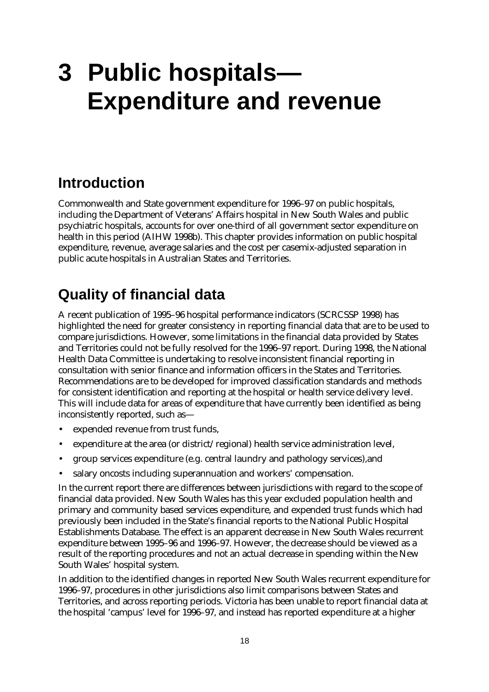# **3 Public hospitals— Expenditure and revenue**

# **Introduction**

Commonwealth and State government expenditure for 1996–97 on public hospitals, including the Department of Veterans' Affairs hospital in New South Wales and public psychiatric hospitals, accounts for over one-third of all government sector expenditure on health in this period (AIHW 1998b). This chapter provides information on public hospital expenditure, revenue, average salaries and the cost per casemix-adjusted separation in public acute hospitals in Australian States and Territories.

# **Quality of financial data**

A recent publication of 1995–96 hospital performance indicators (SCRCSSP 1998) has highlighted the need for greater consistency in reporting financial data that are to be used to compare jurisdictions. However, some limitations in the financial data provided by States and Territories could not be fully resolved for the 1996–97 report. During 1998, the National Health Data Committee is undertaking to resolve inconsistent financial reporting in consultation with senior finance and information officers in the States and Territories. Recommendations are to be developed for improved classification standards and methods for consistent identification and reporting at the hospital or health service delivery level. This will include data for areas of expenditure that have currently been identified as being inconsistently reported, such as—

- expended revenue from trust funds,
- expenditure at the area (or district/regional) health service administration level,
- group services expenditure (e.g. central laundry and pathology services),and
- salary oncosts including superannuation and workers' compensation.

In the current report there are differences between jurisdictions with regard to the scope of financial data provided. New South Wales has this year excluded population health and primary and community based services expenditure, and expended trust funds which had previously been included in the State's financial reports to the National Public Hospital Establishments Database. The effect is an apparent decrease in New South Wales recurrent expenditure between 1995–96 and 1996–97. However, the decrease should be viewed as a result of the reporting procedures and not an actual decrease in spending within the New South Wales' hospital system.

In addition to the identified changes in reported New South Wales recurrent expenditure for 1996–97, procedures in other jurisdictions also limit comparisons between States and Territories, and across reporting periods. Victoria has been unable to report financial data at the hospital 'campus' level for 1996–97, and instead has reported expenditure at a higher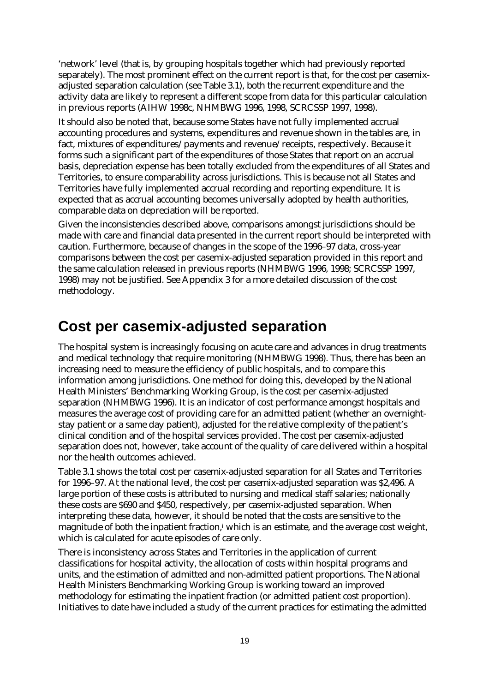'network' level (that is, by grouping hospitals together which had previously reported separately). The most prominent effect on the current report is that, for the cost per casemixadjusted separation calculation (see Table 3.1), both the recurrent expenditure and the activity data are likely to represent a different scope from data for this particular calculation in previous reports (AIHW 1998c, NHMBWG 1996, 1998, SCRCSSP 1997, 1998).

It should also be noted that, because some States have not fully implemented accrual accounting procedures and systems, expenditures and revenue shown in the tables are, in fact, mixtures of expenditures/payments and revenue/receipts, respectively. Because it forms such a significant part of the expenditures of those States that report on an accrual basis, depreciation expense has been totally excluded from the expenditures of all States and Territories, to ensure comparability across jurisdictions. This is because not all States and Territories have fully implemented accrual recording and reporting expenditure. It is expected that as accrual accounting becomes universally adopted by health authorities, comparable data on depreciation will be reported.

Given the inconsistencies described above, comparisons amongst jurisdictions should be made with care and financial data presented in the current report should be interpreted with caution. Furthermore, because of changes in the scope of the 1996–97 data, cross-year comparisons between the cost per casemix-adjusted separation provided in this report and the same calculation released in previous reports (NHMBWG 1996, 1998; SCRCSSP 1997, 1998) may not be justified. See Appendix 3 for a more detailed discussion of the cost methodology.

## **Cost per casemix-adjusted separation**

The hospital system is increasingly focusing on acute care and advances in drug treatments and medical technology that require monitoring (NHMBWG 1998). Thus, there has been an increasing need to measure the efficiency of public hospitals, and to compare this information among jurisdictions. One method for doing this, developed by the National Health Ministers' Benchmarking Working Group, is the cost per casemix-adjusted separation (NHMBWG 1996). It is an indicator of cost performance amongst hospitals and measures the average cost of providing care for an admitted patient (whether an overnightstay patient or a same day patient), adjusted for the relative complexity of the patient's clinical condition and of the hospital services provided. The cost per casemix-adjusted separation does not, however, take account of the quality of care delivered within a hospital nor the health outcomes achieved.

Table 3.1 shows the total cost per casemix-adjusted separation for all States and Territories for 1996–97. At the national level, the cost per casemix-adjusted separation was \$2,496. A large portion of these costs is attributed to nursing and medical staff salaries; nationally these costs are \$690 and \$450, respectively, per casemix-adjusted separation. When interpreting these data, however, it should be noted that the costs are sensitive to the magnitude of both the inpatient fraction,i which is an estimate, and the average cost weight, which is calculated for acute episodes of care only.

There is inconsistency across States and Territories in the application of current classifications for hospital activity, the allocation of costs within hospital programs and units, and the estimation of admitted and non-admitted patient proportions. The National Health Ministers Benchmarking Working Group is working toward an improved methodology for estimating the inpatient fraction (or admitted patient cost proportion). Initiatives to date have included a study of the current practices for estimating the admitted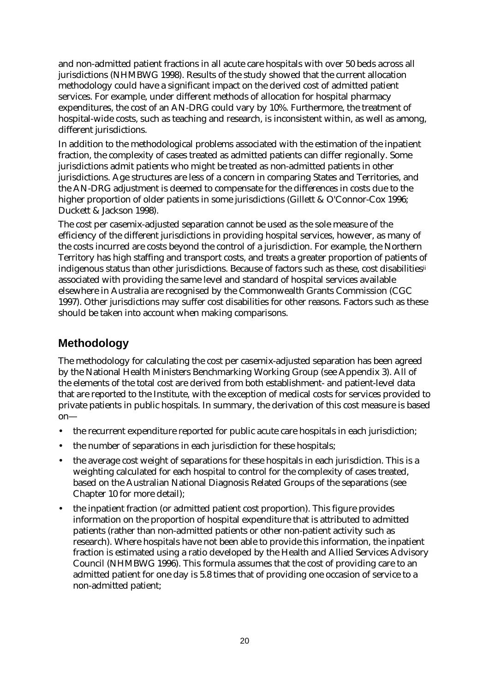and non-admitted patient fractions in all acute care hospitals with over 50 beds across all jurisdictions (NHMBWG 1998). Results of the study showed that the current allocation methodology could have a significant impact on the derived cost of admitted patient services. For example, under different methods of allocation for hospital pharmacy expenditures, the cost of an AN-DRG could vary by 10%. Furthermore, the treatment of hospital-wide costs, such as teaching and research, is inconsistent within, as well as among, different jurisdictions.

In addition to the methodological problems associated with the estimation of the inpatient fraction, the complexity of cases treated as admitted patients can differ regionally. Some jurisdictions admit patients who might be treated as non-admitted patients in other jurisdictions. Age structures are less of a concern in comparing States and Territories, and the AN-DRG adjustment is deemed to compensate for the differences in costs due to the higher proportion of older patients in some jurisdictions (Gillett & O'Connor-Cox 1996; Duckett & Jackson 1998).

The cost per casemix-adjusted separation cannot be used as the sole measure of the efficiency of the different jurisdictions in providing hospital services, however, as many of the costs incurred are costs beyond the control of a jurisdiction. For example, the Northern Territory has high staffing and transport costs, and treats a greater proportion of patients of indigenous status than other jurisdictions. Because of factors such as these, cost disabilitiesii associated with providing the same level and standard of hospital services available elsewhere in Australia are recognised by the Commonwealth Grants Commission (CGC 1997). Other jurisdictions may suffer cost disabilities for other reasons. Factors such as these should be taken into account when making comparisons.

## **Methodology**

The methodology for calculating the cost per casemix-adjusted separation has been agreed by the National Health Ministers Benchmarking Working Group (see Appendix 3). All of the elements of the total cost are derived from both establishment- and patient-level data that are reported to the Institute, with the exception of medical costs for services provided to private patients in public hospitals. In summary, the derivation of this cost measure is based on—

- the recurrent expenditure reported for public acute care hospitals in each jurisdiction;
- the number of separations in each jurisdiction for these hospitals;
- the average cost weight of separations for these hospitals in each jurisdiction. This is a weighting calculated for each hospital to control for the complexity of cases treated, based on the Australian National Diagnosis Related Groups of the separations (see Chapter 10 for more detail);
- the inpatient fraction (or admitted patient cost proportion). This figure provides information on the proportion of hospital expenditure that is attributed to admitted patients (rather than non-admitted patients or other non-patient activity such as research). Where hospitals have not been able to provide this information, the inpatient fraction is estimated using a ratio developed by the Health and Allied Services Advisory Council (NHMBWG 1996). This formula assumes that the cost of providing care to an admitted patient for one day is 5.8 times that of providing one occasion of service to a non-admitted patient;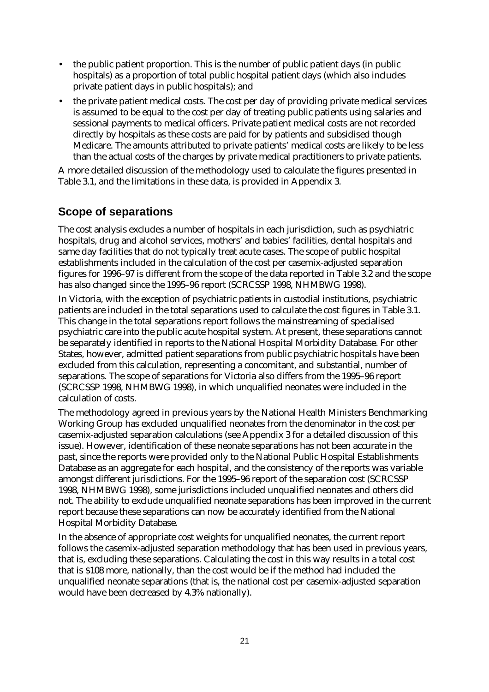- the public patient proportion. This is the number of public patient days (in public hospitals) as a proportion of total public hospital patient days (which also includes private patient days in public hospitals); and
- the private patient medical costs. The cost per day of providing private medical services is assumed to be equal to the cost per day of treating public patients using salaries and sessional payments to medical officers. Private patient medical costs are not recorded directly by hospitals as these costs are paid for by patients and subsidised though Medicare. The amounts attributed to private patients' medical costs are likely to be less than the actual costs of the charges by private medical practitioners to private patients.

A more detailed discussion of the methodology used to calculate the figures presented in Table 3.1, and the limitations in these data, is provided in Appendix 3.

### **Scope of separations**

The cost analysis excludes a number of hospitals in each jurisdiction, such as psychiatric hospitals, drug and alcohol services, mothers' and babies' facilities, dental hospitals and same day facilities that do not typically treat acute cases. The scope of public hospital establishments included in the calculation of the cost per casemix-adjusted separation figures for 1996–97 is different from the scope of the data reported in Table 3.2 and the scope has also changed since the 1995–96 report (SCRCSSP 1998, NHMBWG 1998).

In Victoria, with the exception of psychiatric patients in custodial institutions, psychiatric patients are included in the total separations used to calculate the cost figures in Table 3.1. This change in the total separations report follows the mainstreaming of specialised psychiatric care into the public acute hospital system. At present, these separations cannot be separately identified in reports to the National Hospital Morbidity Database. For other States, however, admitted patient separations from public psychiatric hospitals have been excluded from this calculation, representing a concomitant, and substantial, number of separations. The scope of separations for Victoria also differs from the 1995–96 report (SCRCSSP 1998, NHMBWG 1998), in which unqualified neonates were included in the calculation of costs.

The methodology agreed in previous years by the National Health Ministers Benchmarking Working Group has excluded unqualified neonates from the denominator in the cost per casemix-adjusted separation calculations (see Appendix 3 for a detailed discussion of this issue). However, identification of these neonate separations has not been accurate in the past, since the reports were provided only to the National Public Hospital Establishments Database as an aggregate for each hospital, and the consistency of the reports was variable amongst different jurisdictions. For the 1995–96 report of the separation cost (SCRCSSP 1998, NHMBWG 1998), some jurisdictions included unqualified neonates and others did not. The ability to exclude unqualified neonate separations has been improved in the current report because these separations can now be accurately identified from the National Hospital Morbidity Database.

In the absence of appropriate cost weights for unqualified neonates, the current report follows the casemix-adjusted separation methodology that has been used in previous years, that is, excluding these separations. Calculating the cost in this way results in a total cost that is \$108 more, nationally, than the cost would be if the method had included the unqualified neonate separations (that is, the national cost per casemix-adjusted separation would have been decreased by 4.3% nationally).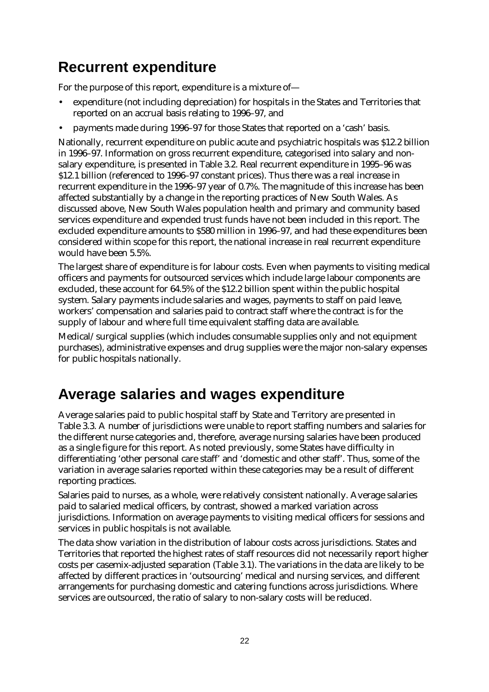# **Recurrent expenditure**

For the purpose of this report, expenditure is a mixture of—

- expenditure (not including depreciation) for hospitals in the States and Territories that reported on an accrual basis relating to 1996–97, and
- payments made during 1996–97 for those States that reported on a 'cash' basis.

Nationally, recurrent expenditure on public acute and psychiatric hospitals was \$12.2 billion in 1996–97. Information on gross recurrent expenditure, categorised into salary and nonsalary expenditure, is presented in Table 3.2. Real recurrent expenditure in 1995–96 was \$12.1 billion (referenced to 1996–97 constant prices). Thus there was a real increase in recurrent expenditure in the 1996–97 year of 0.7%. The magnitude of this increase has been affected substantially by a change in the reporting practices of New South Wales. As discussed above, New South Wales population health and primary and community based services expenditure and expended trust funds have not been included in this report. The excluded expenditure amounts to \$580 million in 1996–97, and had these expenditures been considered within scope for this report, the national increase in real recurrent expenditure would have been 5.5%.

The largest share of expenditure is for labour costs. Even when payments to visiting medical officers and payments for outsourced services which include large labour components are excluded, these account for 64.5% of the \$12.2 billion spent within the public hospital system. Salary payments include salaries and wages, payments to staff on paid leave, workers' compensation and salaries paid to contract staff where the contract is for the supply of labour and where full time equivalent staffing data are available.

Medical/surgical supplies (which includes consumable supplies only and not equipment purchases), administrative expenses and drug supplies were the major non-salary expenses for public hospitals nationally.

## **Average salaries and wages expenditure**

Average salaries paid to public hospital staff by State and Territory are presented in Table 3.3. A number of jurisdictions were unable to report staffing numbers and salaries for the different nurse categories and, therefore, average nursing salaries have been produced as a single figure for this report. As noted previously, some States have difficulty in differentiating 'other personal care staff' and 'domestic and other staff'. Thus, some of the variation in average salaries reported within these categories may be a result of different reporting practices.

Salaries paid to nurses, as a whole, were relatively consistent nationally. Average salaries paid to salaried medical officers, by contrast, showed a marked variation across jurisdictions. Information on average payments to visiting medical officers for sessions and services in public hospitals is not available.

The data show variation in the distribution of labour costs across jurisdictions. States and Territories that reported the highest rates of staff resources did not necessarily report higher costs per casemix-adjusted separation (Table 3.1). The variations in the data are likely to be affected by different practices in 'outsourcing' medical and nursing services, and different arrangements for purchasing domestic and catering functions across jurisdictions. Where services are outsourced, the ratio of salary to non-salary costs will be reduced.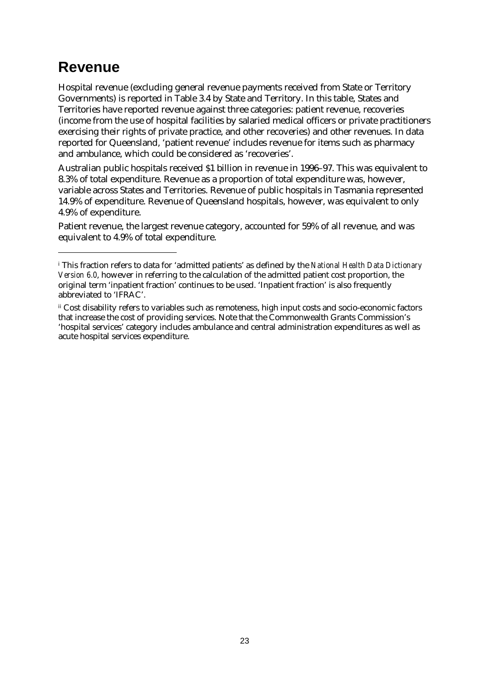## **Revenue**

 $\ddot{\phantom{a}}$ 

Hospital revenue (excluding general revenue payments received from State or Territory Governments) is reported in Table 3.4 by State and Territory. In this table, States and Territories have reported revenue against three categories: patient revenue, recoveries (income from the use of hospital facilities by salaried medical officers or private practitioners exercising their rights of private practice, and other recoveries) and other revenues. In data reported for Queensland, 'patient revenue' includes revenue for items such as pharmacy and ambulance, which could be considered as 'recoveries'.

Australian public hospitals received \$1 billion in revenue in 1996–97. This was equivalent to 8.3% of total expenditure. Revenue as a proportion of total expenditure was, however, variable across States and Territories. Revenue of public hospitals in Tasmania represented 14.9% of expenditure. Revenue of Queensland hospitals, however, was equivalent to only 4.9% of expenditure.

Patient revenue, the largest revenue category, accounted for 59% of all revenue, and was equivalent to 4.9% of total expenditure.

i This fraction refers to data for 'admitted patients' as defined by the *National Health Data Dictionary Version 6.0*, however in referring to the calculation of the admitted patient cost proportion, the original term 'inpatient fraction' continues to be used. 'Inpatient fraction' is also frequently abbreviated to 'IFRAC'.

ii Cost disability refers to variables such as remoteness, high input costs and socio-economic factors that increase the cost of providing services. Note that the Commonwealth Grants Commission's 'hospital services' category includes ambulance and central administration expenditures as well as acute hospital services expenditure.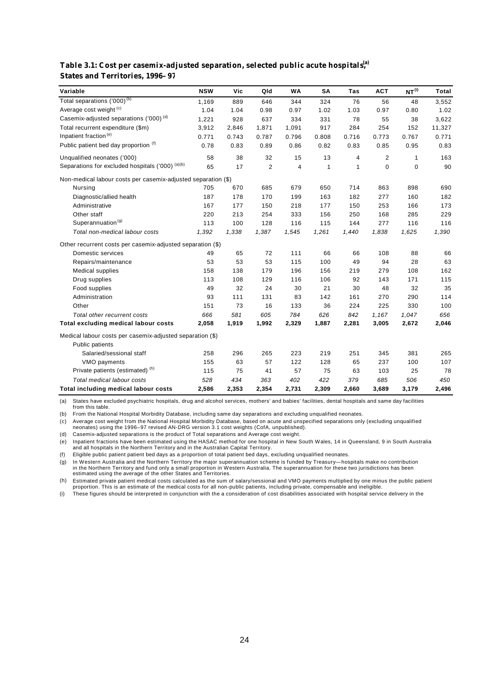#### **Table 3.1: Cost per casemix-adjusted separation, selected public acute hospitals,(a) States and Territories, 1996–97**

| Variable                                                      | <b>NSW</b> | Vic   | Qld            | <b>WA</b>      | <b>SA</b>    | Tas          | <b>ACT</b>  | NT <sup>(i)</sup> | Total  |
|---------------------------------------------------------------|------------|-------|----------------|----------------|--------------|--------------|-------------|-------------------|--------|
| Total separations ('000) <sup>(b)</sup>                       | 1,169      | 889   | 646            | 344            | 324          | 76           | 56          | 48                | 3,552  |
| Average cost weight <sup>(c)</sup>                            | 1.04       | 1.04  | 0.98           | 0.97           | 1.02         | 1.03         | 0.97        | 0.80              | 1.02   |
| Casemix-adjusted separations ('000) <sup>(d)</sup>            | 1,221      | 928   | 637            | 334            | 331          | 78           | 55          | 38                | 3,622  |
| Total recurrent expenditure (\$m)                             | 3,912      | 2,846 | 1,871          | 1,091          | 917          | 284          | 254         | 152               | 11,327 |
| Inpatient fraction <sup>(e)</sup>                             | 0.771      | 0.743 | 0.787          | 0.796          | 0.808        | 0.716        | 0.773       | 0.767             | 0.771  |
| Public patient bed day proportion (f)                         | 0.78       | 0.83  | 0.89           | 0.86           | 0.82         | 0.83         | 0.85        | 0.95              | 0.83   |
| Unqualified neonates ('000)                                   | 58         | 38    | 32             | 15             | 13           | 4            | 2           | $\mathbf{1}$      | 163    |
| Separations for excluded hospitals ('000) (a)(b)              | 65         | 17    | $\overline{2}$ | $\overline{4}$ | $\mathbf{1}$ | $\mathbf{1}$ | $\mathbf 0$ | $\mathbf 0$       | 90     |
| Non-medical labour costs per casemix-adjusted separation (\$) |            |       |                |                |              |              |             |                   |        |
| Nursing                                                       | 705        | 670   | 685            | 679            | 650          | 714          | 863         | 898               | 690    |
| Diagnostic/allied health                                      | 187        | 178   | 170            | 199            | 163          | 182          | 277         | 160               | 182    |
| Administrative                                                | 167        | 177   | 150            | 218            | 177          | 150          | 253         | 166               | 173    |
| Other staff                                                   | 220        | 213   | 254            | 333            | 156          | 250          | 168         | 285               | 229    |
| Superannuation <sup>(g)</sup>                                 | 113        | 100   | 128            | 116            | 115          | 144          | 277         | 116               | 116    |
| Total non-medical labour costs                                | 1,392      | 1,338 | 1,387          | 1,545          | 1,261        | 1,440        | 1,838       | 1,625             | 1,390  |
| Other recurrent costs per casemix-adjusted separation (\$)    |            |       |                |                |              |              |             |                   |        |
| Domestic services                                             | 49         | 65    | 72             | 111            | 66           | 66           | 108         | 88                | 66     |
| Repairs/maintenance                                           | 53         | 53    | 53             | 115            | 100          | 49           | 94          | 28                | 63     |
| <b>Medical supplies</b>                                       | 158        | 138   | 179            | 196            | 156          | 219          | 279         | 108               | 162    |
| Drug supplies                                                 | 113        | 108   | 129            | 116            | 106          | 92           | 143         | 171               | 115    |
| Food supplies                                                 | 49         | 32    | 24             | 30             | 21           | 30           | 48          | 32                | 35     |
| Administration                                                | 93         | 111   | 131            | 83             | 142          | 161          | 270         | 290               | 114    |
| Other                                                         | 151        | 73    | 16             | 133            | 36           | 224          | 225         | 330               | 100    |
| Total other recurrent costs                                   | 666        | 581   | 605            | 784            | 626          | 842          | 1,167       | 1,047             | 656    |
| <b>Total excluding medical labour costs</b>                   | 2,058      | 1,919 | 1,992          | 2,329          | 1,887        | 2,281        | 3,005       | 2,672             | 2,046  |
| Medical labour costs per casemix-adjusted separation (\$)     |            |       |                |                |              |              |             |                   |        |
| <b>Public patients</b>                                        |            |       |                |                |              |              |             |                   |        |
| Salaried/sessional staff                                      | 258        | 296   | 265            | 223            | 219          | 251          | 345         | 381               | 265    |
| VMO payments                                                  | 155        | 63    | 57             | 122            | 128          | 65           | 237         | 100               | 107    |
| Private patients (estimated) (h)                              | 115        | 75    | 41             | 57             | 75           | 63           | 103         | 25                | 78     |
| <b>Total medical labour costs</b>                             | 528        | 434   | 363            | 402            | 422          | 379          | 685         | 506               | 450    |
| Total including medical labour costs                          | 2,586      | 2,353 | 2,354          | 2,731          | 2,309        | 2,660        | 3,689       | 3,179             | 2,496  |

(a) States have excluded psychiatric hospitals, drug and alcohol services, mothers' and babies' facilities, dental hospitals and same day facilities from this table.

(b) From the National Hospital Morbidity Database, including same day separations and excluding unqualified neonates.

(c) Average cost weight from the National Hospital Morbidity Database, based on acute and unspecified separations only (excluding unqualified<br>neonates) using the 1996–97 revised AN-DRG version 3.1 cost weights (CofA, unpub

(d) Casemix-adjusted separations is the product of Total separations and Average cost weight.

(e) Inpatient fractions have been estimated using the HASAC method for one hospital in New South Wales, 14 in Queensland, 9 in South Australia<br>and all hospitals in the Northern Territory and in the Australian Capital Terri

(f) Eligible public patient patient bed days as a proportion of total patient bed days, excluding unqualified neonates.

g) In Western Australia and the Northern Territory the major superannuation scheme is funded by Treasury—hospitals make no contribution<br>in the Northern Territory and fund only a small proportion in Western Australia. The s estimated using the average of the other States and Territories.

(h) Estimated private patient medical costs calculated as the sum of salary/sessional and VMO payments multiplied by one minus the public patient proportion. This is an estimate of the medical costs for all non-public patients, including private, compensable and ineligible.

(i) These figures should be interpreted in conjunction with the a consideration of cost disabilities associated with hospital service delivery in the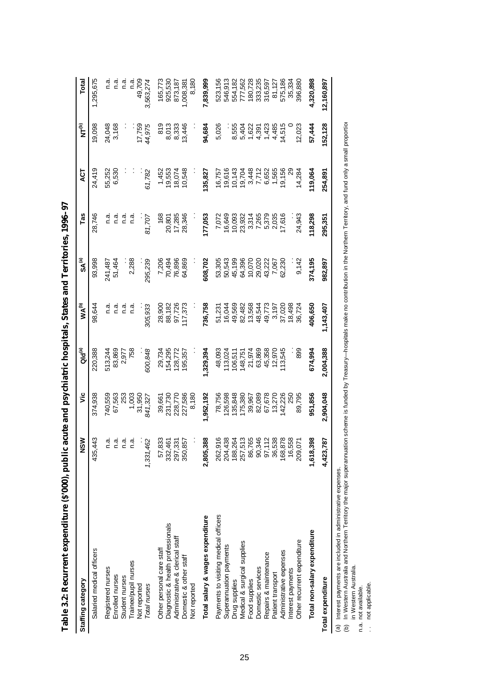| Staffing category                     | ≲<br>2         | تا                | Qld <sup>(a)</sup> | <b>WAW</b> | SA®               | Tas                      | ā               | $\widetilde{\mathbf{F}}^{(b)}$ | Total      |
|---------------------------------------|----------------|-------------------|--------------------|------------|-------------------|--------------------------|-----------------|--------------------------------|------------|
| Salaried medical officers             | 435,443        | 374,938           | 220,388            | 98,644     | 93,998            | 28,746                   | 24,419          | 9,098                          | 1,295,675  |
| Registered nurses<br>Enrolled nurses  | e.<br>O<br>e.n | 740,559<br>67,563 | 83,869<br>513,244  | n.a<br>n.a | 241,487<br>51,464 | n.a                      | 55,252<br>6,530 | 24,048<br>3,168                | n.a<br>n a |
| Student nurses                        | e.<br>G        | 253               | 2,977              | σ.<br>Γ    |                   | n.a                      |                 |                                | n a        |
| rainee/pupil nurses                   | e.n            | 1,003             | 758                | n.a        | 2,288             | n.a                      |                 |                                | n.a        |
| Not reported                          |                | 31,950            |                    |            |                   |                          |                 | 17,759                         | 49,709     |
| Total nurses                          | 1,331,462      | 841,327           | 600,848            | 305,933    | 295,239           | 81,707                   | 61,782          | 44,975                         | 3,563,274  |
| Other personal care staff             | 57,833         | 39,661            | 29,734             | 28,900     | 7,206             | 168                      | 1,452           | 819                            | 165,773    |
| Diagnostic & health professionals     | 332,46         | 231,730           | 154,295            | 88,182     | 70,494            | 20,801                   | 19,553          | 8,013                          | 925,530    |
| Administrative & clerical staff       | 297,33         | 228,770           | 128,772            | 97,726     | 76,896            | 17,285                   | 18,074          | 8,333                          | 873,187    |
| Domestic & other staff                | 350,85         | 227,586           | 195,357            | 17,373     | 64,869            | 28,346                   | 10,548          | 13,446                         | 1,008,381  |
| Not reported                          |                | 8,180             |                    |            |                   |                          |                 |                                | 8,180      |
| Total salary & wages expenditure      | 2,805,38       | ,952,192          | ,329,394           | 736,758    | 608,702           | 77,053                   | 35,827          | 94,684                         | 7,839,999  |
| Payments to visiting medical officers | 262,916        | 78,756            | 48,093             | 51,231     | 53,305            | 7,072                    | 16,757          | 5,026                          | 523,156    |
| Superannuation payments               | 204,43         | 26,598            | 113,024            | 16,044     | 50,543            | 16,649                   | 19,616          |                                | 546,913    |
| Drug supplies                         | 188,26         | 135,848           | 106,511            | 49,569     | 45,199            | 10,093                   | 10,143          | 8,555                          | 554,182    |
| Medical & surgical supplies           | 257,513        | 175,380           | 148,751            | 82,482     | 64,396            | 23,932<br>3,314<br>7,265 | 19,704          | 5,404                          | 777,562    |
| Food supplies                         | 86,765         | 39,967            | 21,974             | 13,568     | 10,070            |                          | 3,448           | 1,622<br>4,391                 | 180,728    |
| Domestic services                     | 90,346         | 82,089            | 63,869             | 48,544     | 29,020            |                          | 7,712           |                                | 333,235    |
| Repairs & maintenance                 | 97,112         | 67,678            | 45,358             | 49,773     | 43,222            | 5,379                    | 6,652           | 1,423                          | 316,597    |
| Patient transport                     | 36,538         | 13,270            | 12,970             | 3,197      | 7,067             | 2,035                    | 1,565           | 4,485                          | 81,127     |
| Administrative expenses               | 168,878        | 142,226           | 13,545             | 37,020     | 62,230            | 17,616                   | 19,156          | 14,515                         | 575,186    |
| Interest payments                     | 16,558         | <b>250</b>        |                    | 18,498     |                   |                          |                 |                                | 35,334     |
| Other recurrent expenditure           | 209,07         | 89,795            | 899                | 36,724     | 9,142             | 24,943                   | 14,284          | 12,023                         | 396,880    |
| Total non-salary expenditure          | 1,618,391      | 951,856           | 674,994            | 406,650    | 374,195           | 118,298                  | 19,064          | 57,444                         | 4,320,898  |
| Total expenditure                     | 4,423,78       | 2,904,048         | 2,004,388          | 1,143,407  | 982,897           | 295,351                  | 254,891         | 152,128                        | 12,160,897 |

Table 3.2: Recurrent expenditure (8'000), public acute and psychiatric hospitals, States and Territories, 1996-97 **Table 3.2: Recurrent expenditure (\$'000), public acute and psychiatric hospitals, States and Territories, 1996–97** 

(a) Interest payments are included in administrative expenses.

.<br>e : In Western Australia and Northern Territory the major superannuation scheme is funded by Treasury — hospitals make no contribution in the Northern Territory, and fund only a small proportion in Western Australia.

n.a. not available.

not applicable.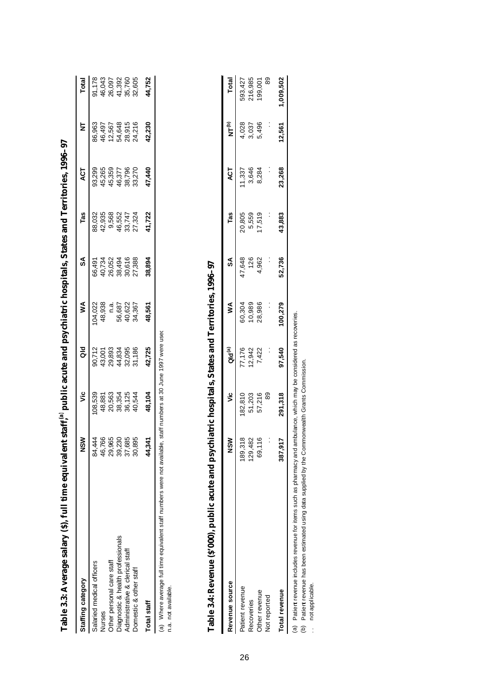|                                                                          | ີ<br>ຂຶ            | ۊ                                               | ਰ<br>ਹ                                                     | ≸                                               | వ్                                             | Tas                                             | ACT                                                      | Ż                                                | <b>Total</b>                                   |
|--------------------------------------------------------------------------|--------------------|-------------------------------------------------|------------------------------------------------------------|-------------------------------------------------|------------------------------------------------|-------------------------------------------------|----------------------------------------------------------|--------------------------------------------------|------------------------------------------------|
| Staffing category                                                        |                    |                                                 |                                                            |                                                 |                                                |                                                 |                                                          |                                                  |                                                |
| Salaried medical officers                                                | 84,44              |                                                 |                                                            |                                                 |                                                |                                                 |                                                          |                                                  |                                                |
| Nurses                                                                   | 46,76              |                                                 |                                                            |                                                 |                                                |                                                 |                                                          |                                                  |                                                |
| Other personal care staff                                                | 29,965             | 08,539<br>8,860,554<br>0,8,554,544<br>0,8,8,644 | 90,712<br>43,8934<br>43,895<br>94,895<br>94,895<br>95,1,86 | 04.022<br>04.033<br>48.087<br>04.0522<br>04.057 | 66,491<br>40,734<br>26,052<br>26,494<br>27,388 |                                                 |                                                          | 86,963<br>46,456<br>46,5648<br>42,9716<br>24,216 |                                                |
| Diagnostic & health professionals                                        | 39,23              |                                                 |                                                            |                                                 |                                                |                                                 |                                                          |                                                  |                                                |
| Administrative & clerical staff                                          | 37,68              |                                                 |                                                            |                                                 |                                                |                                                 |                                                          |                                                  |                                                |
| Domestic & other staff                                                   | 30,89              |                                                 |                                                            |                                                 |                                                | 88,032<br>89,568<br>84,552<br>84,5524<br>89,747 | 93,299<br>45,265<br>45,359<br>46,377<br>33,270<br>33,270 |                                                  | 91,178<br>46,043<br>46,097<br>41,392<br>55,605 |
| <b>Total staff</b>                                                       | 44.34 <sup>.</sup> | 48,104                                          | 42,725                                                     | 18,561                                          | 38,894                                         | 41,722                                          | 47,440                                                   | 42,230                                           | 14,752                                         |
| (a) Where average full time equivalent staff numbers were not available, |                    | staff numbers at 30 June 1997 were used         |                                                            |                                                 |                                                |                                                 |                                                          |                                                  |                                                |

**Table 3.3: Average salary (\$), full time equivalent staff,** Table 3.3: Average salary (8), full time equivalent staff,<sup>(a)</sup> public acute and psychiatric hospitals, States and Territories, 1996–97  **public acute and psychiatric hospitals, States and Territories, 1996–97**

n.a. not available. n.a. not available.

**Table 3.4: Revenue (\$'000), public acute and psychiatric hospitals, States and Territories, 1996–97**  Table 3.4: Revenue (\$'000), public acute and psychiatric hospitals, States and Territories, 1996-97

| Revenue source | $rac{8}{2}$        | ئا      | Qld <sup>(a)</sup>        | ≸                | \$A           | Tas                       | <b>ACT</b>               | e<br>Z                  | Total                         |
|----------------|--------------------|---------|---------------------------|------------------|---------------|---------------------------|--------------------------|-------------------------|-------------------------------|
| atient revenue |                    | 182,810 |                           |                  |               |                           |                          |                         |                               |
| Recoveries     | 189,318<br>129,482 | 51,203  | 77,176<br>12,942<br>7,422 | 60,304<br>10,989 | 47,648<br>126 | 20,805<br>5,559<br>17,519 | 11,337<br>3,646<br>8,284 | 4,028<br>3,037<br>5,496 | 593,427<br>216,985<br>199,001 |
| Other revenue  | 69,116             | 57,216  |                           | 28,986           | 1,962         |                           |                          |                         |                               |
| Not reported   | :                  | 89      |                           |                  |               |                           |                          |                         | 89                            |
| Total revenue  | 387,91             | 291,318 | 97,540                    | 100,279          | 52,736        | 43,883                    | 23,268                   | 12,561                  | 1,009,502                     |

(a) Patient revenue includes revenue for items such as pharmacy and ambulance, which may be considered as recoveries.<br>(b) Patient revenue has been estimated using data supplied by the Commonwealth Grants Commission.<br>... no (a) Patient revenue includes revenue for items such as pharmacy and ambulance, which may be considered as recoveries.

(b) Patient revenue has been estimated using data supplied by the Commonwealth Grants Commission.

.. not applicable.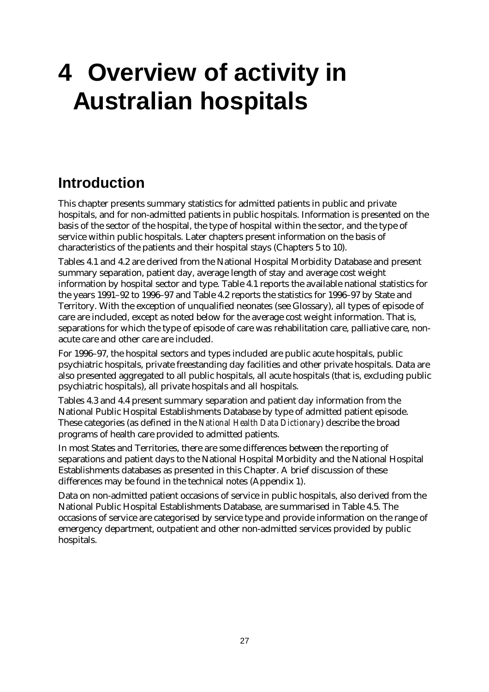# **4 Overview of activity in Australian hospitals**

# **Introduction**

This chapter presents summary statistics for admitted patients in public and private hospitals, and for non-admitted patients in public hospitals. Information is presented on the basis of the sector of the hospital, the type of hospital within the sector, and the type of service within public hospitals. Later chapters present information on the basis of characteristics of the patients and their hospital stays (Chapters 5 to 10).

Tables 4.1 and 4.2 are derived from the National Hospital Morbidity Database and present summary separation, patient day, average length of stay and average cost weight information by hospital sector and type. Table 4.1 reports the available national statistics for the years 1991–92 to 1996–97 and Table 4.2 reports the statistics for 1996–97 by State and Territory. With the exception of unqualified neonates (see Glossary), all types of episode of care are included, except as noted below for the average cost weight information. That is, separations for which the type of episode of care was rehabilitation care, palliative care, nonacute care and other care are included.

For 1996–97, the hospital sectors and types included are public acute hospitals, public psychiatric hospitals, private freestanding day facilities and other private hospitals. Data are also presented aggregated to all public hospitals, all acute hospitals (that is, excluding public psychiatric hospitals), all private hospitals and all hospitals.

Tables 4.3 and 4.4 present summary separation and patient day information from the National Public Hospital Establishments Database by type of admitted patient episode. These categories (as defined in the *National Health Data Dictionary*) describe the broad programs of health care provided to admitted patients.

In most States and Territories, there are some differences between the reporting of separations and patient days to the National Hospital Morbidity and the National Hospital Establishments databases as presented in this Chapter. A brief discussion of these differences may be found in the technical notes (Appendix 1).

Data on non-admitted patient occasions of service in public hospitals, also derived from the National Public Hospital Establishments Database, are summarised in Table 4.5. The occasions of service are categorised by service type and provide information on the range of emergency department, outpatient and other non-admitted services provided by public hospitals.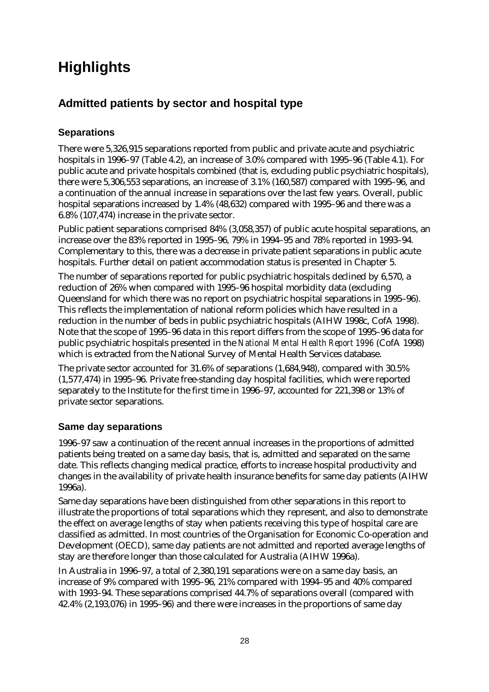# **Highlights**

## **Admitted patients by sector and hospital type**

### **Separations**

There were 5,326,915 separations reported from public and private acute and psychiatric hospitals in 1996–97 (Table 4.2), an increase of 3.0% compared with 1995–96 (Table 4.1). For public acute and private hospitals combined (that is, excluding public psychiatric hospitals), there were 5,306,553 separations, an increase of 3.1% (160,587) compared with 1995–96, and a continuation of the annual increase in separations over the last few years. Overall, public hospital separations increased by 1.4% (48,632) compared with 1995–96 and there was a 6.8% (107,474) increase in the private sector.

Public patient separations comprised 84% (3,058,357) of public acute hospital separations, an increase over the 83% reported in 1995–96, 79% in 1994–95 and 78% reported in 1993–94. Complementary to this, there was a decrease in private patient separations in public acute hospitals. Further detail on patient accommodation status is presented in Chapter 5.

The number of separations reported for public psychiatric hospitals declined by 6,570, a reduction of 26% when compared with 1995–96 hospital morbidity data (excluding Queensland for which there was no report on psychiatric hospital separations in 1995–96). This reflects the implementation of national reform policies which have resulted in a reduction in the number of beds in public psychiatric hospitals (AIHW 1998c, CofA 1998). Note that the scope of 1995–96 data in this report differs from the scope of 1995–96 data for public psychiatric hospitals presented in the *National Mental Health Report 1996* (CofA 1998) which is extracted from the National Survey of Mental Health Services database.

The private sector accounted for 31.6% of separations (1,684,948), compared with 30.5% (1,577,474) in 1995–96. Private free-standing day hospital facilities, which were reported separately to the Institute for the first time in 1996–97, accounted for 221,398 or 13% of private sector separations.

#### **Same day separations**

1996–97 saw a continuation of the recent annual increases in the proportions of admitted patients being treated on a same day basis, that is, admitted and separated on the same date. This reflects changing medical practice, efforts to increase hospital productivity and changes in the availability of private health insurance benefits for same day patients (AIHW 1996a).

Same day separations have been distinguished from other separations in this report to illustrate the proportions of total separations which they represent, and also to demonstrate the effect on average lengths of stay when patients receiving this type of hospital care are classified as admitted. In most countries of the Organisation for Economic Co-operation and Development (OECD), same day patients are not admitted and reported average lengths of stay are therefore longer than those calculated for Australia (AIHW 1996a).

In Australia in 1996–97, a total of 2,380,191 separations were on a same day basis, an increase of 9% compared with 1995–96, 21% compared with 1994–95 and 40% compared with 1993–94. These separations comprised 44.7% of separations overall (compared with 42.4% (2,193,076) in 1995–96) and there were increases in the proportions of same day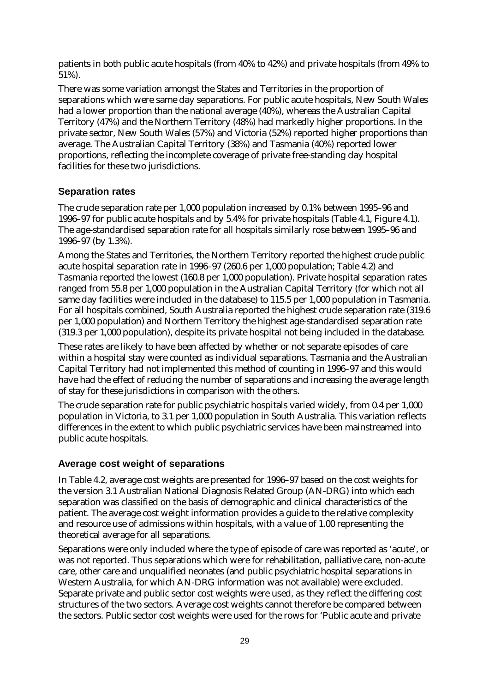patients in both public acute hospitals (from 40% to 42%) and private hospitals (from 49% to 51%).

There was some variation amongst the States and Territories in the proportion of separations which were same day separations. For public acute hospitals, New South Wales had a lower proportion than the national average (40%), whereas the Australian Capital Territory (47%) and the Northern Territory (48%) had markedly higher proportions. In the private sector, New South Wales (57%) and Victoria (52%) reported higher proportions than average. The Australian Capital Territory (38%) and Tasmania (40%) reported lower proportions, reflecting the incomplete coverage of private free-standing day hospital facilities for these two jurisdictions.

#### **Separation rates**

The crude separation rate per 1,000 population increased by 0.1% between 1995–96 and 1996–97 for public acute hospitals and by 5.4% for private hospitals (Table 4.1, Figure 4.1). The age-standardised separation rate for all hospitals similarly rose between 1995–96 and 1996–97 (by 1.3%).

Among the States and Territories, the Northern Territory reported the highest crude public acute hospital separation rate in 1996–97 (260.6 per 1,000 population; Table 4.2) and Tasmania reported the lowest (160.8 per 1,000 population). Private hospital separation rates ranged from 55.8 per 1,000 population in the Australian Capital Territory (for which not all same day facilities were included in the database) to 115.5 per 1,000 population in Tasmania. For all hospitals combined, South Australia reported the highest crude separation rate (319.6 per 1,000 population) and Northern Territory the highest age-standardised separation rate (319.3 per 1,000 population), despite its private hospital not being included in the database.

These rates are likely to have been affected by whether or not separate episodes of care within a hospital stay were counted as individual separations. Tasmania and the Australian Capital Territory had not implemented this method of counting in 1996–97 and this would have had the effect of reducing the number of separations and increasing the average length of stay for these jurisdictions in comparison with the others.

The crude separation rate for public psychiatric hospitals varied widely, from 0.4 per 1,000 population in Victoria, to 3.1 per 1,000 population in South Australia. This variation reflects differences in the extent to which public psychiatric services have been mainstreamed into public acute hospitals.

#### **Average cost weight of separations**

In Table 4.2, average cost weights are presented for 1996–97 based on the cost weights for the version 3.1 Australian National Diagnosis Related Group (AN-DRG) into which each separation was classified on the basis of demographic and clinical characteristics of the patient. The average cost weight information provides a guide to the relative complexity and resource use of admissions within hospitals, with a value of 1.00 representing the theoretical average for all separations.

Separations were only included where the type of episode of care was reported as 'acute', or was not reported. Thus separations which were for rehabilitation, palliative care, non-acute care, other care and unqualified neonates (and public psychiatric hospital separations in Western Australia, for which AN-DRG information was not available) were excluded. Separate private and public sector cost weights were used, as they reflect the differing cost structures of the two sectors. Average cost weights cannot therefore be compared between the sectors. Public sector cost weights were used for the rows for 'Public acute and private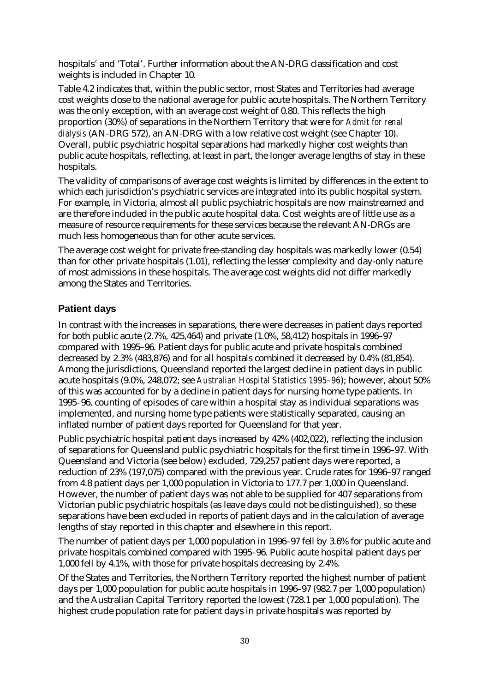hospitals' and 'Total'. Further information about the AN-DRG classification and cost weights is included in Chapter 10.

Table 4.2 indicates that, within the public sector, most States and Territories had average cost weights close to the national average for public acute hospitals. The Northern Territory was the only exception, with an average cost weight of 0.80. This reflects the high proportion (30%) of separations in the Northern Territory that were for *Admit for renal dialysis* (AN-DRG 572), an AN-DRG with a low relative cost weight (see Chapter 10). Overall, public psychiatric hospital separations had markedly higher cost weights than public acute hospitals, reflecting, at least in part, the longer average lengths of stay in these hospitals.

The validity of comparisons of average cost weights is limited by differences in the extent to which each jurisdiction's psychiatric services are integrated into its public hospital system. For example, in Victoria, almost all public psychiatric hospitals are now mainstreamed and are therefore included in the public acute hospital data. Cost weights are of little use as a measure of resource requirements for these services because the relevant AN-DRGs are much less homogeneous than for other acute services.

The average cost weight for private free-standing day hospitals was markedly lower (0.54) than for other private hospitals (1.01), reflecting the lesser complexity and day-only nature of most admissions in these hospitals. The average cost weights did not differ markedly among the States and Territories.

#### **Patient days**

In contrast with the increases in separations, there were decreases in patient days reported for both public acute (2.7%, 425,464) and private (1.0%, 58,412) hospitals in 1996–97 compared with 1995–96. Patient days for public acute and private hospitals combined decreased by 2.3% (483,876) and for all hospitals combined it decreased by 0.4% (81,854). Among the jurisdictions, Queensland reported the largest decline in patient days in public acute hospitals (9.0%, 248,072; see *Australian Hospital Statistics 1995–96*); however, about 50% of this was accounted for by a decline in patient days for nursing home type patients. In 1995–96, counting of episodes of care within a hospital stay as individual separations was implemented, and nursing home type patients were statistically separated, causing an inflated number of patient days reported for Queensland for that year.

Public psychiatric hospital patient days increased by 42% (402,022), reflecting the inclusion of separations for Queensland public psychiatric hospitals for the first time in 1996–97. With Queensland and Victoria (see below) excluded, 729,257 patient days were reported, a reduction of 23% (197,075) compared with the previous year. Crude rates for 1996–97 ranged from 4.8 patient days per 1,000 population in Victoria to 177.7 per 1,000 in Queensland. However, the number of patient days was not able to be supplied for 407 separations from Victorian public psychiatric hospitals (as leave days could not be distinguished), so these separations have been excluded in reports of patient days and in the calculation of average lengths of stay reported in this chapter and elsewhere in this report.

The number of patient days per 1,000 population in 1996–97 fell by 3.6% for public acute and private hospitals combined compared with 1995–96. Public acute hospital patient days per 1,000 fell by 4.1%, with those for private hospitals decreasing by 2.4%.

Of the States and Territories, the Northern Territory reported the highest number of patient days per 1,000 population for public acute hospitals in 1996–97 (982.7 per 1,000 population) and the Australian Capital Territory reported the lowest (728.1 per 1,000 population). The highest crude population rate for patient days in private hospitals was reported by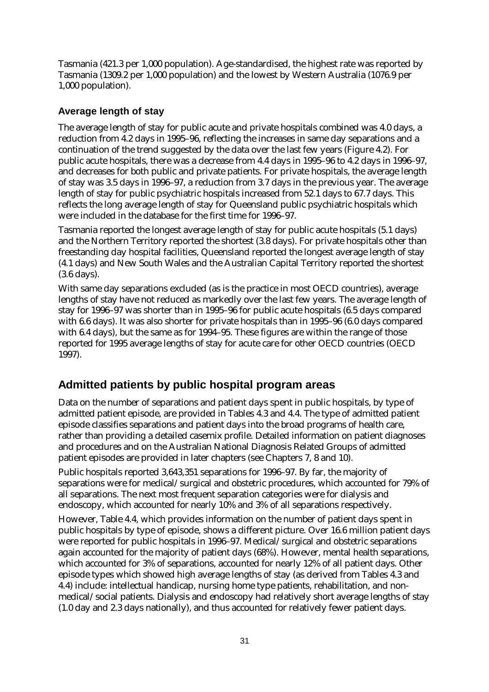Tasmania (421.3 per 1,000 population). Age-standardised, the highest rate was reported by Tasmania (1309.2 per 1,000 population) and the lowest by Western Australia (1076.9 per 1,000 population).

#### **Average length of stay**

The average length of stay for public acute and private hospitals combined was 4.0 days, a reduction from 4.2 days in 1995–96, reflecting the increases in same day separations and a continuation of the trend suggested by the data over the last few years (Figure 4.2). For public acute hospitals, there was a decrease from 4.4 days in 1995–96 to 4.2 days in 1996–97, and decreases for both public and private patients. For private hospitals, the average length of stay was 3.5 days in 1996–97, a reduction from 3.7 days in the previous year. The average length of stay for public psychiatric hospitals increased from 52.1 days to 67.7 days. This reflects the long average length of stay for Queensland public psychiatric hospitals which were included in the database for the first time for 1996–97.

Tasmania reported the longest average length of stay for public acute hospitals (5.1 days) and the Northern Territory reported the shortest (3.8 days). For private hospitals other than freestanding day hospital facilities, Queensland reported the longest average length of stay (4.1 days) and New South Wales and the Australian Capital Territory reported the shortest (3.6 days).

With same day separations excluded (as is the practice in most OECD countries), average lengths of stay have not reduced as markedly over the last few years. The average length of stay for 1996–97 was shorter than in 1995–96 for public acute hospitals (6.5 days compared with 6.6 days). It was also shorter for private hospitals than in 1995–96 (6.0 days compared with 6.4 days), but the same as for 1994–95. These figures are within the range of those reported for 1995 average lengths of stay for acute care for other OECD countries (OECD 1997).

## **Admitted patients by public hospital program areas**

Data on the number of separations and patient days spent in public hospitals, by type of admitted patient episode, are provided in Tables 4.3 and 4.4. The type of admitted patient episode classifies separations and patient days into the broad programs of health care, rather than providing a detailed casemix profile. Detailed information on patient diagnoses and procedures and on the Australian National Diagnosis Related Groups of admitted patient episodes are provided in later chapters (see Chapters 7, 8 and 10).

Public hospitals reported 3,643,351 separations for 1996–97. By far, the majority of separations were for medical/surgical and obstetric procedures, which accounted for 79% of all separations. The next most frequent separation categories were for dialysis and endoscopy, which accounted for nearly 10% and 3% of all separations respectively.

However, Table 4.4, which provides information on the number of patient days spent in public hospitals by type of episode, shows a different picture. Over 16.6 million patient days were reported for public hospitals in 1996–97. Medical/surgical and obstetric separations again accounted for the majority of patient days (68%). However, mental health separations, which accounted for 3% of separations, accounted for nearly 12% of all patient days. Other episode types which showed high average lengths of stay (as derived from Tables 4.3 and 4.4) include: intellectual handicap, nursing home type patients, rehabilitation, and nonmedical/social patients. Dialysis and endoscopy had relatively short average lengths of stay (1.0 day and 2.3 days nationally), and thus accounted for relatively fewer patient days.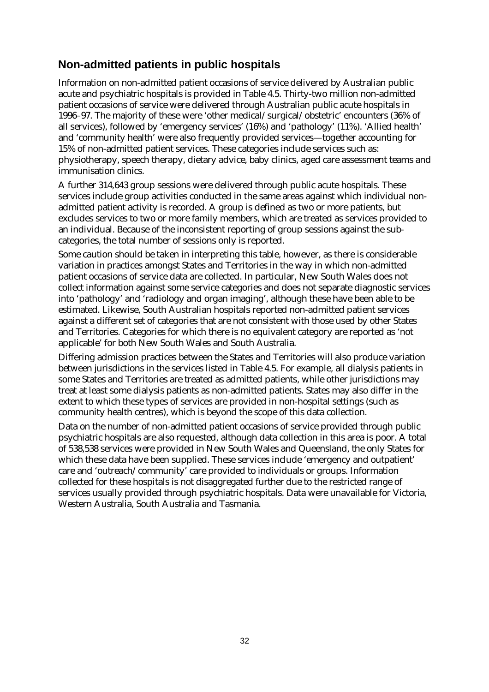## **Non-admitted patients in public hospitals**

Information on non-admitted patient occasions of service delivered by Australian public acute and psychiatric hospitals is provided in Table 4.5. Thirty-two million non-admitted patient occasions of service were delivered through Australian public acute hospitals in 1996–97. The majority of these were 'other medical/surgical/obstetric' encounters (36% of all services), followed by 'emergency services' (16%) and 'pathology' (11%). 'Allied health' and 'community health' were also frequently provided services— together accounting for 15% of non-admitted patient services. These categories include services such as: physiotherapy, speech therapy, dietary advice, baby clinics, aged care assessment teams and immunisation clinics.

A further 314,643 group sessions were delivered through public acute hospitals. These services include group activities conducted in the same areas against which individual nonadmitted patient activity is recorded. A group is defined as two or more patients, but excludes services to two or more family members, which are treated as services provided to an individual. Because of the inconsistent reporting of group sessions against the subcategories, the total number of sessions only is reported.

Some caution should be taken in interpreting this table, however, as there is considerable variation in practices amongst States and Territories in the way in which non-admitted patient occasions of service data are collected. In particular, New South Wales does not collect information against some service categories and does not separate diagnostic services into 'pathology' and 'radiology and organ imaging', although these have been able to be estimated. Likewise, South Australian hospitals reported non-admitted patient services against a different set of categories that are not consistent with those used by other States and Territories. Categories for which there is no equivalent category are reported as 'not applicable' for both New South Wales and South Australia.

Differing admission practices between the States and Territories will also produce variation between jurisdictions in the services listed in Table 4.5. For example, all dialysis patients in some States and Territories are treated as admitted patients, while other jurisdictions may treat at least some dialysis patients as non-admitted patients. States may also differ in the extent to which these types of services are provided in non-hospital settings (such as community health centres), which is beyond the scope of this data collection.

Data on the number of non-admitted patient occasions of service provided through public psychiatric hospitals are also requested, although data collection in this area is poor. A total of 538,538 services were provided in New South Wales and Queensland, the only States for which these data have been supplied. These services include 'emergency and outpatient' care and 'outreach/community' care provided to individuals or groups. Information collected for these hospitals is not disaggregated further due to the restricted range of services usually provided through psychiatric hospitals. Data were unavailable for Victoria, Western Australia, South Australia and Tasmania.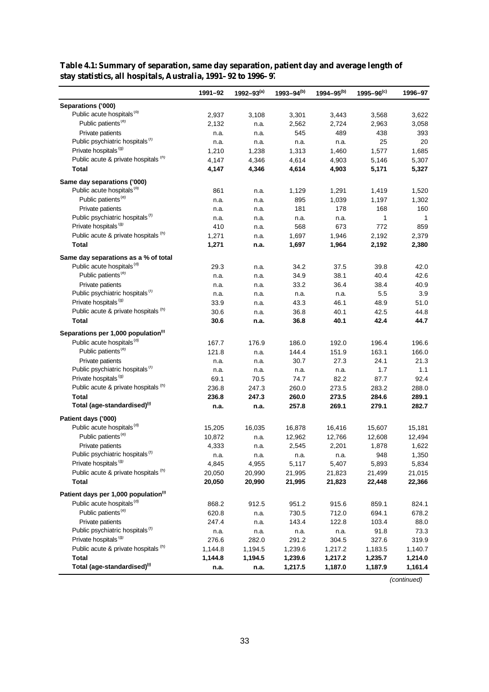|                                                  | 1991-92 | $1992 - 93^{(a)}$ | $1993 - 94^{(b)}$ | $1994 - 95^{(b)}$ | $1995 - 96^{(c)}$ | 1996-97      |
|--------------------------------------------------|---------|-------------------|-------------------|-------------------|-------------------|--------------|
| Separations ('000)                               |         |                   |                   |                   |                   |              |
| Public acute hospitals <sup>(d)</sup>            | 2,937   | 3,108             | 3,301             | 3,443             | 3,568             | 3,622        |
| Public patients <sup>(e)</sup>                   | 2,132   | n.a.              | 2,562             | 2,724             | 2,963             | 3,058        |
| Private patients                                 | n.a.    | n.a.              | 545               | 489               | 438               | 393          |
| Public psychiatric hospitals <sup>(f)</sup>      | n.a.    | n.a.              | n.a.              | n.a.              | 25                | 20           |
| Private hospitals <sup>(g)</sup>                 | 1,210   | 1,238             | 1,313             | 1,460             | 1,577             | 1,685        |
| Public acute & private hospitals (h)             | 4,147   | 4,346             | 4,614             | 4,903             | 5,146             | 5,307        |
| <b>Total</b>                                     | 4,147   | 4,346             | 4,614             | 4,903             | 5,171             | 5,327        |
| Same day separations ('000)                      |         |                   |                   |                   |                   |              |
| Public acute hospitals <sup>(d)</sup>            | 861     | n.a.              | 1,129             | 1,291             | 1,419             | 1,520        |
| Public patients <sup>(e)</sup>                   | n.a.    | n.a.              | 895               | 1,039             | 1,197             | 1,302        |
| Private patients                                 | n.a.    | n.a.              | 181               | 178               | 168               | 160          |
| Public psychiatric hospitals <sup>(f)</sup>      | n.a.    | n.a.              | n.a.              | n.a.              | $\mathbf{1}$      | $\mathbf{1}$ |
| Private hospitals <sup>(g)</sup>                 | 410     | n.a.              | 568               | 673               | 772               | 859          |
| Public acute & private hospitals (n)             | 1,271   | n.a.              | 1,697             | 1,946             | 2,192             | 2,379        |
| Total                                            | 1,271   | n.a.              | 1,697             | 1,964             | 2,192             | 2,380        |
| Same day separations as a % of total             |         |                   |                   |                   |                   |              |
| Public acute hospitals <sup>(d)</sup>            | 29.3    | n.a.              | 34.2              | 37.5              | 39.8              | 42.0         |
| Public patients <sup>(e)</sup>                   | n.a.    | n.a.              | 34.9              | 38.1              | 40.4              | 42.6         |
| Private patients                                 | n.a.    | n.a.              | 33.2              | 36.4              | 38.4              | 40.9         |
| Public psychiatric hospitals <sup>(f)</sup>      | n.a.    | n.a.              | n.a.              | n.a.              | 5.5               | 3.9          |
| Private hospitals <sup>(g)</sup>                 | 33.9    | n.a.              | 43.3              | 46.1              | 48.9              | 51.0         |
| Public acute & private hospitals (h)             | 30.6    | n.a.              | 36.8              | 40.1              | 42.5              | 44.8         |
| <b>Total</b>                                     | 30.6    | n.a.              | 36.8              | 40.1              | 42.4              | 44.7         |
| Separations per 1,000 population <sup>(i)</sup>  |         |                   |                   |                   |                   |              |
| Public acute hospitals <sup>(d)</sup>            | 167.7   | 176.9             | 186.0             | 192.0             | 196.4             | 196.6        |
| Public patients <sup>(e)</sup>                   | 121.8   | n.a.              | 144.4             | 151.9             | 163.1             | 166.0        |
| Private patients                                 | n.a.    | n.a.              | 30.7              | 27.3              | 24.1              | 21.3         |
| Public psychiatric hospitals <sup>(f)</sup>      | n.a.    | n.a.              | n.a.              | n.a.              | 1.7               | 1.1          |
| Private hospitals <sup>(g)</sup>                 | 69.1    | 70.5              | 74.7              | 82.2              | 87.7              | 92.4         |
| Public acute & private hospitals (h)             | 236.8   | 247.3             | 260.0             | 273.5             | 283.2             | 288.0        |
| Total                                            | 236.8   | 247.3             | 260.0             | 273.5             | 284.6             | 289.1        |
| Total (age-standardised) <sup>(i)</sup>          | n.a.    | n.a.              | 257.8             | 269.1             | 279.1             | 282.7        |
| Patient days ('000)                              |         |                   |                   |                   |                   |              |
| Public acute hospitals <sup>(d)</sup>            | 15,205  | 16,035            | 16,878            | 16,416            | 15,607            | 15,181       |
| Public patients <sup>(e)</sup>                   | 10,872  | n.a.              | 12,962            | 12,766            | 12,608            | 12,494       |
| Private patients                                 | 4,333   | n.a.              | 2,545             | 2,201             | 1,878             | 1,622        |
| Public psychiatric hospitals <sup>(t)</sup>      | n.a.    | n.a.              | n.a.              | n.a.              | 948               | 1,350        |
| Private hospitals <sup>(g)</sup>                 | 4,845   | 4,955             | 5,117             | 5,407             | 5,893             | 5,834        |
| Public acute & private hospitals (h)             | 20,050  | 20,990            | 21,995            | 21,823            | 21,499            | 21,015       |
| Total                                            | 20,050  | 20,990            | 21,995            | 21,823            | 22,448            | 22,366       |
| Patient days per 1,000 population <sup>(i)</sup> |         |                   |                   |                   |                   |              |
| Public acute hospitals <sup>(d)</sup>            | 868.2   | 912.5             | 951.2             | 915.6             | 859.1             | 824.1        |
| Public patients <sup>(e)</sup>                   | 620.8   | n.a.              | 730.5             | 712.0             | 694.1             | 678.2        |
| Private patients                                 | 247.4   | n.a.              | 143.4             | 122.8             | 103.4             | 88.0         |
| Public psychiatric hospitals <sup>(f)</sup>      | n.a.    | n.a.              | n.a.              | n.a.              | 91.8              | 73.3         |
| Private hospitals <sup>(g)</sup>                 | 276.6   | 282.0             | 291.2             | 304.5             | 327.6             | 319.9        |
| Public acute & private hospitals (h)             | 1,144.8 | 1,194.5           | 1,239.6           | 1,217.2           | 1,183.5           | 1,140.7      |
| <b>Total</b>                                     | 1,144.8 | 1,194.5           | 1,239.6           | 1,217.2           | 1,235.7           | 1,214.0      |
| Total (age-standardised)(i)                      | n.a.    | n.a.              | 1,217.5           | 1,187.0           | 1,187.9           | 1,161.4      |

**Table 4.1: Summary of separation, same day separation, patient day and average length of stay statistics, all hospitals, Australia, 1991–92 to 1996–97**

*(continued)*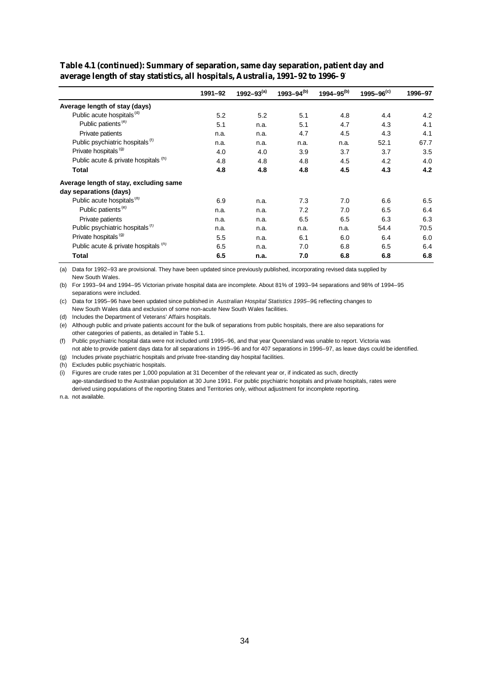|                                             | 1991-92 | 1992–93 $(a)$ | 1993-94 $(b)$ | 1994–95 $(b)$ | $1995 - 96^{(c)}$ | 1996-97 |
|---------------------------------------------|---------|---------------|---------------|---------------|-------------------|---------|
| Average length of stay (days)               |         |               |               |               |                   |         |
| Public acute hospitals <sup>(d)</sup>       | 5.2     | 5.2           | 5.1           | 4.8           | 4.4               | 4.2     |
| Public patients <sup>(e)</sup>              | 5.1     | n.a.          | 5.1           | 4.7           | 4.3               | 4.1     |
| Private patients                            | n.a.    | n.a.          | 4.7           | 4.5           | 4.3               | 4.1     |
| Public psychiatric hospitals <sup>(1)</sup> | n.a.    | n.a.          | n.a.          | n.a.          | 52.1              | 67.7    |
| Private hospitals <sup>(g)</sup>            | 4.0     | 4.0           | 3.9           | 3.7           | 3.7               | 3.5     |
| Public acute & private hospitals (h)        | 4.8     | 4.8           | 4.8           | 4.5           | 4.2               | 4.0     |
| Total                                       | 4.8     | 4.8           | 4.8           | 4.5           | 4.3               | 4.2     |
| Average length of stay, excluding same      |         |               |               |               |                   |         |
| day separations (days)                      |         |               |               |               |                   |         |
| Public acute hospitals <sup>(d)</sup>       | 6.9     | n.a.          | 7.3           | 7.0           | 6.6               | 6.5     |
| Public patients <sup>(e)</sup>              | n.a.    | n.a.          | 7.2           | 7.0           | 6.5               | 6.4     |
| Private patients                            | n.a.    | n.a.          | 6.5           | 6.5           | 6.3               | 6.3     |
| Public psychiatric hospitals <sup>(1)</sup> | n.a.    | n.a.          | n.a.          | n.a.          | 54.4              | 70.5    |
| Private hospitals <sup>(g)</sup>            | 5.5     | n.a.          | 6.1           | 6.0           | 6.4               | 6.0     |
| Public acute & private hospitals (h)        | 6.5     | n.a.          | 7.0           | 6.8           | 6.5               | 6.4     |
| <b>Total</b>                                | 6.5     | n.a.          | 7.0           | 6.8           | 6.8               | 6.8     |

**Table 4.1 (continued): Summary of separation, same day separation, patient day and average length of stay statistics, all hospitals, Australia, 1991–92 to 1996–97**

(a) Data for 1992–93 are provisional. They have been updated since previously published, incorporating revised data supplied by New South Wales.

(b) For 1993–94 and 1994–95 Victorian private hospital data are incomplete. About 81% of 1993–94 separations and 98% of 1994–95 separations were included.

(c) Data for 1995–96 have been updated since published in *Australian Hospital Statistics 1995–96*, reflecting changes to New South Wales data and exclusion of some non-acute New South Wales facilities.

(d) Includes the Department of Veterans' Affairs hospitals.

(e) Although public and private patients account for the bulk of separations from public hospitals, there are also separations for other categories of patients, as detailed in Table 5.1.

(f) Public psychiatric hospital data were not included until 1995–96, and that year Queensland was unable to report. Victoria was not able to provide patient days data for all separations in 1995–96 and for 407 separations in 1996–97, as leave days could be identified.

(g) Includes private psychiatric hospitals and private free-standing day hospital facilities.

(h) Excludes public psychiatric hospitals.

(i) Figures are crude rates per 1,000 population at 31 December of the relevant year or, if indicated as such, directly age-standardised to the Australian population at 30 June 1991. For public psychiatric hospitals and private hospitals, rates were derived using populations of the reporting States and Territories only, without adjustment for incomplete reporting.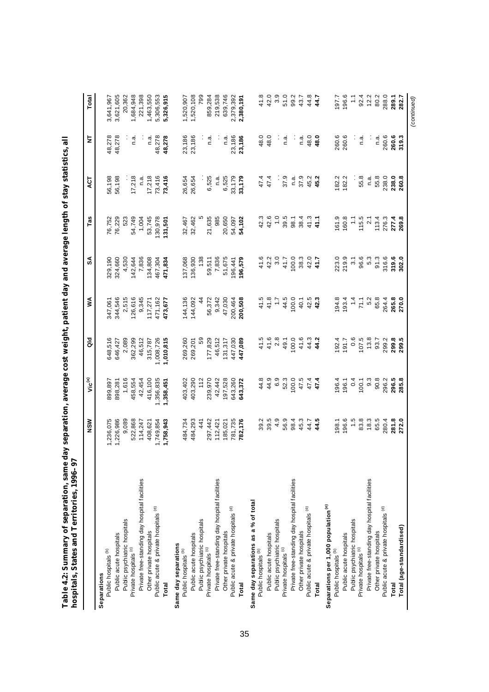|                                                 | NSW       | Vic <sup>(a)</sup> | ā                | ⋚            | SA               | Tas           | ACT    | ż      | Total           |
|-------------------------------------------------|-----------|--------------------|------------------|--------------|------------------|---------------|--------|--------|-----------------|
| Separations                                     |           |                    |                  |              |                  |               |        |        |                 |
| Public hospitals <sup>(b)</sup>                 | 1,236,075 | 899,897            | 648,516          | 347,061      | 329,190          | 76,752        | 56,198 | 48,278 | 3,641,967       |
| Public acute hospitals                          | 1,226,986 | 898,281            | 646,427          | 344,546      | 324,660          | 76,229        | 56,198 | 48,278 | 3,621,605       |
| Public psychiatric hospitals                    | 9,089     | 1,616              | 2,089            | 2,515        | 4,530            | 523           |        |        | 20,362          |
| Private hospitals (c)                           | 522,868   | 458,554            | 362,299          | 126,616      | 142,644          | 54,749        | 17,218 | n.a    | 1,684,948       |
| Private free-standing day hospital facilities   | 114,247   | 42,454             | 46,512           | 9,345        | 7,836            | 1,004         | n.a    |        | 221,398         |
| Other private hospitals                         | 408,621   | 416,100            | 315,787          | 117,271      | 134,808          | 53,745        | 17,218 | n.ª    | ,463,550        |
| Public acute & private hospitals (d)            | 1,749,854 | ,356,835           | 1,008,726        | 471,162      | 467,304          | 130,978       | 73,416 | 48,278 | 5,306,553       |
| Total                                           | 1,758,943 | 1,358,451          | 1,010,815        | 473,677      | 471,834          | 131,501       | 73,416 | 48,278 | 5,326,915       |
| Same day separations                            |           |                    |                  |              |                  |               |        |        |                 |
| Public hospitals <sup>(b)</sup>                 | 484,734   | 403,402            | 269,260          | 144,136      | 137,068          | 32,467        | 26,654 | 23,186 | 1,520,907       |
| Public acute hospitals                          | 484,293   | 403,290            | 269,201          | 144,092      | 136,930          | 32,462        | 26,654 | 23,186 | 1,520,108       |
| Public psychiatric hospitals                    | 441       | 112                | 59               | 4            | 138              |               |        |        | 799             |
| Private hospitals <sup>(c)</sup>                | 297,442   | 239,970            | 177,829          | 56,372       | 59,511           | 21,635        | 6,525  | n.a    | 859,284         |
| Private free-standing day hospital facilities   | 112,421   | 42,442             | 46,512           | 9,342        | 7,836            | 985           | n.a    |        | 219,538         |
| Other private hospitals                         | 185,021   | 97,528             | 131,317          | 47,030       | 51,675           | 20,650        | 6,525  | n.a    | 639,746         |
| Public acute & private hospitals (d)            | 781,735   | 643,260            | 447,030          | 200,464      | 196,441          | 54,097        | 33,179 | 23,186 | 2,379,392       |
| <b>Total</b>                                    | 782,176   | 643,372            | 447,089          | 200,508      | 196,579          | 54,102        | 33,179 | 23,186 | 2,380,191       |
| Same day separations as a % of total            |           |                    |                  |              |                  |               |        |        |                 |
| Public hospitals <sup>(b)</sup>                 | 39.2      | 44.8               | 41.5             | 41.5         | 41.6             | 42.3          | 47.4   | 48.0   | 41.8            |
| Public acute hospitals                          | 39.5      | 44.9               | 41.6             | 41.8         | 42.2             | 42.6          | 47.4   | 48.0   | 42.0            |
| Public psychiatric hospitals                    | 4.9       | 6.9                | 2.8              | $\ddot{ }$ : | 3.0              | $\ddot{ }$ .0 | Ĩ,     | :      | $3.9$<br>$51.0$ |
| Private hospitals <sup>(c)</sup>                | 56.9      | 52.3               | 49.1             | 44.5         | 41.7             | 39.5          | 37.9   | n.ai   |                 |
| Private free-standing day hospital facilities   | 98.4      | 100.0              | 0.00             | 0.001        | 0.0              | 98.1          | n.a    | ÷      | 99.2            |
| Other private hospitals                         | 45.3      | 47.5               | 41.6             | 40.1         | 38.3             | 38.4          | 37.9   | n.a.   | 43.7            |
| Public acute & private hospitals (d)            | 44.7      | 47.4               | 44.3             | 42.5         | 42.0             | 41.3          | 45.2   | 48.0   | 44.8            |
| <b>Total</b>                                    | 44.5      | 47.4               | 44.2             | 42.3         | 41.7             | 41.1          | 45.2   | 48.0   | 44.7            |
| Separations per 1,000 population <sup>(e)</sup> |           |                    |                  |              |                  |               |        |        |                 |
| Public hospitals <sup>(b)</sup>                 | 198.1     | 196.4              | 192.4            | 194.8        | 223.0            | 61.9          | 182.2  | 260.6  | 197.7           |
| Public acute hospitals                          | 196.6     | 196.1              | 191.7            | 193.4        | 219.9            | 160.8         | 182.2  | 260.6  | 196.6           |
| Public psychiatric hospitals                    | 1.5       | 0.4                | $0.\overline{6}$ | $\ddot{ }$   | $\overline{3}$ . | $\frac{1}{2}$ |        | ÷,     | $\ddot{ }$      |
| Private hospitals <sup>(c)</sup>                | 83.8      | 100.1              | 107.5            | 71.1         | 96.6             | 115.5         | 55.8   | n.a.   | 92.4            |
| Private free-standing day hospital facilities   | 18.3      | 9.3                | 13.8             | 5.2          | 5.3              | 2.1           | n.ai   |        | 12.2            |
| Other private hospitals                         | 65.5      | 90.8               | 93.7             | 65.8         | 91.3             | 113.4         | 55.8   | n.a.   | 80.2            |
| Public acute & private hospitals (d)            | 280.4     | 296.2              | 299.2            | 264.4        | 316.6            | 276.3         | 238.0  | 260.6  | 288.0           |
| Total                                           | 281.8     | 296.5              | 299.8            | 265.8        | 319.6            | 277.4         | 238.0  | 260.6  | 289.1           |
| Total (age-standardised)                        | 272.0     | 285.8              | 299.5            | 270.0        | 302.0            | 269.8         | 260.8  | 319.3  | 282.7           |
|                                                 |           |                    |                  |              |                  |               |        |        | (continued)     |

**Table 4.2: Summary of separation, same day separation, average cost weight, patient day and average length of stay statistics, all**  Table 4.2: Summary of separation, same day separation, average cost weight, patient day and average length of stay statistics, all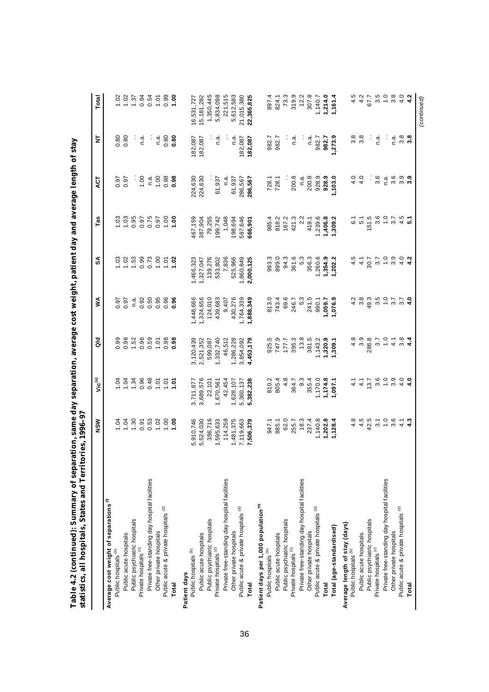|                                                   | NSW              | Vic <sup>(a)</sup> | aio              | ≸             | న్             | Tas              | άČ                 | 눈                    | Total            |
|---------------------------------------------------|------------------|--------------------|------------------|---------------|----------------|------------------|--------------------|----------------------|------------------|
| Average cost weight of separations <sup>(1)</sup> |                  |                    |                  |               |                |                  |                    |                      |                  |
| Public hospitals <sup>(b)</sup>                   | 1.04             | 1.04               | 0.99             | 0.97          | $\frac{3}{2}$  | 1.03             | 0.97               | 0.80                 | 1.02             |
| Public acute hospitals                            |                  | 1.04               | 0.98             | 0.97          | 1.02           | 1.03             | 0.97               | 0.80                 | 1.02             |
| Public psychiatric hospitals                      | 1.30             | 1.34               | 1.52             | n.a.          | 1.53           | 0.95             |                    |                      | 1.37             |
| Private hospitals <sup>(c)</sup>                  | 0.91             | 0.96               | 0.96             | 0.92          | 0.99           | 0.97             | 1.00               | n.a.                 | 0.94             |
| Private free-standing day hospital facilities     | 0.53             | 0.48               | 0.59             | 0.50          | 0.73           | 0.75             | n.a                | $\ddot{\phantom{0}}$ | 0.54             |
| Other private hospitals                           | 1.02             | 1.01               | 1.01             | 0.95          | 1.00           | 0.97             | 1.00               | n.a                  | 1.01             |
| Public acute & private hospitals (d)              | 1.00             | 1.01               | 0.98             | 0.96          | $\overline{5}$ | 1.00             | 0.98               | 0.80                 | 0.99             |
| Total                                             | 00.1             | 1.07               | 0.98             | 0.96          | 1.02           | 00.1             | 0.98               | 0.80                 | 00.1             |
| Patient days                                      |                  |                    |                  |               |                |                  |                    |                      |                  |
| Public hospitals <sup>(b)</sup>                   | 5,910,746        | 3,711,677          | 3,120,439        | 1,448,666     | ,466,323       | 467,159          | 224,630            | 182,087              | 16,531,727       |
| Public acute hospitals                            | 5,524,030        | 3,689,576          | 2,521,352        | 1,324,656     | 1,327,047      | 387,904          | 224,630            | 82,087               | 15,181,282       |
| Public psychiatric hospitals                      | 386,716          | 22,101             | 599,087          | 124,010       | 139,276        | 79,255           |                    |                      | 1,350,445        |
| Private hospitals (c)                             | 1,595,633        | 1,670,561          | 1,332,740        | 439,683       | 533,802        | 199,742          | 61,937             | n.a                  | 5,834,098        |
| Private free-standing day hospital facilities     | 114,258          | 42,454             | 46,512           | 9,407         | 7,836          | 1,048            | n.a                |                      | 221,515          |
| Other private hospitals                           | 1,481,375        | 1,628,107          | 1,286,228        | 430,276       | 525,966        | 198,694          | 61,937             | n.a                  | 5,612,583        |
| Public acute & private hospitals (d)              | 7,119,663        | 5,360,137          | 3,854,092        | 1,764,339     | 860,849        | 587,646          | 286,567            | 182,087              | 21,015,380       |
| <b>Total</b>                                      | 7,506,379        | 5,382,238          | 4,453,179        | 1,888,349     | 2,000,125      | 666,901          | 286,567            | 182,087              | 22,365,825       |
| Patient days per 1,000 population <sup>(e)</sup>  |                  |                    |                  |               |                |                  |                    |                      |                  |
| Public hospitals <sup>(b)</sup>                   | 947.1            | 810.2              |                  | 813.0         | 993.3          | 985.4            | 728.1              | 982.7                | 897.4            |
| Public acute hospitals                            | 885.1            | 805.4              | 925.5<br>747.9   | 743.4         | 899.0          | 818.2            | 728.1              | 982.7                | 824.1            |
| Public psychiatric hospitals                      | 62.0             | 4.8                | 177.7            | 69.6          | 94.3           | 167.2            |                    |                      | 73.3             |
| Private hospitals <sup>(c)</sup>                  | 255.7            | 364.7              | 395.3            | 246.7         | 361.6          | 421.3            | 200.8              | n.a                  | 319.9            |
| Private free-standing day hospital facilities     | 18.3             | $9.\overline{3}$   | $13.8$           | 5.3           | 5.3            | 2.2              | n.a                |                      | 12.2             |
| Other private hospitals                           | 237.4            | 355.4              | 381.5            | 241.5         | 356.3          | 419.1            | 200.8              | n.a                  | 307.8            |
| Public acute & private hospitals (d)              | 1,140.8          | 1,170.0            | ,143.2           | 990.1         | 1,260.6        | 1,239.6          | 928.9              | 982.7                | 1,140.7          |
| Total                                             | 1,202.8          | 1,174.8            | ,320.9           | 1,059.7       | 1,354.9        | 1,406.8          | 928.9              | 982.7                | 1,214.0          |
| Total (age-standardised)                          | 1,128.4          | 1,097.1            | ,309.1           | 1,076.9       | 1,202.2        | 1,309.2          | 1,103.0            | ,273.9               | 1,161.4          |
| Average length of stay (days)                     |                  |                    |                  |               |                |                  |                    |                      |                  |
| Public hospitals <sup>(b)</sup>                   | 4.8              | $\frac{1}{4}$      | 4.8              | 4.2           | 4.5            | 6.1              | 4.0                | $3.\overline{8}$     | 4.5              |
| Public acute hospitals                            | 4.5              | 4.1                | $3.\overline{9}$ | 3.8           | $\frac{1}{4}$  | $\overline{5}$ . | 4.0                | $3.\overline{8}$     | 4.2              |
| Public psychiatric hospitals                      | 42.5             | 13.7               | 286.8            | 49.3          | 30.7           | 151.5            | ÷                  |                      | 67.7             |
| Private hospitals (c)                             | $\overline{3}$ . | $3.\overline{6}$   | $3.7$<br>1.0     | 3.5           | 57             | $3.\overline{6}$ | 3.6                | n.a                  | 3.5              |
| Private free-standing day hospital facilities     | $\frac{0}{1}$    | $\ddot{ }$ .       |                  | $\frac{0}{1}$ | $\frac{0}{1}$  | $\frac{0}{1}$    | n.a                | $\cdot$              | $\frac{0}{1}$    |
| Other private hospitals                           | $3.\overline{6}$ | 3.9                | $\frac{1}{4}$    | 3.7           | 3.9            | 3.7              | $3.\overline{6}$   | n.a.                 | $3.\overline{8}$ |
| Public acute & private hospitals (d)              | $\frac{1}{4}$    | 4.0                | $\frac{8}{3}$ 4  | 3.7           | 4.0            | 4.5              | ာ <b>၁<br/>၁ ၁</b> | $3.\overline{8}$     | 4.0              |
| Total                                             | $\frac{3}{4}$    | $\frac{6}{4}$      |                  | 4.0           | 4.2            | $\overline{5}$   |                    | $3.\overline{8}$     | 4.2              |
|                                                   |                  |                    |                  |               |                |                  |                    |                      | (continued)      |

Table 4.2 (continued): Summary of separation, same day separation, average cost weight, patient day and average length of stay **Table 4.2 (continued): Summary of separation, same day separation, average cost weight, patient day and average length of stay**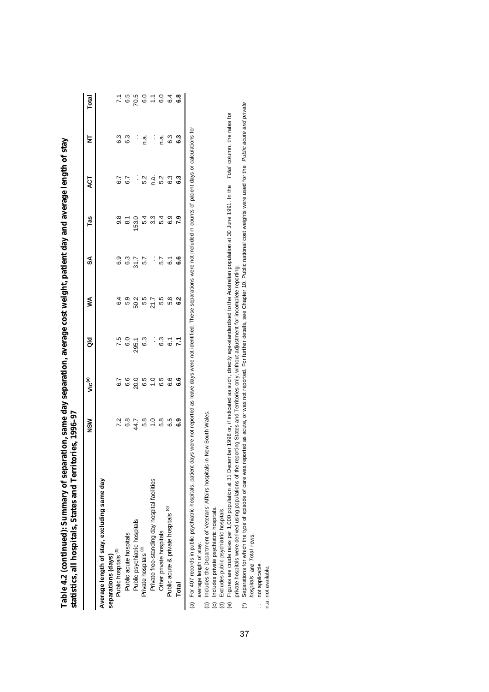| 6.3<br>6.3<br>ှ ဖွ ှ ျ ဖွ <b>ထို အိ</b><br>Ξ<br>6.7<br>6.7<br>ACT<br>8 7 0 4 8 4 8 9 8<br>8 8 9 8 8 9 8 9 8<br>Tas<br>వ్<br>$\alpha$ $\alpha$ $\beta$ $\alpha$ $\beta$ $\gamma$ $\alpha$ $\alpha$ $\alpha$ $\alpha$<br>≸<br>$7.5$<br>$6.5$<br>$6.5$<br>$6.5$<br>$6.5$<br>$6.5$<br>$6.5$<br>$6.5$<br>$6.5$<br>$6.5$<br>$7.7$<br>ਰੋ<br>Vic <sup>(a)</sup><br>7.8787808080<br>NSW<br>Private free-standing day hospital facilities<br>Average length of stay, excluding same day<br>Public acute & private hospitals (d)<br>Public psychiatric hospitals<br>Other private hospitals<br>Public acute hospitals<br>Private hospitals <sup>(c)</sup><br>Public hospitals <sup>(b)</sup><br>separations (days)<br>Total | statistics, all hospitals, States and Territories, 1996-97 |  |  |  |  |           |
|------------------------------------------------------------------------------------------------------------------------------------------------------------------------------------------------------------------------------------------------------------------------------------------------------------------------------------------------------------------------------------------------------------------------------------------------------------------------------------------------------------------------------------------------------------------------------------------------------------------------------------------------------------------------------------------------------------------|------------------------------------------------------------|--|--|--|--|-----------|
|                                                                                                                                                                                                                                                                                                                                                                                                                                                                                                                                                                                                                                                                                                                  |                                                            |  |  |  |  | Total     |
|                                                                                                                                                                                                                                                                                                                                                                                                                                                                                                                                                                                                                                                                                                                  |                                                            |  |  |  |  |           |
|                                                                                                                                                                                                                                                                                                                                                                                                                                                                                                                                                                                                                                                                                                                  |                                                            |  |  |  |  |           |
|                                                                                                                                                                                                                                                                                                                                                                                                                                                                                                                                                                                                                                                                                                                  |                                                            |  |  |  |  |           |
|                                                                                                                                                                                                                                                                                                                                                                                                                                                                                                                                                                                                                                                                                                                  |                                                            |  |  |  |  |           |
|                                                                                                                                                                                                                                                                                                                                                                                                                                                                                                                                                                                                                                                                                                                  |                                                            |  |  |  |  |           |
|                                                                                                                                                                                                                                                                                                                                                                                                                                                                                                                                                                                                                                                                                                                  |                                                            |  |  |  |  |           |
|                                                                                                                                                                                                                                                                                                                                                                                                                                                                                                                                                                                                                                                                                                                  |                                                            |  |  |  |  |           |
|                                                                                                                                                                                                                                                                                                                                                                                                                                                                                                                                                                                                                                                                                                                  |                                                            |  |  |  |  |           |
|                                                                                                                                                                                                                                                                                                                                                                                                                                                                                                                                                                                                                                                                                                                  |                                                            |  |  |  |  | 7.5007078 |
|                                                                                                                                                                                                                                                                                                                                                                                                                                                                                                                                                                                                                                                                                                                  |                                                            |  |  |  |  |           |

**Table 4.2 (continued): Summary of separation, same day separation, average cost weight, patient day and average length of stay**  Table 4.2 (continued): Summary of separation, same day separation, average cost weight, patient day and average length of stay (a) For 407 records in public psychiatric hospitals, patient days were not reported as leave days were not identified. These separations were not included in counts of patient days or calculations for ē (a) For 407 records in public psychiatric hospitals, patient days were not reported as leave days were<br>average length of stay.

average length of stay.

(b) Includes the Department of Veterans' Affairs hospitals in New South Wales.

(c) Includes private psychiatric hospitals.

(d) Excludes public psychiatric hospitals.

(b) Includes the Department of Veterans' Affairs hospitals in New South Wales.<br>(c) Includes private psychiatric hospitals.<br>(d) Excludes public psychiatric hospitals.<br>(e) Figures are crude rates per 1,000 population at 31 D (e) Figures are crude rates per 1,000 population at 31 December 1996 or, if indicated as such, directly age-standardised to the Australian population at 30 June 1991. In the *Total* column, the rates for private hospitals were derived using populations of the reporting States and Territories only, without adjustment for incomplete reporting. private hospitals were derived using populations of the reporting States and Territories only, without adjustment for incomplete reporting.

Separations for which the type of episode of care was reported as acute, or was not reported. For further details, see Chapter 10. Public national cost weights were used for the Public acute and private (f) Separations for which the type of episode of care was reported as acute, or was not reported. For further details, see Chapter 10. Public national cost weights were used for the *Public acute and private*  hospitals and Total rows. *hospitals* and *Total* rows.  $\epsilon$ 

not applicable. .. not applicable.

.. not applicable<br>n.a. not available. n.a. not available.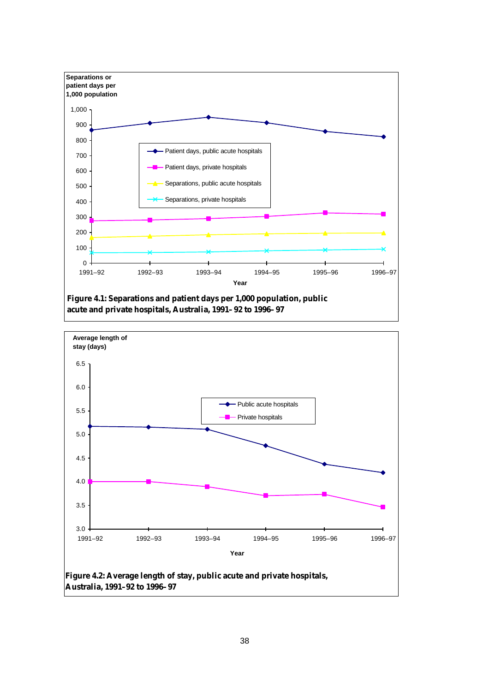

**acute and private hospitals, Australia, 1991–92 to 1996–97**

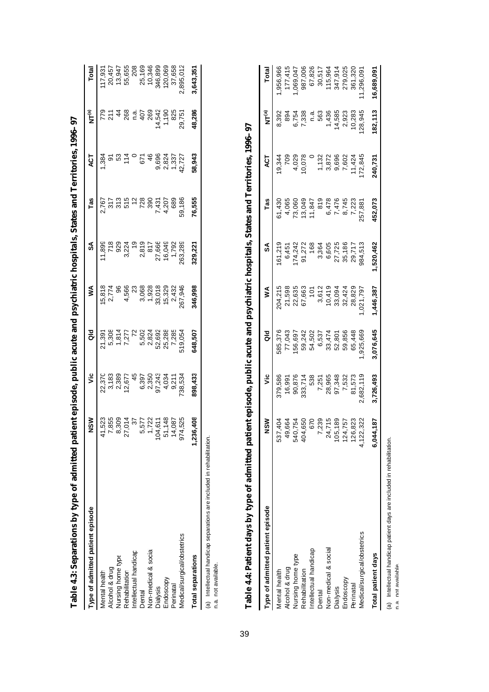| Table 4.3: Separations by type of admitted patient episode, public acute and psychiatric hospitals, States and Territories, 1996–97 |                                     |                                          |                                 |                          |                        |                        |                         |                        |                            |
|-------------------------------------------------------------------------------------------------------------------------------------|-------------------------------------|------------------------------------------|---------------------------------|--------------------------|------------------------|------------------------|-------------------------|------------------------|----------------------------|
| Type of admitted patient episode                                                                                                    | ຣັ                                  | ۊ                                        | aio                             | ⋚                        | SA                     | Tas                    | ă                       | ล<br>โร                | Total                      |
| Mental health                                                                                                                       | 41.                                 | 22,370                                   | 21,391                          |                          |                        |                        | 384                     |                        | 17,931                     |
| Alcohol & drug                                                                                                                      | 2200477<br>2009477                  |                                          |                                 | 15,818<br>2,774<br>2,774 |                        | 2.767<br>2.77<br>2.795 | $\overline{\sigma}$     | 5 2 4<br>6 7 4         |                            |
| Nursing home type                                                                                                                   | ∞                                   |                                          |                                 |                          |                        |                        | $53$<br>114             |                        | 20,457<br>13,947<br>55,655 |
| Rehabilitation                                                                                                                      | 27.                                 | 3,183<br>2,389<br>12,677                 | 5,308<br>1,814<br>7,277         | 4,566                    |                        |                        |                         | 268                    |                            |
| Intellectual handicap                                                                                                               |                                     |                                          |                                 | $\mathbb{S}^2$           | $\frac{6}{2}$          |                        |                         | ີ້<br>ເ                | 208                        |
| Dental                                                                                                                              | ю                                   |                                          |                                 | 3,068                    |                        |                        | 671                     | 407                    | 25,169                     |
| Non-medical & social                                                                                                                |                                     |                                          |                                 | 1,928                    |                        | 28<br>390              | $\frac{6}{4}$           | 269                    | 10,346                     |
| Dialysis                                                                                                                            | 722<br>611<br>148<br>$\overline{6}$ | 45<br>6,397<br>6,350<br>97,243<br>97,243 | 72<br>5,5024<br>5,824<br>52,692 | 33,018                   | 2,819<br>817<br>27,666 |                        |                         |                        | 346,899                    |
| Endoscopy                                                                                                                           | 51.                                 |                                          | 25,288                          | 15,329                   | 16,049                 | 7,431<br>4,207         | 9,696<br>2,824<br>1,337 | 14,542<br>1,190<br>825 | 120,06                     |
| Perinatal                                                                                                                           | 087<br>$\overline{4}$               | 4,034<br>9,211                           | 7,285                           | 2,432                    | 1,792                  | 683                    |                         |                        | 37,658                     |
| Medical/surgical/obstetrics                                                                                                         | 525<br>974                          | 38,53                                    | 519,05                          | 267,946                  | 263,289                | 59,186                 | 12,727                  | 29,751                 | 895,012                    |
| <b>Total separations</b>                                                                                                            | ទី<br>1,236,                        | 898,433                                  | 548,507                         | 146,998                  | 29,22                  | 76,555                 | 58,943                  | 48,286                 | ,643,351                   |
| しゅうしょう いっぱい アース・マーク                                                                                                                 |                                     |                                          |                                 |                          |                        |                        |                         |                        |                            |

(a) Intellectual handicap separations are included in rehabilitation.<br>n.a. not available. (a) Intellectual handicap separations are included in rehabilitation.

n.a. not available.

39

| ֕                                       |
|-----------------------------------------|
|                                         |
|                                         |
|                                         |
|                                         |
| l                                       |
|                                         |
|                                         |
|                                         |
|                                         |
|                                         |
|                                         |
|                                         |
| l                                       |
|                                         |
| l                                       |
|                                         |
|                                         |
|                                         |
|                                         |
|                                         |
| ì<br>i                                  |
| ֺ֝                                      |
| l<br>i                                  |
| i<br>٠<br>ó<br>$\overline{a}$<br>۱<br>l |
| I<br>I                                  |
| I<br>I                                  |
| ļ                                       |
| Ē<br>j<br>í<br>i<br>ř                   |
|                                         |

| ֧֧֚֚֚֚֚֚֚֚֚֚֚֚֚֚֚֚֚֚֚֚֚֚֚֚֚֚֚֚֚֟֟֟֓֟֓֟֓֟֓ |                                         |                 |                           |                  |                   |                                       |                                                    |                   |           |
|-------------------------------------------|-----------------------------------------|-----------------|---------------------------|------------------|-------------------|---------------------------------------|----------------------------------------------------|-------------------|-----------|
| Type of admitted patient episode          | š                                       | ۊ               | ਰ<br>ਹ                    | ≸                | S                 | Tas                                   | ACT                                                | NT <sup>(a)</sup> | Total     |
| Mental health                             |                                         | \$79,586        | 376,376                   | 04,215           | 61,219            | 61,430                                | 9,344                                              | 8,392             | ,956,966  |
| Alcohol & drug                            | 537,404<br>49,664<br>540,754<br>404,650 | 16,991          | 77,043                    | 21,598           | 6,451             | 4,065                                 | 709                                                | 894               | 177,415   |
| Nursing home type                         |                                         | 90,876          | 56,697                    |                  |                   | 73,060                                |                                                    | 6,754             | ,069,047  |
| Rehabilitation                            |                                         | 333,714         | 59,242                    | 22,635<br>67,663 | 174,242<br>91,272 | 13,049                                | 4,029<br>10,078                                    | 7,338             | 987,006   |
| Intellectual handicap                     |                                         | 538             | 54,502                    | $\frac{1}{2}$    | 168               | 11,847                                |                                                    | ¤.a               | 67,826    |
| Dental                                    |                                         |                 |                           | 3,612            |                   |                                       |                                                    | 563               | 30,517    |
| Non-medical & social                      | 670<br>7,239<br>24,715<br>105,189       | 7,251<br>28,965 | 6,537<br>33,474<br>52,801 |                  | 3,364<br>6,605    | 819<br>81475<br>81478<br>81479<br>818 | $1,32$<br>$7,870$<br>$7,600$<br>$7,602$<br>$7,602$ | 1,436             | 115,964   |
| Dialysis                                  |                                         | 97,348          |                           | 10,419<br>33,094 |                   |                                       |                                                    | 14,585            | 347,914   |
| Endoscopy                                 | 124,757                                 | 7,532           | 59,856                    | 32,424           | 27,725<br>35,186  |                                       |                                                    | 2,923             | 279,025   |
| <b>Perinatal</b>                          | 823<br>126,                             | 81,573          | 65,448                    | 28,829           | 29,717            |                                       | 11,424                                             | 10,283            | 361,320   |
| Medical/surgical/obstetrics               | 322<br>4,122,                           | 682,119         | 925,669                   | 021,797          | 84,513            | 88,75                                 | 72,845                                             | 28,945            | ,296,091  |
| Total patient days                        | 6,044,187                               | ,726,493        | ,076,645                  | ,446,387         | 520,462           | 152,073                               | 240,73                                             | 82,113            | 6,689,091 |
|                                           |                                         |                 |                           |                  |                   |                                       |                                                    |                   |           |

(a) Intellectual handicap patient days are included in rehabilitation.<br>n.a. not available. (a) Intellectual handicap patient days are included in rehabilitation.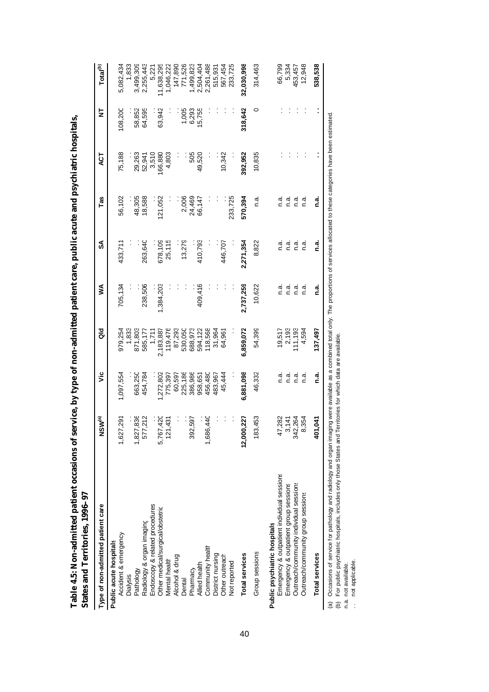| l                                       |        |
|-----------------------------------------|--------|
|                                         |        |
|                                         |        |
|                                         |        |
|                                         |        |
| l                                       |        |
|                                         |        |
|                                         |        |
|                                         |        |
| í                                       |        |
|                                         |        |
|                                         |        |
|                                         |        |
|                                         |        |
| ֕                                       |        |
|                                         |        |
|                                         |        |
|                                         |        |
|                                         |        |
|                                         |        |
|                                         |        |
|                                         |        |
|                                         |        |
|                                         |        |
|                                         |        |
|                                         |        |
|                                         |        |
|                                         |        |
|                                         |        |
| į<br>í<br>ë<br>$\overline{\phantom{a}}$ | Į      |
| $\overline{a}$<br>I                     |        |
| 1                                       | l      |
|                                         |        |
| $\frac{1}{2}$                           | ֕<br>Ï |
|                                         |        |
|                                         |        |
|                                         | ı      |
|                                         | ׅ֘֒    |
| ֕                                       |        |

| Table 4.5: Non-admitted patient occasions of service, by type of non-admitted patient care, public acute and psychiatric hospitals,<br>States and Territories, 1996-97 |                        |           |           |           |           |         |         |         |                      |
|------------------------------------------------------------------------------------------------------------------------------------------------------------------------|------------------------|-----------|-----------|-----------|-----------|---------|---------|---------|----------------------|
| Type of non-admitted patient care                                                                                                                                      | NSW <sup>(a)</sup>     | تا        | ਰ<br>ਹ    | ⋚         | SA        | Tas     | 15      | 눙       | Total <sup>(b)</sup> |
| Public acute hospitals                                                                                                                                                 |                        |           |           |           |           |         |         |         |                      |
| Accident & emergency                                                                                                                                                   | 291<br>1,627           | 1,097,554 | 979,254   | 705,134   | 433,711   | 56,102  | 75,188  | 108,200 | 5,082,434            |
| Dialysis                                                                                                                                                               |                        |           | 1,833     |           |           |         |         |         | 1,833                |
| Pathology                                                                                                                                                              | 836<br>1,827           | 663,250   | 871,803   |           |           | 48,305  | 29,263  | 58,852  | 3,499,309            |
| Radiology & organ imaging                                                                                                                                              | 212<br>577             | 454,784   | 585,177   | 238,506   | 263,640   | 18,588  | 52,941  | 64,595  | 2,255,443            |
| Endoscopy & related procedures                                                                                                                                         |                        |           | 1,711     |           |           |         | 3,510   |         | 5,221                |
| Other medical/surgical/obstetric                                                                                                                                       | 420<br>5,767           | ,272,802  | 2,183,887 | 1,384,203 | 678,109   | 21,052  | 166,880 | 63,942  | 11,638,295           |
| Mental health                                                                                                                                                          | 431<br>121             | 775,397   | 119,476   |           | 25,115    |         | 4,803   |         | 1,046,222            |
| Alcohol & drug                                                                                                                                                         |                        | 60,597    | 87,293    |           |           |         |         |         | 147,890              |
| Dental                                                                                                                                                                 |                        | 225,186   | 530,050   |           | 13,279    | 2,006   |         | 1,005   | 771,526              |
| Pharmacy                                                                                                                                                               | 597<br>392             | 386,986   | 688,973   |           |           | 24,469  | 505     | 6,293   | 1,499,823            |
| Allied health                                                                                                                                                          |                        | 958,651   | 594,122   | 409,416   | 410,793   | 66,147  | 49,520  | 15,755  | 2,504,404            |
| Community health                                                                                                                                                       | 40<br>1,686            | 456,480   | 118,568   |           |           |         |         |         | 2,261,488            |
| District nursing                                                                                                                                                       |                        | 483,967   | 31,964    |           |           |         |         |         | 515,931              |
| Other outreach                                                                                                                                                         |                        | 45,444    | 64,961    |           | 446,707   |         | 10,342  |         | 567,454              |
| Not reported                                                                                                                                                           |                        |           |           |           |           | 233,725 |         |         | 233,725              |
| Total services                                                                                                                                                         | 227<br>12,000          | 6,881,098 | 6,859,072 | 2,737,259 | 2,271,354 | 570,394 | 392,952 | 318,642 | 32,030,998           |
| Group sessions                                                                                                                                                         | 453<br>183             | 46,332    | 54,399    | 10,622    | 8,822     | ດ.<br>C | 10,835  | 0       | 314,463              |
| Public psychiatric hospitals                                                                                                                                           |                        |           |           |           |           |         |         |         |                      |
| Emergency & outpatient individual sessions                                                                                                                             | 282<br>47              | n a       | 19,517    | n.a.      | .<br>د    | n.a.    |         |         | 66,799               |
| Emergency & outpatient group sessions                                                                                                                                  | 3,141                  | n.a       | 2,193     | n.a.      | ີ້<br>ດ   | n.a.    |         |         | 5,334                |
| Outreach/community individual sessions                                                                                                                                 | 264<br>342             | n.a       | 111,193   | n.a.      | n.ai      | ດ.<br>C |         |         | 453,457              |
| Outreach/community group sessions                                                                                                                                      | 354<br>$\infty$        | ة.<br>C   | 4,594     | n a       | n.a       | n.a     |         |         | 12,948               |
| <b>Total services</b>                                                                                                                                                  | $-50$<br>$\frac{2}{3}$ | n.a.      | 137,497   | n.a.      | n.a.      | n.a.    |         |         | 538,538              |
|                                                                                                                                                                        |                        |           |           |           |           |         |         |         |                      |

(a) Occasions of service for pathology and radiology and organ imaging were available as a combined total only. The proportions of services allocated to these categories have been estimated.<br>(b) For public psychiatric hosp (a) Occasions of service for pathology and radiology and organ imaging were available as a combined total only. The proportions of services allocated to these categories have been estimated.

(b) For public psychiatric hospitals, includes only those States and Territories for which data are available.

.. not applicable.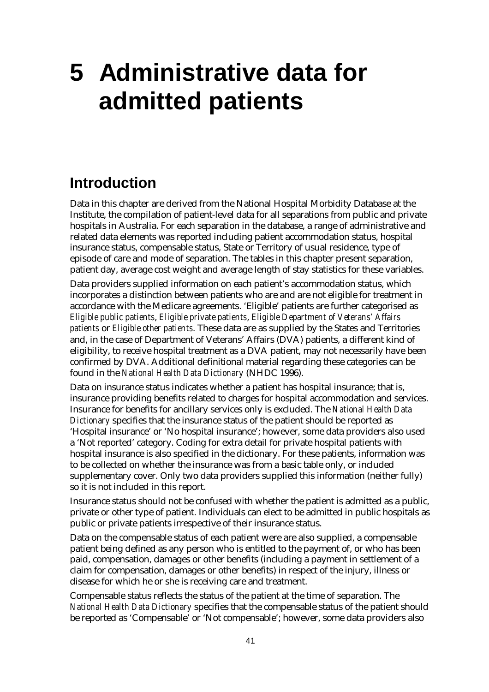# **5 Administrative data for admitted patients**

## **Introduction**

Data in this chapter are derived from the National Hospital Morbidity Database at the Institute, the compilation of patient-level data for all separations from public and private hospitals in Australia. For each separation in the database, a range of administrative and related data elements was reported including patient accommodation status, hospital insurance status, compensable status, State or Territory of usual residence, type of episode of care and mode of separation. The tables in this chapter present separation, patient day, average cost weight and average length of stay statistics for these variables.

Data providers supplied information on each patient's accommodation status, which incorporates a distinction between patients who are and are not eligible for treatment in accordance with the Medicare agreements. 'Eligible' patients are further categorised as *Eligible public patients*, *Eligible private patients*, *Eligible Department of Veterans' Affairs patients* or *Eligible other patients*. These data are as supplied by the States and Territories and, in the case of Department of Veterans' Affairs (DVA) patients, a different kind of eligibility, to receive hospital treatment as a DVA patient, may not necessarily have been confirmed by DVA. Additional definitional material regarding these categories can be found in the *National Health Data Dictionary* (NHDC 1996).

Data on insurance status indicates whether a patient has hospital insurance; that is, insurance providing benefits related to charges for hospital accommodation and services. Insurance for benefits for ancillary services only is excluded. The *National Health Data Dictionary* specifies that the insurance status of the patient should be reported as 'Hospital insurance' or 'No hospital insurance'; however, some data providers also used a 'Not reported' category. Coding for extra detail for private hospital patients with hospital insurance is also specified in the dictionary. For these patients, information was to be collected on whether the insurance was from a basic table only, or included supplementary cover. Only two data providers supplied this information (neither fully) so it is not included in this report.

Insurance status should not be confused with whether the patient is admitted as a public, private or other type of patient. Individuals can elect to be admitted in public hospitals as public or private patients irrespective of their insurance status.

Data on the compensable status of each patient were are also supplied, a compensable patient being defined as any person who is entitled to the payment of, or who has been paid, compensation, damages or other benefits (including a payment in settlement of a claim for compensation, damages or other benefits) in respect of the injury, illness or disease for which he or she is receiving care and treatment.

Compensable status reflects the status of the patient at the time of separation. The *National Health Data Dictionary* specifies that the compensable status of the patient should be reported as 'Compensable' or 'Not compensable'; however, some data providers also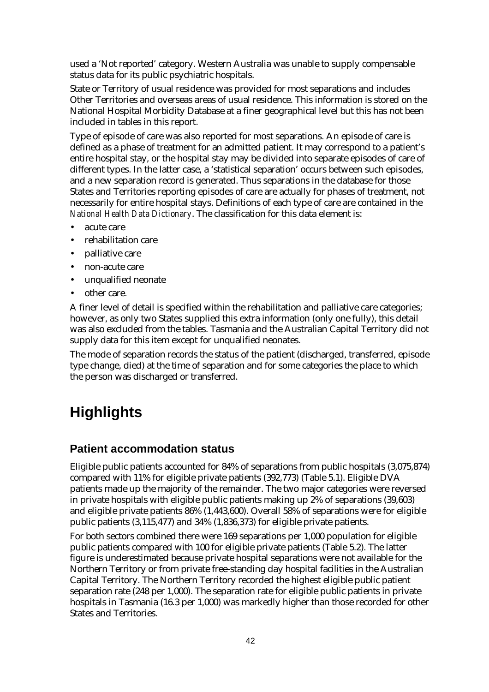used a 'Not reported' category. Western Australia was unable to supply compensable status data for its public psychiatric hospitals.

State or Territory of usual residence was provided for most separations and includes Other Territories and overseas areas of usual residence. This information is stored on the National Hospital Morbidity Database at a finer geographical level but this has not been included in tables in this report.

Type of episode of care was also reported for most separations. An episode of care is defined as a phase of treatment for an admitted patient. It may correspond to a patient's entire hospital stay, or the hospital stay may be divided into separate episodes of care of different types. In the latter case, a 'statistical separation' occurs between such episodes, and a new separation record is generated. Thus separations in the database for those States and Territories reporting episodes of care are actually for phases of treatment, not necessarily for entire hospital stays. Definitions of each type of care are contained in the *National Health Data Dictionary*. The classification for this data element is:

- acute care
- rehabilitation care
- palliative care
- non-acute care
- unqualified neonate
- other care.

A finer level of detail is specified within the rehabilitation and palliative care categories; however, as only two States supplied this extra information (only one fully), this detail was also excluded from the tables. Tasmania and the Australian Capital Territory did not supply data for this item except for unqualified neonates.

The mode of separation records the status of the patient (discharged, transferred, episode type change, died) at the time of separation and for some categories the place to which the person was discharged or transferred.

## **Highlights**

#### **Patient accommodation status**

Eligible public patients accounted for 84% of separations from public hospitals (3,075,874) compared with 11% for eligible private patients (392,773) (Table 5.1). Eligible DVA patients made up the majority of the remainder. The two major categories were reversed in private hospitals with eligible public patients making up 2% of separations (39,603) and eligible private patients 86% (1,443,600). Overall 58% of separations were for eligible public patients (3,115,477) and 34% (1,836,373) for eligible private patients.

For both sectors combined there were 169 separations per 1,000 population for eligible public patients compared with 100 for eligible private patients (Table 5.2). The latter figure is underestimated because private hospital separations were not available for the Northern Territory or from private free-standing day hospital facilities in the Australian Capital Territory. The Northern Territory recorded the highest eligible public patient separation rate (248 per 1,000). The separation rate for eligible public patients in private hospitals in Tasmania (16.3 per 1,000) was markedly higher than those recorded for other States and Territories.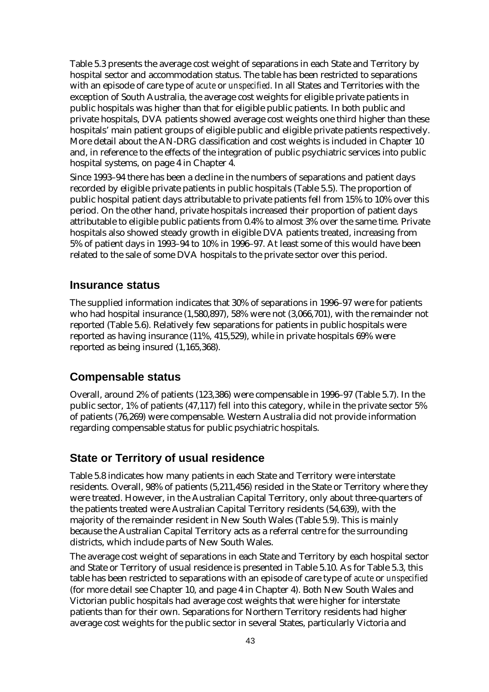Table 5.3 presents the average cost weight of separations in each State and Territory by hospital sector and accommodation status. The table has been restricted to separations with an episode of care type of *acute* or *unspecified*. In all States and Territories with the exception of South Australia, the average cost weights for eligible private patients in public hospitals was higher than that for eligible public patients. In both public and private hospitals, DVA patients showed average cost weights one third higher than these hospitals' main patient groups of eligible public and eligible private patients respectively. More detail about the AN-DRG classification and cost weights is included in Chapter 10 and, in reference to the effects of the integration of public psychiatric services into public hospital systems, on page 4 in Chapter 4.

Since 1993–94 there has been a decline in the numbers of separations and patient days recorded by eligible private patients in public hospitals (Table 5.5). The proportion of public hospital patient days attributable to private patients fell from 15% to 10% over this period. On the other hand, private hospitals increased their proportion of patient days attributable to eligible public patients from 0.4% to almost 3% over the same time. Private hospitals also showed steady growth in eligible DVA patients treated, increasing from 5% of patient days in 1993–94 to 10% in 1996–97. At least some of this would have been related to the sale of some DVA hospitals to the private sector over this period.

#### **Insurance status**

The supplied information indicates that 30% of separations in 1996–97 were for patients who had hospital insurance (1,580,897), 58% were not (3,066,701), with the remainder not reported (Table 5.6). Relatively few separations for patients in public hospitals were reported as having insurance (11%, 415,529), while in private hospitals 69% were reported as being insured (1,165,368).

#### **Compensable status**

Overall, around 2% of patients (123,386) were compensable in 1996–97 (Table 5.7). In the public sector, 1% of patients (47,117) fell into this category, while in the private sector 5% of patients (76,269) were compensable. Western Australia did not provide information regarding compensable status for public psychiatric hospitals.

#### **State or Territory of usual residence**

Table 5.8 indicates how many patients in each State and Territory were interstate residents. Overall, 98% of patients (5,211,456) resided in the State or Territory where they were treated. However, in the Australian Capital Territory, only about three-quarters of the patients treated were Australian Capital Territory residents (54,639), with the majority of the remainder resident in New South Wales (Table 5.9). This is mainly because the Australian Capital Territory acts as a referral centre for the surrounding districts, which include parts of New South Wales.

The average cost weight of separations in each State and Territory by each hospital sector and State or Territory of usual residence is presented in Table 5.10. As for Table 5.3, this table has been restricted to separations with an episode of care type of *acute* or *unspecified* (for more detail see Chapter 10, and page 4 in Chapter 4). Both New South Wales and Victorian public hospitals had average cost weights that were higher for interstate patients than for their own. Separations for Northern Territory residents had higher average cost weights for the public sector in several States, particularly Victoria and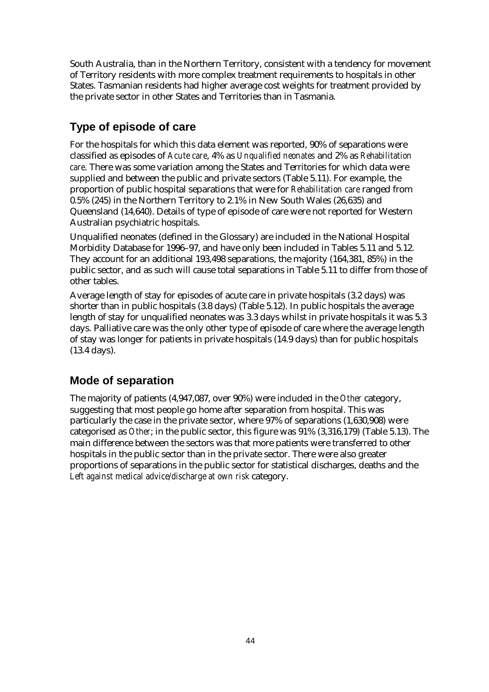South Australia, than in the Northern Territory, consistent with a tendency for movement of Territory residents with more complex treatment requirements to hospitals in other States. Tasmanian residents had higher average cost weights for treatment provided by the private sector in other States and Territories than in Tasmania.

## **Type of episode of care**

For the hospitals for which this data element was reported, 90% of separations were classified as episodes of *Acute care*, 4% as *Unqualified neonates* and 2% as *Rehabilitation care*. There was some variation among the States and Territories for which data were supplied and between the public and private sectors (Table 5.11). For example, the proportion of public hospital separations that were for *Rehabilitation care* ranged from 0.5% (245) in the Northern Territory to 2.1% in New South Wales (26,635) and Queensland (14,640). Details of type of episode of care were not reported for Western Australian psychiatric hospitals.

Unqualified neonates (defined in the Glossary) are included in the National Hospital Morbidity Database for 1996–97, and have only been included in Tables 5.11 and 5.12. They account for an additional 193,498 separations, the majority (164,381, 85%) in the public sector, and as such will cause total separations in Table 5.11 to differ from those of other tables.

Average length of stay for episodes of acute care in private hospitals (3.2 days) was shorter than in public hospitals (3.8 days) (Table 5.12). In public hospitals the average length of stay for unqualified neonates was 3.3 days whilst in private hospitals it was 5.3 days. Palliative care was the only other type of episode of care where the average length of stay was longer for patients in private hospitals (14.9 days) than for public hospitals (13.4 days).

## **Mode of separation**

The majority of patients (4,947,087, over 90%) were included in the *Other* category, suggesting that most people go home after separation from hospital. This was particularly the case in the private sector, where 97% of separations (1,630,908) were categorised as *Other*; in the public sector, this figure was 91% (3,316,179) (Table 5.13). The main difference between the sectors was that more patients were transferred to other hospitals in the public sector than in the private sector. There were also greater proportions of separations in the public sector for statistical discharges, deaths and the *Left against medical advice/discharge at own risk* category.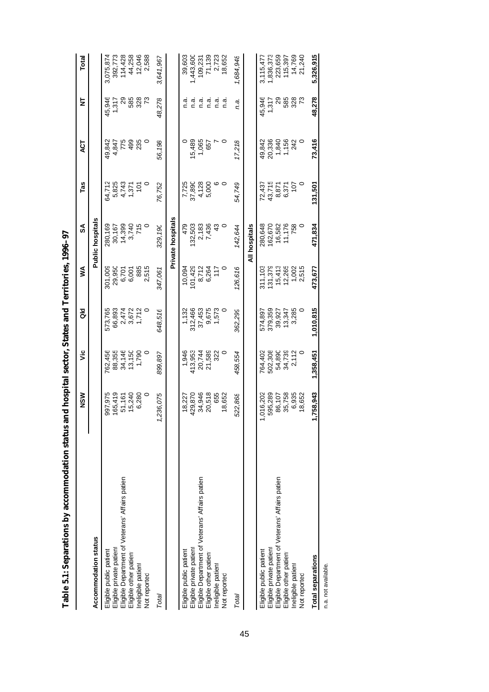| i<br>١  |
|---------|
|         |
|         |
|         |
|         |
|         |
| ֕       |
| ׇ֠<br>I |

|                                                                           | NSM                | ۶Ë                | る                 | ⋚                 | వ్                      | Tas             | 40                  | ⋚                     | Total                |
|---------------------------------------------------------------------------|--------------------|-------------------|-------------------|-------------------|-------------------------|-----------------|---------------------|-----------------------|----------------------|
| Accommodation status                                                      |                    |                   |                   |                   | <b>Public hospitals</b> |                 |                     |                       |                      |
| Eligible private patient<br>Eligible public patient                       | 997,975<br>165,419 | '62,456<br>88,355 | 573,765<br>66,893 | 301,009<br>29,950 | 280,169<br>30,167       | 5,825<br>64,712 | 49,842              | 45,946<br>1,317<br>29 | 3,075,874<br>392,773 |
| Eligible Department of Veterans' Affairs patien<br>Eligible other patient | 15,240<br>51,161   | 34,146<br>13,150  | 2,474<br>3,672    | 6,701<br>6,001    | 14,399<br>3,740         | 4,743<br>1,371  | 4,847<br>775<br>499 | 585                   | 114,428<br>44,258    |
| Ineligible patient                                                        | 6,280              | 1,790             | 1,712             | 885               | 715                     | $\frac{5}{2}$   | 235                 | 328                   | 12,046               |
| Not reported                                                              | $\circ$            | $\circ$           | 0                 | 2,515             | $\circ$                 | 0               | 0                   | ಌ                     | 2,588                |
| Total                                                                     | 236,075            | 899,897           | 648,516           | 347,061           | 329,190                 | 76,752          | 56,198              | 48,278                | 3,641,967            |
|                                                                           |                    |                   |                   |                   | Private hospitals       |                 |                     |                       |                      |
| Eligible public patient                                                   | 18,227             | 1,946             | 1,132             | 10,094            | 479                     | 7,725           |                     | ี<br>ด.ส              | 39,603               |
| Eligible private patient                                                  | 429,870            | 413,953           | 312,466           | 01,429            | 132,503                 | 37,890          | 15,489              | n.a                   | 1,443,600            |
| Eligible Department of Veterans' Affairs patien                           | 34,946             | 20,744            | 37,453            | 8,712             |                         | 4,128           | 1,065               | n.a                   | 109,231              |
| Eligible other patient                                                    | 518<br>20,         | 21,589            | 9,675             | 6,264             | 2,183<br>7,436          | 5,000           | 657                 | n.a.                  | 71,139               |
| Ineligible patient                                                        | 655                | 322               | 1,573             | 117               | $\frac{3}{4}$           | ဖေဝ             |                     | n.a                   | 2,723                |
| Not reported                                                              | 18,652             |                   |                   |                   | $\circ$                 |                 | o                   | ี<br>ด.ส              | 18,652               |
| Total                                                                     | 522,868            | 458,554           | 362,299           | 126,616           | 142,644                 | 54,749          | 17,218              | n.a.                  | 1,684,948            |
|                                                                           |                    |                   |                   |                   | All hospitals           |                 |                     |                       |                      |
| Eligible public patient                                                   | 016,202            | 764,402           | 574,897           | 311,103           | 280,648                 | 72,437          | 49,842              | 45,946                | 3,115,477            |
| Eligible private patient                                                  | 595,289            | 502,308           | 379,359           | 131,379           | 162,670                 | 43,715          | 20,336              | 1,317                 | 1,836,373            |
| Eligible Department of Veterans' Affairs patien                           | 86,107             | 54,890            | 39,927            | 15,413            | 16,582                  | 8,871           | 1,840               | 29                    | 223,659              |
| Eligible other patient                                                    | 35,758             | 34,739            | 13,347<br>3,285   | 12,265            | 11,176                  | 6,371           | 1,156<br>242        | 585<br>328            | 115,397              |
| Ineligible patient                                                        | 6,935              | 2,112             |                   | 1,002             | 758                     | 107             |                     |                       | 14,769               |
| Not reported                                                              | 652<br>ထ           |                   |                   | 2,515             |                         |                 | 0                   | ಌ                     | 21,240               |
| Total separations                                                         | ,758,943           | 1,358,451         | 1,010,815         | 473,677           | 471,834                 | 131,501         | 73,416              | 48,278                | 5,326,915            |

n.a. not available.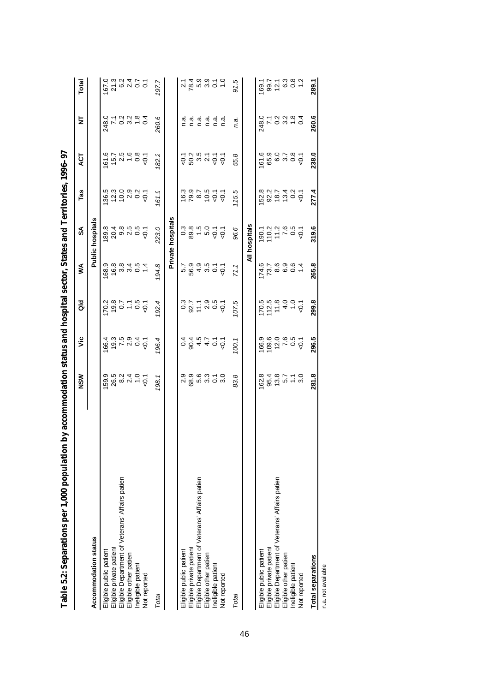| by accommodation status and nospital sector, states and 1 efficines, 1996–97<br>Tapie 3.2: Separations per 1,900 population |                                   |                                       |                                                                     |                                   |                                 |                                       |                                      |                                                                                             |                              |
|-----------------------------------------------------------------------------------------------------------------------------|-----------------------------------|---------------------------------------|---------------------------------------------------------------------|-----------------------------------|---------------------------------|---------------------------------------|--------------------------------------|---------------------------------------------------------------------------------------------|------------------------------|
|                                                                                                                             | NSW                               | ۶Ë                                    | $\frac{d}{d}$                                                       | ≸                                 | SA                              | Tas                                   | ES                                   | ₫                                                                                           | Total                        |
| Accommodation status                                                                                                        |                                   |                                       |                                                                     |                                   | Public hospitals                |                                       |                                      |                                                                                             |                              |
| Eligible public patient                                                                                                     |                                   | 66.4                                  | 170.2                                                               |                                   |                                 |                                       | 61.6                                 |                                                                                             | 167.0                        |
| Eligible private patient                                                                                                    |                                   |                                       |                                                                     |                                   |                                 |                                       |                                      |                                                                                             | 21.3                         |
| Eligible Department of Veterans' Affairs patien                                                                             |                                   | $0.5004$<br>$0.5004$                  | 907700                                                              |                                   |                                 | 8 1 1 0 1 0<br>8 1 0 1 0<br>8 1 0 1 0 | $15.7$<br>$15.6$<br>$-0.8$<br>$-0.7$ | 0 + 0 0 0 0 4<br>6 + 0 0 0 + 0<br>4 + 0 0 0 + 0                                             | $0,000$<br>$0,000$           |
| Eligible other patient                                                                                                      |                                   |                                       |                                                                     |                                   |                                 |                                       |                                      |                                                                                             |                              |
| Ineligible patient                                                                                                          |                                   |                                       |                                                                     |                                   |                                 |                                       |                                      |                                                                                             |                              |
| Not reported                                                                                                                |                                   |                                       |                                                                     |                                   |                                 | $\overline{Q}$ .                      |                                      |                                                                                             |                              |
| Total                                                                                                                       | 198.1                             | 96.4                                  | 192.4                                                               | 194.8                             | 223.0                           | 161.9                                 | 182.2                                | 260.6                                                                                       | 197.7                        |
|                                                                                                                             |                                   |                                       |                                                                     |                                   | Private hospitals               |                                       |                                      |                                                                                             |                              |
| Eligible public patient                                                                                                     |                                   |                                       |                                                                     |                                   |                                 |                                       |                                      |                                                                                             |                              |
| Eligible private patient                                                                                                    | o o o o o – o<br>N g b o o o      | 084400                                | $0.77987$<br>$0.77987$                                              | 1<br>1994<br>1994<br>1995<br>1996 | 0<br>0 0 0 0 0 0<br>0 0 0 0 0 0 |                                       |                                      | aiai<br>⊂⊂                                                                                  | 2 4 9 9 2 9<br>2 8 9 9 9 0 1 |
| Eligible Department of Veterans' Affairs patien                                                                             |                                   |                                       |                                                                     |                                   |                                 |                                       |                                      | ດ.<br>C                                                                                     |                              |
| Eligible other patient                                                                                                      |                                   |                                       |                                                                     |                                   |                                 |                                       |                                      |                                                                                             |                              |
| Ineligible patient                                                                                                          |                                   |                                       |                                                                     |                                   |                                 |                                       |                                      | $\begin{array}{ccc} \overline{a} & \overline{a} \\ \overline{c} & \overline{c} \end{array}$ |                              |
| Not reported                                                                                                                |                                   |                                       |                                                                     |                                   |                                 |                                       |                                      | n.a                                                                                         |                              |
| Total                                                                                                                       | 83.8                              | 100.                                  | 107.5                                                               | 71.1                              | 96.6                            | 115.5                                 | 55.8                                 | n.a.                                                                                        | 91.5                         |
|                                                                                                                             |                                   |                                       |                                                                     |                                   | All hospitals                   |                                       |                                      |                                                                                             |                              |
| Eligible public patient                                                                                                     | 162.8                             | 166.9                                 |                                                                     | 174.6                             | $-0.1$                          |                                       | 61.6                                 | 248.0                                                                                       | 169.1                        |
| Eligible private patient                                                                                                    |                                   |                                       |                                                                     |                                   |                                 |                                       |                                      |                                                                                             |                              |
| Eligible Department of Veterans' Affairs patien                                                                             | $900 - 0$<br>$40 - 0$<br>$40 - 0$ | $109.6$<br>$72.6$<br>$-0.5$<br>$-0.7$ | $770.5$<br>$72.5$<br>$72.5$<br>$72.5$<br>$72.5$<br>$72.5$<br>$72.5$ | 73.769604                         | 2220202020                      | 5<br>8 9 5 4 5 6 7<br>8 9 5 7 9 9     |                                      | 7.2234<br>7.2234                                                                            |                              |
| Eligible other patient                                                                                                      |                                   |                                       |                                                                     |                                   |                                 |                                       |                                      |                                                                                             |                              |
| Ineligible patient                                                                                                          |                                   |                                       |                                                                     |                                   |                                 |                                       |                                      |                                                                                             |                              |
| Not reported                                                                                                                |                                   |                                       |                                                                     |                                   |                                 |                                       |                                      |                                                                                             |                              |
| <b>Total separations</b>                                                                                                    | 281.8                             | 296.5                                 | 299.8                                                               | 265.8                             | 319.6                           | 277.4                                 | 238.0                                | 260.6                                                                                       | 289.1                        |

1006.07 **Table 5.2: Separations per 1,000 population by accommodation status and hospital sector, States and Territories, 1996–97**  $\ddot{\phantom{a}}$  $\ddot{a}$  $\frac{1}{2}$ l. à l. E. É ् l, j, ् l,  $1000$ .<br>ڊ Ù  $\frac{6}{4}$ Table

n.a. not available.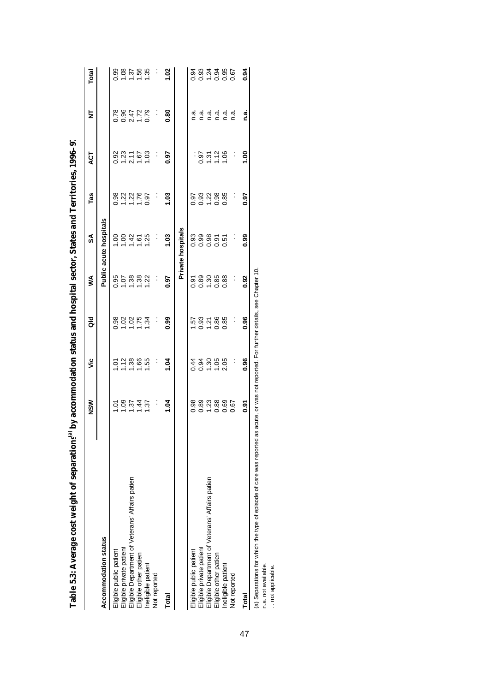|                                                                                                                                       | DY accommodation states and nospital section, states and removement of the states |                  |                   |                 |                               |                                    |                      |                            |       |
|---------------------------------------------------------------------------------------------------------------------------------------|-----------------------------------------------------------------------------------|------------------|-------------------|-----------------|-------------------------------|------------------------------------|----------------------|----------------------------|-------|
|                                                                                                                                       | NSW                                                                               | ئا               | as<br>G           | ≸               | SA                            | Tas                                | <b>LO</b>            | ₹                          | Total |
| Accommodation status                                                                                                                  |                                                                                   |                  |                   |                 | <b>Public acute hospitals</b> |                                    |                      |                            |       |
| Eligible public patient                                                                                                               | $\overline{c}$                                                                    | $\overline{c}$   |                   | 0.95            | $\frac{1}{2}$                 | 0.98                               |                      | 0.78                       | 0.99  |
|                                                                                                                                       |                                                                                   |                  |                   |                 |                               |                                    |                      |                            |       |
| Eligible private patient<br>Eligible Department of Veterans' Affairs patien                                                           | 1.37                                                                              | 1.38             | 88285<br>0705     | 588             | 345                           | $\frac{23}{1} \times \frac{26}{1}$ | 0.32<br>1.23<br>2.11 | 85<br>0.47<br>0.47<br>0.47 | 8.58  |
| Eligible other patient                                                                                                                | 1.44                                                                              | 66.              |                   |                 |                               |                                    | 1.67                 |                            |       |
| Ineligible patient                                                                                                                    | 1.37                                                                              | 55               | 1.34              | $\overline{22}$ | 25                            | 0.97                               | 1.03                 |                            | 1.35  |
| Not reported                                                                                                                          | Ĵ                                                                                 | :                | $\ddot{\cdot}$    | Ĵ               |                               | :                                  | :                    | Ĩ.                         | ļ.    |
| Total                                                                                                                                 | 1.04                                                                              | 1.04             | 0.99              | 0.97            | 1.03                          | 1.03                               | 6.97                 | 0.80                       | 1.02  |
|                                                                                                                                       |                                                                                   |                  |                   |                 | Private hospitals             |                                    |                      |                            |       |
| Eligible public patient                                                                                                               | 0.98                                                                              | 0.44             | $-57$             | 0.91            | 0.93                          | 0.97                               |                      | a.<br>⊂                    | 0.94  |
|                                                                                                                                       | 0.89                                                                              | 0.94             | $0.58$<br>$-0.86$ |                 | 0.99                          |                                    |                      | n a                        |       |
| Eligible private patient<br>Eligible Department of Veterans' Affairs patien                                                           |                                                                                   |                  |                   |                 |                               |                                    |                      | n.a.                       |       |
| Eligible other patient                                                                                                                | $1.23$<br>0.88                                                                    | $7.88$<br>$7.88$ |                   | 0.808           | 0.98                          | $0.88$<br>$-0.88$                  | $0.97$<br>$1.72$     | n.a.                       |       |
| Ineligible patient                                                                                                                    | 0.69                                                                              |                  | 0.85              | 0.88            | 0.51                          | 0.85                               | 1.06                 | n.a.                       | 0.95  |
| Not reported                                                                                                                          | 0.67                                                                              | $\ddot{\cdot}$   | :                 | :               |                               |                                    | $\ddot{\cdot}$       | n.ai                       | 0.67  |
| Total                                                                                                                                 | <u>ଚ</u><br>୦.୨                                                                   | 0.96             | 0.96              | 0.92            | 0.99                          | 0.97                               | $\frac{8}{1}$        | n.a.                       | 0.94  |
| (a) Separations for which the type of episode of care was reported as acute, or was not reported. For further details, see Chapter 10 |                                                                                   |                  |                   |                 |                               |                                    |                      |                            |       |

**Table 5.3: Average cost weight of separations** Table 5.3: Average cost weight of separations<sup>tal</sup> by accommodation status and hospital sector. States and Territories. 1996–9.  **by accommodation status and hospital sector, States and Territories, 1996–97**

n.a. not available.

n.a. not available.<br>. . not applicable. . . not applicable.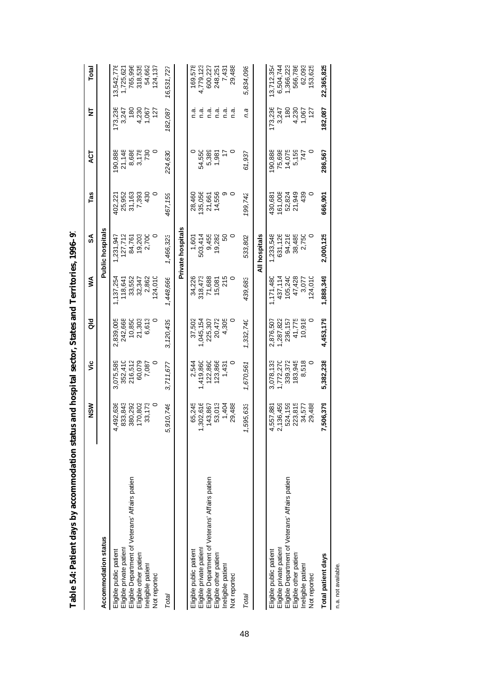| <u>modes</u> for a familiarian                                            |                      | <br> <br> <br>       |                      |                    |                         |                  |                  |                  |                       |
|---------------------------------------------------------------------------|----------------------|----------------------|----------------------|--------------------|-------------------------|------------------|------------------|------------------|-----------------------|
|                                                                           | NSW                  | ئا                   | as<br>G              | ⋚                  | వ్                      | Tas              | 5g               | ₹                | Total                 |
| Accommodation status                                                      |                      |                      |                      |                    | <b>Public hospitals</b> |                  |                  |                  |                       |
| Eligible private patient<br>Eligible public patient                       | 4,492,636<br>833,843 | 3,075,589<br>352,410 | 242,668<br>2,839,005 | 137,254<br>118,641 | 127,712<br>1,231,947    | 25,952<br>402,22 | 90,888<br>21,148 | 173,236<br>3,247 | 3,542,776<br>1,725,62 |
| Eligible Department of Veterans' Affairs patien<br>Eligible other patient | 380,292<br>170,802   | 60,079<br>216,512    | 10,850<br>21,303     | 33,552<br>32,347   | 19,203<br>84,761        | 31,163<br>7,393  | 8,686<br>3,178   | 4,230<br>180     | 765,996<br>318,535    |
| neligible patient<br>Not reported                                         | 33,173<br>0          | $\circ$<br>7,087     | 6,613<br>0           | 2,862<br>24,010    | 2,700                   | 430<br>$\circ$   | 730              | 1,067<br>127     | 54,662<br>124,137     |
| Total                                                                     | 5,910,746            | 3,711,677            | 3,120,439            | 1,448,666          | 1,466,323               | 467,159          | 224.630          | 182,087          | 16,531,727            |
|                                                                           |                      |                      |                      |                    | Private hospitals       |                  |                  |                  |                       |
| Eligible public patient                                                   | 65,245               | 2,544                | 37,502               | 34,226             | 1,601                   | 28,460           |                  | ه.<br>C          | 169,578               |
| Eligible private patient                                                  | 302,616              | 1,419,860            | 1,045,154            | 318,473            | 503,414                 | 135,056          | 54,550           | n a              | 4,779,123             |
| Eligible Department of Veterans' Affairs patien                           | 143,867              | 122,860              | 225,307              | 71,688             | 9,455                   | 21,661           | 5,389            | n.a              | 600,227               |
| Eligible other patient                                                    | 53,013               | 123,866              | 20,472               | 15,081             | 19,282                  | 14,556           | 1,981            | n.a              | 248,251               |
| Ineligible patient                                                        | 1,404                | 1,431                | 4,305                | 215                | SO                      | თ                | 17               | n.a              | 7,431                 |
| Not reported                                                              | 29,488               | 0                    | 0                    | 0                  | 0                       | $\circ$          | $\circ$          | n.a              | 29,488                |
| Total                                                                     | 1,595,633            | 1,670,561            | 1,332,740            | 439,683            | 533,802                 | 199,742          | 61,937           | n.a              | 5,834,098             |
|                                                                           |                      |                      |                      |                    | All hospitals           |                  |                  |                  |                       |
| Eligible public patient                                                   | 4,557,881            | 3,078,133            | 2,876,507            | 1,171,480          | 1,233,548               | 430,681          | 90,888           | 173,236          | 13,712,354            |
| Eligible private patient                                                  | 2,136,459            | 1,772,270            | 1,287,822            | 437,114            | 631,126                 | 161,008          | 75,698           | 3,247            | 6,504,744             |
| Eligible Department of Veterans' Affairs patien                           | 524,159              | 339,372              | 236,157              | 105,240            | 94,216                  | 52,824           | 14,075           | 180              | 1,366,223             |
| Eligible other patient                                                    | 223,815              | 183,945              | 41,775               | 47,428             | 38,485                  | 21,949           | 5,159            | 4,230            | 566,786               |
| neligible patient                                                         | 34,577               | 8,518                | 10,918               | 3,077              | 2,750                   | 439              | 747              | 1,067            | 62,093                |
| Not reported                                                              | 29,488               |                      | $\circ$              | 24,010             | o                       | $\circ$          |                  | 127              | 153,625               |
| Total patient days                                                        | 7,506,379            | 5,382,238            | 4,453,179            | 1,888,349          | 2,000,125               | 666,901          | 286,567          | 182,087          | 22,365,825            |
| n.a. not available.                                                       |                      |                      |                      |                    |                         |                  |                  |                  |                       |

| j             |
|---------------|
|               |
|               |
| j             |
|               |
|               |
|               |
| $\frac{1}{2}$ |
| ֕             |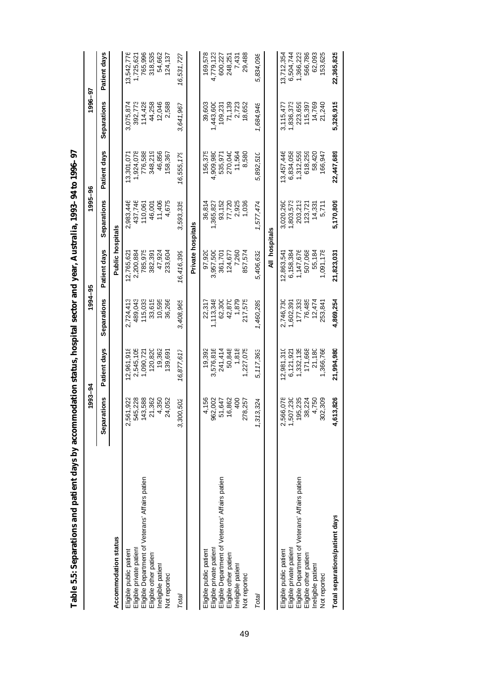| Tanne o.o. pelvarations and pattern uays by attraction |                        |              |             |                         | nomanna status), hospital section (manda in the process of the control of the control of the control of the control of the control of the control of the control of the control of the control of the control of the control o |              |             |              |
|--------------------------------------------------------|------------------------|--------------|-------------|-------------------------|--------------------------------------------------------------------------------------------------------------------------------------------------------------------------------------------------------------------------------|--------------|-------------|--------------|
|                                                        | 1993–94                |              | 1994–95     |                         | 1995-96                                                                                                                                                                                                                        |              | 1996-97     |              |
|                                                        | Separations            | Patient days | Separations | Patient days            | Separations                                                                                                                                                                                                                    | Patient days | Separations | Patient days |
| Accommodation status                                   |                        |              |             | <b>Public hospitals</b> |                                                                                                                                                                                                                                |              |             |              |
|                                                        |                        |              |             |                         |                                                                                                                                                                                                                                |              |             |              |
| Eligible public patient                                | 2,561,922              | 2,961,918    | 2.724.413   | 12,765,621              | 2,983,446                                                                                                                                                                                                                      | 13,301,071   | 3,075,874   | 13,542,776   |
| Eligible private patient                               | 545,228                | 2,545,105    | 489.043     | 2,200,884               | 437,746                                                                                                                                                                                                                        | 1,924,078    | 392,773     | 1,725,621    |
| Eligible Department of Veterans' Affairs patien        | 43,588                 | 1,090,72     | 115,033     | 785,975                 | 110,061                                                                                                                                                                                                                        | 776,588      | 114,428     | 765,996      |
| Eligible other patient                                 | 21,362                 | 120,820      | 33,615      | 382,391                 | 46,001                                                                                                                                                                                                                         | 348,219      | 44,258      | 318,535      |
| Ineligible patient                                     | 4,350                  | 19,362       | 10,595      | 47,924                  | 11,406                                                                                                                                                                                                                         | 46,856       | 12,046      | 54,662       |
| Not reported                                           | 24,052                 | 139,691      | 36,266      | 233,604                 | 4,675                                                                                                                                                                                                                          | 158,367      | 2,588       | 124,137      |
| Total                                                  | 100,502<br>33          | 16,877,617   | 3,408,965   | 16,416,399              | 3,593,335                                                                                                                                                                                                                      | 16,555,179   | 3,641,967   | 16,531,727   |
|                                                        |                        |              |             | Private hospitals       |                                                                                                                                                                                                                                |              |             |              |
| Eligible public patient                                | 4,156                  | 19,392       | 22,317      | 97,920                  | 36,814                                                                                                                                                                                                                         | 156,375      | 39,603      | 169,578      |
| Eligible private patient                               | 962,002                | 3,576,816    | 1,113,348   | 3,957,500               | 1,365,827                                                                                                                                                                                                                      | 4,909,980    | 1,443,600   | 4,779,123    |
| Eligible Department of Veterans' Affairs patien        | 51,647                 | 241,414      | 62,300      | 361,701                 | 93,152                                                                                                                                                                                                                         | 535,97       | 109,231     | 600,227      |
| Eligible other patient                                 | 16,862                 | 50,848       | 42,870      | 124,677                 | 77,720                                                                                                                                                                                                                         | 270,040      | 71,139      | 248,251      |
| Ineligible patient                                     | 400                    | 1,818        | 1,879       | 7,260                   | 2,925                                                                                                                                                                                                                          | 11,564       | 2,723       | 7,431        |
| Not reported                                           | 278.257                | 1,227,075    | 217,575     | 857.574                 | 1,036                                                                                                                                                                                                                          | 8.580        | 18,652      | 29,488       |
| Total                                                  | 13.324<br>1,3          | 5,117,363    | 1,460,289   | 5.406.632               | 1,577,474                                                                                                                                                                                                                      | 5.892.510    | 1,684,948   | 5.834.098    |
|                                                        |                        |              |             | All hospitals           |                                                                                                                                                                                                                                |              |             |              |
| Eligible public patient                                | 2,566,078<br>1,507,230 | 12,981,310   | 2,746,730   | 12,863,541              | 3,020,260                                                                                                                                                                                                                      | 13,457,446   | 3,115,47    | 13,712,354   |
| Eligible private patient                               |                        | 6,121,921    | 1,602,391   | 6,158,384               | 1,803,573                                                                                                                                                                                                                      | 6,834,058    | 1,836,373   | 6,504,744    |
| Eligible Department of Veterans' Affairs patien        | 95,235                 | 1,332,135    | 177,333     | 1,147,676               | 203,213                                                                                                                                                                                                                        | 1,312,559    | 223,659     | 1,366,223    |
| Eligible other patient                                 | 38,224                 | 171,668      | 76,485      | 507,068                 | 123.72                                                                                                                                                                                                                         | 618,259      | 115,397     | 566,786      |
| Ineligible patient                                     | 4,750                  | 21,180       | 12,474      | 55.184                  | 14,331                                                                                                                                                                                                                         | 58,420       | 14,769      | 62,093       |
| Not reported                                           | 802.309                | 1,366,766    | 253,84      | 1,091,178               | 5,711                                                                                                                                                                                                                          | 166.947      | 21,240      | 153,625      |
| Total separations/patient days                         | 4,613,826              | 21,994,980   | 4,869,254   | 21,823,031              | 5,170,809                                                                                                                                                                                                                      | 22,447,689   | 5,326,915   | 22,365,825   |

Table 5.5: Separations and patient days by accommodation status, hospital sector and vear. Australia. 1993–94 to 1996–97 **Table 5.5: Separations and patient days by accommodation status, hospital sector and year, Australia, 1993–94 to 1996–97**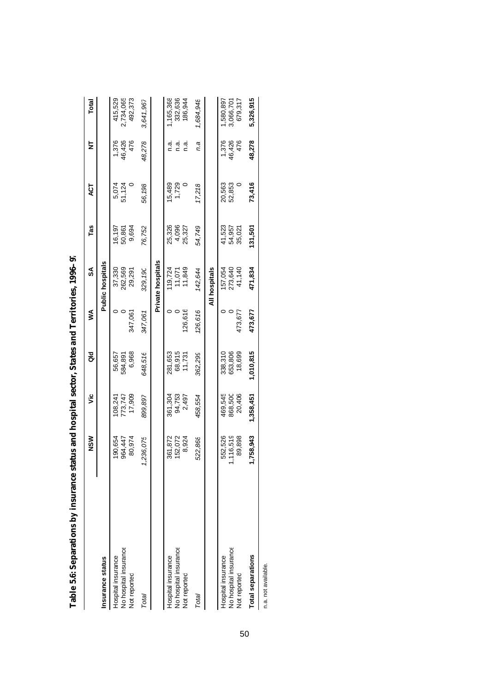|                                                             | $\frac{8}{2}$                | ۊ                            | る                            | ⋚       | వ్                           | Tas                        | ä                | ₫                      | Total                            |
|-------------------------------------------------------------|------------------------------|------------------------------|------------------------------|---------|------------------------------|----------------------------|------------------|------------------------|----------------------------------|
| Insurance status                                            |                              |                              |                              |         | <b>Public hospitals</b>      |                            |                  |                        |                                  |
| No hospital insurance<br>Hospital insurance<br>Not reported | 90,654<br>964,447<br>80,974  | 17,909<br>773,747<br>108,241 | 6,968<br>56,657<br>584,891   | 347,061 | 262,569<br>37,330<br>29,291  | 16,197<br>50,861<br>9,694  | 51,124<br>5,074  | 46,426<br>476<br>1,376 | 415,529<br>2,734,065<br>492,373  |
| Total                                                       | 236,075                      | 899,897                      | 648,516                      | 347,061 | 329,190                      | 76,752                     | 56,198           | 48,278                 | 3,641,967                        |
|                                                             |                              |                              |                              |         | Private hospitals            |                            |                  |                        |                                  |
| No hospital insurance<br>Hospital insurance<br>Not reported | 361,872<br>52,072<br>8,924   | 94,753<br>361,304<br>2,497   | 68,915<br>281,653<br>11,731  | 126,616 | 11,849<br>119,724<br>11,071  | 25,326<br>4,096<br>25,327  | 1,729<br>15,489  | n.a<br>n a<br>ด.<br>C  | ,165,368<br>332,636<br>186,944   |
| Total                                                       | 522,868                      | 458,554                      | 362,299                      | 126,616 | 142,644                      | 54,749                     | 17,218           | n.a                    | 1,684,948                        |
|                                                             |                              |                              |                              |         | All hospitals                |                            |                  |                        |                                  |
| No hospital insurance<br>Hospital insurance<br>Not reported | 552,526<br>116,519<br>89,898 | 469,545<br>868,500<br>20,406 | 653,806<br>18,699<br>338,310 | 473,677 | 273,640<br>41,140<br>157,054 | 41,523<br>54,957<br>35,021 | 52,853<br>20,563 | 1,376<br>46,426<br>476 | 679,317<br>,580,897<br>3,066,701 |
| <b>Total separations</b>                                    | 758,943                      | 1,358,451                    | 1,010,815                    | 473,677 | 471,834                      | 131,501                    | 73,416           | 48,278                 | 5,326,915                        |
| n.a. not available.                                         |                              |                              |                              |         |                              |                            |                  |                        |                                  |

Table 5.6: Separations by insurance status and hospital sector, States and Territories, 1996-97 **Table 5.6: Separations by insurance status and hospital sector, States and Territories, 1996–97**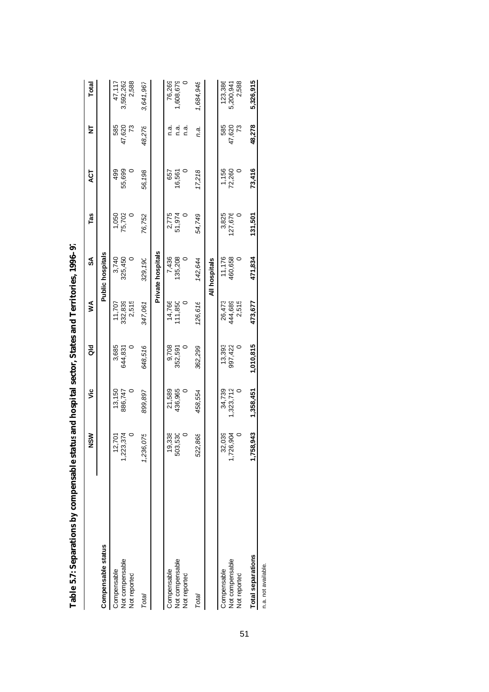|                                                | NSM                      | ۊ                  | ă                      | ⋚                          | S                       | Tas                  | 4ÇT             | ₹                      | Total                         |
|------------------------------------------------|--------------------------|--------------------|------------------------|----------------------------|-------------------------|----------------------|-----------------|------------------------|-------------------------------|
| Compensable status                             |                          |                    |                        |                            | <b>Public hospitals</b> |                      |                 |                        |                               |
| Not compensable<br>Compensable<br>Not reported | 3,374<br>12,701<br>1,223 | 13,150<br>886,747  | 3,685<br>644,831       | 332,839<br>2,515<br>11,707 | 3,740<br>325,450        | 75,702<br>1,050      | 55,699<br>499   | 585<br>47,620<br>ಌ     | 2,588<br>3,592,262<br>47,117  |
| Total                                          | 075<br>1,236             | 899,897            | 648,516                | 347,061                    | 329,19                  | 76,752               | 56,198          | 48,278                 | 3,641,967                     |
|                                                |                          |                    |                        |                            | Private hospitals       |                      |                 |                        |                               |
| Not compensable<br>Compensable<br>Not reported | 338<br>530<br>င္<br>503  | 21,589<br>436,965  | 9,708<br>352,591       | 14,766<br>11,850           | 7,436<br>135,208        | 2,775<br>51,974      | 657<br>16,561   | n.a.<br>n.a<br>ື່<br>⊂ | ,608,679<br>76,269            |
| Total                                          | 398<br>522               | 458,554            | 362,299                | 126,616                    | 142,644                 | 54,749               | 17,218          | n.a.                   | 1,684,948                     |
|                                                |                          |                    |                        |                            | All hospitals           |                      |                 |                        |                               |
| Not compensable<br>Compensable<br>Not reported | 32,039<br>.904<br>1,726  | 34,739<br>,323,712 | 13,393<br>997,422<br>0 | 26,473<br>444,689<br>2,515 | 460,658<br>11,176<br>0  | 27,676<br>3,825<br>0 | 1,156<br>72,260 | 585<br>47,620<br>73    | 123,386<br>2,588<br>5,200,941 |
| <b>Total separations</b>                       | ,943<br>1,758            | 1,358,451          | 1,010,815              | 473,677                    | 471,834                 | 131,501              | 73,416          | 48,278                 | 5,326,915                     |
| n.a. not available.                            |                          |                    |                        |                            |                         |                      |                 |                        |                               |

Table 5.7: Separations by compensable status and hospital sector, States and Territories, 1996-97 **Table 5.7: Separations by compensable statusand hospital sector, States and Territories, 1996–97**

51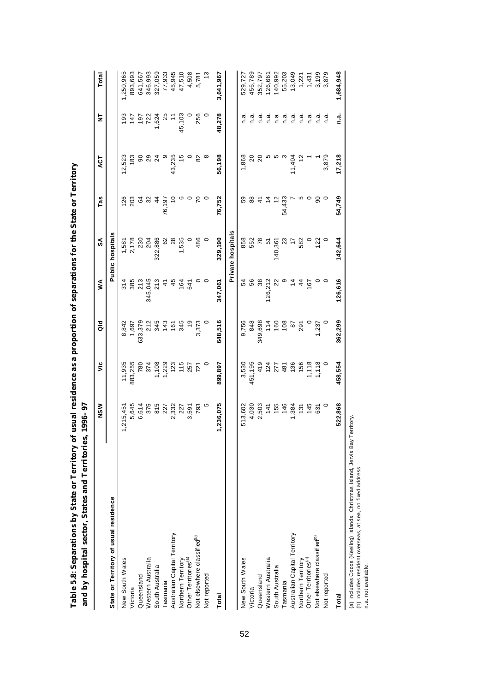| $\ddot{\phantom{a}}$<br>i<br>S<br>$\frac{1}{2}$                                                                                      |                                                                                                                                     |
|--------------------------------------------------------------------------------------------------------------------------------------|-------------------------------------------------------------------------------------------------------------------------------------|
| <b>CASE CARATORS</b><br>֧ׅ֧֚֚֚֚֚֚֚֚֚֚֚֚֚֚֚֚֚֚֚֚֚֚֚֚֚֚֚֚֚֚֚֝֡֟֓֡֡֟֓֡֡֓֡֞֡<br>۱<br>پنج<br>ur le<br>ق<br>ہ<br>ופוצ של פי<br>l<br>ı<br>٥ | ì<br>$\frac{1}{2}$<br>l<br>í<br>F<br>I<br>ı<br>֖֖֖֖֖ׅ֖ׅ֖ׅ֖֧ׅ֖ׅ֖֧֪֪֪ׅ֖֧֪ׅ֪֪֪֪ׅ֪֪֪ׅ֖֧֪֪֪֪֪֪֪ׅ֧֚֚֚֚֚֚֚֚֚֚֚֚֚֚֚֚֚֚֚֚֚֚֚֚֚֚֚֚֚֚֬֕֕֝֝֝֝֝֝ |

|                                                        | NSW       | ۊ       | ă             | ≸       | SA                | Tas         | ACT            | ₫       | Total     |
|--------------------------------------------------------|-----------|---------|---------------|---------|-------------------|-------------|----------------|---------|-----------|
| State or Territory of usual residence                  |           |         |               |         | Public hospitals  |             |                |         |           |
| New South Wales                                        | 1,215,45  | 11,935  | 8,842         | 314     | 1,581             | 126         | 12,523         | 193     | ,250,965  |
| Victoria                                               | 5,645     | 883,255 | 1,697         | 385     | 2,178             | 203         | 183            | 147     | 893,693   |
| Queensland                                             | 6,614     | 780     | 633,379       | 213     | 230               | 64          | 90             | 197     | 641,567   |
| Western Australia                                      | 375       | 374     | 212           | 345,045 | 204               | 32          | 29             | 722     | 346,993   |
| South Australia                                        | 815       | ,108    | 345           | 213     | 322,886           | 4           | $\overline{2}$ | 1,624   | 327,059   |
| Tasmania                                               | 227       | ,229    | 143           | 4       | 62                | 76,197      | တ              | 25      | 77,933    |
| Australian Capital Territory                           | 2,332     | 123     | 161           | 45      | 28                |             | 43,235         | Ξ       | 45,945    |
| Northern Territory<br>Other Territories <sup>(a)</sup> | 227       | 115     | 345           | 164     | 1,535             |             | 15             | 45,103  | 47,510    |
|                                                        | 3,591     | 257     | $\frac{6}{1}$ | 641     |                   |             |                |         | 4,508     |
| Not elsewhere classified <sup>®</sup>                  | 793       | 721     | 3,373         |         | 486               |             | 82             | 256     | 5,781     |
| Not reported                                           | Ю         |         |               |         |                   |             |                |         |           |
| Total                                                  | 1,236,075 | 899,897 | 648,516       | 347,061 | 329,190           | 76,752      | 56,198         | 48,278  | 3,641,967 |
|                                                        |           |         |               |         | Private hospitals |             |                |         |           |
| New South Wales                                        | 513,602   | 3,530   | 9,756         | 54      | 858               | 59          | 1,868          | ة.<br>C | 529,727   |
| Victoria                                               | 4,030     | 451,195 | 848           | 56      | 552               | 88          | $\overline{0}$ | a.<br>C | 456,789   |
| Queensland                                             | 2,503     | 419     | 349,698       | 38      | 78                | A           | $\overline{c}$ | n.a     | 352,797   |
| Western Australia                                      | 141       | 124     | 114           | 126,212 | 5                 |             |                | n.a     | 126,661   |
| South Australia                                        | 155       | 277     | 160           |         | 140,36            | $\tilde{c}$ |                | ة.<br>C | 140,992   |
| <b>Tasmania</b>                                        | 146       | 481     | 108           |         | 23                | 54,433      |                | a.<br>C | 55,203    |
| Australian Capital Territory                           | 1,384     | 136     | $87$          |         |                   |             | 11,404         | a.<br>C | 13,049    |
| Northern Territory<br>Other Territories <sup>(a)</sup> | 131       | 156     | 291           | 4       | 582               |             |                | ة.<br>C | 1,221     |
|                                                        | 145       | 1,118   |               | 167     |                   | O           |                | n.a     | 1,431     |
| Not elsewhere classified <sup>®</sup>                  | 631       | 1,118   | .237          |         | 122               | ဓ           |                | a.<br>C | 3,199     |
| Not reported                                           |           |         |               |         |                   |             | 3,879          | ة.<br>C | 3,879     |
| Total                                                  | 522,868   | 458,554 | 362,299       | 126,616 | 142,644           | 54,749      | 17,218         | n.a.    | 1,684,948 |
|                                                        |           |         |               |         |                   |             |                |         |           |

52

(a) Includes Cocos (Keeling) Islands, Christmas Island, Jervis Bay Territory.<br>(b) Includes resident overseas, at sea, no fixed address.<br>n.a. not available. (a) Includes Cocos (Keeling) Islands, Christmas Island, Jervis Bay Territory.

(b) Includes resident overseas, at sea, no fixed address.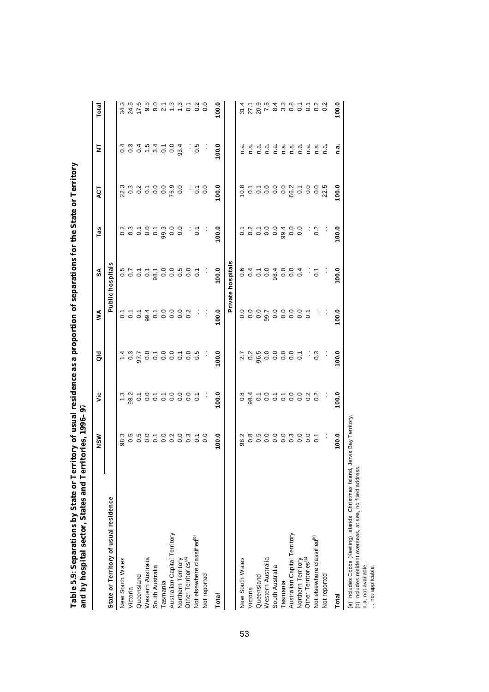| and by hospital sector, States and Ter  | ritories, 1996-97              |       |                   |       |                         |       |                                           |                                                          |                                                             |
|-----------------------------------------|--------------------------------|-------|-------------------|-------|-------------------------|-------|-------------------------------------------|----------------------------------------------------------|-------------------------------------------------------------|
|                                         | NSW                            | š     | aid               | ≶     | æ                       | Tas   | ES                                        | ξ                                                        | Total                                                       |
| State or Territory of usual residence   |                                |       |                   |       | <b>Public hospitals</b> |       |                                           |                                                          |                                                             |
| New South Wales                         |                                |       |                   |       |                         |       |                                           |                                                          |                                                             |
| Victoria                                |                                |       |                   |       |                         |       |                                           |                                                          | 3 4 5<br>3 4 5<br>3 4 5                                     |
| Queensland                              |                                |       |                   |       |                         |       |                                           |                                                          |                                                             |
| Western Australia                       |                                |       |                   |       |                         |       |                                           |                                                          |                                                             |
| South Australia                         |                                |       |                   |       |                         |       |                                           |                                                          |                                                             |
| Tasmania                                |                                |       |                   |       |                         |       |                                           |                                                          |                                                             |
| Australian Capital Territory            |                                |       |                   |       |                         |       |                                           |                                                          |                                                             |
| Northern Territory                      |                                |       |                   |       |                         |       |                                           |                                                          |                                                             |
| Other Territories <sup>(a)</sup>        |                                |       |                   |       |                         |       |                                           |                                                          |                                                             |
| Not elsewhere classified <sup>(b)</sup> | 8<br>8 8 9 9 9 9 9 9 9 9 9 9 9 |       |                   |       |                         |       | $\frac{1}{2}$ $\frac{1}{2}$ $\frac{1}{2}$ |                                                          |                                                             |
| Not reported                            |                                | Ĵ,    | Ĵ,                | Ĵ.    | Ĵ,                      | Ĵ.    |                                           | Ĵ,                                                       |                                                             |
| Total                                   | 100.0                          | 100.0 | 0.001             | 100.0 | 100.0                   | 100.0 | 100.0                                     | 100.0                                                    | 100.0                                                       |
|                                         |                                |       |                   |       | Private hospitals       |       |                                           |                                                          |                                                             |
| New South Wales                         |                                |       |                   |       |                         |       |                                           |                                                          |                                                             |
| Victoria                                |                                |       |                   |       |                         |       |                                           |                                                          |                                                             |
| Queensland                              |                                |       |                   |       |                         |       |                                           |                                                          |                                                             |
| Western Australia                       |                                |       |                   |       |                         |       |                                           |                                                          |                                                             |
| South Australia                         |                                |       |                   |       |                         |       |                                           |                                                          |                                                             |
| Tasmania                                |                                |       |                   |       |                         |       |                                           |                                                          |                                                             |
| Australian Capital Territory            |                                |       |                   |       |                         |       |                                           |                                                          |                                                             |
| Northern Territory                      |                                |       |                   |       |                         |       |                                           | a i a i a i a i a i a i a i a i<br>c c c c c c c c c c c | おたのではとるトインとは、そのことのことには、そのことには、そのことのことには、そのことのことには、そのことのことに、 |
| Other Territories <sup>(a)</sup>        |                                |       |                   |       |                         |       |                                           |                                                          |                                                             |
| Not elsewhere classified <sup>®</sup>   |                                |       |                   |       |                         |       |                                           |                                                          |                                                             |
| Not reported                            |                                | Ĵ     |                   |       | $\frac{1}{\sqrt{2}}$    |       |                                           |                                                          |                                                             |
| Total                                   | $\frac{0}{2}$                  | 100.0 | $\overline{00.0}$ | 100.0 | 0.001                   | 00.0  | 0.001                                     | n.a                                                      | 100.0                                                       |

**Table 5.9: Separations by State or Territory of usual residence as a proportion of separations for the State or Territory**  Table 5.9: Separations by State or Territory of usual residence as a proportion of separations for the State or Territory

53

(a) Includes Cocos (Keeling) Islands, Christmas Island, Jervis Bay Territory.<br>(b) Includes resident overseas, at sea, no fixed address.<br>n.a. not applicable. (a) Includes Cocos (Keeling) Islands, Christmas Island, Jervis Bay Territory.

(b) Includes resident overseas, at sea, no fixed address.

n.a. not available.

. . not applicable.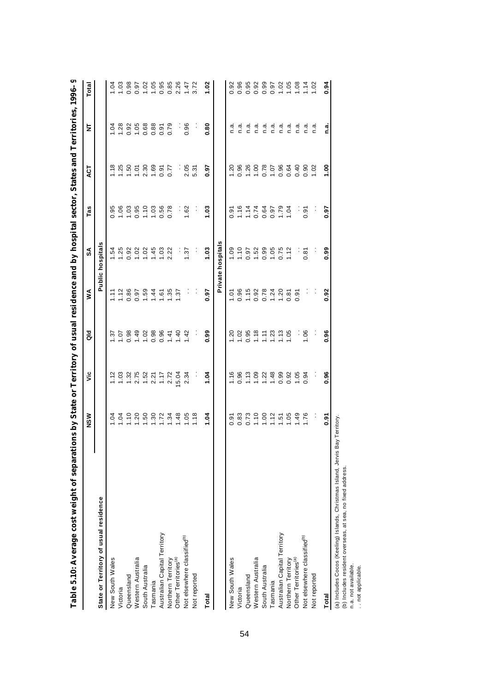| Table 5.10: Average cost weight of separations by State or Territory of usual residence and by hospital sector, States and Territories, 1996–9 |                             |                |                      |                           |                      |                |               |                |                  |
|------------------------------------------------------------------------------------------------------------------------------------------------|-----------------------------|----------------|----------------------|---------------------------|----------------------|----------------|---------------|----------------|------------------|
|                                                                                                                                                | NSW                         | ئا             | as<br>o              | Š                         | SA                   | Tas            | ACT           | 눈              | Total            |
| State or Territory of usual residence                                                                                                          |                             |                |                      |                           | Public hospitals     |                |               |                |                  |
| New South Wales                                                                                                                                | S.                          | Ξ              | $\ddot{\varepsilon}$ | $\overline{11}$           | $-54$                | 0.95           | 1.18          | $-0.1$         | $-0.1$           |
| Victoria                                                                                                                                       | $\overline{5}$              | 1.03           | $\overline{5}$       | 1.12                      | 1.25                 | 0.06           | 1.25          | $\frac{8}{28}$ | 1.03             |
| Queensland                                                                                                                                     | 1.10                        | 1.32           | 0.98                 | 0.86                      | 0.92                 | 1.03           | 1.50          |                | 0.98             |
| Western Australia                                                                                                                              |                             | $2.75$<br>1.52 |                      | 0.97                      | 1.02                 | 0.95           | 1.01          |                | 0.97             |
| South Australia                                                                                                                                | 1.50                        |                | $1.49$<br>$1.02$     | 1.59                      | 1.02                 | 1.10           | 2.30          | 0.968          | 1.02             |
| Tasmania                                                                                                                                       |                             | 2.21           | 0.98                 | 1.44                      | 1.45                 | 1.03           | 1.69          | 0.88           | 1.05             |
| Australian Capital Territory                                                                                                                   | 1.30                        | 1.17           | 0.96                 | 1.61                      | 1.03                 | 0.56           | 0.91          | 0.91           | 0.95             |
| Northern Territory                                                                                                                             | 1.34                        | 2.72           | 1.41                 | 1.35                      | 2.22                 | 0.78           | 0.77          | 0.79           | 0.85             |
| Other Territories <sup>(a)</sup>                                                                                                               | 1.48                        | 15.04          | 1.40                 | 1.37                      | Ì,                   |                | f,            | ł              | 2.26             |
| Not elsewhere classified <sup>®</sup>                                                                                                          | I.05                        | 2.34           | $\frac{42}{3}$       |                           | 1.37                 | 1.62           | 2.05          | 0.96           | 1.47             |
| Not reported                                                                                                                                   | $\frac{8}{1}$               |                |                      |                           |                      |                | 5.31          |                | 3.72             |
| Total                                                                                                                                          | 1.04                        | 1.04           | 0.99                 | 0.97                      | 1.03                 | $\frac{3}{1}$  | 0.97          | 8.0            | 1.02             |
|                                                                                                                                                |                             |                |                      |                           | Private hospitals    |                |               |                |                  |
| New South Wales                                                                                                                                | ত<br>০                      | $\frac{6}{10}$ | $\frac{5}{2}$        | $-1.07$                   | 0.09                 | 0.91           | 1.20          | n.ª            | 0.92             |
| Victoria                                                                                                                                       | 0.83                        | 0.96           | 1.02                 | 0.96                      | 1.10                 | 1.16           | 0.96          | n.a            | 0.96             |
| Queensland                                                                                                                                     |                             | 1.13           | 0.95                 | 1.15                      | 0.97                 |                | 1.26          | n.a.           | 0.95             |
| Western Australia                                                                                                                              | $0.73$<br>$-1.02$<br>$-1.2$ | 0.09           | 1.18                 | $0.92$<br>$0.78$          | 1.52                 | $774$<br>$774$ | 00.1          | n.a            | 0.92             |
| South Australia                                                                                                                                |                             | 1.22           | $\overline{11}$      |                           | 0.99                 |                | 0.78          | n.a.           | 0.99             |
| Tasmania                                                                                                                                       |                             | 1.48           | 1.23                 |                           | 1.05                 | 0.97           | 1.07          | n.a            | 0.97             |
| Australian Capital Territory                                                                                                                   | $1.51$<br>$1.05$            | 0.99           | $1.13$<br>$1.05$     | $1.\overline{24}$<br>1.20 | $0.75$<br>1.12       | 1.79           | 0.64          | n.a            | $1.02$<br>$1.05$ |
| Northern Territory                                                                                                                             |                             | 0.92           |                      | 0.81                      |                      | 1.04           |               | n.a            |                  |
| Other Territories <sup>(a)</sup>                                                                                                               | 1.49                        | 1.05           | ĵ                    | $\tilde{9}$<br>ö          | $\ddot{\phantom{0}}$ | ł,             | 0.40          | a.<br>C        | 1.08             |
| Not elsewhere classified <sup>(b)</sup>                                                                                                        | 1.76                        | 0.94           | 1.06                 |                           | 0.81                 | 0.91           | 0.90          | n.a            | 1.14             |
| Not reported                                                                                                                                   |                             |                |                      |                           |                      |                | 1.02          | n.a            | 1.02             |
| Total                                                                                                                                          | ठ<br>०.                     | 0.96           | 0.96                 | 0.92                      | 0.99                 | 0.97           | $\frac{8}{1}$ | ي<br>آ         | 0.94             |
| j                                                                                                                                              |                             |                |                      |                           |                      |                |               |                |                  |

54

(a) Includes Cocos (Keeling) Islands, Christmas Island, Jervis Bay Territory.<br>(b) Includes resident overseas, at sea, no fixed address.<br>n.a. not applicable. (a) Includes Cocos (Keeling) Islands, Christmas Island, Jervis Bay Territory.

(b) Includes resident overseas, at sea, no fixed address.

n.a. not available.

. . not applicable.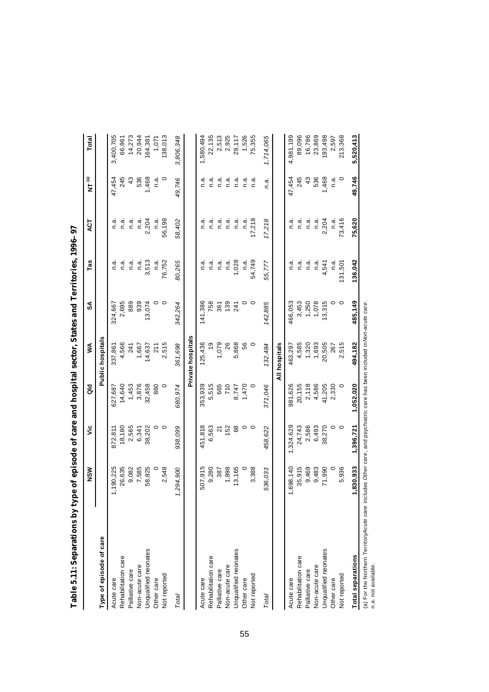| Type of episode of care  | NSW      | ئا              | $\frac{d}{d}$ | ⋚                 | SA      | Tas       | ЪЯ      | $\mathbf{N}$ TM | Total     |
|--------------------------|----------|-----------------|---------------|-------------------|---------|-----------|---------|-----------------|-----------|
|                          |          |                 |               | Public hospitals  |         |           |         |                 |           |
| Acute care               | ,190,225 | 872,811         | 627,687       | 337,861           | 324,667 | a.<br>C   | n.ai    | 47,454          | 3,400,705 |
| Rehabilitation care      | 26,635   | 18,180          | 14,640        | 4,566             | 2,695   | ه.<br>C   | ત<br>⊂  | 245             | 66,961    |
| Palliative care          | 9,082    | 2,565           | 1,453         | 241               | 889     | ة.<br>C   | ત<br>⊂  | 43              | 14,273    |
| Non-acute care           | 7,585    | 6,341           | 3,876         | 1,667             | 939     | ه.<br>C   | n.ai    | 536             | 20,944    |
| Unqualified neonates     | 58,825   | 38,202          | 32,458        | 14,637            | 13,074  | 513<br>က် | 2,204   | 1,468           | 164,381   |
| Other care               |          |                 | 860           | 211               | 0       | ີດ.<br>ເ  | n.ai    | م.<br>C         | 1,071     |
| Not reported             | 2,548    | $\circ$ $\circ$ | $\circ$       | 2,515             | $\circ$ | 76,752    | 56,198  | $\circ$         | 38,013    |
| Total                    | 294,900  | 938,099         | 680.974       | 361,698           | 342,264 | 80,265    | 58,402  | 49,746          | 3,806,348 |
|                          |          |                 |               | Private hospitals |         |           |         |                 |           |
| Acute care               | 507,915  | 451,818         | 353,939       | 125,436           | 141,386 | ດ.<br>C   | ດ.<br>ເ | n.a             | 1,580,494 |
| Rehabilitation care      | 9,280    | 6,563           | 5,515         | $\frac{6}{1}$     | 758     | n.a.      | n.a     | ة.<br>C         | 22,135    |
| Palliative care          | 387      | 21              | 665           | 1,079             | 361     | ີດ.<br>⊂  | ત<br>⊂  | ີ້.<br>ເ        | 2,513     |
| Non-acute care           | 1,898    | 152             | 710           | 26                | 139     | ີດ.<br>⊂  | n.ä     | n.a             | 2,925     |
| Unqualified neonates     | 13,165   | 89              | 8,747         | 5,868             | 241     | 1,028     | n.a     | n.a             | 29,117    |
| Other care               | $\circ$  | $\circ$         | 1,470         | 56                | 0       | n.ai      | n.ä     | n.a             | 1,526     |
| Not reported             | 3,388    | $\circ$         | 0             | 0                 | $\circ$ | 54,749    | 17,218  | n.a             | 75,355    |
| Total                    | 536,033  | 458,622         | 371,046       | 132,484           | 142,885 | 55,777    | 17,218  | n.a.            | 1,714,065 |
|                          |          |                 |               | All hospitals     |         |           |         |                 |           |
| Acute care               | 698,140  | 1,324,629       | 981,626       | 463,297           | 466,053 | ن<br>C    | n.a     | 47,454          | 4,981,199 |
| Rehabilitation care      | 35,915   | 24,743          | 20,155        | 4,585             | 3,453   | a.<br>C   | ત<br>⊂  | 245             | 89,096    |
| Palliative care          | 9,469    | 2,586           | 2,118         | 1,320             | 1,250   | n.a       | n.a     | 43              | 16,786    |
| Non-acute care           | 9,483    | 6,493           | 4,586         | 1,693             | 1,078   | n.a.      | n.a     | 536             | 23,869    |
| Unqualified neonates     | 71,990   | 38,270          | 41,205        | 20,505            | 3,315   | 4,541     | 2,204   | 1,468           | 93,498    |
| Other care               |          | $\circ$         | 2,330         | 267               | 0       | d.<br>⊂   | n.ª     | n.a             | 2,597     |
| Not reported             | 5,936    | $\circ$         | $\circ$       | 2,515             | $\circ$ | 131,501   | 73,416  | $\circ$         | 213,368   |
| <b>Total separations</b> | ,830,933 | 1,396,721       | 1,052,020     | 494,182           | 485,149 | 136,042   | 75,620  | 49,746          | 5,520,413 |

55

 $\epsilon$ **Table 5.11: Separations by type of episode of care and hospital sector, States and Territories, 1996–97**  1000 l, Ŀ,  $\frac{1}{2}$ Г, à J.  $\frac{1}{2}$ É  $\ddot{\phantom{a}}$ j,  $\overline{\phantom{a}}$  $\ddot{\phantom{a}}$ J, ्रं °  $Table 41.$ 

(a) For the Northern Territory*Acute care* includes O*ther care*, and psychiatric care has been included in Non-acute *care*.<br>n.a. not available. (a) For the Northern Territory *Acute care* includes *Other care*, and psychiatric care has been included in *Non-acute care*.

n.a. not available.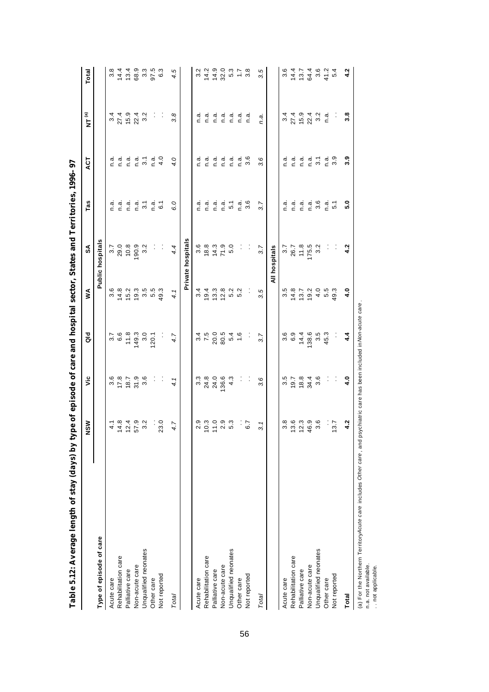| Table 5.12: Average length of stay (days) by type of episode of care and hospital sector, States and Territories, 1996–97 |                                           |                          |                   |              |                           |                  |                  |                     |                  |
|---------------------------------------------------------------------------------------------------------------------------|-------------------------------------------|--------------------------|-------------------|--------------|---------------------------|------------------|------------------|---------------------|------------------|
|                                                                                                                           | NSW                                       | ەر                       | ă                 | ≸            | SA                        | Tas              | 75A              | $\mathbf{NT}^{(a)}$ | Total            |
| Type of episode of care                                                                                                   |                                           |                          |                   |              | <b>Public hospitals</b>   |                  |                  |                     |                  |
| Acute care                                                                                                                | $\frac{1}{4}$                             | 3.6                      |                   | 3.6          |                           | n.a              | n.a              | 3.4                 | $3.\overline{8}$ |
| Rehabilitation care                                                                                                       | 14.8                                      | 17.8                     | ო<br>თა<br>თ      | 14.8         | $3.7$<br>29.0             | n.a              | n.a.             | 27.4                | 14.4             |
| Palliative care                                                                                                           | 12.4                                      | 18.7                     | 11.8              | 15.2         | 10.8                      | n.a              | n.a              | 15.9                | 13.4             |
| Non-acute care                                                                                                            | 57.9                                      | 31.9                     | 149.3             | 19.3         | 90.9                      | n.a.             | n.a              |                     | 68.9             |
| Unqualified neonates                                                                                                      | 3.2                                       | 3.6                      | 3.0               | 3.5<br>5.5   | 3.2                       | 3.1              | $\overline{3}$ . | $22.4$<br>3.2       | $3.\overline{3}$ |
| Other care                                                                                                                |                                           | $\vdots$                 | 20.1              |              | İ,                        | n.a              | n.a.             | ÷                   | 97.5             |
| Not reported                                                                                                              | 23.0                                      | ĵ.                       | ĵ.                | 49.3         | ÷                         | $\overline{6}$ . | 4.0              | ÷                   | 6.3              |
| Total                                                                                                                     | 4.7                                       | 4.1                      | 4.7               | 4.1          | 4.4                       | 6.0              | 4.0              | 3.8                 | 4.5              |
|                                                                                                                           |                                           |                          |                   |              | Private hospitals         |                  |                  |                     |                  |
| Acute care                                                                                                                |                                           | $3.\overline{3}$         |                   | 3.4          |                           | n.a              | n.a              | n.a                 | 3.2              |
| Rehabilitation care                                                                                                       | $2.9$<br>$2.9$<br>$2.9$<br>$1.9$<br>$2.9$ | 24.8                     | $31, 50$<br>$750$ | 19.4         | 0 0 0 1<br>0 0 1<br>1 0 1 | n.a.             | n.a.             | a.<br>C             | 14.2             |
| Palliative care                                                                                                           |                                           | 24.0                     |                   | 13.3         |                           | n.a.             | n.a              | n.a                 | $14.9$<br>32.0   |
| Non-acute care                                                                                                            | 2.3<br>5.3                                | 36.6                     | 80.5              | 12.8         | 71.9                      | n.a.             | n.a              | n.a                 |                  |
| Unqualified neonates                                                                                                      |                                           | 4.3                      | $\frac{6}{4}$ 6   | 5.2          | 5.0                       | $\overline{5}$ . | n.a.             | n.a                 | 5.3              |
| Other care                                                                                                                | ÷                                         | :                        |                   | 5.2          | ÷,                        | n.ai             | n.ai             | a.<br>C             | $\ddot{ }$ :     |
| Not reported                                                                                                              | 6.7                                       | $\vdots$                 |                   |              | :                         | 3.6              | $3.\overline{6}$ | n.a                 | $3.\overline{8}$ |
| Total                                                                                                                     | ω                                         | 3.6                      | 3.7               | 3.5          | 3.7                       | 3.7              | 3.6              | n.a.                | 3.5              |
|                                                                                                                           |                                           |                          |                   |              | All hospitals             |                  |                  |                     |                  |
| Acute care                                                                                                                | 3.8                                       |                          | 3.6               | 3.5          | 3.7                       | n.a              | n.a              | 3.4                 | 3.6              |
| Rehabilitation care                                                                                                       | 13.6                                      | $3.\overline{5}$<br>19.7 | 6.9               | 14.8         | 26.7                      | n.a.             | n.a              | 27.4                | 14.4             |
| Palliative care                                                                                                           | 12.3                                      | 18.8                     | 14.4              | 13.7         | 11.8                      | n.a.             | n.a              | 15.9                | 13.7             |
| Non-acute care                                                                                                            | 46.9                                      | 34.4                     | 38.6              | 19.2         | 175.5                     | n.a.             | n.a              | $22.4$<br>3.2       |                  |
| Unqualified neonates                                                                                                      | 3.6                                       | 3.6                      | $3.5$<br>45.3     | $4.5$<br>5.5 | 3.2                       | 3.6              | $\overline{3}$ . |                     | 64.4<br>3.6      |
| Other care                                                                                                                | :                                         | $\vdots$                 |                   |              | $\vdots$                  | n.a.             | n.a              | n.a                 | 41.2             |
| Not reported                                                                                                              | 3.7                                       | $\vdots$                 |                   | 49.3         | $\vdots$                  | $\overline{5}$   | 3.9              | Ŷ                   | 5.4              |
| Total                                                                                                                     | 4.2                                       | 4.0                      | 4.4               | 4.0          | 4.2                       | 5.0              | 3.9              | 3.8                 | 4.2              |

(a) For the Northern TerritoryAcute care includes O*ther care* , and psychiatric care has been included in*Non-acute care* .<br>n.a. not available.<br>. . not applicable. (a) For the Northern Territory *Acute care* includes *Other care* , and psychiatric care has been included in *Non-acute care* .

n.a. not available.

. . not applicable.

56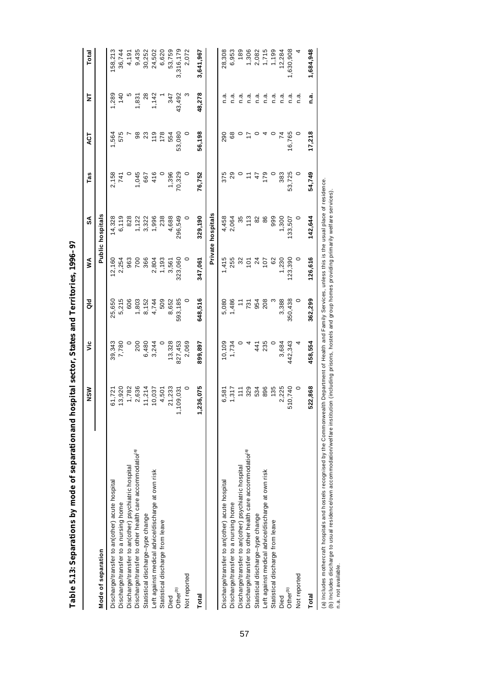| ĺ                                                          |
|------------------------------------------------------------|
|                                                            |
|                                                            |
|                                                            |
|                                                            |
|                                                            |
| I                                                          |
|                                                            |
|                                                            |
|                                                            |
|                                                            |
|                                                            |
| l                                                          |
|                                                            |
|                                                            |
|                                                            |
|                                                            |
|                                                            |
|                                                            |
|                                                            |
|                                                            |
|                                                            |
|                                                            |
|                                                            |
|                                                            |
|                                                            |
|                                                            |
|                                                            |
|                                                            |
| ֖֖֖֖֖֖֖֖֧֖֧֧֪֪֪֧֚֚֚֚֚֚֚֚֚֚֚֚֚֚֚֚֚֚֚֚֚֚֚֚֚֚֚֚֚֚֚֚֬֝֓֞֝֓֞֞֝֬ |
| i                                                          |
|                                                            |
|                                                            |
|                                                            |
| l                                                          |
|                                                            |
|                                                            |
|                                                            |
|                                                            |
|                                                            |
|                                                            |
|                                                            |
| l                                                          |
|                                                            |
|                                                            |
| $\ddot{\phantom{0}}$                                       |
| l                                                          |

|                                                                                                                                                                     | NSW             | ۶Ë      | ă           | ≸              | SA                      | Tas    | 4CT     | ₹       | Total     |
|---------------------------------------------------------------------------------------------------------------------------------------------------------------------|-----------------|---------|-------------|----------------|-------------------------|--------|---------|---------|-----------|
| Mode of separation                                                                                                                                                  |                 |         |             |                | <b>Public hospitals</b> |        |         |         |           |
| Discharge/transfer to an(other) acute hospital                                                                                                                      | 61,721          | 39,343  | 25,650      | 12,160         | 14,328                  | 2,158  | 1,564   | 1,289   | 158,213   |
| Discharge/transfer to a nursing home                                                                                                                                | 13,920          | 7,780   | 5,215       | 2,254          | 6,119                   | 741    | 575     | 140     | 36,744    |
| Discharge/transfer to an(other) psychiatric hospital                                                                                                                | 1,782           |         | 606         | 963            | 828                     |        |         |         | 4,191     |
| Discharge/transfer to other health care accommodation <sup>(a)</sup>                                                                                                | 2,636           | 200     | 1,803       | 700            | 1,122                   | 1,045  | 98      | 1,831   | 9,435     |
| Statistical discharge-type change                                                                                                                                   | 11,214          | 6,480   | 8,152       | 366            | 3,322                   | 667    | 23      | 28      | 30,252    |
| Left against medical advice/discharge at own risk                                                                                                                   | 10,037          | 3,244   | 4,744       | 2,804          | 1,996                   | 416    | 119     | 1,142   | 24,502    |
| Statistical discharge from leave                                                                                                                                    | 4,501           |         | 509         | 1,193          | 238                     |        | 178     |         | 6,620     |
| Died                                                                                                                                                                | 21,233          | 13,328  | 8,652       | 3,561          | 4,688                   | 1,396  | 554     | 347     | 53,759    |
| Other <sup>(b)</sup>                                                                                                                                                | ,109,031        | 827,453 | 593,185     | 323,060        | 296,549                 | 70,329 | 53,080  | 43,492  | 3,316,179 |
| Not reported                                                                                                                                                        | $\circ$         | 2,069   | $\circ$     |                |                         | 0      |         |         | 2,072     |
| Total                                                                                                                                                               | ,236,075        | 899,897 | 648,516     | 347,061        | 329,190                 | 76,752 | 56,198  | 48,278  | 3,641,967 |
|                                                                                                                                                                     |                 |         |             |                | Private hospitals       |        |         |         |           |
| Discharge/transfer to an(other) acute hospital                                                                                                                      | 6,581           | 10,109  | 5,080       | 1,415          | 4,458                   | 375    | 290     | n.a     | 28,308    |
| Discharge/transfer to a nursing home                                                                                                                                | 1,317           | 1,734   | 1,486       | 255            | 2,064                   | 29     | 68      | n.a     | 6,953     |
| Discharge/transfer to an(other) psychiatric hospital                                                                                                                | $\frac{11}{11}$ |         | $\tilde{t}$ | 32             | 35                      |        |         | n.ai    | 189       |
| Discharge/transfer to other health care accommodation <sup>(a)</sup>                                                                                                | 329             |         | 731         | $\overline{5}$ | 113                     |        | 17      | n.a.    | 1,306     |
| Statistical discharge-type change                                                                                                                                   | 534             | 441     | 954         | $^{24}$        | 82                      | 47     | $\circ$ | n.a.    | 2,082     |
| Left against medical advice/discharge at own risk                                                                                                                   | 896             | 235     | 208         | 107            | 86                      | 179    |         | n.a.    | 1,715     |
| Statistical discharge from leave                                                                                                                                    | 135             |         |             | 62             | 999                     |        |         | n.a.    | 1,199     |
| Died                                                                                                                                                                | 2,225           | 3,684   | 3,388       | 1,230          | 1,300                   | 383    |         | n.a     | 12,284    |
| Other <sup>(b)</sup>                                                                                                                                                | 510,740         | 442,343 | 350,438     | 23,390         | 33,507                  | 53,725 | 16,765  | n.a     | 1,630,908 |
| Not reported                                                                                                                                                        | $\circ$         |         | $\circ$     |                |                         | 0      |         | ة.<br>C |           |
| <b>Total</b>                                                                                                                                                        | 522,868         | 458,554 | 362,299     | 126,616        | 142,644                 | 54,749 | 17,218  | n.a.    | 1,684,948 |
| (a) Includes mothercraft hospitals and hostels recognised by the Commonwealth Department of Health and Family Services, unless this is the usual place of residence |                 |         |             |                |                         |        |         |         |           |

(a) includes mothercrait nospitals and nostels recognised by the Commonweath Department or Health and Family Services, unless this is the usual place of residence.<br>(b) Includes discharge to usual residence/own accommodatio (a) Includes mothercraft hospitals and hostels recognised by the Commonwealth Department of Health and Family Services, unless this is the usual place of residence. (b) Includes discharge to usual residence/own accommodation/welfare institution (including prisons, hostels and group homes providing primarily welfare services).

n.a. not available.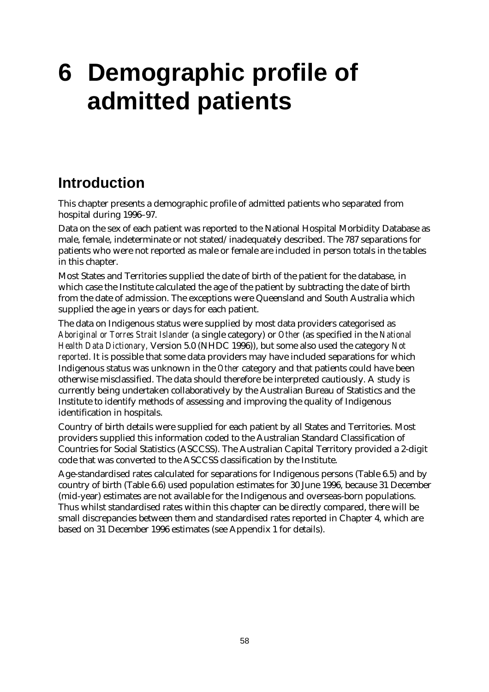# **6 Demographic profile of admitted patients**

## **Introduction**

This chapter presents a demographic profile of admitted patients who separated from hospital during 1996–97.

Data on the sex of each patient was reported to the National Hospital Morbidity Database as male, female, indeterminate or not stated/inadequately described. The 787 separations for patients who were not reported as male or female are included in person totals in the tables in this chapter.

Most States and Territories supplied the date of birth of the patient for the database, in which case the Institute calculated the age of the patient by subtracting the date of birth from the date of admission. The exceptions were Queensland and South Australia which supplied the age in years or days for each patient.

The data on Indigenous status were supplied by most data providers categorised as *Aboriginal or Torres Strait Islander* (a single category) or *Other* (as specified in the *National Health Data Dictionary,* Version 5.0 (NHDC 1996)), but some also used the category *Not reported*. It is possible that some data providers may have included separations for which Indigenous status was unknown in the *Other* category and that patients could have been otherwise misclassified. The data should therefore be interpreted cautiously. A study is currently being undertaken collaboratively by the Australian Bureau of Statistics and the Institute to identify methods of assessing and improving the quality of Indigenous identification in hospitals.

Country of birth details were supplied for each patient by all States and Territories. Most providers supplied this information coded to the Australian Standard Classification of Countries for Social Statistics (ASCCSS). The Australian Capital Territory provided a 2-digit code that was converted to the ASCCSS classification by the Institute.

Age-standardised rates calculated for separations for Indigenous persons (Table 6.5) and by country of birth (Table 6.6) used population estimates for 30 June 1996, because 31 December (mid-year) estimates are not available for the Indigenous and overseas-born populations. Thus whilst standardised rates within this chapter can be directly compared, there will be small discrepancies between them and standardised rates reported in Chapter 4, which are based on 31 December 1996 estimates (see Appendix 1 for details).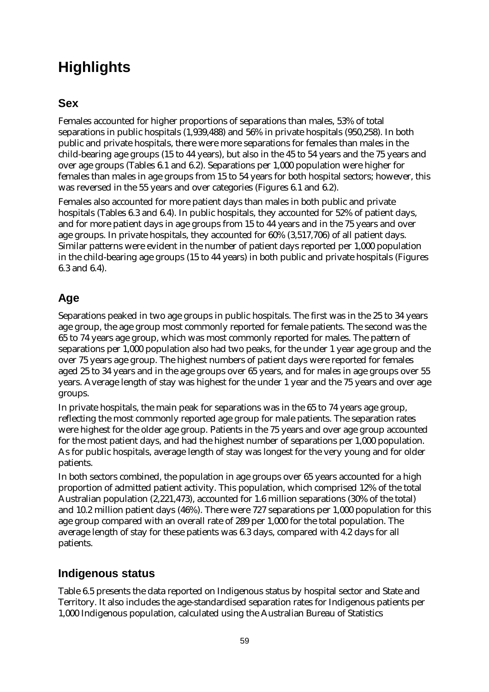# **Highlights**

## **Sex**

Females accounted for higher proportions of separations than males, 53% of total separations in public hospitals (1,939,488) and 56% in private hospitals (950,258). In both public and private hospitals, there were more separations for females than males in the child-bearing age groups (15 to 44 years), but also in the 45 to 54 years and the 75 years and over age groups (Tables 6.1 and 6.2). Separations per 1,000 population were higher for females than males in age groups from 15 to 54 years for both hospital sectors; however, this was reversed in the 55 years and over categories (Figures 6.1 and 6.2).

Females also accounted for more patient days than males in both public and private hospitals (Tables 6.3 and 6.4). In public hospitals, they accounted for 52% of patient days, and for more patient days in age groups from 15 to 44 years and in the 75 years and over age groups. In private hospitals, they accounted for 60% (3,517,706) of all patient days. Similar patterns were evident in the number of patient days reported per 1,000 population in the child-bearing age groups (15 to 44 years) in both public and private hospitals (Figures 6.3 and 6.4).

## **Age**

Separations peaked in two age groups in public hospitals. The first was in the 25 to 34 years age group, the age group most commonly reported for female patients. The second was the 65 to 74 years age group, which was most commonly reported for males. The pattern of separations per 1,000 population also had two peaks, for the under 1 year age group and the over 75 years age group. The highest numbers of patient days were reported for females aged 25 to 34 years and in the age groups over 65 years, and for males in age groups over 55 years. Average length of stay was highest for the under 1 year and the 75 years and over age groups.

In private hospitals, the main peak for separations was in the 65 to 74 years age group, reflecting the most commonly reported age group for male patients. The separation rates were highest for the older age group. Patients in the 75 years and over age group accounted for the most patient days, and had the highest number of separations per 1,000 population. As for public hospitals, average length of stay was longest for the very young and for older patients.

In both sectors combined, the population in age groups over 65 years accounted for a high proportion of admitted patient activity. This population, which comprised 12% of the total Australian population (2,221,473), accounted for 1.6 million separations (30% of the total) and 10.2 million patient days (46%). There were 727 separations per 1,000 population for this age group compared with an overall rate of 289 per 1,000 for the total population. The average length of stay for these patients was 6.3 days, compared with 4.2 days for all patients.

#### **Indigenous status**

Table 6.5 presents the data reported on Indigenous status by hospital sector and State and Territory. It also includes the age-standardised separation rates for Indigenous patients per 1,000 Indigenous population, calculated using the Australian Bureau of Statistics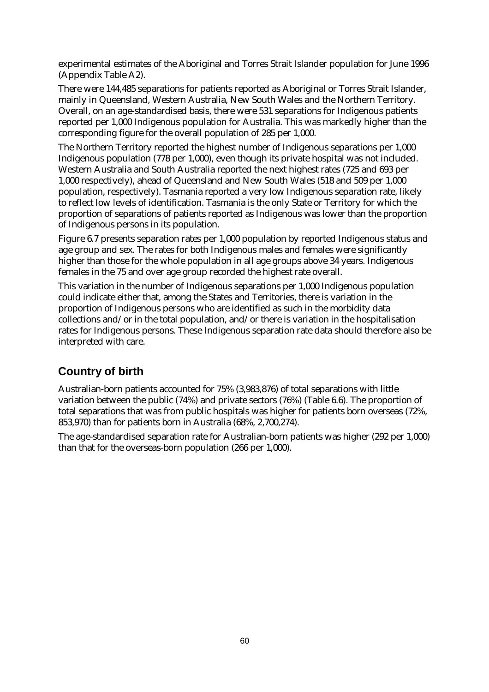experimental estimates of the Aboriginal and Torres Strait Islander population for June 1996 (Appendix Table A2).

There were 144,485 separations for patients reported as Aboriginal or Torres Strait Islander, mainly in Queensland, Western Australia, New South Wales and the Northern Territory. Overall, on an age-standardised basis, there were 531 separations for Indigenous patients reported per 1,000 Indigenous population for Australia. This was markedly higher than the corresponding figure for the overall population of 285 per 1,000.

The Northern Territory reported the highest number of Indigenous separations per 1,000 Indigenous population (778 per 1,000), even though its private hospital was not included. Western Australia and South Australia reported the next highest rates (725 and 693 per 1,000 respectively), ahead of Queensland and New South Wales (518 and 509 per 1,000 population, respectively). Tasmania reported a very low Indigenous separation rate, likely to reflect low levels of identification. Tasmania is the only State or Territory for which the proportion of separations of patients reported as Indigenous was lower than the proportion of Indigenous persons in its population.

Figure 6.7 presents separation rates per 1,000 population by reported Indigenous status and age group and sex. The rates for both Indigenous males and females were significantly higher than those for the whole population in all age groups above 34 years. Indigenous females in the 75 and over age group recorded the highest rate overall.

This variation in the number of Indigenous separations per 1,000 Indigenous population could indicate either that, among the States and Territories, there is variation in the proportion of Indigenous persons who are identified as such in the morbidity data collections and/or in the total population, and/or there is variation in the hospitalisation rates for Indigenous persons. These Indigenous separation rate data should therefore also be interpreted with care.

## **Country of birth**

Australian-born patients accounted for 75% (3,983,876) of total separations with little variation between the public (74%) and private sectors (76%) (Table 6.6). The proportion of total separations that was from public hospitals was higher for patients born overseas (72%, 853,970) than for patients born in Australia (68%, 2,700,274).

The age-standardised separation rate for Australian-born patients was higher (292 per 1,000) than that for the overseas-born population (266 per 1,000).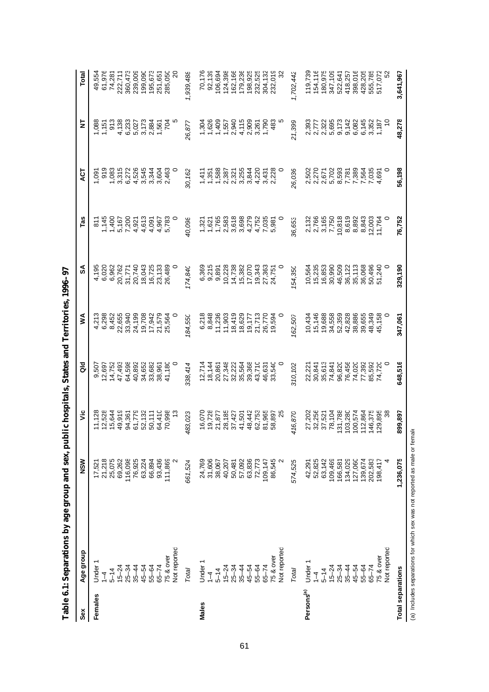| Sex                      | Age group                                                                 | NSW              | υiς     | $\frac{d}{d}$ | ≸       | వ్      | Tas              | 13                    | 보                                                              | Total     |
|--------------------------|---------------------------------------------------------------------------|------------------|---------|---------------|---------|---------|------------------|-----------------------|----------------------------------------------------------------|-----------|
| Females                  | Under                                                                     | 17,52            | 11,128  | 9,507         | 4,213   | 4,195   | $\frac{1}{8}$    | 1,091                 | 088                                                            | 49,554    |
|                          | $\overline{1}$                                                            |                  | 12,528  | 12,697        | 6,298   | 6,020   |                  | 919                   |                                                                | 61,976    |
|                          | $5 - 14$                                                                  | 21,218<br>25,075 | 15,644  | 14,752        | 8,452   | 6,962   | 1,145<br>1,400   |                       | 1,151<br>913                                                   | 74,281    |
|                          | $15 - 24$                                                                 | 69,262           | 49,919  | 47,493        | 22,655  | 20,762  | 5,167            | $\frac{1,083}{3,315}$ | 4,138                                                          | 222,711   |
|                          | $25 - 34$                                                                 | 116,098          | 94,361  | 64,598        | 33,940  | 31,771  | 7,200            | 6,272                 | 6,233<br>5,027                                                 | 360,473   |
|                          | $35 - 44$                                                                 | 76,925           | 61,779  | 40,892        | 24,199  | 20,740  | 4,921            | 4,526                 |                                                                | 239,009   |
|                          | 45-54                                                                     | 63,224           | 52,132  | 34,652        | 19,708  | 18,043  | 4,613            | 3,545                 | 3,173                                                          | 199,090   |
|                          | $55 - 64$                                                                 | 66,894           | 50,111  | 33,682        | 17,942  | 16,725  | 4,091            | 3,344                 |                                                                | 195,673   |
|                          | $65 - 74$                                                                 | 93,436           | 64,410  | 38,961        | 21,579  | 23,133  | 4,967            | 3,604<br>2,463        | 2,884<br>1,561<br>704                                          | 251,651   |
|                          | 75 & over                                                                 | 111,869          | 70,998  | 41,180        | 25,564  | 26,489  | 5,783            |                       |                                                                | 285,050   |
|                          | Not reported                                                              |                  |         |               |         |         |                  |                       |                                                                |           |
|                          | <b>Total</b>                                                              | 661,524          | 483,023 | 338,414       | 184,550 | 174,840 | 40,098           | 30,162                | 26,877                                                         | 1,939,488 |
| Males                    | Under                                                                     | 24,769           | 16,070  | 12,714        | 6,218   | 6,369   | 1,321            |                       |                                                                | 70,176    |
|                          | $\overline{1}$                                                            | 31,606           | 19,728  | 18,144        | 8,848   | 9,215   | 1,621            | $1,411$<br>$1,351$    | 1,304<br>1,626                                                 | 92,139    |
|                          | $5 - 14$                                                                  | 38,067           | 21,877  | 20,861        | 11,236  | 9,891   | 1,765            | 1,588                 |                                                                | 106,694   |
|                          | $15 - 24$                                                                 | 40,207           | 28,185  | 27,348        | 11,903  | 10,228  | 2,583            | 2,387                 | $1,500$<br>$1,500$<br>$1,500$<br>$1,500$<br>$1,500$<br>$1,500$ | 124,398   |
|                          | $25 - 34$                                                                 |                  | 37,427  | 32,222        | 18,419  | 14,738  | 3,618            | 2,321                 |                                                                | 162,166   |
|                          | $35 - 44$                                                                 | 50,481<br>57,092 | 41,501  | 35,564        | 18,629  | 15,382  | 3,698            | 3,255                 |                                                                | 179,236   |
|                          | $45 - 54$                                                                 | 63,836           | 48,442  | 39,368        | 19,177  | 17,070  | 4,279            | 3,844                 |                                                                | 198,925   |
|                          | $55 - 64$                                                                 | 72,773           | 62,753  | 43,710        | 21,713  | 19,343  | 4,752            | 4,220                 | 2,909<br>3,261<br>1,790                                        | 232,525   |
|                          | $65 - 74$                                                                 | 109,147          | 81,965  | 46,631        | 26,770  | 27,363  | 7,035<br>5,981   | 3,431                 |                                                                | 304,132   |
|                          | 75 & over                                                                 | 86,545           | 58,897  | 33,540        | 19,594  | 24,751  |                  | 2,228                 | 483                                                            | 232,019   |
|                          | Not reported                                                              | $\sim$           |         |               |         |         |                  |                       |                                                                |           |
|                          | Total                                                                     | 574,525          | 416,870 | 310,102       | 162,507 | 154,350 | 36,653           | 26,036                | 21,399                                                         | 1,702,442 |
| Persons <sup>(a)</sup>   | Under 1                                                                   |                  | 27,202  | 22,221        | 10,434  | 10,564  |                  |                       |                                                                | 119,739   |
|                          | $1 - 4$                                                                   | 42,291<br>52,825 | 32,256  | 30,841        | 15,146  | 15,235  | 2,132<br>2,766   | 2,502<br>2,270        |                                                                | 154,116   |
|                          | $5 - 14$                                                                  | 63,142           | 37,521  | 35,613        | 19,688  | 16,853  |                  | 2,671                 |                                                                | 180,975   |
|                          | $15 - 24$                                                                 | 109,469          | 78,104  | 74,841        | 34,558  | 30,990  | 3,165<br>7,750   | 5,702                 | 393<br>2723<br>2723<br>2825                                    | 347,109   |
|                          | $25 - 34$                                                                 | 166,581          | 131,788 | 96,820        | 52,359  | 46,509  | 10,818           | 8,593                 |                                                                | 522,641   |
|                          | $35 - 44$                                                                 | 134,029          | 103,280 | 76,456        | 42,828  | 36,122  | 8,619            | 7,781                 | 9,142                                                          | 418,257   |
|                          | 45-54                                                                     | 127,060          | 100,574 | 74,020        | 38,886  | 35,113  | 8,892            | 7,389                 | 6,082                                                          | 398,016   |
|                          | $55 - 64$                                                                 | 139,674          | 112,864 | 77,392        | 39,655  | 36,068  | 8,843            | 7,564                 | 6,145                                                          | 428,205   |
|                          | $65 - 74$                                                                 | 202,583          | 146,375 | 85,592        | 48,349  | 50,496  | 12,003<br>11,764 | 7,035                 | 3,352<br>1,187                                                 | 555,785   |
|                          | 75 & over                                                                 | 198,417          | 129,895 | 74,720        | 45,158  | 51,240  |                  | 4,691                 |                                                                | 517,072   |
|                          | Not reported                                                              |                  | 38      |               |         |         |                  |                       |                                                                |           |
| <b>Total separations</b> |                                                                           | 1,236,075        | 899,897 | 648,516       | 347,061 | 329,190 | 76,752           | 56,198                | 48,278                                                         | 3,641,967 |
|                          | (a) Includes separations for which sex was not reported as male or female |                  |         |               |         |         |                  |                       |                                                                |           |

Table 6.1: Separations by age group and sex, public hospitals, States and Territories, 1996-97 **Table 6.1: Separations by age group and sex, public hospitals, States and Territories, 1996–97**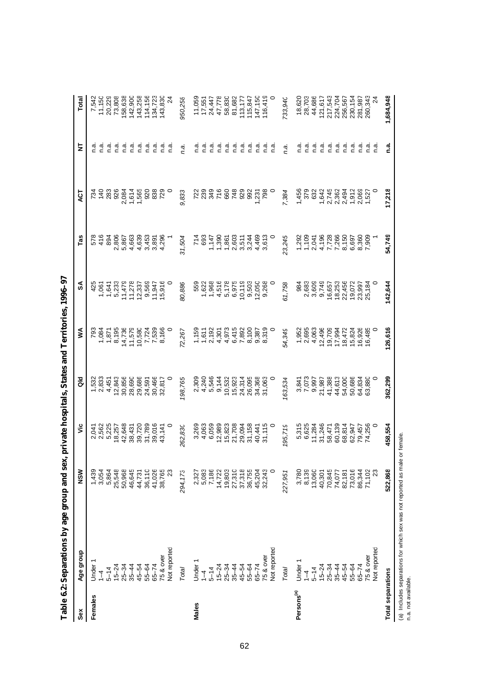| Females                  | Age group                | NSW     | υã                               | $\frac{6}{9}$    | ⋚                                                       | SA                                    | Tas                            | 75                      | k               | Total              |
|--------------------------|--------------------------|---------|----------------------------------|------------------|---------------------------------------------------------|---------------------------------------|--------------------------------|-------------------------|-----------------|--------------------|
|                          | Under                    | 1,439   | 2,041                            | 1,532            | 793                                                     | 425                                   | 578                            | 734                     | n.a             | 7,542              |
|                          | $\bar{1}$                | 3,054   | 2,562                            | 2,833            | 1,084                                                   | 1,061                                 | 416                            | $\frac{40}{283}$        | ີ ຕ.            | 11,150             |
|                          | $5 - 14$                 | 5,864   | 5,225                            | 4,451            | 1,871                                                   | 1,641                                 | 894                            |                         | ਟ<br>ਪ          | 20,229             |
|                          | $15 - 24$                | 25,548  |                                  | 12,843           | 8,195                                                   | 5,233                                 | 2,806                          | 926                     | ີ້.<br>ດ        | 73,808             |
|                          | $25 - 34$                | 50,968  | 18,257<br>42,648                 | 30,856           |                                                         |                                       | 5,867                          |                         |                 |                    |
|                          | $35 - 44$                | 46,645  | 38,431                           | 28,690           | 14,736<br>11,579                                        | 11,479<br>11,278                      | 4,663                          |                         | פֹפֹפֿ<br>פֿבׄב | 158,638<br>142,900 |
|                          | 45-54                    | 44,731  | 39,720                           | 29,686           | $\begin{array}{c} 10,580 \\ 7,724 \\ 7,539 \end{array}$ | $12,337$<br>9,569<br>11,947<br>15,916 | 4,639                          |                         |                 | 143,258            |
|                          | 55-64                    | 36,110  | 31,789                           | 24,591<br>30,466 |                                                         |                                       | 3,453                          |                         |                 | 114,156            |
|                          | $65 - 74$                | 41,026  | 39,016                           |                  |                                                         |                                       | 3,891<br>4,296                 |                         | ਾਂ<br>ਪੰ        | 134,723            |
|                          | 75 & over                | 38,765  | 43,141                           | 32,817           | 8,166                                                   |                                       |                                |                         | ີ ຕ.            | 143,830            |
|                          | Not reported             | 23      |                                  |                  |                                                         |                                       |                                |                         | ္က              |                    |
|                          | Total                    | 294,173 | 262,830                          | 198,765          | 72,267                                                  | 80,886                                | 31,504                         | 9,833                   | n.a.            | 950,256            |
| Males                    | Under                    | 2,327   | 3,269                            | 2,309            |                                                         | 559                                   | 714                            |                         | n.a             | 11,059             |
|                          | $\overset{+}{\lrcorner}$ | 5,083   | 4,063                            |                  | $1,159$<br>$1,611$                                      | 1,622                                 | 693                            |                         | ີ ຕ.            | 17,551             |
|                          | $5 - 14$                 | 7,186   | 6,059                            | 4,240<br>5,546   | 2,192                                                   | 1,968                                 | 1,147                          |                         | n.a             | 24,447             |
|                          | $15 - 24$                | 14,722  |                                  | 9,144            | 4,301                                                   | 4,516                                 | 1,390                          |                         | ີ້.<br>ດ        | 47,778             |
|                          | $25 - 34$                | 19,803  | $12,989$<br>$15,823$<br>$21,708$ | 10,532           | 4,973                                                   | 5,178                                 | 1,861<br>2,603                 | 660                     | ດ.<br>⊂         | 58,830             |
|                          | $35 - 44$                | 27,310  |                                  | 15,923           |                                                         | 6,975                                 |                                | 748                     | ດ.<br>⊂         | 81,682             |
|                          | 45-54                    | 37,318  | 29,094                           | 24,314           | 6,415<br>7,892                                          | 10,119                                | 511<br>51465<br>61465<br>61466 |                         | ຼີ<br>ເ         | 113,177<br>115,847 |
|                          | 55-64                    | 36,755  | 31,158                           | 26,095           |                                                         | 9,503                                 |                                |                         | ີ້.<br>ດ        |                    |
|                          | $65 - 74$                | 45,204  | 40,441<br>31,115                 | 34,368           | 8,100<br>0.387<br>8,319                                 | 12,050<br>9,268                       |                                | 992<br>1,231<br>798     | n.a             | 147,150            |
|                          | 75 & over                | 32,243  |                                  | 31,063           |                                                         |                                       |                                |                         | ີ ຕຸ            | 116,419            |
|                          | Not reported             | 0       |                                  |                  |                                                         |                                       |                                |                         | n.a             |                    |
|                          | Total                    | 227,951 | 195,719                          | 63,534           | 54,349                                                  | 61,758                                | 3,245                          | 7,384                   | n.a.            | 733,940            |
| Persons <sup>(a)</sup>   | Under                    | 3,780   |                                  |                  |                                                         | 984                                   | 1,292                          | 1,456                   |                 | 18,620             |
|                          | $\frac{1}{4}$            | 8,139   | 5,315<br>6,625                   | 3,841<br>7,073   | 1,952<br>2,695                                          |                                       | 1,109                          | 379                     | aiai<br>⊂⊂      | 28,703             |
|                          | $5 - 14$                 | 13,060  | 11,284                           | 9,997            | 4,063                                                   | 2,683<br>3,609<br>9,749               | 2,041<br>4,196<br>7,728        | 632                     | ີ້.<br>ດ        | 44,686             |
|                          | $15 - 24$                | 40,301  | 31,246                           | 21,987           | 12,496                                                  |                                       |                                | 1,642                   | ਟੂੰ             | 121,617            |
|                          | $25 - 34$                | 70,845  | 58,471                           | 41,388           | 19,709                                                  | 16,657                                |                                | 2,745                   | n.a             | 217,543            |
|                          | $35 - 44$                | 74,077  | 60,139                           | 44,613           | 17,994                                                  | 18,253                                |                                |                         |                 |                    |
|                          | 45–54                    | 82,181  | 68,814                           | 54,000           | 18,472                                                  | 22,456                                | 7,266<br>8,150                 |                         |                 | 224,704<br>256,567 |
|                          | 55-64                    | 73,016  | 62,947                           | 50,686           | 15,824                                                  | 19,072                                | 6,697                          | 2,362<br>2,494<br>1,912 |                 | 230,154            |
|                          | $65 - 74$                | 86,344  | 79,457<br>74,256                 | 64,834           | 16,926                                                  | 23,997                                | 8,360<br>7,909                 | 2,069                   | ם בכככ<br>הככככ | 281,987            |
|                          | 75 & over                | 71,102  |                                  | 63,880           | 16,485                                                  | 25,184                                |                                |                         |                 | 260,343            |
|                          | Not reported             | 23      |                                  |                  |                                                         |                                       |                                |                         | n.a             |                    |
| <b>Total separations</b> |                          | 522,868 | 458,554                          | 362,299          | 126,616                                                 | 142,644                               | 54,749                         | 17,218                  | n.a             | 1,684,948          |

Table 6.2: Separations by age group and sex, private hospitals, States and Territories, 1996–97 **Table 6.2: Separations by age group and sex, private hospitals, States and Territories, 1996–97**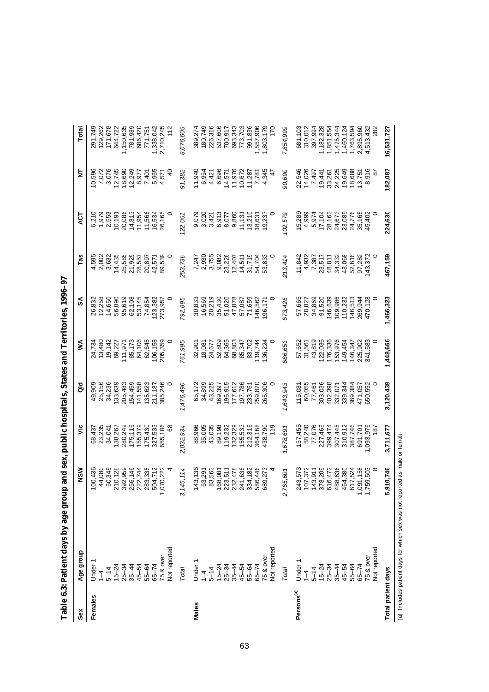|                        | more near for climin in the state | umu www.pum            |                  | The transportance of |           |                  |                   |                                      |                 |                        |
|------------------------|-----------------------------------|------------------------|------------------|----------------------|-----------|------------------|-------------------|--------------------------------------|-----------------|------------------------|
| Sex                    | Age group                         | NSW                    | ئ                | ă                    | ⋚         | వ్               | Tas               | হ                                    | 능               | Total                  |
| Females                | Under                             | 100,436                |                  | 49,909               | 24,734    | 26,832           |                   |                                      |                 | 291,749                |
|                        | $\frac{1}{4}$                     | 44,080                 | 68,437<br>23,235 | 25,156               | 13,480    | 12,258           | 4,595<br>2,002    | 6,210<br>1,979                       | 10,596<br>7,072 |                        |
|                        | $5 - 14$                          | 60,348                 | 34,041           | 34,236               | 19,142    | 14,650           | 3,632             | 2,553                                | 3,076           | 129,262<br>171,678     |
|                        | $15 - 24$                         | 210,128                | 138,267          | 133,639              | 69,227    |                  | 14,435            | 10,191                               | 12,745          | 644,722                |
|                        | $25 - 34$                         | 392,959                | 280,242          | 205,483              | 111,971   | 56,090<br>95,619 | 25,585            | 20,086                               | 18,690          | 1,150,635              |
|                        | $35 - 44$                         | 256,146                | 175,116          | 154,459              | 85,173    | 62,108           | 21,925            | 14,813                               | 12,249          | 781,989                |
|                        | 45-54                             | 222,744                | 155,379          | 141,558              | 64,106    | 53,145           | 28,557            | 11,954<br>11,566                     | 8,977           | 686,420                |
|                        | 55-64                             | 283,335                | 175,430          | 135,623              | 62,645    | 74,854           | 20,897            |                                      | 7,401           | 771,751                |
|                        | $65 - 74$                         | 504,712                | 327,533          | 211,187              | 106,158   | 123,382          | 42,571            | 16,534                               | 5,965           | 1,338,042              |
|                        | 75 & over                         | 1,070,222              | 655,186          | 385,246              | 205,359   | 273,957          | 89,539            | 26,165                               | 4,571           | 2,710,245              |
|                        | Not reported                      |                        |                  |                      |           |                  |                   |                                      | $\frac{1}{2}$   |                        |
|                        | Total                             | 145,114<br>$\infty$    | 2,032,934        | ,476,496             | 761,995   | 792,895          | 153,738           | (22,05)                              | 91,382          | 8,676,605              |
| Males                  | Under                             | 143,136                | 88,966           | 65,172               | 32,901    | 30,833           | 7,247             | 9,079                                | 11,940          | 389,274                |
|                        | $\frac{1}{4}$                     | 63,291                 | 35,005           | 34,899               | 18,081    | 16,569           | 2,930             | 3,020                                | 6,954           | 180,749                |
|                        | $5 - 14$                          | 83,563                 | 43,035           | 43,225               | 24,677    | 20,219           | 3,755             | 3,421                                | 4,421           | 226,316                |
|                        | $15 - 24$                         | 168,081                | 89,198           | 169,397              | 52,809    | 35,430           | 9,082             | 6,913                                | 6,696           | 537,606                |
|                        | $25 - 34$                         | 223,511                | 119,232          | 196,915              | 64,365    | 51,020           | 23,226            | 8,077                                | 14,571          | 700,917                |
|                        | $35 - 44$                         | 232,478                | 132,329          | 177,612              | 68,803    | 47,878           | 12,407            | 9,860                                | 11,976          | 693,343                |
|                        | 45-54                             | 241,636                | 155,533          | 197,786              | 85,347    | 57,087           | 14,511            | 11,131                               | 10,672          | 773,703                |
|                        | 55-64                             | 334,182                | 212,316          | 233,76               | 83,702    | 71,659           | 31,719            | 13,210                               | 11,287          | 991,836                |
|                        |                                   | 586,446                | 364,168          | 259,870              | 19,744    | 46,562           | 54,704            | 18,631                               |                 | ,557,906               |
|                        | 65-74<br>75 & over                | 689,273                | 438,790          | 265,306              | 36,224    | 196,171          | 53,833            | 19,237                               | 7,781<br>4,345  | 803,179                |
|                        | Not reported                      |                        | 119              |                      |           |                  |                   |                                      | 47              | 170                    |
|                        | Total                             | 765,60<br>$\alpha$     | 1,678,691        | 1,643,943            | 586,653   | 573,428          | 213,414           | 02,579                               | 90,690          | 7,854,999              |
| Persons <sup>(a)</sup> | Under                             | 243,573                | 157,455          | 115,081              | 57,652    | 57,665           | 11,842            | 15,289                               | 22,546          | 681,103                |
|                        | $\frac{1}{4}$                     | 107,372                | 58,240           | 60,055               | 31,561    | 28,827           | 4,932             | 4,999                                | 14,026          | 310,012                |
|                        | $5 - 14$                          | 143,911                | 77,076           | 77,461               | 43,819    | 34,869           | 7,387             | 5,974                                | 7,497           | 397,994                |
|                        | $15 - 24$                         | 378,209                | 227,465          | 303,036              | 122,036   | 91,520           | 23,517            | 17,104                               | 19,441          | 1,182,328              |
|                        | $25 - 34$                         | 616,472                | 399,474          | 402,398              | 176,336   | 146,639          | 48,811            | 28,163                               | 33,261          | 1,851,554              |
|                        | $35 - 44$                         | 488,636                | 307,445          | 332,071              | 153,976   | 109,986          | 34,332            |                                      | 24,225          | 1,475,344              |
|                        | 45-54                             | 464,380                | 310,912          | 339,344              | 149,454   | 110,232          | 43,068            | 24,673<br>23,085<br>24,776<br>35,165 | 19,649          | 1,460,124              |
|                        | 55-64                             | 617,524                | 387,746          | 369,384              | 146,347   | 146,513          | 52,616            |                                      | 18,688          | 1,763,594              |
|                        | $65 - 74$                         | 1,091,158<br>1,759,503 | 691,701          | 471,057<br>650,552   | 225,902   | 269,944          | 97,282<br>143,372 |                                      | 13,751          | 2,895,960<br>4,513,432 |
|                        | 75 & over                         |                        | ,093,976         |                      | 341,583   | 470,128          |                   | 45,402                               | 916             |                        |
|                        | Not reported                      |                        | $\overline{8}$   |                      |           |                  |                   |                                      | 56              | 282                    |
| Total patient days     |                                   | 5,910,746              | 3,711,677        | 3,120,439            | 1,448,666 | 1,466,323        | 467,159           | 224,630                              | 182,087         | 16,531,727             |

| י<br>י                                |
|---------------------------------------|
|                                       |
|                                       |
|                                       |
|                                       |
|                                       |
| $\begin{array}{c} \hline \end{array}$ |
|                                       |
|                                       |
|                                       |
| I<br>.<br> <br> <br>Ċ<br>ı            |
| ī                                     |

(a) Includes patient days for which sex was not reported as male or female

(a) Includes patient days for which sex was not reported as male or female

63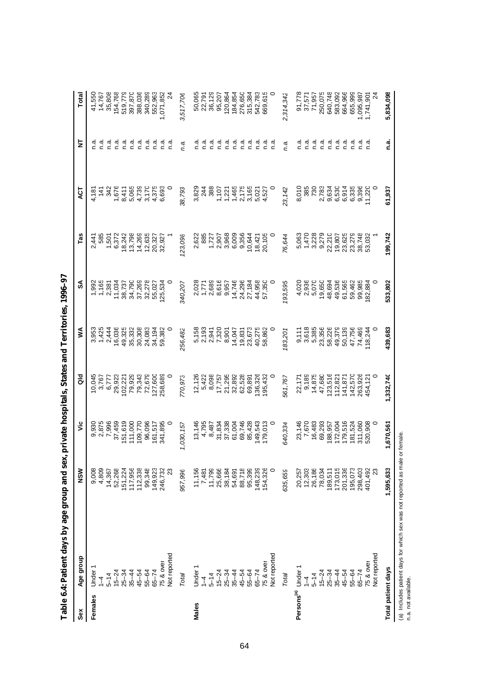| Sex                    | Age group      | NSW              | ۶Ë             | <b>Ja</b>        | Š                  | SA                                                      | Tas            | ă                                           | 눙         | Total            |
|------------------------|----------------|------------------|----------------|------------------|--------------------|---------------------------------------------------------|----------------|---------------------------------------------|-----------|------------------|
| Females                | Under          | 9,008            | 9,930          | 10,045           | 3,953              | 1,992                                                   | 2,441          | 4,181                                       | n.a       | 41,550           |
|                        | $\overline{1}$ | 4,809            |                | 3,767            | 1,425              |                                                         | 585            | 141                                         | ة.<br>C   | 14,767           |
|                        | $5 - 14$       | 14,367           | 2,875<br>7,996 | 6,777            | 2,444              | $\begin{array}{c} 1,165 \\ 2,381 \\ 11,034 \end{array}$ | 1,501          | 342                                         | n.a.      | 35,808           |
|                        | $15 - 24$      | 52,268           | 37,459         | 29,923           | 16,036             |                                                         | 6,372          |                                             | نه<br>C   | 154,768          |
|                        | $25 - 34$      | 151,224          | 151,619        | 102,221          | 49,325<br>35,332   |                                                         | 18,242         |                                             | ര്.<br>ല  | 519,779          |
|                        | $35 - 44$      | 117,956          | 111,000        | 79,929           |                    |                                                         | 13,798         |                                             | n.a       | 397,870          |
|                        | $45 - 54$      | 112,338          | 109,770        | 79,343           | 30,308             | 38,737<br>34,790<br>37,269                              | 14,269         | $7,676$<br>8,411<br>8,065<br>4,739<br>4,739 | ີ້.<br>ຕ  | 388,036          |
|                        | $55 - 64$      | 99,348           | 96,096         | 72,679           | 24,083             | 32,278                                                  | 12,635         | 3,170                                       | .<br>C    | 340,289          |
|                        | $65 - 74$      | 149,923          | 161,517        | 127,600          | 34,194             | 55,027                                                  | 20,327         | 4,375                                       | ດ.<br>ເ   | 552,963          |
|                        | $75$ & over    | 246,732          | 341,895        | 258,689          | 59,382             | 25,534                                                  | 32,927         | 6,693                                       | n.a       | ,071,852         |
|                        | Not reported   | 23               |                |                  |                    |                                                         |                |                                             | n.a       |                  |
|                        | Total          | 957,996          | 1,030,157      | 770,973          | 256,482            | 340,207                                                 | 123,098        | 38,793                                      | n.a.      | 3,517,70e        |
| Males                  | Under          | 11,156           | 13,146         | 12,126           | 5,158              | 2,028                                                   | 2,622          | 3,829                                       | ة.<br>C   | 50,065           |
|                        | $\overline{1}$ | 7,481            | 4,795          | 5,422            | 2,193              | 1,771                                                   | 885            | 244                                         | ີ້.<br>ດ  | 22,791           |
|                        | $5 - 14$       |                  | 8,487          | 8,098            |                    | 2,689<br>8,616                                          |                | 388                                         | n.a       |                  |
|                        | $15 - 24$      | 11,799<br>25,666 | 31,834         | 17,757           | 2,941<br>7,320     |                                                         | 1,727<br>2,907 | 1,107                                       | ຼີ<br>ເ   | 36,129<br>95,207 |
|                        | $25 - 34$      | 38,184           | 37,338         | 21,295           | 8,901              | 9,957                                                   | 3,968          |                                             | n.ai      | 120,864          |
|                        | $35 - 44$      | 54,691           | 61,004         | 32,892<br>62,528 | 14,047             | 14,746                                                  | 6,009          |                                             | ດ.<br>C   | 184,854          |
|                        | $45 - 54$      | 88,718           | 69,746         |                  | 19,831             | 24,296<br>27,184                                        | 9,356          |                                             | n.ai      | 276,650          |
|                        | $55 - 64$      | 95,399           | 85,428         | 69,891           | 23,673             |                                                         | 10,644         |                                             | ة.<br>C   | 315,384          |
|                        | $65 - 74$      | 148,239          | 149,543        | 136,326          | 40,275<br>58,862   | 44,958<br>57,350                                        | 18,421         | 1,221<br>1,465<br>1,465<br>1,527<br>1,527   | n.ai      | 542,783          |
|                        | 75 & over      | 154,326          | 179,013        | 195,432          |                    |                                                         | 20,105         |                                             | n.a       | 669,615          |
|                        | Not reported   | $\circ$          |                |                  |                    |                                                         |                |                                             | n.a       |                  |
|                        | Total          | 635,659          | 540,334        | 561,767          | 83,201             | 193,595                                                 | 76,644         | 23,142                                      | ņ.a.      | 314,342          |
| Persons <sup>(a)</sup> | Under          |                  | 23,146         | 22,171           |                    | 4,020                                                   | 5,063          | 8,010                                       | ة.<br>C   | 91,778           |
|                        | $\overline{1}$ | 20,257<br>12,303 | 7,670          | 9,189            | $9,111$<br>$3,618$ | 2,936                                                   | 1,470          | 385                                         | ດ.<br>C   | 37,571           |
|                        | $5 - 14$       | 26,186           | 16,483         | 14,875           | 5,385              | 5,070                                                   | 3,228          | 730                                         | n.a       | 71,957           |
|                        | $15 - 24$      | 78,034           | 69,293         | 47,680           | 23,356             | 19,650                                                  | 9,279          | 2,783                                       | ດ.<br>C   | 250,075          |
|                        | $25 - 34$      | 189,511          | 188,957        | 123,516          | 58,226             | 48,694                                                  | 22,210         | 9,634                                       | ਟ<br>ਪ    | 640,748          |
|                        | $35 - 44$      | 173,015          | 172,004        | 112,821          | 49,379             | 49,536                                                  | 19,807         | 6,530                                       | ຼີ<br>ດ   | 583,092          |
|                        | $45 - 54$      | 201,336          | 179,516        | 141,871          | 50,139             | 61,565                                                  | 23,625         | 6,914                                       | aiai<br>c | 664,966          |
|                        | $55 - 64$      | 195,073          | 181,524        | 142,570          | 47,756             | 59,462                                                  | 23,279         | 6,335                                       |           | 655,999          |
|                        | $65 - 74$      | 298,403          | 311,060        | 263,926          | 74,469             | 99,985                                                  | 38,748         | 9,396                                       | ຼີ<br>ເ   | 1,095,987        |
|                        | 75 & over      | 401,492          | 520,908        | 454,121          | 18,244             | 82,884                                                  | 53,032         | 11,220                                      | n.a       | 1,741,901        |
|                        | Not reported   | 23               |                |                  |                    |                                                         |                |                                             |           |                  |
| Total patient days     |                | 1,595,633        | 1,670,561      | 1,332,740        | 439,683            | 533,802                                                 | 199,742        | 61,937                                      | n.a       | 5,834,098        |
|                        |                |                  |                |                  |                    |                                                         |                |                                             |           |                  |

Table 6.4: Patient days by age group and sex, private hospitals, States and Territories, 1996-97 **Table 6.4: Patient days by age group and sex, private hospitals, States and Territories, 1996–97**

(a) Includes patient days for which sex was not reported as male or female.<br>n.a. not available. (a) Includes patient days for which sex was not reported as male or female.

n.a. not available.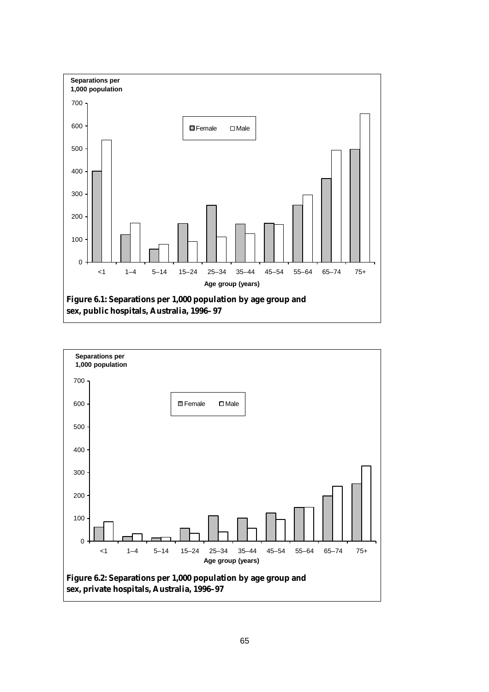

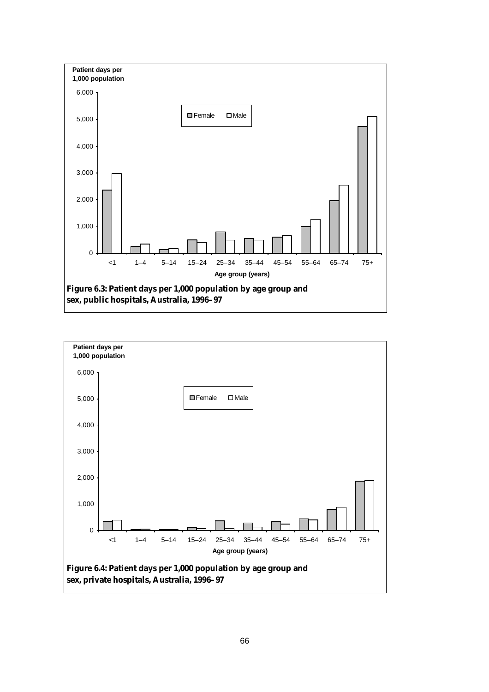

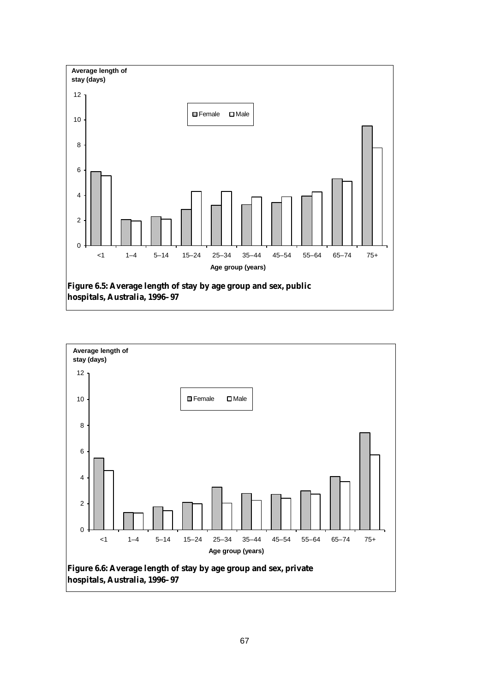

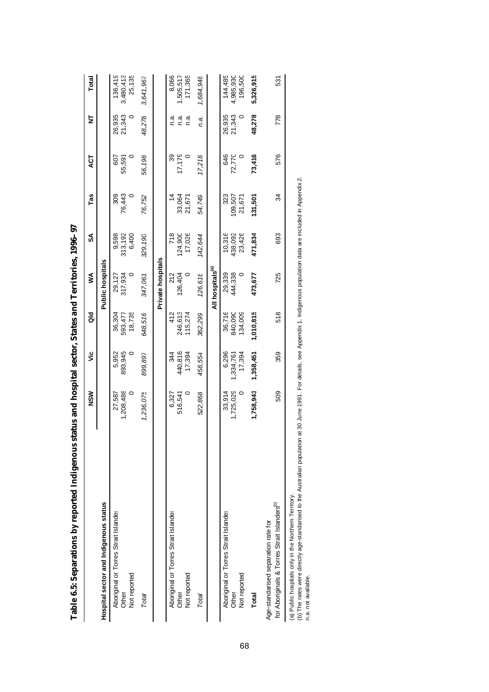|                                                                                                                                                                                                                                                              | NSW                 | ة                            | <b>Jap</b>                   | ⋚                            | SA                          | Tas                      | ACT           | ₹                         | Total                           |
|--------------------------------------------------------------------------------------------------------------------------------------------------------------------------------------------------------------------------------------------------------------|---------------------|------------------------------|------------------------------|------------------------------|-----------------------------|--------------------------|---------------|---------------------------|---------------------------------|
| Hospital sector and Indigenous status                                                                                                                                                                                                                        |                     |                              |                              | <b>Public hospitals</b>      |                             |                          |               |                           |                                 |
| Aboriginal or Torres Strait Islander<br>Not reported<br>Other                                                                                                                                                                                                | 1,208,488<br>27,587 | 893,945<br>5,952             | 18,735<br>36,304<br>593,477  | 317,934<br>29,127            | 9,598<br>313,192<br>6,400   | 76,443<br>309            | 607<br>55,591 | 26,935<br>21,343          | 25,135<br>136,419<br>3,480,413  |
| Total                                                                                                                                                                                                                                                        | 1,236,075           | 899,897                      | 648,516                      | 347,061                      | 329,190                     | 76,752                   | 56,198        | 48,278                    | 3,641,967                       |
|                                                                                                                                                                                                                                                              |                     |                              |                              | Private hospitals            |                             |                          |               |                           |                                 |
| Aboriginal or Torres Strait Islander<br>Not reported<br>Other                                                                                                                                                                                                | 6,327<br>516,541    | 440,816<br>17,394<br>344     | 246,613<br>412<br>115,274    | 212<br>126,404               | 17,026<br>718<br>124,900    | 33,064<br>21,671         | 17,179<br>39  | ດ.<br>⊂<br>ี<br>ดี<br>n.a | 171,365<br>8,066<br>,505,517    |
| Total                                                                                                                                                                                                                                                        | 522,868             | 458,554                      | 362,299                      | 126,616                      | 142,644                     | 54,749                   | 17,218        | n.a.                      | 1,684,948                       |
|                                                                                                                                                                                                                                                              |                     |                              |                              | All hospitals <sup>(a)</sup> |                             |                          |               |                           |                                 |
| Aboriginal or Torres Strait Islander<br>Not reported<br>Other                                                                                                                                                                                                | 1,725,029<br>33,914 | 6,296<br>17,394<br>1,334,761 | 36,716<br>134,009<br>840,090 | 29,339<br>444,338            | 10,316<br>438,092<br>23,426 | 323<br>109,507<br>21,671 | 646<br>72,770 | 26,935<br>21,343          | 144,485<br>4,985,930<br>196,500 |
| Total                                                                                                                                                                                                                                                        | 1,758,943           | 1,358,451                    | 1,010,815                    | 473,677                      | 471,834                     | 131,501                  | 73,416        | 48,278                    | 5,326,915                       |
| for Aboriginals & Torres Strait Islanders <sup>(b)</sup><br>Age-standarised separation rate for                                                                                                                                                              | 509                 | 359                          | 518                          | 725                          | 693                         | 34                       | 576           | 778                       | 531                             |
| (b) The rates were directly age-standarised to the Australian population at 30 June 1991. For details, see Appendix 1. Indigenous population data are included in Appendix 2.<br>(a) Public hospitals only in the Northern Territory.<br>n.a. not available. |                     |                              |                              |                              |                             |                          |               |                           |                                 |

Table 6.5: Separations by reported Indigenous status and hospital sector, States and Territories, 1996-97 **Table 6.5: Separations by reported Indigenous status and hospital sector, States and Territories, 1996–97**

68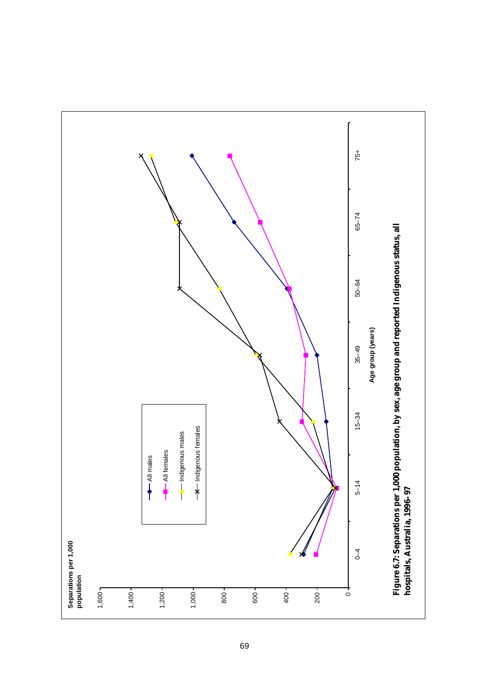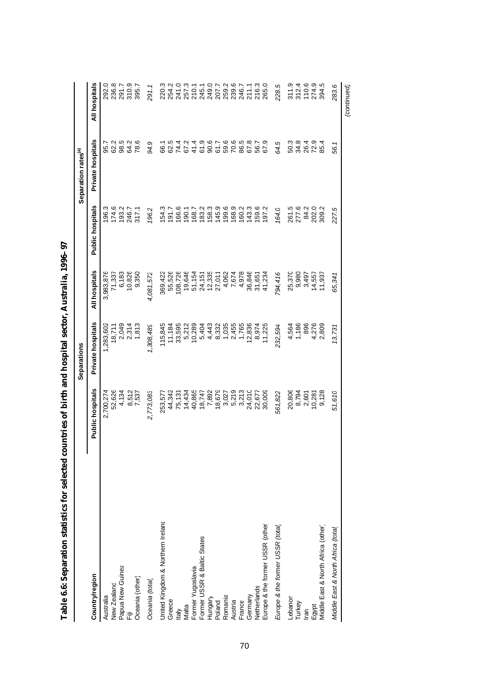|                                                  |                         | Separations       |                  |                                          | Separation rates <sup>(a)</sup>           |                                   |
|--------------------------------------------------|-------------------------|-------------------|------------------|------------------------------------------|-------------------------------------------|-----------------------------------|
| Country/region                                   | <b>Public hospitals</b> | Private hospitals | All hospitals    | Public hospitals                         | Private hospitals                         | All hospitals                     |
| Australia                                        | 2,700,274               | 1,283,602         | 3,983,876        | 196.3                                    | 95.7                                      | 292.0                             |
| New Zealand                                      | 52,626                  | 18,711            | 71,337           | 174.6                                    | 62.2                                      | 236.8                             |
| Papua New Guinea                                 | 4,134                   | 2,049             | 6,183            | 193.2                                    | 98.5                                      | 291.7                             |
| ii<br>记                                          |                         | 2,314             | 10,826           | 246.7                                    | 64.2                                      | 310.9                             |
| Oceania (other)                                  | 8,512<br>7,537          | 1,813             | 9,350            | 317.1                                    | 78.6                                      | 395.7                             |
| Oceania (total)                                  | 2,773,083               | 1,308,489         | 4,081,572        | 196.2                                    | 94.9                                      | 291.1                             |
| United Kingdom & Northern Ireland                | 253,577                 | 115,845           | 369,422          | 154.3                                    | 66.1                                      | 220.3                             |
| Greece                                           | 44,342                  | 11,184            | 55,526           | 71917                                    | 62.5                                      | 254.2                             |
|                                                  | 75,131                  | 33,595            | 108,726          | 166.6                                    | 74.4                                      | 241.0                             |
| Italy<br>Malta                                   | 14,434                  | 5,212             | 19,646           | 190.1                                    | 67.2                                      | 257.3                             |
| Former Yugoslavia<br>Former USSR & Baltic States | 40,865                  | 10,289            |                  | 168.7                                    |                                           | 210.1<br>245.1<br>249.07<br>207.7 |
|                                                  | 18,747                  | 5,404             | 51,154<br>24,151 | 183.3<br>158.3<br>145.9                  | $\frac{4}{4}$ $\frac{6}{9}$ $\frac{6}{9}$ |                                   |
| Hungary                                          | 7,892                   | 4,443             |                  |                                          |                                           |                                   |
| Poland                                           | 18,679                  | 8,332             | 12,335<br>27,011 |                                          | 61.7                                      |                                   |
| Romania                                          | 3,027                   | 1,035             | 4,062            | $199.0$<br>$169.2$<br>$169.3$<br>$143.3$ |                                           | 259.2<br>239.6<br>246.7           |
| Austria                                          |                         | 2,455             | 7,674            |                                          | 6<br>6<br>6<br>6<br>8<br>6<br>8           |                                   |
| France                                           | 5,219<br>3,213          | 1,765             | 4,978            |                                          |                                           |                                   |
| Germany                                          | 24,010                  | 12,836            | 36,846           |                                          | 67.8                                      | 211.1<br>216.3<br>265.0           |
| Netherlands                                      | 22,677                  | 8,974             | 31,651           | 159.6<br>197.2                           | 56.7                                      |                                   |
| Europe & the former USSR (other)                 | 30,009                  | 11,225            | 41,234           |                                          | 67.9                                      |                                   |
| Europe & the former USSR (total)                 | 561,822                 | 232,594           | 794,416          | 164.0                                    | 64.5                                      | 228.5                             |
| Lebanon                                          | 20,806                  | 4,564             | 25,370           |                                          | 50.3                                      | 311.9                             |
| Turkey                                           |                         | 1,186             | 9,980            | 261.5<br>277.6                           | 34.8                                      | 312.4<br>110.6                    |
| Iran                                             | 8,794<br>2,601          | 896               | 3,497            | 84.2                                     | 26.4                                      |                                   |
| Egypt<br>Middle East & North Africa (other)      | 10,281                  | 4,276             | 14,557           | 202.0                                    | 72.9                                      | 274.9                             |
|                                                  | 9,128                   | 2,809             | 11,937           |                                          | 85.4                                      | 394.5                             |
| Middle East & North Africa (total                | 51,610                  | 13,731            | 65,341           | 227.5                                    | 56.1                                      | 283.6                             |

*(continued)*

(continued)

| (           |
|-------------|
|             |
|             |
|             |
|             |
|             |
|             |
|             |
|             |
|             |
|             |
| 1           |
|             |
|             |
|             |
|             |
|             |
|             |
|             |
|             |
| i           |
|             |
|             |
|             |
|             |
|             |
|             |
|             |
|             |
|             |
|             |
|             |
| l           |
| Ì           |
|             |
|             |
|             |
| í<br>ļ<br>I |
|             |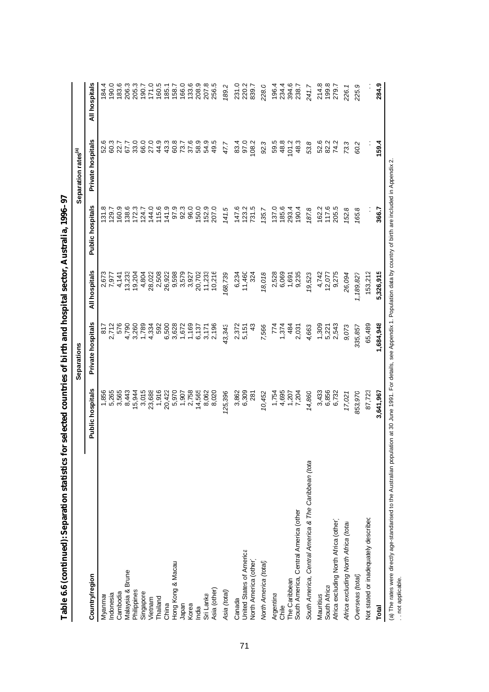|                                                                                                                                                                                                             |                  | Separations       |                |                  | Separation rates <sup>(a)</sup> |               |
|-------------------------------------------------------------------------------------------------------------------------------------------------------------------------------------------------------------|------------------|-------------------|----------------|------------------|---------------------------------|---------------|
| Country/region                                                                                                                                                                                              | Public hospitals | Private hospitals | All hospitals  | Public hospitals | Private hospitals               | All hospitals |
| Myanmar                                                                                                                                                                                                     | 1,856            | 817               |                | 131.8            | 52.6                            | 184.4         |
| Indonesia                                                                                                                                                                                                   | 5,265            | 2,712             | 2,673<br>7,977 | 129.7            | 60.3                            | 190.0         |
| Cambodia                                                                                                                                                                                                    | 3,565            | 576               | 4,141          | 160.9            | 22.7                            | 183.6         |
| Malaysia & Brunei                                                                                                                                                                                           | 8,443            | 4,790             | 13,233         | 138.6            | 67.7                            | 206.3         |
| Philippines                                                                                                                                                                                                 | 15,944           | 3,260             | 19,204         | 172.3            | 33.0                            | 205.3         |
| Singapore                                                                                                                                                                                                   | 3,015            | 1,789             | 4,804          | 124.7            | 66.0                            | 190.7         |
| Vietnam                                                                                                                                                                                                     | 23,688           | 4,334             | 28,022         | 144.0            | 27.0                            | 171.0         |
| Thailand                                                                                                                                                                                                    | 1,916            | 592               | 2,508          | 115.6            | 44.9                            | 160.5         |
| China                                                                                                                                                                                                       | 20,422           | 6,500             | 26,922         | 141.9            | 43.3                            | 1851          |
| Hong Kong & Macau                                                                                                                                                                                           | 5,970            | 3,628             | 9,598          | 97.9             | 60.8                            | 158.7         |
| Japan                                                                                                                                                                                                       | 1,907            | 1,672             | 3,579          | 92.3             | 73.7                            | 166.0         |
| Korea                                                                                                                                                                                                       | 2,758            | 1,169             | 3,927          | 96.0             | 37.6                            | 133.6         |
| India                                                                                                                                                                                                       | 14,565           | 6,137             | 20,702         | 150.0            | 58.9                            | 208.9         |
| Sri Lanka                                                                                                                                                                                                   | 8,062            | 3,171             | 11,233         | 152.9            | 54.9                            | 207.8         |
| Asia (other)                                                                                                                                                                                                | 8,020            | 2,196             | 10,216         | 207.0            | 49.5                            | 256.5         |
| Asia (total)                                                                                                                                                                                                | 125,396          | 43,343            | 168,739        | 141.5            | 47.7                            | 189.2         |
| Canada                                                                                                                                                                                                      | 3,862            | 2,372             | 6,234          | 147.6            | 83.4                            | 231.0         |
| United States of America                                                                                                                                                                                    | 6,309            | 5,151             | 11,460         | 123.2            | 97.0                            | 220.2         |
| North America (other)                                                                                                                                                                                       | 281              | $\frac{3}{2}$     | 324            | 731.5            | 108.2                           | 839.7         |
| North America (total                                                                                                                                                                                        | 10,452           | 7,566             | 18,018         | 135.7            | 92.3                            | 228.0         |
| Argentina                                                                                                                                                                                                   | 1,754            | 774               | 2,528          | 137.0            | 59.5                            | 196.4         |
| Chile                                                                                                                                                                                                       | 4,695            | 1,374             | 6,069          | 185.6            | 48.8                            | 234.4         |
| The Caribbean                                                                                                                                                                                               | 1,207            | 484               | 1,691          | 293.4            | 101.2                           | 394.6         |
| South America, Central America (other                                                                                                                                                                       | 7,204            | 2,031             | 9,235          | 190.4            | 48.3                            | 238.7         |
| South America, Central America & The Caribbean (tota                                                                                                                                                        | 14,860           | 4,663             | 19,523         | 187.8            | 53.8                            | 241.7         |
| Mauritius                                                                                                                                                                                                   | 3,433            | 1,309             | 4,742          | 162.2            | 52.6                            | 214.8         |
| South Africa                                                                                                                                                                                                | 6,856            | 5,221             | 12,077         | 117.6            | 82.2                            | 199.8         |
| Africa excluding North Africa (other)                                                                                                                                                                       | 6,732            | 2,543             | 9,275          | 205.5            | 74.2                            | 279.7         |
| Africa excluding North Africa (total                                                                                                                                                                        | 17,021           | 9,073             | 26,094         | 152.8            | 73.3                            | 226.1         |
| Overseas (total)                                                                                                                                                                                            | 853,970          | 335,857           | 1,189,827      | 165.8            | 60.2                            | 225.9         |
| Not stated or inadequately described                                                                                                                                                                        | 87,723           | 65,489            | 153,212        |                  |                                 |               |
| <b>Total</b>                                                                                                                                                                                                | 3,641,967        | 1,684,948         | 5,326,915      | 366.7            | 159.4                           | 284.9         |
| (a) The rates were directly age-standarised to the Australian population at 30 June 1991. For details, see Appendix 1. Population data by country of birth are included in Appendix 2.<br>. not applicable. |                  |                   |                |                  |                                 |               |

Table 6.6 (continued): Separation statistics for selected countries of birth and hospital sector, Australia, 1996-97 **Table 6.6 (continued): Separation statistics for selected countries of birth and hospital sector, Australia, 1996–97**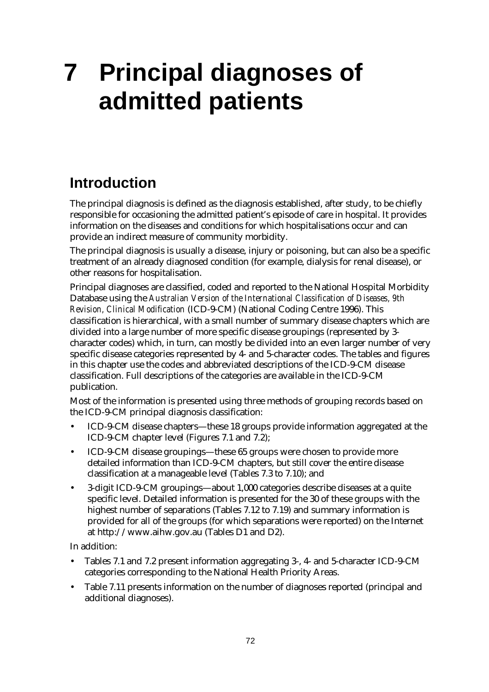# **7 Principal diagnoses of admitted patients**

# **Introduction**

The principal diagnosis is defined as the diagnosis established, after study, to be chiefly responsible for occasioning the admitted patient's episode of care in hospital. It provides information on the diseases and conditions for which hospitalisations occur and can provide an indirect measure of community morbidity.

The principal diagnosis is usually a disease, injury or poisoning, but can also be a specific treatment of an already diagnosed condition (for example, dialysis for renal disease), or other reasons for hospitalisation.

Principal diagnoses are classified, coded and reported to the National Hospital Morbidity Database using the *Australian Version of the International Classification of Diseases, 9th Revision, Clinical Modification* (ICD-9-CM) (National Coding Centre 1996). This classification is hierarchical, with a small number of summary disease chapters which are divided into a large number of more specific disease groupings (represented by 3 character codes) which, in turn, can mostly be divided into an even larger number of very specific disease categories represented by 4- and 5-character codes. The tables and figures in this chapter use the codes and abbreviated descriptions of the ICD-9-CM disease classification. Full descriptions of the categories are available in the ICD-9-CM publication.

Most of the information is presented using three methods of grouping records based on the ICD-9-CM principal diagnosis classification:

- ICD-9-CM disease chapters— these 18 groups provide information aggregated at the ICD-9-CM chapter level (Figures 7.1 and 7.2);
- ICD-9-CM disease groupings— these 65 groups were chosen to provide more detailed information than ICD-9-CM chapters, but still cover the entire disease classification at a manageable level (Tables 7.3 to 7.10); and
- 3-digit ICD-9-CM groupings— about 1,000 categories describe diseases at a quite specific level. Detailed information is presented for the 30 of these groups with the highest number of separations (Tables 7.12 to 7.19) and summary information is provided for all of the groups (for which separations were reported) on the Internet at http://www.aihw.gov.au (Tables D1 and D2).

In addition:

- Tables 7.1 and 7.2 present information aggregating 3-, 4- and 5-character ICD-9-CM categories corresponding to the National Health Priority Areas.
- Table 7.11 presents information on the number of diagnoses reported (principal and additional diagnoses).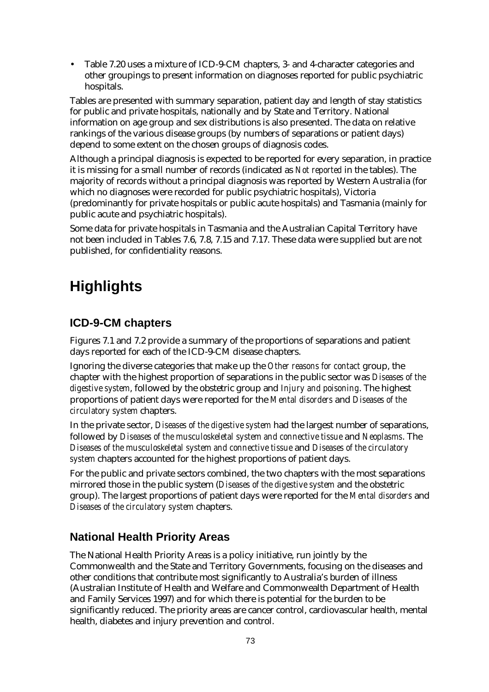• Table 7.20 uses a mixture of ICD-9-CM chapters, 3- and 4-character categories and other groupings to present information on diagnoses reported for public psychiatric hospitals.

Tables are presented with summary separation, patient day and length of stay statistics for public and private hospitals, nationally and by State and Territory. National information on age group and sex distributions is also presented. The data on relative rankings of the various disease groups (by numbers of separations or patient days) depend to some extent on the chosen groups of diagnosis codes.

Although a principal diagnosis is expected to be reported for every separation, in practice it is missing for a small number of records (indicated as *Not reported* in the tables). The majority of records without a principal diagnosis was reported by Western Australia (for which no diagnoses were recorded for public psychiatric hospitals), Victoria (predominantly for private hospitals or public acute hospitals) and Tasmania (mainly for public acute and psychiatric hospitals).

Some data for private hospitals in Tasmania and the Australian Capital Territory have not been included in Tables 7.6, 7.8, 7.15 and 7.17. These data were supplied but are not published, for confidentiality reasons.

# **Highlights**

### **ICD-9-CM chapters**

Figures 7.1 and 7.2 provide a summary of the proportions of separations and patient days reported for each of the ICD-9-CM disease chapters.

Ignoring the diverse categories that make up the *Other reasons for contact* group, the chapter with the highest proportion of separations in the public sector was *Diseases of the digestive system*, followed by the obstetric group and *Injury and poisoning*. The highest proportions of patient days were reported for the *Mental disorders* and *Diseases of the circulatory system* chapters.

In the private sector, *Diseases of the digestive system* had the largest number of separations, followed by *Diseases of the musculoskeletal system and connective tissue* and *Neoplasms*. The *Diseases of the musculoskeletal system and connective tissue* and *Diseases of the circulatory system* chapters accounted for the highest proportions of patient days.

For the public and private sectors combined, the two chapters with the most separations mirrored those in the public system (*Diseases of the digestive system* and the obstetric group). The largest proportions of patient days were reported for the *Mental disorders* and *Diseases of the circulatory system* chapters.

#### **National Health Priority Areas**

The National Health Priority Areas is a policy initiative, run jointly by the Commonwealth and the State and Territory Governments, focusing on the diseases and other conditions that contribute most significantly to Australia's burden of illness (Australian Institute of Health and Welfare and Commonwealth Department of Health and Family Services 1997) and for which there is potential for the burden to be significantly reduced. The priority areas are cancer control, cardiovascular health, mental health, diabetes and injury prevention and control.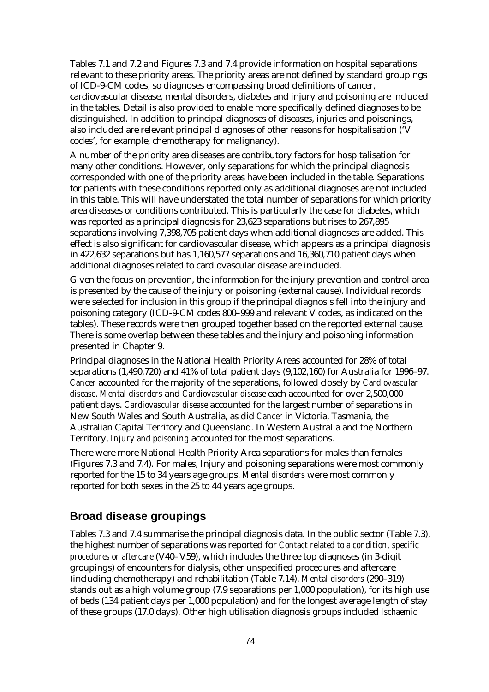Tables 7.1 and 7.2 and Figures 7.3 and 7.4 provide information on hospital separations relevant to these priority areas. The priority areas are not defined by standard groupings of ICD-9-CM codes, so diagnoses encompassing broad definitions of cancer, cardiovascular disease, mental disorders, diabetes and injury and poisoning are included in the tables. Detail is also provided to enable more specifically defined diagnoses to be distinguished. In addition to principal diagnoses of diseases, injuries and poisonings, also included are relevant principal diagnoses of other reasons for hospitalisation ('V codes', for example, chemotherapy for malignancy).

A number of the priority area diseases are contributory factors for hospitalisation for many other conditions. However, only separations for which the principal diagnosis corresponded with one of the priority areas have been included in the table. Separations for patients with these conditions reported only as additional diagnoses are not included in this table. This will have understated the total number of separations for which priority area diseases or conditions contributed. This is particularly the case for diabetes, which was reported as a principal diagnosis for 23,623 separations but rises to 267,895 separations involving 7,398,705 patient days when additional diagnoses are added. This effect is also significant for cardiovascular disease, which appears as a principal diagnosis in 422,632 separations but has 1,160,577 separations and 16,360,710 patient days when additional diagnoses related to cardiovascular disease are included.

Given the focus on prevention, the information for the injury prevention and control area is presented by the cause of the injury or poisoning (external cause). Individual records were selected for inclusion in this group if the principal diagnosis fell into the injury and poisoning category (ICD-9-CM codes 800–999 and relevant V codes, as indicated on the tables). These records were then grouped together based on the reported external cause. There is some overlap between these tables and the injury and poisoning information presented in Chapter 9.

Principal diagnoses in the National Health Priority Areas accounted for 28% of total separations (1,490,720) and 41% of total patient days (9,102,160) for Australia for 1996–97. *Cancer* accounted for the majority of the separations, followed closely by *Cardiovascular disease*. *Mental disorders* and *Cardiovascular disease* each accounted for over 2,500,000 patient days. *Cardiovascular disease* accounted for the largest number of separations in New South Wales and South Australia, as did *Cancer* in Victoria, Tasmania, the Australian Capital Territory and Queensland. In Western Australia and the Northern Territory, *Injury and poisoning* accounted for the most separations.

There were more National Health Priority Area separations for males than females (Figures 7.3 and 7.4). For males, Injury and poisoning separations were most commonly reported for the 15 to 34 years age groups. *Mental disorders* were most commonly reported for both sexes in the 25 to 44 years age groups.

#### **Broad disease groupings**

Tables 7.3 and 7.4 summarise the principal diagnosis data. In the public sector (Table 7.3), the highest number of separations was reported for *Contact related to a condition, specific procedures or aftercare* (V40–V59), which includes the three top diagnoses (in 3-digit groupings) of encounters for dialysis, other unspecified procedures and aftercare (including chemotherapy) and rehabilitation (Table 7.14). *Mental disorders* (290–319) stands out as a high volume group (7.9 separations per 1,000 population), for its high use of beds (134 patient days per 1,000 population) and for the longest average length of stay of these groups (17.0 days). Other high utilisation diagnosis groups included *Ischaemic*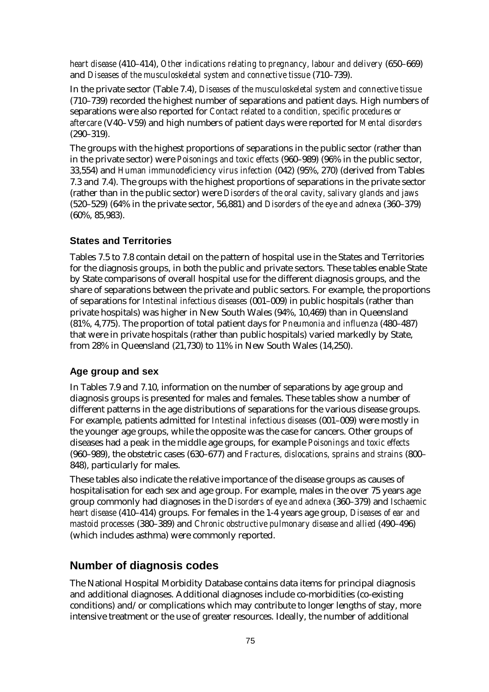*heart disease* (410–414), *Other indications relating to pregnancy, labour and delivery* (650–669) and *Diseases of the musculoskeletal system and connective tissue* (710–739).

In the private sector (Table 7.4), *Diseases of the musculoskeletal system and connective tissue* (710–739) recorded the highest number of separations and patient days. High numbers of separations were also reported for *Contact related to a condition, specific procedures or aftercare* (V40–V59) and high numbers of patient days were reported for *Mental disorders* (290–319).

The groups with the highest proportions of separations in the public sector (rather than in the private sector) were *Poisonings and toxic effects* (960–989) (96% in the public sector, 33,554) and *Human immunodeficiency virus infection* (042) (95%, 270) (derived from Tables 7.3 and 7.4). The groups with the highest proportions of separations in the private sector (rather than in the public sector) were *Disorders of the oral cavity, salivary glands and jaws* (520–529) (64% in the private sector, 56,881) and *Disorders of the eye and adnexa* (360–379) (60%, 85,983).

#### **States and Territories**

Tables 7.5 to 7.8 contain detail on the pattern of hospital use in the States and Territories for the diagnosis groups, in both the public and private sectors. These tables enable State by State comparisons of overall hospital use for the different diagnosis groups, and the share of separations between the private and public sectors. For example, the proportions of separations for *Intestinal infectious diseases* (001–009) in public hospitals (rather than private hospitals) was higher in New South Wales (94%, 10,469) than in Queensland (81%, 4,775). The proportion of total patient days for *Pneumonia and influenza* (480–487) that were in private hospitals (rather than public hospitals) varied markedly by State, from 28% in Queensland (21,730) to 11% in New South Wales (14,250).

#### **Age group and sex**

In Tables 7.9 and 7.10, information on the number of separations by age group and diagnosis groups is presented for males and females. These tables show a number of different patterns in the age distributions of separations for the various disease groups. For example, patients admitted for *Intestinal infectious diseases* (001–009) were mostly in the younger age groups, while the opposite was the case for cancers. Other groups of diseases had a peak in the middle age groups, for example *Poisonings and toxic effects* (960–989), the obstetric cases (630–677) and *Fractures, dislocations, sprains and strains* (800– 848), particularly for males.

These tables also indicate the relative importance of the disease groups as causes of hospitalisation for each sex and age group. For example, males in the over 75 years age group commonly had diagnoses in the *Disorders of eye and adnexa* (360–379) and *Ischaemic heart disease* (410–414) groups. For females in the 1-4 years age group*, Diseases of ear and mastoid processes* (380–389) and *Chronic obstructive pulmonary disease and allied* (490–496) (which includes asthma) were commonly reported.

#### **Number of diagnosis codes**

The National Hospital Morbidity Database contains data items for principal diagnosis and additional diagnoses. Additional diagnoses include co-morbidities (co-existing conditions) and/or complications which may contribute to longer lengths of stay, more intensive treatment or the use of greater resources. Ideally, the number of additional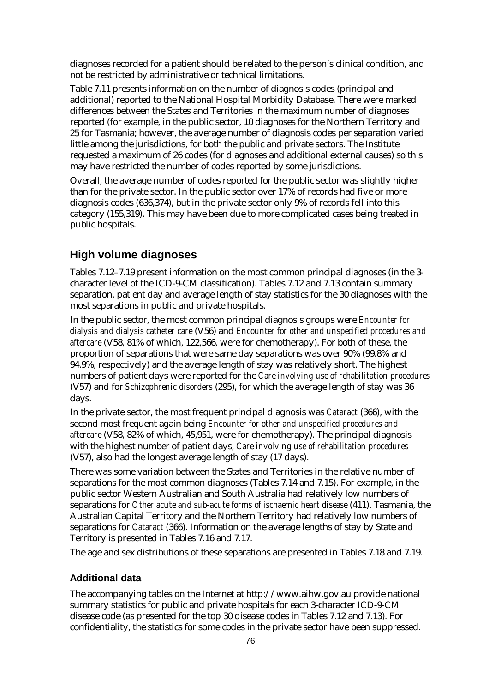diagnoses recorded for a patient should be related to the person's clinical condition, and not be restricted by administrative or technical limitations.

Table 7.11 presents information on the number of diagnosis codes (principal and additional) reported to the National Hospital Morbidity Database. There were marked differences between the States and Territories in the maximum number of diagnoses reported (for example, in the public sector, 10 diagnoses for the Northern Territory and 25 for Tasmania; however, the average number of diagnosis codes per separation varied little among the jurisdictions, for both the public and private sectors. The Institute requested a maximum of 26 codes (for diagnoses and additional external causes) so this may have restricted the number of codes reported by some jurisdictions.

Overall, the average number of codes reported for the public sector was slightly higher than for the private sector. In the public sector over 17% of records had five or more diagnosis codes (636,374), but in the private sector only 9% of records fell into this category (155,319). This may have been due to more complicated cases being treated in public hospitals.

#### **High volume diagnoses**

Tables 7.12–7.19 present information on the most common principal diagnoses (in the 3 character level of the ICD-9-CM classification). Tables 7.12 and 7.13 contain summary separation, patient day and average length of stay statistics for the 30 diagnoses with the most separations in public and private hospitals.

In the public sector, the most common principal diagnosis groups were *Encounter for dialysis and dialysis catheter care* (V56) and *Encounter for other and unspecified procedures and aftercare* (V58, 81% of which, 122,566, were for chemotherapy). For both of these, the proportion of separations that were same day separations was over 90% (99.8% and 94.9%, respectively) and the average length of stay was relatively short. The highest numbers of patient days were reported for the *Care involving use of rehabilitation procedures* (V57) and for *Schizophrenic disorders* (295), for which the average length of stay was 36 days.

In the private sector, the most frequent principal diagnosis was *Cataract* (366), with the second most frequent again being *Encounter for other and unspecified procedures and aftercare* (V58, 82% of which, 45,951, were for chemotherapy). The principal diagnosis with the highest number of patient days, *Care involving use of rehabilitation procedures* (V57), also had the longest average length of stay (17 days).

There was some variation between the States and Territories in the relative number of separations for the most common diagnoses (Tables 7.14 and 7.15). For example, in the public sector Western Australian and South Australia had relatively low numbers of separations for *Other acute and sub-acute forms of ischaemic heart disease* (411). Tasmania, the Australian Capital Territory and the Northern Territory had relatively low numbers of separations for *Cataract* (366). Information on the average lengths of stay by State and Territory is presented in Tables 7.16 and 7.17.

The age and sex distributions of these separations are presented in Tables 7.18 and 7.19.

#### **Additional data**

The accompanying tables on the Internet at http://www.aihw.gov.au provide national summary statistics for public and private hospitals for each 3-character ICD-9-CM disease code (as presented for the top 30 disease codes in Tables 7.12 and 7.13). For confidentiality, the statistics for some codes in the private sector have been suppressed.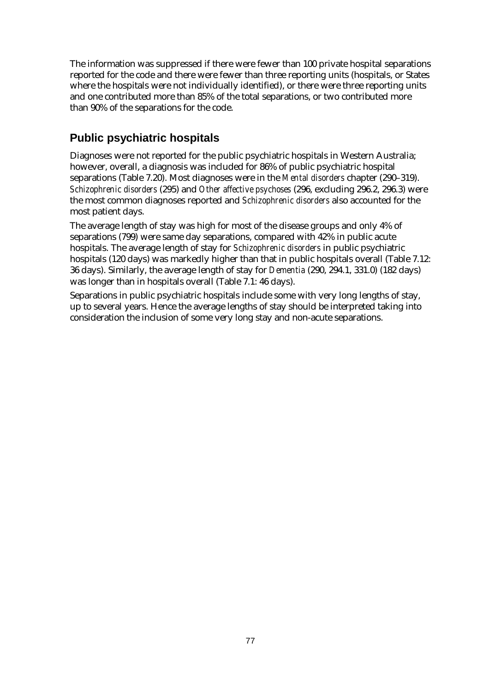The information was suppressed if there were fewer than 100 private hospital separations reported for the code and there were fewer than three reporting units (hospitals, or States where the hospitals were not individually identified), or there were three reporting units and one contributed more than 85% of the total separations, or two contributed more than 90% of the separations for the code.

### **Public psychiatric hospitals**

Diagnoses were not reported for the public psychiatric hospitals in Western Australia; however, overall, a diagnosis was included for 86% of public psychiatric hospital separations (Table 7.20). Most diagnoses were in the *Mental disorders* chapter (290–319). *Schizophrenic disorders* (295) and *Other affective psychoses* (296, excluding 296.2, 296.3) were the most common diagnoses reported and *Schizophrenic disorders* also accounted for the most patient days.

The average length of stay was high for most of the disease groups and only 4% of separations (799) were same day separations, compared with 42% in public acute hospitals. The average length of stay for *Schizophrenic disorders* in public psychiatric hospitals (120 days) was markedly higher than that in public hospitals overall (Table 7.12: 36 days). Similarly, the average length of stay for *Dementia* (290, 294.1, 331.0) (182 days) was longer than in hospitals overall (Table 7.1: 46 days).

Separations in public psychiatric hospitals include some with very long lengths of stay, up to several years. Hence the average lengths of stay should be interpreted taking into consideration the inclusion of some very long stay and non-acute separations.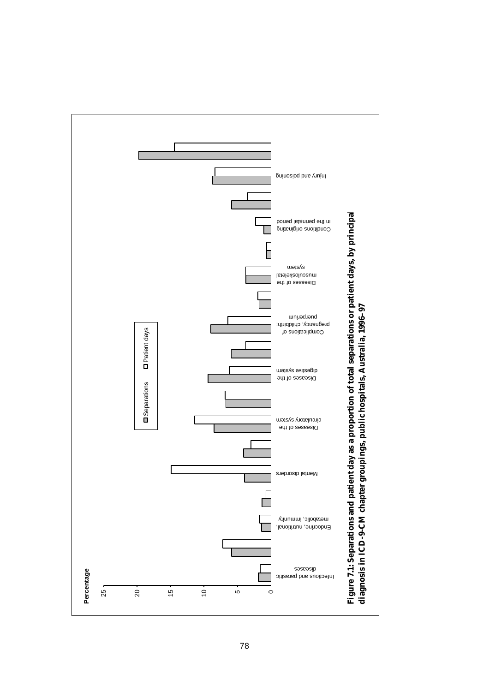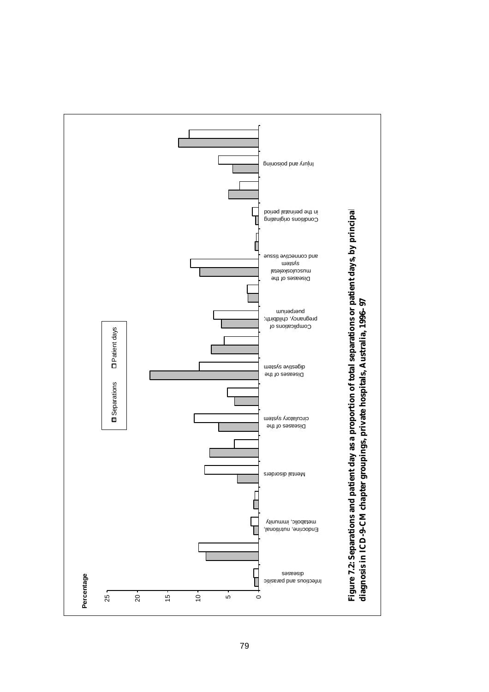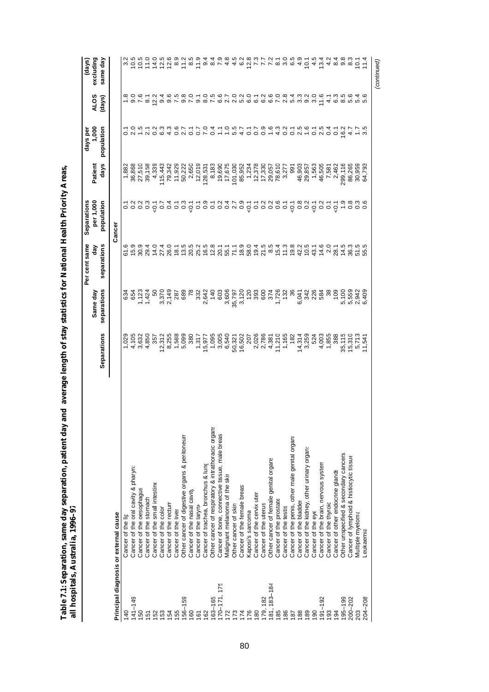Table 7.1: Separation, same day separation, patient day and average length of stay statistics for National Health Priority Areas,<br>all hospitals, Australia, 1996–97 **Table 7.1: Separation, same day separation, patient day and average length of stay statistics for National Health Priority Areas, all hospitals, Australia, 1996–97**

|                |                                                    |                                                                           | Same day                | Per cent same<br>đay        | per 1,000<br>Separations | Patient                                                                                                                                                                                                                                                                                         | 1,000<br>days pe                                                                                    | <b>ALOS</b> | excluding<br>(days)                                                                                                                                                                                                                                                                                                                                                            |
|----------------|----------------------------------------------------|---------------------------------------------------------------------------|-------------------------|-----------------------------|--------------------------|-------------------------------------------------------------------------------------------------------------------------------------------------------------------------------------------------------------------------------------------------------------------------------------------------|-----------------------------------------------------------------------------------------------------|-------------|--------------------------------------------------------------------------------------------------------------------------------------------------------------------------------------------------------------------------------------------------------------------------------------------------------------------------------------------------------------------------------|
|                |                                                    | Separations                                                               | separations             | separations                 | population               | days                                                                                                                                                                                                                                                                                            | population                                                                                          | (days)      | same day                                                                                                                                                                                                                                                                                                                                                                       |
|                | Principal diagnosis or external cause              |                                                                           |                         |                             | Cancer                   |                                                                                                                                                                                                                                                                                                 |                                                                                                     |             |                                                                                                                                                                                                                                                                                                                                                                                |
| 140            | Cancer of the lip                                  | 1,029                                                                     |                         |                             |                          |                                                                                                                                                                                                                                                                                                 |                                                                                                     |             |                                                                                                                                                                                                                                                                                                                                                                                |
| 141-149        | Cancer of the oral cavity & pharyn                 |                                                                           |                         | 6<br>5 5 9 9 4<br>6 5 9 9 4 |                          | 1,882<br>36,868<br>27,510<br>39,158                                                                                                                                                                                                                                                             | 10 5 10 5 4 5 6 7 6 7 6 7 6 7 6 7 7 8 9 70 7 7 8 9 70 7 8 7 8 9 7 8 7 8 9 7 8 7 8 9 7 8 7 8 9 7 8 7 |             | cia cicida di cicida<br>vicida di cicida di cicida                                                                                                                                                                                                                                                                                                                             |
| 150            | Cancer of the oesophagus                           |                                                                           |                         |                             |                          |                                                                                                                                                                                                                                                                                                 |                                                                                                     |             |                                                                                                                                                                                                                                                                                                                                                                                |
| 151            | Cancer of the stomach                              | 4,105<br>3,632<br>4,850                                                   |                         |                             |                          |                                                                                                                                                                                                                                                                                                 |                                                                                                     |             |                                                                                                                                                                                                                                                                                                                                                                                |
| 152            | Cancer of the small intestine                      | 357                                                                       |                         |                             |                          | 4,339                                                                                                                                                                                                                                                                                           |                                                                                                     |             |                                                                                                                                                                                                                                                                                                                                                                                |
| 153            | Cancer of the color                                |                                                                           |                         |                             |                          |                                                                                                                                                                                                                                                                                                 |                                                                                                     |             |                                                                                                                                                                                                                                                                                                                                                                                |
| 154            | Cancer of the rectum                               |                                                                           |                         |                             |                          |                                                                                                                                                                                                                                                                                                 |                                                                                                     |             |                                                                                                                                                                                                                                                                                                                                                                                |
| 155            | Cancer of the liver                                |                                                                           |                         |                             |                          |                                                                                                                                                                                                                                                                                                 |                                                                                                     |             |                                                                                                                                                                                                                                                                                                                                                                                |
| $156 - 159$    | Other cancer of digestive organs & peritoneum      | $\begin{array}{c} 12.312 \\ 8.255 \\ 1.588 \\ 1.589 \\ 5.099 \end{array}$ |                         |                             |                          | 115,443<br>79,342<br>11,929<br>50,222                                                                                                                                                                                                                                                           |                                                                                                     |             |                                                                                                                                                                                                                                                                                                                                                                                |
| 160            | Cancer of the nasal cavity                         |                                                                           | $\overline{78}$         |                             |                          |                                                                                                                                                                                                                                                                                                 |                                                                                                     |             |                                                                                                                                                                                                                                                                                                                                                                                |
| 161            | Cancer of the laryny                               |                                                                           |                         |                             |                          | 2,650<br>12,019<br>128,531<br>8,630<br>6,675<br>17,675                                                                                                                                                                                                                                          |                                                                                                     |             |                                                                                                                                                                                                                                                                                                                                                                                |
| 8              | Cancer of trachea, bronchus & lung                 |                                                                           |                         |                             |                          |                                                                                                                                                                                                                                                                                                 |                                                                                                     |             | 0.00 L 4 4<br>4 4 0 10 10 11                                                                                                                                                                                                                                                                                                                                                   |
| $63 - 165$     | Other cancer of respiratory & intrathoracic organs |                                                                           |                         |                             |                          |                                                                                                                                                                                                                                                                                                 |                                                                                                     |             |                                                                                                                                                                                                                                                                                                                                                                                |
| 170-171, 175   | Cancer of bone, connective tissue, male breas      |                                                                           |                         |                             |                          |                                                                                                                                                                                                                                                                                                 |                                                                                                     |             |                                                                                                                                                                                                                                                                                                                                                                                |
| 72             | Malignant melanoma of the skir                     |                                                                           |                         |                             |                          |                                                                                                                                                                                                                                                                                                 |                                                                                                     |             |                                                                                                                                                                                                                                                                                                                                                                                |
| 73             | Other cancer of skin                               |                                                                           |                         |                             |                          |                                                                                                                                                                                                                                                                                                 |                                                                                                     |             |                                                                                                                                                                                                                                                                                                                                                                                |
| $\overline{7}$ | Cancer of the female breas                         |                                                                           |                         |                             |                          |                                                                                                                                                                                                                                                                                                 |                                                                                                     |             |                                                                                                                                                                                                                                                                                                                                                                                |
| 176            | kaposi's sarcoma                                   |                                                                           |                         |                             |                          |                                                                                                                                                                                                                                                                                                 |                                                                                                     |             |                                                                                                                                                                                                                                                                                                                                                                                |
| 180            | Cancer of the cervix uteri                         |                                                                           |                         |                             |                          |                                                                                                                                                                                                                                                                                                 |                                                                                                     |             |                                                                                                                                                                                                                                                                                                                                                                                |
| 179, 182       | Cancer of the uterus                               |                                                                           |                         |                             |                          |                                                                                                                                                                                                                                                                                                 |                                                                                                     |             |                                                                                                                                                                                                                                                                                                                                                                                |
| 181, 183-184   | Other cancer of female genital organs              |                                                                           |                         |                             |                          | $\begin{array}{l} 101,030 \\ 85,952 \\ 1,234 \\ 12,378 \\ 17,330 \\ 7,830 \\ 7,830 \\ 7,8,951 \\ 7,8,951 \\ 7,8,951 \\ 8,777 \\ 3,277 \\ 3,277 \\ 3,277 \\ 3,277 \\ 3,277 \\ 3,277 \\ 3,277 \\ 3,277 \\ 3,277 \\ 3,277 \\ 3,277 \\ 3,277 \\ 3,277 \\ 3,277 \\ 3,277 \\ 3,277 \\ 3,277 \\ 3,277$ |                                                                                                     |             | $\begin{array}{c} 0.76 \times 10^{-4} \\ 0.76 \times 10^{-4} \\ 0.76 \times 10^{-4} \\ 0.76 \times 10^{-4} \\ 0.76 \times 10^{-4} \\ 0.76 \times 10^{-4} \\ 0.76 \times 10^{-4} \\ 0.76 \times 10^{-4} \\ 0.76 \times 10^{-4} \\ 0.76 \times 10^{-4} \\ 0.76 \times 10^{-4} \\ 0.76 \times 10^{-4} \\ 0.76 \times 10^{-4} \\ 0.76 \times 10^{-4} \\ 0.76 \times 10^{-4} \\ 0.$ |
| 185            | Cancer of the prostate                             |                                                                           |                         |                             |                          |                                                                                                                                                                                                                                                                                                 |                                                                                                     |             |                                                                                                                                                                                                                                                                                                                                                                                |
| 186            | Cancer of the testis                               |                                                                           |                         |                             |                          |                                                                                                                                                                                                                                                                                                 |                                                                                                     |             |                                                                                                                                                                                                                                                                                                                                                                                |
| 187            | Cancer of the penis, other male genital organs     |                                                                           |                         |                             |                          | 991                                                                                                                                                                                                                                                                                             |                                                                                                     |             |                                                                                                                                                                                                                                                                                                                                                                                |
| 188            | Cancer of the bladder                              |                                                                           |                         |                             |                          |                                                                                                                                                                                                                                                                                                 |                                                                                                     |             |                                                                                                                                                                                                                                                                                                                                                                                |
| 189            | Cancer of the kidney, other urinary organs         | 14,314<br>3,259                                                           | 6,047<br>342<br>6,048   |                             |                          | $46,903\n79,857\n7563\n7563\n7561\n7562\n7562\n81\n92\n102\n11\n12\n23\n24\n35\n46\n57\n68\n69\n75\n81\n92\n103\n11\n12\n13\n24\n15\n26\n27\n28\n29\n20\n20\n21\n22\n23\n24\n25\n26\n$                                                                                                          |                                                                                                     |             | $545489$<br>$545489$                                                                                                                                                                                                                                                                                                                                                           |
| 190            | Cancer of the eye                                  | 524                                                                       |                         |                             |                          |                                                                                                                                                                                                                                                                                                 |                                                                                                     |             |                                                                                                                                                                                                                                                                                                                                                                                |
| $91 - 192$     | Cancer of the brain, nervous system                |                                                                           |                         |                             |                          |                                                                                                                                                                                                                                                                                                 |                                                                                                     |             |                                                                                                                                                                                                                                                                                                                                                                                |
| 193            | Cancer of the thyroic                              | $4,003$<br>$1,855$<br>388                                                 | 38                      |                             |                          |                                                                                                                                                                                                                                                                                                 | 0.4                                                                                                 |             |                                                                                                                                                                                                                                                                                                                                                                                |
| 194            | Cancer of other endocrine glands                   |                                                                           | $\frac{109}{2}$         |                             |                          |                                                                                                                                                                                                                                                                                                 | $\overline{0}$                                                                                      |             |                                                                                                                                                                                                                                                                                                                                                                                |
| $195 - 199$    | Other unspecified & secondary cancers              |                                                                           |                         |                             |                          | 299,116                                                                                                                                                                                                                                                                                         | $16.2$<br>4.7                                                                                       |             |                                                                                                                                                                                                                                                                                                                                                                                |
| $200 - 202$    | Cancer of lymphoid & histiocytic tissue            | 35,115<br>15,310                                                          |                         |                             |                          | 86,265<br>30,959                                                                                                                                                                                                                                                                                |                                                                                                     |             | .<br>მ                                                                                                                                                                                                                                                                                                                                                                         |
| 203            | Multiple myeloma                                   | 5,713<br>11,541                                                           | 5,100<br>5,559<br>2,942 | cornania<br>Tographa        |                          |                                                                                                                                                                                                                                                                                                 |                                                                                                     |             | $\overline{5}$                                                                                                                                                                                                                                                                                                                                                                 |
| 204-208        | -eukaemia                                          |                                                                           | 6,409                   |                             |                          | 64,793                                                                                                                                                                                                                                                                                          |                                                                                                     |             | 11.4                                                                                                                                                                                                                                                                                                                                                                           |
|                |                                                    |                                                                           |                         |                             |                          |                                                                                                                                                                                                                                                                                                 |                                                                                                     |             | (continued)                                                                                                                                                                                                                                                                                                                                                                    |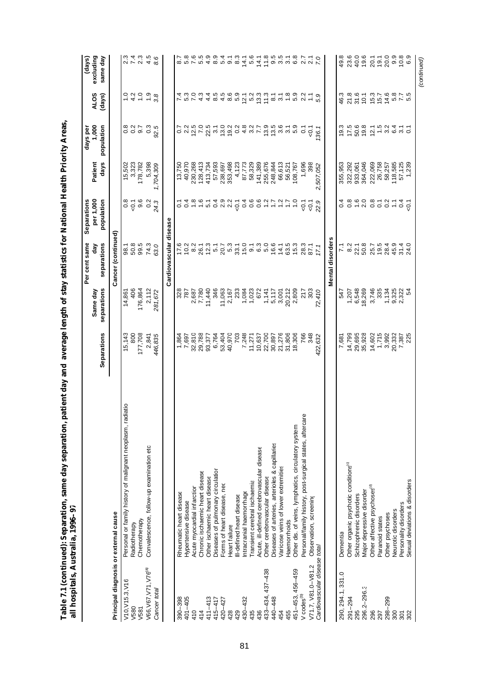|                                       | all hospitals, Australia, 1996-97                          |             |                         |                                                     |                                            |                    |                                     |                                   |                                 |
|---------------------------------------|------------------------------------------------------------|-------------|-------------------------|-----------------------------------------------------|--------------------------------------------|--------------------|-------------------------------------|-----------------------------------|---------------------------------|
|                                       |                                                            | Separations | separations<br>Same day | Per cent same<br>separations<br>day                 | Separations<br>per 1,000<br>population     | days<br>Patient    | 1,000<br>population<br>days per     | AL <sub>OS</sub><br>(days)        | excluding<br>same day<br>(days) |
| Principal diagnosis or external cause |                                                            |             |                         | Cancer (continued)                                  |                                            |                    |                                     |                                   |                                 |
| V10, V15.3, V16                       | Personal or family history of malignant neoplasm, radiatio | 15,143      | 14,861                  |                                                     | 0.8                                        | 15,502             |                                     | $\frac{0}{1}$                     |                                 |
| V580                                  | Radiotherapy                                               | 800         | 406                     | 98.1<br>50.8                                        | $-0.1$                                     | 3,323              |                                     |                                   |                                 |
| V581                                  | Chemotherapy                                               | 177,708     | 176,864                 | 99.5                                                | 9.6                                        | 178,782            | 8 8 7<br>0 0 0<br>0 0               | 4.2                               | 212348<br>22348                 |
| V66, V67, V71, V76 <sup>(a)</sup>     | Convalescence, follow-up examination etc                   | 2,841       | 2,112                   | 74.3                                                | 0.2                                        | 5,398              | $0.3$<br>92.5                       | $\frac{9}{3}8$                    |                                 |
| Cancer total                          |                                                            | 446,835     | 281,672                 | 63.0                                                | 24.3                                       | 1,704,309          |                                     |                                   |                                 |
|                                       |                                                            |             |                         | Cardiovascular disease                              |                                            |                    |                                     |                                   |                                 |
| 390-398                               | Rheumatic heart disease                                    | 1,864       | 328                     |                                                     |                                            | 13,750             | $\overline{0}$ .                    |                                   |                                 |
| $401 - 405$                           | Hypertensive disease                                       | 7,697       | 787                     | $5030$<br>$503$                                     | - 4 8 9 - 4 9 8 9 -<br>- 4 8 9 - 4 9 8 9 9 | 40,970             | 2 2 7 2 3 2 2 2 3 4 3 6 7 8 9 9 9 1 | n v 4 4<br>20 4 4 4               | 5.8                             |
| 410                                   | Acute myocardial infarction                                | 32,810      | 2,687<br>7,780          |                                                     |                                            | 230,268            |                                     |                                   | 7.6                             |
| 414                                   | Chronic ischaemic heart disease                            | 29,788      |                         | 26.1<br>12.3                                        |                                            | 128,413            |                                     |                                   | 5.5                             |
| $411 - 413$                           | Other ischaemic heart disease                              | 93,377      | 11,440                  |                                                     |                                            | 413,734            |                                     |                                   | 4.9                             |
| 415-417                               | Diseases of pulmonary circulation                          | 6,764       | 346                     | $5.1$<br>20.7                                       |                                            | 57,593             |                                     |                                   | 8.9                             |
| 420-427                               | Forms of heart disease, nec                                | 53,404      | 11,063                  |                                                     |                                            | 238,697<br>353,498 |                                     |                                   | 5.4                             |
| 428                                   | Heart failure                                              | 40,970      | 2,167                   | 5.3                                                 |                                            |                    |                                     |                                   | 9.3<br>9.3                      |
| 429                                   | II-defined heart disease                                   | 703         | 233                     | 33.1                                                |                                            | 4,123              |                                     |                                   |                                 |
| 430-432                               | ntracranial haemorrhage                                    | 7,248       | 1,084                   |                                                     |                                            | 87,773             |                                     |                                   | $14.1$<br>5.6                   |
| 435                                   | Transient cerebral ischaemia                               | 11,271      | 1,023                   |                                                     |                                            | 58,329             |                                     |                                   |                                 |
| 436                                   | Acute, ill-defined cerebrovascular disease                 | 10,637      | 672                     | $0 - 0$<br>$0 - 0$<br>$0 - 0$<br>$0 - 0$<br>$0 - 0$ | 000077                                     | 141,389            |                                     |                                   | 14.1                            |
| 433-434, 437-438                      | Other cerebrovascular disease                              | 22,700      | 1,141                   |                                                     |                                            | 255,676            |                                     |                                   | 11.8                            |
| 440-448                               | Diseases of arteries, arterioles & capillaries             | 30,897      | 5,117                   |                                                     |                                            | 248,844            |                                     |                                   | 0.00 m<br>0.00 m                |
| 454                                   | Varicose veins of lower extremities                        | 21,276      | 3,001                   | 14.1                                                | $\frac{2}{1}$                              | 66,613             |                                     |                                   |                                 |
| 455                                   | <b>Haemorrhoids</b>                                        | 31,806      | 20,212                  | 63.5                                                | $\ddot{ }$ :                               | 56,521             |                                     | $7.23337778992$<br>$7.7337779992$ |                                 |
| 451-453, 456-459                      | Other dis. of veins, lymphatics, circulatory system        | 18,306      | 2,809                   | 15.3                                                | $\ddot{ }$                                 | 108,767            | 5.9                                 |                                   | 6.8                             |
| V codes <sup>(b)</sup>                | Personal/family history, post-surgical states, aftercare   | 766         | $217$<br>$303$          | 28.3                                                | $-0.1$                                     | 1,696              | $\overline{c}$                      |                                   | $\overline{2.7}$                |
| V71.7, V81.0-V81.2                    | Observation, screening                                     | 348         |                         | 87.1                                                | $-5$                                       | 398                | $\overline{Q}$                      | Ξ                                 | $\overline{21}$                 |
| Cardiovascular disease total          |                                                            | 122,632     | 72,410                  | 17.1                                                | 22.9                                       | 2,507,052          | 36.1                                | 59                                |                                 |
|                                       |                                                            |             |                         | Mental disorders                                    |                                            |                    |                                     |                                   |                                 |
| 290, 294.1, 331.0                     | Dementia                                                   | 7,681       | 547                     |                                                     | 0.4                                        | 355,953            | 19.3                                | 46.3                              | 49.8                            |
| $291 - 294$                           | Other organic psychotic conditions <sup>(c)</sup>          | 14,799      | 1,207                   | 8.2                                                 |                                            | 322,292            | 17.5                                | 21.8                              | 23.6                            |
| 295                                   | Schizophrenic disorders                                    | 29,695      | 6,548                   | 22.1                                                | 0.8                                        | 933,061            |                                     | 31.6                              | 40.0                            |
| 296.2-296.3                           | Major depressive disorder                                  | 35,928      | 18,269                  | 50.8                                                | $0.8727$<br>$0.8727$                       | 364,046            | 50.6<br>19.8                        | 10.1                              | $79.7$<br>$20.1$<br>$19.1$      |
| 296                                   | Other affective psychoses <sup>(d)</sup>                   | 14,602      | 3,746                   | 25.7                                                |                                            | 222,069            | $21.5$<br>$2.5$<br>$3.4$<br>$6.4$   | 15.3                              |                                 |
| 297                                   | Paranoid states                                            | 1,715       | 335                     | 19.5                                                |                                            | 26,758             |                                     |                                   |                                 |
| 298-299                               | Other psychoses                                            | 3,992       | 1,134                   | 28.4                                                |                                            | 58,257             |                                     | 14.6                              | 20.0                            |
| 300                                   | Neurotic disorders                                         | 20,332      | 9,325                   | 45.9                                                |                                            | 118,585            |                                     |                                   |                                 |
| 301                                   | Personality disorders                                      | 7,387       | 2,322                   | $31.4$<br>$24.0$                                    | 0.1                                        | 57,125             | $\overline{3}$ .                    | 5<br>5<br>5<br>5<br>5<br>5<br>5   | စ္ ေစ<br>၁ ၁ ၀                  |
| 302                                   | Sexual deviations & disorders                              | 225         | 54                      |                                                     |                                            | 1,239              |                                     |                                   |                                 |

*(continued)*

(continued)

Table 7.1 (continued): Separation, same day separation, patient day and average length of stay statistics for National Health Priority Areas, **Table 7.1 (continued): Separation, same day separation, patient day and average length of stay statistics for National Health Priority Areas,**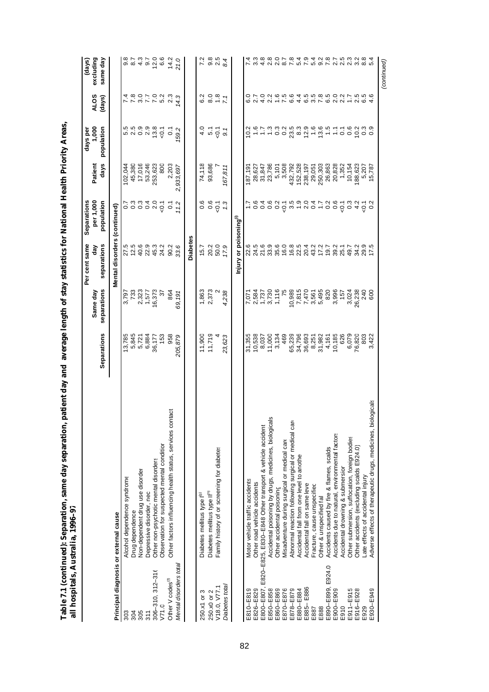| all hospitals, Australia, 1996-97     |                                                                    |                            |                         |                                     |                          |                            |                                              |                                                              |                               |
|---------------------------------------|--------------------------------------------------------------------|----------------------------|-------------------------|-------------------------------------|--------------------------|----------------------------|----------------------------------------------|--------------------------------------------------------------|-------------------------------|
|                                       |                                                                    |                            | Same day                | Per cent same<br>separations<br>đay | Separations<br>per 1,000 | Patient                    | 1,000<br>days per                            | <b>ALOS</b>                                                  | excluding<br>(days)           |
|                                       |                                                                    | Separations                | separations             |                                     | population               | days                       | population                                   | (days)                                                       | same day                      |
| Principal diagnosis or external cause |                                                                    |                            |                         | Mental disorders (continued)        |                          |                            |                                              |                                                              |                               |
| 303                                   | Alcohol dependence syndrome                                        |                            | 3,797                   |                                     |                          | 102,044                    |                                              |                                                              |                               |
| 304                                   | Drug dependence                                                    | $13,785$<br>5,845<br>5,721 | 733                     | 5<br>2 5 6 6 9<br>2 5 7 9 7         |                          |                            | n n o o<br>n d o d                           |                                                              | 0<br>0 10 10 10<br>0 10 10 10 |
| 305                                   | Non-dependent drug use disorder                                    |                            | 2,323                   |                                     |                          | 45,380<br>17,016           |                                              |                                                              |                               |
| 311                                   | Depressive disorder, nec                                           | 6,884                      | 1,577                   |                                     |                          | 53,246                     |                                              |                                                              |                               |
| 306-310, 312-316                      | Other non-psychotic mental disorders                               | 36,177                     | 16,373                  | 45.3                                |                          | 253,623                    |                                              |                                                              | $\frac{0}{6}$ 6.6             |
| V71.0                                 | Observation for suspected mental condition                         | 153                        | 55                      | 24.2                                |                          | 800                        | 13.8                                         | <b>いこうこうこう</b><br>イタンプリング                                    |                               |
| Other V codes <sup>(1)</sup>          | Other factors influencing health status, services contact          | 958                        | 864                     | 90.2                                | $\overline{c}$           | 2,203                      | $\overline{0}$                               |                                                              | 14.2                          |
| Mental disorders total                |                                                                    | 205,879                    | 69,191                  | 33.6                                | 1.2                      | 2,933,697                  | 592                                          | 4.3                                                          | 21.0                          |
|                                       |                                                                    |                            |                         | <b>Diabetes</b>                     |                          |                            |                                              |                                                              |                               |
| 250.x1 or 3                           | Diabetes mellitus type l <sup>®</sup>                              | 11,900                     | 1,863                   | 15.7                                | 0.6                      | 74,118                     |                                              | 6.2                                                          |                               |
| 250.x0 or 2                           | Diabetes mellitus type II <sup>(n)</sup>                           | 11,719                     | 2,373                   | 20.2                                | 0.6                      | 93,686                     | $\frac{1}{4}$ in $\frac{1}{2}$               | $8.0$<br>$7.7$                                               |                               |
| V18.0, V77.1                          | Family history of or screening for diabetes                        |                            |                         | 50.0                                | $-0.1$                   |                            |                                              |                                                              | 9.8<br>2.5                    |
| Diabetes total                        |                                                                    | 23,623                     | 4,238                   | 17.9                                | 1.3                      | 167,811                    | $\overline{9}$ .                             |                                                              | 8.4                           |
|                                       |                                                                    |                            |                         | Injury or poisoning <sup>®</sup>    |                          |                            |                                              |                                                              |                               |
| E810-E819                             | Motor vehicle traffic accidents                                    | 31,355                     |                         |                                     |                          | 187,191                    |                                              |                                                              |                               |
| E826-E829                             | Other road vehicle accidents                                       | 10,538                     |                         | 6.5.6<br>21<br>21<br>21             | $0.\overline{4}$         |                            |                                              |                                                              |                               |
|                                       | E800-E807, E820-E825, E830-E848 Other transport & vehicle accident | 8,037                      | 7,071<br>2,584<br>1,737 |                                     |                          |                            |                                              | 4.0                                                          | 4.8                           |
| E850-E858                             | Accidental poisoning by drugs, medicines, biologicals              | 11,000                     | 3,730                   |                                     | 0.6                      | 28,627<br>31,847<br>23,786 | $\frac{16}{1}$ $\frac{16}{1}$ $\frac{16}{1}$ |                                                              | 2.8                           |
| E860-E869                             | Other accidental poisoning                                         | 3,134                      | 1,116                   |                                     |                          | 5,101                      | 3<br>0.2                                     |                                                              |                               |
| E870-E876                             | Misadventure during surgical or medical care                       | 469                        | 75                      |                                     |                          | 3,508                      |                                              |                                                              | $0 - 8$<br>$0 - 8$            |
| E878-E879                             | Abnormal reaction following surgical or medical care               | 65,239                     | 10,989                  | 9<br>3 5 6 9 8 9<br>9 9 9 9 9       |                          | 432,792                    | 28.89999977                                  | 2 1 2 2 3 4 5 6 7 6 7 6 7 6 7 7<br>2 3 4 6 7 7 8 7 8 7 8 7 8 |                               |
| E880-E884                             | Accidental fall from one level to anothe                           | 34,796                     | 7,815                   |                                     |                          |                            |                                              |                                                              | 5.4                           |
| E886<br>E885-                         | Accidental fall on same lev                                        | 36,693                     | 7,470                   |                                     |                          | 152,528<br>238,197         |                                              |                                                              | 7.9                           |
| E887                                  | Fracture, cause unspecifiec                                        |                            | 3,561                   |                                     |                          |                            |                                              |                                                              |                               |
| E888                                  | Other & unspecified fall                                           | 8,251<br>31,982            | 5,495                   | 20 3 7 9 7<br>20 3 7 9 7            |                          | 29,051<br>250,303          |                                              |                                                              |                               |
| E924.0<br>E890-E899,                  | Accidents caused by fire & flames, scalds                          | 4,161                      | 820                     |                                     |                          | 26,863                     |                                              |                                                              |                               |
| E900-E909                             | Accidents due to natural, environmental factors                    | 10,185                     | 3,996                   | 39.2                                |                          | 20,828                     |                                              |                                                              | 2.7                           |
| E910                                  | Accidental drowning & submersion                                   | 626                        | 157                     | 25.1<br>49.7                        |                          | 1,352                      | 0.1                                          |                                                              | 2.5                           |
| E911-E915                             | Other submersion, suffocation, foreign bodies                      | 6,079                      | 3,024                   |                                     |                          | 10,154                     | 0.6                                          | $\ddot{ }$ :                                                 |                               |
| E916-E928                             | Other accidents (excluding scalds E924.0)                          | 76,820                     | 26,238                  | 34.2                                |                          | 188,623                    | 10.2                                         | 2.5                                                          | Ņ<br>က                        |
| E929                                  | Late effects of accidental injury                                  | 803                        | 240<br>600              | 29.9<br>17.5                        | 5 0<br>2 0               | 5,207                      | $\frac{3}{2}$                                | 5<br>6.4<br>9                                                |                               |
| E930-E949                             | Adverse effects of therapeutic drugs, medicines, biologicals       | 3,422                      |                         |                                     |                          | 15,787                     | 0.9                                          |                                                              |                               |

E930-E949

*(continued)*

(continued)

Table 7.1 (continued): Separation, same day separation, patient day and average length of stay statistics for National Health Priority Areas, **Table 7.1 (continued): Separation, same day separation, patient day and average length of stay statistics for National Health Priority Areas,**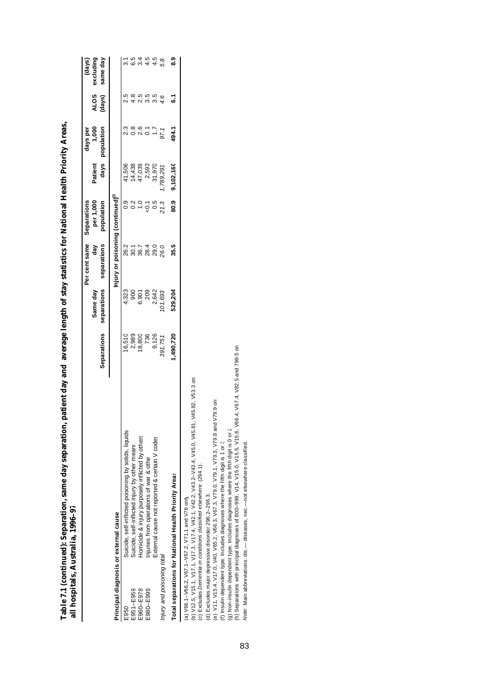|                            | $\sim$ .                                                                                                                                                                                                            |             |               |                                                |                          |           |                   |        |                     |
|----------------------------|---------------------------------------------------------------------------------------------------------------------------------------------------------------------------------------------------------------------|-------------|---------------|------------------------------------------------|--------------------------|-----------|-------------------|--------|---------------------|
|                            |                                                                                                                                                                                                                     |             | Same day      | Per cent same<br>đay                           | per 1,000<br>Separations | Patient   | 1,000<br>days per | ALOS   | excluding<br>(days) |
|                            |                                                                                                                                                                                                                     | Separations | separations   | separations                                    | population               | days      | population        | (days) | same day            |
|                            | Principal diagnosis or external cause                                                                                                                                                                               |             |               | Injury or poisoning (continued) <sup>(1)</sup> |                          |           |                   |        |                     |
| E950                       | Suicide, self-inflicted poisoning by solids, liquids                                                                                                                                                                | 16,510      | 4,323         |                                                | 0.9                      | 41,506    |                   | 2.5    |                     |
| E951-E959                  | Suicide, self-inflicted injury by other means                                                                                                                                                                       | 2,989       | $\frac{8}{2}$ | 2 5 7 7 9<br>2 9 9 2 9<br>2 9 2 9 2            | 0.2                      | 14,438    | $0.\overline{8}$  | 4.8    | 6.5                 |
| E960-E978                  | Homicide & injury purposely inflicted by others                                                                                                                                                                     | 18,800      | 6,901         |                                                | $\frac{0}{1}$            | 47,039    | 2.6               | 2.5    | 3.4                 |
| E980-E999                  | Injuries from operations of war & othe                                                                                                                                                                              | 736         | 209           |                                                | $-0.1$                   | 2,593     | $\overline{0}$ .  | 3.5    | 4.5                 |
|                            | External cause not reported & certain V codes                                                                                                                                                                       | 9,126       | 2,642         |                                                | 0.5                      | 31,970    | $\ddot{ }$ :7     | 3.5    | 4.5                 |
| Injury and poisoning total |                                                                                                                                                                                                                     | 391,751     | 01,693        | 26.0                                           | 21.3                     | ,789,291  | 97.1              |        | 5.8                 |
|                            | Total separations for National Health Priority Areas                                                                                                                                                                | ,490,720    | 529,204       | 35.5                                           | 80.9                     | 9,102,160 | 494.1             | ្ឆ     | ္တ                  |
|                            | (b) V12.5, V15.1, V17.1, V17.3, V17.4, V42.1, V43.2–V43.4, V45.0, V45.81, V45.82, V53.3 on<br>(c) Excludes Dementia in conditions classified elsewhere (294.1).<br>(a) V66.1-V66.2, V67.1-V67.2, V71.1 and V76 only |             |               |                                                |                          |           |                   |        |                     |
|                            | (e) V11, V15.4, V17.0, V40, V65.2, V66.3, V79.0, V79.1, V79.3, V79.3, V79.8 and V79.9 onl<br>(d) Excludes major depressive disorder 296.2-296.3.                                                                    |             |               |                                                |                          |           |                   |        |                     |
|                            | (f) Insulin dependent type. Includes diagnoses where the fifth digit is 1 or 3                                                                                                                                      |             |               |                                                |                          |           |                   |        |                     |
|                            | (g) Non-insulin dependent type. Includes diagnoses where the fifth digit is 0 or 2                                                                                                                                  |             |               |                                                |                          |           |                   |        |                     |
|                            | (h) Separations with principal diagnoses of 800–999, V14, V15.0, V15.5, V15.6, V66.4, V67.4, V82.5 and 799.5 on                                                                                                     |             |               |                                                |                          |           |                   |        |                     |
|                            | Vote: Main abbreviations: dis.- diseases, nec.-not elsewhere classified.                                                                                                                                            |             |               |                                                |                          |           |                   |        |                     |

Table 7.1 (continued): Separation, same day separation, patient day and average length of stay statistics for National Health Priority Areas,<br>all hospitals. Australia. 1996–97 **Table 7.1 (continued): Separation, same day separation, patient day and average length of stay statistics for National Health Priority Areas, all hospitals, Australia, 1996–97**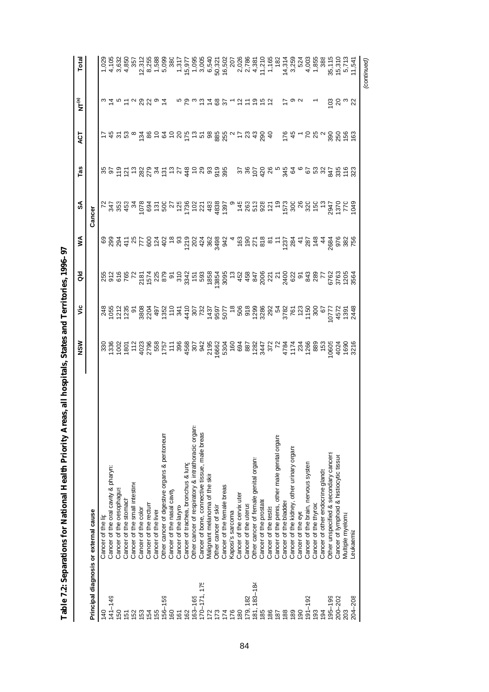| ֖֖֖֪֪֪֪֦֚֚֚֚֚֚֚֚֚֚֚֬֝֝֬֝֓֝֬֝֝֬֝֬֝֬֝֬֝֓֬֝֓֬֝֓֬֝֓֬ |
|--------------------------------------------------|
|                                                  |
|                                                  |
|                                                  |
|                                                  |
|                                                  |
|                                                  |
|                                                  |
|                                                  |
|                                                  |
|                                                  |
|                                                  |
|                                                  |
|                                                  |
|                                                  |
|                                                  |
|                                                  |

|                 |                                                    | NSW | νiς                                                                                                                                                                                                                                                                                                                                                                                                                                                                                                      | $\frac{1}{3}$ | ≸                                                                               | SA     | Tas | ACT                                                                                                                                                                                                                                                                                                                                                                                                                                                                                                                                    | ั๊<br>NT                    | Total                                   |
|-----------------|----------------------------------------------------|-----|----------------------------------------------------------------------------------------------------------------------------------------------------------------------------------------------------------------------------------------------------------------------------------------------------------------------------------------------------------------------------------------------------------------------------------------------------------------------------------------------------------|---------------|---------------------------------------------------------------------------------|--------|-----|----------------------------------------------------------------------------------------------------------------------------------------------------------------------------------------------------------------------------------------------------------------------------------------------------------------------------------------------------------------------------------------------------------------------------------------------------------------------------------------------------------------------------------------|-----------------------------|-----------------------------------------|
|                 | Principal diagnosis or external cause              |     |                                                                                                                                                                                                                                                                                                                                                                                                                                                                                                          |               |                                                                                 | Cancer |     |                                                                                                                                                                                                                                                                                                                                                                                                                                                                                                                                        |                             |                                         |
| 140             | Cancer of the lip                                  |     |                                                                                                                                                                                                                                                                                                                                                                                                                                                                                                          |               |                                                                                 |        |     |                                                                                                                                                                                                                                                                                                                                                                                                                                                                                                                                        |                             |                                         |
| $141 - 149$     | Cancer of the oral cavity & pharyn;                |     |                                                                                                                                                                                                                                                                                                                                                                                                                                                                                                          |               |                                                                                 |        |     |                                                                                                                                                                                                                                                                                                                                                                                                                                                                                                                                        | 3は512 22 9は                 |                                         |
| $\frac{60}{2}$  | Cancer of the oesophagus                           |     |                                                                                                                                                                                                                                                                                                                                                                                                                                                                                                          |               |                                                                                 |        |     |                                                                                                                                                                                                                                                                                                                                                                                                                                                                                                                                        |                             |                                         |
| $\overline{5}$  | Cancer of the stomach                              |     |                                                                                                                                                                                                                                                                                                                                                                                                                                                                                                          |               |                                                                                 |        |     |                                                                                                                                                                                                                                                                                                                                                                                                                                                                                                                                        |                             |                                         |
| <b>152</b>      | Cancer of the small intestine                      |     |                                                                                                                                                                                                                                                                                                                                                                                                                                                                                                          |               |                                                                                 |        |     |                                                                                                                                                                                                                                                                                                                                                                                                                                                                                                                                        |                             |                                         |
| <b>153</b>      | Cancer of the color                                |     |                                                                                                                                                                                                                                                                                                                                                                                                                                                                                                          |               |                                                                                 |        |     |                                                                                                                                                                                                                                                                                                                                                                                                                                                                                                                                        |                             |                                         |
| 154             | Cancer of the rectur                               |     |                                                                                                                                                                                                                                                                                                                                                                                                                                                                                                          |               |                                                                                 |        |     |                                                                                                                                                                                                                                                                                                                                                                                                                                                                                                                                        |                             |                                         |
| 55              | Cancer of the liver                                |     |                                                                                                                                                                                                                                                                                                                                                                                                                                                                                                          |               |                                                                                 |        |     |                                                                                                                                                                                                                                                                                                                                                                                                                                                                                                                                        |                             |                                         |
| $56 - 159$      | Other cancer of digestive organs & peritoneum      |     |                                                                                                                                                                                                                                                                                                                                                                                                                                                                                                          |               |                                                                                 |        |     |                                                                                                                                                                                                                                                                                                                                                                                                                                                                                                                                        |                             |                                         |
| 091             | Cancer of the nasal cavity                         |     |                                                                                                                                                                                                                                                                                                                                                                                                                                                                                                          |               |                                                                                 |        |     |                                                                                                                                                                                                                                                                                                                                                                                                                                                                                                                                        |                             |                                         |
| 161             | Cancer of the laryny                               |     |                                                                                                                                                                                                                                                                                                                                                                                                                                                                                                          |               |                                                                                 |        |     |                                                                                                                                                                                                                                                                                                                                                                                                                                                                                                                                        |                             |                                         |
| $\approx$       | Cancer of trachea, bronchus & lung                 |     |                                                                                                                                                                                                                                                                                                                                                                                                                                                                                                          |               |                                                                                 |        |     |                                                                                                                                                                                                                                                                                                                                                                                                                                                                                                                                        |                             |                                         |
| $63 - 165$      | Other cancer of respiratory & intrathoracic organs |     |                                                                                                                                                                                                                                                                                                                                                                                                                                                                                                          |               |                                                                                 |        |     |                                                                                                                                                                                                                                                                                                                                                                                                                                                                                                                                        |                             |                                         |
| $70 - 171, 175$ | Cancer of bone, connective tissue, male breas      |     |                                                                                                                                                                                                                                                                                                                                                                                                                                                                                                          |               |                                                                                 |        |     |                                                                                                                                                                                                                                                                                                                                                                                                                                                                                                                                        |                             |                                         |
|                 | Vlalignant melanoma of the skir                    |     |                                                                                                                                                                                                                                                                                                                                                                                                                                                                                                          |               |                                                                                 |        |     |                                                                                                                                                                                                                                                                                                                                                                                                                                                                                                                                        |                             |                                         |
| $\overline{73}$ | Other cancer of skin                               |     | $\begin{array}{l} 2\, \overline{1} \oplus \overline{1} \oplus \overline{1} \oplus \overline{1} \oplus \overline{1} \oplus \overline{1} \oplus \overline{1} \oplus \overline{1} \oplus \overline{1} \oplus \overline{1} \oplus \overline{1} \oplus \overline{1} \oplus \overline{1} \oplus \overline{1} \oplus \overline{1} \oplus \overline{1} \oplus \overline{1} \oplus \overline{1} \oplus \overline{1} \oplus \overline{1} \oplus \overline{1} \oplus \overline{1} \oplus \overline{1} \oplus \over$ |               | s gaz = a c g q d e a c d g a a a a a e e c e e c d g e g a a g a g a a g e s c |        |     | $\begin{array}{@{}c@{\hspace{1em}}l} \begin{array}{c} \text{\small{+}} & \text{\small{+}} & \text{\small{+}} & \text{\small{+}} & \text{\small{+}} & \text{\small{+}} & \text{\small{+}} & \text{\small{+}} & \text{\small{+}} & \text{\small{+}} & \text{\small{+}} & \text{\small{+}} & \text{\small{+}} & \text{\small{+}} & \text{\small{+}} & \text{\small{+}} & \text{\small{+}} & \text{\small{+}} & \text{\small{+}} & \text{\small{+}} & \text{\small{+}} & \text{\small{+}} & \text{\small{+}} & \text{\small{+}} & \text{\$ | 5 2 3 2 2 3 2 5 7 2 2 2 2 2 |                                         |
| $\overline{1}$  | Cancer of the female breas                         |     |                                                                                                                                                                                                                                                                                                                                                                                                                                                                                                          |               |                                                                                 |        |     |                                                                                                                                                                                                                                                                                                                                                                                                                                                                                                                                        |                             |                                         |
| 176             | Kaposi's sarcoma                                   |     |                                                                                                                                                                                                                                                                                                                                                                                                                                                                                                          |               |                                                                                 |        |     |                                                                                                                                                                                                                                                                                                                                                                                                                                                                                                                                        |                             |                                         |
| 180             | Cancer of the cervix uter                          |     |                                                                                                                                                                                                                                                                                                                                                                                                                                                                                                          |               |                                                                                 |        |     |                                                                                                                                                                                                                                                                                                                                                                                                                                                                                                                                        |                             |                                         |
| 179, 182        | Cancer of the uterus                               |     |                                                                                                                                                                                                                                                                                                                                                                                                                                                                                                          |               |                                                                                 |        |     |                                                                                                                                                                                                                                                                                                                                                                                                                                                                                                                                        |                             |                                         |
| 184<br>181, 1   | Other cancer of female genital organs              |     |                                                                                                                                                                                                                                                                                                                                                                                                                                                                                                          |               |                                                                                 |        |     |                                                                                                                                                                                                                                                                                                                                                                                                                                                                                                                                        |                             |                                         |
| 85              | Cancer of the prostate                             |     |                                                                                                                                                                                                                                                                                                                                                                                                                                                                                                          |               |                                                                                 |        |     |                                                                                                                                                                                                                                                                                                                                                                                                                                                                                                                                        |                             |                                         |
| 86              | Cancer of the testis                               |     |                                                                                                                                                                                                                                                                                                                                                                                                                                                                                                          |               |                                                                                 |        |     |                                                                                                                                                                                                                                                                                                                                                                                                                                                                                                                                        |                             |                                         |
| 187             | Cancer of the penis, other male genital organ:     |     |                                                                                                                                                                                                                                                                                                                                                                                                                                                                                                          |               |                                                                                 |        |     |                                                                                                                                                                                                                                                                                                                                                                                                                                                                                                                                        |                             |                                         |
| 188             | Cancer of the bladder                              |     |                                                                                                                                                                                                                                                                                                                                                                                                                                                                                                          |               |                                                                                 |        |     |                                                                                                                                                                                                                                                                                                                                                                                                                                                                                                                                        |                             |                                         |
| 189             | Cancer of the kidney, other urinary organs         |     |                                                                                                                                                                                                                                                                                                                                                                                                                                                                                                          |               |                                                                                 |        |     |                                                                                                                                                                                                                                                                                                                                                                                                                                                                                                                                        |                             |                                         |
| $\overline{90}$ | Cancer of the eye                                  |     |                                                                                                                                                                                                                                                                                                                                                                                                                                                                                                          |               |                                                                                 |        |     |                                                                                                                                                                                                                                                                                                                                                                                                                                                                                                                                        |                             |                                         |
| $91 - 192$      | Cancer of the brain, nervous system                |     |                                                                                                                                                                                                                                                                                                                                                                                                                                                                                                          |               |                                                                                 |        |     |                                                                                                                                                                                                                                                                                                                                                                                                                                                                                                                                        |                             |                                         |
| 33              | Cancer of the thyroic                              |     |                                                                                                                                                                                                                                                                                                                                                                                                                                                                                                          |               |                                                                                 |        |     |                                                                                                                                                                                                                                                                                                                                                                                                                                                                                                                                        |                             |                                         |
| 194             | Cancer of other endocrine glands                   |     |                                                                                                                                                                                                                                                                                                                                                                                                                                                                                                          |               |                                                                                 |        |     |                                                                                                                                                                                                                                                                                                                                                                                                                                                                                                                                        |                             |                                         |
| 195-199         | Other unspecified & secondary cancers              |     |                                                                                                                                                                                                                                                                                                                                                                                                                                                                                                          |               |                                                                                 |        |     | 5472528866                                                                                                                                                                                                                                                                                                                                                                                                                                                                                                                             |                             |                                         |
| 200-202         | Cancer of lymphoid & histiocytic tissue            |     |                                                                                                                                                                                                                                                                                                                                                                                                                                                                                                          |               |                                                                                 |        |     |                                                                                                                                                                                                                                                                                                                                                                                                                                                                                                                                        |                             |                                         |
|                 | Multiple myeloma                                   |     |                                                                                                                                                                                                                                                                                                                                                                                                                                                                                                          |               |                                                                                 |        |     |                                                                                                                                                                                                                                                                                                                                                                                                                                                                                                                                        | ຼິອສຶ                       |                                         |
| 204-208         | .eukaemia                                          |     |                                                                                                                                                                                                                                                                                                                                                                                                                                                                                                          |               |                                                                                 |        |     |                                                                                                                                                                                                                                                                                                                                                                                                                                                                                                                                        |                             | 35, 115<br>15, 310<br>5, 713<br>11, 541 |
|                 |                                                    |     |                                                                                                                                                                                                                                                                                                                                                                                                                                                                                                          |               |                                                                                 |        |     |                                                                                                                                                                                                                                                                                                                                                                                                                                                                                                                                        |                             | (continued)                             |

84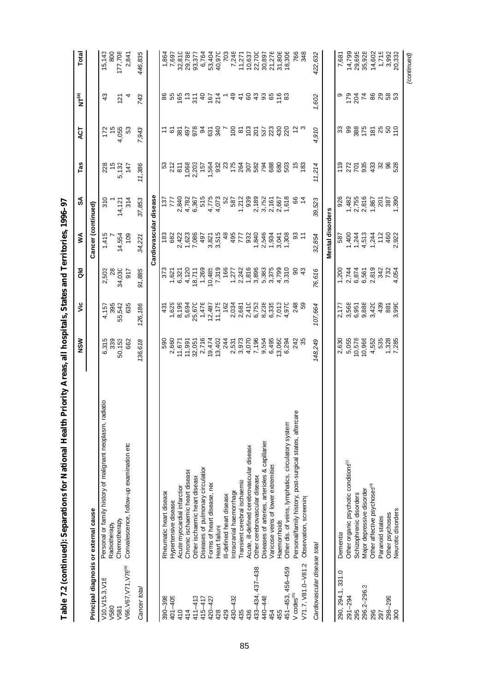|                                       |                                                                            | NSW                   | υ'n                | $\frac{1}{\alpha}$             | ≸                      | న్               | Tas                | E                    | $NT^{(a)}$        | Total            |
|---------------------------------------|----------------------------------------------------------------------------|-----------------------|--------------------|--------------------------------|------------------------|------------------|--------------------|----------------------|-------------------|------------------|
| Principal diagnosis or external cause |                                                                            |                       |                    |                                | Cancer (continued)     |                  |                    |                      |                   |                  |
| V10, V15.3, V16<br>V580               | Personal or family history of malignant neoplasm, radiatio<br>Radiotherapy | 6,315<br>339          | 4,157              | 2,503<br>28                    | 1,415                  | 310              | 228                | 172<br>$\frac{5}{3}$ | $\frac{3}{4}$     | 800<br>15,143    |
| V581                                  | Chemotherapy                                                               | 50,153                | 395<br>55,542      | 34,030                         | 14,554                 | 14,121           | $\frac{15}{5,132}$ | 4,055                | $\overline{5}$    | 177,708          |
| V66, V67, V71, V76 <sup>a)</sup>      | Convalescence, follow-up examination etc                                   | 662                   | 635                | 917                            | 109                    | 314              | 147                | 53                   | 4                 | 2,841            |
| Cancer total                          |                                                                            | 136,618               | 126,186            | 91,885                         | 34,221                 | 37,853           | 11,386             | 7,943                | 743               | 446,835          |
|                                       |                                                                            |                       |                    |                                | Cardiovascular disease |                  |                    |                      |                   |                  |
| 390-398                               | Rheumatic heart disease                                                    | 590                   | 431                | 373                            | 183                    | 137              | ္မ                 | $\ddot{ }$           | 86                | 1,864            |
| $401 - 405$                           | Hypertensive disease                                                       | 2,660                 | 1,629              | 1,621                          | 682                    | 777              | 212                | $\overline{6}$       | 55                | 7,697            |
| 410                                   | Acute myocardial infarction                                                | 11,671                | 8,199              | 6,321                          | 2,422                  | 2,840            | 811                | 381                  | $\frac{165}{371}$ | 32,810           |
| 414                                   | Chronic ischaemic heart disease                                            | 11,991                | 5,694              | 4,120                          | 1,623                  | 4,782            | 1,068              | 497                  |                   | 29,788           |
| $411 - 413$                           | Other ischaemic heart disease                                              | 32,051                | 25,670             | 18,711                         | 7,086                  | 6,367            | 2,203              | 978                  |                   | 93,377           |
| 415-417                               | Diseases of pulmonary circulation                                          | 2,716                 | 1,476              | 1,269                          | 497                    | 515              | 157                | 94                   | $\overline{a}$    | 6,764            |
| 420-427                               | Forms of heart disease, ned                                                | 19,474                | 12,487             | 10,485                         | 3,821                  | 4,775            | 1,564              | 631                  | 167               | 53,404           |
| 428                                   | Heart failure                                                              | 13,402                | 11,175             | 7,319                          | 3,515                  | 4,073            | 932                | $rac{1}{2}$          | $\frac{4}{1}$     | 40,970           |
| 429                                   | Ill-defined heart disease                                                  | 244                   | 162                | 166                            | 48                     | 52               | $\mathbb{S}^2$     |                      |                   | 703              |
| 430-432                               | Intracranial haemorrhage                                                   | 2,531                 | 2,034              | 1,277                          | 495                    | 587              | $175$<br>264       | $rac{180}{100}$      | $\overline{a}$    | 7,248            |
| 435                                   | Transient cerebral ischaemia                                               | 3,973                 | $2,681$<br>$2,410$ | 2,242                          | 777                    | 1,212            |                    |                      | $\ddot{4}$        | 11,271           |
| 436                                   | Acute, ill-defined cerebrovascular disease                                 | 4,070                 |                    | 1,816                          | 932                    | 939              | 307                | 103                  | 60                | 10,637           |
| 433-434, 437-438                      | Other cerebrovascular disease                                              | 7,196                 | 6,753              | 3,896                          | 1,840                  | 2,189            | 582                | 201                  | $\sqrt{3}$        | 22,700           |
| 440-448                               | Diseases of arteries, arterioles & capillaries                             | 9,554                 | 8,238              | 5,383                          | 2,546                  | 3,752            | 794                | 537                  | 3                 | 30,897           |
| 454                                   | Varicose veins of lower extremities                                        | 6,495                 | 6,335              | 3,375                          | 1,934                  | 2,161            | 688                | 223                  | 65                | 21,276           |
| 455                                   | Haemorrhoids                                                               | 13,060                | 7,013              | 4,799                          | 3,041                  | 2,667            | 680                | 430                  | 116               | 31,806           |
| 451-453, 456-459                      | Other dis. of veins, lymphatics, circulatory system                        | 6,294                 | 4,970              | 3,310                          | 1,308                  | 1,618            | 503                | 220                  |                   | 18,306           |
| V codes <sup>(D)</sup>                | ē<br>Personal/family history, post-surgical states, aftercar               | 242                   | 248                | 90                             | 3 L                    | 66               | $\frac{5}{2}$      | $\frac{1}{2}$        |                   | 766<br>348       |
| V71.7, V81.0-V81.2                    | Observation, screening                                                     | 35                    | 59                 | $\frac{3}{4}$                  |                        |                  | 183                |                      |                   |                  |
| Cardiovascular disease total          |                                                                            | 148,249               | 107,664            | 76,616                         | 32,854                 | 39,523           | 11,214             | 4,910                | 1,602             | 422,632          |
|                                       |                                                                            |                       |                    |                                | Mental disorders       |                  |                    |                      |                   |                  |
| 290, 294.1, 331.0                     | Dementia                                                                   | 2,630                 | 2,177              | 1,200                          | 587                    | 926              | 119                | ౘ                    | ၜ                 | 7,681            |
| $291 - 294$                           | Other organic psychotic conditions <sup>®</sup>                            | 5,055                 |                    |                                | 1,400                  |                  |                    | 99                   |                   | 14,799           |
| 295                                   | Schizophrenic disorders                                                    | 10,578                | 3,568<br>6,951     | 2,744<br>6,874                 | 1,244                  | $1,482$<br>2,755 | 272<br>701         | 388                  | 784               |                  |
| 296.2-296.3                           | Major depressive disorder                                                  | 10,966                | 9,888              | 6,561                          | 4,513                  | 2,816            | 935                | 175                  | $\overline{7}$    | 29,695<br>35,928 |
| 296                                   | Other affective psychoses <sup>(d)</sup>                                   | 4,552                 | 3,420              |                                | 1,244                  | 1,867            | ឆ្នូ ន ន ន<br>ស    | 181                  | 86                | 14,602           |
| 297                                   | Paranoid states                                                            |                       | 439                |                                | 112                    | 201              |                    | 25                   |                   | 1,715<br>3,992   |
| $298 - 299$                           | Other psychoses                                                            | 535<br>1,328<br>7,285 | 881                | 2,819<br>342<br>4,054<br>4,054 | 460                    | 1,390            |                    | 50                   | ន ន ន             |                  |
| 300                                   | Neurotic disorders                                                         |                       | 3,990              |                                | 2,922                  |                  |                    | 110                  |                   | 20,332           |
|                                       |                                                                            |                       |                    |                                |                        |                  |                    |                      |                   | (continued)      |

Table 7.2 (continued): Separations for National Health Priority Areas, all hospitals, States and Territories, 1996-97 **Table 7.2 (continued): Separations for National Health Priority Areas, all hospitals, States and Territories, 1996–97**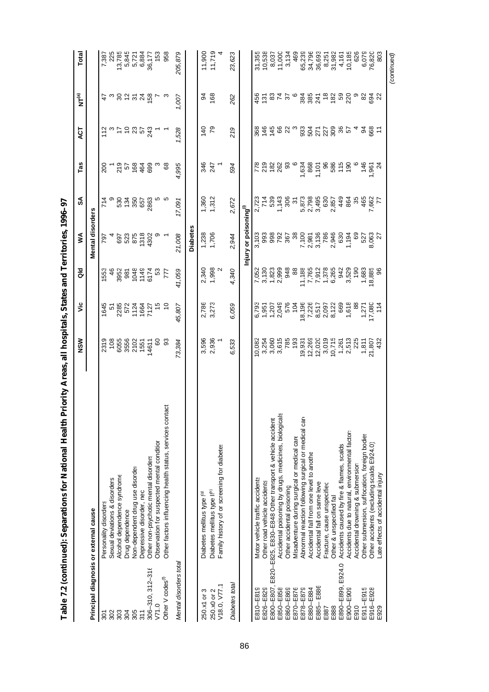|                              | Tanie ("Colline"): pelparations ion valued in the annu                                  | $\frac{1}{2}$ and $\frac{1}{2}$ and $\frac{1}{2}$ and $\frac{1}{2}$ and $\frac{1}{2}$ and $\frac{1}{2}$ and $\frac{1}{2}$ and $\frac{1}{2}$ and $\frac{1}{2}$ and $\frac{1}{2}$ and $\frac{1}{2}$ and $\frac{1}{2}$ and $\frac{1}{2}$ and $\frac{1}{2}$ and $\frac{1}{2}$ and $\frac{1}{2}$ a |                                   |                                   |                                    |                         |                    |                          |                     |                |
|------------------------------|-----------------------------------------------------------------------------------------|-----------------------------------------------------------------------------------------------------------------------------------------------------------------------------------------------------------------------------------------------------------------------------------------------|-----------------------------------|-----------------------------------|------------------------------------|-------------------------|--------------------|--------------------------|---------------------|----------------|
|                              |                                                                                         | NSW                                                                                                                                                                                                                                                                                           | ة                                 | $\frac{6}{9}$                     | Š                                  | æ                       | Tas                | <b>LSK</b>               | NT <sup>(a)</sup>   | Total          |
|                              | Principal diagnosis or external cause                                                   |                                                                                                                                                                                                                                                                                               |                                   |                                   | Mental disorders                   |                         |                    |                          |                     |                |
| 301                          | Personality disorders                                                                   | 2319                                                                                                                                                                                                                                                                                          | 1645                              | 553                               | 797                                | ه م<br>4                | 200                | 112                      |                     | 7,387          |
| 302                          | Sexual deviations & disorders                                                           | 108                                                                                                                                                                                                                                                                                           |                                   |                                   |                                    |                         |                    |                          |                     | 225            |
| 303                          | Alcohol dependence syndrome                                                             | 6055<br>3556                                                                                                                                                                                                                                                                                  |                                   |                                   | 697<br>523                         | 534<br>134              |                    | a ż a                    |                     | 13,785         |
| 304                          | Drug dependence                                                                         |                                                                                                                                                                                                                                                                                               |                                   |                                   |                                    |                         |                    |                          |                     | 5,845          |
| 305                          | Non-dependent drug use disorder                                                         | 2102<br>1551                                                                                                                                                                                                                                                                                  | 51<br>2285<br>572<br>1064<br>7127 | $488899478$ $68899476$ $68899476$ | 875<br>1318<br>4302                | 350<br>657              | 8858427            | 23<br>57<br>24<br>29     | <b>5 ៰ៜ5 ខ</b> ងត្ថ | 5,721<br>6,884 |
| 311                          | Depressive disorder, nec                                                                |                                                                                                                                                                                                                                                                                               |                                   |                                   |                                    |                         |                    |                          |                     |                |
| $306 - 310, 312 - 316$       | Other non-psychotic mental disorders                                                    | 14611                                                                                                                                                                                                                                                                                         |                                   |                                   |                                    | 2863                    |                    |                          |                     | 36,177         |
| V71.0                        | Observation for suspected mental condition                                              | 8                                                                                                                                                                                                                                                                                             | $\frac{5}{2}$                     |                                   |                                    | မှာ က                   | ് 8                |                          |                     | 153            |
| Other V codes <sup>(1)</sup> | Other factors influencing health status, services contact                               | ္တ                                                                                                                                                                                                                                                                                            |                                   | F                                 |                                    |                         |                    |                          | က                   | 958            |
| Mental disorders total       |                                                                                         | 73,384                                                                                                                                                                                                                                                                                        | 45,807                            | 41,059                            | 21,008                             | 17,091                  | ,995               | ,528                     | 1,007               | 205,879        |
|                              |                                                                                         |                                                                                                                                                                                                                                                                                               |                                   |                                   | Diabetes                           |                         |                    |                          |                     |                |
| 250.x1 or 3                  | Diabetes mellitus type (9)                                                              |                                                                                                                                                                                                                                                                                               |                                   | 2,340                             |                                    | 1,360                   | 346                | 140                      | 94                  | 11,900         |
|                              |                                                                                         | 3,596<br>2,936                                                                                                                                                                                                                                                                                | 2,786<br>3,273                    |                                   | 1,238<br>1,706                     | 1,312                   |                    | $\overline{7}9$          | 168                 |                |
| V18.0, V77.1<br>250.x0 or 2  | Family history of or screening for diabetes<br>Diabetes mellitus type II <sup>(h)</sup> |                                                                                                                                                                                                                                                                                               |                                   | 1,998                             |                                    |                         | 247<br>1           |                          |                     | 11,719         |
|                              |                                                                                         |                                                                                                                                                                                                                                                                                               |                                   |                                   |                                    |                         |                    |                          |                     |                |
| Diabetes total               |                                                                                         | 6,533                                                                                                                                                                                                                                                                                         | 6,059                             | 4,340                             | 2,944                              | 2,672                   | 594                | 219                      | 262                 | 23,623         |
|                              |                                                                                         |                                                                                                                                                                                                                                                                                               |                                   |                                   | Injury or poisoning <sup>(1)</sup> |                         |                    |                          |                     |                |
| E810-E819                    | Motor vehicle traffic accidents                                                         | 10,082                                                                                                                                                                                                                                                                                        | 6,793                             |                                   | 3,103                              |                         |                    |                          |                     | 31,355         |
| E826-E829                    | Other road vehicle accidents                                                            | 3,254                                                                                                                                                                                                                                                                                         |                                   |                                   | 993                                | 2,723<br>714            |                    |                          |                     | 10,538         |
| E800-E807,                   | E820-E825, E830-E848 Other transport & vehicle accident                                 |                                                                                                                                                                                                                                                                                               | 1,951<br>1,207                    | 3,130<br>1,823<br>2,999           | 998                                | 539                     | 78<br>2022<br>2021 | 86<br>84<br>7<br>14<br>7 |                     | 8,037          |
| E850-E858                    | Accidental poisoning by drugs, medicines, biologicals                                   |                                                                                                                                                                                                                                                                                               | 2,049                             |                                   | 792                                | 1,143                   | 262                | 66                       |                     | 11,000         |
| E860-E869                    | Other accidental poisoning                                                              | 3,060<br>3,615<br>785                                                                                                                                                                                                                                                                         | 576                               | 948                               | 367                                | 306                     | 3                  | 22                       | 45.8756             | 3,134          |
| E870-E876                    | Misadventure during surgical or medical care                                            | 193                                                                                                                                                                                                                                                                                           | 104                               | 88                                | 38                                 | $\tilde{5}$             |                    | $\mathfrak{S}$           |                     | 469            |
| E878-E879                    | Abnormal reaction following surgical or medical care                                    | 19,931<br>12,269                                                                                                                                                                                                                                                                              | 18,196                            |                                   | 7,100<br>2,981<br>3,136            | 5,873<br>2,798<br>3,495 | 1,634<br>868       |                          | 385<br>285          | 65,239         |
| E880-E884                    | Accidental fall from one level to anothe                                                |                                                                                                                                                                                                                                                                                               | 7,226                             |                                   |                                    |                         |                    |                          |                     | 34,796         |
| E885-E886                    | Accidental fall on same leve                                                            | 12,020                                                                                                                                                                                                                                                                                        | 8,517                             | $\frac{11,188}{7,765}$            |                                    |                         | 1,101              | 33553<br>35533           |                     | 36,693         |
| E887                         | Fracture, cause unspecified                                                             | 3,019                                                                                                                                                                                                                                                                                         | 2,097<br>8,122                    |                                   | 786                                | 630                     | 96<br>585          |                          |                     | 8,251          |
| E888                         | Other & unspecified fall                                                                | 10,715                                                                                                                                                                                                                                                                                        |                                   | 1,378<br>6,265                    | 2,946<br>630                       | 2,857                   |                    |                          | <u>តិ និ និ</u>     | 31,982         |
| E890-E899, E924.0            | Accidents caused by fire & flames, scalds                                               | 1,261                                                                                                                                                                                                                                                                                         | 669                               | 942                               |                                    | 449                     | 115                | 36<br>57                 |                     | 4,161          |
| E900-E909                    | Accidents due to natural, environmental factor:                                         | 2,513<br>225<br>1,811                                                                                                                                                                                                                                                                         | 1,618                             | 3,529                             | 1,194                              | 864                     | 190                |                          |                     | 10,185         |
| E910                         | Accidental drowning & submersion                                                        |                                                                                                                                                                                                                                                                                               | $\frac{8}{3}$                     | 190                               | 89                                 | 35                      |                    | $\overline{a}$           | $\circ$             | 626            |
| E911-E915                    | Other submersion, suffocation, foreign bodies                                           |                                                                                                                                                                                                                                                                                               | 1,271                             | 1,683                             | 527                                | 465                     | 146                | 5                        | 82                  | 6,079          |
| E916-E928                    | Other accidents (excluding scalds E924.0)                                               | 21,807<br>432                                                                                                                                                                                                                                                                                 | 17,080                            | 8,885                             | 8,063<br>27                        | 7,662<br>77             | $-961$             | 568<br>11                | ತ್ತೆ ನಿ             | 76,820         |
| E929                         | Late effects of accidental injury                                                       |                                                                                                                                                                                                                                                                                               | 114                               |                                   |                                    |                         |                    |                          |                     | 803            |
|                              |                                                                                         |                                                                                                                                                                                                                                                                                               |                                   |                                   |                                    |                         |                    |                          |                     | (continued)    |

Table 72 (continued): Separations for National Health Priority Areas, all hospitals, States and Territories, 1996–97 **Table 7.2 (continued): Separations for National Health Priority Areas, all hospitals, States and Territories, 1996–97**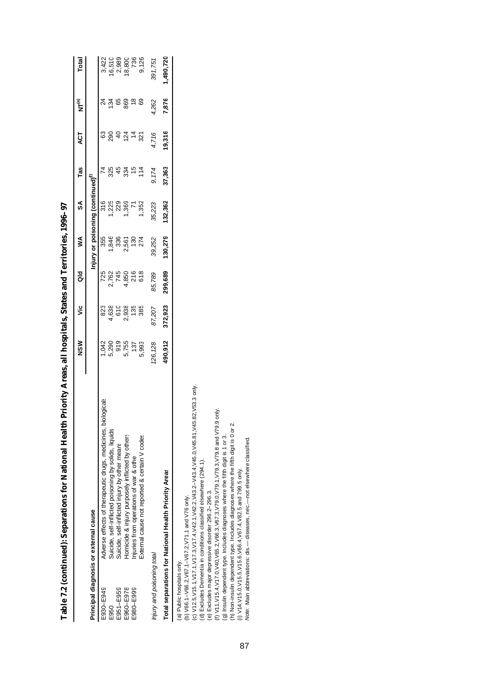|                            |                                                                                                                                                                                                                                                                                                                                                                                                                                                                                                                                                                                                                                                                                                                   | NSM          | ۊ            | ਰ<br>ਹ       | ≸            | S                                | Tas       | <b>ACT</b>            | $NT^{(a)}$           | Total          |
|----------------------------|-------------------------------------------------------------------------------------------------------------------------------------------------------------------------------------------------------------------------------------------------------------------------------------------------------------------------------------------------------------------------------------------------------------------------------------------------------------------------------------------------------------------------------------------------------------------------------------------------------------------------------------------------------------------------------------------------------------------|--------------|--------------|--------------|--------------|----------------------------------|-----------|-----------------------|----------------------|----------------|
|                            | Principal diagnosis or external cause                                                                                                                                                                                                                                                                                                                                                                                                                                                                                                                                                                                                                                                                             |              |              |              |              | Injury or poisoning (continued)" |           |                       |                      |                |
| E930-E949                  | Adverse effects of therapeutic drugs, medicines, biologicals                                                                                                                                                                                                                                                                                                                                                                                                                                                                                                                                                                                                                                                      | 1,042        | 823          | 725          | 355          | 316                              | 74        | 3                     |                      | 3,422          |
| E951-E959<br>E950          | Suicide, self-inflicted poisoning by solids, liquids<br>Suicide, self-inflicted injury by other means                                                                                                                                                                                                                                                                                                                                                                                                                                                                                                                                                                                                             | 919<br>5,290 | 4,638<br>610 | 745<br>2,762 | 1,846<br>336 | 1,225<br>229                     | 325<br>45 | 290<br>$\overline{a}$ | 65<br>134            | 2,989<br>6,510 |
| E980-E999<br>E960-E978     | Homicide & injury purposely inflicted by others<br>njuries from operations of war & other                                                                                                                                                                                                                                                                                                                                                                                                                                                                                                                                                                                                                         | 5,755<br>137 | 2,938<br>135 | 216<br>4,850 | 2,561<br>130 | 1,369                            | 15<br>334 | 124<br>$\frac{4}{3}$  | $\frac{8}{3}$<br>869 | 18,800<br>736  |
|                            | External cause not reported & certain V codes                                                                                                                                                                                                                                                                                                                                                                                                                                                                                                                                                                                                                                                                     | 5,993        | 385          | 618          | 274          | 1,352                            | 114       | 321                   | 69                   | 9,126          |
| Injury and poisoning total |                                                                                                                                                                                                                                                                                                                                                                                                                                                                                                                                                                                                                                                                                                                   | 126,128      | 87,207       | 85,789       | 39,252       | 35,223                           | 9,174     | 4,716                 | 4,262                | 391,751        |
|                            | Total separations for National Health Priority Areas                                                                                                                                                                                                                                                                                                                                                                                                                                                                                                                                                                                                                                                              | 490,912      | 372,923      | 299,689      | 130,279      | 132,362                          | 37,363    | 19,316                | 7,876                | 1,490,720      |
| (a) Public hospitals only. | 82, V53.3 only.<br>only.<br>(c) V12.5, V15.1, V17.1, V17.3, V17.4, V42.1, V42.2, V43.2-V43.4, V45.0, V45.81, V45<br>(f) V11, V15.4, V17.0, V65.2, V66.3, V67.3, V79.0, V79.3, V79.3, V79.8 and V79.9<br>(h) Non-insulin dependent type. Includes diagnoses where the fifth digit is 0 or 2.<br>(g) Insulin dependent type. Includes diagnoses where the fifth digit is 1 or 3.<br>Note: Main abbreviations: dis.- diseases, nec.- not elsewhere classified.<br>(d) Excludes Dementia in conditions classified elsewhere (294.1).<br>(i) V14, V15.0, V15.5, V15.6, V66.4, V67.4, V82.5 and 799.5 only.<br>(e) Excludes major depressive disorder 296.2-296.3.<br>(b) V66.1-V66.2, V67.1-V67.2, V71.1 and V76 only. |              |              |              |              |                                  |           |                       |                      |                |

Table 7.2 (continued): Separations for National Health Priority Areas, all hospitals, States and Territories, 1996-97 **Table 7.2 (continued): Separations for National Health Priority Areas, all hospitals, States and Territories, 1996–97**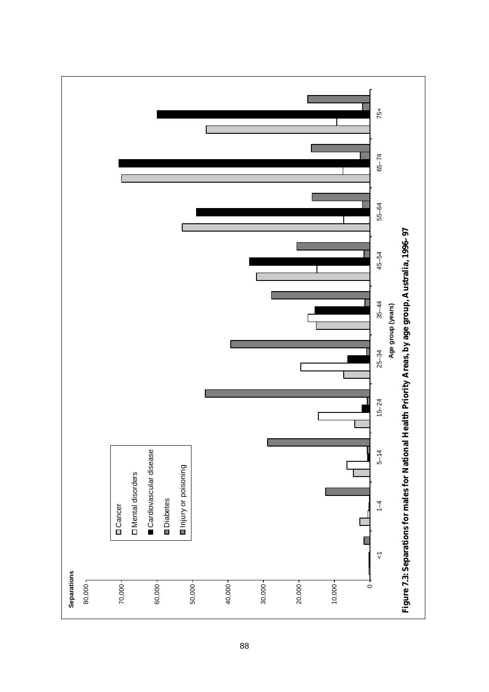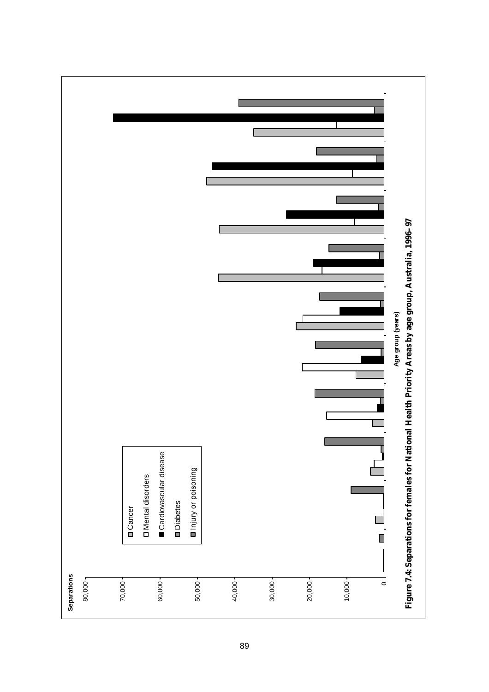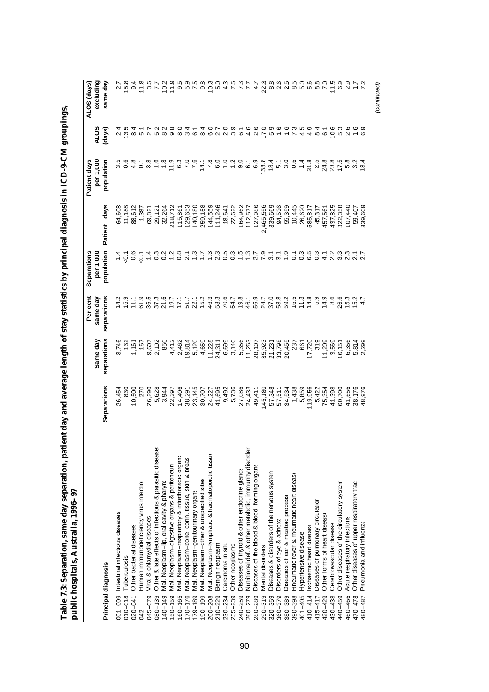|             |                                                         |                  |                         | Per cent                | Separations                                  |                  | Patient days                |                                     | ALOS (days)                                 |
|-------------|---------------------------------------------------------|------------------|-------------------------|-------------------------|----------------------------------------------|------------------|-----------------------------|-------------------------------------|---------------------------------------------|
|             | Principal diagnosis                                     | Separations      | separations<br>Same day | separations<br>same day | population<br>per 1,000                      | Patient days     | per 1,000<br>population     | (days)<br>io<br>⊿                   | excluding<br>same day                       |
| $001 - 009$ | Intestinal infectious diseases                          | 26,454           |                         |                         |                                              | 64,608           |                             |                                     |                                             |
| $010 - 018$ | Tuberculosis                                            | 830              | 132                     |                         | $\frac{4}{10}$ $\frac{6}{10}$ $\frac{6}{10}$ | 11,188           | 5<br>5<br>5<br>5            |                                     |                                             |
| $020 - 041$ | Other bacterial diseases                                | 10,500           | 1,161                   | $15.9$<br>$11.1$        |                                              | 88,612           | 4.8                         |                                     |                                             |
| 042         | Human immunodeficiency virus infection                  | 270              | 167                     | 61.9                    |                                              | 1,387            | $\frac{1}{0}$ $\frac{8}{0}$ |                                     |                                             |
| 045-079     | Viral & chlamydial diseases                             | 26,290           |                         | 36.5                    |                                              | 69,821           |                             |                                     |                                             |
| $080 - 139$ | Other & late effects of infectious & parasitic diseases | 5,628            | 9,607<br>2,102          | $37.3$<br>$21.6$        | $100$<br>$100$                               | 29,121           |                             | vā sa va va sa                      | 2 ちゅうりょうけいしょう じゅうちょくていてきょう りょうこく いけること こうこう |
| 140-149     | Mal. Neoplasm-lip, oral cavity & pharyn;                | 3,944            | 850                     |                         |                                              | 32,264           |                             |                                     |                                             |
| $150 - 159$ | Mal. Neoplasm-digestive organs & peritoneum             | 22,397           | 4,412                   | 19.7                    | $787$<br>$787$                               | 218,712          |                             | o o q r q o r o<br>co q q q q q q q |                                             |
| 160-165     | Mal. Neoplasm-respiratory & intrathoracic organs        | 14,406           | 2,462                   | 17.1                    |                                              | 115,861          |                             |                                     |                                             |
| $170 - 176$ | Mal. Neoplasm-bone, conn. tissue, skin & breas          | 38,291           | 19,814                  | 51.7                    |                                              | 129,653          |                             |                                     |                                             |
| $179 - 189$ | Mal. Neoplasm-genitourinary organs                      |                  |                         | 22.1                    | $\frac{7}{1}$                                | 140,180          |                             |                                     |                                             |
| $190 - 199$ | Mal. Neoplasm-other & unspecified sites                 | 23,145<br>30,707 | 5,120<br>4,659          | 15.2                    |                                              | 259,158          | 14.1                        |                                     |                                             |
| $200 - 208$ | Mal. Neoplasm-lymphatic & haematopoietic tissur         | 24,227           | 11,228                  | 46.3                    | $\frac{3}{2}$ 3                              | 144,559          | 7.8                         |                                     |                                             |
| $210 - 229$ | Benign neoplasm                                         | 41,695           | 24,311                  | 58.3                    |                                              | 111,246          | 0.027                       |                                     |                                             |
| $230 - 234$ | Carcinoma in situ                                       |                  | 6,699                   | 70.6                    | 0.5                                          | 18,641           |                             |                                     |                                             |
| $235 - 239$ | Other neoplasms                                         | 9,492<br>5,736   | 3,140                   | 54.7                    | $0.\overline{3}$                             | 22,622           |                             | ္ပ်ဳိ                               |                                             |
| 240-259     | Diseases of thyroid & other endocrine glands            | 27,086           | 5,356                   | 19.8                    | 1.5                                          | 164,962          | o.                          | ဖ                                   |                                             |
| $260 - 279$ | Nutritional def. & other metabolic, immunity disorder:  | 24,433           | 11,263                  | 46.1                    | $\frac{3}{2}$                                | 112,577          | $\overline{6}$              | $\frac{6}{4}$                       |                                             |
| 280-289     | Diseases of the blood & blood-forming organs            | 49,411           | 28,107                  | 56.9                    |                                              | 127,986          | 6.9                         | 2.6                                 | $\ddot{4}$                                  |
| $290 - 319$ | Mental disorders                                        | 145,180          | 35,923                  | 24.7                    |                                              | 2,465,556        | 133.8                       | 17.0                                | 22.3                                        |
| $320 - 359$ | Diseases & disorders of the nervous system              | 57,348           | 21,231                  | 37.0                    |                                              | 339,669          | 600000                      | 5.9                                 |                                             |
| $360 - 379$ | Disorders of eye & adnexa                               | 57,511           | 33,798                  |                         |                                              |                  |                             | $\frac{6}{1}$                       |                                             |
| 380-389     | Diseases of ear & mastoid process                       | 34,534           | 20,455                  |                         |                                              | 94,536<br>55,359 |                             | $\frac{6}{1}$                       |                                             |
| $390 - 398$ | Rheumatic fever & rheumatic heart disease               | 1,438            | 237                     |                         |                                              | 10,445           |                             | $\tilde{z}$                         |                                             |
| 401-405     | Hypertensive disease                                    | 5,859            | 661                     |                         |                                              | 26,620           |                             | 4.5                                 |                                             |
| $410 - 414$ | schaemic heart disease                                  | 19,956           | 17,720                  |                         |                                              | 585,817          | $31.8$<br>$2.5$             | $\frac{9}{4}$                       |                                             |
| 415-417     | Diseases of pulmonary circulation                       | 5,422            | 319                     |                         |                                              | 45,317           |                             | $8\overline{4}$                     |                                             |
| 420-429     | Other forms of heart disease                            | 75,354           | 11,209                  | 14.9                    | 4.1                                          | 457,561          |                             | $\overline{6}$                      |                                             |
| 430-438     | Cerebrovascular disease                                 | 41,398           | 3,569                   | 8.6                     | 2.2                                          | 437,825          | 24.8<br>23.8<br>17.5        | $10.6$<br>5.3                       |                                             |
| 440-459     | Other diseases of the circulatory system                | 60,700           | 16,151                  | 26.6                    | $3.\overline{3}$                             | 322,358          |                             |                                     | 6.9                                         |
| 460-466     | Acute respiratory infections                            | 41,656           | 6,356                   | 15.3                    | 2.3                                          | 107,440          | 5.2<br>5.3                  |                                     | 2.9                                         |
| 470-478     | Other diseases of upper respiratory tract               | 38,176           | 5,814                   | 15.2                    |                                              | 59,407           |                             |                                     |                                             |
| 480-487     | Pneumonia and influenza                                 | 48,976           | 2,299                   |                         |                                              | 339,609          | 18.4                        |                                     |                                             |

*(continued)*

Table 7.3: Separation, same day separation, patient day and average length of stay statistics by principal diagnosis in ICD-9-CM groupings,<br>public hospitals, Australia, 1996–97 **Table 7.3: Separation, same day separation, patient day and average length of stay statistics by principal diagnosis in ICD-9-CM groupings, public hospitals, Australia, 1996–97**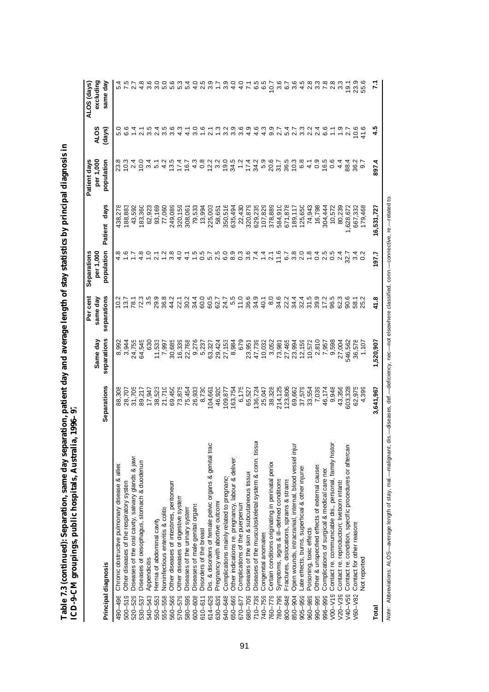| ١           |                                              |
|-------------|----------------------------------------------|
| í           |                                              |
|             |                                              |
|             |                                              |
|             |                                              |
| j<br>I<br>I |                                              |
|             |                                              |
|             |                                              |
|             |                                              |
|             |                                              |
|             |                                              |
|             |                                              |
|             |                                              |
|             |                                              |
|             |                                              |
|             |                                              |
| I           |                                              |
|             |                                              |
|             |                                              |
| ļ           |                                              |
|             |                                              |
|             |                                              |
| ֠           |                                              |
|             |                                              |
|             |                                              |
| ı           |                                              |
| I           |                                              |
| l           |                                              |
|             |                                              |
|             |                                              |
| ١<br>ı<br>¢ | i                                            |
|             | l                                            |
| 1           |                                              |
| ζ           | ""<br>į                                      |
|             |                                              |
|             |                                              |
| Í           | )                                            |
|             | $\sqrt{\phantom{a}}$ on $\sqrt{\phantom{a}}$ |
| Table 7.3 ( | ;<br>)                                       |
|             |                                              |
|             |                                              |

|                                                                        |             | Same day    | Per cent<br>same day | Separations<br>per 1,000 |                 | per 1,000<br>Patient days | <b>ALOS</b>                       | excluding<br>ALOS (days) |
|------------------------------------------------------------------------|-------------|-------------|----------------------|--------------------------|-----------------|---------------------------|-----------------------------------|--------------------------|
| Principal diagnosis                                                    | Separations | separations | separations          | population               | days<br>Patient | population                | (days)                            | same day                 |
| Chronic obstructive pulmonary disease & allied<br>490-496              | 88,308      |             | 10.2                 | 4.8                      | 438,278         | 23.8                      |                                   |                          |
| Other diseases of the respiratory system<br>$500 - 519$                | 28,707      | 8,9944      | 13.7                 |                          | 188,883         | 10.3                      |                                   |                          |
| Diseases of the oral cavity, salivary glands & jaws<br>$520 - 529$     | 31,705      | 24,755      | 78.1                 | $\ddot{ }$ :             | 43,592          | 2.4                       |                                   | 2.7                      |
| Diseases of oesophagus, stomach & duodenum<br>530-537                  | 89,217      | 64,545      | 72.3                 | 4.8                      | 183,360         | 10.0                      | $\overline{2.1}$                  | 4.8                      |
| Appendicitis<br>540-543                                                | 17,947      | 630         | 3.5                  | $\frac{0}{1}$            | 62,923          | 3.4                       | 3.5                               | 3.6                      |
| Hernia of abdominal cavit,<br>550-553                                  | 38,523      | 11,533      | 29.9                 | $\overline{2.1}$         | 93,169          | 5.1                       | 2.4                               | 3.0                      |
| <b>Noninfectious enteritis &amp; colitis</b><br>555-558                | 21,710      | 7,997       | 36.8                 | 1.2                      | 77,060          | 4.2                       | 3.5                               | 5.0                      |
| Other diseases of intestines, peritoneum<br>560-569                    | 69,450      | 30,685      | 44.2                 | $3.\overline{8}$         | 249,089         | 13.5                      | 3.6                               | 5.6                      |
| Other diseases of digestive system<br>570-579                          | 73,875      | 16,339      | 22.1                 | 4.0                      | 320,159         | 17.4                      |                                   | 5.3                      |
| Diseases of the urinary system<br>580-599                              | 75,454      | 22,768      | $\frac{2}{30}$       | 4.1                      | 308,061         | 16.7                      | 4.1                               | 5.4                      |
| Diseases of male genital organs<br>$600 - 608$                         | 26,933      | 9,276       | 34.4                 | $\frac{5}{1}$            | 79,533          | 4.3                       | 3.0                               | $\frac{0}{4}$            |
| Disorders of the breast<br>$610 - 611$                                 | 8,730       | 5,237       | 60.0                 | 0.5                      | 13,994          | 0.8                       | $\frac{6}{1}$                     | 2.5                      |
| Dis. & disorders of female pelvic organs & genital trac<br>614-629     | 04,661      | 63,327      | 60.5                 |                          | 225,003         | 12.2                      | $\overline{2.1}$                  | 3.9                      |
| Pregnancy with abortive outcome<br>630-639                             | 46,920      | 29,424      | 62.7                 | 5 5 6 9 9<br>5 9 9 9 9   | 58,651          | 3.2                       |                                   |                          |
| Complications mainly related to pregnancy<br>640-648                   | 109,877     | 27,153      | 24.7                 |                          | 350,516         | 19.0                      | 3.2                               | 3.9                      |
| Other indications re. pregnancy, labour & delivery<br>650-669          | 163,754     | 8,984       | 5.5                  |                          | 635,494         | 34.5                      | 3.9                               | $rac{1}{4}$              |
| Complications of the puerperium<br>670-677                             | 6,175       | 679         | 11.0                 | $0.\overline{3}$         | 22,430          | 1.2                       | 3.6                               | $\frac{0}{4}$            |
| Diseases of the skin & subcutaneous tissue<br>680-709                  | 65,527      | 23,951      | 36.6                 | <br>თ                    | 320,879         | 17.4                      | တ္<br>4                           | $\ddot{ }$               |
| Diseases of the musculoskeletal system & conn. tissu<br>$710 - 739$    | 136,724     | 47,739      | 34.9                 | 7.4                      | 629,235         | 34.2                      | 4.6                               | 6.5                      |
| Congenital anomalies<br>740-759                                        | 25,047      | 10,032      | 40.1                 | $\frac{4}{1}$            | 107,829         | 5.9                       | 4.3                               | 65                       |
| Certain conditions originating in perinatal perior<br>760-779          | 38,328      | 3,052       | $\frac{8}{3}$        | 2.1                      | 378,889         | 20.6                      | 9.9                               | 10.7                     |
| Symptoms, signs & ill-defined conditions<br>780-799                    | 214,125     | 73,981      | 34.6                 | 11.6                     | 584,910         | 31.7                      | 2.7                               | 3.6                      |
| Fractures, dislocations, sprains & strains<br>800-848                  | 123,806     | 27,465      | 22.2                 |                          | 671,878         | 36.5                      | 4.<br>$\frac{4}{9}$ $\frac{7}{9}$ |                          |
| Open wounds, intracranial, internal, blood vessel injur<br>850-904     | 69,662      | 23,994      | 34.4                 | 5<br>6 3 0<br>6 1        | 189,117         | 10.3                      |                                   | 6.7<br>3.6               |
| ate effects, burns, superficial & other injuries<br>$905 - 959$        | 37,579      | 12,159      | 32.4                 |                          | 125,650         | 6.8                       | S                                 | 4.5                      |
| Poisoning, toxic effects<br>960-989                                    | 33,554      | 10,572      | 31.5                 | 1.8                      | 74,943          | 4.1                       | Ņ<br>$\mathbf{N}$                 | 2.8                      |
| Other & unspecified effects of external causes<br>990-995              | 7,039       | 2,810       | 39.9                 | 0.4                      | 16,798          | 0.9                       | $\mathbf{a}$                      | 3.3                      |
| Complications of surgical & medical care neo<br>996-999                | 46,174      | 7,957       | 17.2                 | 2.5                      | 304,444         | 16.5                      | 6.6                               |                          |
| Contact re. communicable dis., personal, family histor<br>$V00-V19$    | 9,948       | 9,598       | 96.5                 | 0.5                      | 10,572          | 0.6                       |                                   | 2.8                      |
| Contact re. reproduction; liveborn infants<br>$V20 - V39$              | 43,356      | 27,004      | 62.3                 | $\frac{4}{3}$            | 80,239          | $4\overline{4}$           |                                   | 33                       |
| Contact re. condition, specific procedures or aftercare<br>$V40 - V59$ | 503,328     | 546,562     | 90.6                 | 32.7                     | ,628,672        | 88.4                      |                                   | 19.1                     |
| Contact for other reasons<br>$V60 - V82$                               | 62,975      | 36,578      | 58.1                 | 300                      | 667,332         | 36.2                      | 10.6                              | 23.9                     |
| Not reported                                                           | 4,399       | 1,107       | 25.2                 |                          | 179,468         | $-6.7$                    | 41.6                              | 55.6                     |
| Total                                                                  | 3,641,967   | 1,520,907   | 41.8                 | 197.7                    | 16,531,727      | 897.4                     | 4.5                               | 71                       |
|                                                                        |             |             |                      |                          |                 |                           |                                   |                          |

Note: Abbreviations: ALOS-average length of stay, mal .- malignant, dis.--diseases, def.--deficiency, nec--not elsewhere classified, conn.--connective, re.--related to. *Note:* Abbreviations: ALOS— average length of stay, mal.— malignant, dis.— diseases, def.— deficiency, nec— not elsewhere classified, conn.— connective, re.— related to.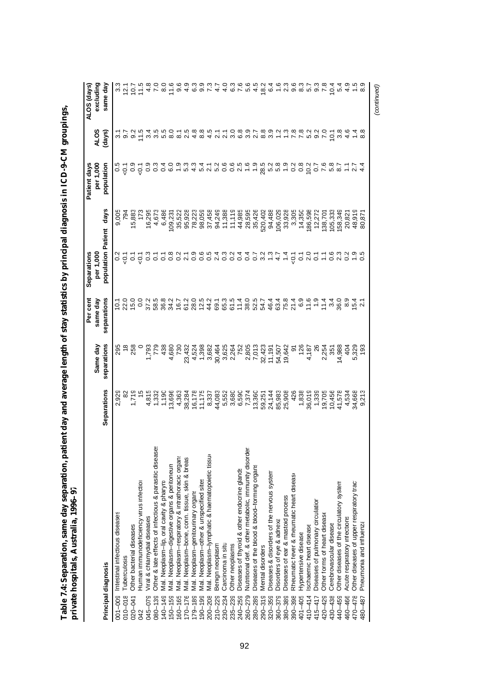|             |                                                         |                                                                                                                                                                                                                                                                                                               |                                                    | Per cent                                                                                                                                               | Separations                                                                                                |                                                                                                                                                                                                                                                                                                   | Patient days |                                                                                                         | ALOS (days)        |
|-------------|---------------------------------------------------------|---------------------------------------------------------------------------------------------------------------------------------------------------------------------------------------------------------------------------------------------------------------------------------------------------------------|----------------------------------------------------|--------------------------------------------------------------------------------------------------------------------------------------------------------|------------------------------------------------------------------------------------------------------------|---------------------------------------------------------------------------------------------------------------------------------------------------------------------------------------------------------------------------------------------------------------------------------------------------|--------------|---------------------------------------------------------------------------------------------------------|--------------------|
|             |                                                         |                                                                                                                                                                                                                                                                                                               | Same day                                           | same day                                                                                                                                               | per 1,000                                                                                                  |                                                                                                                                                                                                                                                                                                   | per 1,000    | <b>ALOS</b>                                                                                             | excluding          |
|             | Principal diagnosis                                     | Separations                                                                                                                                                                                                                                                                                                   | separations                                        | separations                                                                                                                                            | population Patient                                                                                         | days                                                                                                                                                                                                                                                                                              | population   | (days)                                                                                                  | same day           |
| $001 - 009$ | Intestinal infectious diseases                          | 2,929                                                                                                                                                                                                                                                                                                         | 295                                                |                                                                                                                                                        |                                                                                                            | 9,005                                                                                                                                                                                                                                                                                             |              |                                                                                                         |                    |
| $010 - 018$ | Tuberculosis                                            |                                                                                                                                                                                                                                                                                                               |                                                    | $10.1$<br>$20.0$<br>$15.0$                                                                                                                             |                                                                                                            | 794                                                                                                                                                                                                                                                                                               |              |                                                                                                         |                    |
| $020 - 041$ | Other bacterial diseases                                |                                                                                                                                                                                                                                                                                                               | $\frac{8}{258}$                                    |                                                                                                                                                        |                                                                                                            | 15,883                                                                                                                                                                                                                                                                                            |              |                                                                                                         |                    |
| 042         | Human immunodeficiency virus infection                  |                                                                                                                                                                                                                                                                                                               |                                                    | 0.0                                                                                                                                                    |                                                                                                            |                                                                                                                                                                                                                                                                                                   |              |                                                                                                         |                    |
| 045-079     | Viral & chlamydial diseases                             | $\begin{array}{r} 1.16 \\ 1.16 \\ 1.17 \\ 1.18 \\ 1.19 \\ 1.19 \\ 1.19 \\ 1.19 \\ 1.19 \\ 1.19 \\ 1.19 \\ 1.19 \\ 1.19 \\ 1.19 \\ 1.19 \\ 1.19 \\ 1.19 \\ 1.19 \\ 1.19 \\ 1.19 \\ 1.19 \\ 1.19 \\ 1.19 \\ 1.19 \\ 1.19 \\ 1.19 \\ 1.19 \\ 1.19 \\ 1.19 \\ 1.19 \\ 1.19 \\ 1.19 \\ 1.19 \\ 1.19 \\ 1.19 \\ 1.$ |                                                    | 37.2                                                                                                                                                   | a d'o d'o o o o o u o o o u o o o o o o u - 4 - 6<br>a c'e c u c e s d c s o u o o o u o o o o o u - 4 - 6 | 16,295                                                                                                                                                                                                                                                                                            |              | codo Taura codo de da dala do da da terrro dróga.<br>L'radia do Cro codo terro do tecno da da da da Cua |                    |
| $080 - 139$ | Other & late effects of infectious & parasitic diseases |                                                                                                                                                                                                                                                                                                               | $1.793$<br>$7.798$<br>$4.690$<br>$6.79$<br>$4.690$ |                                                                                                                                                        |                                                                                                            |                                                                                                                                                                                                                                                                                                   |              |                                                                                                         |                    |
| 140-149     | Mal. Neoplasm-lip, oral cavity & pharyn;                |                                                                                                                                                                                                                                                                                                               |                                                    | 5<br>8 9 9 7 6 7 9 9 9 9 7 7 9<br>8 9 7 9 9 9 9 9 9 9 9                                                                                                |                                                                                                            | 4,673<br>6,486                                                                                                                                                                                                                                                                                    |              |                                                                                                         |                    |
| $50 - 159$  | Mal. Neoplasm-digestive organs & peritoneum             |                                                                                                                                                                                                                                                                                                               |                                                    |                                                                                                                                                        |                                                                                                            | 109,231                                                                                                                                                                                                                                                                                           |              |                                                                                                         |                    |
| $60 - 165$  | Mal. Neoplasm-respiratory & intrathoracic organs        |                                                                                                                                                                                                                                                                                                               |                                                    |                                                                                                                                                        |                                                                                                            |                                                                                                                                                                                                                                                                                                   |              |                                                                                                         |                    |
| $70 - 176$  | Mal. Neoplasm-bone, conn. tissue, skin & breas          |                                                                                                                                                                                                                                                                                                               |                                                    |                                                                                                                                                        |                                                                                                            | $\begin{array}{l} 39.876 \\ 39.870 \\ 39.870 \\ 39.870 \\ 39.89 \\ 39.89 \\ 39.89 \\ 39.89 \\ 39.89 \\ 39.89 \\ 39.89 \\ 39.89 \\ 39.89 \\ 30.89 \\ 31.89 \\ 32.89 \\ 33.89 \\ 34.89 \\ 35.89 \\ 36.89 \\ 37.89 \\ 38.89 \\ 39.89 \\ 39.89 \\ 39.89 \\ 39.89 \\ 39.89 \\ 39.89 \\ 39.89 \\ 39.89$ |              |                                                                                                         |                    |
| $79 - 189$  | Mal. Neoplasm-genitourinary organs                      |                                                                                                                                                                                                                                                                                                               |                                                    |                                                                                                                                                        |                                                                                                            |                                                                                                                                                                                                                                                                                                   |              |                                                                                                         |                    |
| $90 - 199$  | Mal. Neoplasm-other & unspecified sites                 |                                                                                                                                                                                                                                                                                                               |                                                    |                                                                                                                                                        |                                                                                                            |                                                                                                                                                                                                                                                                                                   |              |                                                                                                         |                    |
| $200 - 208$ | Mal. Neoplasm-lymphatic & haematopoietic tissur         | 8,337                                                                                                                                                                                                                                                                                                         |                                                    |                                                                                                                                                        |                                                                                                            |                                                                                                                                                                                                                                                                                                   |              |                                                                                                         |                    |
| $210 - 229$ | Benign neoplasm                                         | 44,083                                                                                                                                                                                                                                                                                                        |                                                    |                                                                                                                                                        |                                                                                                            |                                                                                                                                                                                                                                                                                                   |              |                                                                                                         |                    |
| $230 - 234$ | Carcinoma in situ                                       | 5,552                                                                                                                                                                                                                                                                                                         | 3,625<br>2,264                                     |                                                                                                                                                        |                                                                                                            |                                                                                                                                                                                                                                                                                                   |              |                                                                                                         |                    |
| $235 - 239$ | Other neoplasms                                         | 3,680                                                                                                                                                                                                                                                                                                         |                                                    |                                                                                                                                                        |                                                                                                            |                                                                                                                                                                                                                                                                                                   |              |                                                                                                         |                    |
| 240-259     | Diseases of thyroid & other endocrine glands            | 6,590                                                                                                                                                                                                                                                                                                         | 752                                                |                                                                                                                                                        |                                                                                                            |                                                                                                                                                                                                                                                                                                   |              |                                                                                                         |                    |
| 260-279     | Nutritional def. & other metabolic, immunity disorder   | 7,374                                                                                                                                                                                                                                                                                                         |                                                    |                                                                                                                                                        |                                                                                                            |                                                                                                                                                                                                                                                                                                   |              |                                                                                                         |                    |
| 280-289     | Diseases of the blood & blood-forming organs            | 13,360                                                                                                                                                                                                                                                                                                        | 2,805<br>7,013                                     | $6780$<br>$6790$<br>$6790$                                                                                                                             |                                                                                                            |                                                                                                                                                                                                                                                                                                   |              |                                                                                                         |                    |
| $290 - 319$ | Mental disorders                                        | 59,251                                                                                                                                                                                                                                                                                                        |                                                    | 54.7                                                                                                                                                   |                                                                                                            | 520,402                                                                                                                                                                                                                                                                                           |              |                                                                                                         |                    |
| $320 - 359$ | Diseases & disorders of the nervous system              | 24,144                                                                                                                                                                                                                                                                                                        | 32,423<br>11,191<br>54,507<br>19,642               | 4 6 7 2 0 1 1 2 3 3 4 5 6 7 4 6 7 4 6 7 5 7 6 7 7 7 9 7 7 7 9 7 7 7 9 7 7 7 9 7 7 7 9 7 7 7 9 7 7 7 9 7 7 7 9<br>4 7 7 7 8 7 9 7 9 7 7 7 7 9 7 7 7 9 7 |                                                                                                            | 94,488                                                                                                                                                                                                                                                                                            |              |                                                                                                         |                    |
| $360 - 379$ | Disorders of eye & adnexa                               |                                                                                                                                                                                                                                                                                                               |                                                    |                                                                                                                                                        |                                                                                                            | 106,029                                                                                                                                                                                                                                                                                           |              |                                                                                                         |                    |
| 380-389     | Diseases of ear & mastoid process                       | 85,983<br>25,908                                                                                                                                                                                                                                                                                              |                                                    |                                                                                                                                                        |                                                                                                            | 33,928                                                                                                                                                                                                                                                                                            |              |                                                                                                         | com com<br>Com com |
| 390-398     | Rheumatic fever & rheumatic heart disease               | 426                                                                                                                                                                                                                                                                                                           | 91<br>126<br>4,187                                 |                                                                                                                                                        |                                                                                                            | 3,305                                                                                                                                                                                                                                                                                             |              |                                                                                                         |                    |
| $401 - 405$ | Hypertensive disease                                    |                                                                                                                                                                                                                                                                                                               |                                                    |                                                                                                                                                        |                                                                                                            | 14,350                                                                                                                                                                                                                                                                                            |              |                                                                                                         |                    |
| $410 - 414$ | schaemic heart disease                                  | 1,838<br>36,019                                                                                                                                                                                                                                                                                               |                                                    |                                                                                                                                                        | $\frac{1}{2}$                                                                                              | 186,598                                                                                                                                                                                                                                                                                           |              |                                                                                                         |                    |
| $115 - 417$ | Diseases of pulmonary circulation                       | 1,339<br>19,705                                                                                                                                                                                                                                                                                               | $\frac{26}{5}$                                     |                                                                                                                                                        | $\overline{c}$                                                                                             | 12,272                                                                                                                                                                                                                                                                                            |              |                                                                                                         |                    |
| $420 - 429$ | Other forms of heart disease                            |                                                                                                                                                                                                                                                                                                               | 2,254                                              |                                                                                                                                                        | Ξ                                                                                                          | 138,701                                                                                                                                                                                                                                                                                           |              |                                                                                                         | $\frac{8}{7}$      |
| 430-438     | Cerebrovascular disease                                 | 10,456                                                                                                                                                                                                                                                                                                        | 351                                                |                                                                                                                                                        | 0 m<br>0 N                                                                                                 | 105,333                                                                                                                                                                                                                                                                                           |              |                                                                                                         | $\frac{10.4}{4}$   |
| 440-459     | Other diseases of the circulatory system                | 41,578                                                                                                                                                                                                                                                                                                        | 14,988                                             |                                                                                                                                                        |                                                                                                            | 158,349                                                                                                                                                                                                                                                                                           |              |                                                                                                         |                    |
| 460-466     | Acute respiratory infections                            | 4,534                                                                                                                                                                                                                                                                                                         | 404                                                | 8.9                                                                                                                                                    |                                                                                                            | 20,821                                                                                                                                                                                                                                                                                            |              |                                                                                                         |                    |
| 470-478     | Other diseases of upper respiratory tract               | 34,668                                                                                                                                                                                                                                                                                                        | 5,329<br>193                                       |                                                                                                                                                        |                                                                                                            | 48,919                                                                                                                                                                                                                                                                                            |              |                                                                                                         |                    |
| 480-487     | Pneumonia and influenza                                 | 9,213                                                                                                                                                                                                                                                                                                         |                                                    |                                                                                                                                                        |                                                                                                            | $\overline{8}$                                                                                                                                                                                                                                                                                    |              |                                                                                                         |                    |

*(continued)*

Table 7.4: Separation, same day separation, patient day and average length of stay statistics by principal diagnosis in ICD-9-CM groupings,<br>private hospitals, Australia, 1996–97 **Table 7.4: Separation, same day separation, patient day and average length of stay statistics by principal diagnosis in ICD-9-CM groupings, private hospitals, Australia, 1996–97**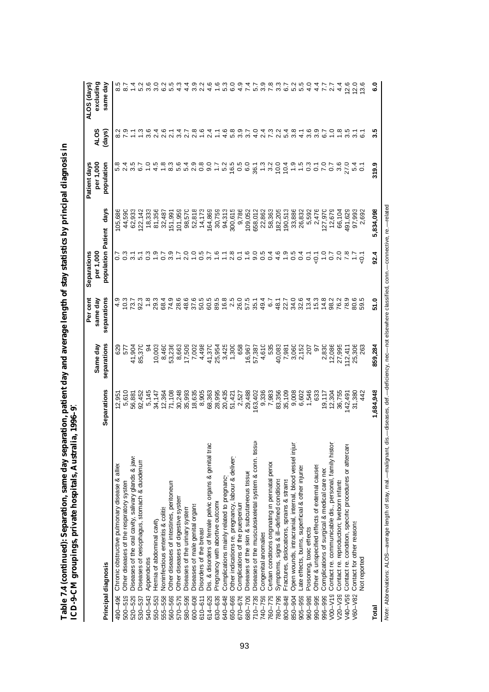|                                                                                                                                                               |                 |                         | Per cent                | Separations                     |                  | Patient days            |                       | ALOS (days)           |
|---------------------------------------------------------------------------------------------------------------------------------------------------------------|-----------------|-------------------------|-------------------------|---------------------------------|------------------|-------------------------|-----------------------|-----------------------|
| Principal diagnosis                                                                                                                                           | Separations     | separations<br>Same day | separations<br>same day | population Patient<br>per 1,000 | days             | per 1,000<br>population | <b>ALOS</b><br>(days) | excluding<br>same day |
|                                                                                                                                                               |                 |                         |                         |                                 |                  |                         |                       |                       |
| Chronic obstructive pulmonary disease & alliex<br>Other diseases of the respiratory system<br>$500 - 519$<br>490-496                                          | 12,951          | 629<br>577              | $\frac{9}{4}$<br>10.3   |                                 | 105,686          | 2.4                     |                       | $\dot{\infty}$        |
| Diseases of the oral cavity, salivary glands & jaws<br>$520 - 529$                                                                                            | 5,610<br>56,881 |                         | 73.7                    | $\overline{3}$ .                | 44,590<br>62,933 | 3.5                     |                       |                       |
|                                                                                                                                                               |                 | 41,904                  |                         | $\overline{5}$ .1               |                  | 6.7                     |                       |                       |
| Diseases of oesophagus, stomach & duodenum<br>530-537                                                                                                         | 92,452          | 85,370                  | 92.3                    |                                 | 122, 142         |                         | $\frac{3}{1}$         | $\sim$<br>ပေ          |
| Appendicitis<br>540-543                                                                                                                                       | 5,145           | 94                      | 1.8                     | $0.\overline{3}$                | 18,333           | $\frac{0}{1}$           | $3.\overline{6}$      | 3.6                   |
| Hernia of abdominal cavity<br>550-553                                                                                                                         | 34,147          | 10,003                  | 29.3                    | $\frac{9}{1}$                   | 81,356           | 4.5                     | 2.4                   | Q<br>က                |
| Noninfectious enteritis & colitis<br>555-558                                                                                                                  | 12,364          | 8,460                   | 68.4                    | $\overline{0.7}$                | 32,487           | 1.8                     | 2.6                   | ھ                     |
| Other diseases of intestines, peritoneum<br>560-569                                                                                                           | 71,108          | 53,236                  | 74.9                    | 3.9                             | 151,991          | 8.3                     | $\overline{21}$       | ယ                     |
| Other diseases of digestive system<br>570-579                                                                                                                 | 30,248          | 8,663                   | 28.6                    | $\overline{1}$ .                | 101,959          | 5.6                     | प.<br>က်              |                       |
| Diseases of the urinary system<br>580-599                                                                                                                     | 35,993          | 17,509                  | 48.6                    | 2.0                             | 98,570           | 5.4                     | 2.7                   | 4<br>4                |
| Diseases of male genital organs<br>$600 - 608$                                                                                                                | 18,635          | 7,002                   | 37.6                    | $\frac{0}{1}$                   | 52,818           | 2.9                     | $2.\overline{8}$      | 3.9                   |
| Disorders of the breast<br>$610 - 611$                                                                                                                        | 8,905           | 4,498                   | 5.05                    | 0.5                             | 14,173           | 0.8                     |                       |                       |
| Dis. & disorders of female pelvic organs & genital trac<br>614-629                                                                                            | 68,363          | 41,370                  | 60.5                    | 3.7                             | 164,869          | 9.0                     | $\frac{4}{2}$         | ပ္ခ<br>4              |
| Pregnancy with abortive outcome<br>630-639                                                                                                                    | 28,995          | 25,954                  | 89.5                    | 1.6                             | 30,759           | $\overline{1}$ .        |                       | 1.6                   |
| Complications mainly related to pregnancy<br>640-648                                                                                                          | 20,435          | 3,425                   | 16.8                    | Ξ,                              | 94,313           | 5.2                     | 4.6                   | ო<br>LO               |
| Other indications re. pregnancy, labour & deliver<br>650-669                                                                                                  | 51,421          | 1,300                   | 2.5                     | 2.8                             | 300,615          | 16.5                    | 5.8                   | $\overline{6}$ .0     |
| Complications of the puerperium<br>670-676                                                                                                                    | 2,527           | 658                     | 26.0                    | $\overline{C}$                  | 9,786            | 0.5                     | 3.9                   | 4.9                   |
| Diseases of the skin & subcutaneous tissue<br>680-709                                                                                                         | 29,488          | 16,967                  | 57.5                    | 1.6                             | 109,052          | 6.0                     | $\overline{3.7}$      | 7.4                   |
| Diseases of the musculoskeletal system & conn. tissue<br>$710 - 739$                                                                                          | 163,402         | 57,387                  | 35.1                    | 9.0                             | 658,012          | 36.1                    | $\frac{0}{4}$         | 5.7                   |
| Congenital anomalies<br>740-759                                                                                                                               | 9,336           | 4,610                   | 49.4                    | 0.5                             | 22,862           | 1.3                     | 2.4                   | 3.9                   |
| Certain conditions originating in perinatal perior<br>760-779                                                                                                 | 7,983           | 535                     | 6.7                     | 0.4                             | 58,363           | 3.2                     | 7.3                   | 7.8                   |
| Symptoms, signs & ill-defined conditions<br>780-799                                                                                                           | 83,356          | 40,083                  | 48.1                    | 4.6                             | 182,205          | 10.0                    | $\frac{2}{3}$         | $3.\overline{3}$      |
| Fractures, dislocations, sprains & strains<br>800-848                                                                                                         | 35,109          | 7,981                   | 22.7                    | $\ddot{.}$                      | 190,513          | 10.4                    | 5.4                   | 6.7                   |
| Open wounds, intracranial, internal, blood vessel inju<br>850-904                                                                                             | 9,008           | 3,060                   | 34.0                    | 0.5                             | 33,886           | $\frac{0}{1}$           | 3.8                   | 5.2                   |
| Late effects, burns, superficial & other injuries<br>$905 - 959$                                                                                              | 6,602           | 2,152                   | 32.6                    | 0.4                             | 26,832           | 1.5                     | 4.1                   | 5.5                   |
| Poisoning, toxic effects<br>960-989                                                                                                                           | 1,546           | 207                     | 13.4                    | $\overline{0}$ .                | 5,592            | 0.3                     | 3.6                   | 4.0                   |
| Other & unspecified effects of external causes<br>990-995                                                                                                     | 633             | 5                       | 15.3                    | $-5$                            | 2,476            | $\overline{0}$ .        | 3.9                   | $4\overline{4}$       |
| Complications of surgical & medical care neo<br>996-999                                                                                                       | 19,117          | 2,830                   | 14.8                    | $\frac{0}{1}$                   | 127,970          | 7.0                     | 6.7                   | 7.7                   |
| Contact re. communicable dis., personal, family histor<br>V00-V19                                                                                             | 12,304          | 12,086                  | 98.2                    | 0.7                             | 12,679           | $\overline{0}$          | $\frac{0}{1}$         | $\overline{2.7}$      |
| Contact re. reproduction; liveborn infants<br>$V20-V39$                                                                                                       | 36,755          | 27,995                  | 76.2                    | 2.0                             | 66,104           | 3.6                     | $\frac{8}{1}$         | $\frac{4}{4}$         |
| Contact re. condition, specific procedures or aftercar<br>V40-V59                                                                                             | 142,491         | 12,411                  | 78.9                    | 7.8                             | 491,629          | 27.0                    | $3.\overline{5}$      | 2.6                   |
| Contact for other reasons<br>$V60 - V82$                                                                                                                      | 31,380          | 25,306                  | 80.6                    | $\ddot{ }$ :                    | 97,993           | 5.4                     | $\overline{3}$ .      | 12.0                  |
| <b>Not reported</b>                                                                                                                                           | 442             | 263                     | 59.5                    | ر<br>ج                          | 2,692            | $\overline{c}$          |                       | $\tilde{\mathbf{c}}$  |
| Total                                                                                                                                                         | 1,684,948       | 859,284                 | 51.0                    | 92.4                            | 5,834,098        | 319.9                   | 3.5                   | <b>.</b> 3            |
| Note: Abbreviations: ALOS—average length of stay, mal.—malignant, dis.—diseases, def.—deficiency, nec—not elsewhere classified, conn.—connective, re.—related |                 |                         |                         |                                 |                  |                         |                       |                       |

Table 7.4 (continued): Separation, same day separation, patient day and average length of stay statistics by principal diagnosis in<br>ICD-9-CM groupings, private hospitals, Australia, 1996–97 **Table 7.4 (continued): Separation, same day separation, patient day and average length of stay statistics by principal diagnosis in ICD-9-CM groupings, private hospitals, Australia, 1996–97**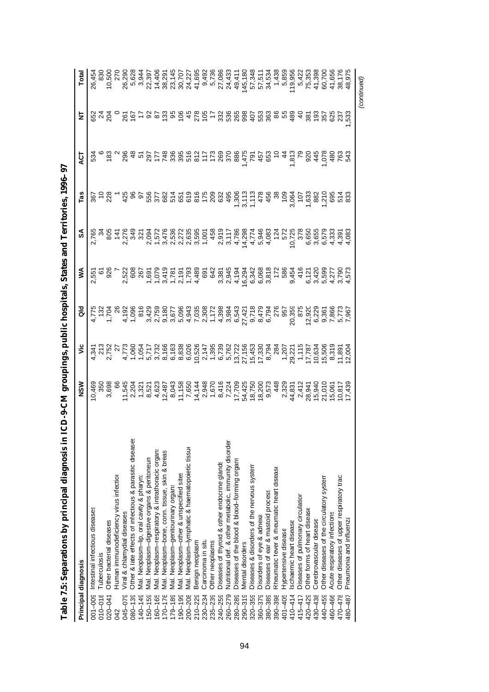|                 | Principal diagnosis                                     | NSM                                                                                                                                                                             | ۶ | ă | ⋚ | వ్                                                                                                                          | Tas                                                                                                                                                                                                                                                                                                                                                                                                                                                                                                                                                                                                                                       | άČ  | Ż             | Total       |
|-----------------|---------------------------------------------------------|---------------------------------------------------------------------------------------------------------------------------------------------------------------------------------|---|---|---|-----------------------------------------------------------------------------------------------------------------------------|-------------------------------------------------------------------------------------------------------------------------------------------------------------------------------------------------------------------------------------------------------------------------------------------------------------------------------------------------------------------------------------------------------------------------------------------------------------------------------------------------------------------------------------------------------------------------------------------------------------------------------------------|-----|---------------|-------------|
| $001 - 009$     | Intestinal infectious diseases                          |                                                                                                                                                                                 |   |   |   | v v vilavaja vajattava 5 oudata<br>kometristovno vootsirvit voor vilandovisio<br>ne de la vilavaja van de la vila voor vila |                                                                                                                                                                                                                                                                                                                                                                                                                                                                                                                                                                                                                                           | 534 |               | 26,454      |
| $010 - 018$     | Tuberculosis                                            |                                                                                                                                                                                 |   |   |   |                                                                                                                             |                                                                                                                                                                                                                                                                                                                                                                                                                                                                                                                                                                                                                                           |     |               |             |
| $020 - 041$     | Other bacterial diseases                                | 5 、 什 <sub>么上84</sub> 万名以下4.4-87万块的6.8,4408625万亿万万万多金8.8%。4.6%以下8.65万米5.5%,4.6%以下4.5%,4.6%的5.6%。<br>4.8%。4.9%以下8.8%的4.4%以下4.5%的5.6%,4.486.6%<br>6.8%的4.9%以下3.8%的4.4%的4.4%的5.6%。 |   |   |   |                                                                                                                             | $\frac{58}{28}$                                                                                                                                                                                                                                                                                                                                                                                                                                                                                                                                                                                                                           |     |               | 10,500      |
| 042             | Human immunodeficiency virus infection                  |                                                                                                                                                                                 |   |   |   |                                                                                                                             |                                                                                                                                                                                                                                                                                                                                                                                                                                                                                                                                                                                                                                           |     |               |             |
| 045-079         | Viral & chlamydial diseases                             |                                                                                                                                                                                 |   |   |   |                                                                                                                             | $rac{425}{4}$                                                                                                                                                                                                                                                                                                                                                                                                                                                                                                                                                                                                                             |     |               |             |
| $080 - 139$     | Other & late effects of infectious & parasitic diseases |                                                                                                                                                                                 |   |   |   |                                                                                                                             | 96<br>97                                                                                                                                                                                                                                                                                                                                                                                                                                                                                                                                                                                                                                  |     |               |             |
| $140 - 149$     | Mal. Neoplasm-lip, oral cavity & pharyn:                |                                                                                                                                                                                 |   |   |   |                                                                                                                             |                                                                                                                                                                                                                                                                                                                                                                                                                                                                                                                                                                                                                                           |     |               |             |
| $150 - 159$     | Mal. Neoplasm-digestive organs & peritoneum             |                                                                                                                                                                                 |   |   |   |                                                                                                                             |                                                                                                                                                                                                                                                                                                                                                                                                                                                                                                                                                                                                                                           |     |               |             |
| $160 - 165$     | Mal. Neoplasm-respiratory & intrathoracic organs        |                                                                                                                                                                                 |   |   |   |                                                                                                                             |                                                                                                                                                                                                                                                                                                                                                                                                                                                                                                                                                                                                                                           |     |               |             |
| $170 - 176$     | Mal. Neoplasm-bone, conn. tissue, skin & breas          |                                                                                                                                                                                 |   |   |   |                                                                                                                             |                                                                                                                                                                                                                                                                                                                                                                                                                                                                                                                                                                                                                                           |     |               |             |
| $179 - 189$     | Mal. Neoplasm-genitourinary organs                      |                                                                                                                                                                                 |   |   |   |                                                                                                                             |                                                                                                                                                                                                                                                                                                                                                                                                                                                                                                                                                                                                                                           |     |               |             |
| 80<br>$190 - 1$ | Mal. Neoplasm-other & unspecified sites                 |                                                                                                                                                                                 |   |   |   |                                                                                                                             |                                                                                                                                                                                                                                                                                                                                                                                                                                                                                                                                                                                                                                           |     |               |             |
| 200-208         | Mal. Neoplasm-lymphatic & haematopoietic tissue         |                                                                                                                                                                                 |   |   |   |                                                                                                                             |                                                                                                                                                                                                                                                                                                                                                                                                                                                                                                                                                                                                                                           |     |               |             |
| $210 - 229$     | Benign neoplasm                                         |                                                                                                                                                                                 |   |   |   |                                                                                                                             |                                                                                                                                                                                                                                                                                                                                                                                                                                                                                                                                                                                                                                           |     |               |             |
| 230-234         | Carcinoma in situ                                       |                                                                                                                                                                                 |   |   |   |                                                                                                                             |                                                                                                                                                                                                                                                                                                                                                                                                                                                                                                                                                                                                                                           |     |               |             |
| $235 - 239$     | Other neoplasms                                         |                                                                                                                                                                                 |   |   |   |                                                                                                                             |                                                                                                                                                                                                                                                                                                                                                                                                                                                                                                                                                                                                                                           |     |               |             |
| 240-259         | Diseases of thyroid & other endocrine glands            |                                                                                                                                                                                 |   |   |   |                                                                                                                             |                                                                                                                                                                                                                                                                                                                                                                                                                                                                                                                                                                                                                                           |     |               |             |
| 260-279         | Nutritional def. & other metabolic, immunity disorder   |                                                                                                                                                                                 |   |   |   |                                                                                                                             |                                                                                                                                                                                                                                                                                                                                                                                                                                                                                                                                                                                                                                           |     |               |             |
| 280-289         | Diseases of the blood & blood-forming organs            |                                                                                                                                                                                 |   |   |   |                                                                                                                             |                                                                                                                                                                                                                                                                                                                                                                                                                                                                                                                                                                                                                                           |     |               |             |
| $290 - 319$     | Mental disorders                                        |                                                                                                                                                                                 |   |   |   |                                                                                                                             |                                                                                                                                                                                                                                                                                                                                                                                                                                                                                                                                                                                                                                           |     |               |             |
| $320 - 359$     | Diseases & disorders of the nervous system              |                                                                                                                                                                                 |   |   |   |                                                                                                                             |                                                                                                                                                                                                                                                                                                                                                                                                                                                                                                                                                                                                                                           |     |               |             |
| 360-379         | Disorders of eye & adnexa                               |                                                                                                                                                                                 |   |   |   |                                                                                                                             |                                                                                                                                                                                                                                                                                                                                                                                                                                                                                                                                                                                                                                           |     |               |             |
| 380-389         | Diseases of ear & mastoid process                       |                                                                                                                                                                                 |   |   |   |                                                                                                                             |                                                                                                                                                                                                                                                                                                                                                                                                                                                                                                                                                                                                                                           |     |               |             |
| $390 - 398$     | Rheumatic fever & rheumatic heart diseaso               |                                                                                                                                                                                 |   |   |   |                                                                                                                             |                                                                                                                                                                                                                                                                                                                                                                                                                                                                                                                                                                                                                                           |     |               |             |
| $401 - 405$     | Hypertensive disease                                    |                                                                                                                                                                                 |   |   |   |                                                                                                                             |                                                                                                                                                                                                                                                                                                                                                                                                                                                                                                                                                                                                                                           |     |               |             |
| 410-414         | schaemic heart disease                                  |                                                                                                                                                                                 |   |   |   |                                                                                                                             |                                                                                                                                                                                                                                                                                                                                                                                                                                                                                                                                                                                                                                           |     |               |             |
| 415-417         | Diseases of pulmonary circulation                       |                                                                                                                                                                                 |   |   |   |                                                                                                                             |                                                                                                                                                                                                                                                                                                                                                                                                                                                                                                                                                                                                                                           |     |               |             |
| 420-429         | Other forms of heart disease                            |                                                                                                                                                                                 |   |   |   |                                                                                                                             |                                                                                                                                                                                                                                                                                                                                                                                                                                                                                                                                                                                                                                           |     | 381           |             |
| 430-438         | Cerebrovascular disease                                 |                                                                                                                                                                                 |   |   |   |                                                                                                                             |                                                                                                                                                                                                                                                                                                                                                                                                                                                                                                                                                                                                                                           |     |               |             |
| 440-459         | Other diseases of the circulatory system                |                                                                                                                                                                                 |   |   |   |                                                                                                                             |                                                                                                                                                                                                                                                                                                                                                                                                                                                                                                                                                                                                                                           |     |               |             |
| 460-466         | Acute respiratory infections                            |                                                                                                                                                                                 |   |   |   |                                                                                                                             | $\begin{array}{l} 6 \rightarrow \, 8 \rightarrow \, 2 \rightarrow \, 2 \rightarrow \, 2 \rightarrow \, 2 \rightarrow \, 2 \rightarrow \, 2 \rightarrow \, 2 \rightarrow \, 2 \rightarrow \, 2 \rightarrow \, 2 \rightarrow \, 2 \rightarrow \, 2 \rightarrow \, 2 \rightarrow \, 2 \rightarrow \, 2 \rightarrow \, 2 \rightarrow \, 2 \rightarrow \, 2 \rightarrow \, 2 \rightarrow \, 2 \rightarrow \, 2 \rightarrow \, 2 \rightarrow \, 2 \rightarrow \, 2 \rightarrow \, 2 \rightarrow \, 2 \rightarrow \, 2 \rightarrow \, 2 \rightarrow \, 2 \rightarrow \, 2 \rightarrow \, 2 \rightarrow \, 2 \rightarrow \, 2 \rightarrow \, 2 \$ |     | ទី ខ្លួន ខ្លួ |             |
| 470-478         | Other diseases of upper respiratory tract               |                                                                                                                                                                                 |   |   |   |                                                                                                                             |                                                                                                                                                                                                                                                                                                                                                                                                                                                                                                                                                                                                                                           |     |               |             |
| 480–487         | Pneumonia and influenza                                 |                                                                                                                                                                                 |   |   |   |                                                                                                                             |                                                                                                                                                                                                                                                                                                                                                                                                                                                                                                                                                                                                                                           |     |               |             |
|                 |                                                         |                                                                                                                                                                                 |   |   |   |                                                                                                                             |                                                                                                                                                                                                                                                                                                                                                                                                                                                                                                                                                                                                                                           |     |               | (continued) |

Table 7.5: Separations by principal diagnosis in ICD-9-CM groupings, public hospitals, States and Territories, 1996-97 **Table 7.5: Separations by principal diagnosis in ICD-9-CM groupings, public hospitals, States and Territories, 1996–97**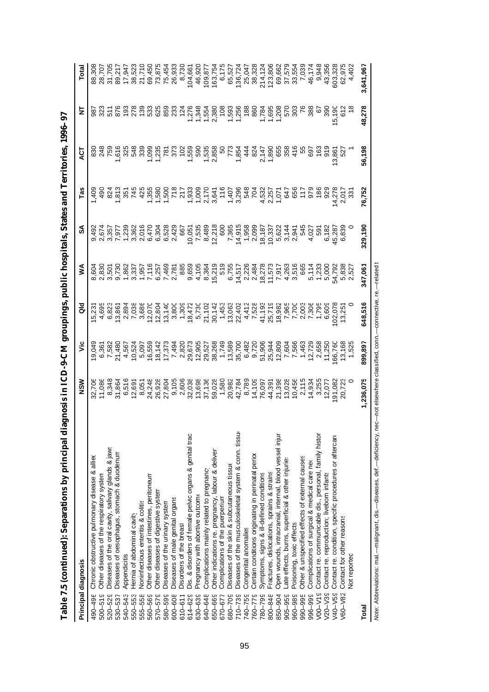| Principal diagnosis                                                    | NSM       | $\ddot{\tilde{z}}$ | ă       | ⋚                                                                                                                                                               | వ్                                                                                                                                                                                            | <b>Fas</b> | ă      | Ξ      |           |
|------------------------------------------------------------------------|-----------|--------------------|---------|-----------------------------------------------------------------------------------------------------------------------------------------------------------------|-----------------------------------------------------------------------------------------------------------------------------------------------------------------------------------------------|------------|--------|--------|-----------|
| Chronic obstructive pulmonary disease & allied<br>490-496              |           |                    |         |                                                                                                                                                                 |                                                                                                                                                                                               |            |        |        |           |
| Other diseases of the respiratory system<br>$500 - 519$                |           |                    |         |                                                                                                                                                                 |                                                                                                                                                                                               |            |        |        |           |
| Diseases of the oral cavity, salivary glands & jaws<br>520-529         |           |                    |         |                                                                                                                                                                 |                                                                                                                                                                                               |            |        |        |           |
| Diseases of oesophagus, stomach & duodenum<br>530-537                  |           |                    |         |                                                                                                                                                                 |                                                                                                                                                                                               |            |        |        |           |
| Appendicitis<br>540-543                                                |           |                    |         |                                                                                                                                                                 |                                                                                                                                                                                               |            |        |        |           |
| Hernia of abdominal cavity<br>550-553                                  |           |                    |         | פטטשרט-דר פרט פעס באטר פלרט בדר גע פרט בטלט<br>הפטטאט בטלר פרט פלרט פרט בעולם באטר פרט פרט פרט פרט<br>הפטטאט בטלר פרט פרט פרט פרט בטלר פלרט פרט פרט פרט פרט פרט | a guur - wun o o o y - Sr a Gr - Z - u G Sr wur - a cha g<br>4 o wo diwo 4 whata o wa dio wo wo cha gue - wa cha - dia<br>8 4 P L B G E S 8 9 P P R B G G G G G B D B P U A 4 4 7 2 9 A B 9 C |            |        |        |           |
| <b>Noninfectious enteritis &amp; colitis</b><br>555-558                |           |                    |         |                                                                                                                                                                 |                                                                                                                                                                                               |            |        |        |           |
| Other diseases of intestines, peritoneum<br>560-569                    |           |                    |         |                                                                                                                                                                 |                                                                                                                                                                                               |            |        |        |           |
| Other diseases of digestive system<br>570-579                          |           |                    |         |                                                                                                                                                                 |                                                                                                                                                                                               |            |        |        |           |
| Diseases of the urinary system<br>580-599                              |           |                    |         |                                                                                                                                                                 |                                                                                                                                                                                               |            |        |        |           |
| Diseases of male genital organs<br>600-608                             |           |                    |         |                                                                                                                                                                 |                                                                                                                                                                                               |            |        |        |           |
| Disorders of the breast<br>$610 - 611$                                 |           |                    |         |                                                                                                                                                                 |                                                                                                                                                                                               |            |        |        |           |
| Dis. & disorders of female pelvic organs & genital trac<br>614-629     |           |                    |         |                                                                                                                                                                 |                                                                                                                                                                                               |            |        |        |           |
| Pregnancy with abortive outcome<br>630-639                             |           |                    |         |                                                                                                                                                                 |                                                                                                                                                                                               |            |        |        |           |
| Complications mainly related to pregnancy<br>640-648                   |           |                    |         |                                                                                                                                                                 |                                                                                                                                                                                               |            |        |        |           |
| Other indications re. pregnancy, labour & deliver<br>650-669           |           |                    |         |                                                                                                                                                                 |                                                                                                                                                                                               |            |        |        |           |
| Complications of the puerperium<br>670-677                             |           |                    |         |                                                                                                                                                                 |                                                                                                                                                                                               |            |        |        |           |
| Diseases of the skin & subcutaneous tissue<br>680-709                  |           |                    |         |                                                                                                                                                                 |                                                                                                                                                                                               |            |        |        |           |
| Diseases of the musculoskeletal system & conn. tissure<br>$710 - 739$  |           |                    |         |                                                                                                                                                                 |                                                                                                                                                                                               |            |        |        |           |
| Congenital anomalies<br>740-759                                        |           |                    |         |                                                                                                                                                                 |                                                                                                                                                                                               |            |        |        |           |
| Certain conditions originating in perinatal perior<br>760-779          |           |                    |         |                                                                                                                                                                 |                                                                                                                                                                                               |            |        |        |           |
| Symptoms, signs & ill-defined conditions<br>780-799                    |           |                    |         |                                                                                                                                                                 |                                                                                                                                                                                               |            |        |        |           |
| Fractures, dislocations, sprains & strains<br>800-848                  |           |                    |         |                                                                                                                                                                 |                                                                                                                                                                                               |            |        |        |           |
| Open wounds, intracranial, internal, blood vessel injur<br>850-904     |           |                    |         |                                                                                                                                                                 |                                                                                                                                                                                               |            |        |        |           |
| ate effects, burns, superficial & other injuries<br>905-959            |           |                    |         |                                                                                                                                                                 |                                                                                                                                                                                               |            |        |        |           |
| Poisoning, toxic effects<br>960-989                                    |           |                    |         |                                                                                                                                                                 |                                                                                                                                                                                               |            |        |        |           |
| Other & unspecified effects of external causes<br>990-995              |           |                    |         |                                                                                                                                                                 |                                                                                                                                                                                               |            |        |        |           |
| Complications of surgical & medical care neo<br>996-999                |           |                    |         |                                                                                                                                                                 |                                                                                                                                                                                               |            |        |        |           |
| Contact re. communicable dis., personal, family histor<br>$V00-V19$    |           |                    |         |                                                                                                                                                                 |                                                                                                                                                                                               |            |        |        |           |
| Contact re. reproduction; liveborn infants<br>$V20 - V39$              |           |                    |         |                                                                                                                                                                 |                                                                                                                                                                                               |            |        |        |           |
| Contact re. condition, specific procedures or aftercare<br>$V40 - V59$ |           |                    |         |                                                                                                                                                                 |                                                                                                                                                                                               |            |        |        |           |
| Contact for other reasons<br>/60-V82                                   |           |                    |         |                                                                                                                                                                 |                                                                                                                                                                                               |            |        |        |           |
| <b>Not reported</b>                                                    |           |                    |         |                                                                                                                                                                 |                                                                                                                                                                                               |            |        |        |           |
| Total                                                                  | 1,236,075 | 899,897            | 648,516 | 347,061                                                                                                                                                         | 329,190                                                                                                                                                                                       | 76,752     | 56,198 | 48,278 | 3,641,967 |
|                                                                        |           |                    |         |                                                                                                                                                                 |                                                                                                                                                                                               |            |        |        |           |

Table 7.5 (continued): Separations by principal diagnosis in ICD-9-CM groupings, public hospitals, States and Territories, 1996-97 **Table 7.5 (continued): Separations by principal diagnosis in ICD-9-CM groupings, public hospitals, States and Territories, 1996–97**

Note: Abbreviations: mal.— malignant, dis.— diseases, def.— deficiency, nec—not elsewhere classified, conn.—connective, re.—related t Note: Abbreviations: mal.--malignant, dis.--diseases, def.--deficiency, nec--not elsewhere classified, conn.--connective, re.--related t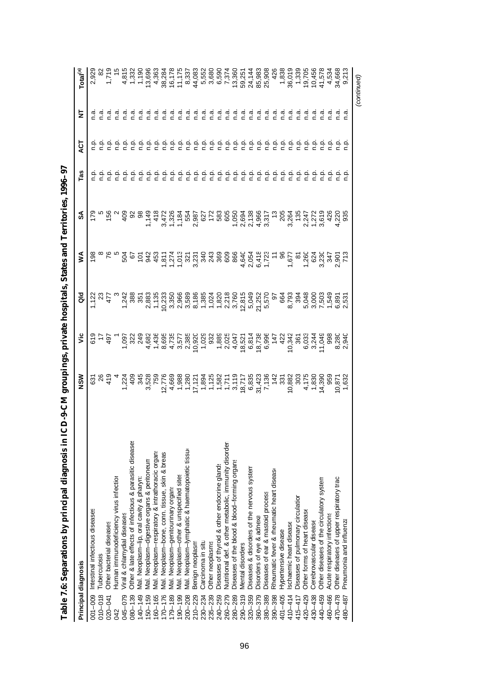| Principal diagnosis                                                    | MSN                                                                                               | ۶Ë             | ᅙ | ⋚          | న్  | Tas                                                                                                                                                                                                                                                                                                                                                                                                                                                                                                                                                                       | ă                          | 눋                             | Total <sup>(a)</sup>                                                                                                                                                              |
|------------------------------------------------------------------------|---------------------------------------------------------------------------------------------------|----------------|---|------------|-----|---------------------------------------------------------------------------------------------------------------------------------------------------------------------------------------------------------------------------------------------------------------------------------------------------------------------------------------------------------------------------------------------------------------------------------------------------------------------------------------------------------------------------------------------------------------------------|----------------------------|-------------------------------|-----------------------------------------------------------------------------------------------------------------------------------------------------------------------------------|
| Intestinal infectious diseases<br>001-009                              | င်၁                                                                                               |                |   | 198        |     |                                                                                                                                                                                                                                                                                                                                                                                                                                                                                                                                                                           |                            |                               | 2,929                                                                                                                                                                             |
| Tuberculosis<br>$010 - 018$                                            |                                                                                                   | $\frac{5}{25}$ |   |            |     |                                                                                                                                                                                                                                                                                                                                                                                                                                                                                                                                                                           |                            |                               |                                                                                                                                                                                   |
| Other bacterial diseases<br>$020 - 041$                                |                                                                                                   | 49             |   |            | 156 |                                                                                                                                                                                                                                                                                                                                                                                                                                                                                                                                                                           |                            |                               |                                                                                                                                                                                   |
| Human immunodeficiency virus infection<br>342                          |                                                                                                   |                |   |            |     |                                                                                                                                                                                                                                                                                                                                                                                                                                                                                                                                                                           |                            |                               |                                                                                                                                                                                   |
| Viral & chlamydial diseases<br>045-079                                 |                                                                                                   |                |   |            | 409 |                                                                                                                                                                                                                                                                                                                                                                                                                                                                                                                                                                           |                            |                               |                                                                                                                                                                                   |
| Other & late effects of infectious & parasitic diseases<br>$380 - 139$ | r w GattFreedway Sr Saraway<br>Gatta Saraway Saraway Saraway<br>1988 Se Sarawa Sr Saraway Saraway |                |   | 20.53      |     |                                                                                                                                                                                                                                                                                                                                                                                                                                                                                                                                                                           |                            |                               | $-1.719$<br>$-4.819$<br>$-4.719$<br>$-6.819$<br>$-7.79$<br>$-7.832$<br>$-7.75$<br>$-7.75$<br>$-7.75$<br>$-7.75$<br>$-7.75$<br>$-7.75$<br>$-7.75$<br>$-7.75$<br>$-7.75$<br>$-7.75$ |
| Vlal. Neoplasm-lip, oral cavity & pharyn:<br>140-149                   |                                                                                                   |                |   |            |     |                                                                                                                                                                                                                                                                                                                                                                                                                                                                                                                                                                           |                            | n.a                           |                                                                                                                                                                                   |
| Mal. Neoplasm-digestive organs & peritoneum<br>$150 - 159$             |                                                                                                   |                |   |            |     |                                                                                                                                                                                                                                                                                                                                                                                                                                                                                                                                                                           |                            | $\vec{a}$                     |                                                                                                                                                                                   |
| Mal. Neoplasm-respiratory & intrathoracic organs<br>160-165            |                                                                                                   |                |   | $45^\circ$ |     | e e e<br>c c c                                                                                                                                                                                                                                                                                                                                                                                                                                                                                                                                                            | agaa<br>cccc               | $\frac{a}{c}$ $\frac{a}{c}$   |                                                                                                                                                                                   |
| Mal. Neoplasm-bone, conn. tissue, skin & breas<br>$170 - 176$          |                                                                                                   |                |   |            |     | ې                                                                                                                                                                                                                                                                                                                                                                                                                                                                                                                                                                         |                            |                               |                                                                                                                                                                                   |
| Mal. Neoplasm-genitourinary organs<br>$179 - 189$                      |                                                                                                   |                |   |            |     |                                                                                                                                                                                                                                                                                                                                                                                                                                                                                                                                                                           |                            |                               |                                                                                                                                                                                   |
| Mal. Neoplasm-other & unspecified sites<br>$190 - 199$                 |                                                                                                   |                |   |            |     |                                                                                                                                                                                                                                                                                                                                                                                                                                                                                                                                                                           |                            | $\frac{a}{c}$ $\frac{a}{c}$   |                                                                                                                                                                                   |
| Mal. Neoplasm-lymphatic & haematopoietic tissur<br>$200 - 208$         |                                                                                                   |                |   |            |     |                                                                                                                                                                                                                                                                                                                                                                                                                                                                                                                                                                           |                            | $\overline{a}$                |                                                                                                                                                                                   |
| Benign neoplasm<br>$210 - 229$                                         |                                                                                                   |                |   |            |     | e e e e<br>c c c c                                                                                                                                                                                                                                                                                                                                                                                                                                                                                                                                                        | agaa<br>cccc               | $\frac{a}{c}$                 |                                                                                                                                                                                   |
| Carcinoma in situ<br>230-234                                           |                                                                                                   |                |   |            |     | غ                                                                                                                                                                                                                                                                                                                                                                                                                                                                                                                                                                         | ېخ                         | ة.<br>C                       |                                                                                                                                                                                   |
| Other neoplasms<br>235-239                                             |                                                                                                   |                |   |            |     | غ                                                                                                                                                                                                                                                                                                                                                                                                                                                                                                                                                                         | ءِ<br>ء                    | e.o                           |                                                                                                                                                                                   |
| Diseases of thyroid & other endocrine glands<br>240-259                |                                                                                                   |                |   |            |     | ف<br>ء                                                                                                                                                                                                                                                                                                                                                                                                                                                                                                                                                                    | غ<br>c                     | ة.<br>C                       |                                                                                                                                                                                   |
| Nutritional def. & other metabolic, immunity disorder<br>260-279       |                                                                                                   |                |   |            |     | ρ.<br>Γ                                                                                                                                                                                                                                                                                                                                                                                                                                                                                                                                                                   |                            | ة.<br>C                       |                                                                                                                                                                                   |
| Diseases of the blood & blood-forming organs<br>280-289                |                                                                                                   |                |   |            |     | $\frac{1}{2}$                                                                                                                                                                                                                                                                                                                                                                                                                                                                                                                                                             |                            |                               |                                                                                                                                                                                   |
| Mental disorders<br>$290 - 319$                                        |                                                                                                   |                |   |            |     |                                                                                                                                                                                                                                                                                                                                                                                                                                                                                                                                                                           |                            |                               |                                                                                                                                                                                   |
| Diseases & disorders of the nervous system<br>320-359                  |                                                                                                   |                |   |            |     |                                                                                                                                                                                                                                                                                                                                                                                                                                                                                                                                                                           | e e e e e e<br>c c c c c c |                               |                                                                                                                                                                                   |
| Disorders of eye & adnexa<br>$360 - 379$                               |                                                                                                   |                |   |            |     |                                                                                                                                                                                                                                                                                                                                                                                                                                                                                                                                                                           |                            |                               |                                                                                                                                                                                   |
| Diseases of ear & mastoid process<br>380-389                           |                                                                                                   |                |   |            |     |                                                                                                                                                                                                                                                                                                                                                                                                                                                                                                                                                                           |                            |                               |                                                                                                                                                                                   |
| Rheumatic fever & rheumatic heart disease<br>390-398                   |                                                                                                   |                |   |            |     |                                                                                                                                                                                                                                                                                                                                                                                                                                                                                                                                                                           | فہ<br>خ                    | ם הם הם הם הם<br>כככככככ      | 426                                                                                                                                                                               |
| Hypertensive disease<br>401-405                                        |                                                                                                   |                |   |            |     | $\frac{a}{c}$                                                                                                                                                                                                                                                                                                                                                                                                                                                                                                                                                             | نه<br>د                    |                               | 1,838                                                                                                                                                                             |
| Ischaemic heart disease<br>$410 - 414$                                 |                                                                                                   |                |   |            |     |                                                                                                                                                                                                                                                                                                                                                                                                                                                                                                                                                                           | ف<br>1                     | $\ddot{a}$                    |                                                                                                                                                                                   |
| Diseases of pulmonary circulation<br>415-417                           |                                                                                                   |                |   |            |     |                                                                                                                                                                                                                                                                                                                                                                                                                                                                                                                                                                           |                            | ة.<br>C                       | 36,019<br>1,339<br>19,705                                                                                                                                                         |
| Other forms of heart disease<br>420-429                                |                                                                                                   |                |   |            |     |                                                                                                                                                                                                                                                                                                                                                                                                                                                                                                                                                                           |                            | $\frac{a}{c}$                 |                                                                                                                                                                                   |
| Cerebrovascular disease<br>430-438                                     |                                                                                                   |                |   |            |     |                                                                                                                                                                                                                                                                                                                                                                                                                                                                                                                                                                           |                            |                               | 10,456                                                                                                                                                                            |
| Other diseases of the circulatory system<br>440-459                    |                                                                                                   |                |   |            |     |                                                                                                                                                                                                                                                                                                                                                                                                                                                                                                                                                                           |                            | $\vec{a}$ $\vec{a}$ $\vec{a}$ | 41,578                                                                                                                                                                            |
| Acute respiratory infections<br>460-466                                |                                                                                                   |                |   |            |     |                                                                                                                                                                                                                                                                                                                                                                                                                                                                                                                                                                           |                            |                               | 4,534<br>34,668                                                                                                                                                                   |
| Other diseases of upper respiratory tract<br>470-478                   |                                                                                                   |                |   |            |     | $\begin{array}{cccccccccc}\n\dot{\alpha} & \dot{\alpha} & \dot{\alpha} & \dot{\alpha} & \dot{\alpha} & \dot{\alpha} & \dot{\alpha} & \dot{\alpha} & \dot{\alpha} & \dot{\alpha} & \dot{\alpha} & \dot{\alpha} & \dot{\alpha} & \dot{\alpha} & \dot{\alpha} & \dot{\alpha} & \dot{\alpha} & \dot{\alpha} & \dot{\alpha} & \dot{\alpha} & \dot{\alpha} & \dot{\alpha} & \dot{\alpha} & \dot{\alpha} & \dot{\alpha} & \dot{\alpha} & \dot{\alpha} & \dot{\alpha} & \dot{\alpha} & \dot{\alpha} & \dot{\alpha} & \dot{\alpha} & \dot{\alpha} & \dot{\alpha} & \dot{\alpha} &$ |                            |                               |                                                                                                                                                                                   |
| Pneumonia and influenza<br>480-487                                     |                                                                                                   |                |   |            |     |                                                                                                                                                                                                                                                                                                                                                                                                                                                                                                                                                                           |                            |                               |                                                                                                                                                                                   |

*(continued)*

Table 7.6: Separations by principal diagnosis in ICD-9-CM groupings, private hospitals, States and Territories, 1996-97 **Table 7.6: Separations by principal diagnosis in ICD-9-CM groupings, private hospitals, States and Territories, 1996–97**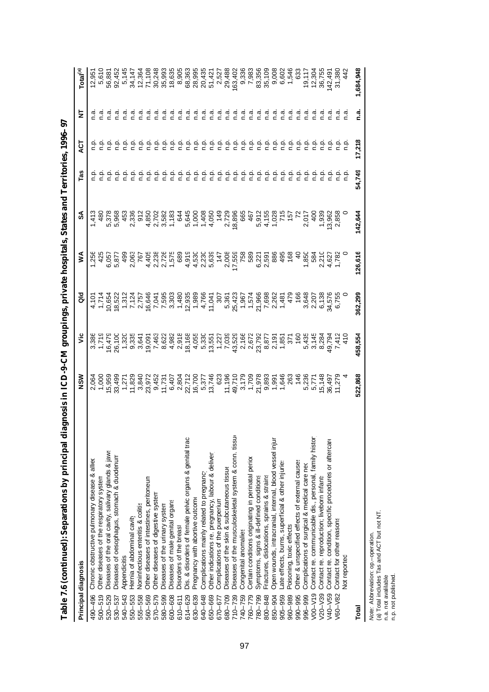| Principal diagnosis                                                  | NSM                                   | ۶Ë                                                                                                                                                                                                                                                                                                  | ᅙ                                                          | ⋚                                                                                                                   | వ్                                       | Tas           | 5<br>4  | ₹      | Total <sup>(a)</sup>       |
|----------------------------------------------------------------------|---------------------------------------|-----------------------------------------------------------------------------------------------------------------------------------------------------------------------------------------------------------------------------------------------------------------------------------------------------|------------------------------------------------------------|---------------------------------------------------------------------------------------------------------------------|------------------------------------------|---------------|---------|--------|----------------------------|
| Chronic obstructive pulmonary disease & alliex<br>490-496            | 2,064                                 | 3,386                                                                                                                                                                                                                                                                                               |                                                            | 1,256                                                                                                               | 1,413                                    |               |         |        | 12,951                     |
| Other diseases of the respiratory system<br>$500 - 519$              | 1,000                                 | 1,719                                                                                                                                                                                                                                                                                               | 4,101<br>1,714                                             | 425                                                                                                                 | 480                                      |               |         |        | 5,610                      |
| Diseases of the oral cavity, salivary glands & jaws<br>520-529       |                                       |                                                                                                                                                                                                                                                                                                     |                                                            |                                                                                                                     |                                          |               |         |        | 56,881                     |
| Diseases of oesophagus, stomach & duodenum<br>530-537                | 15,959<br>33,499                      | 16,479<br>26,100                                                                                                                                                                                                                                                                                    |                                                            | 6,057<br>5,877                                                                                                      | 5,378<br>5,968                           |               |         |        | 92,452                     |
| Appendicitis<br>540-543                                              |                                       | 1,320                                                                                                                                                                                                                                                                                               |                                                            | 499                                                                                                                 | 453                                      |               |         |        | 5,145                      |
| Hernia of abdominal cavity<br>550-553                                | 1,271<br>11,829                       | 9,335<br>3,641                                                                                                                                                                                                                                                                                      |                                                            |                                                                                                                     | 2,336                                    |               |         |        |                            |
| Noninfectious enteritis & colitis<br>555-558                         |                                       |                                                                                                                                                                                                                                                                                                     |                                                            | 2,063<br>767                                                                                                        |                                          | نې<br>G       |         | n.a    |                            |
| Other diseases of intestines, peritoneum<br>560-569                  | 3,840<br>23,972                       | $\begin{array}{l} 0.001 \\ 0.001 \\ 0.001 \\ 0.0000 \\ 0.001 \\ 0.001 \\ 0.0000 \\ 0.001 \\ 0.0000 \\ 0.001 \\ 0.001 \\ 0.001 \\ 0.001 \\ 0.001 \\ 0.001 \\ 0.001 \\ 0.001 \\ 0.001 \\ 0.001 \\ 0.001 \\ 0.001 \\ 0.001 \\ 0.001 \\ 0.001 \\ 0.001 \\ 0.001 \\ 0.001 \\ 0.001 \\ 0.001 \\ 0.001 \\$ |                                                            |                                                                                                                     |                                          | $\frac{a}{c}$ | ءِ<br>ء | ত<br>⊂ | 34,147<br>12,364<br>71,108 |
| Other diseases of digestive system<br>570-579                        | 9,452                                 |                                                                                                                                                                                                                                                                                                     |                                                            | 4 <i>v</i><br><i>A vir</i> no e vi <i>v</i> io<br>P vir no e vivio<br>P vir no e vivio<br>P vir la 4 <i>4 v</i> ivi |                                          | غ<br>c        | n.p     | σ<br>Γ |                            |
| Diseases of the urinary system<br>580-599                            | 11,731                                |                                                                                                                                                                                                                                                                                                     |                                                            |                                                                                                                     |                                          | م<br>C        | n.p     | ი<br>ი |                            |
| Diseases of male genital organs<br>600-608                           |                                       |                                                                                                                                                                                                                                                                                                     |                                                            |                                                                                                                     |                                          | غ             | ρ<br>Γ  | α<br>Γ |                            |
| Disorders of the breast<br>$610 - 611$                               |                                       |                                                                                                                                                                                                                                                                                                     |                                                            |                                                                                                                     |                                          | ن<br>ء        | م.<br>ء | n.a    |                            |
| Dis. & disorders of female pelvic organs & genital trac<br>614-629   |                                       |                                                                                                                                                                                                                                                                                                     |                                                            |                                                                                                                     |                                          | ءِ<br>ء       | م<br>ء  | n.a    |                            |
| Pregnancy with abortive outcome<br>630-639                           |                                       |                                                                                                                                                                                                                                                                                                     |                                                            |                                                                                                                     |                                          | ن<br>ء        | م<br>ء  | n.a    |                            |
| Complications mainly related to pregnancy<br>640-648                 |                                       |                                                                                                                                                                                                                                                                                                     |                                                            |                                                                                                                     |                                          | ن<br>ء        | n.p     | n.a    |                            |
| Other indications re. pregnancy, labour & deliver<br>699-059         |                                       |                                                                                                                                                                                                                                                                                                     |                                                            |                                                                                                                     |                                          | ءِ<br>ء       | م<br>ء  | ក<br>C |                            |
| Complications of the puerperium<br>670-677                           | 623                                   |                                                                                                                                                                                                                                                                                                     |                                                            | 147                                                                                                                 |                                          | ۹à            | n.p     | n a    | 2,527                      |
| Diseases of the skin & subcutaneous tissue<br>60-709                 |                                       |                                                                                                                                                                                                                                                                                                     |                                                            |                                                                                                                     |                                          | م<br>ء        | q.n     | n.a    | 29,488                     |
| Diseases of the musculoskeletal system & conn. tissue<br>$710 - 739$ |                                       |                                                                                                                                                                                                                                                                                                     |                                                            | 2,008<br>17,559                                                                                                     |                                          | ء<br>ء        | n.p     | n.a    | 163,402                    |
| Congenital anomalies<br>740-759                                      |                                       |                                                                                                                                                                                                                                                                                                     |                                                            |                                                                                                                     |                                          | ءِ<br>ء       | o.<br>P | n.a    | 9,336                      |
| Certain conditions originating in perinatal period<br>$877-09$       |                                       |                                                                                                                                                                                                                                                                                                     |                                                            | 758<br>583                                                                                                          | 467                                      | $\frac{a}{c}$ | ρ.<br>Γ | n.a    | 7,983                      |
| Symptoms, signs & ill-defined conditions<br>$662 - 08.$              | 1565<br>1575683854634<br>157568364634 | $\begin{array}{l} 7.227 \\ 7.039 \\ 7.639 \\ 7.437 \\ 8.672 \\ 9.672 \\ 1.672 \\ 1.673 \\ 1.673 \\ 1.673 \\ 1.673 \\ 1.673 \\ 1.673 \\ 1.673 \\ 1.673 \\ 1.673 \\ 1.673 \\ 1.673 \\ 1.673 \\ 1.673 \\ 1.673 \\ 1.673 \\ 1.673 \\ 1.673 \\ 1.673 \\ 1.673 \\ 1.673 \\ 1.673 \\ 1.673 \\ 1.673 \\ 1.$ | 307<br>30833574.9688262<br>5097577048988262<br>50977777457 | 6,221<br>2,596<br>2,886                                                                                             | 041028<br>041028<br>041028               | ن<br>ء        | م<br>ء  | n.a    | 83,356<br>35,109           |
| Fractures, dislocations, sprains & strains<br>800-848                |                                       |                                                                                                                                                                                                                                                                                                     |                                                            |                                                                                                                     |                                          | ءِ<br>ء       | م<br>ء  | n a    |                            |
| Open wounds, intracranial, internal, blood vessel injur<br>850-904   |                                       |                                                                                                                                                                                                                                                                                                     |                                                            |                                                                                                                     |                                          | ن<br>ء        | ءِ<br>ء | n a    | 9,008                      |
| Late effects, burns, superficial & other injuries<br>905-959         |                                       |                                                                                                                                                                                                                                                                                                     |                                                            | 495                                                                                                                 |                                          | م.<br>ء       | ن<br>ء  | n.a    | 6,602                      |
| Poisoning, toxic effects<br>960-989                                  |                                       | 97<br>76                                                                                                                                                                                                                                                                                            |                                                            | 168                                                                                                                 |                                          | ن<br>ء        | ن<br>ء  | n.a    | 1,546                      |
| Other & unspecified effects of external causes<br>990-995            |                                       |                                                                                                                                                                                                                                                                                                     | $\frac{478}{166}$                                          | $rac{1}{4}$                                                                                                         |                                          | ن<br>ء        | ن<br>ء  | n a    | 633                        |
| Complications of surgical & medical care nec<br>996-999              | 5,236                                 |                                                                                                                                                                                                                                                                                                     |                                                            | 1,850<br>584                                                                                                        |                                          | ç             | ن<br>ء  | α<br>Γ |                            |
| Contact re. communicable dis., personal, family histor<br>$V - 00V$  | 5,77                                  | 5<br>4 7 8 9 7 4 7 9<br>4 7 8 9 7 4 7 0<br>5 7 9 9 7 9 7 0                                                                                                                                                                                                                                          | 3,648<br>2,207<br>6,138                                    |                                                                                                                     | 2,017<br>400<br>4003<br>403858<br>7,0358 | ءِ<br>ء       | ن<br>ء  | ত<br>⊂ | 19,117<br>12,304<br>36,755 |
| Contact re. reproduction; liveborn infants<br>$V20 - V39$            | 15,148                                |                                                                                                                                                                                                                                                                                                     |                                                            |                                                                                                                     |                                          | ن<br>ء        | ن<br>ء  | ი<br>ი |                            |
| Contact re. condition, specific procedures or aftercare<br>V40-V59   | 36,497<br>11,279                      |                                                                                                                                                                                                                                                                                                     | 34,576<br>6,755                                            | 2,210<br>4,627<br>1,782                                                                                             |                                          | غ             | n.p     |        | 142,491                    |
| Contact for other reasons<br>/60-V82                                 |                                       |                                                                                                                                                                                                                                                                                                     |                                                            |                                                                                                                     |                                          |               |         |        | 31,380                     |
| <b>Not reported</b>                                                  |                                       |                                                                                                                                                                                                                                                                                                     |                                                            |                                                                                                                     |                                          |               |         |        |                            |
| Total                                                                | 522,868                               | 458,554                                                                                                                                                                                                                                                                                             | 362,299                                                    | 126,616                                                                                                             | 142,644                                  | 54,749        | 17,218  | n.a    | 1,684,948                  |

Table 7.6 (continued): Separations by principal diagnosis in ICD-9-CM groupings, private hospitals, States and Territories, 1996-97 **Table 7.6 (continued): Separations by principal diagnosis in ICD-9-CM groupings, private hospitals, States and Territories, 1996–97**

*Note: Abbreviation: op.*-operation.<br>(a) Total includes Tas and ACT but not NT.<br>n.a. not avalilable.<br>n.p. not published. (a) Total includes Tas and ACT but not NT. *Note:* Abbreviation: op.–operation.

n.a. not avalilable. n.p. not published.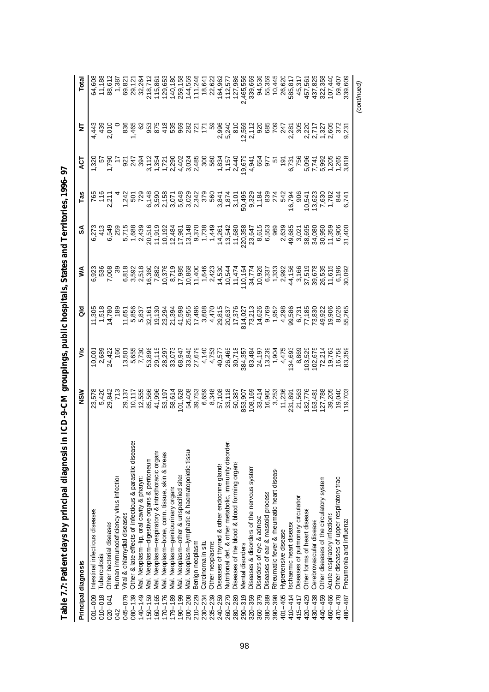| Principal diagnosis                                                   | <b>NSM</b>                                                                                                                                | š                                                                                                                                                                                                                                                                                                                                                                                                                                         | 응                                                                                                                                                                                                                                                                 | ⋚ | ઙ | Tas                                                                                                                                                             | ā                                                                                                                                   | Ξ     |                                                                                                 |
|-----------------------------------------------------------------------|-------------------------------------------------------------------------------------------------------------------------------------------|-------------------------------------------------------------------------------------------------------------------------------------------------------------------------------------------------------------------------------------------------------------------------------------------------------------------------------------------------------------------------------------------------------------------------------------------|-------------------------------------------------------------------------------------------------------------------------------------------------------------------------------------------------------------------------------------------------------------------|---|---|-----------------------------------------------------------------------------------------------------------------------------------------------------------------|-------------------------------------------------------------------------------------------------------------------------------------|-------|-------------------------------------------------------------------------------------------------|
| Intestinal infectious diseases<br>$001 - 009$                         | 23,578                                                                                                                                    | $\begin{array}{r} 10,001 \\ 2,689 \\ 24,422 \\ 24,166 \end{array}$                                                                                                                                                                                                                                                                                                                                                                        | $x - 4$<br>$x - 5$<br>$x - 6$ $x - 6$ $x - 6$ $x - 6$ $x - 6$ $x - 6$ $x - 6$ $x - 6$ $x - 6$ $x - 6$ $x - 6$ $x - 6$ $x - 6$ $x - 6$ $x - 6$ $x - 6$ $x - 6$ $x - 6$ $x - 6$ $x - 6$ $x - 6$ $x - 6$ $x - 6$ $x - 6$ $x - 6$ $x - 6$ $x - 6$ $x - 6$ $x - 6$ $x$ |   |   | v – ovywnym w ew cow a batylone o<br>k – v v ew cow w ew cow a batylone o batylone<br>R – 4 2 8 8 8 7 8 8 9 4 6 6 7 8 9 9 9 7 9 8 7 9 8 7 9 8 9 7 9 8 9 7 9 9 1 |                                                                                                                                     |       |                                                                                                 |
| Tuberculosis<br>$010 - 018$                                           |                                                                                                                                           |                                                                                                                                                                                                                                                                                                                                                                                                                                           |                                                                                                                                                                                                                                                                   |   |   |                                                                                                                                                                 |                                                                                                                                     | 430   |                                                                                                 |
| Other bacterial diseases<br>020-041                                   | 5,420<br>29,842                                                                                                                           |                                                                                                                                                                                                                                                                                                                                                                                                                                           |                                                                                                                                                                                                                                                                   |   |   |                                                                                                                                                                 |                                                                                                                                     | 2,010 |                                                                                                 |
| Human immunodeficiency virus infection<br>042                         |                                                                                                                                           |                                                                                                                                                                                                                                                                                                                                                                                                                                           |                                                                                                                                                                                                                                                                   |   |   |                                                                                                                                                                 |                                                                                                                                     |       |                                                                                                 |
| Viral & chlamydial diseases<br>045-079                                |                                                                                                                                           |                                                                                                                                                                                                                                                                                                                                                                                                                                           |                                                                                                                                                                                                                                                                   |   |   |                                                                                                                                                                 |                                                                                                                                     |       | 64,608<br>11,188<br>18,61,287<br>69,82                                                          |
| Other & late effects of infectious & parasitic disease<br>$080 - 139$ |                                                                                                                                           |                                                                                                                                                                                                                                                                                                                                                                                                                                           |                                                                                                                                                                                                                                                                   |   |   |                                                                                                                                                                 |                                                                                                                                     |       |                                                                                                 |
| Val. Neoplasm-lip, oral cavity & pharyn:<br>$140 - 149$               |                                                                                                                                           |                                                                                                                                                                                                                                                                                                                                                                                                                                           |                                                                                                                                                                                                                                                                   |   |   |                                                                                                                                                                 |                                                                                                                                     |       |                                                                                                 |
| Vlal. Neoplasm-digestive organs & peritoneun<br>$150 - 159$           |                                                                                                                                           | $\begin{array}{l} \mathbf{\ddot{u}}\ \mathbf{\ddot{v}}\ \mathbf{\ddot{v}}\ \mathbf{\ddot{v}}\ \mathbf{\ddot{v}}\ \mathbf{\ddot{v}}\ \mathbf{\ddot{v}}\ \mathbf{\ddot{v}}\ \mathbf{\ddot{v}}\ \mathbf{\ddot{v}}\ \mathbf{\ddot{v}}\ \mathbf{\ddot{v}}\ \mathbf{\ddot{v}}\ \mathbf{\ddot{v}}\ \mathbf{\ddot{v}}\ \mathbf{\ddot{v}}\ \mathbf{\ddot{v}}\ \mathbf{\ddot{v}}\ \mathbf{\ddot{v}}\ \mathbf{\ddot{v}}\ \mathbf{\ddot{v}}\ \mathbf$ |                                                                                                                                                                                                                                                                   |   |   |                                                                                                                                                                 | L L WALWAW LLVG4 R RELEWALLE<br>SOLO SUS LULVISO A SUS LA ROGO D D'EN OLDUSION<br>SUS L'ELLIS L'EN SOLO SUS L'ESTRE L'ESTRE L'ESTRE |       |                                                                                                 |
| Vlal. Neoplasm-respiratory & intrathoracic organs<br>$160 - 165$      |                                                                                                                                           |                                                                                                                                                                                                                                                                                                                                                                                                                                           |                                                                                                                                                                                                                                                                   |   |   |                                                                                                                                                                 |                                                                                                                                     |       |                                                                                                 |
| Vlal. Neoplasm-bone, conn. tissue, skin & breas<br>$170 - 176$        |                                                                                                                                           |                                                                                                                                                                                                                                                                                                                                                                                                                                           |                                                                                                                                                                                                                                                                   |   |   |                                                                                                                                                                 |                                                                                                                                     |       |                                                                                                 |
| Mal. Neoplasm-genitourinary organs<br>$179 - 189$                     |                                                                                                                                           |                                                                                                                                                                                                                                                                                                                                                                                                                                           |                                                                                                                                                                                                                                                                   |   |   |                                                                                                                                                                 |                                                                                                                                     |       |                                                                                                 |
| Vlal. Neoplasm-other & unspecified sites<br>$190 - 199$               |                                                                                                                                           |                                                                                                                                                                                                                                                                                                                                                                                                                                           |                                                                                                                                                                                                                                                                   |   |   |                                                                                                                                                                 |                                                                                                                                     |       |                                                                                                 |
| Vlal. Neoplasm-lymphatic & haematopoietic tissur<br>$200 - 208$       |                                                                                                                                           |                                                                                                                                                                                                                                                                                                                                                                                                                                           |                                                                                                                                                                                                                                                                   |   |   |                                                                                                                                                                 |                                                                                                                                     |       |                                                                                                 |
| Benign neoplasm<br>210-229                                            |                                                                                                                                           |                                                                                                                                                                                                                                                                                                                                                                                                                                           |                                                                                                                                                                                                                                                                   |   |   |                                                                                                                                                                 |                                                                                                                                     |       |                                                                                                 |
| Carcinoma in situ<br>$230 - 234$                                      |                                                                                                                                           |                                                                                                                                                                                                                                                                                                                                                                                                                                           |                                                                                                                                                                                                                                                                   |   |   |                                                                                                                                                                 |                                                                                                                                     |       |                                                                                                 |
| Other neoplasms<br>$235 - 239$                                        |                                                                                                                                           |                                                                                                                                                                                                                                                                                                                                                                                                                                           |                                                                                                                                                                                                                                                                   |   |   |                                                                                                                                                                 |                                                                                                                                     |       |                                                                                                 |
| Diseases of thyroid & other endocrine glands<br>240-259               |                                                                                                                                           |                                                                                                                                                                                                                                                                                                                                                                                                                                           |                                                                                                                                                                                                                                                                   |   |   |                                                                                                                                                                 |                                                                                                                                     |       |                                                                                                 |
| Nutritional def. & other metabolic, immunity disorder<br>260-279      |                                                                                                                                           |                                                                                                                                                                                                                                                                                                                                                                                                                                           |                                                                                                                                                                                                                                                                   |   |   |                                                                                                                                                                 |                                                                                                                                     |       |                                                                                                 |
| Diseases of the blood & blood forming organs<br>280-289               |                                                                                                                                           |                                                                                                                                                                                                                                                                                                                                                                                                                                           |                                                                                                                                                                                                                                                                   |   |   |                                                                                                                                                                 |                                                                                                                                     |       |                                                                                                 |
| Viental disorders<br>$290 - 319$                                      |                                                                                                                                           |                                                                                                                                                                                                                                                                                                                                                                                                                                           |                                                                                                                                                                                                                                                                   |   |   |                                                                                                                                                                 |                                                                                                                                     |       |                                                                                                 |
| Diseases & disorders of the nervous system<br>$320 - 359$             |                                                                                                                                           |                                                                                                                                                                                                                                                                                                                                                                                                                                           |                                                                                                                                                                                                                                                                   |   |   |                                                                                                                                                                 |                                                                                                                                     |       |                                                                                                 |
| Disorders of eye & adnexa<br>$360 - 379$                              |                                                                                                                                           |                                                                                                                                                                                                                                                                                                                                                                                                                                           |                                                                                                                                                                                                                                                                   |   |   |                                                                                                                                                                 |                                                                                                                                     |       |                                                                                                 |
| Diseases of ear & mastoid process<br>380-389                          |                                                                                                                                           |                                                                                                                                                                                                                                                                                                                                                                                                                                           |                                                                                                                                                                                                                                                                   |   |   |                                                                                                                                                                 |                                                                                                                                     |       |                                                                                                 |
| Rheumatic fever & rheumatic heart disease<br>390-398                  |                                                                                                                                           |                                                                                                                                                                                                                                                                                                                                                                                                                                           |                                                                                                                                                                                                                                                                   |   |   |                                                                                                                                                                 |                                                                                                                                     |       | 94,536<br>55,33446<br>55,3446,620<br>56,836,445,557,358<br>56,825,557,358,444<br>44,532,358,444 |
| Hypertensive disease<br>401-405                                       |                                                                                                                                           |                                                                                                                                                                                                                                                                                                                                                                                                                                           |                                                                                                                                                                                                                                                                   |   |   |                                                                                                                                                                 |                                                                                                                                     |       |                                                                                                 |
| schaemic heart disease<br>$410 - 414$                                 |                                                                                                                                           |                                                                                                                                                                                                                                                                                                                                                                                                                                           |                                                                                                                                                                                                                                                                   |   |   |                                                                                                                                                                 |                                                                                                                                     |       |                                                                                                 |
| Diseases of pulmonary circulation<br>415-417                          |                                                                                                                                           |                                                                                                                                                                                                                                                                                                                                                                                                                                           |                                                                                                                                                                                                                                                                   |   |   |                                                                                                                                                                 |                                                                                                                                     |       |                                                                                                 |
| Other forms of heart disease<br>420-429                               |                                                                                                                                           |                                                                                                                                                                                                                                                                                                                                                                                                                                           |                                                                                                                                                                                                                                                                   |   |   |                                                                                                                                                                 |                                                                                                                                     |       |                                                                                                 |
| Cerebrovascular disease<br>430-438                                    | $\begin{array}{c} 11,236 \\ 231,891 \\ 21,563 \\ 162,776 \\ 163,481 \\ 127,788 \\ 127,788 \\ 127,788 \\ 129,205 \\ 19,040 \\ \end{array}$ |                                                                                                                                                                                                                                                                                                                                                                                                                                           |                                                                                                                                                                                                                                                                   |   |   |                                                                                                                                                                 |                                                                                                                                     |       |                                                                                                 |
| Other diseases of the circulatory system<br>440-459                   |                                                                                                                                           |                                                                                                                                                                                                                                                                                                                                                                                                                                           |                                                                                                                                                                                                                                                                   |   |   |                                                                                                                                                                 |                                                                                                                                     |       |                                                                                                 |
| Acute respiratory infections<br>460-466                               |                                                                                                                                           |                                                                                                                                                                                                                                                                                                                                                                                                                                           |                                                                                                                                                                                                                                                                   |   |   |                                                                                                                                                                 |                                                                                                                                     |       |                                                                                                 |
| Other diseases of upper respiratory tract<br>470-478                  |                                                                                                                                           |                                                                                                                                                                                                                                                                                                                                                                                                                                           |                                                                                                                                                                                                                                                                   |   |   |                                                                                                                                                                 |                                                                                                                                     |       |                                                                                                 |
| Pneumonia and influenza<br>480–487                                    |                                                                                                                                           |                                                                                                                                                                                                                                                                                                                                                                                                                                           |                                                                                                                                                                                                                                                                   |   |   |                                                                                                                                                                 |                                                                                                                                     |       |                                                                                                 |
|                                                                       |                                                                                                                                           |                                                                                                                                                                                                                                                                                                                                                                                                                                           |                                                                                                                                                                                                                                                                   |   |   |                                                                                                                                                                 |                                                                                                                                     |       | (continued)                                                                                     |

Table 7.7: Patient days by principal diagnosis in ICD-9-CM groupings, public hospitals, States and Territories, 1996-97 **Table 7.7: Patient days by principal diagnosis in ICD-9-CM groupings, public hospitals, States and Territories, 1996–97**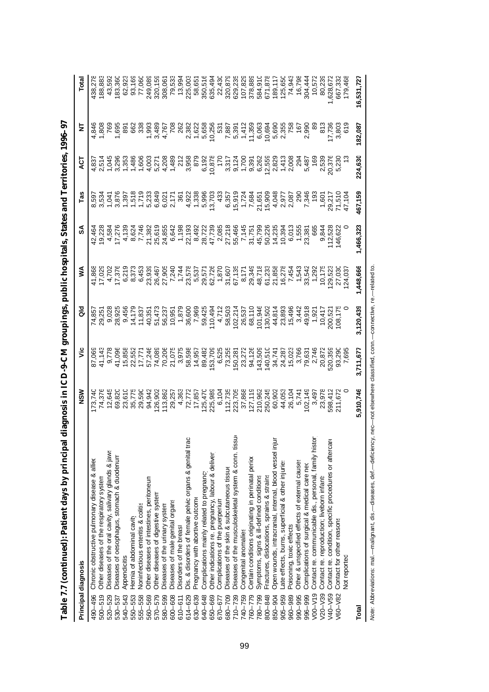|             | Principal diagnosis                                     | MSM                                                                                                                      | ۶Ë                                                                                                             | 응                                                                       | ⋚         | న్                                                                                                                                                                                                                                                                                                                                                                                                                                                                                  | Tas                                                                                                                                                                                                                             | نٍٰ     | Ξ                             | Total                                                                                           |
|-------------|---------------------------------------------------------|--------------------------------------------------------------------------------------------------------------------------|----------------------------------------------------------------------------------------------------------------|-------------------------------------------------------------------------|-----------|-------------------------------------------------------------------------------------------------------------------------------------------------------------------------------------------------------------------------------------------------------------------------------------------------------------------------------------------------------------------------------------------------------------------------------------------------------------------------------------|---------------------------------------------------------------------------------------------------------------------------------------------------------------------------------------------------------------------------------|---------|-------------------------------|-------------------------------------------------------------------------------------------------|
| 490-496     | Chronic obstructive pulmonary disease & allied          | 173,740                                                                                                                  | 87,069                                                                                                         | 74,857                                                                  | 41,868    | 42,464                                                                                                                                                                                                                                                                                                                                                                                                                                                                              |                                                                                                                                                                                                                                 |         | 4,846                         | 138,278                                                                                         |
| $500 - 519$ | Other diseases of the respiratory system                |                                                                                                                          | 41,143                                                                                                         |                                                                         |           |                                                                                                                                                                                                                                                                                                                                                                                                                                                                                     |                                                                                                                                                                                                                                 |         |                               | 188,883                                                                                         |
| 520-529     | Diseases of the oral cavity, salivary glands & jaws     |                                                                                                                          | 9,778                                                                                                          |                                                                         |           |                                                                                                                                                                                                                                                                                                                                                                                                                                                                                     |                                                                                                                                                                                                                                 |         |                               | 43,592                                                                                          |
| 530-537     | Diseases of oesophagus, stomach & duodenum              | 74,376<br>12,645<br>69,820                                                                                               | 41,096                                                                                                         | 9,028<br>28,925                                                         |           | $\begin{array}{l}5.4 \, \, \overline{1}\,4 \,\, \overline{2}\, \overline{1}\, \overline{2}\, \overline{3}\, \overline{4}\, \overline{2}\, \overline{2}\, \overline{2}\, \overline{2}\, \overline{2}\, \overline{2}\, \overline{2}\, \overline{2}\, \overline{2}\, \overline{2}\, \overline{2}\, \overline{2}\, \overline{2}\, \overline{2}\, \overline{2}\, \overline{2}\, \overline{2}\, \overline{2}\, \overline{2}\, \overline{2}\, \overline{2}\, \overline{2}\, \overline{2}\$ | פּשְׁהָהָ בִּיְבָרָה פְּפְשָׁהָ בָּהָ הָפְהָרָה בָּהָהָ הָאֲרָהָ בָּהָהָ בָּהָהָ בָּהָהָ בָּהָהָ בָּהָהָ בָּהָ<br>הָמָהָכָם הָהָהָהָ הָרָהָ הָפְהָהָ בָּהָהָהָ הָרָהָ הָרָהָ הָרָהָהָ הָרָהָהָ הָרָהָהָ הָרָהָהָ הָרָהָהָ הָרָה |         |                               | 183,360                                                                                         |
| 540-543     | Appendicitis                                            |                                                                                                                          |                                                                                                                |                                                                         |           |                                                                                                                                                                                                                                                                                                                                                                                                                                                                                     |                                                                                                                                                                                                                                 |         |                               | 62,92                                                                                           |
| 550-553     | Hernia of abdominal cavity                              | 23,610<br>35,775<br>29,5942<br>94,942                                                                                    | 15,858<br>22,557<br>27,774,089<br>17,74,089<br>21,075                                                          |                                                                         |           |                                                                                                                                                                                                                                                                                                                                                                                                                                                                                     |                                                                                                                                                                                                                                 |         |                               | 93,169                                                                                          |
| 555-558     | Noninfectious enteritis & colitis                       |                                                                                                                          |                                                                                                                |                                                                         |           |                                                                                                                                                                                                                                                                                                                                                                                                                                                                                     |                                                                                                                                                                                                                                 |         |                               | 77,060                                                                                          |
| 560-569     | Other diseases of intestines, peritoneum                |                                                                                                                          |                                                                                                                |                                                                         |           |                                                                                                                                                                                                                                                                                                                                                                                                                                                                                     |                                                                                                                                                                                                                                 |         |                               |                                                                                                 |
| 570-579     | Other diseases of digestive system                      | 126,902<br>113,862<br>29,257                                                                                             |                                                                                                                |                                                                         |           |                                                                                                                                                                                                                                                                                                                                                                                                                                                                                     |                                                                                                                                                                                                                                 |         |                               | 249,088<br>320,158<br>320,158,001<br>30,035,003,494<br>72,494<br>350,594,430                    |
| 580-599     | Diseases of the urinary system                          |                                                                                                                          |                                                                                                                |                                                                         |           |                                                                                                                                                                                                                                                                                                                                                                                                                                                                                     |                                                                                                                                                                                                                                 |         |                               |                                                                                                 |
| 600-608     | Diseases of male genital organs                         |                                                                                                                          |                                                                                                                |                                                                         |           |                                                                                                                                                                                                                                                                                                                                                                                                                                                                                     |                                                                                                                                                                                                                                 |         |                               |                                                                                                 |
| $610 - 611$ | Disorders of the breast                                 |                                                                                                                          | 3,975<br>58,598<br>58,957<br>153,709<br>89,709                                                                 |                                                                         |           |                                                                                                                                                                                                                                                                                                                                                                                                                                                                                     |                                                                                                                                                                                                                                 |         |                               |                                                                                                 |
| 614-629     | Dis. & disorders of female pelvic organs & genital tran |                                                                                                                          |                                                                                                                |                                                                         |           |                                                                                                                                                                                                                                                                                                                                                                                                                                                                                     |                                                                                                                                                                                                                                 |         |                               |                                                                                                 |
| 630-639     | Pregnancy with abortive outcome                         |                                                                                                                          |                                                                                                                |                                                                         |           |                                                                                                                                                                                                                                                                                                                                                                                                                                                                                     |                                                                                                                                                                                                                                 |         |                               |                                                                                                 |
| 640-648     | Complications mainly related to pregnancy               |                                                                                                                          |                                                                                                                |                                                                         |           |                                                                                                                                                                                                                                                                                                                                                                                                                                                                                     |                                                                                                                                                                                                                                 |         |                               |                                                                                                 |
| 650-669     | Other indications re. pregnancy, labour & deliver       |                                                                                                                          |                                                                                                                |                                                                         |           |                                                                                                                                                                                                                                                                                                                                                                                                                                                                                     |                                                                                                                                                                                                                                 |         |                               |                                                                                                 |
| 670-677     | Complications of the puerperium                         |                                                                                                                          | 6,525                                                                                                          |                                                                         |           |                                                                                                                                                                                                                                                                                                                                                                                                                                                                                     |                                                                                                                                                                                                                                 |         |                               |                                                                                                 |
| 680-709     | Diseases of the skin & subcutaneous tissue              |                                                                                                                          | 73,255                                                                                                         |                                                                         |           |                                                                                                                                                                                                                                                                                                                                                                                                                                                                                     |                                                                                                                                                                                                                                 |         |                               |                                                                                                 |
| $710 - 739$ | Diseases of the musculoskeletal system & conn. tissu-   | 4,363<br>72,778<br>72,5478,983<br>72,5478,983<br>72,73,7868<br>72,7988<br>72,7988<br>72,00,245<br>72,00,245<br>72,00,245 |                                                                                                                |                                                                         |           |                                                                                                                                                                                                                                                                                                                                                                                                                                                                                     |                                                                                                                                                                                                                                 |         |                               |                                                                                                 |
| 740-759     | Congenital anomalies                                    |                                                                                                                          |                                                                                                                |                                                                         |           |                                                                                                                                                                                                                                                                                                                                                                                                                                                                                     |                                                                                                                                                                                                                                 |         |                               |                                                                                                 |
| 760-779     | Certain conditions originating in perinatal perior      |                                                                                                                          |                                                                                                                | 26,537<br>68,110                                                        |           |                                                                                                                                                                                                                                                                                                                                                                                                                                                                                     |                                                                                                                                                                                                                                 |         |                               |                                                                                                 |
| 780-799     | Symptoms, signs & ill-defined conditions                |                                                                                                                          |                                                                                                                | 101,946<br>130,502                                                      |           |                                                                                                                                                                                                                                                                                                                                                                                                                                                                                     |                                                                                                                                                                                                                                 |         |                               |                                                                                                 |
| 800-848     | Fractures, dislocations, sprains & strains              |                                                                                                                          |                                                                                                                |                                                                         |           |                                                                                                                                                                                                                                                                                                                                                                                                                                                                                     |                                                                                                                                                                                                                                 |         |                               |                                                                                                 |
| 850-904     | Open wounds, intracranial, internal, blood vessel inju  | 60,902<br>44,053<br>26,104<br>5,741                                                                                      | 150,281<br>23,272<br>23,273<br>24,126<br>25,273,276<br>25,176,276<br>25,176,276<br>25,176,276<br>25,176,276,27 | $43.838$ $43.838$ $43.836$ $44.936$ $45.836$ $46.936$ $47.836$ $47.836$ |           |                                                                                                                                                                                                                                                                                                                                                                                                                                                                                     |                                                                                                                                                                                                                                 |         |                               | 320,873<br>629,235<br>629,328,383<br>67,828<br>67,838<br>67,788,798<br>67,788,444<br>68,788,798 |
| 905-959     | ate effects, burns, superficial & other injuries        |                                                                                                                          |                                                                                                                |                                                                         |           |                                                                                                                                                                                                                                                                                                                                                                                                                                                                                     |                                                                                                                                                                                                                                 |         |                               |                                                                                                 |
| 960-989     | Poisoning, toxic effects                                |                                                                                                                          |                                                                                                                |                                                                         |           |                                                                                                                                                                                                                                                                                                                                                                                                                                                                                     |                                                                                                                                                                                                                                 |         |                               |                                                                                                 |
| 990-995     | Other & unspecified effects of external causes          |                                                                                                                          |                                                                                                                |                                                                         |           |                                                                                                                                                                                                                                                                                                                                                                                                                                                                                     |                                                                                                                                                                                                                                 |         |                               |                                                                                                 |
| 996-999     | Complications of surgical & medical care neo            | 102,149                                                                                                                  |                                                                                                                |                                                                         |           |                                                                                                                                                                                                                                                                                                                                                                                                                                                                                     |                                                                                                                                                                                                                                 |         |                               |                                                                                                 |
| $V00-V19$   | Contact re. communicable dis., personal, family histo   | 3,49                                                                                                                     | 2,746<br>20,872                                                                                                |                                                                         |           |                                                                                                                                                                                                                                                                                                                                                                                                                                                                                     |                                                                                                                                                                                                                                 |         |                               | 10,572                                                                                          |
| $V20 - V39$ | Contact re. reproduction; liveborn infants              |                                                                                                                          |                                                                                                                |                                                                         |           |                                                                                                                                                                                                                                                                                                                                                                                                                                                                                     |                                                                                                                                                                                                                                 |         |                               | 80,239                                                                                          |
| $V40 - V59$ | Contact re. condition, specific procedures or aftercar  | 23,978<br>598,412<br>211,672                                                                                             | 520,359                                                                                                        | 200,52                                                                  |           | 9,844<br> 12,528<br> 46,62                                                                                                                                                                                                                                                                                                                                                                                                                                                          |                                                                                                                                                                                                                                 |         | 813<br>17,736<br>3,803<br>619 | ,628,67                                                                                         |
| $V60 - V82$ | Contact for other reasons                               |                                                                                                                          |                                                                                                                |                                                                         |           |                                                                                                                                                                                                                                                                                                                                                                                                                                                                                     |                                                                                                                                                                                                                                 |         |                               | 667,332<br>179,468                                                                              |
|             | <b>Not reported</b>                                     |                                                                                                                          |                                                                                                                |                                                                         |           |                                                                                                                                                                                                                                                                                                                                                                                                                                                                                     |                                                                                                                                                                                                                                 |         |                               |                                                                                                 |
| Total       |                                                         | 5,910,746                                                                                                                | 3,711,677                                                                                                      | 3,120,439                                                               | 1,448,666 | 1,466,323                                                                                                                                                                                                                                                                                                                                                                                                                                                                           | 467,159                                                                                                                                                                                                                         | 224,630 | 182,087                       | 16,531,727                                                                                      |

Table 7.7 (continued): Patient days by principal diagnosis in ICD-9-CM groupings, public hospitals, States and Territories, 1996-97 **Table 7.7 (continued): Patient days by principal diagnosis in ICD-9-CM groupings, public hospitals, States and Territories, 1996–97**

Note: Abbreviations: mal.--malignant, dis.--diseases, def.--deficiency, nec--not elsewhere classified, conn.--connective, re.--related to. *Note:* Abbreviations: mal.— malignant, dis.— diseases, def.— deficiency, nec— not elsewhere classified, conn.— connective, re.— related to.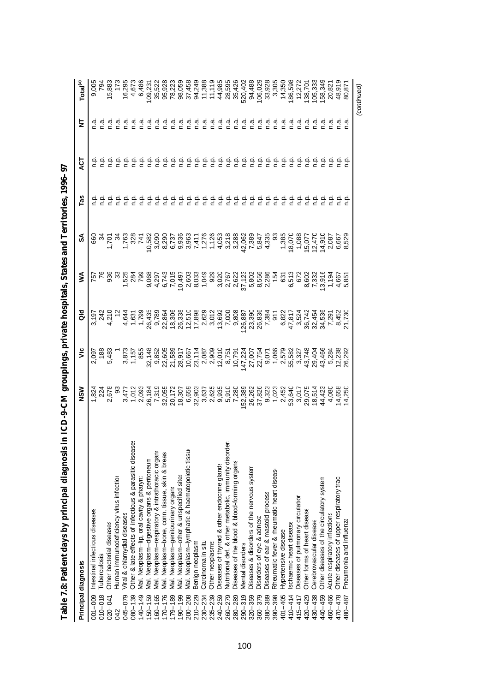|             | Principal diagnosis                                     | MSN | ۶Ë           | る | ⋚                                                                                                                                                                                                                                                                                                                                                                                                                                                                     | వ్ | Tas                                                                                                                                                                                                                                                                                                                 | ă                                                                                                               | 눋                             | Total <sup>(a)</sup>                                                                                                                                                                                                                                                        |
|-------------|---------------------------------------------------------|-----|--------------|---|-----------------------------------------------------------------------------------------------------------------------------------------------------------------------------------------------------------------------------------------------------------------------------------------------------------------------------------------------------------------------------------------------------------------------------------------------------------------------|----|---------------------------------------------------------------------------------------------------------------------------------------------------------------------------------------------------------------------------------------------------------------------------------------------------------------------|-----------------------------------------------------------------------------------------------------------------|-------------------------------|-----------------------------------------------------------------------------------------------------------------------------------------------------------------------------------------------------------------------------------------------------------------------------|
| $001 - 009$ | Intestinal infectious diseases                          |     | 2,097        |   | 757<br>76                                                                                                                                                                                                                                                                                                                                                                                                                                                             |    |                                                                                                                                                                                                                                                                                                                     |                                                                                                                 |                               | 9,005                                                                                                                                                                                                                                                                       |
| $010 - 018$ | Tuberculosis                                            |     |              |   |                                                                                                                                                                                                                                                                                                                                                                                                                                                                       |    |                                                                                                                                                                                                                                                                                                                     |                                                                                                                 |                               |                                                                                                                                                                                                                                                                             |
| 020-041     | Other bacterial diseases                                |     | 188<br>5,483 |   |                                                                                                                                                                                                                                                                                                                                                                                                                                                                       |    |                                                                                                                                                                                                                                                                                                                     |                                                                                                                 |                               | 15,883                                                                                                                                                                                                                                                                      |
| 042         | Human immunodeficiency virus infection                  |     |              |   |                                                                                                                                                                                                                                                                                                                                                                                                                                                                       |    |                                                                                                                                                                                                                                                                                                                     |                                                                                                                 |                               |                                                                                                                                                                                                                                                                             |
| 045-079     | Viral & chlamydial diseases                             |     |              |   | $\begin{array}{cccccccccccccccccc} \mathcal{S} & \mathcal{S} & \mathcal{S} & \mathcal{S} & \mathcal{S} & \mathcal{S} & \mathcal{S} & \mathcal{S} & \mathcal{S} & \mathcal{S} & \mathcal{S} & \mathcal{S} & \mathcal{S} & \mathcal{S} & \mathcal{S} & \mathcal{S} & \mathcal{S} & \mathcal{S} & \mathcal{S} & \mathcal{S} & \mathcal{S} & \mathcal{S} & \mathcal{S} & \mathcal{S} & \mathcal{S} & \mathcal{S} & \mathcal{S} & \mathcal{S} & \mathcal{S} & \mathcal{S}$ |    |                                                                                                                                                                                                                                                                                                                     |                                                                                                                 |                               |                                                                                                                                                                                                                                                                             |
| $080 - 139$ | Other & late effects of infectious & parasitic diseases |     |              |   |                                                                                                                                                                                                                                                                                                                                                                                                                                                                       |    |                                                                                                                                                                                                                                                                                                                     |                                                                                                                 | Γ.                            | 16,295<br>4,673<br>6,486                                                                                                                                                                                                                                                    |
| $140 - 149$ | Mal. Neoplasm-lip, oral cavity & pharyn:                |     |              |   |                                                                                                                                                                                                                                                                                                                                                                                                                                                                       |    |                                                                                                                                                                                                                                                                                                                     |                                                                                                                 | ი<br>ი                        |                                                                                                                                                                                                                                                                             |
| 150-159     | Mal. Neoplasm-digestive organs & peritoneun             |     |              |   |                                                                                                                                                                                                                                                                                                                                                                                                                                                                       |    |                                                                                                                                                                                                                                                                                                                     |                                                                                                                 |                               | 109,231                                                                                                                                                                                                                                                                     |
| 160-165     | Mal. Neoplasm-respiratory & intrathoracic organs        |     |              |   |                                                                                                                                                                                                                                                                                                                                                                                                                                                                       |    |                                                                                                                                                                                                                                                                                                                     |                                                                                                                 | ്റ                            |                                                                                                                                                                                                                                                                             |
| $170 - 176$ | Mal. Neoplasm-bone, conn. tissue, skin & breas          |     |              |   |                                                                                                                                                                                                                                                                                                                                                                                                                                                                       |    | 후 후 후<br>후 후 후                                                                                                                                                                                                                                                                                                      |                                                                                                                 | ີ ຕ<br>ດ                      |                                                                                                                                                                                                                                                                             |
| $179 - 189$ | Mal. Neoplasm-genitourinary organs                      |     |              |   |                                                                                                                                                                                                                                                                                                                                                                                                                                                                       |    |                                                                                                                                                                                                                                                                                                                     |                                                                                                                 | σ.<br>Γ                       |                                                                                                                                                                                                                                                                             |
| $190 - 199$ | Mal. Neoplasm-other & unspecified sites                 |     |              |   |                                                                                                                                                                                                                                                                                                                                                                                                                                                                       |    | ې                                                                                                                                                                                                                                                                                                                   |                                                                                                                 |                               |                                                                                                                                                                                                                                                                             |
| 200-208     | Mal. Neoplasm-lymphatic & haematopoietic tissur         |     |              |   |                                                                                                                                                                                                                                                                                                                                                                                                                                                                       |    |                                                                                                                                                                                                                                                                                                                     |                                                                                                                 | פ פ פ פ<br>ק ב כ כ            |                                                                                                                                                                                                                                                                             |
| 210-229     | Benign neoplasm                                         |     |              |   |                                                                                                                                                                                                                                                                                                                                                                                                                                                                       |    |                                                                                                                                                                                                                                                                                                                     |                                                                                                                 |                               |                                                                                                                                                                                                                                                                             |
| $230 - 234$ | Carcinoma in situ                                       |     |              |   |                                                                                                                                                                                                                                                                                                                                                                                                                                                                       |    | e e e e<br>c c c c                                                                                                                                                                                                                                                                                                  |                                                                                                                 |                               |                                                                                                                                                                                                                                                                             |
| $235 - 239$ | Other neoplasms                                         |     |              |   |                                                                                                                                                                                                                                                                                                                                                                                                                                                                       |    |                                                                                                                                                                                                                                                                                                                     |                                                                                                                 | ი.<br>ი                       |                                                                                                                                                                                                                                                                             |
| 240-259     | Diseases of thyroid & other endocrine glands            |     |              |   |                                                                                                                                                                                                                                                                                                                                                                                                                                                                       |    | $\frac{a}{c}$                                                                                                                                                                                                                                                                                                       |                                                                                                                 | e.n                           |                                                                                                                                                                                                                                                                             |
| 260-279     | Nutritional def. & other metabolic, immunity disorder   |     |              |   |                                                                                                                                                                                                                                                                                                                                                                                                                                                                       |    | ېم                                                                                                                                                                                                                                                                                                                  |                                                                                                                 |                               |                                                                                                                                                                                                                                                                             |
| 280-289     | Diseases of the blood & blood-forming organs            |     |              |   |                                                                                                                                                                                                                                                                                                                                                                                                                                                                       |    | ېد                                                                                                                                                                                                                                                                                                                  |                                                                                                                 |                               |                                                                                                                                                                                                                                                                             |
| $290 - 319$ | Mental disorders                                        |     |              |   |                                                                                                                                                                                                                                                                                                                                                                                                                                                                       |    |                                                                                                                                                                                                                                                                                                                     |                                                                                                                 |                               |                                                                                                                                                                                                                                                                             |
| $320 - 359$ | Diseases & disorders of the nervous system              |     |              |   |                                                                                                                                                                                                                                                                                                                                                                                                                                                                       |    |                                                                                                                                                                                                                                                                                                                     | $\frac{1}{5}$ $\frac{1}{5}$ $\frac{1}{5}$                                                                       | ਕੁ ਕੁ ਕੁ ਕੁ ਕੁ<br>ਵੱਟ ਵੱਟ     |                                                                                                                                                                                                                                                                             |
| 360-379     | Disorders of eye & adnexa                               |     |              |   |                                                                                                                                                                                                                                                                                                                                                                                                                                                                       |    |                                                                                                                                                                                                                                                                                                                     |                                                                                                                 |                               |                                                                                                                                                                                                                                                                             |
| 380-389     | Diseases of ear & mastoid process                       |     |              |   |                                                                                                                                                                                                                                                                                                                                                                                                                                                                       |    |                                                                                                                                                                                                                                                                                                                     |                                                                                                                 |                               |                                                                                                                                                                                                                                                                             |
| 390-398     | Rheumatic fever & rheumatic heart disease               |     |              |   |                                                                                                                                                                                                                                                                                                                                                                                                                                                                       |    | $\frac{1}{2}$ $\frac{1}{2}$ $\frac{1}{2}$ $\frac{1}{2}$ $\frac{1}{2}$ $\frac{1}{2}$ $\frac{1}{2}$ $\frac{1}{2}$ $\frac{1}{2}$ $\frac{1}{2}$ $\frac{1}{2}$ $\frac{1}{2}$ $\frac{1}{2}$ $\frac{1}{2}$ $\frac{1}{2}$ $\frac{1}{2}$ $\frac{1}{2}$ $\frac{1}{2}$ $\frac{1}{2}$ $\frac{1}{2}$ $\frac{1}{2}$ $\frac{1}{2}$ | $\frac{1}{6}$ $\frac{1}{6}$ $\frac{1}{6}$ $\frac{1}{6}$ $\frac{1}{6}$ $\frac{1}{6}$ $\frac{1}{6}$ $\frac{1}{6}$ | $\vec{a}$ $\vec{a}$ $\vec{a}$ | $\begin{array}{l} 22.65 & 24.66 & 25.67 & 26.67 \\ 25.67 & 25.67 & 25.67 & 26.67 & 26.67 \\ 25.67 & 25.67 & 25.67 & 26.67 & 26.67 \\ 25.67 & 25.67 & 25.67 & 26.67 & 26.67 \\ 25.67 & 25.67 & 25.67 & 26.67 & 26.67 \\ 25.67 & 25.67 & 25.67 & 26.67 & 26.67 \\ 25.67 & 25$ |
| 401-405     | Hypertensive disease                                    |     |              |   |                                                                                                                                                                                                                                                                                                                                                                                                                                                                       |    |                                                                                                                                                                                                                                                                                                                     |                                                                                                                 |                               |                                                                                                                                                                                                                                                                             |
| $410 - 414$ | Ischaemic heart disease                                 |     |              |   |                                                                                                                                                                                                                                                                                                                                                                                                                                                                       |    |                                                                                                                                                                                                                                                                                                                     |                                                                                                                 | $\frac{a}{c}$                 | 186,598                                                                                                                                                                                                                                                                     |
| 415-417     | Diseases of pulmonary circulation                       |     |              |   |                                                                                                                                                                                                                                                                                                                                                                                                                                                                       |    |                                                                                                                                                                                                                                                                                                                     |                                                                                                                 |                               |                                                                                                                                                                                                                                                                             |
| 420-429     | Other forms of heart disease                            |     |              |   |                                                                                                                                                                                                                                                                                                                                                                                                                                                                       |    |                                                                                                                                                                                                                                                                                                                     |                                                                                                                 |                               |                                                                                                                                                                                                                                                                             |
| 430-438     | Cerebrovascular disease                                 |     |              |   |                                                                                                                                                                                                                                                                                                                                                                                                                                                                       |    |                                                                                                                                                                                                                                                                                                                     |                                                                                                                 |                               | 138,701<br>105,333<br>158,349                                                                                                                                                                                                                                               |
| 440-459     | Other diseases of the circulatory system                |     |              |   |                                                                                                                                                                                                                                                                                                                                                                                                                                                                       |    |                                                                                                                                                                                                                                                                                                                     |                                                                                                                 |                               |                                                                                                                                                                                                                                                                             |
| 460-466     | Acute respiratory infections                            |     |              |   |                                                                                                                                                                                                                                                                                                                                                                                                                                                                       |    |                                                                                                                                                                                                                                                                                                                     |                                                                                                                 |                               | 20,821                                                                                                                                                                                                                                                                      |
| 470-478     | Other diseases of upper respiratory tract               |     |              |   |                                                                                                                                                                                                                                                                                                                                                                                                                                                                       |    |                                                                                                                                                                                                                                                                                                                     |                                                                                                                 |                               | 48,919                                                                                                                                                                                                                                                                      |
| 480-487     | Pneumonia and influenza                                 |     |              |   |                                                                                                                                                                                                                                                                                                                                                                                                                                                                       |    |                                                                                                                                                                                                                                                                                                                     |                                                                                                                 |                               | 80,87                                                                                                                                                                                                                                                                       |
|             |                                                         |     |              |   |                                                                                                                                                                                                                                                                                                                                                                                                                                                                       |    |                                                                                                                                                                                                                                                                                                                     |                                                                                                                 |                               | (continued)                                                                                                                                                                                                                                                                 |

Table 7.8: Patient days by principal diagnosis in ICD-9-CM groupings, private hospitals, States and Territories, 1996-97 **Table 7.8: Patient days by principal diagnosis in ICD-9-CM groupings, private hospitals, States and Territories, 1996–97**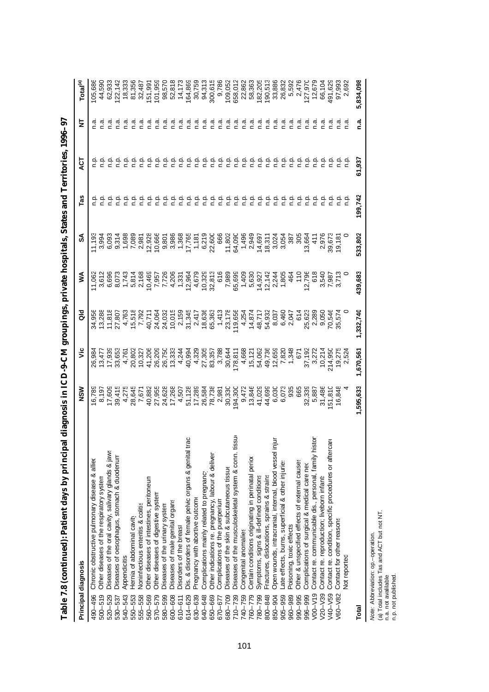|             | Principal diagnosis                                     | MSN                                                                                                                                                                                                                                                                                                                                                                                                                                 | š         | る                                                                                                                                                                                                                                                                                                                                                                                                                       | ⋚       |         | Fas            | ្ទុ                                 | ₹                           | Total <sup>(a)</sup>                                                                                                                                                                                                                                                          |
|-------------|---------------------------------------------------------|-------------------------------------------------------------------------------------------------------------------------------------------------------------------------------------------------------------------------------------------------------------------------------------------------------------------------------------------------------------------------------------------------------------------------------------|-----------|-------------------------------------------------------------------------------------------------------------------------------------------------------------------------------------------------------------------------------------------------------------------------------------------------------------------------------------------------------------------------------------------------------------------------|---------|---------|----------------|-------------------------------------|-----------------------------|-------------------------------------------------------------------------------------------------------------------------------------------------------------------------------------------------------------------------------------------------------------------------------|
| 490-496     | Chronic obstructive pulmonary disease & alliex          | 16,789                                                                                                                                                                                                                                                                                                                                                                                                                              |           |                                                                                                                                                                                                                                                                                                                                                                                                                         | 11,062  |         |                |                                     |                             | 105,686                                                                                                                                                                                                                                                                       |
| $500 - 519$ | Other diseases of the respiratory system                |                                                                                                                                                                                                                                                                                                                                                                                                                                     |           |                                                                                                                                                                                                                                                                                                                                                                                                                         |         |         |                |                                     |                             | 44,590<br>62,933                                                                                                                                                                                                                                                              |
| 520-529     | Diseases of the oral cavity, salivary glands & jaws     |                                                                                                                                                                                                                                                                                                                                                                                                                                     |           |                                                                                                                                                                                                                                                                                                                                                                                                                         |         |         |                |                                     |                             |                                                                                                                                                                                                                                                                               |
| 530-537     | Diseases of oesophagus, stomach & duodenum              |                                                                                                                                                                                                                                                                                                                                                                                                                                     |           |                                                                                                                                                                                                                                                                                                                                                                                                                         |         |         |                |                                     |                             | 122, 142                                                                                                                                                                                                                                                                      |
| 540-543     | Appendicitis                                            |                                                                                                                                                                                                                                                                                                                                                                                                                                     |           |                                                                                                                                                                                                                                                                                                                                                                                                                         |         |         |                |                                     | $\frac{a}{c}$               |                                                                                                                                                                                                                                                                               |
| 550-553     | Hernia of abdominal cavity                              |                                                                                                                                                                                                                                                                                                                                                                                                                                     |           |                                                                                                                                                                                                                                                                                                                                                                                                                         |         |         |                |                                     | σ.<br>Γ                     |                                                                                                                                                                                                                                                                               |
| 555-558     | Noninfectious enteritis & colitis                       |                                                                                                                                                                                                                                                                                                                                                                                                                                     |           |                                                                                                                                                                                                                                                                                                                                                                                                                         |         |         |                |                                     |                             |                                                                                                                                                                                                                                                                               |
| 560-569     | Other diseases of intestines, peritoneum                |                                                                                                                                                                                                                                                                                                                                                                                                                                     |           |                                                                                                                                                                                                                                                                                                                                                                                                                         |         |         |                |                                     | $\frac{a}{c}$ $\frac{a}{c}$ |                                                                                                                                                                                                                                                                               |
| 570-579     | Other diseases of digestive system                      |                                                                                                                                                                                                                                                                                                                                                                                                                                     |           |                                                                                                                                                                                                                                                                                                                                                                                                                         |         |         |                |                                     | ി.                          |                                                                                                                                                                                                                                                                               |
| 580-599     | Diseases of the urinary system                          |                                                                                                                                                                                                                                                                                                                                                                                                                                     |           |                                                                                                                                                                                                                                                                                                                                                                                                                         |         |         |                |                                     | ್ಷ                          |                                                                                                                                                                                                                                                                               |
| 600-608     | Diseases of male genital organs                         |                                                                                                                                                                                                                                                                                                                                                                                                                                     |           |                                                                                                                                                                                                                                                                                                                                                                                                                         |         |         |                | 을 흘을 흘흘을                            | ი.<br>ი                     |                                                                                                                                                                                                                                                                               |
| $610 - 611$ | Disorders of the breast                                 |                                                                                                                                                                                                                                                                                                                                                                                                                                     |           |                                                                                                                                                                                                                                                                                                                                                                                                                         |         |         |                |                                     | ್ಷ                          |                                                                                                                                                                                                                                                                               |
| 614-629     | Dis. & disorders of female pelvic organs & genital tran |                                                                                                                                                                                                                                                                                                                                                                                                                                     |           |                                                                                                                                                                                                                                                                                                                                                                                                                         |         |         | aaaaa<br>ccccc |                                     | ್ಲೆ                         |                                                                                                                                                                                                                                                                               |
| 630-639     | Pregnancy with abortive outcome                         |                                                                                                                                                                                                                                                                                                                                                                                                                                     |           |                                                                                                                                                                                                                                                                                                                                                                                                                         |         |         |                |                                     | ී.                          |                                                                                                                                                                                                                                                                               |
| 640-648     | Complications mainly related to pregnancy               |                                                                                                                                                                                                                                                                                                                                                                                                                                     |           |                                                                                                                                                                                                                                                                                                                                                                                                                         |         |         |                |                                     |                             |                                                                                                                                                                                                                                                                               |
| 650-669     | Other indications re. pregnancy, labour & deliver       |                                                                                                                                                                                                                                                                                                                                                                                                                                     |           |                                                                                                                                                                                                                                                                                                                                                                                                                         |         |         |                | م<br>م                              | ი<br>ი                      |                                                                                                                                                                                                                                                                               |
| 670-677     | Complications of the puerperium                         |                                                                                                                                                                                                                                                                                                                                                                                                                                     |           |                                                                                                                                                                                                                                                                                                                                                                                                                         |         |         |                | م<br>م                              | e.n                         |                                                                                                                                                                                                                                                                               |
| 680-709     | Diseases of the skin & subcutaneous tissue              |                                                                                                                                                                                                                                                                                                                                                                                                                                     |           |                                                                                                                                                                                                                                                                                                                                                                                                                         |         |         |                |                                     | ه.<br>م                     |                                                                                                                                                                                                                                                                               |
| $710 - 739$ | Diseases of the musculoskeletal system & conn. tissu    | $\begin{array}{l} \mathfrak{d}_0 \mathfrak{d}_1 \mathfrak{d}_2 \mathfrak{d}_3 \mathfrak{d}_4 \mathfrak{d}_5 \mathfrak{d}_6 \mathfrak{d}_7 \mathfrak{d}_8 \mathfrak{d}_7 \mathfrak{d}_8 \mathfrak{d}_8 \mathfrak{d}_7 \mathfrak{d}_8 \mathfrak{d}_7 \mathfrak{d}_8 \mathfrak{d}_7 \mathfrak{d}_8 \mathfrak{d}_7 \mathfrak{d}_8 \mathfrak{d}_7 \mathfrak{d}_8 \mathfrak{d}_7 \mathfrak{d}_8 \mathfrak{d}_7 \mathfrak{d}_8 \mathfrak{$ |           | $\begin{array}{l} 26.55\, \mathrm{m} \times 2.5\, \mathrm{m} \times 2.5\, \mathrm{m} \times 2.5\, \mathrm{m} \times 2.5\, \mathrm{m} \times 2.5\, \mathrm{m} \times 2.5\, \mathrm{m} \times 2.5\, \mathrm{m} \times 2.5\, \mathrm{m} \times 2.5\, \mathrm{m} \times 2.5\, \mathrm{m} \times 2.5\, \mathrm{m} \times 2.5\, \mathrm{m} \times 2.5\, \mathrm{m} \times 2.5\, \mathrm{m} \times 2.5\, \mathrm{m} \times 2.$ |         |         |                | 음 음 음 음                             | ه.<br>م                     | $\begin{array}{l} 33.685 \\ 33.6987 \\ 35.69987 \\ 36.699987 \\ 37.699987 \\ 38.699987 \\ 39.699987 \\ 39.699987 \\ 30.699987 \\ 33.699987 \\ 35.699987 \\ 36.699987 \\ 37.699987 \\ 38.699987 \\ 39.699987 \\ 39.699987 \\ 39.699987 \\ 39.699987 \\ 39.699987 \\ 39.699987$ |
| 740-759     | Congenital anomalies                                    |                                                                                                                                                                                                                                                                                                                                                                                                                                     |           |                                                                                                                                                                                                                                                                                                                                                                                                                         |         |         |                |                                     | ۹.c                         |                                                                                                                                                                                                                                                                               |
| 760-779     | Certain conditions originating in perinatal perior      |                                                                                                                                                                                                                                                                                                                                                                                                                                     |           |                                                                                                                                                                                                                                                                                                                                                                                                                         |         |         |                |                                     |                             |                                                                                                                                                                                                                                                                               |
| 780-799     | Symptoms, signs & ill-defined conditions                |                                                                                                                                                                                                                                                                                                                                                                                                                                     |           |                                                                                                                                                                                                                                                                                                                                                                                                                         |         |         |                | م<br>م                              |                             |                                                                                                                                                                                                                                                                               |
| 800-848     | Fractures, dislocations, sprains & strains              |                                                                                                                                                                                                                                                                                                                                                                                                                                     |           |                                                                                                                                                                                                                                                                                                                                                                                                                         |         |         |                | ۹è                                  |                             |                                                                                                                                                                                                                                                                               |
| 850-904     | Open wounds, intracranial, internal, blood vessel inju  | 6,030<br>6,073<br>6,073<br>665                                                                                                                                                                                                                                                                                                                                                                                                      |           |                                                                                                                                                                                                                                                                                                                                                                                                                         |         |         |                | ف<br>C                              | n.a                         |                                                                                                                                                                                                                                                                               |
| 905-959     | ate effects, burns, superficial & other injuries        |                                                                                                                                                                                                                                                                                                                                                                                                                                     |           |                                                                                                                                                                                                                                                                                                                                                                                                                         |         |         |                | نې<br>د                             | n.a                         |                                                                                                                                                                                                                                                                               |
| 960-989     | Poisoning, toxic effects                                |                                                                                                                                                                                                                                                                                                                                                                                                                                     |           |                                                                                                                                                                                                                                                                                                                                                                                                                         |         |         |                | 흔                                   |                             |                                                                                                                                                                                                                                                                               |
| 990-995     | Other & unspecified effects of external causes          |                                                                                                                                                                                                                                                                                                                                                                                                                                     |           |                                                                                                                                                                                                                                                                                                                                                                                                                         |         |         |                | ې                                   |                             |                                                                                                                                                                                                                                                                               |
| 996-999     | Complications of surgical & medical care nec            |                                                                                                                                                                                                                                                                                                                                                                                                                                     |           |                                                                                                                                                                                                                                                                                                                                                                                                                         |         |         |                | ېق                                  |                             |                                                                                                                                                                                                                                                                               |
| $V00-V19$   | Contact re. communicable dis., personal, family histo   |                                                                                                                                                                                                                                                                                                                                                                                                                                     |           |                                                                                                                                                                                                                                                                                                                                                                                                                         |         |         |                |                                     |                             | 5,592<br>2,476<br>127,970<br>12,679<br>66,104                                                                                                                                                                                                                                 |
| $V20 - V39$ | Contact re. reproduction; liveborn infants              |                                                                                                                                                                                                                                                                                                                                                                                                                                     |           |                                                                                                                                                                                                                                                                                                                                                                                                                         |         |         |                |                                     |                             |                                                                                                                                                                                                                                                                               |
| V40-V59     | Contact re. condition, specific procedures or aftercar  | 32,339<br>5,887<br>51,486<br>16,848<br>16,848                                                                                                                                                                                                                                                                                                                                                                                       |           |                                                                                                                                                                                                                                                                                                                                                                                                                         |         |         |                | $rac{a}{c}$ $rac{a}{c}$ $rac{a}{c}$ |                             | 491,62                                                                                                                                                                                                                                                                        |
| V60-V82     | Contact for other reasons                               |                                                                                                                                                                                                                                                                                                                                                                                                                                     |           |                                                                                                                                                                                                                                                                                                                                                                                                                         |         |         |                |                                     |                             |                                                                                                                                                                                                                                                                               |
|             | Not reported                                            |                                                                                                                                                                                                                                                                                                                                                                                                                                     |           |                                                                                                                                                                                                                                                                                                                                                                                                                         |         |         |                |                                     |                             |                                                                                                                                                                                                                                                                               |
| Total       |                                                         | ,595,633                                                                                                                                                                                                                                                                                                                                                                                                                            | 1,670,561 | , 332, 740                                                                                                                                                                                                                                                                                                                                                                                                              | 139,683 | 533,802 | 199,742        | 61,937                              | <u>ດີ</u>                   | 5,834,098                                                                                                                                                                                                                                                                     |
|             |                                                         |                                                                                                                                                                                                                                                                                                                                                                                                                                     |           |                                                                                                                                                                                                                                                                                                                                                                                                                         |         |         |                |                                     |                             |                                                                                                                                                                                                                                                                               |

| ı                                     |
|---------------------------------------|
|                                       |
|                                       |
|                                       |
|                                       |
|                                       |
|                                       |
| l                                     |
|                                       |
|                                       |
|                                       |
|                                       |
|                                       |
|                                       |
|                                       |
|                                       |
|                                       |
|                                       |
|                                       |
| ١                                     |
| ׇ֠                                    |
| ֚֚֬                                   |
| ı                                     |
|                                       |
|                                       |
|                                       |
|                                       |
|                                       |
|                                       |
|                                       |
|                                       |
|                                       |
| J                                     |
| í                                     |
|                                       |
|                                       |
| l                                     |
|                                       |
|                                       |
| l                                     |
|                                       |
|                                       |
| l                                     |
|                                       |
|                                       |
| l<br>֡֡֡֡֡֡<br>I                      |
|                                       |
| $\begin{array}{c} \hline \end{array}$ |
|                                       |
| j<br>l                                |
|                                       |
| ı                                     |
| j                                     |
|                                       |
|                                       |
| ţ                                     |
| I                                     |
| ׇ֠                                    |
| l<br>E<br>ׇ֠                          |

*Note: Abbreviation: op.-operation.*<br>(a) Total includes Tas and ACT but not NT.<br>n.a. not published.<br>n.p. not published. *Note:* Abbreviation: op.–operation.

(a) Total includes Tas and ACT but not NT.

n.a. not avalilable. n.p. not published.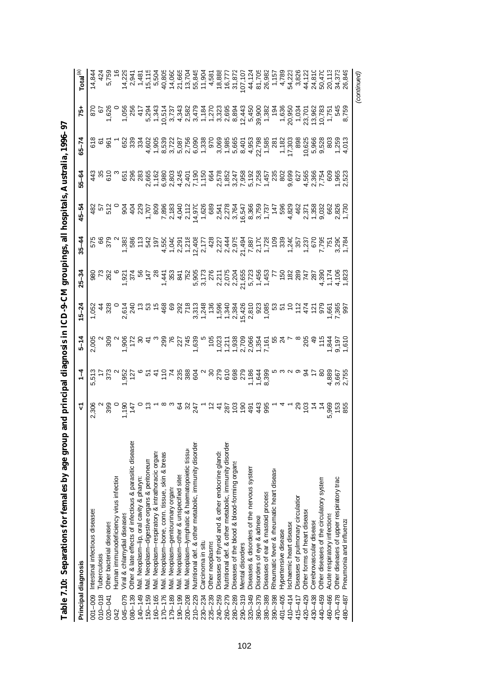| Table 7.10: Separations for females by age grou                        | and principal diagnosis in ICD-9-CM groupings, all |                                                                                                                                                                                                                                                                            |                                                                                                                                                                                                                                                                                                                                                                                          |                                                                                                                                                    |                                                                                          |           |                       | hospitals, Australia, 1996-97 |                                          |                                                                                                                                                                                                                                                                                                                                                                                                                                     |                                                                                                                                |
|------------------------------------------------------------------------|----------------------------------------------------|----------------------------------------------------------------------------------------------------------------------------------------------------------------------------------------------------------------------------------------------------------------------------|------------------------------------------------------------------------------------------------------------------------------------------------------------------------------------------------------------------------------------------------------------------------------------------------------------------------------------------------------------------------------------------|----------------------------------------------------------------------------------------------------------------------------------------------------|------------------------------------------------------------------------------------------|-----------|-----------------------|-------------------------------|------------------------------------------|-------------------------------------------------------------------------------------------------------------------------------------------------------------------------------------------------------------------------------------------------------------------------------------------------------------------------------------------------------------------------------------------------------------------------------------|--------------------------------------------------------------------------------------------------------------------------------|
| Principal diagnosis                                                    | ⊽                                                  | $\frac{4}{1}$                                                                                                                                                                                                                                                              | $5 - 14$                                                                                                                                                                                                                                                                                                                                                                                 | $15 - 24$                                                                                                                                          | $25 - 34$                                                                                | $35 - 44$ | $45 - 54$             | $55 - 64$                     | $65 - 74$                                | 75+                                                                                                                                                                                                                                                                                                                                                                                                                                 | $\mathsf{Total}^{(\text{a})}$                                                                                                  |
| Intestinal infectious diseases<br>001-009                              | 2,306                                              | 5,513                                                                                                                                                                                                                                                                      | 2,005                                                                                                                                                                                                                                                                                                                                                                                    | $-52$                                                                                                                                              |                                                                                          | 575       |                       |                               | 618                                      | 870                                                                                                                                                                                                                                                                                                                                                                                                                                 | 14,84                                                                                                                          |
| Tuberculosis<br>$010 - 018$                                            |                                                    |                                                                                                                                                                                                                                                                            |                                                                                                                                                                                                                                                                                                                                                                                          |                                                                                                                                                    | 8 H 2<br>8 H 2                                                                           |           | 35<br>35<br>35        |                               |                                          | $\tilde{\circ}$                                                                                                                                                                                                                                                                                                                                                                                                                     |                                                                                                                                |
| Other bacterial diseases<br>$020 - 041$                                |                                                    | $-22.5$                                                                                                                                                                                                                                                                    | 30<br>၁<br>၁                                                                                                                                                                                                                                                                                                                                                                             | 32<br>0                                                                                                                                            |                                                                                          | 66<br>379 |                       | 610                           | 98                                       | 1,626<br>0                                                                                                                                                                                                                                                                                                                                                                                                                          |                                                                                                                                |
| Human immunodeficiency virus infection<br>042                          |                                                    |                                                                                                                                                                                                                                                                            |                                                                                                                                                                                                                                                                                                                                                                                          |                                                                                                                                                    |                                                                                          |           |                       |                               |                                          |                                                                                                                                                                                                                                                                                                                                                                                                                                     |                                                                                                                                |
| Viral & chlamydial diseases<br>045-079                                 |                                                    |                                                                                                                                                                                                                                                                            |                                                                                                                                                                                                                                                                                                                                                                                          |                                                                                                                                                    |                                                                                          |           |                       |                               |                                          |                                                                                                                                                                                                                                                                                                                                                                                                                                     |                                                                                                                                |
| Other & late effects of infectious & parasitic diseases<br>$080 - 139$ |                                                    |                                                                                                                                                                                                                                                                            |                                                                                                                                                                                                                                                                                                                                                                                          |                                                                                                                                                    |                                                                                          |           | $rac{4}{9}$           |                               |                                          |                                                                                                                                                                                                                                                                                                                                                                                                                                     |                                                                                                                                |
| Mal. Neoplasm-lip, oral cavity & pharyn:<br>$140 - 149$                |                                                    |                                                                                                                                                                                                                                                                            |                                                                                                                                                                                                                                                                                                                                                                                          |                                                                                                                                                    | <b>1</b><br>22<br>1<br>22<br>28                                                          |           |                       |                               | 883<br>883                               | 1,056<br>256<br>17                                                                                                                                                                                                                                                                                                                                                                                                                  | 224<br>234<br>245<br>24                                                                                                        |
| Mal. Neoplasm-digestive organs & peritoneun<br>150-159                 |                                                    |                                                                                                                                                                                                                                                                            |                                                                                                                                                                                                                                                                                                                                                                                          |                                                                                                                                                    | $\frac{4}{4}$                                                                            |           | 229<br>1,707<br>1,809 |                               |                                          | 5,294                                                                                                                                                                                                                                                                                                                                                                                                                               |                                                                                                                                |
| Mal. Neoplasm-respiratory & intrathoracic organs<br>160-165            |                                                    |                                                                                                                                                                                                                                                                            |                                                                                                                                                                                                                                                                                                                                                                                          |                                                                                                                                                    |                                                                                          |           |                       |                               |                                          | 1,343                                                                                                                                                                                                                                                                                                                                                                                                                               |                                                                                                                                |
| Mal. Neoplasm-bone, conn. tissue, skin & breas<br>$170 - 176$          |                                                    | $\begin{array}{l} 0.75 & 0.75 & 0.75 & 0.75 & 0.75 & 0.75 & 0.75 & 0.75 & 0.75 & 0.75 & 0.75 & 0.75 & 0.75 & 0.75 & 0.75 & 0.75 & 0.75 & 0.75 & 0.75 & 0.75 & 0.75 & 0.75 & 0.75 & 0.75 & 0.75 & 0.75 & 0.75 & 0.75 & 0.75 & 0.75 & 0.75 & 0.75 & 0.75 & 0.75 & 0.75 & 0.$ | $\begin{array}{lllllllllllll} \hat{c} & \hat{c} & \hat{c} & \hat{c} & \hat{c} & \hat{c} & \hat{c} & \hat{c} & \hat{c} & \hat{c} & \hat{c} & \hat{c} & \hat{c} & \hat{c} & \hat{c} & \hat{c} & \hat{c} & \hat{c} & \hat{c} & \hat{c} & \hat{c} & \hat{c} & \hat{c} & \hat{c} & \hat{c} & \hat{c} & \hat{c} & \hat{c} & \hat{c} & \hat{c} & \hat{c} & \hat{c} & \hat{c} & \hat{c} & \hat{$ | v<br>2007 - Canto Control (1996)<br>2008 - Canto Control (1997 - Canto Control (1997 - Canto Control (1997 - Canto Canto Canto Canto Canto Canto C |                                                                                          |           | 7,896                 |                               | $4,005$<br>$4,005$<br>$6,005$<br>$6,005$ | 10,514                                                                                                                                                                                                                                                                                                                                                                                                                              | $\begin{array}{r} 15,115 \\ 5,502 \\ 40,805 \end{array}$                                                                       |
| Mal. Neoplasm-genitourinary organs<br>$179 - 189$                      |                                                    |                                                                                                                                                                                                                                                                            |                                                                                                                                                                                                                                                                                                                                                                                          |                                                                                                                                                    |                                                                                          |           | 2,183                 |                               | 3,722                                    |                                                                                                                                                                                                                                                                                                                                                                                                                                     |                                                                                                                                |
| Mal. Neoplasm-other & unspecified sites<br>$90 - 199$                  |                                                    |                                                                                                                                                                                                                                                                            |                                                                                                                                                                                                                                                                                                                                                                                          |                                                                                                                                                    |                                                                                          |           |                       |                               |                                          |                                                                                                                                                                                                                                                                                                                                                                                                                                     |                                                                                                                                |
| Mal. Neoplasm-lymphatic & haematopoietic tissur<br>200-208             | <b>82</b><br>9                                     |                                                                                                                                                                                                                                                                            |                                                                                                                                                                                                                                                                                                                                                                                          |                                                                                                                                                    |                                                                                          |           |                       |                               |                                          |                                                                                                                                                                                                                                                                                                                                                                                                                                     |                                                                                                                                |
| Nutritional def. & other metabolic, immunity disorder<br>$210 - 229$   | 247                                                |                                                                                                                                                                                                                                                                            |                                                                                                                                                                                                                                                                                                                                                                                          |                                                                                                                                                    | ב פיטי טיטיציפיב<br>לומצים באיליפטיפיליקים של המייחדים<br>לומצים באיליפטיפים של המייחדים |           |                       |                               | 087<br>0900<br>0,090<br>0,090<br>0,090   | $\begin{array}{l} \mathcal{Q} \, \mathcal{A} \, \mathcal{A} \, \mathcal{A} \, \mathcal{A} \, \mathcal{A} \, \mathcal{A} \, \mathcal{A} \, \mathcal{A} \, \mathcal{A} \, \mathcal{A} \, \mathcal{A} \, \mathcal{A} \, \mathcal{A} \, \mathcal{A} \, \mathcal{A} \, \mathcal{A} \, \mathcal{A} \, \mathcal{A} \, \mathcal{A} \, \mathcal{A} \, \mathcal{A} \, \mathcal{A} \, \mathcal{A} \, \mathcal{A} \, \mathcal{A} \, \mathcal{A$ | 14,065<br>21,065<br>21,064<br>10,064<br>10,064                                                                                 |
| Carcinoma in situ<br>230-234                                           |                                                    |                                                                                                                                                                                                                                                                            |                                                                                                                                                                                                                                                                                                                                                                                          |                                                                                                                                                    |                                                                                          |           |                       |                               |                                          |                                                                                                                                                                                                                                                                                                                                                                                                                                     |                                                                                                                                |
| Other neoplasms<br>$235 - 239$                                         |                                                    |                                                                                                                                                                                                                                                                            |                                                                                                                                                                                                                                                                                                                                                                                          |                                                                                                                                                    |                                                                                          |           |                       |                               |                                          |                                                                                                                                                                                                                                                                                                                                                                                                                                     |                                                                                                                                |
| Diseases of thyroid and & other endocrine glands<br>240-259            |                                                    |                                                                                                                                                                                                                                                                            |                                                                                                                                                                                                                                                                                                                                                                                          |                                                                                                                                                    |                                                                                          |           |                       |                               |                                          |                                                                                                                                                                                                                                                                                                                                                                                                                                     |                                                                                                                                |
| Nutritional def. & other metabolic, immunity disorder<br>260-279       |                                                    |                                                                                                                                                                                                                                                                            |                                                                                                                                                                                                                                                                                                                                                                                          |                                                                                                                                                    |                                                                                          |           |                       |                               |                                          |                                                                                                                                                                                                                                                                                                                                                                                                                                     |                                                                                                                                |
| Diseases of the blood & blood-forming organs<br>280-289                |                                                    |                                                                                                                                                                                                                                                                            |                                                                                                                                                                                                                                                                                                                                                                                          |                                                                                                                                                    |                                                                                          |           |                       |                               |                                          |                                                                                                                                                                                                                                                                                                                                                                                                                                     |                                                                                                                                |
| Mental disorders<br>$290 - 319$                                        |                                                    |                                                                                                                                                                                                                                                                            |                                                                                                                                                                                                                                                                                                                                                                                          |                                                                                                                                                    |                                                                                          |           |                       |                               |                                          |                                                                                                                                                                                                                                                                                                                                                                                                                                     |                                                                                                                                |
| Diseases & disorders of the nervous system<br>320-349                  |                                                    |                                                                                                                                                                                                                                                                            |                                                                                                                                                                                                                                                                                                                                                                                          |                                                                                                                                                    |                                                                                          |           |                       |                               |                                          |                                                                                                                                                                                                                                                                                                                                                                                                                                     |                                                                                                                                |
| Disorders of eye & adnexa<br>$360 - 379$                               |                                                    |                                                                                                                                                                                                                                                                            |                                                                                                                                                                                                                                                                                                                                                                                          |                                                                                                                                                    |                                                                                          |           |                       |                               |                                          |                                                                                                                                                                                                                                                                                                                                                                                                                                     |                                                                                                                                |
| Diseases of ear & mastoid process<br>380-389                           |                                                    |                                                                                                                                                                                                                                                                            |                                                                                                                                                                                                                                                                                                                                                                                          |                                                                                                                                                    |                                                                                          |           |                       |                               |                                          |                                                                                                                                                                                                                                                                                                                                                                                                                                     |                                                                                                                                |
| Rheumatic fever & rheumatic heart disease<br>390-398                   |                                                    |                                                                                                                                                                                                                                                                            |                                                                                                                                                                                                                                                                                                                                                                                          |                                                                                                                                                    |                                                                                          |           |                       |                               |                                          |                                                                                                                                                                                                                                                                                                                                                                                                                                     | $\begin{array}{c} 4,581 \\ 4,888 \\ 18,77 \\ 18,77 \\ 19,77 \\ 10,79 \\ 11,70 \\ 13,70 \\ 15 \\ 15 \\ 19 \\ 15 \\ \end{array}$ |
| Hypertensive disease<br>401-405                                        |                                                    |                                                                                                                                                                                                                                                                            |                                                                                                                                                                                                                                                                                                                                                                                          |                                                                                                                                                    |                                                                                          |           |                       |                               |                                          |                                                                                                                                                                                                                                                                                                                                                                                                                                     |                                                                                                                                |
| schaemic heart disease<br>$410 - 414$                                  |                                                    |                                                                                                                                                                                                                                                                            |                                                                                                                                                                                                                                                                                                                                                                                          |                                                                                                                                                    |                                                                                          |           |                       |                               |                                          | 1,636<br>20,950<br>1,034<br>23,701                                                                                                                                                                                                                                                                                                                                                                                                  | 4,789<br>54,223                                                                                                                |
| Diseases of pulmonary circulation<br>415-417                           |                                                    |                                                                                                                                                                                                                                                                            |                                                                                                                                                                                                                                                                                                                                                                                          |                                                                                                                                                    |                                                                                          |           |                       |                               |                                          |                                                                                                                                                                                                                                                                                                                                                                                                                                     | 3,82                                                                                                                           |
| Other forms of heart disease<br>420-429                                |                                                    |                                                                                                                                                                                                                                                                            |                                                                                                                                                                                                                                                                                                                                                                                          |                                                                                                                                                    |                                                                                          |           |                       |                               |                                          |                                                                                                                                                                                                                                                                                                                                                                                                                                     | 44,12                                                                                                                          |
| Cerebrovascular disease<br>430-438                                     | 8 g ±                                              | 2 F                                                                                                                                                                                                                                                                        | 5845                                                                                                                                                                                                                                                                                                                                                                                     |                                                                                                                                                    |                                                                                          |           |                       |                               |                                          | 13,962                                                                                                                                                                                                                                                                                                                                                                                                                              | 24,810                                                                                                                         |
| Other diseases of the circulatory system<br>440-459                    |                                                    | ္ထ                                                                                                                                                                                                                                                                         |                                                                                                                                                                                                                                                                                                                                                                                          |                                                                                                                                                    |                                                                                          |           |                       |                               |                                          |                                                                                                                                                                                                                                                                                                                                                                                                                                     | 50,47                                                                                                                          |
| Acute respiratory infections<br>460-466                                | 5,962<br>153<br>855                                | 4,889<br>3,667<br>2,755                                                                                                                                                                                                                                                    | $\frac{9,844}{9,197}$                                                                                                                                                                                                                                                                                                                                                                    |                                                                                                                                                    |                                                                                          |           |                       |                               |                                          | 10,783<br>1,751<br>545                                                                                                                                                                                                                                                                                                                                                                                                              | 20,113                                                                                                                         |
| Other diseases of upper respiratory tract<br>470-478                   |                                                    |                                                                                                                                                                                                                                                                            |                                                                                                                                                                                                                                                                                                                                                                                          |                                                                                                                                                    |                                                                                          |           |                       |                               |                                          |                                                                                                                                                                                                                                                                                                                                                                                                                                     | 34,37                                                                                                                          |
| Pneumonia and influenza<br>480-487                                     |                                                    |                                                                                                                                                                                                                                                                            |                                                                                                                                                                                                                                                                                                                                                                                          |                                                                                                                                                    |                                                                                          |           |                       |                               |                                          | 8,759                                                                                                                                                                                                                                                                                                                                                                                                                               | 26,849                                                                                                                         |
|                                                                        |                                                    |                                                                                                                                                                                                                                                                            |                                                                                                                                                                                                                                                                                                                                                                                          |                                                                                                                                                    |                                                                                          |           |                       |                               |                                          |                                                                                                                                                                                                                                                                                                                                                                                                                                     | (continued)                                                                                                                    |

| I                                                            |
|--------------------------------------------------------------|
|                                                              |
| ŗ                                                            |
|                                                              |
| I                                                            |
|                                                              |
|                                                              |
|                                                              |
| ı                                                            |
|                                                              |
|                                                              |
| $\frac{1}{2}$<br>i                                           |
|                                                              |
| ֚֚֡                                                          |
|                                                              |
|                                                              |
|                                                              |
| ١<br>I                                                       |
| - 1<br>- 1<br>- 1<br>-<br>;                                  |
|                                                              |
|                                                              |
| ١<br>١                                                       |
| ֖֖֖֖֖֧ׅ֖ׅ֖֖֧֧֪֪֪֪֪֪֪֪ׅ֚֚֚֚֚֚֚֚֚֚֚֚֚֚֚֚֚֚֚֚֚֚֚֚֚֚֡֬֝֝֝֝֝֓֞֝֬֝ |
|                                                              |
|                                                              |
|                                                              |
|                                                              |
| )                                                            |
| i                                                            |
|                                                              |
| l                                                            |
|                                                              |
| i                                                            |
| $\overline{1}$<br>ı                                          |
|                                                              |
|                                                              |
| l                                                            |
|                                                              |
| $\overline{\phantom{a}}$                                     |
|                                                              |
| י ייתו<br>ׇ֚֓                                                |
| i<br>C                                                       |
| 3                                                            |
| ē                                                            |
|                                                              |
|                                                              |
|                                                              |
|                                                              |
|                                                              |
|                                                              |
|                                                              |
|                                                              |
| I                                                            |
|                                                              |
|                                                              |
| ֖֖֖֧ׅ֖֖֧֪ׅ֖֧֚֚֚֚֚֚֚֚֚֚֚֚֚֚֚֚֚֚֚֚֚֚֚֚֡֝֝֝֝֝֝֝֝֝֝֝             |
| l                                                            |
|                                                              |
|                                                              |
| ׇ֠                                                           |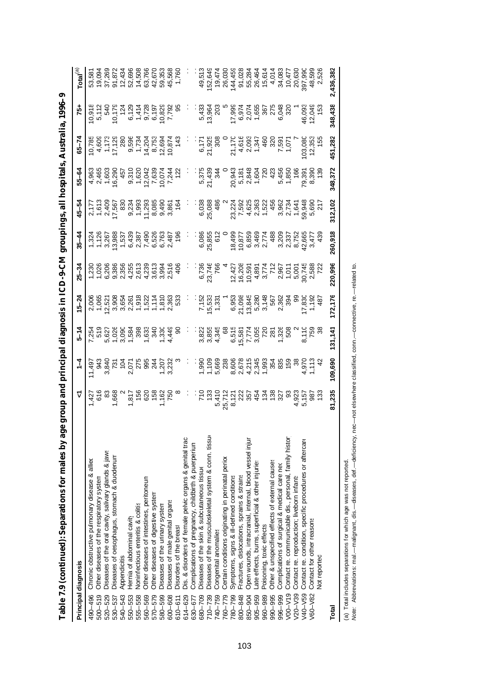| Principal diagnosis                                                  |        | İ       | $5 - 14$ | $15 - 24$                                                                                                                                                                                                                            | $25 - 34$                                                                                                                                                                                                                            |         | $45 - 54$ | 55-64   | $65 - 74$               | 75+                      | $\mathsf{Total}^{(\text{a})}$        |
|----------------------------------------------------------------------|--------|---------|----------|--------------------------------------------------------------------------------------------------------------------------------------------------------------------------------------------------------------------------------------|--------------------------------------------------------------------------------------------------------------------------------------------------------------------------------------------------------------------------------------|---------|-----------|---------|-------------------------|--------------------------|--------------------------------------|
| Chronic obstructive pulmonary disease & allied<br>490-496            |        |         |          |                                                                                                                                                                                                                                      | r - co va qua de vente de la de la de la de la de la de la de la de la de la de la de la de la de la de la de<br>Vocincia de la de la de la de la de la de la de la de la de la de la de la de la de la de la de la de la de la<br>S |         |           |         |                         |                          |                                      |
| Other diseases of the respiratory system<br>$500 - 519$              |        |         |          |                                                                                                                                                                                                                                      |                                                                                                                                                                                                                                      |         |           |         |                         |                          |                                      |
| Diseases of the oral cavity, salivary glands & jaws<br>520-529       |        |         |          |                                                                                                                                                                                                                                      |                                                                                                                                                                                                                                      |         |           |         |                         |                          |                                      |
| Diseases of oesophagus, stomach & duodenum<br>530-537                |        |         |          |                                                                                                                                                                                                                                      |                                                                                                                                                                                                                                      |         |           |         |                         |                          | 53,581<br>19,094<br>37,269<br>91,872 |
| Appendicitis<br>540-543                                              |        |         |          |                                                                                                                                                                                                                                      |                                                                                                                                                                                                                                      |         |           |         |                         |                          | 12,43                                |
| Hernia of abdominal cavity<br>550-553                                |        |         |          |                                                                                                                                                                                                                                      |                                                                                                                                                                                                                                      |         |           |         |                         |                          |                                      |
| Noninfectious enteritis & colitis<br>555-558                         |        |         |          |                                                                                                                                                                                                                                      |                                                                                                                                                                                                                                      |         |           |         |                         |                          |                                      |
| Other diseases of intestines, peritoneum<br>560-569                  |        |         |          |                                                                                                                                                                                                                                      |                                                                                                                                                                                                                                      |         |           |         |                         |                          |                                      |
| Other diseases of digestive system<br>570-579                        |        |         |          |                                                                                                                                                                                                                                      |                                                                                                                                                                                                                                      |         |           |         |                         |                          |                                      |
| Diseases of the urinary system<br>580-599                            |        |         |          |                                                                                                                                                                                                                                      |                                                                                                                                                                                                                                      |         |           |         |                         |                          |                                      |
| Diseases of male genital organs<br>600-608                           |        |         |          |                                                                                                                                                                                                                                      |                                                                                                                                                                                                                                      |         |           |         |                         |                          |                                      |
| Disorders of the breast<br>$610 - 611$                               |        |         |          |                                                                                                                                                                                                                                      |                                                                                                                                                                                                                                      |         |           |         |                         |                          |                                      |
| Dis. & disorders of female pelvic organs & genital trac<br>614-629   |        |         |          |                                                                                                                                                                                                                                      |                                                                                                                                                                                                                                      |         |           |         |                         |                          |                                      |
| Complications of pregnancy, childbirth & puerperium<br>630-677       |        |         |          |                                                                                                                                                                                                                                      |                                                                                                                                                                                                                                      |         |           |         |                         |                          |                                      |
| Diseases of the skin & subcutaneous tissue<br>680-709                |        |         |          |                                                                                                                                                                                                                                      |                                                                                                                                                                                                                                      |         |           |         |                         |                          |                                      |
| Diseases of the musculoskeletal system & conn. tissue<br>$710 - 739$ |        |         |          |                                                                                                                                                                                                                                      |                                                                                                                                                                                                                                      |         |           |         |                         |                          |                                      |
| Congenital anomalies<br>740-759                                      |        |         |          |                                                                                                                                                                                                                                      |                                                                                                                                                                                                                                      |         |           |         |                         | $13.36203$<br>$19.96203$ |                                      |
| Certain conditions originating in perinatal perior<br>760-779        |        |         |          |                                                                                                                                                                                                                                      |                                                                                                                                                                                                                                      |         |           |         |                         |                          |                                      |
| Symptoms, signs & ill-defined conditions<br>780-799                  |        |         |          |                                                                                                                                                                                                                                      |                                                                                                                                                                                                                                      |         |           |         |                         |                          |                                      |
| Fractures, dislocations, sprains & strains<br>800-848                |        |         |          |                                                                                                                                                                                                                                      |                                                                                                                                                                                                                                      |         |           |         |                         |                          |                                      |
| Open wounds, intracranial, internal, blood vessel injur<br>850-904   |        |         |          |                                                                                                                                                                                                                                      |                                                                                                                                                                                                                                      |         |           |         |                         |                          |                                      |
| Late effects, burns, superficial & other injuries<br>$905 - 959$     |        |         |          |                                                                                                                                                                                                                                      |                                                                                                                                                                                                                                      |         |           |         |                         |                          |                                      |
| Poisoning, toxic effects<br>960-989                                  |        |         |          |                                                                                                                                                                                                                                      |                                                                                                                                                                                                                                      |         |           |         |                         |                          |                                      |
| Other & unspecified effects of external causes<br>990-995            |        |         |          |                                                                                                                                                                                                                                      |                                                                                                                                                                                                                                      |         |           |         |                         |                          |                                      |
| Complications of surgical & medical care neo<br>996-999              |        |         |          |                                                                                                                                                                                                                                      |                                                                                                                                                                                                                                      |         |           |         |                         |                          |                                      |
| Contact re. communicable dis., personal, family histor<br>$V00-V19$  |        |         |          |                                                                                                                                                                                                                                      |                                                                                                                                                                                                                                      |         |           |         |                         |                          |                                      |
| Contact re. reproduction; liveborn infants<br>$V20-V39$              |        |         |          |                                                                                                                                                                                                                                      |                                                                                                                                                                                                                                      |         |           |         |                         |                          |                                      |
| Contact re. condition, specific procedures or aftercare<br>V40-V59   |        |         |          | vi – Givinus – Listo – Chino – Chino – Chino – Chino – Chino – Chino – Chino – Chino – Chino – Chino – Chino –<br>Oberta – Chino – Chino – Chino – Chino – Chino – Chino – Chino – Chino – Chino – Chino – Chino – Chino – Chino<br> |                                                                                                                                                                                                                                      |         |           |         | 03,080<br>12,353<br>155 | 46,093<br>12,049<br>153  |                                      |
| Contact for other reasons<br>V60-V82                                 |        |         |          |                                                                                                                                                                                                                                      |                                                                                                                                                                                                                                      |         |           |         |                         |                          |                                      |
| Not reported                                                         |        |         |          |                                                                                                                                                                                                                                      |                                                                                                                                                                                                                                      |         |           |         |                         |                          |                                      |
| Total                                                                | 81,235 | 109,690 | 131,141  | 172,176                                                                                                                                                                                                                              | 220,996                                                                                                                                                                                                                              | 260,918 | 312,102   | 348,372 | 451,282                 | 348,438                  | 2,436,382                            |
|                                                                      |        |         |          |                                                                                                                                                                                                                                      |                                                                                                                                                                                                                                      |         |           |         |                         |                          |                                      |

**Table 7.9 (continued): Separations for males by age group and principal diagnosis in ICD-9-CM groupings, all hospitals, Australia, 1996–97** Table 7.9 (continued): Separations for males by age group and principal diagnosis in ICD-9-CM groupings, all hospitals, Australia, 1996–9

(a) Total includes separations for which age was not reported.

(a) Total includes separations for which age was not reported.<br>Note: Abbreviations: mal.—malignant, dis.—diseases, def.—deficiency, nec—not elsewhere classified, conn.—connective, re.—related to. *Note:* Abbreviations: mal.— malignant, dis.— diseases, def.— deficiency, nec— not elsewhere classified, conn.— connective, re.— related to.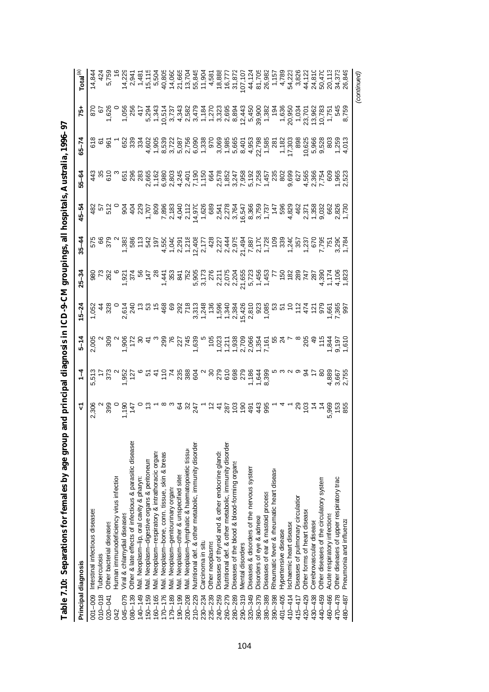| Table 7.10: Separations for females by age grou                        | p and principal diagnosis in ICD-9-CM groupings, all hospitals, Australia, 1996-97 |                                                                                                                                                                                                                                                                            |                |                 |                |                                                                                                  |                       |                |                                                                                                                                                                                                                                                                             |                                    |                                                                                                                                                                                                                                                                                                       |
|------------------------------------------------------------------------|------------------------------------------------------------------------------------|----------------------------------------------------------------------------------------------------------------------------------------------------------------------------------------------------------------------------------------------------------------------------|----------------|-----------------|----------------|--------------------------------------------------------------------------------------------------|-----------------------|----------------|-----------------------------------------------------------------------------------------------------------------------------------------------------------------------------------------------------------------------------------------------------------------------------|------------------------------------|-------------------------------------------------------------------------------------------------------------------------------------------------------------------------------------------------------------------------------------------------------------------------------------------------------|
| Principal diagnosis                                                    | ⊽                                                                                  | $\frac{1}{4}$                                                                                                                                                                                                                                                              | $5 - 14$       | $15 - 24$       | $25 - 34$      | $35 - 44$                                                                                        | $45 - 54$             | $55 - 64$      | $-7-65$                                                                                                                                                                                                                                                                     | -57                                | $\mathsf{Total}^{(\text{a})}$                                                                                                                                                                                                                                                                         |
| Intestinal infectious diseases<br>001-009                              | 2,306                                                                              | 513                                                                                                                                                                                                                                                                        | 2,005          | 1,052           |                | 575                                                                                              |                       |                |                                                                                                                                                                                                                                                                             | 870                                | 14,84.                                                                                                                                                                                                                                                                                                |
| Tuberculosis<br>$010 - 018$                                            |                                                                                    |                                                                                                                                                                                                                                                                            |                |                 |                |                                                                                                  |                       |                |                                                                                                                                                                                                                                                                             | $\overline{6}$                     |                                                                                                                                                                                                                                                                                                       |
| Other bacterial diseases<br>$020 - 041$                                |                                                                                    | 58a                                                                                                                                                                                                                                                                        | $\frac{30}{2}$ | $\frac{48}{36}$ | 8 H 2<br>8 H 2 | 87g                                                                                              | 35<br>35<br>35        | $\frac{35}{6}$ | 98                                                                                                                                                                                                                                                                          | 1,626                              |                                                                                                                                                                                                                                                                                                       |
| Human immunodeficiency virus infection<br>042                          |                                                                                    |                                                                                                                                                                                                                                                                            |                |                 |                |                                                                                                  |                       |                |                                                                                                                                                                                                                                                                             |                                    |                                                                                                                                                                                                                                                                                                       |
| Viral & chlamydial diseases<br>045-079                                 | 880 00 140 131<br>880 00 140 131<br>880 140 131                                    |                                                                                                                                                                                                                                                                            |                |                 |                |                                                                                                  |                       |                |                                                                                                                                                                                                                                                                             |                                    |                                                                                                                                                                                                                                                                                                       |
| Other & late effects of infectious & parasitic diseases<br>$080 - 139$ |                                                                                    |                                                                                                                                                                                                                                                                            |                |                 |                |                                                                                                  | $rac{4}{2}$           |                |                                                                                                                                                                                                                                                                             | 1,056<br>256<br>417                | $14,229$<br>2,941                                                                                                                                                                                                                                                                                     |
| Mal. Neoplasm-lip, oral cavity & pharyn:<br>$140 - 149$                |                                                                                    |                                                                                                                                                                                                                                                                            |                |                 |                |                                                                                                  |                       |                | 68<br>683<br>68                                                                                                                                                                                                                                                             |                                    | 1,48                                                                                                                                                                                                                                                                                                  |
| Mal. Neoplasm-digestive organs & peritoneun<br>150-159                 |                                                                                    |                                                                                                                                                                                                                                                                            |                |                 |                |                                                                                                  | 229<br>1,707<br>1,809 |                |                                                                                                                                                                                                                                                                             | 5,294                              | $15,115$<br>$5,504$                                                                                                                                                                                                                                                                                   |
| Mal. Neoplasm-respiratory & intrathoracic organs<br>60-165             |                                                                                    |                                                                                                                                                                                                                                                                            |                |                 |                |                                                                                                  |                       |                |                                                                                                                                                                                                                                                                             | 1,343                              |                                                                                                                                                                                                                                                                                                       |
| Mal. Neoplasm-bone, conn. tissue, skin & breas<br>$170 - 176$          |                                                                                    | $\begin{array}{l} 0.75 & 0.75 & 0.75 & 0.75 & 0.75 & 0.75 & 0.75 & 0.75 & 0.75 & 0.75 & 0.75 & 0.75 & 0.75 & 0.75 & 0.75 & 0.75 & 0.75 & 0.75 & 0.75 & 0.75 & 0.75 & 0.75 & 0.75 & 0.75 & 0.75 & 0.75 & 0.75 & 0.75 & 0.75 & 0.75 & 0.75 & 0.75 & 0.75 & 0.75 & 0.75 & 0.$ |                |                 |                | L 4-0-50 0002-01-0- L L L<br>www.competersor.com/2009-01-01-<br>88653926262655874598556898352568 | 7,896<br>2,183        |                | $\begin{array}{l} 2600\\ 6000\\ 4\\ 6000\\ 6000\\ 6000\\ 6000\\ 6000\\ 6000\\ 6000\\ 6000\\ 6000\\ 6000\\ 6000\\ 6000\\ 6000\\ 6000\\ 6000\\ 6000\\ 6000\\ 6000\\ 6000\\ 6000\\ 6000\\ 6000\\ 6000\\ 6000\\ 6000\\ 6000\\ 6000\\ 6000\\ 6000\\ 6000\\ 6000\\ 6000\\ 6000\\$ | 10,51                              | 40,80                                                                                                                                                                                                                                                                                                 |
| Mal. Neoplasm-genitourinary organs<br>$179 - 189$                      |                                                                                    |                                                                                                                                                                                                                                                                            |                |                 |                |                                                                                                  |                       |                |                                                                                                                                                                                                                                                                             |                                    |                                                                                                                                                                                                                                                                                                       |
| Mal. Neoplasm-other & unspecified sites<br>$190 - 199$                 |                                                                                    |                                                                                                                                                                                                                                                                            |                |                 |                |                                                                                                  |                       |                |                                                                                                                                                                                                                                                                             |                                    |                                                                                                                                                                                                                                                                                                       |
| Mal. Neoplasm-lymphatic & haematopoietic tissure<br>200-208            | 2 Y                                                                                |                                                                                                                                                                                                                                                                            |                |                 |                |                                                                                                  |                       |                |                                                                                                                                                                                                                                                                             |                                    |                                                                                                                                                                                                                                                                                                       |
| Nutritional def. & other metabolic, immunity disorder<br>$210 - 229$   | 247                                                                                |                                                                                                                                                                                                                                                                            |                |                 |                |                                                                                                  |                       |                |                                                                                                                                                                                                                                                                             |                                    | 14.664<br>16.6704<br>16.67.904                                                                                                                                                                                                                                                                        |
| Carcinoma in situ<br>230-234                                           |                                                                                    |                                                                                                                                                                                                                                                                            |                |                 |                |                                                                                                  |                       |                |                                                                                                                                                                                                                                                                             |                                    |                                                                                                                                                                                                                                                                                                       |
| Other neoplasms<br>$235 - 239$                                         |                                                                                    |                                                                                                                                                                                                                                                                            |                |                 |                |                                                                                                  |                       |                |                                                                                                                                                                                                                                                                             |                                    |                                                                                                                                                                                                                                                                                                       |
| Diseases of thyroid and & other endocrine glands<br>240-259            |                                                                                    |                                                                                                                                                                                                                                                                            |                |                 |                |                                                                                                  |                       |                |                                                                                                                                                                                                                                                                             |                                    |                                                                                                                                                                                                                                                                                                       |
| Nutritional def. & other metabolic, immunity disorder<br>260-279       |                                                                                    |                                                                                                                                                                                                                                                                            |                |                 |                |                                                                                                  |                       |                |                                                                                                                                                                                                                                                                             |                                    |                                                                                                                                                                                                                                                                                                       |
| Diseases of the blood & blood-forming organs<br>280-289                |                                                                                    |                                                                                                                                                                                                                                                                            |                |                 |                |                                                                                                  |                       |                |                                                                                                                                                                                                                                                                             |                                    |                                                                                                                                                                                                                                                                                                       |
| Mental disorders<br>$290 - 319$                                        |                                                                                    |                                                                                                                                                                                                                                                                            |                |                 |                |                                                                                                  |                       |                |                                                                                                                                                                                                                                                                             |                                    |                                                                                                                                                                                                                                                                                                       |
| Diseases & disorders of the nervous system<br>320-349                  |                                                                                    |                                                                                                                                                                                                                                                                            |                |                 |                |                                                                                                  |                       |                |                                                                                                                                                                                                                                                                             |                                    | $\begin{array}{r} 4,581 \\ 4,888 \\ 18,888 \\ 16,77 \\ 16,72 \\ 16,72 \\ 16,72 \\ 16,72 \\ 16,72 \\ 16,88 \\ 17,05 \\ 18,88 \\ 18,98 \\ 20,98 \\ 21,00 \\ 22,00 \\ 23,00 \\ 24,00 \\ 25,00 \\ 26,00 \\ 27,00 \\ 28,0 \\ 29,0 \\ 20,0 \\ 21,0 \\ 22,0 \\ 23,0 \\ 24,0 \\ 25,0 \\ 26,0 \\ 27,0 \\ 28,0$ |
| Disorders of eye & adnexa<br>$360 - 379$                               |                                                                                    |                                                                                                                                                                                                                                                                            |                |                 |                |                                                                                                  |                       |                |                                                                                                                                                                                                                                                                             |                                    |                                                                                                                                                                                                                                                                                                       |
| Diseases of ear & mastoid process<br>380-389                           |                                                                                    |                                                                                                                                                                                                                                                                            |                |                 |                |                                                                                                  |                       |                |                                                                                                                                                                                                                                                                             | 39,900<br>1,382<br>194             |                                                                                                                                                                                                                                                                                                       |
| Rheumatic fever & rheumatic heart disease<br>390-398                   |                                                                                    |                                                                                                                                                                                                                                                                            |                |                 |                |                                                                                                  |                       |                |                                                                                                                                                                                                                                                                             |                                    |                                                                                                                                                                                                                                                                                                       |
| Hypertensive disease<br>401-405                                        |                                                                                    |                                                                                                                                                                                                                                                                            |                |                 |                |                                                                                                  |                       |                |                                                                                                                                                                                                                                                                             | 1,636<br>20,950                    | 4,789                                                                                                                                                                                                                                                                                                 |
| schaemic heart disease<br>$410 - 414$                                  |                                                                                    |                                                                                                                                                                                                                                                                            |                |                 |                |                                                                                                  |                       |                |                                                                                                                                                                                                                                                                             |                                    | 54,22                                                                                                                                                                                                                                                                                                 |
| Diseases of pulmonary circulation<br>415-417                           |                                                                                    |                                                                                                                                                                                                                                                                            |                |                 |                |                                                                                                  |                       |                |                                                                                                                                                                                                                                                                             | 1,034<br>23,701                    | 3,826                                                                                                                                                                                                                                                                                                 |
| Other forms of heart disease<br>420-429                                |                                                                                    | ठ्ठ                                                                                                                                                                                                                                                                        |                |                 |                |                                                                                                  |                       |                |                                                                                                                                                                                                                                                                             |                                    | 44,12                                                                                                                                                                                                                                                                                                 |
| Cerebrovascular disease<br>430-438                                     | - 4 - 3 음 호 호                                                                      | 4                                                                                                                                                                                                                                                                          | 5845           |                 |                |                                                                                                  |                       |                |                                                                                                                                                                                                                                                                             |                                    | 24,810                                                                                                                                                                                                                                                                                                |
| Other diseases of the circulatory system<br>440-459                    |                                                                                    | 80                                                                                                                                                                                                                                                                         |                |                 |                |                                                                                                  |                       |                |                                                                                                                                                                                                                                                                             |                                    | 50,47                                                                                                                                                                                                                                                                                                 |
| Acute respiratory infections<br>460-466                                | 5,963<br>153<br>855                                                                | 4,889<br>3,667<br>2,755                                                                                                                                                                                                                                                    | ,844           |                 |                |                                                                                                  |                       |                | 0.62<br>5.96 803<br>6.52 903<br>6.013<br>6.013                                                                                                                                                                                                                              | 13,962<br>10,783<br>1,751<br>1,751 | 20,113                                                                                                                                                                                                                                                                                                |
| Other diseases of upper respiratory tract<br>470-478                   |                                                                                    |                                                                                                                                                                                                                                                                            | 9,197<br>1,610 |                 |                | 3,78                                                                                             |                       |                |                                                                                                                                                                                                                                                                             |                                    |                                                                                                                                                                                                                                                                                                       |
| Pneumonia and influenza<br>480–487                                     |                                                                                    |                                                                                                                                                                                                                                                                            |                |                 |                |                                                                                                  |                       |                |                                                                                                                                                                                                                                                                             | 8,759                              | 26,849                                                                                                                                                                                                                                                                                                |
|                                                                        |                                                                                    |                                                                                                                                                                                                                                                                            |                |                 |                |                                                                                                  |                       |                |                                                                                                                                                                                                                                                                             |                                    | (continued)                                                                                                                                                                                                                                                                                           |

| I                                                            |
|--------------------------------------------------------------|
|                                                              |
| ŗ                                                            |
|                                                              |
| I                                                            |
|                                                              |
|                                                              |
|                                                              |
| ı                                                            |
|                                                              |
|                                                              |
| $\frac{1}{2}$<br>i                                           |
|                                                              |
| ֚֚֡                                                          |
|                                                              |
|                                                              |
|                                                              |
| ١<br>I                                                       |
| - 1<br>- 1<br>- 1<br>-<br>;                                  |
|                                                              |
|                                                              |
| ١<br>١                                                       |
| ֖֖֖֖֖֧ׅ֖ׅ֖֖֧֧֪֪֪֪֪֪֪֪ׅ֚֚֚֚֚֚֚֚֚֚֚֚֚֚֚֚֚֚֚֚֚֚֚֚֚֚֡֬֝֝֝֝֝֓֞֝֬֝ |
|                                                              |
|                                                              |
|                                                              |
|                                                              |
| )                                                            |
| i                                                            |
|                                                              |
| l                                                            |
|                                                              |
| i                                                            |
| $\overline{1}$<br>ı                                          |
|                                                              |
|                                                              |
| l                                                            |
|                                                              |
| $\overline{\phantom{a}}$                                     |
|                                                              |
| י ייתו<br>ׇ֚֓                                                |
| i<br>C                                                       |
| 3                                                            |
| ē                                                            |
|                                                              |
|                                                              |
|                                                              |
|                                                              |
|                                                              |
|                                                              |
|                                                              |
|                                                              |
| I                                                            |
|                                                              |
|                                                              |
| ֖֖֖֧ׅ֖֖֧֪ׅ֖֧֚֚֚֚֚֚֚֚֚֚֚֚֚֚֚֚֚֚֚֚֚֚֚֚֡֝֝֝֝֝֝֝֝֝֝֝             |
| l                                                            |
|                                                              |
|                                                              |
| ׇ֠                                                           |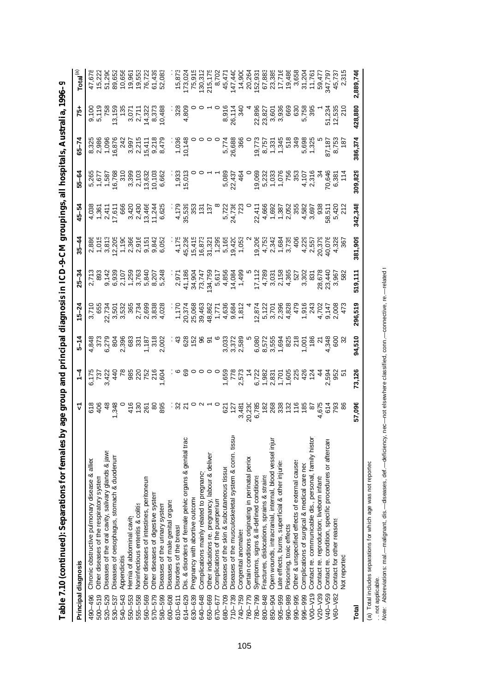| Principal diagnosis                                                    | Y                                                           | $\frac{1}{4}$ |        | $15 - 22$                                              | $25 - 34$                                                                                                    | $35 - 44$                                                                                                                                                                                                                                                                                                                                                                                                                                                                                                                                                                                                                                                                                                                                                                                                                                                                                                             | $45 - 54$                                                                                                                                                                                                                                                                                                                                                                                                                                                                        | 55-62   | $65 - 7$               |                                                                                                                                                                                                                                                                                                               | Total                                          |
|------------------------------------------------------------------------|-------------------------------------------------------------|---------------|--------|--------------------------------------------------------|--------------------------------------------------------------------------------------------------------------|-----------------------------------------------------------------------------------------------------------------------------------------------------------------------------------------------------------------------------------------------------------------------------------------------------------------------------------------------------------------------------------------------------------------------------------------------------------------------------------------------------------------------------------------------------------------------------------------------------------------------------------------------------------------------------------------------------------------------------------------------------------------------------------------------------------------------------------------------------------------------------------------------------------------------|----------------------------------------------------------------------------------------------------------------------------------------------------------------------------------------------------------------------------------------------------------------------------------------------------------------------------------------------------------------------------------------------------------------------------------------------------------------------------------|---------|------------------------|---------------------------------------------------------------------------------------------------------------------------------------------------------------------------------------------------------------------------------------------------------------------------------------------------------------|------------------------------------------------|
| Chronic obstructive pulmonary disease & allied<br>490-496              |                                                             |               |        |                                                        |                                                                                                              |                                                                                                                                                                                                                                                                                                                                                                                                                                                                                                                                                                                                                                                                                                                                                                                                                                                                                                                       |                                                                                                                                                                                                                                                                                                                                                                                                                                                                                  |         |                        |                                                                                                                                                                                                                                                                                                               |                                                |
| Other diseases of the respiratory system<br>$500 - 519$                | 2020<br>2020<br>2020                                        |               |        | 3,710<br>655                                           |                                                                                                              |                                                                                                                                                                                                                                                                                                                                                                                                                                                                                                                                                                                                                                                                                                                                                                                                                                                                                                                       |                                                                                                                                                                                                                                                                                                                                                                                                                                                                                  |         |                        |                                                                                                                                                                                                                                                                                                               | 47,678<br>15,222                               |
| Diseases of the oral cavity, salivary glands & jaws<br>520-529         |                                                             |               |        |                                                        |                                                                                                              |                                                                                                                                                                                                                                                                                                                                                                                                                                                                                                                                                                                                                                                                                                                                                                                                                                                                                                                       |                                                                                                                                                                                                                                                                                                                                                                                                                                                                                  |         |                        |                                                                                                                                                                                                                                                                                                               |                                                |
| Diseases of oesophagus, stomach & duodenum<br>530-537                  |                                                             |               |        |                                                        |                                                                                                              |                                                                                                                                                                                                                                                                                                                                                                                                                                                                                                                                                                                                                                                                                                                                                                                                                                                                                                                       |                                                                                                                                                                                                                                                                                                                                                                                                                                                                                  |         |                        |                                                                                                                                                                                                                                                                                                               |                                                |
| Appendicitis<br>540-543                                                |                                                             |               |        |                                                        |                                                                                                              |                                                                                                                                                                                                                                                                                                                                                                                                                                                                                                                                                                                                                                                                                                                                                                                                                                                                                                                       |                                                                                                                                                                                                                                                                                                                                                                                                                                                                                  |         |                        |                                                                                                                                                                                                                                                                                                               | 51,290<br>89,652<br>10,656                     |
| Hernia of abdominal cavity<br>550-553                                  |                                                             |               |        |                                                        |                                                                                                              |                                                                                                                                                                                                                                                                                                                                                                                                                                                                                                                                                                                                                                                                                                                                                                                                                                                                                                                       |                                                                                                                                                                                                                                                                                                                                                                                                                                                                                  |         |                        |                                                                                                                                                                                                                                                                                                               |                                                |
| Noninfectious enteritis & colitis<br>555-558                           |                                                             |               |        |                                                        |                                                                                                              |                                                                                                                                                                                                                                                                                                                                                                                                                                                                                                                                                                                                                                                                                                                                                                                                                                                                                                                       |                                                                                                                                                                                                                                                                                                                                                                                                                                                                                  |         |                        |                                                                                                                                                                                                                                                                                                               |                                                |
| Other diseases of intestines, peritoneum<br>560-569                    |                                                             |               |        |                                                        |                                                                                                              |                                                                                                                                                                                                                                                                                                                                                                                                                                                                                                                                                                                                                                                                                                                                                                                                                                                                                                                       |                                                                                                                                                                                                                                                                                                                                                                                                                                                                                  |         |                        |                                                                                                                                                                                                                                                                                                               |                                                |
| Other diseases of digestive system<br>570-579                          |                                                             |               |        |                                                        |                                                                                                              |                                                                                                                                                                                                                                                                                                                                                                                                                                                                                                                                                                                                                                                                                                                                                                                                                                                                                                                       |                                                                                                                                                                                                                                                                                                                                                                                                                                                                                  |         |                        |                                                                                                                                                                                                                                                                                                               |                                                |
| Diseases of the urinary system<br>580-599                              | $rac{6}{4}$ $rac{6}{5}$ $rac{6}{8}$ $rac{6}{8}$ $rac{6}{8}$ |               |        | 73<br>2006 360 780 800<br>2006 780 800<br>2007 780 800 | v oov-woow vtWkwatt F4wv4 w 833<br>F848556547 prevreded from self<br>533585634947 predtache 828 predtache 22 | 886<br>885 886 886 878<br>886 886 886<br>886 886 887<br>886 887 888                                                                                                                                                                                                                                                                                                                                                                                                                                                                                                                                                                                                                                                                                                                                                                                                                                                   |                                                                                                                                                                                                                                                                                                                                                                                                                                                                                  |         |                        |                                                                                                                                                                                                                                                                                                               | 19,961<br>19,552<br>19,722<br>19,083<br>19,083 |
| Diseases of male genital organs<br>600-608                             |                                                             |               |        |                                                        |                                                                                                              |                                                                                                                                                                                                                                                                                                                                                                                                                                                                                                                                                                                                                                                                                                                                                                                                                                                                                                                       |                                                                                                                                                                                                                                                                                                                                                                                                                                                                                  |         |                        |                                                                                                                                                                                                                                                                                                               |                                                |
| Disorders of the breast<br>$610 - 611$                                 |                                                             |               |        |                                                        |                                                                                                              |                                                                                                                                                                                                                                                                                                                                                                                                                                                                                                                                                                                                                                                                                                                                                                                                                                                                                                                       |                                                                                                                                                                                                                                                                                                                                                                                                                                                                                  |         |                        |                                                                                                                                                                                                                                                                                                               |                                                |
| Dis. & disorders of female pelvic organs & genital trac<br>614-629     |                                                             |               |        |                                                        |                                                                                                              |                                                                                                                                                                                                                                                                                                                                                                                                                                                                                                                                                                                                                                                                                                                                                                                                                                                                                                                       |                                                                                                                                                                                                                                                                                                                                                                                                                                                                                  |         |                        | $3000$<br>$3000$<br>$4$                                                                                                                                                                                                                                                                                       |                                                |
| Pregnancy with abortive outcome<br>630-639                             |                                                             |               |        |                                                        |                                                                                                              |                                                                                                                                                                                                                                                                                                                                                                                                                                                                                                                                                                                                                                                                                                                                                                                                                                                                                                                       |                                                                                                                                                                                                                                                                                                                                                                                                                                                                                  |         |                        |                                                                                                                                                                                                                                                                                                               |                                                |
| Complications mainly related to pregnancy<br>640-648                   |                                                             |               |        |                                                        |                                                                                                              |                                                                                                                                                                                                                                                                                                                                                                                                                                                                                                                                                                                                                                                                                                                                                                                                                                                                                                                       |                                                                                                                                                                                                                                                                                                                                                                                                                                                                                  |         |                        |                                                                                                                                                                                                                                                                                                               |                                                |
| Other indications re. pregnancy, labour & deliver<br>650-669           |                                                             |               |        |                                                        |                                                                                                              |                                                                                                                                                                                                                                                                                                                                                                                                                                                                                                                                                                                                                                                                                                                                                                                                                                                                                                                       |                                                                                                                                                                                                                                                                                                                                                                                                                                                                                  |         |                        |                                                                                                                                                                                                                                                                                                               |                                                |
| Complications of the puerperium<br>670-677                             |                                                             |               |        |                                                        |                                                                                                              |                                                                                                                                                                                                                                                                                                                                                                                                                                                                                                                                                                                                                                                                                                                                                                                                                                                                                                                       |                                                                                                                                                                                                                                                                                                                                                                                                                                                                                  |         |                        |                                                                                                                                                                                                                                                                                                               |                                                |
| Diseases of the skin & subcutaneous tissue<br>680-709                  |                                                             |               |        |                                                        |                                                                                                              |                                                                                                                                                                                                                                                                                                                                                                                                                                                                                                                                                                                                                                                                                                                                                                                                                                                                                                                       |                                                                                                                                                                                                                                                                                                                                                                                                                                                                                  |         |                        |                                                                                                                                                                                                                                                                                                               |                                                |
| Diseases of the musculoskeletal system & conn. tissue<br>$710 - 739$   |                                                             |               |        |                                                        |                                                                                                              |                                                                                                                                                                                                                                                                                                                                                                                                                                                                                                                                                                                                                                                                                                                                                                                                                                                                                                                       |                                                                                                                                                                                                                                                                                                                                                                                                                                                                                  |         |                        |                                                                                                                                                                                                                                                                                                               |                                                |
| Congenital anomalies<br>740-759                                        |                                                             |               |        |                                                        |                                                                                                              |                                                                                                                                                                                                                                                                                                                                                                                                                                                                                                                                                                                                                                                                                                                                                                                                                                                                                                                       |                                                                                                                                                                                                                                                                                                                                                                                                                                                                                  |         |                        |                                                                                                                                                                                                                                                                                                               |                                                |
| Certain conditions originating in perinatal perior<br>760-779          |                                                             |               |        |                                                        |                                                                                                              |                                                                                                                                                                                                                                                                                                                                                                                                                                                                                                                                                                                                                                                                                                                                                                                                                                                                                                                       |                                                                                                                                                                                                                                                                                                                                                                                                                                                                                  |         |                        |                                                                                                                                                                                                                                                                                                               |                                                |
| Symptoms, signs & ill-defined conditions<br>780-799                    |                                                             |               |        |                                                        |                                                                                                              |                                                                                                                                                                                                                                                                                                                                                                                                                                                                                                                                                                                                                                                                                                                                                                                                                                                                                                                       |                                                                                                                                                                                                                                                                                                                                                                                                                                                                                  |         |                        |                                                                                                                                                                                                                                                                                                               |                                                |
| Fractures, dislocations, sprains & strains<br>800-848                  |                                                             |               |        |                                                        |                                                                                                              |                                                                                                                                                                                                                                                                                                                                                                                                                                                                                                                                                                                                                                                                                                                                                                                                                                                                                                                       |                                                                                                                                                                                                                                                                                                                                                                                                                                                                                  |         |                        |                                                                                                                                                                                                                                                                                                               |                                                |
| Open wounds, intracranial, internal, blood vessel injur<br>850-904     |                                                             |               |        | r d'avat - de de de de l'avat - de de                  |                                                                                                              | $A\overleftrightarrow{a}=\overleftrightarrow{a}\times\overleftrightarrow{a}\times\overleftrightarrow{b}\times\overleftrightarrow{c}\times\overleftrightarrow{c}\times\overleftrightarrow{c}\times\overleftrightarrow{c}\times\overleftrightarrow{c}\times\overleftrightarrow{c}\times\overleftrightarrow{c}\times\overleftrightarrow{c}\times\overleftrightarrow{c}\times\overleftrightarrow{c}\times\overleftrightarrow{c}\times\overleftrightarrow{c}\times\overleftrightarrow{c}\times\overleftrightarrow{c}\times\overleftrightarrow{c}\times\overleftrightarrow{c}\times\overleftrightarrow{c}\times\overleftrightarrow{c}\times\overleftrightarrow{c}\times\overleftrightarrow{c}\times\overleftrightarrow{c}\times\overleftrightarrow{c}\times\overleftrightarrow{c}\times\overleftrightarrow{c}\times\overleftrightarrow{c}\times\overleftrightarrow{c}\times\overleftrightarrow{c}\times\overleftrightarrow$ | $\begin{array}{cccccc} . & . & . & . & . & . \\ . & . & . & . & . & . \\ . & . & . & . & . & . \\ . & . & . & . & . & . \\ . & . & . & . & . & . \\ . & . & . & . & . & . \\ . & . & . & . & . & . \\ . & . & . & . & . & . \\ . & . & . & . & . & . \\ . & . & . & . & . & . \\ . & . & . & . & . & . \\ . & . & . & . & . & . \\ . & . & . & . & . & . \\ . & . & . & . & . & . \\ . & . & . & . & . & . \\ . & . & . & . & . & . \\ . & . & . & . & . & . \\ . & . & . & . &$ |         |                        | $\begin{array}{l} 0.917 \\ 0.714 \\ 0.83 \\ 0.94 \\ 0.95 \\ 0.96 \\ 0.97 \\ 0.97 \\ 0.97 \\ 0.99 \\ 0.99 \\ 0.99 \\ 0.99 \\ 0.99 \\ 0.99 \\ 0.99 \\ 0.99 \\ 0.99 \\ 0.99 \\ 0.99 \\ 0.99 \\ 0.99 \\ 0.99 \\ 0.99 \\ 0.99 \\ 0.99 \\ 0.99 \\ 0.99 \\ 0.99 \\ 0.99 \\ 0.99 \\ 0.99 \\ 0.99 \\ 0.99 \\ 0.99 \\ $ |                                                |
| Late effects, burns, superficial & other injuries<br>905-959           |                                                             |               |        |                                                        |                                                                                                              |                                                                                                                                                                                                                                                                                                                                                                                                                                                                                                                                                                                                                                                                                                                                                                                                                                                                                                                       |                                                                                                                                                                                                                                                                                                                                                                                                                                                                                  |         |                        |                                                                                                                                                                                                                                                                                                               |                                                |
| Poisoning, toxic effects<br>960-989                                    |                                                             |               |        |                                                        |                                                                                                              |                                                                                                                                                                                                                                                                                                                                                                                                                                                                                                                                                                                                                                                                                                                                                                                                                                                                                                                       |                                                                                                                                                                                                                                                                                                                                                                                                                                                                                  |         |                        |                                                                                                                                                                                                                                                                                                               |                                                |
| Other & unspecified effects of external causes<br>990-995              |                                                             |               |        |                                                        |                                                                                                              |                                                                                                                                                                                                                                                                                                                                                                                                                                                                                                                                                                                                                                                                                                                                                                                                                                                                                                                       |                                                                                                                                                                                                                                                                                                                                                                                                                                                                                  |         |                        |                                                                                                                                                                                                                                                                                                               |                                                |
| Complications of surgical & medical care neo<br>996-999                |                                                             |               |        |                                                        |                                                                                                              |                                                                                                                                                                                                                                                                                                                                                                                                                                                                                                                                                                                                                                                                                                                                                                                                                                                                                                                       |                                                                                                                                                                                                                                                                                                                                                                                                                                                                                  |         |                        |                                                                                                                                                                                                                                                                                                               |                                                |
| Contact re. communicable dis., personal, family histor<br>$V - 00V$    |                                                             |               |        |                                                        |                                                                                                              |                                                                                                                                                                                                                                                                                                                                                                                                                                                                                                                                                                                                                                                                                                                                                                                                                                                                                                                       |                                                                                                                                                                                                                                                                                                                                                                                                                                                                                  |         |                        |                                                                                                                                                                                                                                                                                                               |                                                |
| Contact re. reproduction; liveborn infants<br>$V20 - V39$              |                                                             |               |        |                                                        |                                                                                                              |                                                                                                                                                                                                                                                                                                                                                                                                                                                                                                                                                                                                                                                                                                                                                                                                                                                                                                                       |                                                                                                                                                                                                                                                                                                                                                                                                                                                                                  |         |                        |                                                                                                                                                                                                                                                                                                               |                                                |
| Contact re. condition, specific procedures or aftercare<br>$V40 - V59$ |                                                             |               |        |                                                        |                                                                                                              |                                                                                                                                                                                                                                                                                                                                                                                                                                                                                                                                                                                                                                                                                                                                                                                                                                                                                                                       |                                                                                                                                                                                                                                                                                                                                                                                                                                                                                  |         | 87,187<br>8,753<br>187 | 51,234<br>12,538<br>21 (                                                                                                                                                                                                                                                                                      |                                                |
| Contact for other reasons<br>/60-V82                                   |                                                             |               |        |                                                        |                                                                                                              |                                                                                                                                                                                                                                                                                                                                                                                                                                                                                                                                                                                                                                                                                                                                                                                                                                                                                                                       |                                                                                                                                                                                                                                                                                                                                                                                                                                                                                  |         |                        |                                                                                                                                                                                                                                                                                                               |                                                |
| <b>Not reported</b>                                                    |                                                             |               |        |                                                        |                                                                                                              |                                                                                                                                                                                                                                                                                                                                                                                                                                                                                                                                                                                                                                                                                                                                                                                                                                                                                                                       |                                                                                                                                                                                                                                                                                                                                                                                                                                                                                  |         |                        |                                                                                                                                                                                                                                                                                                               |                                                |
| Total                                                                  | 57,096                                                      | 73,126        | 94,510 | 296,519                                                | 519,111                                                                                                      | 381,909                                                                                                                                                                                                                                                                                                                                                                                                                                                                                                                                                                                                                                                                                                                                                                                                                                                                                                               | 342,348                                                                                                                                                                                                                                                                                                                                                                                                                                                                          | 309,829 | 386,374                | 428,880                                                                                                                                                                                                                                                                                                       | 2,889,746                                      |
|                                                                        |                                                             |               |        |                                                        |                                                                                                              |                                                                                                                                                                                                                                                                                                                                                                                                                                                                                                                                                                                                                                                                                                                                                                                                                                                                                                                       |                                                                                                                                                                                                                                                                                                                                                                                                                                                                                  |         |                        |                                                                                                                                                                                                                                                                                                               |                                                |

**Table 7.10 (continued): Separations for females by age group and principal diagnosis in ICD-9-CM groupings, all hospitals, Australia, 1996–97** Table 7.10 (continued): Separations for females by age group and principal diagnosis in ICD-9-CM groupings, all hospitals, Australia, 1996–9

. . not applicable.<br>/vote: Abbreviations: mal.—malignant, dis.—diseases, def.—deficiency, nec—not elsewhere classified, conn.—connective, re.—related t (a) Total includes separations for which age was not reported (a) Total includes separations for which age was not reported. . . not applicable.

Note: Abbreviations: mal -- malignant, dis.-- diseases, def.-- deficiency, nec-- not elsewhere classified, conn.-- connective, re.-- related t

105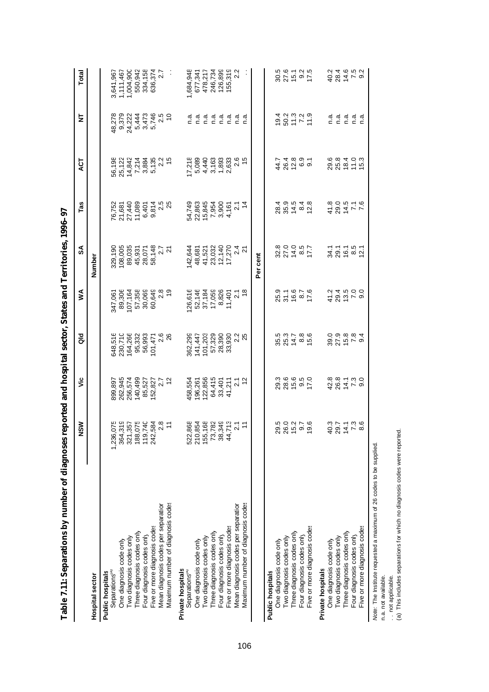| respond to the contribution of the contribution of the contribution of the contribution of the contribution of |                                      |                                     |                                 |                                         | reported and nospital sector, states and leftfulories, 1350–57 |                                     |                            |                                    |                           |
|----------------------------------------------------------------------------------------------------------------|--------------------------------------|-------------------------------------|---------------------------------|-----------------------------------------|----------------------------------------------------------------|-------------------------------------|----------------------------|------------------------------------|---------------------------|
|                                                                                                                | <b>NSV</b>                           | š                                   | aio                             | ⋚                                       | SÁ                                                             | Tas                                 | <b>LS</b>                  | 눌                                  | Total                     |
| <b>Hospital sector</b>                                                                                         |                                      |                                     |                                 |                                         | Number                                                         |                                     |                            |                                    |                           |
| Separations <sup>(a)</sup><br>Public hospitals                                                                 | 1,236,                               |                                     |                                 | 347,061                                 |                                                                |                                     |                            | 48,278                             | 3,641,967                 |
| One diagnosis code only                                                                                        | o sigo Lega<br>Control de la<br>364  | 899,897<br>262,945<br>256,574       | 648,516<br>230,710<br>164,266   | 89,306                                  | 329,190<br>108,005                                             | 76,752<br>21,681<br>27,440          |                            |                                    | 1,111,467                 |
| Two diagnosis codes only                                                                                       | 321                                  |                                     |                                 | 107,164                                 | 89,035                                                         |                                     |                            | 9,379<br>24,222                    | 1,004,900                 |
| Three diagnosis codes only                                                                                     | 188                                  | 140,499                             | 95,332                          | 57,358                                  |                                                                | 11,089                              |                            |                                    | 550,942                   |
| Four diagnosis codes only                                                                                      | 119                                  | 85,527                              | 56,993                          | 30,069                                  | 45,931<br>28,071                                               |                                     |                            |                                    |                           |
| Five or more diagnosis codes                                                                                   | 242                                  | 152,                                | 101,471                         |                                         |                                                                |                                     |                            | 5,444<br>3,473<br>5,746            |                           |
| Mean diagnosis codes per separation                                                                            |                                      | 827<br>2.7<br>12                    | $\frac{6}{28}$                  | 60,649<br>2.8<br>19                     | 58, 148<br>2.7<br>2.7                                          | 6,401<br>9,814<br>9,815<br>9,815    |                            | $\frac{5}{10}$                     | 334,158<br>636,374<br>2.7 |
| Maximum number of diagnosis codes                                                                              |                                      |                                     |                                 |                                         |                                                                |                                     |                            |                                    |                           |
| Private hospitals                                                                                              |                                      |                                     |                                 |                                         |                                                                |                                     |                            |                                    |                           |
| Separations <sup>(e)</sup>                                                                                     | 868<br>522                           | 158,554                             | 362,299                         | 26,616                                  | 142,644                                                        | 54,749                              | 17,218                     |                                    | 1,684,948                 |
| One diagnosis code only                                                                                        | 210                                  | 196,261                             | 141,447<br>101,203<br>57,329    | 52,146                                  | 48,681                                                         | 22,863                              | 5,089                      |                                    | 677,341                   |
| Two diagnosis codes only                                                                                       | 155                                  | 122,856                             |                                 | 37,184                                  | 41,521                                                         | 15,845                              |                            |                                    | 478,217                   |
| Three diagnosis codes only                                                                                     | 73,                                  |                                     |                                 | 17,059                                  | 23,032                                                         | 7,954                               | 4,440<br>3,163             |                                    | 246,734                   |
| Four diagnosis codes only                                                                                      | $\frac{8}{36}$                       |                                     |                                 |                                         |                                                                |                                     |                            |                                    |                           |
| Five or more diagnosis codes                                                                                   | 82232777<br>$\frac{4}{4}$            | 64,415<br>33,401<br>33,401<br>41,21 | 28,390<br>33,930<br>33,92<br>25 | 8,826<br>11,401<br>11,401<br>18         | $12,140$<br>17,270<br>17,270<br>24                             | 3,900<br>3,167<br>3,14              | $7,833$<br>2,633<br>2,65   | ה ה ה ה ה ה ה ה<br>כ כ כ כ כ כ כ כ | 126,899<br>155,319<br>2.2 |
| Mean diagnosis codes per separation                                                                            |                                      |                                     |                                 |                                         |                                                                |                                     |                            |                                    |                           |
| Maximum number of diagnosis codes                                                                              |                                      |                                     |                                 |                                         |                                                                |                                     |                            |                                    |                           |
|                                                                                                                |                                      |                                     |                                 |                                         | Per cent                                                       |                                     |                            |                                    |                           |
| <b>Public hospitals</b>                                                                                        |                                      |                                     |                                 |                                         |                                                                |                                     |                            |                                    |                           |
| One diagnosis code only                                                                                        |                                      |                                     |                                 |                                         |                                                                |                                     |                            |                                    |                           |
| Two diagnosis codes only                                                                                       |                                      |                                     |                                 |                                         |                                                                |                                     |                            |                                    |                           |
| Three diagnosis codes only                                                                                     | 202276<br>202376                     |                                     | 821186<br>82186                 | 2516<br>2516<br>2516                    | $327487$<br>$52977$                                            | 8 8 4 8 6<br>4 9 6 4 8<br>4 9 6 4 8 | 4 2 5 6 9 9<br>4 6 5 6 9 7 |                                    | 80.40.5<br>80.40.50       |
| Four diagnosis codes only                                                                                      |                                      |                                     |                                 |                                         |                                                                |                                     |                            |                                    |                           |
| Five or more diagnosis codes                                                                                   |                                      |                                     |                                 |                                         |                                                                |                                     |                            |                                    |                           |
| Private hospitals                                                                                              |                                      |                                     |                                 |                                         |                                                                |                                     |                            |                                    |                           |
| One diagnosis code only                                                                                        | $-304$<br>$-504$<br>$-504$<br>$-506$ | a a a - a o<br>4 8 4 7 9<br>4 8 4 7 | 8<br>8 7 1 0 1 0<br>8 7 1 0 1 0 | 4 2 4 5 0 0<br>4 9 4 6 0 0<br>4 9 4 6 0 | 34 26 26 27<br>34 26 26 27                                     | $494$ $-6$<br>$-694$ $-6$           | 202103<br>202103           |                                    | d S 4 6 6 9<br>ひょううじ      |
| Two diagnosis codes only                                                                                       |                                      |                                     |                                 |                                         |                                                                |                                     |                            | ם הם הם<br>כככככ                   |                           |
| Three diagnosis codes only                                                                                     |                                      |                                     |                                 |                                         |                                                                |                                     |                            |                                    |                           |
| Four diagnosis codes only                                                                                      |                                      |                                     |                                 |                                         |                                                                |                                     |                            |                                    |                           |
| Five or more diagnosis codes                                                                                   |                                      |                                     |                                 |                                         |                                                                |                                     |                            |                                    |                           |

and Tomitories 1006-07 **Table 7.11: Separations by number of diagnoses reported and hospital sector, States and Territories, 1996–97** cepital costor States نظ امت ام الم  $\alpha$ f din Ŕ antican ha  $T_2$ bla  $711$ : San

Note: The Institute requested a maximum of 26 codes to be supplied.<br>n.a. not available.<br>.. not applicable.<br>(a) This includes separations for which no diagnosis codes were reported. *Note:* The Institute requested a maximum of 26 codes to be supplied. n.a. not available.

. not applicable.

(a) This includes separations for which no diagnosis codes were reported.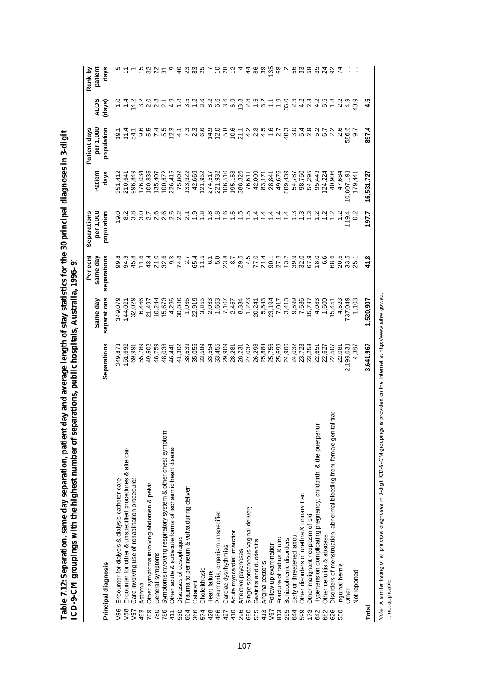|                                                                             |             |                | Per cent           | Separations                     |            | Patient days               |                         | Rank by        |
|-----------------------------------------------------------------------------|-------------|----------------|--------------------|---------------------------------|------------|----------------------------|-------------------------|----------------|
|                                                                             |             | Same day       | same day           | per 1,000                       | Patient    | per 1,000                  | <b>ALOS</b>             | patient        |
| Principal diagnosis                                                         | Separations | separations    | separations        | population                      | days       | population                 | (days)                  | days           |
| Encounter for dialysis & dialysis catheter care<br>V56                      | 349,873     | 349,079        | 99.8               | 19.0                            | 351,412    | 19.1                       |                         |                |
| Encounter for other & unspecified procedures & aftercare<br>V58             | 151,692     | 144,021        | 94.9               | 8.2                             | 210,641    | 11.4                       |                         |                |
| Care involving use of rehabilitation procedures<br>V57                      | 69,991      | 32,029         | 45.8               | 3.8                             | 996,849    | 54.1                       | 14.2                    |                |
| Asthma<br>493                                                               | 55,789      | 6,466          | 11.6               | 3.0                             | 176,034    | 9.6                        | 3.2                     | 15             |
| Other symptoms involving abdomen & pelvis<br>789                            | 49,502      | 21,497         | 43.4               | 2.7                             | 100,835    | 5<br>5<br>5<br>5<br>7<br>4 | 2.0                     | 32             |
| General symptoms<br>780                                                     | 48,759      | 10,244         | 21.0               | 2.6                             | 135,407    |                            | 2.8                     | 22             |
| Symptoms involving respiratory system & other chest symptom<br>786          | 48,038      | 15,673         | 32.6               |                                 | 100,872    | 5.5                        | N                       | $\overline{5}$ |
| Other acute & subacute forms of ischaemic heart diseaso<br>411              | 46,441      | 4,296          | 9.3                | 6521<br>0522                    | 226,415    | 12.3                       | တ<br>4                  |                |
| Diseases of oesophagus<br>530                                               | 41,302      | 30,886         | $\frac{74.8}{2.7}$ |                                 | 75,802     | $\frac{4}{7}$ .3           | $\frac{8}{1}$           | 46             |
| Trauma to perineum & vulva during deliver<br>664                            | 38,639      | 1,036          |                    |                                 | 33,922     |                            | ယ္<br>ო                 | 23             |
| Cataract<br>366                                                             | 35,055      | 22,919         | 65.4               | $\ddot{6}$                      | 42,669     | ನೆ<br>ನ ಠ                  | 12                      | 83             |
| Cholelithiasis<br>574                                                       | 33,589      | 3,855          | 11.5               | $\frac{8}{1}$                   | 121,952    |                            | 3.6                     | 25             |
| Heart failure<br>428                                                        | 33,554      | 2,033          | 670                | $\frac{80}{10}$ $\frac{80}{10}$ | 274,517    | $4.08$<br>$6.08$           | 8.2                     |                |
| Pneumonia, organism unspecified<br>486                                      | 33,455      | 1,663          |                    |                                 | 221,932    |                            | 6.6                     | S              |
| Cardiac dysrhythmias<br>427                                                 | 29,909      | 7,107          | 23.8               |                                 | 106,510    |                            | 3.6                     | 28             |
| Acute myocardial infarction<br>410                                          | 28,281      | 2,457          | 8.7                | $\ddot{5}$                      | 195,158    | 10.6                       | 6.9                     | 12             |
| Affective psychoses<br>296                                                  | 28,231      | 8,334          | 29.5               | $\ddot{.}5$                     | 388,326    | 21.1                       | 13.8                    |                |
| Single spontaneous vaginal delivery<br>650                                  | 27,032      | 1,223          | 4.5                | $\ddot{5}$                      | 76,611     |                            | 2.8                     | $\frac{4}{4}$  |
| Gastritis and duodenitis<br>535                                             | 26,298      | 20,241         | 77.0               | $1\overline{4}$                 | 42,009     | 4 2<br>4 2                 | 1.6                     | 86             |
| Angina pectoris<br>413                                                      | 25,884      | 5,543          | 21.4               | $\frac{4}{3}$                   | 83,171     | $4.\overline{5}$<br>1.6    | 3.2                     | 39             |
| Follow-up examination<br>V67                                                | 25,756      | 23,194         | 90.1               | $\frac{4}{3}$                   | 28,841     |                            | $\frac{1}{2}$           | 135            |
| Fracture of radius & ulna<br>813                                            | 25,699      | 7,017          | 27.3               | $\dot{z}$                       | 49,676     | 2.7                        | $\frac{0}{1}$           | 89             |
| Schizophrenic disorders<br>295                                              | 24,906      | 3,413          | 13.7               | $\ddot{ }$                      | 889,439    | 48.3                       | 36.0                    |                |
| Early or threatened labour<br>644                                           | 24,032      | 9,599<br>7,586 | 39.9               | $\frac{3}{2}$ $\frac{3}{2}$     | 54,787     |                            | 2.3                     | 56<br>33       |
| Other disorders of urethra & urinary trac<br>599                            | 23,723      |                | 32.0               |                                 | 98,750     | 0 4 0<br>0 4 0<br>0 4 0    | $4.\overline{3}$<br>2.3 |                |
| Other malignant neoplasm of skin<br>173                                     | 23,253      | 15,787         | 67.9               | $\frac{3}{2}$                   | 54,295     |                            |                         | 58             |
| Hypertension complicating pregnancy, childbirth, & the puerperiun<br>642    | 22,651      | 4,083          | 18.0               | $\overline{a}$                  | 95,449     | 5.2<br>6.7                 |                         | 35             |
| Other cellulitis & abscess<br>682                                           | 22,627      | 1,500          | 6.6                | $\overline{a}$                  | 24,224     |                            | $4.5$<br>5.5            |                |
| Disorders of menstruation, abnormal bleeding from female genital tra<br>626 | 22,507      | 15,451         | 68.6               | 1.2                             | 40,906     | 2.2                        | 1.8                     | 787            |
| Inguinal hernia<br>550                                                      | 22,081      | 4,523          | 20.5               | 1.2                             | 47,684     | 2.6                        | 2.2                     |                |
| Other                                                                       | 2,199,031   | 737,049        | 33.5               | 119.4                           | 10,807,191 | 586.6                      | 4.9                     |                |
| Not reported                                                                | 4,387       | 1,103          | 25.1               | $\circ$                         | 179,44'    | $\overline{9.7}$           | 40.9                    |                |
| Total                                                                       | 3,641,967   | 1,520,907      | 41.8               | 197.7                           | 16,531,727 | 897.4                      | 45                      |                |

Table 7.12: Separation, same day separation, patient day and average length of stay statistics for the 30 principal diagnoses in 3-digit<br>ICD-9-CM groupings with the highest number of separations, public hospitals, Australi **Table 7.12: Separation, same day separation, patient day and average length of stay statistics for the 30 principal diagnoses in 3-digit ICD-9-CM groupings with the highest number of separations, public hospitals, Australia, 1996–97**

Note: A similar listing of all principal diagnoses in 3-digit ICD-9-CM groupings is provided on the Internet at http://www.aihw.gov.au. *Note:* A similar listing of all principal diagnoses in 3-digit ICD-9-CM groupings is provided on the Internet at http://www.aihw.gov.au.

.. not applicable. . . not applicable.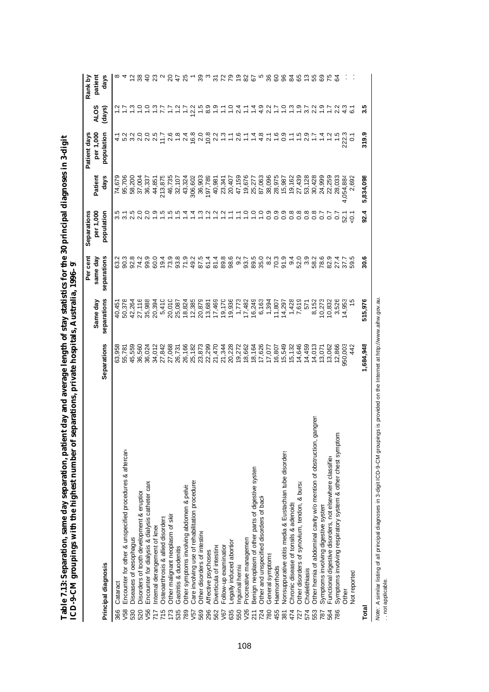|       |                                                                         |             |             | Per cent    | Separations        |           | Patient days   |                  | Rank by        |
|-------|-------------------------------------------------------------------------|-------------|-------------|-------------|--------------------|-----------|----------------|------------------|----------------|
|       |                                                                         |             | Same day    | same day    | per 1,000          | Patient   | per 1,000      | <b>ALOS</b>      | patient        |
|       | Principal diagnosis                                                     | Separations | separations | separations | population         | days      | population     | (days)           | days           |
| 366   | Cataract                                                                | 63,958      | 40,451      | 63.2        | 3.5                | 74,679    |                |                  |                |
| V58   | Encounter for other & unspecified procedures & aftercare                | 55,781      | 50,378      | 90.3        | $\overline{3}$     | 95,706    | 5.2            |                  |                |
| 530   | Diseases of oesophagus                                                  | 45,559      | 42,264      | 92.8        | 2.5                | 58,200    | 3.2            | ო                |                |
| 520   | Disorders of tooth development & eruption                               | 36,560      | 27,116      | 74.2        | 2.0                | 37,004    | 2.0            |                  |                |
| V56   | Encounter for dialysis & dialysis catheter care                         | 36,024      | 35,988      | 99.9        | 2.0                | 36,337    | 2.0            |                  | $\overline{a}$ |
| 717   | Internal derangement of kner                                            | 34,012      | 20,394      | 60.0        | $\frac{5}{1}$      | 44,851    | 2.5            | $\frac{3}{2}$    |                |
| 715   | Osteoarthrosis & allied disorders                                       | 27,842      | 5,410       | 19.4        | $\frac{5}{1}$      | 213,875   | 7.7            | 77               |                |
| 173   | Other malignant neoplasm of skir                                        | 27,068      | 20,010      | 73.9        | $\frac{5}{1}$      | 46,735    | 2.6            |                  | 20             |
| 535   | Gastritis & duodenitis                                                  | 26,731      | 25,087      | 93.8        | $\ddot{5}$         | 32,107    | $\frac{8}{1}$  |                  | 47             |
| 789   | Other symptoms involving abdomen & pelvis                               | 26,166      | 18,824      | 71.9        | $\dot{4}$          | 43,324    | 2.4            |                  | 25             |
| V57   | Care involving use of rehabilitation procedures                         | 25,182      | 12,385      | 49.2        | $\frac{4}{1}$      | 306,602   | 16.8           | 12.2             |                |
| 569   | Other disorders of intestine                                            | 23,873      | 20,879      | 87.5        | $\frac{3}{2}$      | 36,903    | 2.0            | $\ddot{5}$       | 39             |
| 296   | Affective psychoses                                                     | 22,299      | 13,681      | 61.4        | $\ddot{ }$         | 197,789   | 10.8           | 8.9              |                |
| 562   | Diverticula of intestine                                                | 21,470      | 17,469      | 81.4        |                    | 40,981    | 2.2            | $\frac{5}{1}$    | స్             |
| V67   | Follow-up examination                                                   | 21,344      | 19,170      | 89.8        | $\frac{1}{2}$      | 23,341    |                |                  | 72             |
| 635   | Legally induced abortion                                                | 20,228      | 19,936      | 98.6        | $\overline{1}$     | 20,407    |                | $\frac{1}{1}$    | ೭              |
| 550   | Inguinal hernia                                                         | 19,272      | 1,773       | 9.2         | $\mathbb{Z}$       | 47,159    | 2.6            | $^{2.4}$         | $\frac{6}{5}$  |
| V26   | Procreative managemen                                                   | 18,662      | 17,482      | 93.7        | $\frac{1}{2}$      | 19,676    | Ξ              | Ξ                | 82             |
| 211   | Benign neoplasm of other parts of digestive systen                      | 18,164      | 16,249      | 89.5        | $\frac{1}{2}$      | 25,277    | $\frac{4}{3}$  |                  | 67             |
| 724   | Other and unspecified disorders of back                                 | 17,626      | 6,163       | 35.0        | $\overline{1}$ . O | 87,063    | 4.8            |                  |                |
| 780   | General symptoms                                                        | 17,077      | 1,394       | 8.2         | 0.9                | 38,096    | $\overline{z}$ |                  | 36             |
| 455   | Haemorrhoids                                                            | 16,807      | 11,807      | 70.3        | 0.9                | 28,975    | $\frac{6}{1}$  |                  | 8              |
| 381   | Nonsuppurative otitis media & Eustachian tube disorders                 | 15,549      | 14,297      | 91.9        | 0.9                | 15,987    | 0.9            | $\frac{0}{1}$    | 96             |
| 474   | Chronic disease of tonsils & adenoids                                   | 15,132      | 1,428       | 9.4         | 0.8                | 19,162    |                | 1.3              | 34             |
| 727   | Other disorders of synovium, tendon, & bursa                            | 14,646      | 7,619       | 52.0        | 0.8                | 27,439    | 1.5            | 0.9              | 89             |
| 574   | Cholelithiasis                                                          | 14,459      | 571         | 3.9         | $\overline{0.8}$   | 53,128    | 2.9            | 3.7              | ဗု             |
| 553   | gangren<br>Other hernia of abdominal cavity w/o mention of obstruction, | 14,013      | 8,152       | 58.2        | $0.\overline{8}$   | 30,428    |                | 2.2              | 55             |
| 787   | Symptoms involving digestive system                                     | 13,071      | 10,273      | 78.6        | $\overline{0}$     | 24,999    | $\overline{4}$ | $\ddot{ }$ .     | ගි             |
| 564   | Functional digestive disorders, not elsewhere classified                | 13,062      | 10,832      | 82.9        | $\overline{0}$     | 22,259    | $\frac{2}{1}$  | $\overline{1.7}$ |                |
| 786   | Symptoms involving respiratory system & other chest symptom:            | 12,866      | 3,526       | 27.4        | $\frac{2}{3}$      | 28,033    | 1.5            | 2.2              |                |
|       | Other                                                                   | 950,003     | 14,953      | 37.7        | 52.1               | 4,054,884 | 222.3          | 4.3              |                |
|       | Not reported                                                            | 442         |             | 59.5        | မွဲ                | 2,692     | $\overline{c}$ | 61               |                |
| Total |                                                                         | 1,684,948   | 515,976     | 30.6        | 92.4               | 5,834,098 | 319.9          | 3.5              |                |

Table 7.13: Separation, same day separation, patient day and average length of stay statistics for the 30 principal diagnoses in 3-digit<br>ICD-9-CM groupings with the highest number of separations, private hospitals, Austral **Table 7.13: Separation, same day separation, patient day and average length of stay statistics for the 30 principal diagnoses in 3-digit ICD-9-CM groupings with the highest number of separations, private hospitals, Australia, 1996–97**

*Note: A* similar listing of all principal diagnoses in 3-digit ICD-9-CM groupings is provided on the Internet at http://www.aihw.gov.au.<br>… not applicable. *Note:* A similar listing of all principal diagnoses in 3-digit ICD-9-CM groupings is provided on the Internet at http://www.aihw.gov.au. . . not applicable.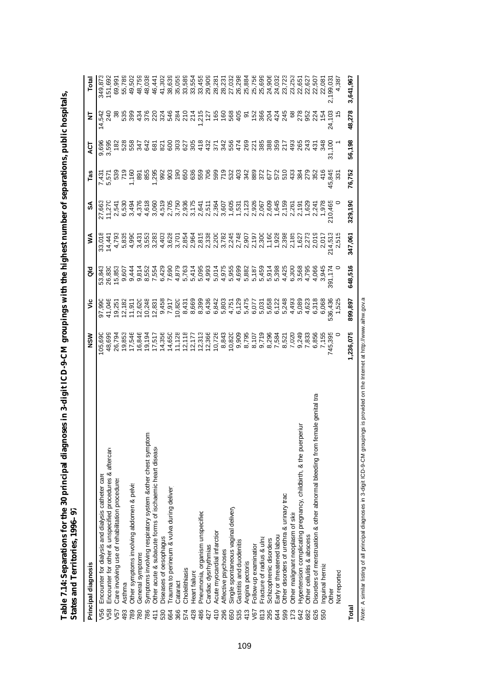| Table 7.14: Separations for the 30 principal diagnoses in 3-digit ICD-9-CM groupings with the highest number of separations, public hospitals,<br>states and Territories, 1996-97 |                  |                      |                                 |                                    |                                |                                 |       |              |                    |
|-----------------------------------------------------------------------------------------------------------------------------------------------------------------------------------|------------------|----------------------|---------------------------------|------------------------------------|--------------------------------|---------------------------------|-------|--------------|--------------------|
| rincipal diagnosis                                                                                                                                                                | $\frac{8}{2}$    | ن<br>آ               | ਰ<br>ਹ                          | ≶                                  | SÁ                             | Tas                             | ACT   | Ż            | Total              |
| /56 Encounter for dialysis and dialysis catheter care                                                                                                                             | 05,690           | 97,990               |                                 |                                    |                                |                                 |       | 9,696 14,542 |                    |
| V58 Encounter for other & unspecified procedures & aftercare                                                                                                                      | 18,699           | 41,046               |                                 |                                    |                                |                                 | 3,595 | 240          | 349,873<br>151,692 |
| Care involving use of rehabilitation procedures<br>/57                                                                                                                            | 26,794<br>10.853 | $19,251$<br>$13,357$ | 53,843<br>26,830<br>15,853<br>0 | 33,018<br>14,441<br>4,793<br>4,793 | 27,663<br>11,270<br>2,541<br>4 | 7.431<br>5.571<br>5.930<br>7.33 | 182   | 38           | 69,991<br>EE 790   |
| $\sim 11$                                                                                                                                                                         |                  |                      |                                 |                                    |                                |                                 |       | FOE          |                    |

| pal diagnoses in 3-digit ICD-9-CM groupings with the highest number of separations, public hospita<br>Table 7.14: Separations for the 30 princip<br>States and Territories, 1996-97 |                                                                                                               |  |   |   |     |     |  |
|-------------------------------------------------------------------------------------------------------------------------------------------------------------------------------------|---------------------------------------------------------------------------------------------------------------|--|---|---|-----|-----|--|
| <b>Principal diagnosis</b>                                                                                                                                                          | នី<br>≥                                                                                                       |  | ≸ | S | Tas | ACT |  |
|                                                                                                                                                                                     | יים את המסורת המסורת המסורת המסורת המסורת המסורת המסורת היו היו היו המסורת המסורת המסורת המסורת המסורת המסורת |  |   |   |     |     |  |

| Principal diagnosis                                                                        | NSM              | ۶Ë               | aio                                                                                                                                                                                                                                                                                                                                                                                                                                                                                              | ⋚                                                                                                                                                                                                                                                                                                                                                                                                                                                                                             | వ్      | Tas                                                                                                                                | হ                                                                                                                                            | ₹                                                                                                                                                                                                                                                                                                                                                                                                                                                                                                             | Total                      |
|--------------------------------------------------------------------------------------------|------------------|------------------|--------------------------------------------------------------------------------------------------------------------------------------------------------------------------------------------------------------------------------------------------------------------------------------------------------------------------------------------------------------------------------------------------------------------------------------------------------------------------------------------------|-----------------------------------------------------------------------------------------------------------------------------------------------------------------------------------------------------------------------------------------------------------------------------------------------------------------------------------------------------------------------------------------------------------------------------------------------------------------------------------------------|---------|------------------------------------------------------------------------------------------------------------------------------------|----------------------------------------------------------------------------------------------------------------------------------------------|---------------------------------------------------------------------------------------------------------------------------------------------------------------------------------------------------------------------------------------------------------------------------------------------------------------------------------------------------------------------------------------------------------------------------------------------------------------------------------------------------------------|----------------------------|
| Encounter for dialysis and dialysis catheter care<br>V56                                   | 05,690           |                  | 53,843                                                                                                                                                                                                                                                                                                                                                                                                                                                                                           | 33,018                                                                                                                                                                                                                                                                                                                                                                                                                                                                                        |         |                                                                                                                                    |                                                                                                                                              |                                                                                                                                                                                                                                                                                                                                                                                                                                                                                                               | 349,87                     |
| Encounter for other & unspecified procedures & aftercare<br>/58                            |                  |                  | 26,830                                                                                                                                                                                                                                                                                                                                                                                                                                                                                           |                                                                                                                                                                                                                                                                                                                                                                                                                                                                                               |         |                                                                                                                                    | 9,696<br>3,595                                                                                                                               |                                                                                                                                                                                                                                                                                                                                                                                                                                                                                                               | 151,69                     |
| Care involving use of rehabilitation procedures<br>57                                      | 48,699<br>26,794 |                  | 15,85                                                                                                                                                                                                                                                                                                                                                                                                                                                                                            | $\begin{array}{l} \mathcal{A} \\ \mathcal{A} \\ \mathcal{B} \\ \mathcal{C} \\ \mathcal{C} \\ \mathcal{C} \\ \mathcal{D} \\ \mathcal{C} \\ \mathcal{D} \\ \mathcal{C} \\ \mathcal{D} \\ \mathcal{C} \\ \mathcal{D} \\ \mathcal{C} \\ \mathcal{D} \\ \mathcal{C} \\ \mathcal{D} \\ \mathcal{C} \\ \mathcal{D} \\ \mathcal{C} \\ \mathcal{D} \\ \mathcal{C} \\ \mathcal{D} \\ \mathcal{C} \\ \mathcal{D} \\ \mathcal{C} \\ \mathcal{D} \\ \mathcal{C} \\ \mathcal{D} \\ \mathcal{C} \\ \mathcal$ |         | רופ<br>לבטיס במטלסט המטלסט המסגר המטלסט המטלסט<br>הרמס במטלסט המטלסט המטלסט המטלסט המטלסט<br>הרמס במטלסט המטלסט המטלסט המטלסט המטל | <u>ទី ដូចទី មិន មិន មិន ដូចទី មិន ដូចទី មិន មិន មិន មិន មិន មិន ម</u><br>តូចទី មិន មិន មិន មិន មិន ដូចទី មិន មិន មិន មិន មិន មិន មិន មិន មិន | $\begin{array}{lllllllll} \dot{\mathcal{A}} & \dot{\mathcal{B}} & \dot{\mathcal{B}} & \dot{\mathcal{B}} & \dot{\mathcal{B}} & \dot{\mathcal{B}} & \dot{\mathcal{B}} \\ \dot{\mathcal{B}} & \dot{\mathcal{B}} & \dot{\mathcal{B}} & \dot{\mathcal{B}} & \dot{\mathcal{B}} & \dot{\mathcal{B}} & \dot{\mathcal{B}} & \dot{\mathcal{B}} & \dot{\mathcal{B}} & \dot{\mathcal{B}} & \dot{\mathcal{B}} & \dot{\mathcal{B}} & \dot{\mathcal{B}} & \dot{\mathcal{B}} \\ \dot{\mathcal{B}} & \dot{\mathcal{B}} & \dot$ | 69,99                      |
| Asthma<br>493                                                                              |                  |                  |                                                                                                                                                                                                                                                                                                                                                                                                                                                                                                  |                                                                                                                                                                                                                                                                                                                                                                                                                                                                                               |         |                                                                                                                                    |                                                                                                                                              |                                                                                                                                                                                                                                                                                                                                                                                                                                                                                                               |                            |
| Other symptoms involving abdomen & pelvis<br>789                                           |                  |                  |                                                                                                                                                                                                                                                                                                                                                                                                                                                                                                  |                                                                                                                                                                                                                                                                                                                                                                                                                                                                                               |         |                                                                                                                                    |                                                                                                                                              |                                                                                                                                                                                                                                                                                                                                                                                                                                                                                                               |                            |
| General symptoms<br>780                                                                    |                  |                  |                                                                                                                                                                                                                                                                                                                                                                                                                                                                                                  |                                                                                                                                                                                                                                                                                                                                                                                                                                                                                               |         |                                                                                                                                    |                                                                                                                                              |                                                                                                                                                                                                                                                                                                                                                                                                                                                                                                               |                            |
| Symptoms involving respiratory system &other chest symptom<br>786                          |                  |                  |                                                                                                                                                                                                                                                                                                                                                                                                                                                                                                  |                                                                                                                                                                                                                                                                                                                                                                                                                                                                                               |         |                                                                                                                                    |                                                                                                                                              |                                                                                                                                                                                                                                                                                                                                                                                                                                                                                                               |                            |
| Other acute & subacute forms of ischaemic heart diseaso<br>411                             |                  |                  | $\begin{array}{l} \mathcal{C}=\mathcal{A}=\mathcal{C}\ \mathcal{C}\ \mathcal{C}\ \mathcal{C}\ \mathcal{C}\ \mathcal{C}\ \mathcal{C}\ \mathcal{C}\ \mathcal{C}\ \mathcal{C}\ \mathcal{C}\ \mathcal{C}\ \mathcal{C}\ \mathcal{C}\ \mathcal{C}\ \mathcal{C}\ \mathcal{C}\ \mathcal{C}\ \mathcal{C}\ \mathcal{C}\ \mathcal{C}\ \mathcal{C}\ \mathcal{C}\ \mathcal{C}\ \mathcal{C}\ \mathcal{C}\ \mathcal{C}\ \mathcal{C}\ \mathcal{C}\ \mathcal{C}\ \mathcal{C}\ \mathcal{C}\ \mathcal{C}\ \mathcal$ |                                                                                                                                                                                                                                                                                                                                                                                                                                                                                               |         |                                                                                                                                    |                                                                                                                                              |                                                                                                                                                                                                                                                                                                                                                                                                                                                                                                               |                            |
| Diseases of oesophagus<br>530                                                              |                  |                  |                                                                                                                                                                                                                                                                                                                                                                                                                                                                                                  |                                                                                                                                                                                                                                                                                                                                                                                                                                                                                               |         |                                                                                                                                    |                                                                                                                                              |                                                                                                                                                                                                                                                                                                                                                                                                                                                                                                               |                            |
| Trauma to perineum & vulva during deliver<br>664                                           |                  |                  |                                                                                                                                                                                                                                                                                                                                                                                                                                                                                                  |                                                                                                                                                                                                                                                                                                                                                                                                                                                                                               |         |                                                                                                                                    |                                                                                                                                              |                                                                                                                                                                                                                                                                                                                                                                                                                                                                                                               |                            |
| Cataract<br>366                                                                            |                  |                  |                                                                                                                                                                                                                                                                                                                                                                                                                                                                                                  |                                                                                                                                                                                                                                                                                                                                                                                                                                                                                               |         |                                                                                                                                    |                                                                                                                                              |                                                                                                                                                                                                                                                                                                                                                                                                                                                                                                               |                            |
| Cholelithiasis<br>574                                                                      |                  |                  |                                                                                                                                                                                                                                                                                                                                                                                                                                                                                                  |                                                                                                                                                                                                                                                                                                                                                                                                                                                                                               |         |                                                                                                                                    |                                                                                                                                              |                                                                                                                                                                                                                                                                                                                                                                                                                                                                                                               |                            |
| Heart failure<br>428                                                                       |                  |                  |                                                                                                                                                                                                                                                                                                                                                                                                                                                                                                  |                                                                                                                                                                                                                                                                                                                                                                                                                                                                                               |         |                                                                                                                                    |                                                                                                                                              |                                                                                                                                                                                                                                                                                                                                                                                                                                                                                                               |                            |
| Pneumonia, organism unspecified<br>486                                                     |                  |                  |                                                                                                                                                                                                                                                                                                                                                                                                                                                                                                  |                                                                                                                                                                                                                                                                                                                                                                                                                                                                                               |         |                                                                                                                                    |                                                                                                                                              |                                                                                                                                                                                                                                                                                                                                                                                                                                                                                                               |                            |
| Cardiac dysrhythmias<br>427                                                                |                  |                  |                                                                                                                                                                                                                                                                                                                                                                                                                                                                                                  |                                                                                                                                                                                                                                                                                                                                                                                                                                                                                               |         |                                                                                                                                    |                                                                                                                                              |                                                                                                                                                                                                                                                                                                                                                                                                                                                                                                               |                            |
| Acute myocardial infarction<br>410                                                         |                  |                  |                                                                                                                                                                                                                                                                                                                                                                                                                                                                                                  |                                                                                                                                                                                                                                                                                                                                                                                                                                                                                               |         |                                                                                                                                    |                                                                                                                                              |                                                                                                                                                                                                                                                                                                                                                                                                                                                                                                               |                            |
| Affective psychoses<br>296                                                                 |                  |                  |                                                                                                                                                                                                                                                                                                                                                                                                                                                                                                  |                                                                                                                                                                                                                                                                                                                                                                                                                                                                                               |         |                                                                                                                                    |                                                                                                                                              |                                                                                                                                                                                                                                                                                                                                                                                                                                                                                                               |                            |
| Single spontaneous vaginal delivery<br>650                                                 |                  |                  |                                                                                                                                                                                                                                                                                                                                                                                                                                                                                                  |                                                                                                                                                                                                                                                                                                                                                                                                                                                                                               |         |                                                                                                                                    |                                                                                                                                              |                                                                                                                                                                                                                                                                                                                                                                                                                                                                                                               |                            |
| Gastritis and duodenitis<br>535                                                            |                  |                  |                                                                                                                                                                                                                                                                                                                                                                                                                                                                                                  |                                                                                                                                                                                                                                                                                                                                                                                                                                                                                               |         |                                                                                                                                    |                                                                                                                                              |                                                                                                                                                                                                                                                                                                                                                                                                                                                                                                               |                            |
| Angina pectoris<br>413                                                                     |                  |                  |                                                                                                                                                                                                                                                                                                                                                                                                                                                                                                  |                                                                                                                                                                                                                                                                                                                                                                                                                                                                                               |         |                                                                                                                                    |                                                                                                                                              |                                                                                                                                                                                                                                                                                                                                                                                                                                                                                                               |                            |
| Follow-up examination<br>V67                                                               |                  |                  |                                                                                                                                                                                                                                                                                                                                                                                                                                                                                                  |                                                                                                                                                                                                                                                                                                                                                                                                                                                                                               |         |                                                                                                                                    |                                                                                                                                              |                                                                                                                                                                                                                                                                                                                                                                                                                                                                                                               |                            |
| Fracture of radius & ulna<br>813                                                           |                  |                  |                                                                                                                                                                                                                                                                                                                                                                                                                                                                                                  |                                                                                                                                                                                                                                                                                                                                                                                                                                                                                               |         |                                                                                                                                    |                                                                                                                                              |                                                                                                                                                                                                                                                                                                                                                                                                                                                                                                               |                            |
| Schizophrenic disorders<br>295                                                             |                  |                  |                                                                                                                                                                                                                                                                                                                                                                                                                                                                                                  |                                                                                                                                                                                                                                                                                                                                                                                                                                                                                               |         |                                                                                                                                    |                                                                                                                                              |                                                                                                                                                                                                                                                                                                                                                                                                                                                                                                               |                            |
| Early or threatened labour<br>644                                                          |                  |                  |                                                                                                                                                                                                                                                                                                                                                                                                                                                                                                  |                                                                                                                                                                                                                                                                                                                                                                                                                                                                                               |         |                                                                                                                                    |                                                                                                                                              |                                                                                                                                                                                                                                                                                                                                                                                                                                                                                                               |                            |
| Other disorders of urethra & urinary trac<br>599                                           |                  |                  |                                                                                                                                                                                                                                                                                                                                                                                                                                                                                                  |                                                                                                                                                                                                                                                                                                                                                                                                                                                                                               |         |                                                                                                                                    |                                                                                                                                              |                                                                                                                                                                                                                                                                                                                                                                                                                                                                                                               |                            |
| Other malignant neoplasm of skir<br>173                                                    |                  |                  |                                                                                                                                                                                                                                                                                                                                                                                                                                                                                                  |                                                                                                                                                                                                                                                                                                                                                                                                                                                                                               |         |                                                                                                                                    |                                                                                                                                              |                                                                                                                                                                                                                                                                                                                                                                                                                                                                                                               |                            |
| eriun<br>Hypertension complicating pregnancy, childbirth, & the puerp<br>642               |                  |                  |                                                                                                                                                                                                                                                                                                                                                                                                                                                                                                  |                                                                                                                                                                                                                                                                                                                                                                                                                                                                                               |         |                                                                                                                                    |                                                                                                                                              |                                                                                                                                                                                                                                                                                                                                                                                                                                                                                                               |                            |
| Other cellulitis & abscess<br>682                                                          |                  |                  |                                                                                                                                                                                                                                                                                                                                                                                                                                                                                                  |                                                                                                                                                                                                                                                                                                                                                                                                                                                                                               |         |                                                                                                                                    |                                                                                                                                              |                                                                                                                                                                                                                                                                                                                                                                                                                                                                                                               |                            |
| Disorders of menstruation & other abnormal bleeding from female genital tra-<br>626<br>550 |                  |                  |                                                                                                                                                                                                                                                                                                                                                                                                                                                                                                  |                                                                                                                                                                                                                                                                                                                                                                                                                                                                                               |         |                                                                                                                                    | 431                                                                                                                                          |                                                                                                                                                                                                                                                                                                                                                                                                                                                                                                               |                            |
| nguinal hernia                                                                             |                  |                  |                                                                                                                                                                                                                                                                                                                                                                                                                                                                                                  |                                                                                                                                                                                                                                                                                                                                                                                                                                                                                               |         | 416                                                                                                                                | 348                                                                                                                                          |                                                                                                                                                                                                                                                                                                                                                                                                                                                                                                               |                            |
| Other                                                                                      |                  | 536,436<br>1,525 |                                                                                                                                                                                                                                                                                                                                                                                                                                                                                                  |                                                                                                                                                                                                                                                                                                                                                                                                                                                                                               |         | 45,845<br>331                                                                                                                      | 31,100<br>1                                                                                                                                  |                                                                                                                                                                                                                                                                                                                                                                                                                                                                                                               | 199,031;<br>4,387<br>4,387 |
| Not reported                                                                               |                  |                  |                                                                                                                                                                                                                                                                                                                                                                                                                                                                                                  |                                                                                                                                                                                                                                                                                                                                                                                                                                                                                               |         |                                                                                                                                    |                                                                                                                                              |                                                                                                                                                                                                                                                                                                                                                                                                                                                                                                               |                            |
| Total                                                                                      | 236,075          | 899,897          | 648,516                                                                                                                                                                                                                                                                                                                                                                                                                                                                                          | 347,061                                                                                                                                                                                                                                                                                                                                                                                                                                                                                       | 329,190 | 76,752                                                                                                                             | 56,198                                                                                                                                       | 48,278                                                                                                                                                                                                                                                                                                                                                                                                                                                                                                        | 3,641,967                  |

*Note:* A similar listing of all principal diagnoses in 3-digit ICD-9-CM groupings is provided on the Internet at http://www.aihw.gov.au. Note: A similar listing of all principal diagnoses in 3-digit ICD-9-CM groupings is provided on the Internet at http://www.aihw.gov.a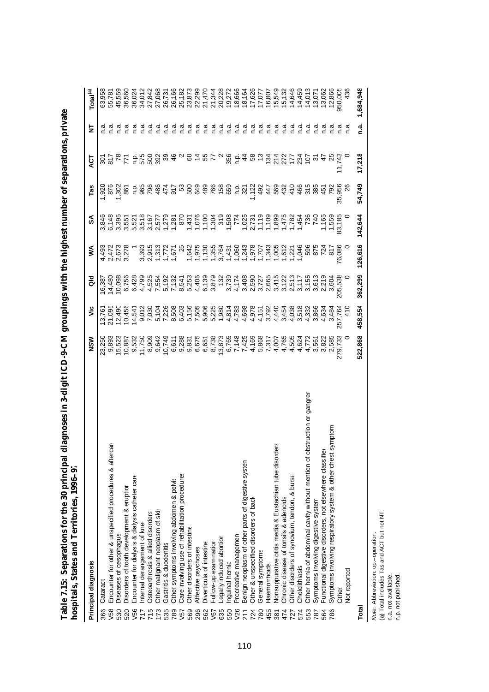|                 | Principal diagnosis                                                        | NSM                                                                                                                                                                                                                                                                                                                | ۊ                                      | 응       | ≸              | న్                                                                                                                                                                                                   | Tas                                   | ঢ়ৄ                                    | ₹       | Total <sup>(a)</sup> |
|-----------------|----------------------------------------------------------------------------|--------------------------------------------------------------------------------------------------------------------------------------------------------------------------------------------------------------------------------------------------------------------------------------------------------------------|----------------------------------------|---------|----------------|------------------------------------------------------------------------------------------------------------------------------------------------------------------------------------------------------|---------------------------------------|----------------------------------------|---------|----------------------|
| 366             | Cataract                                                                   | 23,250                                                                                                                                                                                                                                                                                                             |                                        | 6,387   | 4,493          | 3,846                                                                                                                                                                                                | 1,920                                 | င္တ                                    |         | 63,958               |
| V58             | <b>TGare</b><br>Encounter for other & unspecified procedures & after       | 9,893                                                                                                                                                                                                                                                                                                              | 21,095                                 | 14,480  |                |                                                                                                                                                                                                      |                                       | $\overline{6}$                         |         |                      |
| 530             | Diseases of oesophagus                                                     | 15,523                                                                                                                                                                                                                                                                                                             | 12,490                                 | 10,098  |                | 3,395                                                                                                                                                                                                | 1,302                                 |                                        | n.a     | 45,559               |
| 520             | Disorders of tooth development & eruption                                  | 10,887                                                                                                                                                                                                                                                                                                             | 10,456                                 |         | 2,673<br>3,278 |                                                                                                                                                                                                      | 867                                   |                                        | n a     | 36,560               |
| V56             | Encounter for dialysis & dialysis catheter care                            | 9,532                                                                                                                                                                                                                                                                                                              | 14,541                                 |         |                |                                                                                                                                                                                                      |                                       |                                        | n a     | 36,024               |
| 717             | nternal derangement of knee                                                | 11,750                                                                                                                                                                                                                                                                                                             |                                        |         |                |                                                                                                                                                                                                      |                                       |                                        | n.a     | 34,012               |
| 715             | Osteoarthrosis & allied disorders                                          | 8,909                                                                                                                                                                                                                                                                                                              |                                        |         |                |                                                                                                                                                                                                      |                                       |                                        | n a     |                      |
| 173             | Other malignant neoplasm of skir                                           | 9,642                                                                                                                                                                                                                                                                                                              |                                        |         |                |                                                                                                                                                                                                      |                                       |                                        | n.a     | 27,068               |
| 535             | Gastritis & duodenitis                                                     | 10,749                                                                                                                                                                                                                                                                                                             |                                        |         |                |                                                                                                                                                                                                      |                                       | $-500998$                              | n a     | 26,731               |
| 789             | Other symptoms involving abdomen & pelvis                                  |                                                                                                                                                                                                                                                                                                                    |                                        |         |                |                                                                                                                                                                                                      |                                       |                                        | n a     | 26,166               |
| V <sub>57</sub> | Care involving use of rehabilitation procedures                            |                                                                                                                                                                                                                                                                                                                    |                                        |         |                |                                                                                                                                                                                                      |                                       |                                        | n.a     | 25,182               |
| 569             | Other disorders of intestine                                               |                                                                                                                                                                                                                                                                                                                    |                                        |         |                |                                                                                                                                                                                                      |                                       |                                        | e.n     | 23,873               |
| 296             | Affective psychoses                                                        | $\begin{smallmatrix} 1 & 8 & 7 & 7 & 6 & 8 & 7 & 7 & 8 & 7 & 7 & 8 & 7 & 7 & 8 & 7 & 8 & 7 & 8 & 7 & 7 & 8 & 7 & 8 & 7 & 8 & 7 & 8 & 7 & 8 & 7 & 8 & 7 & 8 & 7 & 8 & 7 & 8 & 7 & 8 & 7 & 8 & 7 & 8 & 7 & 8 & 7 & 8 & 7 & 8 & 7 & 8 & 7 & 8 & 7 & 8 & 7 & 8 & 7 & 8 & 7 & 8 & 7 & 8 & 7 & 8 & 7 & 8 & 7 & 8 & 7 & $ |                                        |         |                | שִׁמְּשְׁשְׁא וּבְרְיִה בִּיְהְרְיִה בְּהְרְיִה בְּהְרָה בְּהְרָה בְּהְרָה בְּהְרָה בְּהְרָה בְּהְרָה בְּהְרָה<br>הַחֲהָרָה הַחֲהָרָה הַחֲהָרָה הַחֲהָרָה הַחֲהָרָה בִּה הַחֲהָרָה בִּה הַחֲהָרָה בִ |                                       | 0.8782                                 | n a     | 22,299               |
| 562             | Diverticula of intestine                                                   |                                                                                                                                                                                                                                                                                                                    |                                        |         |                |                                                                                                                                                                                                      |                                       |                                        | n.a     | 21,470               |
| V67             | Follow-up examination                                                      |                                                                                                                                                                                                                                                                                                                    |                                        |         |                |                                                                                                                                                                                                      |                                       |                                        | n.a     | 21,344               |
| 635             | Legally induced abortion                                                   |                                                                                                                                                                                                                                                                                                                    |                                        |         |                |                                                                                                                                                                                                      |                                       |                                        | n.a     | 20,228               |
| 550             | nguinal hernia                                                             |                                                                                                                                                                                                                                                                                                                    |                                        |         |                |                                                                                                                                                                                                      |                                       | $^{\circ}$ $\frac{6}{5}$ $\frac{6}{5}$ | n.a     | 19,272               |
| V26             | Procreative managemen                                                      |                                                                                                                                                                                                                                                                                                                    |                                        |         |                |                                                                                                                                                                                                      |                                       |                                        | n.a     | 18,666               |
| 211             | Benign neoplasm of other parts of digestive system                         |                                                                                                                                                                                                                                                                                                                    |                                        |         |                |                                                                                                                                                                                                      | 등 ង ភ្នំ ខ្ញុំ<br>ទី ខ្ញុំ ភ្នំ ខ្ញុំ | $\frac{4}{4}$                          | n.a     | 18,164               |
| 724             | Other & unspecified disorders of back                                      |                                                                                                                                                                                                                                                                                                                    |                                        |         |                |                                                                                                                                                                                                      |                                       | 58                                     | n a     | 17,626               |
| 780             | General symptoms                                                           |                                                                                                                                                                                                                                                                                                                    |                                        |         |                |                                                                                                                                                                                                      |                                       |                                        | n.a     | 17,077               |
| 455             | <b>Haemorrhoids</b>                                                        |                                                                                                                                                                                                                                                                                                                    |                                        |         |                |                                                                                                                                                                                                      | 447                                   | 134                                    | n.a     | 16,807               |
| 381             | Nonsuppurative otitis media & Eustachian tube disorders                    |                                                                                                                                                                                                                                                                                                                    |                                        |         |                |                                                                                                                                                                                                      | 569                                   | 214                                    | n.a     | 15,549               |
| 474             | Chronic disease of tonsils & adenoids                                      |                                                                                                                                                                                                                                                                                                                    |                                        |         | 1,612          |                                                                                                                                                                                                      | 432                                   | 215 315<br>215 315                     | n.a     | 15,132               |
| 727             | Other disorders of synovium, tendon, & bursa                               |                                                                                                                                                                                                                                                                                                                    |                                        |         | 1,22'          |                                                                                                                                                                                                      |                                       |                                        | n a     | 14,646               |
| 574             | Cholelithiasis                                                             |                                                                                                                                                                                                                                                                                                                    |                                        |         | 1,046          |                                                                                                                                                                                                      |                                       |                                        | n.a     | 14,459               |
| 553             | Other hernia of abdominal cavity without mention of obstruction or gangren |                                                                                                                                                                                                                                                                                                                    | 038<br>05 5 30<br>05 30 66<br>05 70 66 |         | 596            |                                                                                                                                                                                                      | $\frac{166}{480}$ $\frac{66}{56}$     |                                        | ື ເ     | 14,013<br>13,071     |
| 787             | Symptoms involving digestive system                                        |                                                                                                                                                                                                                                                                                                                    |                                        |         | 875            |                                                                                                                                                                                                      |                                       |                                        | ه.<br>۲ |                      |
| 564             | ŏ<br>-unctional digestive disorders, not elsewhere classifi                |                                                                                                                                                                                                                                                                                                                    | 4,634                                  |         | 724            | 1,165<br>1,559                                                                                                                                                                                       | 451                                   |                                        |         | 13,062               |
| 786             | symptom<br>Symptoms involving respiratory system & other chest             | 2,585                                                                                                                                                                                                                                                                                                              | 3,484                                  |         | 817            |                                                                                                                                                                                                      | 267                                   | 25                                     |         | 12,866               |
|                 | Other                                                                      | 279,733                                                                                                                                                                                                                                                                                                            | 257,764                                | 205,538 | 76,086         | 83,185                                                                                                                                                                                               | 35,956                                | 11,743                                 |         | 950,005              |
|                 | Not reported                                                               |                                                                                                                                                                                                                                                                                                                    |                                        |         |                |                                                                                                                                                                                                      |                                       |                                        | n.a     | 436                  |
| Total           |                                                                            | 522,868                                                                                                                                                                                                                                                                                                            | 458,554                                | 362,299 | 126,616        | 142,644                                                                                                                                                                                              | 54,749                                | 17,218                                 | n.a.    | 1,684,948            |

Table 7.15: Separations for the 30 principal diagnoses in 3-digit ICD-9-CM groupings with the highest number of separations, private<br>hospitals, States and Territories, 1996–97 **Table 7.15: Separations for the 30 principal diagnoses in 3-digit ICD-9-CM groupings with the highest number of separations, private hospitals, States and Territories, 1996–97**

*Note: Abbreviation: op.*-operation.<br>(a) Total includes Tas and ACT but not NT.<br>n.a. not avalilable.<br>n.p. not published. *Note:* Abbreviation: op.–operation.

(a) Total includes Tas and ACT but not NT.

n.a. not avalilable. n.p. not published.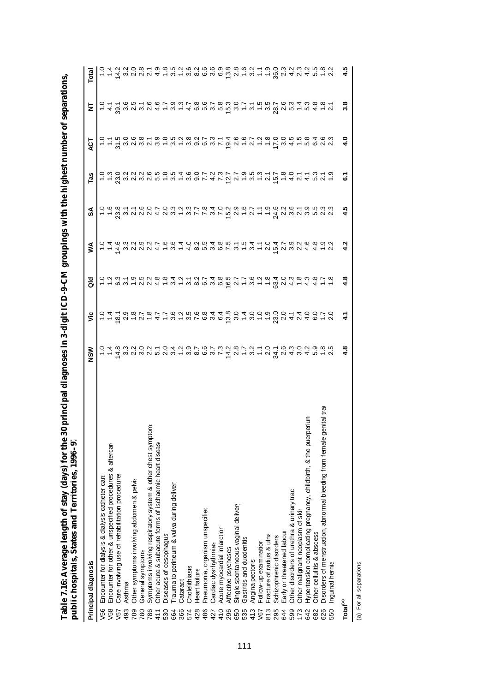| public hospitals, States and Territories, 1996–97                            |               |               |            |   |       |     |            |     |                                                                                                                                |
|------------------------------------------------------------------------------|---------------|---------------|------------|---|-------|-----|------------|-----|--------------------------------------------------------------------------------------------------------------------------------|
| Principal diagnosis                                                          | NSM           | š             | <u>aid</u> | ⋚ | వ     | Tas | ت<br>4     | j   | Total                                                                                                                          |
| Encounter for dialysis & dialysis catheter care<br>V56                       |               |               |            |   |       |     |            |     |                                                                                                                                |
| Encounter for other & unspecified procedures & aftercare<br>V58              |               |               |            |   |       |     |            |     |                                                                                                                                |
| Care involving use of rehabilitation procedures<br>V57                       |               |               |            |   |       |     |            |     |                                                                                                                                |
| Asthma<br>493                                                                |               |               |            |   |       |     |            |     |                                                                                                                                |
| Other symptoms involving abdomen & pelvis<br>789                             |               |               |            |   |       |     |            |     |                                                                                                                                |
| General symptoms<br>780                                                      |               |               |            |   |       |     |            |     |                                                                                                                                |
| Ë<br>Symptoms involving respiratory system & other chest sympto<br>786       |               |               |            |   |       |     |            |     |                                                                                                                                |
| Other acute & subacute forms of ischaemic heart disease<br>411               |               |               |            |   |       |     |            |     |                                                                                                                                |
| Diseases of oesophagus<br>530                                                |               |               |            |   |       |     |            |     |                                                                                                                                |
| Trauma to perineum & vulva during deliver<br>664                             |               |               |            |   |       |     |            |     |                                                                                                                                |
| Cataract<br>366                                                              |               |               |            |   |       |     |            |     |                                                                                                                                |
| Cholelithiasis<br>574                                                        |               |               |            |   |       |     |            |     |                                                                                                                                |
| Heart failure<br>428                                                         |               |               |            |   |       |     |            |     |                                                                                                                                |
| Pneumonia, organism unspecified<br>486                                       |               |               |            |   |       |     |            |     |                                                                                                                                |
| Cardiac dysrhythmias<br>427                                                  |               |               |            |   |       |     |            |     |                                                                                                                                |
| Acute myocardial infarction<br>410                                           |               |               |            |   |       |     |            |     |                                                                                                                                |
| Affective psychoses<br>296                                                   |               |               |            |   |       |     |            |     |                                                                                                                                |
| Single spontaneous vaginal delivery<br>650                                   |               |               |            |   |       |     |            |     |                                                                                                                                |
| Gastritis and duodenitis<br>535                                              |               |               |            |   |       |     |            |     |                                                                                                                                |
| Angina pectoris<br>413                                                       |               |               |            |   |       |     |            |     |                                                                                                                                |
| Follow-up examination<br>V67                                                 |               |               |            |   |       |     |            |     |                                                                                                                                |
| Fracture of radius & ulna<br>813                                             |               |               |            |   |       |     |            |     |                                                                                                                                |
| Schizophrenic disorders<br>295                                               |               |               |            |   |       |     |            |     |                                                                                                                                |
| Early or threatened labour<br>644                                            |               |               |            |   |       |     |            |     |                                                                                                                                |
| Other disorders of urethra & urinary trac<br>599                             |               |               |            |   |       |     |            |     |                                                                                                                                |
| Other malignant neoplasm of skir<br>173                                      |               |               |            |   |       |     |            |     |                                                                                                                                |
| nnias<br>Hypertension complicating pregnancy, childbirth, & the puerp<br>642 |               |               |            |   |       |     |            |     |                                                                                                                                |
| Other cellulitis & abscess<br>682                                            |               |               |            |   |       |     |            |     |                                                                                                                                |
| Disorders of menstruation, abnormal bleeding from female genital tra<br>626  |               |               |            |   |       |     |            |     |                                                                                                                                |
| Inguinal hernia<br>550                                                       |               |               |            |   |       |     |            |     | c + q ω u u u 4 + ω + ω = ω ω ω ω ω ω ω ω + - ε δ u 4 u 4 n + u<br>c 4 u u o ω + ω ω n u ω u ω ω ω ω ω ω u + ω o ω u ω u ω ω u |
| Total <sup>(a)</sup>                                                         | $\frac{3}{4}$ | $\frac{1}{4}$ |            |   | - 4.5 | ିତ  | $\ddot{ }$ | ္တီ | 4.5<br>4                                                                                                                       |

Table 7.16: Average length of stay (days) for the 30 principal diagnoses in 3-digit ICD-9-CM groupings with the highest number of separations, **Table 7.16: Average length of stay (days) for the 30 principal diagnoses in 3-digit ICD-9-CM groupings with the highest number of separations, public hospitals, States and Territories, 1996–97**

(a) For all separations.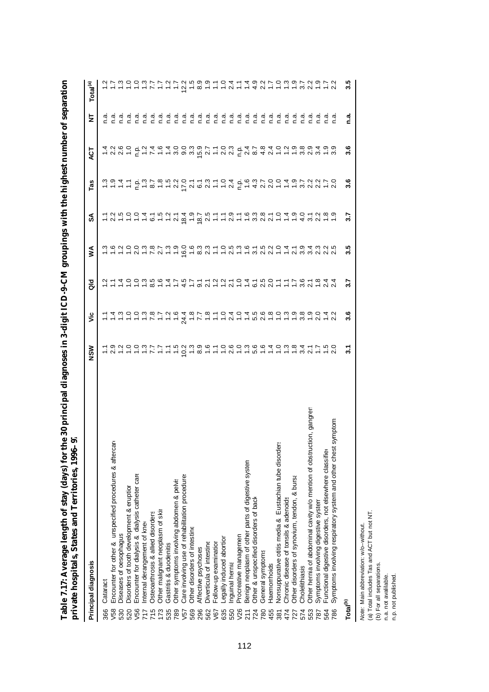| l<br>J<br>l<br>j<br>i<br>I<br>l<br>I<br>ļ<br>֚֚֚֚֡<br>֧֚֝<br>$\vdots$<br>١ | تو<br>آ<br>ţ<br>l<br>I<br>l<br>j<br>j |
|----------------------------------------------------------------------------|---------------------------------------|
| ;<br>ĺ<br>١<br><b>EVICE</b><br>l                                           | ĺ<br>ï<br>l<br>S<br>F<br>,<br>l       |

| Principal diagnosis                                                         | <b>NSM</b> | ۶Ë                                                             | a<br>a                                                       | ⋚        | న్లే | <b>Tas</b> | ά                                                                                                                              | k   | Total <sup>(a)</sup>                                                        |
|-----------------------------------------------------------------------------|------------|----------------------------------------------------------------|--------------------------------------------------------------|----------|------|------------|--------------------------------------------------------------------------------------------------------------------------------|-----|-----------------------------------------------------------------------------|
| Cataract<br>366                                                             |            |                                                                |                                                              |          |      |            |                                                                                                                                |     |                                                                             |
| Encounter for other & unspecified procedures & aftercare<br>V58             |            |                                                                |                                                              |          |      |            |                                                                                                                                |     |                                                                             |
| Diseases of oesophagus<br>530                                               |            |                                                                |                                                              |          |      |            |                                                                                                                                |     |                                                                             |
| Disorders of tooth development & eruption<br>520                            |            | ィートーーアーートムーアートークトーラクトーーーといしクーク<br>ィンクロジタイクはタイターロムロムさらのこうしきじつムク | <u>ことはいいごきのムイラアートクラークターさいトートのクータムのスポックストームのことをつけているのはない。</u> |          |      |            | T U U L F L L L L U D U U U L U U F U O 4 U L L L U U U L U<br>1 U O O T U 4 O L L U O U U L L O U T L O A D A D U O O O U U L |     | セイルカルカアアウトロー 8 トーークーー 4 クールカルカクシー 5 シントラクト 5 シンティー アーク・リー 4 クールクライル 9 プロリアン |
| Encounter for dialysis & dialysis catheter care<br>V56                      |            |                                                                |                                                              |          |      |            |                                                                                                                                |     |                                                                             |
| nternal derangement of knee<br>717                                          |            |                                                                |                                                              |          |      |            |                                                                                                                                |     |                                                                             |
| Osteoarthrosis & allied disorders<br>715                                    |            |                                                                |                                                              |          |      |            |                                                                                                                                |     |                                                                             |
| Other malignant neoplasm of skir<br>173                                     |            |                                                                |                                                              |          |      |            |                                                                                                                                |     |                                                                             |
| Gastritis & duodenitis<br>535                                               |            |                                                                |                                                              |          |      |            |                                                                                                                                |     |                                                                             |
| Other symptoms involving abdomen & pelvis<br>789                            |            |                                                                |                                                              |          |      |            |                                                                                                                                |     |                                                                             |
| Care involving use of rehabilitation procedures<br>V <sub>57</sub>          |            |                                                                |                                                              |          |      |            |                                                                                                                                |     |                                                                             |
| Other disorders of intestine<br>569                                         |            |                                                                |                                                              |          |      |            |                                                                                                                                |     |                                                                             |
| Affective psychoses<br>296                                                  |            |                                                                |                                                              |          |      |            |                                                                                                                                |     |                                                                             |
| Diverticula of intestine<br>562                                             |            |                                                                |                                                              |          |      |            |                                                                                                                                |     |                                                                             |
| Follow-up examination<br>V67                                                |            |                                                                |                                                              |          |      |            |                                                                                                                                |     |                                                                             |
| -egally induced abortion<br>635                                             |            |                                                                |                                                              |          |      |            |                                                                                                                                |     |                                                                             |
| Inguinal hernia<br>550                                                      |            |                                                                |                                                              |          |      |            |                                                                                                                                |     |                                                                             |
| Procreative managemen<br>V26                                                |            |                                                                |                                                              |          |      |            |                                                                                                                                |     |                                                                             |
| Benign neoplasm of other parts of digestive system<br>211                   |            |                                                                |                                                              |          |      |            |                                                                                                                                |     |                                                                             |
| Other & unspecified disorders of back<br>724                                |            |                                                                |                                                              |          |      |            |                                                                                                                                |     |                                                                             |
| General symptoms<br>780                                                     |            |                                                                |                                                              |          |      |            |                                                                                                                                |     |                                                                             |
| Haemorrhoids<br>455                                                         |            |                                                                |                                                              |          |      |            |                                                                                                                                |     |                                                                             |
| Nonsuppurative otitis media & Eustachian tube disorder<br>381               |            |                                                                |                                                              |          |      |            |                                                                                                                                |     |                                                                             |
| Chronic disease of tonsils & adenoids<br>474                                |            |                                                                |                                                              |          |      |            |                                                                                                                                |     |                                                                             |
| Other disorders of synovium, tendon, & bursa<br>727                         |            |                                                                |                                                              |          |      |            |                                                                                                                                |     |                                                                             |
| Cholelithiasis<br>574                                                       |            |                                                                |                                                              |          |      |            |                                                                                                                                |     |                                                                             |
| Other hernia of abdominal cavity w/o mention of obstruction, gangren<br>553 |            |                                                                |                                                              |          |      |            |                                                                                                                                |     |                                                                             |
| Symptoms involving digestive system<br>787                                  |            |                                                                |                                                              |          |      |            |                                                                                                                                |     |                                                                             |
| Functional digestive disorders, not elsewhere classified<br>564             |            |                                                                |                                                              |          |      |            |                                                                                                                                |     |                                                                             |
| symptom<br>Symptoms involving respiratory system and other chest<br>786     |            |                                                                |                                                              |          |      |            |                                                                                                                                |     |                                                                             |
| Total <sup>(b)</sup>                                                        | ్ల         | 3.6                                                            | 3.7                                                          | rú<br>က် | 3.7  | 3.6        | 3.6                                                                                                                            | n.a | 3.5                                                                         |

*Note: Main abbreviation: w/c–without.*<br>(a) Total includes Tas and ACT but not NT.<br>(b) For all separations.<br>n.p. not published.<br>n.p. not published. *Note:* Main abbreviation: w/o–without.

(a) Total includes Tas and ACT but not NT.

(b) For all separations.

n.a. not avalilable.

n.p. not published.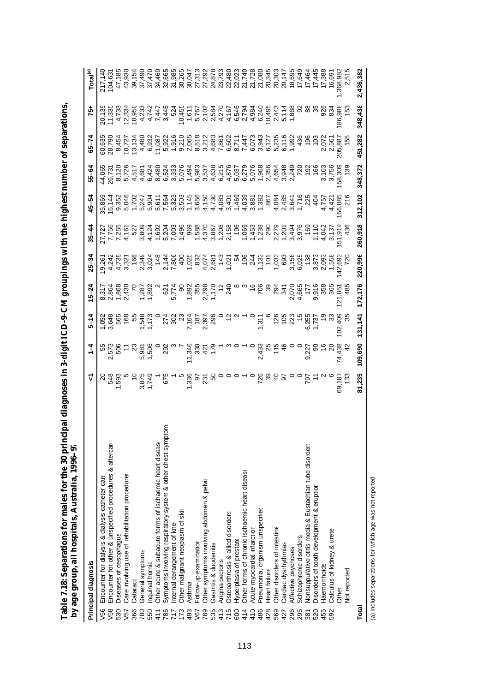| by age group, all hospitals, Australia, 1996–97                    |               |   |               |                                                                                                                                                                                                                                     |                                                                                                                                                                                                                                      |           |           |         |                                                                                                                                                                                                                                                                                                                                                                                                                                                                 |                |               |                                         |
|--------------------------------------------------------------------|---------------|---|---------------|-------------------------------------------------------------------------------------------------------------------------------------------------------------------------------------------------------------------------------------|--------------------------------------------------------------------------------------------------------------------------------------------------------------------------------------------------------------------------------------|-----------|-----------|---------|-----------------------------------------------------------------------------------------------------------------------------------------------------------------------------------------------------------------------------------------------------------------------------------------------------------------------------------------------------------------------------------------------------------------------------------------------------------------|----------------|---------------|-----------------------------------------|
| Principal diagnosis                                                |               | ⊽ | $\frac{1}{4}$ | $5 - 14$                                                                                                                                                                                                                            | 5–24                                                                                                                                                                                                                                 | $25 - 34$ | $35 - 44$ | 45–54   | $55 - 64$                                                                                                                                                                                                                                                                                                                                                                                                                                                       | $65 - 7$       | 75            | Total <sup>(a)</sup>                    |
| Encounter for dialysis & dialysis catheter care<br>V56             |               |   |               |                                                                                                                                                                                                                                     |                                                                                                                                                                                                                                      |           |           |         |                                                                                                                                                                                                                                                                                                                                                                                                                                                                 |                |               |                                         |
| Encounter for other & unspecified procedures & aftercare<br>V58    |               |   |               | ta tra radio and traditions of the control of the control of the control of the control of the control of the<br>Control of the control of the control of the control of the control of the control of the control of the contr<br> | side is the state of the state of the state of the state of the state of the state of the state of the state o<br>"State of the state of the state of the state of the state of the state of the state of the state of the state<br> |           |           |         | $\begin{array}{l} \mathcal{A}\; \mathcal{C}\; \mathcal{C}\; \mathcal{C}\; \mathcal{C}\; \mathcal{C}\; \mathcal{C}\; \mathcal{C}\; \mathcal{C}\; \mathcal{C}\; \mathcal{C}\; \mathcal{C}\; \mathcal{C}\; \mathcal{C}\; \mathcal{C}\; \mathcal{C}\; \mathcal{C}\; \mathcal{C}\; \mathcal{C}\; \mathcal{C}\; \mathcal{C}\; \mathcal{C}\; \mathcal{C}\; \mathcal{C}\; \mathcal{C}\; \mathcal{C}\; \mathcal{C}\; \mathcal{C}\; \mathcal{C}\; \mathcal{C}\; \mathcal$ |                |               |                                         |
| Diseases of oesophagus<br>530                                      |               |   |               |                                                                                                                                                                                                                                     |                                                                                                                                                                                                                                      |           |           |         |                                                                                                                                                                                                                                                                                                                                                                                                                                                                 |                |               |                                         |
| Care involving use of rehabilitation procedures<br>V <sub>57</sub> |               |   |               |                                                                                                                                                                                                                                     |                                                                                                                                                                                                                                      |           |           |         |                                                                                                                                                                                                                                                                                                                                                                                                                                                                 |                |               |                                         |
| Cataract<br>366                                                    |               |   |               |                                                                                                                                                                                                                                     |                                                                                                                                                                                                                                      |           |           |         |                                                                                                                                                                                                                                                                                                                                                                                                                                                                 |                |               |                                         |
| General symptoms<br>780                                            |               |   |               |                                                                                                                                                                                                                                     |                                                                                                                                                                                                                                      |           |           |         |                                                                                                                                                                                                                                                                                                                                                                                                                                                                 |                |               |                                         |
| Inguinal hernia<br>550                                             |               |   |               |                                                                                                                                                                                                                                     |                                                                                                                                                                                                                                      |           |           |         |                                                                                                                                                                                                                                                                                                                                                                                                                                                                 |                |               |                                         |
| Other acute & subacute forms of ischaemic heart disease<br>411     |               |   |               |                                                                                                                                                                                                                                     |                                                                                                                                                                                                                                      |           |           |         |                                                                                                                                                                                                                                                                                                                                                                                                                                                                 |                |               |                                         |
| Symptoms involving respiratory system & other chest sympt<br>786   | Ë             |   |               |                                                                                                                                                                                                                                     |                                                                                                                                                                                                                                      |           |           |         |                                                                                                                                                                                                                                                                                                                                                                                                                                                                 |                |               |                                         |
| nternal derangement of knex<br>717                                 |               |   |               |                                                                                                                                                                                                                                     |                                                                                                                                                                                                                                      |           |           |         |                                                                                                                                                                                                                                                                                                                                                                                                                                                                 |                |               |                                         |
| Other malignant neoplasm of skir<br>173                            |               |   |               |                                                                                                                                                                                                                                     |                                                                                                                                                                                                                                      |           |           |         |                                                                                                                                                                                                                                                                                                                                                                                                                                                                 |                |               |                                         |
| Asthma<br>493                                                      |               |   |               |                                                                                                                                                                                                                                     |                                                                                                                                                                                                                                      |           |           |         |                                                                                                                                                                                                                                                                                                                                                                                                                                                                 |                |               |                                         |
| Follow-up examination<br>V67                                       |               |   |               |                                                                                                                                                                                                                                     |                                                                                                                                                                                                                                      |           |           |         |                                                                                                                                                                                                                                                                                                                                                                                                                                                                 |                |               |                                         |
| Other symptoms involving abdomen & pelvis<br>789<br>535            |               |   |               |                                                                                                                                                                                                                                     |                                                                                                                                                                                                                                      |           |           |         |                                                                                                                                                                                                                                                                                                                                                                                                                                                                 |                |               | 27,292<br>24,878<br>23,793              |
| Gastritis & duodenitis                                             |               |   |               |                                                                                                                                                                                                                                     |                                                                                                                                                                                                                                      |           |           |         |                                                                                                                                                                                                                                                                                                                                                                                                                                                                 |                |               |                                         |
| Angina pectoris<br>413                                             |               |   |               |                                                                                                                                                                                                                                     |                                                                                                                                                                                                                                      |           |           |         |                                                                                                                                                                                                                                                                                                                                                                                                                                                                 |                |               |                                         |
| Osteoarthrosis & allied disorders<br>715                           |               |   |               |                                                                                                                                                                                                                                     |                                                                                                                                                                                                                                      |           |           |         |                                                                                                                                                                                                                                                                                                                                                                                                                                                                 |                |               |                                         |
| Hyperplasia of prostate<br>600                                     |               |   |               |                                                                                                                                                                                                                                     |                                                                                                                                                                                                                                      |           |           |         |                                                                                                                                                                                                                                                                                                                                                                                                                                                                 |                |               |                                         |
| Other forms of chronic ischaemic heart disease<br>414              |               |   |               |                                                                                                                                                                                                                                     |                                                                                                                                                                                                                                      |           |           |         |                                                                                                                                                                                                                                                                                                                                                                                                                                                                 |                |               |                                         |
| Acute myocardial infarction<br>410                                 |               |   |               |                                                                                                                                                                                                                                     |                                                                                                                                                                                                                                      |           |           |         |                                                                                                                                                                                                                                                                                                                                                                                                                                                                 |                |               | 80338885<br>202250888<br>2022508        |
| Pneumonia, organism unspecified<br>486                             |               |   |               |                                                                                                                                                                                                                                     |                                                                                                                                                                                                                                      |           |           |         |                                                                                                                                                                                                                                                                                                                                                                                                                                                                 |                |               |                                         |
| Heart failure<br>428                                               |               |   |               |                                                                                                                                                                                                                                     |                                                                                                                                                                                                                                      |           |           |         |                                                                                                                                                                                                                                                                                                                                                                                                                                                                 |                |               |                                         |
| Other disorders of intestine<br>569                                |               |   |               |                                                                                                                                                                                                                                     |                                                                                                                                                                                                                                      |           |           |         |                                                                                                                                                                                                                                                                                                                                                                                                                                                                 |                |               | 20,303                                  |
| Cardiac dysrhythmias<br>427                                        |               |   |               |                                                                                                                                                                                                                                     |                                                                                                                                                                                                                                      |           |           |         |                                                                                                                                                                                                                                                                                                                                                                                                                                                                 |                |               | 20,147                                  |
| Affective psychoses<br>296                                         |               |   |               |                                                                                                                                                                                                                                     |                                                                                                                                                                                                                                      |           |           |         |                                                                                                                                                                                                                                                                                                                                                                                                                                                                 |                |               |                                         |
| Schizophrenic disorders<br>295                                     |               |   |               |                                                                                                                                                                                                                                     |                                                                                                                                                                                                                                      |           |           |         |                                                                                                                                                                                                                                                                                                                                                                                                                                                                 |                | ର             |                                         |
| Nonsuppurative otitis media & Eustachian tube disorders<br>381     |               |   |               |                                                                                                                                                                                                                                     |                                                                                                                                                                                                                                      |           |           |         |                                                                                                                                                                                                                                                                                                                                                                                                                                                                 |                | <u>ස</u>      |                                         |
| Disorders of tooth development & eruption<br>520                   |               |   |               |                                                                                                                                                                                                                                     |                                                                                                                                                                                                                                      |           |           |         |                                                                                                                                                                                                                                                                                                                                                                                                                                                                 | ă à            |               |                                         |
| <b>Haemorrhoids</b><br>455                                         |               |   |               |                                                                                                                                                                                                                                     |                                                                                                                                                                                                                                      |           |           |         | 3,103<br>3,756<br>58,303<br>139                                                                                                                                                                                                                                                                                                                                                                                                                                 | 2,072          | 92<br>834     | 18,6445<br>17,445<br>19,6445<br>19,6445 |
| Calculus of kidney & ureter<br>592                                 |               |   |               |                                                                                                                                                                                                                                     |                                                                                                                                                                                                                                      |           |           |         |                                                                                                                                                                                                                                                                                                                                                                                                                                                                 |                |               | 16,691                                  |
| <b>Other</b>                                                       | 69,187<br>133 |   | 74,438<br>42  | 102,409<br>35                                                                                                                                                                                                                       | 121,051<br>485                                                                                                                                                                                                                       |           |           |         |                                                                                                                                                                                                                                                                                                                                                                                                                                                                 | 205,887<br>155 | 86,988<br>153 |                                         |
| Not reported                                                       |               |   |               |                                                                                                                                                                                                                                     |                                                                                                                                                                                                                                      |           |           |         |                                                                                                                                                                                                                                                                                                                                                                                                                                                                 |                |               |                                         |
| Total                                                              | 81.235        |   | 109,690       | 131.141                                                                                                                                                                                                                             | 172.176                                                                                                                                                                                                                              | 220.996   | 260,918   | 312,102 | 348,372                                                                                                                                                                                                                                                                                                                                                                                                                                                         | 451.282        | 348,438       | 2.436.382                               |

Table 7.18: Separations for males for the 30 principal diagnoses in 3-digit ICD-9-CM groupings with the highest number of separations, **Table 7.18: Separations for males for the 30 principal diagnoses in 3-digit ICD-9-CM groupings with the highest number of separations,**

(a) Includes separations for which age was not reported (a) Includes separations for which age was not reported.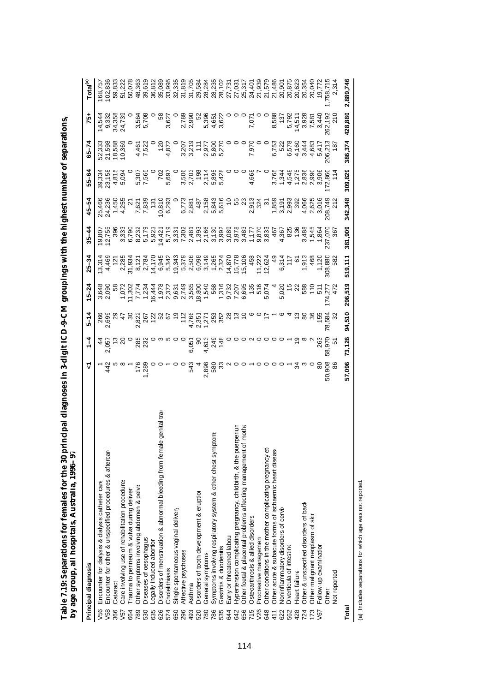|                 | DY age group, and nospitals, Australia, 1990–97                            |                                                                      |                                                   |                                                                                                                                                                                                                                                                                                                                                                                                                                                                                             |                                                               |                            |                                                                                                                              |                                                |                            |                                                    |                                              |                            |
|-----------------|----------------------------------------------------------------------------|----------------------------------------------------------------------|---------------------------------------------------|---------------------------------------------------------------------------------------------------------------------------------------------------------------------------------------------------------------------------------------------------------------------------------------------------------------------------------------------------------------------------------------------------------------------------------------------------------------------------------------------|---------------------------------------------------------------|----------------------------|------------------------------------------------------------------------------------------------------------------------------|------------------------------------------------|----------------------------|----------------------------------------------------|----------------------------------------------|----------------------------|
|                 | Principal diagnosis                                                        | ᡪ                                                                    | $1 - 4$                                           | $5 - 14$                                                                                                                                                                                                                                                                                                                                                                                                                                                                                    | $15 - 24$                                                     | $25 - 34$                  | $35 - 44$                                                                                                                    | 45–54                                          | $55 - 64$                  | $65 - 74$                                          | 75+                                          | Total <sup>(a)</sup>       |
| V56             | Encounter for dialysis & dialysis catheter care                            |                                                                      |                                                   |                                                                                                                                                                                                                                                                                                                                                                                                                                                                                             |                                                               | 13,314                     | 19,807                                                                                                                       | 25,466                                         | 39,334                     | 52,333                                             | 14,544                                       | 168,75                     |
| V58             | Encounter for other & unspecified procedures & aftercare                   | 442                                                                  | $2,021$<br>$2,021$                                |                                                                                                                                                                                                                                                                                                                                                                                                                                                                                             | 3,648<br>2,090                                                | 4,469                      |                                                                                                                              | 24,236                                         | 23,158                     | 21,598<br>18,588<br>10,369                         | 9,332                                        |                            |
| 366             | Cataract                                                                   |                                                                      |                                                   |                                                                                                                                                                                                                                                                                                                                                                                                                                                                                             | s8                                                            |                            |                                                                                                                              |                                                | 4,815<br>5,094             |                                                    | 34,358<br>24,739                             |                            |
| V <sub>57</sub> | Care involving use of rehabilitation procedures                            |                                                                      | $\overline{a}$                                    |                                                                                                                                                                                                                                                                                                                                                                                                                                                                                             | 1,072                                                         |                            |                                                                                                                              | $1,450$<br>$4,255$                             |                            |                                                    |                                              |                            |
| 664             | Trauma to perineum & vulva during deliver                                  |                                                                      |                                                   |                                                                                                                                                                                                                                                                                                                                                                                                                                                                                             | $\begin{array}{c} 11,302 \\ 7,774 \\ 1,234 \end{array}$       | 2,285<br>31,934            |                                                                                                                              | $\tilde{c}$                                    |                            |                                                    |                                              |                            |
| 789             | Other symptoms involving abdomen & pelvis                                  |                                                                      |                                                   |                                                                                                                                                                                                                                                                                                                                                                                                                                                                                             |                                                               | 8,121<br>2,784             |                                                                                                                              |                                                |                            | 4,461<br>7,522                                     | 3,564<br>5,708                               |                            |
| 530             | Diseases of oesophagus                                                     |                                                                      |                                                   |                                                                                                                                                                                                                                                                                                                                                                                                                                                                                             |                                                               |                            |                                                                                                                              |                                                | 5,307<br>7,565             |                                                    |                                              | 39,619                     |
| 635             | Legally induced abortion                                                   |                                                                      |                                                   |                                                                                                                                                                                                                                                                                                                                                                                                                                                                                             | 16,444                                                        | 14,170                     | 33<br>36 32 5 33<br>36 5 5 5 6<br>36 6 5 6 7                                                                                 | 7,621<br>7,839<br>131                          |                            |                                                    |                                              | 36,812                     |
| 626             | le genital tra<br>Disorders of menstruation & abnormal bleeding from femal | $7.88$<br>$-0.88$<br>$-0.80$<br>$-0.6$<br>$-0.6$<br>$-0.6$<br>$-0.6$ |                                                   | $\begin{array}{l} \mathcal{S}_{0}^{1}_{0} \subset \mathcal{S}_{1}^{1}_{0} \subset \mathcal{S}_{2}^{1}_{0} \subset \mathcal{S}_{3}^{1}_{0} \subset \mathcal{S}_{4}^{1}_{0} \subset \mathcal{S}_{5}^{1}_{0} \subset \mathcal{S}_{6}^{1}_{0} \subset \mathcal{S}_{7}^{1}_{0} \subset \mathcal{S}_{8}^{1}_{0} \subset \mathcal{S}_{8}^{1}_{0} \subset \mathcal{S}_{8}^{1}_{0} \subset \mathcal{S}_{8}^{1}_{0} \subset \mathcal{S}_{8}^{1}_{0} \subset \mathcal{S}_{8}^{1}_{0} \subset \mathcal$ | 1,978<br>2,372                                                |                            |                                                                                                                              | 10,810<br>6,293                                | 702                        | $\frac{120}{2}$                                    | ဝ ဗ္ဗ                                        | 35,089                     |
| 574             | Cholelithiasis                                                             |                                                                      |                                                   |                                                                                                                                                                                                                                                                                                                                                                                                                                                                                             |                                                               |                            |                                                                                                                              |                                                | 5,697                      | 4,872                                              | 3,627                                        | 33,995                     |
| 650             | Single spontaneous vaginal delivery                                        |                                                                      |                                                   |                                                                                                                                                                                                                                                                                                                                                                                                                                                                                             |                                                               |                            |                                                                                                                              |                                                |                            |                                                    |                                              | 32,335                     |
| 296             | Affective psychoses                                                        |                                                                      |                                                   |                                                                                                                                                                                                                                                                                                                                                                                                                                                                                             | 9,631<br>2,749<br>3,565                                       |                            | 1<br>4 5 6 9 7 8 9 8 9 9 9 9 9 9 7 5 9 9<br>4 6 9 7 9 4 9 9 9 9 9 9 9 9 7 5 9 9<br>4 6 7 6 7 9 7 9 9 9 9 9 9 9 9 9 0 1 0 9 9 |                                                |                            |                                                    | 2,789<br>2,990                               | 31,819                     |
| 493             | Asthma                                                                     |                                                                      |                                                   |                                                                                                                                                                                                                                                                                                                                                                                                                                                                                             |                                                               |                            |                                                                                                                              | 6,773<br>2,881                                 | 3,506<br>2,703             |                                                    |                                              | 31,705                     |
| 520             | Disorders of tooth development & eruption                                  | $\overline{a}$                                                       |                                                   |                                                                                                                                                                                                                                                                                                                                                                                                                                                                                             | 18,800                                                        |                            |                                                                                                                              |                                                | 198                        |                                                    | 52                                           | 29,584                     |
| 780             | General symptoms                                                           | 2,898<br>580<br>33                                                   | 4<br>6 4 4<br>5 4 4 6 6 6 7 6 7 6 7 6 7 6 7 7 8 7 |                                                                                                                                                                                                                                                                                                                                                                                                                                                                                             | 1.540<br>1.562,700,000<br>1.560,000<br>1.560,000<br>1.540,000 |                            |                                                                                                                              | 487<br>2, 158<br>2, 843<br>5, 616<br>5, 616    | 2, 114<br>5, 895<br>5, 428 | 3,207<br>3,215<br>3,800<br>5,270<br>5,270          | 5,396                                        | 28,284                     |
| 786             | Symptoms involving respiratory system & other chest symptom:               |                                                                      |                                                   |                                                                                                                                                                                                                                                                                                                                                                                                                                                                                             |                                                               |                            |                                                                                                                              |                                                |                            |                                                    | 4,651<br>3,622                               | 28,235                     |
| 535             | Gastritis & duodenitis                                                     |                                                                      |                                                   |                                                                                                                                                                                                                                                                                                                                                                                                                                                                                             |                                                               |                            |                                                                                                                              |                                                |                            |                                                    |                                              | 28,102                     |
| 644             | Early or threatened labour                                                 | $000 - 0000 - 70$                                                    |                                                   |                                                                                                                                                                                                                                                                                                                                                                                                                                                                                             |                                                               | 14,870<br>15,778<br>15,106 |                                                                                                                              |                                                |                            |                                                    |                                              | 27,731                     |
| 642             | Hypertension complicating pregnancy, childbirth, & the puerperiun          |                                                                      |                                                   |                                                                                                                                                                                                                                                                                                                                                                                                                                                                                             |                                                               |                            |                                                                                                                              | 588                                            |                            |                                                    |                                              | 27,031                     |
| 656             | Other foetal & placental problems affecting management of mothe            |                                                                      |                                                   |                                                                                                                                                                                                                                                                                                                                                                                                                                                                                             |                                                               |                            |                                                                                                                              |                                                |                            |                                                    |                                              | 25,317<br>24,401<br>21,939 |
| 715             | Osteoarthrosis & allied disorders                                          |                                                                      |                                                   |                                                                                                                                                                                                                                                                                                                                                                                                                                                                                             |                                                               | 458                        |                                                                                                                              | 2,913<br>324<br>37                             | 4,668<br>7                 | 7,970                                              | 7,071                                        |                            |
| V26             | Procreative managemen                                                      |                                                                      |                                                   |                                                                                                                                                                                                                                                                                                                                                                                                                                                                                             |                                                               | 11,222<br>12,624           |                                                                                                                              |                                                |                            |                                                    |                                              |                            |
| 648             | Other conditions in the mother complicating pregnancy et                   |                                                                      |                                                   |                                                                                                                                                                                                                                                                                                                                                                                                                                                                                             |                                                               |                            |                                                                                                                              |                                                |                            |                                                    |                                              | 21,579                     |
| 411             | Other acute & subacute forms of ischaemic heart disease                    |                                                                      |                                                   |                                                                                                                                                                                                                                                                                                                                                                                                                                                                                             |                                                               | <del>9</del>               | 467                                                                                                                          |                                                |                            | 6,753<br>522                                       | 8,588                                        | 21,486                     |
| 622             | Noninflammatory disorders of cervi:                                        |                                                                      |                                                   |                                                                                                                                                                                                                                                                                                                                                                                                                                                                                             |                                                               | 6,314                      | 4,367                                                                                                                        |                                                |                            |                                                    | 137                                          | 20,901                     |
| 562             | Diverticula of intestine                                                   |                                                                      |                                                   |                                                                                                                                                                                                                                                                                                                                                                                                                                                                                             | 5,020<br>15<br>22                                             | $rac{1}{2}$                | 825                                                                                                                          |                                                |                            |                                                    |                                              | 20,875                     |
| 428             | Heart failure                                                              |                                                                      |                                                   |                                                                                                                                                                                                                                                                                                                                                                                                                                                                                             |                                                               |                            | 136                                                                                                                          |                                                |                            |                                                    |                                              |                            |
| 724             | Other & unspecified disorders of back                                      |                                                                      |                                                   |                                                                                                                                                                                                                                                                                                                                                                                                                                                                                             | 58<br>57<br>57                                                | 1,913<br>468               | $3,488$<br>1,545                                                                                                             | 0503<br>0603080605<br>0603080605<br>0603060606 |                            | e 4 w 4 w<br>2 4 4 6 4 5<br>2 4 6 7 7<br>2 4 8 7 7 | 5,792<br>14,5,928<br>5,928<br>5,440<br>5,792 | 20,623<br>20,354<br>20,040 |
| 173             | Other malignant neoplasm of skir                                           |                                                                      |                                                   |                                                                                                                                                                                                                                                                                                                                                                                                                                                                                             |                                                               |                            |                                                                                                                              |                                                |                            |                                                    |                                              |                            |
| V67             | Follow-up examination                                                      | 80                                                                   | 263                                               |                                                                                                                                                                                                                                                                                                                                                                                                                                                                                             |                                                               | 1,120                      | 1,864                                                                                                                        |                                                |                            |                                                    |                                              | 19,772                     |
|                 | Other                                                                      | 50,908                                                               | 58,970                                            | 78,584                                                                                                                                                                                                                                                                                                                                                                                                                                                                                      | 174,27                                                        | 308,880<br>582             | 237,07C<br>367                                                                                                               | 208,749<br>212                                 | 172,860                    | 206,213                                            | 262,192                                      | 1,758,715                  |
|                 | Not reported                                                               | 86                                                                   | 5                                                 | 32                                                                                                                                                                                                                                                                                                                                                                                                                                                                                          | 472                                                           |                            |                                                                                                                              |                                                | $\frac{4}{1}$              | 187                                                | 210                                          | 2,314                      |
| Total           |                                                                            | 57,096                                                               | 73,126                                            | 94,510                                                                                                                                                                                                                                                                                                                                                                                                                                                                                      | 296,519                                                       | 519,111                    | 381,909                                                                                                                      | 342,348                                        | 309,829                    | 386,374                                            | 428,880                                      | 2,889,746                  |

Table 7.19: Separations for females for the 30 principal diagnoses in 3-digit ICD-9-CM groupings with the highest number of separations,<br>by age group, all hospitals. Australia. 1996–97 **Table 7.19: Separations for females for the 30 principal diagnoses in 3-digit ICD-9-CM groupings with the highest number of separations, by age group, all hospitals, Australia, 1996–97**

(a) Includes separations for which age was not reported. (a) Includes separations for which age was not reported.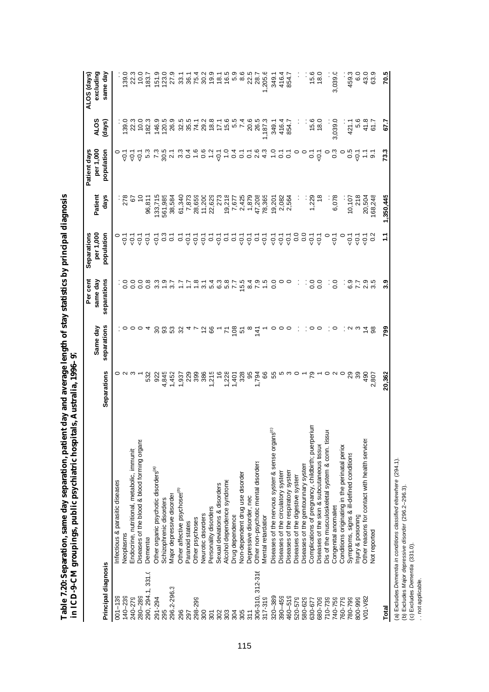| i<br>)                | l                                  |
|-----------------------|------------------------------------|
| ֠<br>l<br>I<br>١<br>ĺ | I<br>)<br>í                        |
| アーレー ワクハー<br>ı<br>ı   | WECK CACH<br>٦<br>١<br>١<br>l<br>j |

|                     |                                                              |                                                                            |               | Per cent                                                                                                                                                                                                                                                              | Separations                                                                                                     |            | Patient days                                                                                            |                   | ALOS (days)   |
|---------------------|--------------------------------------------------------------|----------------------------------------------------------------------------|---------------|-----------------------------------------------------------------------------------------------------------------------------------------------------------------------------------------------------------------------------------------------------------------------|-----------------------------------------------------------------------------------------------------------------|------------|---------------------------------------------------------------------------------------------------------|-------------------|---------------|
|                     |                                                              |                                                                            | Same day      | same day                                                                                                                                                                                                                                                              | per 1,000                                                                                                       | Patient    | per 1,000                                                                                               | <b>SI</b>         | excluding     |
| Principal diagnosis |                                                              | Separations                                                                | separations   | separations                                                                                                                                                                                                                                                           | population                                                                                                      | days       | population                                                                                              | (days)            | same day      |
| $001 - 139$         | ntectious & parasitic diseases                               |                                                                            |               |                                                                                                                                                                                                                                                                       |                                                                                                                 |            |                                                                                                         |                   |               |
| $140 - 239$         | Neoplasms                                                    |                                                                            |               |                                                                                                                                                                                                                                                                       | $\overline{Q}$                                                                                                  | ∶ c<br>278 | $\frac{1}{9}$                                                                                           |                   | 139.0         |
| 240-279             | Endocrine, nutritional, metabolic, immunit                   |                                                                            |               | $\frac{1}{5}$                                                                                                                                                                                                                                                         | $\overline{Q}$                                                                                                  | 67         | $\overline{5}$                                                                                          | $139.0$<br>$22.3$ |               |
| 280-289             | Diseases of the blood & blood forming organs                 |                                                                            | $\circ$       | 0.0                                                                                                                                                                                                                                                                   |                                                                                                                 |            | $\overline{Q}$                                                                                          | 10.0              | 0.01          |
| 290, 294.1, 331.0   | Dementia                                                     | 532                                                                        |               | 0.8                                                                                                                                                                                                                                                                   | $rac{1}{2}$ $rac{1}{2}$ $rac{1}{2}$ $rac{3}{2}$ $rac{1}{2}$                                                     | 96,811     |                                                                                                         | 182.3             | 183.7         |
| 291-294             | Other organic psychotic disorders <sup>(a)</sup>             | 922                                                                        | 30            |                                                                                                                                                                                                                                                                       |                                                                                                                 | 133,715    |                                                                                                         | 146.9             | 151.9         |
| 295                 | Schizophrenic disorders                                      |                                                                            |               |                                                                                                                                                                                                                                                                       |                                                                                                                 | 561,985    |                                                                                                         | 120.5             | 123.0         |
| 296.2-296.3         | Major depressive disorder                                    |                                                                            | თ<br>ნე       |                                                                                                                                                                                                                                                                       |                                                                                                                 | 38,584     |                                                                                                         | 26.9              | 27.9          |
| 296                 | Other affective psychoses <sup>(b)</sup>                     |                                                                            | 32            | $\begin{array}{c} 0.697 & 0.758 & 0.758 & 0.758 & 0.758 & 0.758 & 0.758 & 0.758 & 0.758 & 0.758 & 0.758 & 0.758 & 0.758 & 0.758 & 0.758 & 0.758 & 0.758 & 0.758 & 0.758 & 0.758 & 0.758 & 0.758 & 0.758 & 0.758 & 0.758 & 0.758 & 0.758 & 0.758 & 0.758 & 0.758 & 0.$ | $-2222$                                                                                                         | 61,340     |                                                                                                         |                   |               |
| 297                 | Paranoid states                                              |                                                                            |               |                                                                                                                                                                                                                                                                       |                                                                                                                 | 7,873      |                                                                                                         |                   | 3858<br>2858  |
| 298-299             | Other psychoses                                              |                                                                            |               |                                                                                                                                                                                                                                                                       |                                                                                                                 | 28,659     |                                                                                                         |                   |               |
| 300                 | Neurotic disorders                                           |                                                                            | $\frac{2}{6}$ |                                                                                                                                                                                                                                                                       |                                                                                                                 | 11,200     |                                                                                                         |                   |               |
| 301                 | Personality disorders                                        |                                                                            |               |                                                                                                                                                                                                                                                                       |                                                                                                                 | 22,629     |                                                                                                         |                   | 19.9          |
| 302                 | Sexual deviations & disorders                                |                                                                            |               |                                                                                                                                                                                                                                                                       |                                                                                                                 | 273        | $\overline{Q}$ .                                                                                        |                   | $\frac{8}{3}$ |
| 303                 | Alcohol dependence syndrome                                  |                                                                            | Σ             |                                                                                                                                                                                                                                                                       |                                                                                                                 | 19,218     | $\frac{0}{1}$                                                                                           |                   | 16.5          |
| 304                 | Drug dependence                                              |                                                                            |               |                                                                                                                                                                                                                                                                       |                                                                                                                 | 7,677      |                                                                                                         |                   | LO.           |
| 305                 | Non-dependent drug use disorder                              |                                                                            | $\frac{8}{5}$ |                                                                                                                                                                                                                                                                       |                                                                                                                 | 2,425      |                                                                                                         |                   | 8.6           |
| 311                 | Depressive disorder, nec                                     |                                                                            |               | $\frac{84}{7}$                                                                                                                                                                                                                                                        |                                                                                                                 | 1,879      |                                                                                                         |                   | 22.5          |
| 306-310, 312-316    | Other non-psychotic mental disorders                         | 1,794                                                                      | $\frac{1}{4}$ |                                                                                                                                                                                                                                                                       | $\frac{1}{9}$ $\frac{1}{9}$ $\frac{1}{9}$ $\frac{1}{9}$ $\frac{1}{9}$ $\frac{1}{9}$ $\frac{1}{9}$ $\frac{1}{9}$ | 47,208     |                                                                                                         | 20.6<br>26.5      | 28.7          |
| 317-319             | Mental retardation                                           | 89                                                                         |               | $\frac{5}{1}$                                                                                                                                                                                                                                                         |                                                                                                                 | 78,365     |                                                                                                         | ,187.3            | ,205.6        |
| 320-389             | Diseases of the nervous system & sense organs <sup>(c)</sup> | 55                                                                         |               | 0.0                                                                                                                                                                                                                                                                   | $-0.7$                                                                                                          | 19,201     | $\begin{array}{cccc}\n 1 & - & - & 0 & 0 & 0 & - & - \\  0 & 0 & 0 & 0 & 0 & 0 & - & 0 \\  \end{array}$ | 349.1             | 349.1         |
| $390 - 459$         | Diseases of the circulatory system                           |                                                                            |               |                                                                                                                                                                                                                                                                       |                                                                                                                 | 2,082      |                                                                                                         | 416.4             | 416.4         |
| $460 - 519$         | Diseases of the respiratory system                           | $\mathfrak{c}$ $\mathfrak{c}$ $\mathfrak{c}$ $\mathfrak{c}$ $\mathfrak{c}$ |               | $\circ$                                                                                                                                                                                                                                                               |                                                                                                                 | 2,564      |                                                                                                         | 854.7             | 854.7         |
| 520-579             | Diseases of the digestive system                             |                                                                            |               |                                                                                                                                                                                                                                                                       | $\frac{50}{10}$                                                                                                 |            |                                                                                                         |                   |               |
| 580-629             | Diseases of the genitourinary system                         |                                                                            |               |                                                                                                                                                                                                                                                                       |                                                                                                                 |            | $\circ$                                                                                                 |                   |               |
| 630-677             | Complications of pregnancy, childbirth; puerperium           |                                                                            | 00            |                                                                                                                                                                                                                                                                       | $\frac{1}{9}$ $\frac{1}{9}$                                                                                     | 1,229      | $\sum_{i=1}^{n}$                                                                                        | $15.0$<br>18.0    | 15.6          |
| 680-709             | Diseases of the skin & subcutaneous tissue                   |                                                                            |               | 0.0                                                                                                                                                                                                                                                                   |                                                                                                                 |            | $\overline{Q}$ .                                                                                        |                   | 18.0          |
| 710-739             | Dis of the musculoskeletal system & conn. tissue             |                                                                            |               | ÷                                                                                                                                                                                                                                                                     | $\circ$                                                                                                         |            |                                                                                                         |                   |               |
| 740-759             | Congenital anomalies                                         |                                                                            | $\circ$       | 0.0                                                                                                                                                                                                                                                                   | $\overline{c}$                                                                                                  | 6,078      | $\frac{3}{2}$                                                                                           | 3,039.0           | 3,039.0       |
| 760-779             | Conditions originating in the perinatal period               |                                                                            |               |                                                                                                                                                                                                                                                                       |                                                                                                                 |            |                                                                                                         |                   |               |
| 780-799             | Symptoms, signs & ill-defined conditions                     | $\mathbf{S}$                                                               | N             | 6.9                                                                                                                                                                                                                                                                   | $\overline{5}$                                                                                                  | 10,107     | $\frac{5}{90}$                                                                                          | 421.1             | 459.3         |
| 800-999             | njury & poisoning                                            | 39                                                                         |               |                                                                                                                                                                                                                                                                       | $\overline{5}$                                                                                                  | 218        |                                                                                                         | <u>ة</u>          | $\frac{0}{6}$ |
| $V01 - V82$         | Other reasons for contact with health services               | 490                                                                        | $\frac{4}{9}$ | 7. 9. 9.<br>7. 9. 9.                                                                                                                                                                                                                                                  | $\overline{Q}$                                                                                                  | 20,504     |                                                                                                         | $41.8$<br>61.7    | 43.0          |
|                     | Not reported                                                 | 2,807                                                                      |               |                                                                                                                                                                                                                                                                       | $\ddot{\circ}$                                                                                                  | 168,248    | $\ddot{\circ}$                                                                                          |                   | 63.9          |
| Total               |                                                              | 20,362                                                                     | <b>P82</b>    | 3.9                                                                                                                                                                                                                                                                   | Ξ                                                                                                               | 1,350,445  | 73.3                                                                                                    | 577               | 70.5          |

(a) Excludes *Dementia in conditions classified elsewhere* (294.1).<br>(b) Excludes *Major depressive disorder* (296.2–296.3).<br>(c) Excludes *Dementia* (331.0).<br>. . not applicable. (a) Excludes *Dementia in conditions classified elsewhere* (294.1).

(b) Excludes *Major depressive disorder* (296.2–296.3).

(c) Excludes *Dementia* (331.0).

. . not applicable.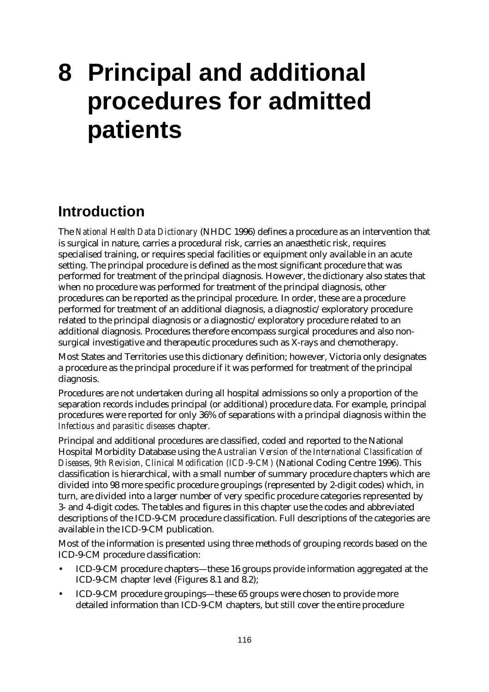# **8 Principal and additional procedures for admitted patients**

# **Introduction**

The *National Health Data Dictionary* (NHDC 1996) defines a procedure as an intervention that is surgical in nature, carries a procedural risk, carries an anaesthetic risk, requires specialised training, or requires special facilities or equipment only available in an acute setting. The principal procedure is defined as the most significant procedure that was performed for treatment of the principal diagnosis. However, the dictionary also states that when no procedure was performed for treatment of the principal diagnosis, other procedures can be reported as the principal procedure. In order, these are a procedure performed for treatment of an additional diagnosis, a diagnostic/exploratory procedure related to the principal diagnosis or a diagnostic/exploratory procedure related to an additional diagnosis. Procedures therefore encompass surgical procedures and also nonsurgical investigative and therapeutic procedures such as X-rays and chemotherapy.

Most States and Territories use this dictionary definition; however, Victoria only designates a procedure as the principal procedure if it was performed for treatment of the principal diagnosis.

Procedures are not undertaken during all hospital admissions so only a proportion of the separation records includes principal (or additional) procedure data. For example, principal procedures were reported for only 36% of separations with a principal diagnosis within the *Infectious and parasitic diseases* chapter.

Principal and additional procedures are classified, coded and reported to the National Hospital Morbidity Database using the *Australian Version of the International Classification of Diseases, 9th Revision, Clinical Modification (ICD-9-CM)* (National Coding Centre 1996). This classification is hierarchical, with a small number of summary procedure chapters which are divided into 98 more specific procedure groupings (represented by 2-digit codes) which, in turn, are divided into a larger number of very specific procedure categories represented by 3- and 4-digit codes. The tables and figures in this chapter use the codes and abbreviated descriptions of the ICD-9-CM procedure classification. Full descriptions of the categories are available in the ICD-9-CM publication.

Most of the information is presented using three methods of grouping records based on the ICD-9-CM procedure classification:

- ICD-9-CM procedure chapters— these 16 groups provide information aggregated at the ICD-9-CM chapter level (Figures 8.1 and 8.2);
- ICD-9-CM procedure groupings— these 65 groups were chosen to provide more detailed information than ICD-9-CM chapters, but still cover the entire procedure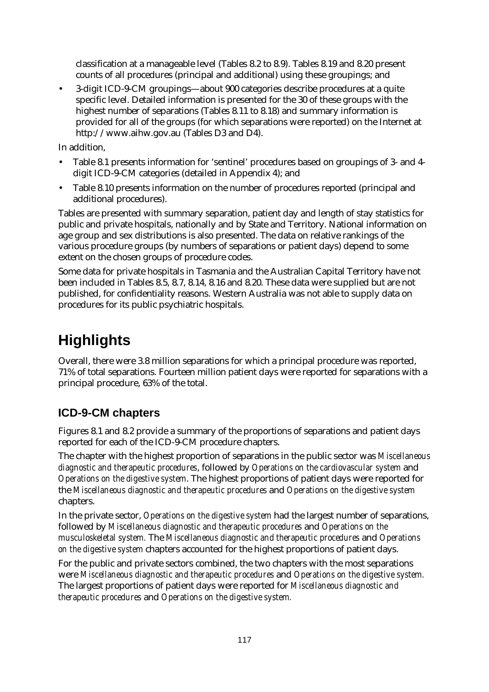classification at a manageable level (Tables 8.2 to 8.9). Tables 8.19 and 8.20 present counts of all procedures (principal and additional) using these groupings; and

• 3-digit ICD-9-CM groupings— about 900 categories describe procedures at a quite specific level. Detailed information is presented for the 30 of these groups with the highest number of separations (Tables 8.11 to 8.18) and summary information is provided for all of the groups (for which separations were reported) on the Internet at http://www.aihw.gov.au (Tables D3 and D4).

In addition,

- Table 8.1 presents information for 'sentinel' procedures based on groupings of 3- and 4 digit ICD-9-CM categories (detailed in Appendix 4); and
- Table 8.10 presents information on the number of procedures reported (principal and additional procedures).

Tables are presented with summary separation, patient day and length of stay statistics for public and private hospitals, nationally and by State and Territory. National information on age group and sex distributions is also presented. The data on relative rankings of the various procedure groups (by numbers of separations or patient days) depend to some extent on the chosen groups of procedure codes.

Some data for private hospitals in Tasmania and the Australian Capital Territory have not been included in Tables 8.5, 8.7, 8.14, 8.16 and 8.20. These data were supplied but are not published, for confidentiality reasons. Western Australia was not able to supply data on procedures for its public psychiatric hospitals.

# **Highlights**

Overall, there were 3.8 million separations for which a principal procedure was reported, 71% of total separations. Fourteen million patient days were reported for separations with a principal procedure, 63% of the total.

# **ICD-9-CM chapters**

Figures 8.1 and 8.2 provide a summary of the proportions of separations and patient days reported for each of the ICD-9-CM procedure chapters.

The chapter with the highest proportion of separations in the public sector was *Miscellaneous diagnostic and therapeutic procedures*, followed by *Operations on the cardiovascular system* and *Operations on the digestive system*. The highest proportions of patient days were reported for the *Miscellaneous diagnostic and therapeutic procedures* and *Operations on the digestive system* chapters.

In the private sector, *Operations on the digestive system* had the largest number of separations, followed by *Miscellaneous diagnostic and therapeutic procedures* and *Operations on the musculoskeletal system.* The *Miscellaneous diagnostic and therapeutic procedures* and *Operations on the digestive system* chapters accounted for the highest proportions of patient days.

For the public and private sectors combined, the two chapters with the most separations were *Miscellaneous diagnostic and therapeutic procedures* and *Operations on the digestive system.* The largest proportions of patient days were reported for *Miscellaneous diagnostic and therapeutic procedures* and *Operations on the digestive system.*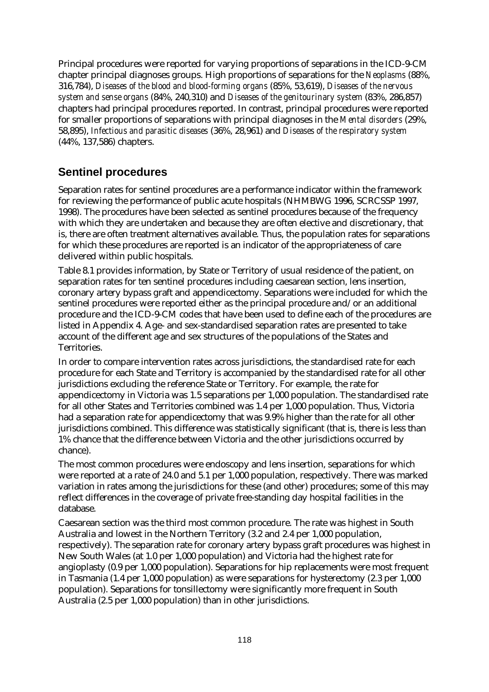Principal procedures were reported for varying proportions of separations in the ICD-9-CM chapter principal diagnoses groups. High proportions of separations for the *Neoplasms* (88%, 316,784), *Diseases of the blood and blood-forming organs* (85%, 53,619), *Diseases of the nervous system and sense organs* (84%, 240,310) and *Diseases of the genitourinary system* (83%, 286,857) chapters had principal procedures reported. In contrast, principal procedures were reported for smaller proportions of separations with principal diagnoses in the *Mental disorders* (29%, 58,895), *Infectious and parasitic diseases* (36%, 28,961) and *Diseases of the respiratory system* (44%, 137,586) chapters.

## **Sentinel procedures**

Separation rates for sentinel procedures are a performance indicator within the framework for reviewing the performance of public acute hospitals (NHMBWG 1996, SCRCSSP 1997, 1998). The procedures have been selected as sentinel procedures because of the frequency with which they are undertaken and because they are often elective and discretionary, that is, there are often treatment alternatives available. Thus, the population rates for separations for which these procedures are reported is an indicator of the appropriateness of care delivered within public hospitals.

Table 8.1 provides information, by State or Territory of usual residence of the patient, on separation rates for ten sentinel procedures including caesarean section, lens insertion, coronary artery bypass graft and appendicectomy. Separations were included for which the sentinel procedures were reported either as the principal procedure and/or an additional procedure and the ICD-9-CM codes that have been used to define each of the procedures are listed in Appendix 4. Age- and sex-standardised separation rates are presented to take account of the different age and sex structures of the populations of the States and Territories.

In order to compare intervention rates across jurisdictions, the standardised rate for each procedure for each State and Territory is accompanied by the standardised rate for all other jurisdictions excluding the reference State or Territory. For example, the rate for appendicectomy in Victoria was 1.5 separations per 1,000 population. The standardised rate for all other States and Territories combined was 1.4 per 1,000 population. Thus, Victoria had a separation rate for appendicectomy that was 9.9% higher than the rate for all other jurisdictions combined. This difference was statistically significant (that is, there is less than 1% chance that the difference between Victoria and the other jurisdictions occurred by chance).

The most common procedures were endoscopy and lens insertion, separations for which were reported at a rate of 24.0 and 5.1 per 1,000 population, respectively. There was marked variation in rates among the jurisdictions for these (and other) procedures; some of this may reflect differences in the coverage of private free-standing day hospital facilities in the database.

Caesarean section was the third most common procedure. The rate was highest in South Australia and lowest in the Northern Territory (3.2 and 2.4 per 1,000 population, respectively). The separation rate for coronary artery bypass graft procedures was highest in New South Wales (at 1.0 per 1,000 population) and Victoria had the highest rate for angioplasty (0.9 per 1,000 population). Separations for hip replacements were most frequent in Tasmania (1.4 per 1,000 population) as were separations for hysterectomy (2.3 per 1,000 population). Separations for tonsillectomy were significantly more frequent in South Australia (2.5 per 1,000 population) than in other jurisdictions.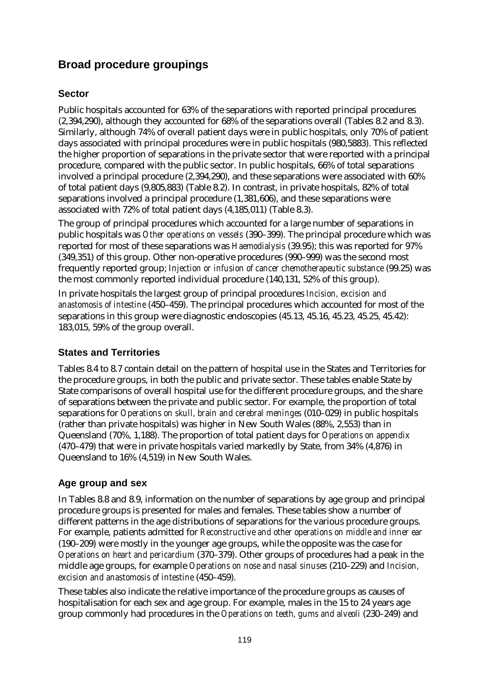# **Broad procedure groupings**

#### **Sector**

Public hospitals accounted for 63% of the separations with reported principal procedures (2,394,290), although they accounted for 68% of the separations overall (Tables 8.2 and 8.3). Similarly, although 74% of overall patient days were in public hospitals, only 70% of patient days associated with principal procedures were in public hospitals (980,5883). This reflected the higher proportion of separations in the private sector that were reported with a principal procedure, compared with the public sector. In public hospitals, 66% of total separations involved a principal procedure (2,394,290), and these separations were associated with 60% of total patient days (9,805,883) (Table 8.2). In contrast, in private hospitals, 82% of total separations involved a principal procedure (1,381,606), and these separations were associated with 72% of total patient days (4,185,011) (Table 8.3).

The group of principal procedures which accounted for a large number of separations in public hospitals was *Other operations on vessels* (390–399). The principal procedure which was reported for most of these separations was *Haemodialysis* (39.95); this was reported for 97% (349,351) of this group. Other non-operative procedures (990–999) was the second most frequently reported group; *Injection or infusion of cancer chemotherapeutic substance* (99.25) was the most commonly reported individual procedure (140,131, 52% of this group).

In private hospitals the largest group of principal procedures *Incision, excision and anastomosis of intestine* (450–459). The principal procedures which accounted for most of the separations in this group were diagnostic endoscopies (45.13, 45.16, 45.23, 45.25, 45.42): 183,015, 59% of the group overall.

#### **States and Territories**

Tables 8.4 to 8.7 contain detail on the pattern of hospital use in the States and Territories for the procedure groups, in both the public and private sector. These tables enable State by State comparisons of overall hospital use for the different procedure groups, and the share of separations between the private and public sector. For example, the proportion of total separations for *Operations on skull, brain and cerebral meninges* (010–029) in public hospitals (rather than private hospitals) was higher in New South Wales (88%, 2,553) than in Queensland (70%, 1,188). The proportion of total patient days for *Operations on appendix* (470–479) that were in private hospitals varied markedly by State, from 34% (4,876) in Queensland to 16% (4,519) in New South Wales.

#### **Age group and sex**

In Tables 8.8 and 8.9, information on the number of separations by age group and principal procedure groups is presented for males and females. These tables show a number of different patterns in the age distributions of separations for the various procedure groups. For example, patients admitted for *Reconstructive and other operations on middle and inner ear* (190–209) were mostly in the younger age groups, while the opposite was the case for *Operations on heart and pericardium* (370–379). Other groups of procedures had a peak in the middle age groups, for example *Operations on nose and nasal sinuses* (210–229) and *Incision, excision and anastomosis of intestine* (450–459).

These tables also indicate the relative importance of the procedure groups as causes of hospitalisation for each sex and age group. For example, males in the 15 to 24 years age group commonly had procedures in the *Operations on teeth, gums and alveoli* (230–249) and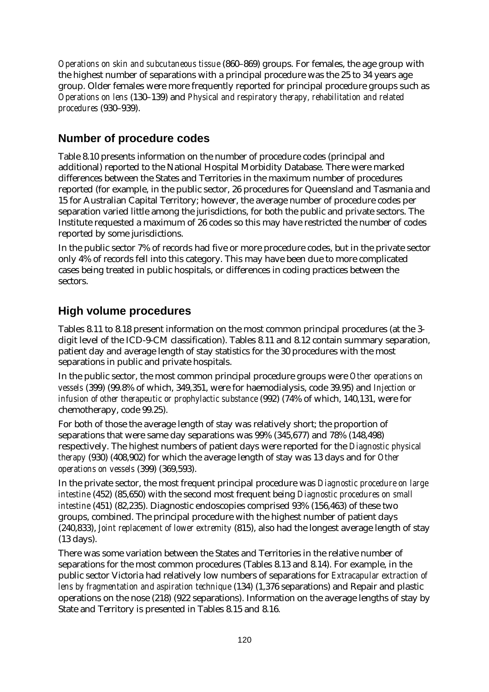*Operations on skin and subcutaneous tissue* (860–869) groups. For females, the age group with the highest number of separations with a principal procedure was the 25 to 34 years age group. Older females were more frequently reported for principal procedure groups such as *Operations on lens* (130–139) and *Physical and respiratory therapy, rehabilitation and related procedures* (930–939).

## **Number of procedure codes**

Table 8.10 presents information on the number of procedure codes (principal and additional) reported to the National Hospital Morbidity Database. There were marked differences between the States and Territories in the maximum number of procedures reported (for example, in the public sector, 26 procedures for Queensland and Tasmania and 15 for Australian Capital Territory; however, the average number of procedure codes per separation varied little among the jurisdictions, for both the public and private sectors. The Institute requested a maximum of 26 codes so this may have restricted the number of codes reported by some jurisdictions.

In the public sector 7% of records had five or more procedure codes, but in the private sector only 4% of records fell into this category. This may have been due to more complicated cases being treated in public hospitals, or differences in coding practices between the sectors.

## **High volume procedures**

Tables 8.11 to 8.18 present information on the most common principal procedures (at the 3 digit level of the ICD-9-CM classification). Tables 8.11 and 8.12 contain summary separation, patient day and average length of stay statistics for the 30 procedures with the most separations in public and private hospitals.

In the public sector, the most common principal procedure groups were *Other operations on vessels* (399) (99.8% of which, 349,351, were for haemodialysis, code 39.95) and *Injection or infusion of other therapeutic or prophylactic substance* (992) (74% of which, 140,131, were for chemotherapy, code 99.25).

For both of those the average length of stay was relatively short; the proportion of separations that were same day separations was 99% (345,677) and 78% (148,498) respectively. The highest numbers of patient days were reported for the *Diagnostic physical therapy* (930) (408,902) for which the average length of stay was 13 days and for *Other operations on vessels* (399) (369,593).

In the private sector, the most frequent principal procedure was *Diagnostic procedure on large intestine* (452) (85,650) with the second most frequent being *Diagnostic procedures on small intestine* (451) (82,235). Diagnostic endoscopies comprised 93% (156,463) of these two groups, combined. The principal procedure with the highest number of patient days (240,833), *Joint replacement of lower extremity* (815), also had the longest average length of stay (13 days).

There was some variation between the States and Territories in the relative number of separations for the most common procedures (Tables 8.13 and 8.14). For example, in the public sector Victoria had relatively low numbers of separations for *Extracapular extraction of lens by fragmentation and aspiration technique* (134) (1,376 separations) and Repair and plastic operations on the nose (218) (922 separations). Information on the average lengths of stay by State and Territory is presented in Tables 8.15 and 8.16.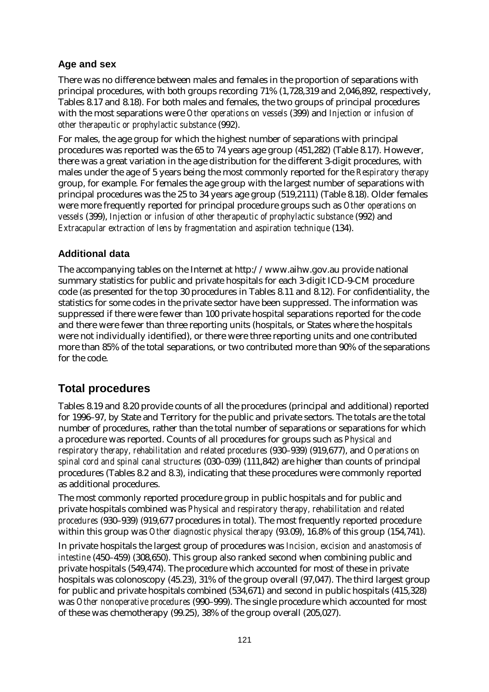#### **Age and sex**

There was no difference between males and females in the proportion of separations with principal procedures, with both groups recording 71% (1,728,319 and 2,046,892, respectively, Tables 8.17 and 8.18). For both males and females, the two groups of principal procedures with the most separations were *Other operations on vessels* (399) and *Injection or infusion of other therapeutic or prophylactic substance* (992).

For males, the age group for which the highest number of separations with principal procedures was reported was the 65 to 74 years age group (451,282) (Table 8.17). However, there was a great variation in the age distribution for the different 3-digit procedures, with males under the age of 5 years being the most commonly reported for the *Respiratory therapy* group, for example. For females the age group with the largest number of separations with principal procedures was the 25 to 34 years age group (519,2111) (Table 8.18). Older females were more frequently reported for principal procedure groups such as *Other operations on vessels* (399), *Injection or infusion of other therapeutic of prophylactic substance* (992) and *Extracapular extraction of lens by fragmentation and aspiration technique* (134).

#### **Additional data**

The accompanying tables on the Internet at http://www.aihw.gov.au provide national summary statistics for public and private hospitals for each 3-digit ICD-9-CM procedure code (as presented for the top 30 procedures in Tables 8.11 and 8.12). For confidentiality, the statistics for some codes in the private sector have been suppressed. The information was suppressed if there were fewer than 100 private hospital separations reported for the code and there were fewer than three reporting units (hospitals, or States where the hospitals were not individually identified), or there were three reporting units and one contributed more than 85% of the total separations, or two contributed more than 90% of the separations for the code.

# **Total procedures**

Tables 8.19 and 8.20 provide counts of all the procedures (principal and additional) reported for 1996–97, by State and Territory for the public and private sectors. The totals are the total number of procedures, rather than the total number of separations or separations for which a procedure was reported. Counts of all procedures for groups such as *Physical and respiratory therapy, rehabilitation and related procedures* (930–939) (919,677), and *Operations on spinal cord and spinal canal structures* (030–039) (111,842) are higher than counts of principal procedures (Tables 8.2 and 8.3), indicating that these procedures were commonly reported as additional procedures.

The most commonly reported procedure group in public hospitals and for public and private hospitals combined was *Physical and respiratory therapy, rehabilitation and related procedures* (930–939) (919,677 procedures in total). The most frequently reported procedure within this group was *Other diagnostic physical therapy* (93.09), 16.8% of this group (154,741).

In private hospitals the largest group of procedures was *Incision, excision and anastomosis of intestine* (450–459) (308,650). This group also ranked second when combining public and private hospitals (549,474). The procedure which accounted for most of these in private hospitals was colonoscopy (45.23), 31% of the group overall (97,047). The third largest group for public and private hospitals combined (534,671) and second in public hospitals (415,328) was *Other nonoperative procedures* (990–999). The single procedure which accounted for most of these was chemotherapy (99.25), 38% of the group overall (205,027).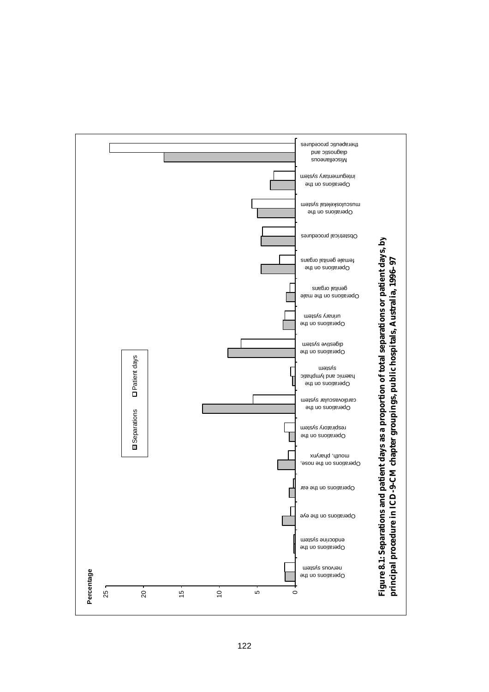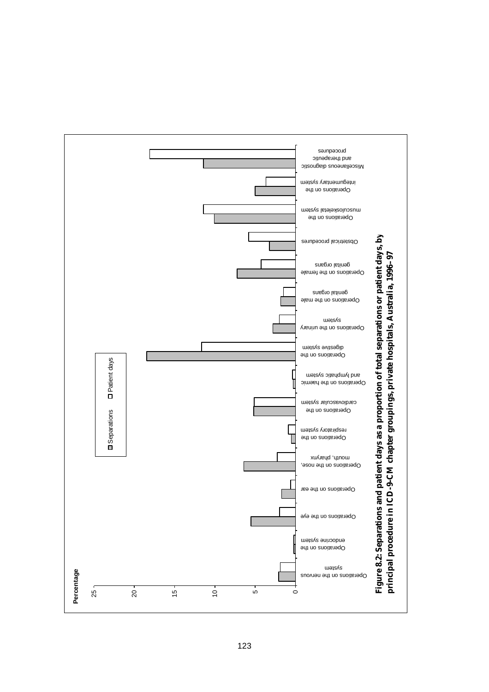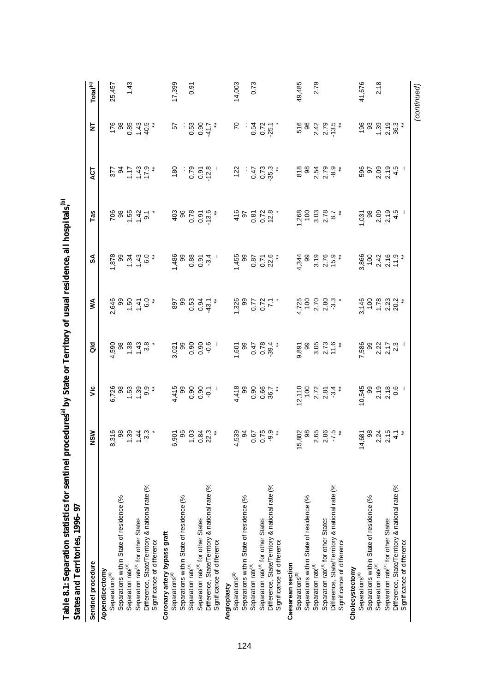| States and Territories, 1996–97                 |                                                                                                  |                                                                                                     |                                                                      |                                                                                                                                                                                                                                                                                                                    |                                                             |                                                               |                                                         |                                  |                      |
|-------------------------------------------------|--------------------------------------------------------------------------------------------------|-----------------------------------------------------------------------------------------------------|----------------------------------------------------------------------|--------------------------------------------------------------------------------------------------------------------------------------------------------------------------------------------------------------------------------------------------------------------------------------------------------------------|-------------------------------------------------------------|---------------------------------------------------------------|---------------------------------------------------------|----------------------------------|----------------------|
| Sentinel procedure                              | NSW                                                                                              | ۶Ë                                                                                                  | <b>Ja</b>                                                            | ⋚                                                                                                                                                                                                                                                                                                                  | ≲                                                           | Tas                                                           | 4CT                                                     | ₫                                | Total <sup>(c)</sup> |
| Appendicectomy<br>Separations <sup>(d)</sup>    |                                                                                                  |                                                                                                     |                                                                      |                                                                                                                                                                                                                                                                                                                    |                                                             |                                                               |                                                         |                                  | 25,457               |
| Separations within State of residence (%        |                                                                                                  | 0.726<br>0.83<br>0.739.34                                                                           | $4.590$<br>$98$<br>$68$<br>$7.3$<br>$7.3$<br>$7.3$<br>$7.3$<br>$7.3$ | $2,646$<br>$99$<br>$7$<br>$7$<br>$7$<br>$6$<br>$6$<br>$7$<br>$6$<br>$6$<br>$7$<br>$6$<br>$6$<br>$7$<br>$6$<br>$7$<br>$6$<br>$7$<br>$6$<br>$7$<br>$6$<br>$7$<br>$7$<br>$6$<br>$8$<br>$7$<br>$7$<br>$6$<br>$7$<br>$7$<br>$8$<br>$7$<br>$7$<br>$7$<br>$8$<br>$7$<br>$7$<br>$7$<br>$8$<br>$7$<br>$7$<br>$7$<br>$7$<br> | $600770$<br>$600770$                                        | 08 5 7 7 °<br>08 5 7 7 °                                      | $274$<br>$747$<br>$747$<br>$75$<br>$75$<br>$75$<br>$75$ | $7888970$<br>0.0 4 0.1<br>0.1 91 |                      |
| Separation rate <sup>(e)</sup>                  |                                                                                                  |                                                                                                     |                                                                      |                                                                                                                                                                                                                                                                                                                    |                                                             |                                                               |                                                         |                                  | 1.43                 |
| Separation rate <sup>(e)</sup> for other States |                                                                                                  |                                                                                                     |                                                                      |                                                                                                                                                                                                                                                                                                                    |                                                             |                                                               |                                                         |                                  |                      |
| Difference, State/Territory & national rate (%  |                                                                                                  |                                                                                                     |                                                                      |                                                                                                                                                                                                                                                                                                                    |                                                             |                                                               |                                                         |                                  |                      |
| Significance of difference                      |                                                                                                  |                                                                                                     |                                                                      |                                                                                                                                                                                                                                                                                                                    |                                                             |                                                               |                                                         |                                  |                      |
| Coronary artery bypass graft                    |                                                                                                  |                                                                                                     |                                                                      |                                                                                                                                                                                                                                                                                                                    |                                                             |                                                               |                                                         |                                  |                      |
| Separations <sup>(d)</sup>                      |                                                                                                  |                                                                                                     |                                                                      |                                                                                                                                                                                                                                                                                                                    |                                                             |                                                               |                                                         | 57                               | 17,399               |
| Separations within State of residence (%        |                                                                                                  |                                                                                                     |                                                                      |                                                                                                                                                                                                                                                                                                                    |                                                             |                                                               |                                                         |                                  |                      |
| Separation rate <sup>(e)</sup>                  |                                                                                                  |                                                                                                     |                                                                      |                                                                                                                                                                                                                                                                                                                    |                                                             |                                                               |                                                         |                                  | 0.91                 |
| Separation rate <sup>(e)</sup> for other States |                                                                                                  |                                                                                                     |                                                                      |                                                                                                                                                                                                                                                                                                                    |                                                             |                                                               |                                                         |                                  |                      |
| Difference, State/Territory & national rate (%  | 6,901<br>1.03<br>0.84<br>0.22.3                                                                  | $47000000$<br>$47000000$                                                                            | 2799999990                                                           |                                                                                                                                                                                                                                                                                                                    | $4808057$<br>$40007$<br>$-001$                              |                                                               |                                                         | $0.53$<br>0.90<br>41.7           |                      |
| Significance of difference                      |                                                                                                  |                                                                                                     |                                                                      |                                                                                                                                                                                                                                                                                                                    |                                                             | $403$<br>$0.75$<br>$0.75$<br>$0.75$<br>$0.75$<br>$0.75$       | $180$<br>$0.79$<br>$0.72$<br>$0.72$<br>$0.72$           |                                  |                      |
| Angioplasty                                     |                                                                                                  |                                                                                                     |                                                                      |                                                                                                                                                                                                                                                                                                                    |                                                             |                                                               |                                                         |                                  |                      |
| Separations <sup>(d)</sup>                      |                                                                                                  |                                                                                                     |                                                                      |                                                                                                                                                                                                                                                                                                                    |                                                             |                                                               |                                                         | $\approx$                        | 14,003               |
| Separations within State of residence (%        |                                                                                                  |                                                                                                     |                                                                      |                                                                                                                                                                                                                                                                                                                    |                                                             |                                                               |                                                         |                                  |                      |
| Separation rate <sup>(e)</sup>                  | $4,539$<br>$0,539$<br>$0,759$<br>$0,759$<br>$0,759$<br>$0,759$                                   |                                                                                                     |                                                                      | $7,728$<br>0.727<br>1.727                                                                                                                                                                                                                                                                                          |                                                             |                                                               |                                                         | $-0.75$<br>$-0.75$               | 0.73                 |
| Separation rate <sup>(e)</sup> for other States |                                                                                                  |                                                                                                     |                                                                      |                                                                                                                                                                                                                                                                                                                    |                                                             |                                                               |                                                         |                                  |                      |
| Difference, State/Territory & national rate (%  |                                                                                                  |                                                                                                     |                                                                      |                                                                                                                                                                                                                                                                                                                    |                                                             |                                                               |                                                         |                                  |                      |
| Significance of difference                      |                                                                                                  | $4,418$<br>$0.99$<br>$0.66$<br>$0.5$<br>$0.5$<br>$0.5$<br>$0.5$<br>$0.5$<br>$0.5$<br>$0.5$<br>$0.5$ | $1.601$<br>$0.478$<br>$0.784$<br>$0.784$<br>$0.76$<br>$0.76$         |                                                                                                                                                                                                                                                                                                                    | $1,455$<br>$0.87$<br>$0.76$<br>$0.76$<br>$22.6$             | $476$<br>$357$<br>$307$<br>$24$<br>$307$<br>$24$<br>$24$      | $122$<br>0.47<br>0.53<br>0.73                           |                                  |                      |
| Caesarean section                               |                                                                                                  |                                                                                                     |                                                                      |                                                                                                                                                                                                                                                                                                                    |                                                             |                                                               |                                                         |                                  |                      |
| Separations <sup>(d)</sup>                      |                                                                                                  |                                                                                                     |                                                                      |                                                                                                                                                                                                                                                                                                                    |                                                             |                                                               |                                                         |                                  | 49,485               |
| Separations within State of residence (%        |                                                                                                  |                                                                                                     |                                                                      |                                                                                                                                                                                                                                                                                                                    |                                                             |                                                               |                                                         |                                  |                      |
| Separation rate <sup>(e)</sup>                  |                                                                                                  |                                                                                                     |                                                                      |                                                                                                                                                                                                                                                                                                                    |                                                             | $1,268$<br>$-3,36$<br>$-3,78$<br>$-3,8$<br>$-3,78$<br>$-3,78$ |                                                         | $584704$<br>$0.4707$<br>$0.4707$ | 2.79                 |
| Separation rate <sup>(e)</sup> for other States |                                                                                                  |                                                                                                     |                                                                      |                                                                                                                                                                                                                                                                                                                    |                                                             |                                                               |                                                         |                                  |                      |
| Difference, State/Territory & national rate (%  |                                                                                                  |                                                                                                     |                                                                      |                                                                                                                                                                                                                                                                                                                    |                                                             |                                                               |                                                         |                                  |                      |
| Significance of difference                      |                                                                                                  | $\frac{275}{275}$<br>$\frac{275}{275}$<br>$\frac{275}{275}$<br>$\frac{275}{275}$                    | 9,891<br>995<br>9,05<br>9,073<br>11.6                                | $4,725$<br>$7,80$<br>$2,80$<br>$2,30$<br>$3,7$                                                                                                                                                                                                                                                                     | $4,344$<br>$3,76$<br>$3,76$<br>$5,76$<br>$15,76$<br>$15,76$ |                                                               |                                                         |                                  |                      |
| Cholecystectomy                                 |                                                                                                  |                                                                                                     |                                                                      |                                                                                                                                                                                                                                                                                                                    |                                                             |                                                               |                                                         |                                  |                      |
| Separations <sup>(d)</sup>                      |                                                                                                  | 10,545<br>99                                                                                        |                                                                      |                                                                                                                                                                                                                                                                                                                    |                                                             |                                                               |                                                         |                                  | 41,676               |
| Separations within State of residence (%        |                                                                                                  |                                                                                                     |                                                                      |                                                                                                                                                                                                                                                                                                                    |                                                             |                                                               |                                                         |                                  |                      |
| Separation rate <sup>(e)</sup>                  |                                                                                                  |                                                                                                     |                                                                      |                                                                                                                                                                                                                                                                                                                    |                                                             |                                                               |                                                         |                                  | 2.18                 |
| Separation rate <sup>(e)</sup> for other States |                                                                                                  |                                                                                                     |                                                                      |                                                                                                                                                                                                                                                                                                                    |                                                             |                                                               |                                                         |                                  |                      |
| Difference, State/Territory & national rate (%  | $4,68$<br>$0,8$<br>$0,7$<br>$0,7$<br>$0,7$<br>$0,7$<br>$0,7$<br>$0,7$<br>$0,7$<br>$0,7$<br>$0,7$ | $2.19$<br>$2.18$<br>$0.6$                                                                           | 7,586<br>09 21 7<br>21 7<br>21 7<br>21 7                             | 3,146<br>100<br>1.78<br>2.202                                                                                                                                                                                                                                                                                      | 3,866<br>700<br>2,41 0,7<br>7,7<br>7,7                      |                                                               | 559999                                                  | 9539907                          |                      |
| Significance of difference                      |                                                                                                  |                                                                                                     |                                                                      |                                                                                                                                                                                                                                                                                                                    |                                                             |                                                               |                                                         |                                  |                      |

*(continued)*

(continued)

**Table 8.1: Separation statistics for sentinel procedures (a) by State or Territory of usual residence, all hospitals,**

**(b)**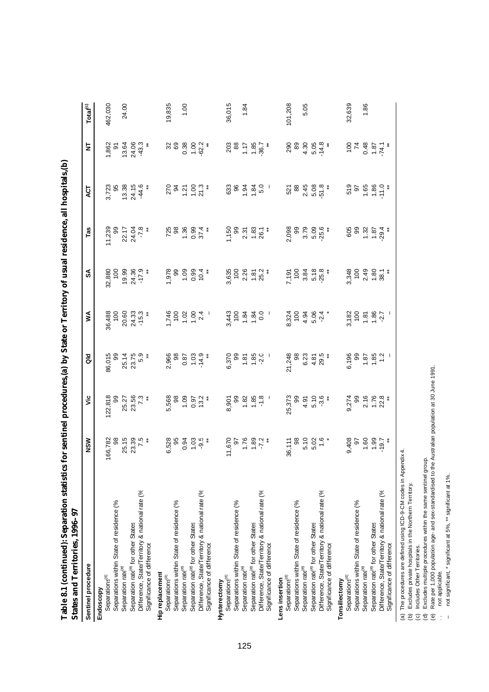| <b>Statistic</b><br>Ę<br>States and Territories, 1996–97 |                                                    |                                      |                                                 |                                                                                                                                                                                         |                                                                           |                                                 | c, an mophems, w                                                                                               |                                                             |                      |
|----------------------------------------------------------|----------------------------------------------------|--------------------------------------|-------------------------------------------------|-----------------------------------------------------------------------------------------------------------------------------------------------------------------------------------------|---------------------------------------------------------------------------|-------------------------------------------------|----------------------------------------------------------------------------------------------------------------|-------------------------------------------------------------|----------------------|
| Sentinel procedure                                       | NSW                                                | ۶Ë                                   | $\frac{d}{d}$                                   | ⋚                                                                                                                                                                                       | æ                                                                         | Tas                                             | ЧЭМ                                                                                                            | 눈                                                           | Total <sup>(c)</sup> |
| Separations <sup>(d)</sup><br>Endoscopy                  | 166,782                                            | 122,818                              |                                                 |                                                                                                                                                                                         |                                                                           |                                                 |                                                                                                                |                                                             | 462,030              |
| Separations within State of residence (%                 | 8                                                  | 8                                    |                                                 |                                                                                                                                                                                         |                                                                           |                                                 |                                                                                                                | 1,862<br>97                                                 |                      |
| Separation raté <sup>e)</sup>                            |                                                    | 25.27<br>23.56<br>7.3                | 86,015<br>99<br>25.75<br>23.75<br>23.75         | 36,488<br>100<br>20.60<br>24.5.3<br>-15.3                                                                                                                                               | 32,880<br>100<br>19.99<br>24.36<br>-17.9                                  | 11,239<br>09 5 17 17 18<br>2 2 17 18<br>17 18 1 | 3,723<br>55 38<br>544.6<br>7<br>44.6                                                                           | 13.64<br>24.33.3<br>24.33                                   | 24.00                |
| Separation rate <sup>e)</sup> for other States           | 25.15<br>23.39<br>7.5                              |                                      |                                                 |                                                                                                                                                                                         |                                                                           |                                                 |                                                                                                                |                                                             |                      |
| Difference, State/Territory & national rate (%           |                                                    |                                      |                                                 |                                                                                                                                                                                         |                                                                           |                                                 |                                                                                                                |                                                             |                      |
| Significance of difference                               |                                                    |                                      |                                                 |                                                                                                                                                                                         |                                                                           |                                                 |                                                                                                                |                                                             |                      |
| Hip replacement                                          |                                                    |                                      |                                                 |                                                                                                                                                                                         |                                                                           |                                                 |                                                                                                                |                                                             |                      |
| Separations <sup>(d)</sup>                               |                                                    |                                      |                                                 |                                                                                                                                                                                         | $1,000000000$<br>$-0.0000000$                                             |                                                 |                                                                                                                |                                                             | 19,835               |
| Separations within State of residence (%                 |                                                    |                                      |                                                 |                                                                                                                                                                                         |                                                                           |                                                 |                                                                                                                | <u>ಜ</u> ಜ                                                  |                      |
| Separation rate <sup>(e)</sup>                           | 6,528<br>0.91<br>6.91<br>6.93 9                    | 5,568<br>0.00<br>5,000<br>5,000      | $2,966$<br>$0.87$<br>$0.03$<br>$14.9$<br>$14.9$ | $\frac{1}{2}$<br>$\frac{1}{2}$<br>$\frac{1}{2}$<br>$\frac{1}{2}$<br>$\frac{1}{2}$<br>$\frac{1}{2}$<br>$\frac{1}{2}$<br>$\frac{1}{2}$<br>$\frac{1}{2}$<br>$\frac{1}{2}$<br>$\frac{1}{2}$ |                                                                           | $7288004*$<br>$7380004*$                        | 22 2 5 3 3 4 7 8 9 7 8 9 7 8 9 7 8 9 7 8 9 7 8 9 7 8 9 7 8 9 7 8 9 7 8 9 7 8 9 7 8 9 7 8 9 7 8 9 7 8 9 7 8 9 7 | $0.38$<br>$-6.2$<br>$-6.3$                                  | 1.00                 |
| Separation rate <sup>e)</sup> for other States           |                                                    |                                      |                                                 |                                                                                                                                                                                         |                                                                           |                                                 |                                                                                                                |                                                             |                      |
| Difference, State/Territory & national rate (%           |                                                    |                                      |                                                 |                                                                                                                                                                                         |                                                                           |                                                 |                                                                                                                |                                                             |                      |
| Significance of difference                               |                                                    |                                      |                                                 |                                                                                                                                                                                         |                                                                           |                                                 |                                                                                                                |                                                             |                      |
| Hysterectomy                                             |                                                    |                                      |                                                 |                                                                                                                                                                                         |                                                                           |                                                 |                                                                                                                |                                                             |                      |
| Separations <sup>(d)</sup>                               |                                                    |                                      |                                                 |                                                                                                                                                                                         |                                                                           |                                                 |                                                                                                                |                                                             | 36,015               |
| Separations within State of residence (%                 |                                                    |                                      |                                                 |                                                                                                                                                                                         |                                                                           |                                                 |                                                                                                                |                                                             |                      |
| Separation raté <sup>e)</sup>                            | **<br>1.76<br>1.72<br>1.72<br>1.84                 | 8,901<br>98 22 32 4<br>98 32 52 9    | $6,370$<br>$99$<br>$1,85$<br>$1,80$<br>$1,80$   | $3, 43$<br>$4, 8$<br>$4, 8$<br>$4, 8$<br>$4, 8$<br>$4, 8$<br>$5$<br>$6$<br>$1$                                                                                                          | 3,635<br>100<br>2.85<br>1.87<br>25.2*                                     |                                                 | 6389420                                                                                                        |                                                             | 1.84                 |
| Separation rate <sup>e)</sup> for other States           |                                                    |                                      |                                                 |                                                                                                                                                                                         |                                                                           |                                                 |                                                                                                                |                                                             |                      |
| Difference, State/Territory & national rate (%           |                                                    |                                      |                                                 |                                                                                                                                                                                         |                                                                           |                                                 |                                                                                                                |                                                             |                      |
| Significance of difference                               |                                                    |                                      |                                                 |                                                                                                                                                                                         |                                                                           |                                                 |                                                                                                                |                                                             |                      |
| Lens insertion                                           |                                                    |                                      |                                                 |                                                                                                                                                                                         |                                                                           |                                                 |                                                                                                                |                                                             |                      |
| Separations <sup>(a)</sup>                               |                                                    |                                      |                                                 |                                                                                                                                                                                         |                                                                           |                                                 |                                                                                                                |                                                             | 101,208              |
| Separations within State of residence (%                 | 36,111<br>98                                       |                                      |                                                 |                                                                                                                                                                                         |                                                                           |                                                 |                                                                                                                |                                                             |                      |
| Separation rate <sup>e)</sup>                            |                                                    |                                      |                                                 |                                                                                                                                                                                         |                                                                           |                                                 |                                                                                                                |                                                             | 5.05                 |
| Separation rate <sup>e)</sup> for other States           |                                                    |                                      |                                                 |                                                                                                                                                                                         |                                                                           |                                                 |                                                                                                                |                                                             |                      |
| Difference, State/Territory & national rate (%           | $\begin{array}{c} 100 \\ 0.00 \\ 0.00 \end{array}$ | 25,373<br>99<br>4.91<br>5.10<br>5.3. | 21,248<br>6.23<br>20.34<br>20.423*              | $8,324$<br>$7,96$<br>$4,96$<br>$6,94$<br>$7,94$<br>$7,94$                                                                                                                               | 7,191<br>100<br>5,34<br>5,25,*                                            | 098<br>098 P 096<br>0.098<br>0.099              | $584088$<br>$0.8408$<br>$0.5$<br>$0.5$                                                                         | $289.868$<br>$4.648$<br>$4.64$                              |                      |
| Significance of difference                               |                                                    |                                      |                                                 |                                                                                                                                                                                         |                                                                           |                                                 |                                                                                                                |                                                             |                      |
| Tonsillectomy                                            |                                                    |                                      |                                                 |                                                                                                                                                                                         |                                                                           |                                                 |                                                                                                                |                                                             |                      |
| Separations <sup>(d)</sup>                               |                                                    |                                      |                                                 |                                                                                                                                                                                         |                                                                           |                                                 |                                                                                                                |                                                             | 32,639               |
| Separations within State of residence (%                 |                                                    |                                      |                                                 |                                                                                                                                                                                         |                                                                           |                                                 |                                                                                                                |                                                             |                      |
| Separation raté <sup>e)</sup>                            |                                                    |                                      |                                                 |                                                                                                                                                                                         |                                                                           |                                                 |                                                                                                                |                                                             | 1.86                 |
| Separation rate <sup>e)</sup> for other States           |                                                    |                                      |                                                 |                                                                                                                                                                                         |                                                                           |                                                 |                                                                                                                |                                                             |                      |
| Difference, State/Territory & national rate (%           | 9,408<br>0.60<br>0.907<br>0.737                    | 9,274<br>99 10<br>0,176<br>0,23      |                                                 | $3,182$<br>$1,80$<br>$1,80$<br>$1,80$<br>$1,80$<br>$1,7$<br>$1,80$                                                                                                                      | $3,348$<br>$7,348$<br>$7,80$<br>$7,8$<br>$7,8$<br>$7,8$<br>$7,8$<br>$7,8$ | $69.3254$<br>$-29.354$                          | $259.666$<br>$25.666$                                                                                          | $777$<br>$787$<br>$787$<br>$787$<br>$787$<br>$787$<br>$787$ |                      |
| Significance of difference                               |                                                    |                                      |                                                 |                                                                                                                                                                                         |                                                                           |                                                 |                                                                                                                |                                                             |                      |

Table 8.1 (continued): Separation statistics for sentinel procedures (a) by State or Territory of usual residence. all hospitals (b) **Table 8.1 (continued): Separation statistics for sentinel procedures,(a) by State or Territory of usual residence, all hospitals,(b)** 

(a) The procedures are defined using ICD-9-CM codes in Appendix 4.

(b) Excludes private hospitals in the Northern Territory.

(c) Includes Other Territories.

(d) Excludes multiple procedures within the same sentinel group.

(a) The procedures are defined using ICD-9-CM codes in Appendix 4.<br>(b) Excludes private hospitals in the Northern Territory.<br>(c) Includes Other Territories.<br>(d) Excludes multiple procedures within the same sentinel group.<br> (e) Rate per 1,000 population age- and sex-standardised to the Australian population at 30 June 1991.

.. not applicable.

– not significant, \* significant at 5%, \*\* significant at 1%.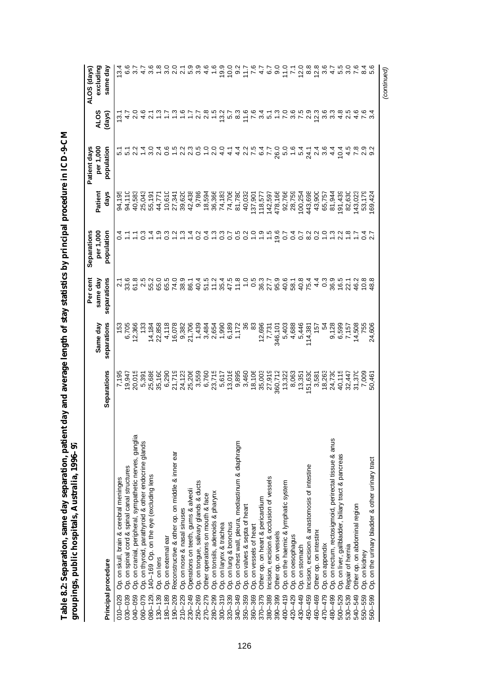| ーパ                                                 |                                 |
|----------------------------------------------------|---------------------------------|
|                                                    |                                 |
| Í                                                  |                                 |
|                                                    |                                 |
|                                                    |                                 |
|                                                    |                                 |
| I                                                  |                                 |
|                                                    |                                 |
|                                                    |                                 |
| ı                                                  |                                 |
|                                                    |                                 |
| ļ                                                  |                                 |
|                                                    |                                 |
|                                                    |                                 |
|                                                    |                                 |
|                                                    |                                 |
|                                                    |                                 |
|                                                    |                                 |
|                                                    |                                 |
|                                                    |                                 |
|                                                    |                                 |
|                                                    |                                 |
|                                                    |                                 |
|                                                    |                                 |
|                                                    |                                 |
| l                                                  | I                               |
| ֚֚֚֬<br>į<br>į                                     | ١                               |
|                                                    | I<br>í                          |
| l                                                  | I<br>l<br>١                     |
| ۴<br>ŕ<br>٠<br>ľ<br>j                              |                                 |
| l<br>֖֖ׅ֖֖֚֚֚֚֚֚֚֚֚֚֚֚֚֚֚֚֚֚֚֚֚֡֡֡֡֡֡֡֡֡֡֡֡֬֝<br>í | l<br>Ï                          |
| ä<br>Ĭ                                             | י<br>ì                          |
| Í<br>ĺ                                             |                                 |
| י                                                  | ֦֖֚֚֚֚֚֞֕֝֬<br>י<br>Ì<br>Į<br>l |
| I<br>l                                             |                                 |

|                                                                      |                             |                                                                                                                                                                                                                                                                                             | Per cent                           | Separations              |         | Patient days                          |                  | ALOS (days)       |
|----------------------------------------------------------------------|-----------------------------|---------------------------------------------------------------------------------------------------------------------------------------------------------------------------------------------------------------------------------------------------------------------------------------------|------------------------------------|--------------------------|---------|---------------------------------------|------------------|-------------------|
|                                                                      |                             | Same day                                                                                                                                                                                                                                                                                    | same day                           | per 1,000                | Patient | per 1,000                             | <b>ALOS</b>      | excluding         |
| Principal procedure                                                  | Separations                 | separations                                                                                                                                                                                                                                                                                 | separations                        | population               | days    | population                            | (days)           | same day          |
| Op. on skull, brain & cerebral meninges<br>010-029                   | 7,195                       |                                                                                                                                                                                                                                                                                             | $\overline{21}$                    |                          | 94,195  |                                       | $\frac{3}{2}$    | 13.4              |
| Op. on spinal cord & spinal canal structures<br>030-039              | 19,947                      |                                                                                                                                                                                                                                                                                             |                                    |                          | 94,110  |                                       |                  |                   |
| Op. on cranial, peripheral, sympathetic nerves, ganglia<br>040-059   | 20,015                      | 153<br>6,705<br>12,366                                                                                                                                                                                                                                                                      | 33.6<br>61.8                       |                          | 40,583  | 5 5 7 4<br>1 5 7 7 4                  |                  |                   |
| Op. on thyroid, parathyroid & other endocrine glands<br>060-079      | 5,391<br>25,686<br>35,160   | 133                                                                                                                                                                                                                                                                                         | 2<br>22 23 24 36<br>23 25 26 27 38 | 1011031311<br>1011031311 | 25,043  |                                       | $0.67$<br>$0.47$ | $\frac{1}{4}$     |
| 140-169 Op. on the eye (excluding lens<br>$080 - 129.$               |                             |                                                                                                                                                                                                                                                                                             |                                    |                          | 55,191  | $\frac{5}{3}$                         |                  | .<br>ო            |
| Op. on lens<br>$130 - 139$                                           |                             | 14,184<br>22,858                                                                                                                                                                                                                                                                            |                                    |                          | 44,771  | 2.4                                   | $\frac{3}{2}$    |                   |
| Op. on external ear<br>$180 - 189$                                   | 6,290                       |                                                                                                                                                                                                                                                                                             |                                    |                          | 10,610  | $\frac{6}{2}$                         |                  |                   |
| Reconstructive & other op. on middle & inner ear<br>190-209          | 21,719                      | 4,118<br>16,078                                                                                                                                                                                                                                                                             |                                    |                          | 27,341  |                                       |                  |                   |
| Op. on nose & nasal sinuses<br>$210 - 229$                           | 24,123                      | 9,382                                                                                                                                                                                                                                                                                       |                                    |                          | 39,620  | 2.2                                   |                  |                   |
| Operations on teeth, gums & alveoli<br>230-249                       | 25,206                      | 21,706                                                                                                                                                                                                                                                                                      | 86.1                               |                          | 42,438  | 23                                    | 5.987            | 00 - 0<br>00 - 00 |
| Op. on tongue, salivary glands & ducts<br>250-269                    |                             | 1,439                                                                                                                                                                                                                                                                                       | 40.4                               | $\frac{2}{5}$            | 9,786   | 0.5                                   | $\overline{27}$  | ္ကိ               |
| Other operations on mouth & face<br>270-279                          | 3,559<br>6,760              | $\begin{array}{l} 0.0161 \\ 0.0171 \\ 0.0171 \\ 0.0171 \\ 0.0171 \\ 0.0171 \\ 0.0171 \\ 0.0171 \\ 0.0171 \\ 0.0171 \\ 0.0171 \\ 0.0171 \\ 0.0171 \\ 0.0171 \\ 0.0171 \\ 0.0171 \\ 0.0171 \\ 0.0171 \\ 0.0171 \\ 0.0171 \\ 0.0171 \\ 0.0171 \\ 0.0171 \\ 0.0171 \\ 0.0171 \\ 0.0171 \\ 0.01$ | 51.5                               | $\overline{0}$           | 18,594  | $\frac{0}{1}$                         | $\frac{8}{2}$    | $\frac{6}{4}$     |
| Op. on tonsils, adenoids & pharynx<br>280-299                        | 23,715                      |                                                                                                                                                                                                                                                                                             | 11.2                               | $\frac{3}{2}$            | 36,366  | $\frac{0}{2}$                         | 1.5              |                   |
| Op. on larynx & trachea<br>$300 - 319$                               | 5,617<br>13,016             |                                                                                                                                                                                                                                                                                             | 35.4<br>47.5                       |                          | 74,183  | $\frac{0}{4}$                         | 7278             |                   |
| Op. on lung & bronchus<br>320-339                                    |                             |                                                                                                                                                                                                                                                                                             |                                    |                          | 74,706  | $\frac{1}{4}$                         |                  | 19.0<br>10.0      |
| Op. on chest wall, pleura, mediastinum & diaphragm<br>340-349        | 9,895<br>3,460              |                                                                                                                                                                                                                                                                                             |                                    |                          | 81,780  |                                       |                  | $\frac{5}{2}$     |
| Op. on valves & septa of heart<br>350-359                            |                             | 36                                                                                                                                                                                                                                                                                          |                                    |                          | 40,032  |                                       |                  | $7.7$<br>7.6      |
| Op. on vessels of heart<br>360-369                                   | 18,106                      | 83                                                                                                                                                                                                                                                                                          |                                    |                          | 137,901 |                                       |                  |                   |
| Other op. on heart & pericardium<br>$370 - 379$                      |                             |                                                                                                                                                                                                                                                                                             |                                    |                          | 118,577 | 4 U L Q L<br>4 U L Q L<br>4 U L Q 4 L |                  |                   |
| ncision, excision & occlusion of vessels<br>380-389                  | 35,003<br>27,919<br>360,712 |                                                                                                                                                                                                                                                                                             |                                    | 1.5                      | 142,597 |                                       |                  | $4.00$<br>$-7.7$  |
| Other op. on vessels<br>390-399                                      |                             |                                                                                                                                                                                                                                                                                             |                                    | 19.6                     | 478,166 |                                       |                  |                   |
| 400-419                                                              | 13,322                      | $7,731$ $7,731$ $346,101$ $4,688$ $5,468$ $6,466$ $6,466$ $6,466$                                                                                                                                                                                                                           |                                    | $\overline{c}$           | 92,766  | ooodrad<br>Goodrad<br>Ooodrad         |                  | 71.0              |
| Op. on the haemic & lymphatic system<br>Op. on oesophagus<br>420-429 | 8,063                       |                                                                                                                                                                                                                                                                                             |                                    | $\overline{0}$           | 28,759  |                                       |                  |                   |
| Op. on stomach<br>430-449                                            | 13,351                      |                                                                                                                                                                                                                                                                                             | $464$<br>$644$                     | $\overline{0}$           | 100,254 |                                       |                  | 12.0              |
| Incision, excision & anastomosis of intestine<br>450-459             | 151,630                     | 114,381                                                                                                                                                                                                                                                                                     |                                    | $\frac{2}{8}$            | 443,698 |                                       |                  | 8.8               |
| Other op. on intestine<br>460-469                                    | 3,581                       | 157                                                                                                                                                                                                                                                                                         |                                    | $\frac{2}{5}$            | 43,900  |                                       | ง<br>ค.ศ. 8<br>ด | 12.8              |
| Op. on appendix<br>470-479                                           | 18,263                      | 54                                                                                                                                                                                                                                                                                          | $\frac{3}{2}$                      |                          | 65,757  |                                       |                  | 3.6               |
| Op. on rectum, rectosigmoid, perirectal tissue & anus<br>480-499     | 24,730                      |                                                                                                                                                                                                                                                                                             |                                    | $\frac{3}{1}$            | 81,944  | 4.4                                   | 33               | $\frac{1}{4}$     |
| Op. on liver, gallbladder, biliary tract & pancreas<br>$500 - 529$   | 40,115                      | 9,128<br>6,599<br>7,157                                                                                                                                                                                                                                                                     | 96.5<br>16.5<br>22.1               |                          | 191,439 | 10.4                                  | 4.8              | 5.5               |
| Repair of hernia<br>530-539                                          | 32,447                      |                                                                                                                                                                                                                                                                                             |                                    | $\frac{8}{1}$            | 82,630  | 4.5                                   | 2.5              | .<br>თ            |
| Other op. on abdominal region<br>540-549                             | 31,370<br>7,009             | 14,508                                                                                                                                                                                                                                                                                      | 46.2                               |                          | 43,023  |                                       | $4.6$<br>7.6     |                   |
| Op. on kidney<br>550-559                                             |                             | 755                                                                                                                                                                                                                                                                                         | 10.8                               | 737                      | 53,179  | 0 0 1<br>0 0 1                        |                  |                   |
| Op. on the urinary bladder & other urinary tract<br>560-599          | 50,461                      | 24,606                                                                                                                                                                                                                                                                                      | 48.8                               |                          | 69,424  |                                       |                  |                   |
|                                                                      |                             |                                                                                                                                                                                                                                                                                             |                                    |                          |         |                                       |                  | (continued)       |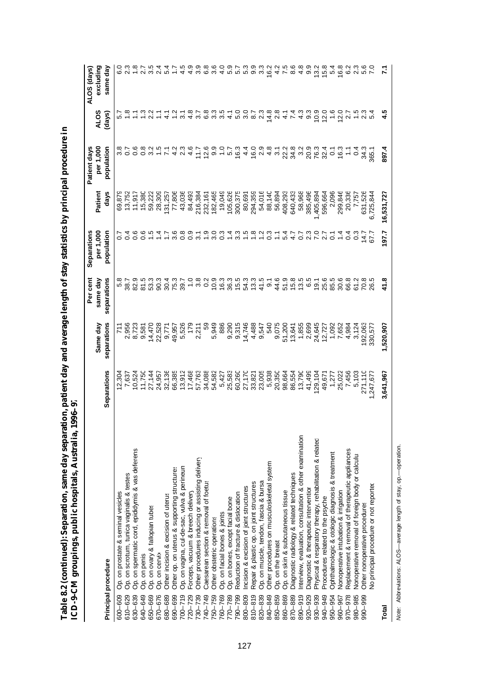| l                                                                                      |                                                                 |
|----------------------------------------------------------------------------------------|-----------------------------------------------------------------|
| Ī<br>l                                                                                 |                                                                 |
|                                                                                        |                                                                 |
| ı                                                                                      |                                                                 |
| I                                                                                      |                                                                 |
| ï                                                                                      |                                                                 |
|                                                                                        |                                                                 |
|                                                                                        |                                                                 |
|                                                                                        |                                                                 |
|                                                                                        |                                                                 |
|                                                                                        |                                                                 |
|                                                                                        |                                                                 |
|                                                                                        |                                                                 |
|                                                                                        |                                                                 |
| I                                                                                      |                                                                 |
| ׇ֚֕֡                                                                                   |                                                                 |
|                                                                                        |                                                                 |
|                                                                                        |                                                                 |
|                                                                                        | I                                                               |
|                                                                                        |                                                                 |
| ı                                                                                      |                                                                 |
| l                                                                                      |                                                                 |
|                                                                                        | Ì<br>Í                                                          |
| ŧ                                                                                      | ı<br>י<br>ו                                                     |
| ֖֖֖֖֖֖֖֧ׅׅ֖֖֖֧ׅ֖֧֪֪֪֧֪֪ׅ֖֧֚֚֚֚֚֚֚֚֚֚֚֚֚֚֚֚֚֚֚֚֚֚֚֚֚֚֚֚֚֬֝֝֝֓֞֝<br>I                    | Ξ<br>i<br>l<br>J                                                |
|                                                                                        | I<br>l                                                          |
| 1                                                                                      | l                                                               |
| í                                                                                      | ŗ                                                               |
| ֖֖֖֖֖֖֧ׅ֪ׅ֖֧֪֪ׅ֖֧֧֖֪֪֪֪֪֪֪֪֪֪֪֪֪֪֪֪֪֪֪֪֪֪֪֪֪֪֪֪֪֪֪֪֪֚֚֚֚֚֚֚֚֚֚֚֚֚֚֚֚֚֚֚֚֚֚֚֚֚֬֝֝֝֓֞֝֬֞ |                                                                 |
| j                                                                                      | )                                                               |
|                                                                                        | ֧֧֢֧ׅ֧֧֧ׅ֧֧ׅ֧֚֚֚֚֚֚֚֚֚֚֚֚֚֚֬֜֜֓֝֓֝֓֜֓֝֬֜֓<br>$\frac{1}{2}$<br>Ì |
| $\ddot{\phantom{0}}$<br>ں<br>U<br>֘<br>١                                               |                                                                 |
| į<br>J<br>t<br>ׇ֠                                                                      | $\sum_{n=1}^{\infty}$<br>١                                      |

|                                                                     |                  |                       | Per cent                                                                                                                                                                                                                                                                                                                                                                                                                                                                                    | Separations                                                                                                                                                                                                                                                                                                                                                                                                                                                                                                                                 |            | Patient days                                                                                                   |                                 | ALOS (days)     |
|---------------------------------------------------------------------|------------------|-----------------------|---------------------------------------------------------------------------------------------------------------------------------------------------------------------------------------------------------------------------------------------------------------------------------------------------------------------------------------------------------------------------------------------------------------------------------------------------------------------------------------------|---------------------------------------------------------------------------------------------------------------------------------------------------------------------------------------------------------------------------------------------------------------------------------------------------------------------------------------------------------------------------------------------------------------------------------------------------------------------------------------------------------------------------------------------|------------|----------------------------------------------------------------------------------------------------------------|---------------------------------|-----------------|
|                                                                     |                  | Same day              | same day                                                                                                                                                                                                                                                                                                                                                                                                                                                                                    | per 1,000                                                                                                                                                                                                                                                                                                                                                                                                                                                                                                                                   | Patient    | per 1,000                                                                                                      | <b>ALOS</b>                     | excluding       |
| Principal procedure                                                 | Separations      | separations           | separations                                                                                                                                                                                                                                                                                                                                                                                                                                                                                 | population                                                                                                                                                                                                                                                                                                                                                                                                                                                                                                                                  | days       | population                                                                                                     | (days)                          | same day        |
| Op. on prostate & seminal vesicles<br>600-609                       |                  |                       |                                                                                                                                                                                                                                                                                                                                                                                                                                                                                             |                                                                                                                                                                                                                                                                                                                                                                                                                                                                                                                                             | 69,879     |                                                                                                                |                                 |                 |
| Op. on scrotum, tunica vaginalis & testes<br>610-629                | 12,304<br>7,637  |                       |                                                                                                                                                                                                                                                                                                                                                                                                                                                                                             |                                                                                                                                                                                                                                                                                                                                                                                                                                                                                                                                             |            | $\frac{8}{3}$ $\frac{8}{3}$                                                                                    |                                 |                 |
| Op. on spermatic cord, epididymis & vas deferens<br>630-639         | 10,524           | 711<br>2,956<br>8,723 | 82.9                                                                                                                                                                                                                                                                                                                                                                                                                                                                                        | $\frac{6}{1}$                                                                                                                                                                                                                                                                                                                                                                                                                                                                                                                               | 11,917     | $\frac{6}{5}$                                                                                                  |                                 |                 |
| Op. on penis<br>640-649                                             | 11,750           | 9,581                 | 81.5                                                                                                                                                                                                                                                                                                                                                                                                                                                                                        | $\frac{6}{5}$                                                                                                                                                                                                                                                                                                                                                                                                                                                                                                                               | 15,380     |                                                                                                                | $\frac{1}{2}$ $\frac{1}{2}$     | 27              |
| Op. on ovary & fallopian tubes<br>650-669                           | 27,144           |                       | 53.3                                                                                                                                                                                                                                                                                                                                                                                                                                                                                        |                                                                                                                                                                                                                                                                                                                                                                                                                                                                                                                                             | 59,222     |                                                                                                                | 2 <sup>2</sup>                  | 3.5             |
| Op. on cervix<br>670-676                                            | 24,957           | 14,470<br>22,528      | 90.3                                                                                                                                                                                                                                                                                                                                                                                                                                                                                        |                                                                                                                                                                                                                                                                                                                                                                                                                                                                                                                                             | 28,309     |                                                                                                                |                                 | $\overline{24}$ |
| Other incision & excision of uterus<br>680-689                      | 32,136           |                       | 30.4                                                                                                                                                                                                                                                                                                                                                                                                                                                                                        |                                                                                                                                                                                                                                                                                                                                                                                                                                                                                                                                             | 131,257    |                                                                                                                |                                 | 54              |
| Other op. on uterus & supporting structures<br>690-699              | 66,385           | 9,771<br>49,957       |                                                                                                                                                                                                                                                                                                                                                                                                                                                                                             |                                                                                                                                                                                                                                                                                                                                                                                                                                                                                                                                             | 77,806     |                                                                                                                |                                 |                 |
| Op. on vagina, cul-de-sac, vulva & perineun<br>$700 - 719$          | 13,912           | 5,526                 | 75.3<br>39.7                                                                                                                                                                                                                                                                                                                                                                                                                                                                                | $\begin{array}{l} \hline c \end{array} \begin{array}{l} \hline c \end{array} \begin{array}{l} \hline c \end{array} \begin{array}{l} \hline c \end{array} \begin{array}{l} \hline c \end{array} \begin{array}{l} \hline c \end{array} \begin{array}{l} \hline c \end{array} \begin{array}{l} \hline c \end{array} \begin{array}{l} \hline c \end{array} \begin{array}{l} \hline c \end{array} \begin{array}{l} \hline c \end{array} \begin{array}{l} \hline c \end{array} \begin{array}{l} \hline c \end{array} \begin{array}{l} \hline c \$ | 43,036     | ow + r 4 v 4 + b 9 0 + p 6 4 6 v 4 w 8 4 9 6 8 9 6 6 -<br>ow + r 4 v 4 + b 9 0 + p 6 4 6 v 4 w 8 4 9 6 6 9 6 7 |                                 | 4.5             |
| Forceps, vacuum & breech delivery<br>720-729                        | 17,468           | 179                   |                                                                                                                                                                                                                                                                                                                                                                                                                                                                                             |                                                                                                                                                                                                                                                                                                                                                                                                                                                                                                                                             | 84,493     |                                                                                                                |                                 |                 |
| Other procedures inducing or assisting delivery<br>730-739          | 57,763           | 2,211                 |                                                                                                                                                                                                                                                                                                                                                                                                                                                                                             |                                                                                                                                                                                                                                                                                                                                                                                                                                                                                                                                             | 216,384    |                                                                                                                |                                 | 4. છ            |
| Caesarean section & removal of foetus<br>740-749                    | 34,088<br>54,582 | 59                    |                                                                                                                                                                                                                                                                                                                                                                                                                                                                                             |                                                                                                                                                                                                                                                                                                                                                                                                                                                                                                                                             | 232,161    |                                                                                                                |                                 | $\frac{8}{3}$   |
| Other obstetric operations<br>750-759                               |                  | 5,949                 |                                                                                                                                                                                                                                                                                                                                                                                                                                                                                             |                                                                                                                                                                                                                                                                                                                                                                                                                                                                                                                                             | 182,465    |                                                                                                                |                                 | .<br>ვ.         |
| Op. on facial bones & joints<br>760-769                             | 5,427            | 886                   |                                                                                                                                                                                                                                                                                                                                                                                                                                                                                             |                                                                                                                                                                                                                                                                                                                                                                                                                                                                                                                                             | 19,049     |                                                                                                                |                                 | $\frac{0}{4}$   |
| Op. on bones, except facial bone<br>770-789                         | 25,583           | 9,290                 |                                                                                                                                                                                                                                                                                                                                                                                                                                                                                             |                                                                                                                                                                                                                                                                                                                                                                                                                                                                                                                                             | 105,626    |                                                                                                                |                                 | 5.9             |
| Reduction of fracture & dislocation<br>790-799                      | 60,260           | 9,315                 |                                                                                                                                                                                                                                                                                                                                                                                                                                                                                             |                                                                                                                                                                                                                                                                                                                                                                                                                                                                                                                                             | 300,375    |                                                                                                                |                                 | ιo.             |
| Incision & excision of joint structures<br>800-809                  | 27,170           | 14,746                |                                                                                                                                                                                                                                                                                                                                                                                                                                                                                             |                                                                                                                                                                                                                                                                                                                                                                                                                                                                                                                                             | 80,691     |                                                                                                                |                                 | ro              |
| Repair & plastic op. on joint structures<br>$810 - 819$             | 33,821           | 4,488                 |                                                                                                                                                                                                                                                                                                                                                                                                                                                                                             |                                                                                                                                                                                                                                                                                                                                                                                                                                                                                                                                             | 294,359    |                                                                                                                |                                 | $\sigma$        |
| Op. on muscle, tendon, fascia & bursa<br>820-839                    | 23,005           | 9,547                 | $\begin{array}{l} \mathbf{-}\mathbf{u}\circ\mathbf{u}\circ\mathbf{u}\circ\mathbf{u}\circ\mathbf{u}\circ\mathbf{u}\circ\mathbf{u}\circ\mathbf{u}\circ\mathbf{u}\circ\mathbf{u}\circ\mathbf{u}\circ\mathbf{u}\circ\mathbf{u}\circ\mathbf{u}\circ\mathbf{u}\circ\mathbf{u}\circ\mathbf{u}\circ\mathbf{u}\circ\mathbf{u}\circ\mathbf{u}\circ\mathbf{u}\circ\mathbf{u}\circ\mathbf{u}\circ\mathbf{u}\circ\mathbf{u}\circ\mathbf{u}\circ\mathbf{u}\circ\mathbf{u}\circ\mathbf{u}\circ\mathbf{u}\$ |                                                                                                                                                                                                                                                                                                                                                                                                                                                                                                                                             | 54,016     |                                                                                                                |                                 | 33              |
| Other procedures on musculoskeletal system<br>840-849               | 5,938            | 540                   | $\overline{9}$ .                                                                                                                                                                                                                                                                                                                                                                                                                                                                            |                                                                                                                                                                                                                                                                                                                                                                                                                                                                                                                                             | 88,140     |                                                                                                                |                                 | 16.2            |
| Op. on the breast<br>850-859                                        | 20,350           | 9,075                 | 44.6                                                                                                                                                                                                                                                                                                                                                                                                                                                                                        |                                                                                                                                                                                                                                                                                                                                                                                                                                                                                                                                             | 56,894     |                                                                                                                |                                 | $\frac{2}{4}$   |
| Op. on skin & subcutaneous tissue<br>860-869                        | 98,664           | 51,200<br>13,641      |                                                                                                                                                                                                                                                                                                                                                                                                                                                                                             | $0.14$<br>$-1.4$                                                                                                                                                                                                                                                                                                                                                                                                                                                                                                                            | 408,293    |                                                                                                                |                                 | 7.5             |
| Diagnostic radiology & related techniques<br>870-889                | 86,554           |                       |                                                                                                                                                                                                                                                                                                                                                                                                                                                                                             | 4.7                                                                                                                                                                                                                                                                                                                                                                                                                                                                                                                                         | 640,433    |                                                                                                                |                                 | 8.6             |
| nterview, evaluation, consultation & other examination<br>890-919   | 13,790           | 1,855<br>2,699        | 5<br>25 36 36 36<br>36 36 36 36                                                                                                                                                                                                                                                                                                                                                                                                                                                             | 0<br>0<br>0<br>0<br>0<br>0<br>2<br>0                                                                                                                                                                                                                                                                                                                                                                                                                                                                                                        | 58,968     |                                                                                                                | <b>は2474900102</b> 4 2474900100 | 4.8             |
| Diagnostic & therapeutic interventior<br>920-929                    | 41,499           |                       |                                                                                                                                                                                                                                                                                                                                                                                                                                                                                             |                                                                                                                                                                                                                                                                                                                                                                                                                                                                                                                                             | 385,496    |                                                                                                                |                                 | 9.9             |
| Physical & respiratory therapy, rehabilitation & related<br>930-939 | 129,104          | 24,645                |                                                                                                                                                                                                                                                                                                                                                                                                                                                                                             |                                                                                                                                                                                                                                                                                                                                                                                                                                                                                                                                             | 1,405,894  |                                                                                                                |                                 | 13.8            |
| Procedures related to the psyche<br>940-949                         | 49,671           | 12,727                |                                                                                                                                                                                                                                                                                                                                                                                                                                                                                             |                                                                                                                                                                                                                                                                                                                                                                                                                                                                                                                                             | 596,664    |                                                                                                                |                                 |                 |
| Ophthalmologic & otologic diagnosis & treatment<br>950-954          | 1,277            | 1,092                 |                                                                                                                                                                                                                                                                                                                                                                                                                                                                                             | $\overline{0}$                                                                                                                                                                                                                                                                                                                                                                                                                                                                                                                              | 2,096      |                                                                                                                |                                 | 5.4             |
| Nonoperative intubation & irrigation<br>960-967                     | 25,022           | 7,652                 | 30.6                                                                                                                                                                                                                                                                                                                                                                                                                                                                                        |                                                                                                                                                                                                                                                                                                                                                                                                                                                                                                                                             | 299,846    |                                                                                                                |                                 | 16.8            |
| Replacement & removal of therapeutic appliances<br>870-078          | 7,456            | 4,984                 | 66.8                                                                                                                                                                                                                                                                                                                                                                                                                                                                                        | 0.4                                                                                                                                                                                                                                                                                                                                                                                                                                                                                                                                         | 20,336     |                                                                                                                |                                 | ဖ               |
| Nonoperative removal of foreign body or calculus<br>980-985         | 5,103            | 3,124                 | 61.2                                                                                                                                                                                                                                                                                                                                                                                                                                                                                        | $\frac{3}{2}$                                                                                                                                                                                                                                                                                                                                                                                                                                                                                                                               | 7,757      | $\ddot{\circ}$                                                                                                 |                                 | $\mathbf{a}$    |
| Other nonoperative procedures<br>990-999                            | 271,110          | 192,063               | 70.8                                                                                                                                                                                                                                                                                                                                                                                                                                                                                        | $\frac{7}{4}$                                                                                                                                                                                                                                                                                                                                                                                                                                                                                                                               | 631,526    | 34.3                                                                                                           | $\frac{3}{2}$                   | 5.6             |
| No principal procedure or not reported                              | ,247,67          | 330,57                |                                                                                                                                                                                                                                                                                                                                                                                                                                                                                             | 67.                                                                                                                                                                                                                                                                                                                                                                                                                                                                                                                                         |            | 365.1                                                                                                          |                                 |                 |
| Total                                                               | 3,641,967        | 1,520,907             | 41.8                                                                                                                                                                                                                                                                                                                                                                                                                                                                                        | 197.7                                                                                                                                                                                                                                                                                                                                                                                                                                                                                                                                       | 16,531,727 | 897.4                                                                                                          |                                 |                 |

Note: Abbreviations: ALOS-average length of stay, op.-operation. *Note:* Abbreviations: ALOS— average length of stay, op.— operation.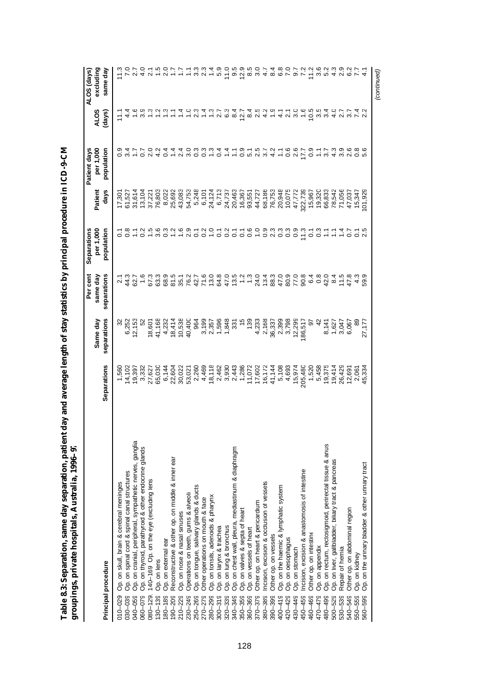| ;;;              |        |
|------------------|--------|
| j                |        |
|                  |        |
|                  |        |
|                  |        |
|                  |        |
| ${1\over 2}$     |        |
|                  |        |
|                  |        |
|                  |        |
| İ                |        |
|                  |        |
| í.               |        |
|                  |        |
|                  |        |
|                  |        |
| ĺ<br>-<br>F<br>ľ |        |
| J                | í      |
|                  | I      |
| י                | I      |
|                  |        |
|                  | i      |
| ĺ                | i      |
|                  |        |
|                  | l<br>I |
| ć<br>í.<br>I     |        |

|                                                                    |                                      |                                    | Per cent                         | Separations                                           |                  | Patient days           |                                    | ALOS (days)        |
|--------------------------------------------------------------------|--------------------------------------|------------------------------------|----------------------------------|-------------------------------------------------------|------------------|------------------------|------------------------------------|--------------------|
|                                                                    |                                      | Same day                           | same day                         | per 1,000                                             | Patient          | per 1,000              | <b>ALOS</b>                        | excluding          |
| Principal procedure                                                | Separations                          | separations                        | separations                      | population                                            | days             | population             | (days)                             | same day           |
| Op. on skull, brain & cerebral meninges<br>$010 - 029$             | 1,560                                | 8                                  |                                  |                                                       | 17,301           |                        | $\frac{1}{1}$                      |                    |
| Op. on spinal cord & spinal canal structures<br>030-039            | 14,102                               | 6,252                              |                                  | C 8 T 8 F 8 F 8 F 9 F 7 F 9 F 7 F 9 F 7 F 9 F 7 F 9 F | 61,527           |                        |                                    |                    |
| Op. on cranial, peripheral, sympathetic nerves, ganglia<br>040-059 | 19,397                               | 12,153                             | 44.7<br>62.7                     |                                                       | 31,614           |                        |                                    | 27                 |
| Op. on thyroid, parathyroid & other endocrine glands<br>060-079    | 3,332                                |                                    | $1.\overline{6}$                 |                                                       | 13,104           | 0.7                    |                                    | $\frac{0}{4}$      |
| 140-169 Op. on the eye (excluding lens<br>$080 - 129,$             | 27,627                               | 18,601                             | 67.3                             |                                                       | 37,221           | 2.0                    |                                    | ្ត                 |
| Op. on lens<br>$130 - 139$                                         | 65,030                               | 41,168                             | 63.3                             |                                                       | 76,803           |                        |                                    |                    |
| Op. on external ear<br>$80 - 189$                                  | 6,144                                | 4,232                              |                                  |                                                       | 8,022            | 404                    |                                    | $-9 - 5 - 09 - 09$ |
| Reconstructive & other op. on middle & inner ear<br>$90 - 209$     | 22,604                               | 18,414                             |                                  |                                                       | 25,692           |                        |                                    |                    |
| Op. on nose & nasal sinuses<br>210-229                             | 30,022                               | 10,538                             | 8<br>8 5 7 7 8<br>8 7 8 9 8      |                                                       | 43,083           |                        |                                    |                    |
| Operations on teeth, gums & alveoli<br>230-249                     | 53,021                               | 40,400                             |                                  |                                                       | 54,753           |                        |                                    |                    |
| Op. on tongue, salivary glands & ducts<br>250-269                  | 2,260                                | 964                                |                                  |                                                       |                  |                        | $\frac{0}{2}$ $\frac{0}{2}$        |                    |
| Other operations on mouth & face<br>270-279                        | 4,469                                |                                    | 71.6                             | 3.0                                                   | 5,248<br>6,101   | $\frac{3}{2}$          |                                    |                    |
| Op. on tonsils, adenoids & pharynx<br>280-299                      |                                      |                                    | 13.0                             |                                                       | 24,124           | $\frac{3}{2}$          | $\frac{3}{2}$                      |                    |
| Op. on larynx & trachea<br>$300 - 319$                             | 18,118<br>2,462                      | 3,199<br>2,357<br>1,596            | 64.8                             | $\overline{c}$                                        | 6,713            | 0.4                    | 2.7                                | 5.9                |
| Op. on lung & bronchus<br>320-339                                  | 3,930                                | 1,848                              | 47.0                             | 0.2                                                   | 24,737           | 1.4                    | 6.3                                | 11.0               |
| Op. on chest wall, pleura, mediastinum & diaphragm<br>340-349      | 2,443                                | 331                                |                                  |                                                       | 20,463           | $\mathbb{Z}$           | 8.4                                |                    |
| Op. on valves & septa of heart<br>350-359                          | 1,286                                | $\frac{5}{2}$                      | $13.2$<br>$13.2$<br>$13.3$       |                                                       | 16,367           |                        | 12.7                               | 9.5<br>12.9        |
| Op. on vessels of heart<br>360-369                                 |                                      | 139                                |                                  | 576                                                   | 93,551           |                        |                                    |                    |
| Other op. on heart & pericardium<br>370-379                        |                                      |                                    |                                  |                                                       | 44,727           |                        | 8 1<br>8 1<br>8 1                  | 8.5<br>8.0         |
| ncision, excision & occlusion of vessels<br>380-389                | 11,072<br>17,602<br>16,172<br>41,144 | 4,233<br>2,168                     | 24 36 4 8 7 8<br>0 4 3 6 9 6 9 9 | 0.999999                                              | 68,186           | $0.7577$<br>$0.000047$ |                                    |                    |
| Other op. on vessels<br>390-399                                    |                                      |                                    |                                  |                                                       |                  |                        |                                    |                    |
| Op. on the haemic & lymphatic system<br>$400 - 419$                | 5,108                                | 36,337<br>2,398<br>2,798<br>12,299 |                                  |                                                       | 76,753<br>20,948 |                        | $4 - 4$ $9 - 6$<br>$6 - 4$ $9 - 6$ | 486797             |
| Op. on oesophagus<br>420-429                                       | 4,693                                |                                    |                                  |                                                       | 10,075           | 0.6                    |                                    |                    |
| Op. on stomach<br>430-449                                          | 15,974                               |                                    |                                  |                                                       | 47,772           | 2.6                    |                                    |                    |
| Incision, excision & anastomosis of intestine<br>450-459           | 205,480                              | 186,517                            |                                  | 11.3                                                  | 322,739          | 17.7                   |                                    |                    |
| Other op. on intestine<br>460-469                                  | 1,520                                | 5                                  | 6.4                              |                                                       | 15,967           | 0.7                    | 10.5                               | $\frac{2}{11}$     |
| Op. on appendix<br>470-479                                         | 5,458                                | $\overline{a}$                     | $0.\overline{8}$                 | 30.7                                                  | 19,320           |                        | 3.5                                | 3.6                |
| Op. on rectum, rectosigmoid, perirectal tissue & anus<br>480-499   | 19,375                               | 8,141                              | 42.0                             |                                                       | 66,833           | 3.7                    | 3.4                                | 5.2                |
| Op. on liver, gallbladder, biliary tract & pancreas<br>500-529     | 19,414                               | 1,627                              | 8.4                              | Ξ                                                     | 78,542           | 4.3                    | $\frac{0}{4}$                      | $\frac{3}{4}$      |
| Repair of hernia<br>530-539                                        | 26,429                               | 3,047                              | 11.5                             |                                                       | 71,056           | 3.9                    | 2.7                                | <u>ვვ</u>          |
| Other op. on abdominal region<br>540-549                           | 12,691                               | 6,067                              | 47.8                             |                                                       | 47,037           |                        | $\overline{3.7}$                   | $\frac{2}{3}$      |
| Op. on kidney<br>550-559                                           | 2,061                                | 89                                 | 4.3                              | $10000$<br>$10000$                                    | 15,347           | 8<br>0. 0<br>0         |                                    |                    |
| Op. on the urinary bladder & other urinary tract<br>560-599        | 45,334                               | 27,177                             | 59.9                             |                                                       | 01,929           |                        |                                    |                    |
|                                                                    |                                      |                                    |                                  |                                                       |                  |                        |                                    | (continued)        |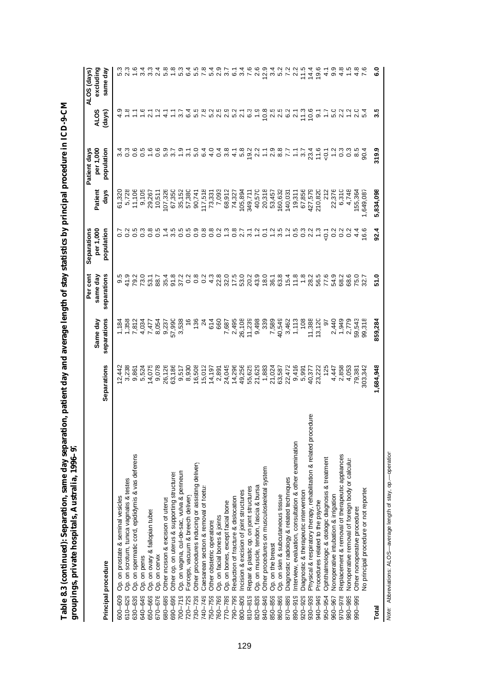| 、<br>((     |                  |
|-------------|------------------|
|             |                  |
|             |                  |
| ֚֘֝֬        |                  |
|             |                  |
| j           |                  |
|             |                  |
|             |                  |
|             |                  |
| i           |                  |
|             |                  |
|             |                  |
|             |                  |
|             |                  |
|             |                  |
|             |                  |
| Í           |                  |
|             |                  |
| i           |                  |
|             | í                |
| J<br>i      | l<br>ć           |
| ļ<br>I<br>Ş | i                |
|             | i                |
|             | I<br>J<br>J<br>l |
| l           |                  |
|             | l<br>l           |
| l           |                  |
| j           | I<br>I           |
|             |                  |
|             |                  |
| ı           | J                |

|                                                                                   |                     | Same day                | Per cent<br>same day | per 1,000<br>Separations | Patien    | per 1,000<br>Patient days | <b>ALOS</b>                                                                                   | excluding<br>ALOS (days) |
|-----------------------------------------------------------------------------------|---------------------|-------------------------|----------------------|--------------------------|-----------|---------------------------|-----------------------------------------------------------------------------------------------|--------------------------|
| Principal procedure                                                               | Separations         | separations             | separations          | population               | days      | population                | (days)                                                                                        | same day                 |
| Op. on prostate & seminal vesicles<br>600-609                                     |                     |                         |                      |                          | 61,320    |                           |                                                                                               |                          |
| Op. on scrotum, tunica vaginalis & testes<br>$610 - 629$                          | $12,442$<br>$3,238$ | 1,184<br>1,358<br>7,812 | 9.5<br>9.9<br>9.7    | $0.7$<br>$0.2$           | 5,728     |                           |                                                                                               |                          |
| Op. on spermatic cord, epididymis & vas deferens<br>630-639                       | 9,861               |                         | 79.2                 | s na sin                 | 11,106    | 0.5                       |                                                                                               |                          |
| Op. on penis<br>640-649                                                           | 5,524               |                         | 73.0                 |                          | 9,105     |                           |                                                                                               | 6                        |
| Op. on ovary & fallopian tubes<br>650-669                                         | 14,075              | 7,477                   | 53.1                 |                          | 29,267    | 1.6                       | 7.672                                                                                         | 33                       |
| Op. on cervix<br>670-676                                                          | 9,078               |                         | 88.7                 |                          | 10,511    |                           |                                                                                               | $^{2.4}$                 |
| Other incision & excision of uterus<br>680-689                                    | 26,126              | 8,054<br>9,237          | 35.4                 | 1.4                      | 107,326   | 0.0<br>0.0 m              | $\frac{1}{4}$                                                                                 | 5.8                      |
| Other op. on uterus & supporting structures<br>690-699                            | 63,186              | 57,990                  | 91.8                 |                          | 67,350    |                           | Ξ                                                                                             |                          |
| Op. on vagina, cul-de-sac, vulva & perineun<br>$700 - 719$                        | 9,517               | 3,538                   | 37.2                 |                          | 35,152    | $\ddot{ }$ .9             | 3.7                                                                                           | <u> In</u>               |
| Forceps, vacuum & breech delivery<br>720-729                                      | 8,930               |                         | 0.2                  |                          | 57,380    |                           | 6.4                                                                                           | $6\overline{4}$          |
| Other procedures inducing or assisting delivery<br>730-739                        | 16,508              | 136                     |                      |                          | 90,741    | $3.1$<br>$5.0$            |                                                                                               | 5.5                      |
| Caesarean section & removal of foetus<br>740-749                                  | 15,012              | 24                      | 004<br>004           |                          | 117,518   |                           |                                                                                               | 7.8                      |
| Other obstetric operations<br>750-759                                             | 14,197              | 614                     |                      |                          | 73,331    |                           |                                                                                               | 5.3<br>5.2               |
| Op. on facial bones & joints<br>760-769                                           | 2,891               | 660                     | 22.8<br>32.0         |                          | 7,093     |                           |                                                                                               |                          |
| Op. on bones, except facial bone<br>770-789                                       | 24,045              | 7,687                   |                      |                          | 68,912    |                           |                                                                                               |                          |
| Reduction of fracture & dislocation<br>790-799                                    | 14,296              | 2,495                   | 17.5                 |                          | 74,327    |                           |                                                                                               |                          |
| Incision & excision of joint structures<br>800-809                                | 49,256              | 26,108<br>11,239        | 53.0                 |                          | 105,894   |                           |                                                                                               |                          |
| Repair & plastic op. on joint structures<br>$810 - 819$                           | 55,625              |                         | 20.2                 |                          | 349,711   | 19.2                      |                                                                                               |                          |
| Op. on muscle, tendon, fascia & bursa<br>820-839                                  | 21,629              | 9,498                   | 43.9                 |                          | 40,570    | 2.2                       | 1.9                                                                                           | 2.6                      |
| Other procedures on musculoskeletal system<br>840-849                             | 1,883               | 339                     | 18.0                 |                          | 20,318    |                           |                                                                                               | 12.9                     |
| Op. on the breast<br>850-859                                                      | 21,024              | 7,589                   | 36.1                 |                          | 53,457    |                           |                                                                                               |                          |
| Op. on skin & subcutaneous tissue<br>860-869                                      | 63,587              | 40,549                  | 63.8                 | 5.25252020               | 160,632   | $7.98777$<br>$7.98777$    |                                                                                               |                          |
| Diagnostic radiology & related techniques<br>870-889                              | 22,472              | 3,462                   | 15.4                 |                          | 140,031   |                           |                                                                                               |                          |
| Interview, evaluation, consultation & other examination<br>$890 - 919$            | 9,416               | 1,113                   | 11.8                 |                          | 19,311    |                           |                                                                                               | $2\overline{2}$          |
| Diagnostic & therapeutic intervention<br>$920 - 929$                              | 5,991               | 108                     | 1,8                  |                          | 67,856    |                           | 11.3                                                                                          | 11.5                     |
| edure<br>Physical & respiratory therapy, rehabilitation & related proc<br>930-939 | 40,377              | 11,388                  | 28.2                 |                          | 427,579   | 23.4                      | 10.6                                                                                          | 14.4                     |
| Procedures related to the psyche<br>940-949                                       | 23,222              | 13,120                  | 56.5                 | 1.3                      | 210,820   | 11.6                      | $\frac{1}{1.7}$                                                                               | 19.6                     |
| Ophthalmologic & otologic diagnosis & treatment<br>950-954                        | 125                 | $\tilde{e}$             | 77.6                 | $\overline{0}$           | 212       | 5 <sub>1</sub>            |                                                                                               | 4.1                      |
| Nonoperative intubation & irrigation<br>960-967                                   | 4,447               | 2,440                   | 54.9                 | 0.2                      | 22,376    | 1.2                       | 5.0                                                                                           | 9.9                      |
| Replacement & removal of therapeutic appliances<br>970-978                        | 2,858               | 1,949                   | 68.2                 | 0.2                      | 6,310     | 0.3                       | 2.2                                                                                           | 4.8                      |
| Nonoperative removal of foreign body or calculu:<br>980-985                       | 4,053               | 2,779                   | 68.6                 | 0.2                      | 4,748     | 0.3                       |                                                                                               |                          |
| Other nonoperative procedures<br>866-066                                          | 79,381              | 59,543                  | 75.0                 | 4.4                      | 155,364   | 8.5                       | 2<br>2<br>2<br>2<br>2<br>2<br>2<br>2<br>2<br>2<br>2<br>2<br>2<br><br><br><br><br><br><br><br> | 4.8                      |
| No principal procedure or not reported                                            | 303,342             | 99,318                  | 32.7                 | 16.6                     | 1,649,087 |                           |                                                                                               |                          |
| Total                                                                             | 1,684,948           | 859,284                 | 51.0                 | 92.4                     | 5,834,098 | 319.9                     | 3.5                                                                                           | c.o                      |

Note: Abbreviations: ALOS-average length of stay, op.--operation *Note:* Abbreviations: ALOS— average length of stay, op.— operation.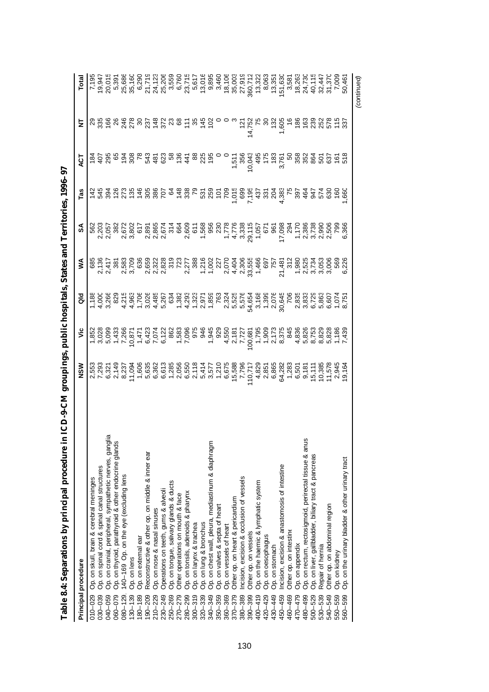| Principal procedure                                                 | <b>NSM</b> | ້ | る     | ⋚ | న్ | Tas | ā           | ₹ | Total                                                                                                                                                                                                                                                                                               |
|---------------------------------------------------------------------|------------|---|-------|---|----|-----|-------------|---|-----------------------------------------------------------------------------------------------------------------------------------------------------------------------------------------------------------------------------------------------------------------------------------------------------|
| Op. on skull, brain & cerebral meninges<br>$010 - 029$              |            |   | 1,188 |   |    |     |             |   |                                                                                                                                                                                                                                                                                                     |
| Op. on spinal cord & spinal canal structures<br>030-039             |            |   |       |   |    |     | $rac{1}{2}$ |   |                                                                                                                                                                                                                                                                                                     |
| Op. on cranial, peripheral, sympathetic nerves, gang<br>040-059     |            |   |       |   |    |     |             |   |                                                                                                                                                                                                                                                                                                     |
| Op. on thyroid, parathyroid & other endocrine glands<br>$060 - 079$ |            |   |       |   |    |     |             |   |                                                                                                                                                                                                                                                                                                     |
| 140-169 Op. on the eye (excluding lens<br>$080 - 129$               |            |   |       |   |    |     |             |   |                                                                                                                                                                                                                                                                                                     |
| Op. on lens<br>$130 - 139$                                          |            |   |       |   |    |     |             |   |                                                                                                                                                                                                                                                                                                     |
| Op. on external ear<br>180-189                                      |            |   |       |   |    |     |             |   |                                                                                                                                                                                                                                                                                                     |
| Reconstructive & other op. on middle & inner ear<br>$190 - 209$     |            |   |       |   |    |     |             |   | $\begin{array}{l} 7.533 \\ 7.541 \\ 8.553 \\ 9.5741 \\ 9.593 \\ 9.595 \\ 9.595 \\ 9.505 \\ 9.51 \\ 9.525 \\ 9.533 \\ 9.541 \\ 9.553 \\ 9.573 \\ 9.573 \\ 9.573 \\ 9.573 \\ 9.573 \\ 9.573 \\ 9.573 \\ 9.573 \\ 9.573 \\ 9.573 \\ 9.573 \\ 9.573 \\ 9.573 \\ 9.573 \\ 9.573 \\ 9.573 \\ 9.573 \\ 9.$ |
| Op. on nose & nasal sinuses<br>$210 - 229$                          |            |   |       |   |    |     |             |   |                                                                                                                                                                                                                                                                                                     |
| Operations on teeth, gums & alveoli<br>$230 - 249$                  |            |   |       |   |    |     |             |   |                                                                                                                                                                                                                                                                                                     |
| Op. on tongue, salivary glands & ducts<br>250-269                   |            |   |       |   |    |     |             |   |                                                                                                                                                                                                                                                                                                     |
| Other operations on mouth & face<br>270-279                         |            |   |       |   |    |     |             |   |                                                                                                                                                                                                                                                                                                     |
| Op. on tonsils, adenoids & pharynx<br>280-299                       |            |   |       |   |    |     |             |   |                                                                                                                                                                                                                                                                                                     |
| Op. on larynx & trachea<br>$300 - 319$                              |            |   |       |   |    |     |             |   |                                                                                                                                                                                                                                                                                                     |
| Op. on lung & bronchus<br>320-339                                   |            |   |       |   |    |     |             |   |                                                                                                                                                                                                                                                                                                     |
| Op. on chest wall, pleura, mediastinum & diaphragm<br>340-349       |            |   |       |   |    |     |             |   |                                                                                                                                                                                                                                                                                                     |
| Op. on valves & septa of heart<br>350-359                           |            |   |       |   |    |     |             |   |                                                                                                                                                                                                                                                                                                     |
| Op. on vessels of heart<br>360-369                                  |            |   |       |   |    |     |             |   |                                                                                                                                                                                                                                                                                                     |
| Other op. on heart & pericardium<br>370-379                         |            |   |       |   |    |     |             |   |                                                                                                                                                                                                                                                                                                     |
| ncision, excision & occlusion of vessels<br>380-389                 |            |   |       |   |    |     |             |   |                                                                                                                                                                                                                                                                                                     |
| Other op. on vessels<br>390-399                                     |            |   |       |   |    |     |             |   |                                                                                                                                                                                                                                                                                                     |
| Op. on the haemic & lymphatic system<br>$400 - 419$                 |            |   |       |   |    |     |             |   |                                                                                                                                                                                                                                                                                                     |
| Op. on oesophagus<br>420-429                                        |            |   |       |   |    |     |             |   |                                                                                                                                                                                                                                                                                                     |
| Op. on stomach<br>430-449                                           |            |   |       |   |    |     |             |   |                                                                                                                                                                                                                                                                                                     |
| ncision, excision & anastomosis of intestine<br>450-459             |            |   |       |   |    |     |             |   | 8,063<br>13,351<br>151,636<br>16,263<br>24,736                                                                                                                                                                                                                                                      |
| Other op. on intestine<br>460-469                                   |            |   |       |   |    |     |             |   |                                                                                                                                                                                                                                                                                                     |
| Op. on appendix<br>470-479                                          |            |   |       |   |    |     |             |   |                                                                                                                                                                                                                                                                                                     |
| Op. on rectum, rectosigmoid, perirectal tissue & anu<br>480-499     |            |   |       |   |    |     |             |   |                                                                                                                                                                                                                                                                                                     |
| Op. on liver, gallbladder, biliary tract & pancreas<br>500-529      |            |   |       |   |    |     |             |   |                                                                                                                                                                                                                                                                                                     |
| Repair of hernia<br>530-539                                         |            |   |       |   |    |     |             |   |                                                                                                                                                                                                                                                                                                     |
| Other op. on abdominal region<br>540-549                            |            |   |       |   |    |     |             |   | 40,115<br>32,447<br>31,370<br>7,009<br>7,009<br>50,461                                                                                                                                                                                                                                              |
| Op. on kidney<br>550-559                                            |            |   |       |   |    |     |             |   |                                                                                                                                                                                                                                                                                                     |
| Op. on the urinary bladder & other urinary tract<br>560-599         |            |   |       |   |    |     |             |   |                                                                                                                                                                                                                                                                                                     |
|                                                                     |            |   |       |   |    |     |             |   | (continued)                                                                                                                                                                                                                                                                                         |

| $\frac{1}{2}$      |
|--------------------|
|                    |
|                    |
|                    |
|                    |
|                    |
|                    |
|                    |
|                    |
|                    |
|                    |
|                    |
|                    |
|                    |
|                    |
|                    |
|                    |
|                    |
| ֕                  |
|                    |
|                    |
|                    |
|                    |
|                    |
| l                  |
|                    |
|                    |
|                    |
|                    |
|                    |
|                    |
|                    |
|                    |
| $\vdots$           |
| <br> <br>          |
|                    |
|                    |
| $\frac{1}{3}$<br>j |
|                    |
|                    |
|                    |
|                    |
|                    |
|                    |
|                    |
|                    |
|                    |
|                    |
|                    |
|                    |
| l                  |
| ٦                  |
| i<br>;             |
|                    |
|                    |
|                    |
|                    |
|                    |
| l                  |
|                    |
|                    |
|                    |
| ֡֡֡֡֡֡             |
| ŕ<br>т             |
| ŕ<br>í<br>ׇׇ֚֚֕֡   |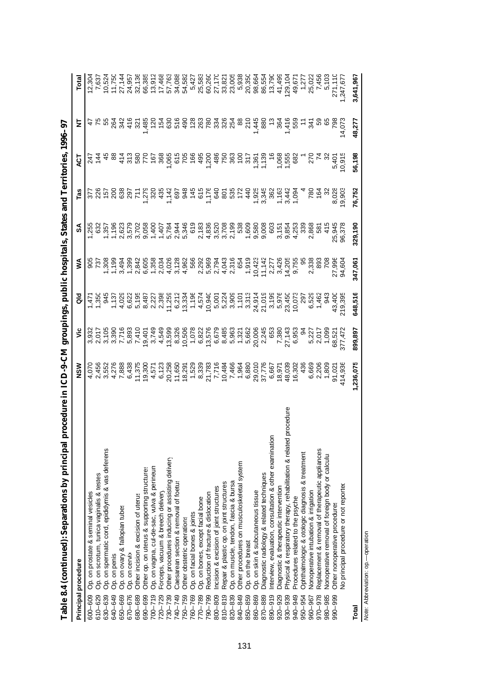| $\sum_{i=1}^{n}$                                                                 |                                                                                                                                                                                                                                                                                                                                                                                                                                                                                                                                                                                                        |                                                                                                                                                                                                                                  |         |         |                                                                                                                                                                                                                                      | <b>MARTIN TANITAL PROPERTY</b>                                                                                                                                                                                                                                                         |                                                                                                                                                                                                                                                                                                                                                                                                                                                                     |                                                                                                                                                                                                                                                                                                                                                                                                                                                                     |                                                                                                                                                                                                                                                                                                                                  |
|----------------------------------------------------------------------------------|--------------------------------------------------------------------------------------------------------------------------------------------------------------------------------------------------------------------------------------------------------------------------------------------------------------------------------------------------------------------------------------------------------------------------------------------------------------------------------------------------------------------------------------------------------------------------------------------------------|----------------------------------------------------------------------------------------------------------------------------------------------------------------------------------------------------------------------------------|---------|---------|--------------------------------------------------------------------------------------------------------------------------------------------------------------------------------------------------------------------------------------|----------------------------------------------------------------------------------------------------------------------------------------------------------------------------------------------------------------------------------------------------------------------------------------|---------------------------------------------------------------------------------------------------------------------------------------------------------------------------------------------------------------------------------------------------------------------------------------------------------------------------------------------------------------------------------------------------------------------------------------------------------------------|---------------------------------------------------------------------------------------------------------------------------------------------------------------------------------------------------------------------------------------------------------------------------------------------------------------------------------------------------------------------------------------------------------------------------------------------------------------------|----------------------------------------------------------------------------------------------------------------------------------------------------------------------------------------------------------------------------------------------------------------------------------------------------------------------------------|
| Principal procedure                                                              | NSW                                                                                                                                                                                                                                                                                                                                                                                                                                                                                                                                                                                                    | ۶Ë                                                                                                                                                                                                                               | ē       | ⋚       | ઙિ                                                                                                                                                                                                                                   | Tas                                                                                                                                                                                                                                                                                    | Ę                                                                                                                                                                                                                                                                                                                                                                                                                                                                   | Ξ                                                                                                                                                                                                                                                                                                                                                                                                                                                                   |                                                                                                                                                                                                                                                                                                                                  |
| Op. on prostate & seminal vesicles<br>600-609                                    |                                                                                                                                                                                                                                                                                                                                                                                                                                                                                                                                                                                                        | ανανιστριστού του συναιοδεία του ανανιστού με του ανανιστού με τους στην προσφαληματιστού με τους με τους στην<br>Επιτροφορία τους προσφαληματιστού στην προσφαληματιστού στην προσφαληματιστού στην προσφαληματιστού στην προσφ |         |         | es de la de la de la de la de la de la de la de la de la de la de la de la de la de la de la de la de la de la<br>La de la de la de la de la de la de la de la de la de la de la de la de la de la de la de la de la de la de la<br> |                                                                                                                                                                                                                                                                                        |                                                                                                                                                                                                                                                                                                                                                                                                                                                                     |                                                                                                                                                                                                                                                                                                                                                                                                                                                                     |                                                                                                                                                                                                                                                                                                                                  |
| Op. on scrotum, tunica vaginalis & testes<br>610-629                             |                                                                                                                                                                                                                                                                                                                                                                                                                                                                                                                                                                                                        |                                                                                                                                                                                                                                  |         |         |                                                                                                                                                                                                                                      |                                                                                                                                                                                                                                                                                        |                                                                                                                                                                                                                                                                                                                                                                                                                                                                     |                                                                                                                                                                                                                                                                                                                                                                                                                                                                     |                                                                                                                                                                                                                                                                                                                                  |
| Op. on spermatic cord, epididymis & vas deferens<br>630-639                      |                                                                                                                                                                                                                                                                                                                                                                                                                                                                                                                                                                                                        |                                                                                                                                                                                                                                  |         |         |                                                                                                                                                                                                                                      |                                                                                                                                                                                                                                                                                        |                                                                                                                                                                                                                                                                                                                                                                                                                                                                     |                                                                                                                                                                                                                                                                                                                                                                                                                                                                     |                                                                                                                                                                                                                                                                                                                                  |
| Op. on penis<br>640-649                                                          |                                                                                                                                                                                                                                                                                                                                                                                                                                                                                                                                                                                                        |                                                                                                                                                                                                                                  |         |         |                                                                                                                                                                                                                                      |                                                                                                                                                                                                                                                                                        |                                                                                                                                                                                                                                                                                                                                                                                                                                                                     |                                                                                                                                                                                                                                                                                                                                                                                                                                                                     |                                                                                                                                                                                                                                                                                                                                  |
| Op. on ovary & fallopian tubes<br>650-669                                        |                                                                                                                                                                                                                                                                                                                                                                                                                                                                                                                                                                                                        |                                                                                                                                                                                                                                  |         |         |                                                                                                                                                                                                                                      |                                                                                                                                                                                                                                                                                        |                                                                                                                                                                                                                                                                                                                                                                                                                                                                     |                                                                                                                                                                                                                                                                                                                                                                                                                                                                     |                                                                                                                                                                                                                                                                                                                                  |
| Op. on cervix<br>670-676                                                         |                                                                                                                                                                                                                                                                                                                                                                                                                                                                                                                                                                                                        |                                                                                                                                                                                                                                  |         |         |                                                                                                                                                                                                                                      |                                                                                                                                                                                                                                                                                        |                                                                                                                                                                                                                                                                                                                                                                                                                                                                     |                                                                                                                                                                                                                                                                                                                                                                                                                                                                     |                                                                                                                                                                                                                                                                                                                                  |
| Other incision & excision of uterus<br>680-689                                   |                                                                                                                                                                                                                                                                                                                                                                                                                                                                                                                                                                                                        |                                                                                                                                                                                                                                  |         |         |                                                                                                                                                                                                                                      |                                                                                                                                                                                                                                                                                        |                                                                                                                                                                                                                                                                                                                                                                                                                                                                     |                                                                                                                                                                                                                                                                                                                                                                                                                                                                     |                                                                                                                                                                                                                                                                                                                                  |
| Other op. on uterus & supporting structures<br>690-699                           |                                                                                                                                                                                                                                                                                                                                                                                                                                                                                                                                                                                                        |                                                                                                                                                                                                                                  |         |         |                                                                                                                                                                                                                                      |                                                                                                                                                                                                                                                                                        |                                                                                                                                                                                                                                                                                                                                                                                                                                                                     |                                                                                                                                                                                                                                                                                                                                                                                                                                                                     |                                                                                                                                                                                                                                                                                                                                  |
| Op. on vagina, cul-de-sac, vulva & perineun<br>$700 - 719$                       |                                                                                                                                                                                                                                                                                                                                                                                                                                                                                                                                                                                                        |                                                                                                                                                                                                                                  |         |         |                                                                                                                                                                                                                                      |                                                                                                                                                                                                                                                                                        |                                                                                                                                                                                                                                                                                                                                                                                                                                                                     |                                                                                                                                                                                                                                                                                                                                                                                                                                                                     |                                                                                                                                                                                                                                                                                                                                  |
| Forceps, vacuum & breech delivery<br>$720 - 729$                                 |                                                                                                                                                                                                                                                                                                                                                                                                                                                                                                                                                                                                        |                                                                                                                                                                                                                                  |         |         |                                                                                                                                                                                                                                      |                                                                                                                                                                                                                                                                                        |                                                                                                                                                                                                                                                                                                                                                                                                                                                                     |                                                                                                                                                                                                                                                                                                                                                                                                                                                                     |                                                                                                                                                                                                                                                                                                                                  |
| Other procedures inducing or assisting delivery<br>730-739                       |                                                                                                                                                                                                                                                                                                                                                                                                                                                                                                                                                                                                        |                                                                                                                                                                                                                                  |         |         |                                                                                                                                                                                                                                      |                                                                                                                                                                                                                                                                                        |                                                                                                                                                                                                                                                                                                                                                                                                                                                                     |                                                                                                                                                                                                                                                                                                                                                                                                                                                                     |                                                                                                                                                                                                                                                                                                                                  |
| Caesarean section & removal of foetus<br>740-749                                 |                                                                                                                                                                                                                                                                                                                                                                                                                                                                                                                                                                                                        |                                                                                                                                                                                                                                  |         |         |                                                                                                                                                                                                                                      |                                                                                                                                                                                                                                                                                        |                                                                                                                                                                                                                                                                                                                                                                                                                                                                     |                                                                                                                                                                                                                                                                                                                                                                                                                                                                     |                                                                                                                                                                                                                                                                                                                                  |
| Other obstetric operations<br>750-759                                            |                                                                                                                                                                                                                                                                                                                                                                                                                                                                                                                                                                                                        |                                                                                                                                                                                                                                  |         |         |                                                                                                                                                                                                                                      |                                                                                                                                                                                                                                                                                        |                                                                                                                                                                                                                                                                                                                                                                                                                                                                     |                                                                                                                                                                                                                                                                                                                                                                                                                                                                     |                                                                                                                                                                                                                                                                                                                                  |
| Op. on facial bones & joints<br>760-769                                          |                                                                                                                                                                                                                                                                                                                                                                                                                                                                                                                                                                                                        |                                                                                                                                                                                                                                  |         |         |                                                                                                                                                                                                                                      |                                                                                                                                                                                                                                                                                        |                                                                                                                                                                                                                                                                                                                                                                                                                                                                     |                                                                                                                                                                                                                                                                                                                                                                                                                                                                     |                                                                                                                                                                                                                                                                                                                                  |
| Op. on bones, except facial bone<br>770-789                                      |                                                                                                                                                                                                                                                                                                                                                                                                                                                                                                                                                                                                        |                                                                                                                                                                                                                                  |         |         |                                                                                                                                                                                                                                      |                                                                                                                                                                                                                                                                                        |                                                                                                                                                                                                                                                                                                                                                                                                                                                                     |                                                                                                                                                                                                                                                                                                                                                                                                                                                                     |                                                                                                                                                                                                                                                                                                                                  |
| Reduction of fracture & dislocation<br>790-799                                   |                                                                                                                                                                                                                                                                                                                                                                                                                                                                                                                                                                                                        |                                                                                                                                                                                                                                  |         |         |                                                                                                                                                                                                                                      |                                                                                                                                                                                                                                                                                        |                                                                                                                                                                                                                                                                                                                                                                                                                                                                     |                                                                                                                                                                                                                                                                                                                                                                                                                                                                     |                                                                                                                                                                                                                                                                                                                                  |
| Incision & excision of joint structures<br>800-809                               |                                                                                                                                                                                                                                                                                                                                                                                                                                                                                                                                                                                                        |                                                                                                                                                                                                                                  |         |         |                                                                                                                                                                                                                                      |                                                                                                                                                                                                                                                                                        |                                                                                                                                                                                                                                                                                                                                                                                                                                                                     |                                                                                                                                                                                                                                                                                                                                                                                                                                                                     |                                                                                                                                                                                                                                                                                                                                  |
| Repair & plastic op. on joint structures<br>$810 - 819$                          |                                                                                                                                                                                                                                                                                                                                                                                                                                                                                                                                                                                                        |                                                                                                                                                                                                                                  |         |         |                                                                                                                                                                                                                                      |                                                                                                                                                                                                                                                                                        |                                                                                                                                                                                                                                                                                                                                                                                                                                                                     |                                                                                                                                                                                                                                                                                                                                                                                                                                                                     |                                                                                                                                                                                                                                                                                                                                  |
| Op. on muscle, tendon, fascia & bursa<br>820-839                                 |                                                                                                                                                                                                                                                                                                                                                                                                                                                                                                                                                                                                        |                                                                                                                                                                                                                                  |         |         |                                                                                                                                                                                                                                      |                                                                                                                                                                                                                                                                                        |                                                                                                                                                                                                                                                                                                                                                                                                                                                                     |                                                                                                                                                                                                                                                                                                                                                                                                                                                                     |                                                                                                                                                                                                                                                                                                                                  |
| Other procedures on musculoskeletal system<br>840-849                            |                                                                                                                                                                                                                                                                                                                                                                                                                                                                                                                                                                                                        |                                                                                                                                                                                                                                  |         |         |                                                                                                                                                                                                                                      |                                                                                                                                                                                                                                                                                        |                                                                                                                                                                                                                                                                                                                                                                                                                                                                     |                                                                                                                                                                                                                                                                                                                                                                                                                                                                     |                                                                                                                                                                                                                                                                                                                                  |
| Op. on the breast<br>850-859                                                     |                                                                                                                                                                                                                                                                                                                                                                                                                                                                                                                                                                                                        |                                                                                                                                                                                                                                  |         |         |                                                                                                                                                                                                                                      |                                                                                                                                                                                                                                                                                        |                                                                                                                                                                                                                                                                                                                                                                                                                                                                     |                                                                                                                                                                                                                                                                                                                                                                                                                                                                     |                                                                                                                                                                                                                                                                                                                                  |
| Op. on skin & subcutaneous tissue<br>860-869                                     |                                                                                                                                                                                                                                                                                                                                                                                                                                                                                                                                                                                                        |                                                                                                                                                                                                                                  |         |         |                                                                                                                                                                                                                                      |                                                                                                                                                                                                                                                                                        |                                                                                                                                                                                                                                                                                                                                                                                                                                                                     |                                                                                                                                                                                                                                                                                                                                                                                                                                                                     |                                                                                                                                                                                                                                                                                                                                  |
| Diagnostic radiology & related techniques<br>870-889                             |                                                                                                                                                                                                                                                                                                                                                                                                                                                                                                                                                                                                        |                                                                                                                                                                                                                                  |         |         |                                                                                                                                                                                                                                      |                                                                                                                                                                                                                                                                                        |                                                                                                                                                                                                                                                                                                                                                                                                                                                                     |                                                                                                                                                                                                                                                                                                                                                                                                                                                                     |                                                                                                                                                                                                                                                                                                                                  |
| Interview, evaluation, consultation & other examination<br>890-919               |                                                                                                                                                                                                                                                                                                                                                                                                                                                                                                                                                                                                        |                                                                                                                                                                                                                                  |         |         |                                                                                                                                                                                                                                      |                                                                                                                                                                                                                                                                                        |                                                                                                                                                                                                                                                                                                                                                                                                                                                                     |                                                                                                                                                                                                                                                                                                                                                                                                                                                                     |                                                                                                                                                                                                                                                                                                                                  |
| Diagnostic & therapeutic intervention<br>$920 - 929$                             |                                                                                                                                                                                                                                                                                                                                                                                                                                                                                                                                                                                                        |                                                                                                                                                                                                                                  |         |         |                                                                                                                                                                                                                                      |                                                                                                                                                                                                                                                                                        |                                                                                                                                                                                                                                                                                                                                                                                                                                                                     |                                                                                                                                                                                                                                                                                                                                                                                                                                                                     |                                                                                                                                                                                                                                                                                                                                  |
| procedure<br>Physical & respiratory therapy, rehabilitation & related<br>930-939 |                                                                                                                                                                                                                                                                                                                                                                                                                                                                                                                                                                                                        |                                                                                                                                                                                                                                  |         |         |                                                                                                                                                                                                                                      |                                                                                                                                                                                                                                                                                        |                                                                                                                                                                                                                                                                                                                                                                                                                                                                     |                                                                                                                                                                                                                                                                                                                                                                                                                                                                     |                                                                                                                                                                                                                                                                                                                                  |
| Procedures related to the psyche<br>940-949                                      |                                                                                                                                                                                                                                                                                                                                                                                                                                                                                                                                                                                                        |                                                                                                                                                                                                                                  |         |         |                                                                                                                                                                                                                                      |                                                                                                                                                                                                                                                                                        |                                                                                                                                                                                                                                                                                                                                                                                                                                                                     |                                                                                                                                                                                                                                                                                                                                                                                                                                                                     |                                                                                                                                                                                                                                                                                                                                  |
| Ophthalmologic & otologic diagnosis & treatment<br>950-954                       |                                                                                                                                                                                                                                                                                                                                                                                                                                                                                                                                                                                                        |                                                                                                                                                                                                                                  |         |         |                                                                                                                                                                                                                                      |                                                                                                                                                                                                                                                                                        |                                                                                                                                                                                                                                                                                                                                                                                                                                                                     |                                                                                                                                                                                                                                                                                                                                                                                                                                                                     |                                                                                                                                                                                                                                                                                                                                  |
| Nonoperative intubation & irrigation<br>960-967                                  |                                                                                                                                                                                                                                                                                                                                                                                                                                                                                                                                                                                                        |                                                                                                                                                                                                                                  |         |         |                                                                                                                                                                                                                                      |                                                                                                                                                                                                                                                                                        |                                                                                                                                                                                                                                                                                                                                                                                                                                                                     |                                                                                                                                                                                                                                                                                                                                                                                                                                                                     |                                                                                                                                                                                                                                                                                                                                  |
| Replacement & removal of therapeutic appliances<br>$970 - 978$                   |                                                                                                                                                                                                                                                                                                                                                                                                                                                                                                                                                                                                        |                                                                                                                                                                                                                                  |         |         |                                                                                                                                                                                                                                      |                                                                                                                                                                                                                                                                                        |                                                                                                                                                                                                                                                                                                                                                                                                                                                                     |                                                                                                                                                                                                                                                                                                                                                                                                                                                                     |                                                                                                                                                                                                                                                                                                                                  |
| Nonoperative removal of foreign body or calculu:<br>980-985                      |                                                                                                                                                                                                                                                                                                                                                                                                                                                                                                                                                                                                        |                                                                                                                                                                                                                                  |         |         |                                                                                                                                                                                                                                      |                                                                                                                                                                                                                                                                                        |                                                                                                                                                                                                                                                                                                                                                                                                                                                                     |                                                                                                                                                                                                                                                                                                                                                                                                                                                                     |                                                                                                                                                                                                                                                                                                                                  |
| Other nonoperative procedures<br>990-999                                         |                                                                                                                                                                                                                                                                                                                                                                                                                                                                                                                                                                                                        |                                                                                                                                                                                                                                  |         |         |                                                                                                                                                                                                                                      |                                                                                                                                                                                                                                                                                        |                                                                                                                                                                                                                                                                                                                                                                                                                                                                     |                                                                                                                                                                                                                                                                                                                                                                                                                                                                     |                                                                                                                                                                                                                                                                                                                                  |
| No principal procedure or not reported                                           | $\begin{array}{l} \mathcal{L} \mathrel{\mathop \circ} \mathrel{\mathop \circ} \mathrel{\mathop \circ} \mathrel{\mathop \circ} \mathrel{\mathop \circ} \mathrel{\mathop \circ} \mathrel{\mathop \circ} \mathrel{\mathop \circ} \mathrel{\mathop \circ} \mathrel{\mathop \circ} \mathrel{\mathop \circ} \mathrel{\mathop \circ} \mathrel{\mathop \circ} \mathrel{\mathop \circ} \mathrel{\mathop \circ} \mathrel{\mathop \circ} \mathrel{\mathop \circ} \mathrel{\mathop \circ} \mathrel{\mathop \circ} \mathrel{\mathop \circ} \mathrel{\mathop \circ} \mathrel{\mathop \circ} \mathrel{\mathop \circ}$ |                                                                                                                                                                                                                                  |         |         |                                                                                                                                                                                                                                      | $\begin{array}{cccccccccccccccccc} 2285 & 2425 & 2525 & 2625 & 2725 & 2825 & 2825 & 2825 & 2825 & 2825 & 2825 & 2825 & 2825 & 2825 & 2825 & 2825 & 2825 & 2825 & 2825 & 2825 & 2825 & 2825 & 2825 & 2825 & 2825 & 2825 & 2825 & 2825 & 2825 & 2825 & 2825 & 2825 & 2825 & 2825 & 2825$ | $\begin{array}{cccccccccccccc} \mathcal{A} & \mathcal{A} & \mathcal{B} & \mathcal{C} & \mathcal{C} & \mathcal{C} & \mathcal{C} & \mathcal{C} & \mathcal{C} & \mathcal{C} & \mathcal{C} & \mathcal{C} & \mathcal{C} & \mathcal{C} & \mathcal{C} & \mathcal{C} & \mathcal{C} & \mathcal{C} & \mathcal{C} & \mathcal{C} & \mathcal{C} & \mathcal{C} & \mathcal{C} & \mathcal{C} & \mathcal{C} & \mathcal{C} & \mathcal{C} & \mathcal{C} & \mathcal{C} & \mathcal{C} &$ | $\begin{array}{cccccccccccccc} \mathcal{L} & \mathcal{L} & \mathcal{L} & \mathcal{L} & \mathcal{L} & \mathcal{L} & \mathcal{L} & \mathcal{L} & \mathcal{L} & \mathcal{L} & \mathcal{L} & \mathcal{L} & \mathcal{L} & \mathcal{L} & \mathcal{L} & \mathcal{L} & \mathcal{L} & \mathcal{L} & \mathcal{L} & \mathcal{L} & \mathcal{L} & \mathcal{L} & \mathcal{L} & \mathcal{L} & \mathcal{L} & \mathcal{L} & \mathcal{L} & \mathcal{L} & \mathcal{L} & \mathcal{L} &$ | $\begin{smallmatrix} 1 & 1 & 1 & 1 & 1 \\ 1 & 1 & 1 & 1 & 1 \\ 1 & 1 & 1 & 1 & 1 \\ 1 & 1 & 1 & 1 & 1 \\ 1 & 1 & 1 & 1 & 1 \\ 1 & 1 & 1 & 1 & 1 \\ 1 & 1 & 1 & 1 & 1 \\ 1 & 1 & 1 & 1 & 1 \\ 1 & 1 & 1 & 1 & 1 \\ 1 & 1 & 1 & 1 & 1 \\ 1 & 1 & 1 & 1 & 1 \\ 1 & 1 & 1 & 1 & 1 \\ 1 & 1 & 1 & 1 & 1 \\ 1 & 1 & 1 & 1 & 1 \\ 1 & $ |
| Total                                                                            | 1,236,075                                                                                                                                                                                                                                                                                                                                                                                                                                                                                                                                                                                              | 899,897                                                                                                                                                                                                                          | 648,516 | 347,061 | 329,190                                                                                                                                                                                                                              | 76,752                                                                                                                                                                                                                                                                                 | 56,198                                                                                                                                                                                                                                                                                                                                                                                                                                                              | 48,277                                                                                                                                                                                                                                                                                                                                                                                                                                                              | 3,641,967                                                                                                                                                                                                                                                                                                                        |

Table 8.4 (continued): Separations by principal procedure in ICD-9-CM groupings, public hospitals, States and Territories, 1996–97 **Table 8.4 (continued): Separations by principal procedure in ICD-9-CM groupings, public hospitals, States and Territories, 1996–97**

Note: Abbreviation: op.---operation. *Note:* Abbreviation: op.— operation.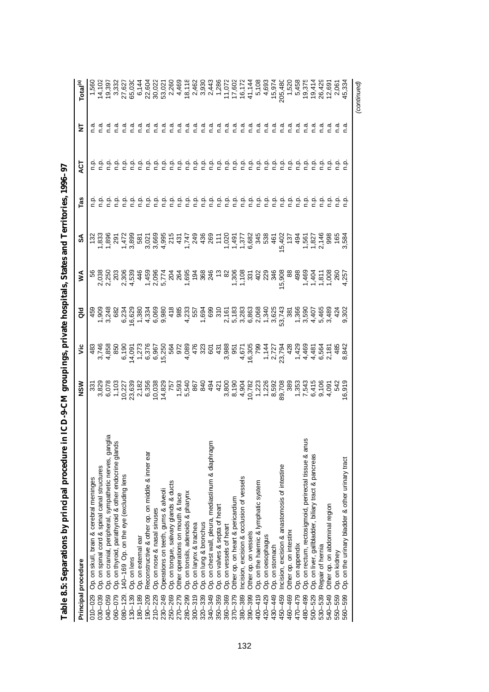| Principal procedure                                                                                                       | NSM                                                                                                  | ۶Ë                         | る     | ⋚                                     | న్                                       | Tas    | ă       | 늧              | Total <sup>(a)</sup>                                                                                                                                                                                                                                                                                          |
|---------------------------------------------------------------------------------------------------------------------------|------------------------------------------------------------------------------------------------------|----------------------------|-------|---------------------------------------|------------------------------------------|--------|---------|----------------|---------------------------------------------------------------------------------------------------------------------------------------------------------------------------------------------------------------------------------------------------------------------------------------------------------------|
| 010-029                                                                                                                   |                                                                                                      |                            |       |                                       | $\frac{32}{2}$                           |        |         |                | 1,560                                                                                                                                                                                                                                                                                                         |
| Op. on skull, brain & cerebral meninges<br>Op. on spinal cord & spinal canal structures<br>030-039                        |                                                                                                      |                            |       |                                       |                                          |        |         | πā             |                                                                                                                                                                                                                                                                                                               |
| 040-059                                                                                                                   | 331<br>3,829<br>6,078                                                                                |                            |       |                                       |                                          |        |         | πā             | 19,397                                                                                                                                                                                                                                                                                                        |
| reserved, parathyroid & other endocrine glanglia<br>140–169 Op. on the eventual & other endocrine glands<br>060-079       | 1,103                                                                                                |                            |       |                                       |                                          |        |         | σ.             | 3,332                                                                                                                                                                                                                                                                                                         |
| 140-169 Op. on the eye (excluding lens<br>$080 - 129$                                                                     | 10,227<br>23,639                                                                                     |                            |       | 28<br>030030834<br>0300305<br>0300304 |                                          |        |         | σ.             | 27,627<br>65,030                                                                                                                                                                                                                                                                                              |
| Op. on lens<br>$130 - 139$                                                                                                |                                                                                                      |                            |       |                                       |                                          |        | نې<br>C | n a            |                                                                                                                                                                                                                                                                                                               |
| Op. on external ear<br>180-189                                                                                            | 2,182                                                                                                |                            |       |                                       |                                          |        | ءِ<br>ء | n a            | 6,14                                                                                                                                                                                                                                                                                                          |
| Reconstructive & other op. on middle & inner ear<br>$190 - 209$                                                           | 6,356                                                                                                |                            |       |                                       |                                          |        | ءِ<br>ء | n a            |                                                                                                                                                                                                                                                                                                               |
| Op. on nose & nasal sinuses<br>$210 - 229$                                                                                | 10,038                                                                                               |                            |       |                                       |                                          |        | ءِ<br>ء | n.a            | 22,602<br>30,02                                                                                                                                                                                                                                                                                               |
| Operations on teeth, gums & alveoli<br>230-249                                                                            |                                                                                                      |                            |       |                                       |                                          |        | ن<br>ء  | n a            | 53,02                                                                                                                                                                                                                                                                                                         |
| Op. on tongue, salivary glands & ducts<br>250-269                                                                         |                                                                                                      |                            |       |                                       |                                          |        | n.p     | n.a            | 2,260                                                                                                                                                                                                                                                                                                         |
| Other operations on mouth & face<br>270-279                                                                               | 14,829<br>750 757<br>1,593<br>1,5940<br>5040<br>5040                                                 |                            |       | 59<br>0007<br>0007<br>0007<br>0007    |                                          |        | n p     | n.a            | 4,469                                                                                                                                                                                                                                                                                                         |
| Op. on tonsils, adenoids & pharynx<br>280-299                                                                             |                                                                                                      |                            |       |                                       |                                          | م<br>خ | n.p     | n.a            |                                                                                                                                                                                                                                                                                                               |
| Op. on larynx & trachea<br>$300 - 319$                                                                                    |                                                                                                      | 476                        |       |                                       |                                          | م<br>ء | م<br>ء  | n.a            |                                                                                                                                                                                                                                                                                                               |
| 320-339                                                                                                                   |                                                                                                      |                            |       | $1000$<br>$4000$<br>$4000$<br>$400$   | 436                                      | n.p    | n p     | n.a            | $\begin{array}{r} 18,11 \\ 2,46 \\ 3,93 \\ \end{array}$                                                                                                                                                                                                                                                       |
| Op. on lung & bronchus<br>Op. on chest wall, pleura, mediastinum & diaphragm<br>Op. on valves & septa of heart<br>340-349 | 494                                                                                                  |                            |       |                                       | $rac{265}{117}$                          |        | n p     | n.a            | 2,443                                                                                                                                                                                                                                                                                                         |
| 350-359                                                                                                                   | 421                                                                                                  |                            |       | $\frac{6}{10}$                        |                                          |        | م<br>ء  | n a            |                                                                                                                                                                                                                                                                                                               |
| Op. on vessels of heart<br>360-369                                                                                        |                                                                                                      |                            |       |                                       |                                          |        | n.p     | n.a            |                                                                                                                                                                                                                                                                                                               |
| Other op. on heart & pericardium<br>$370 - 379$                                                                           |                                                                                                      |                            |       |                                       | 1457<br>145783469<br>14583469<br>1458    |        | ن<br>ء  | σ.<br>Γ        | 1,286<br>11,072<br>17,602<br>17,144<br>41,144                                                                                                                                                                                                                                                                 |
| Incision, excision & occlusion of vessels<br>380-389                                                                      |                                                                                                      |                            |       |                                       |                                          |        | ن<br>ء  |                |                                                                                                                                                                                                                                                                                                               |
| Other op. on vessels<br>390-399                                                                                           |                                                                                                      |                            |       |                                       |                                          |        | نې<br>ء | ീ.⊂            |                                                                                                                                                                                                                                                                                                               |
| Op. on the haemic & lymphatic system<br>$400 - 419$                                                                       |                                                                                                      |                            |       |                                       |                                          |        |         | σ.<br>Γ        |                                                                                                                                                                                                                                                                                                               |
| Op. on oesophagus<br>420-429                                                                                              |                                                                                                      |                            |       |                                       |                                          |        | نې<br>G | e.o            |                                                                                                                                                                                                                                                                                                               |
| Op. on stomach<br>430-449                                                                                                 |                                                                                                      |                            |       |                                       |                                          |        | ن<br>ء  | σ.             |                                                                                                                                                                                                                                                                                                               |
| Incision, excision & anastomosis of intestine<br>450-459                                                                  |                                                                                                      |                            |       |                                       |                                          |        | ن<br>ء  | $\overline{a}$ |                                                                                                                                                                                                                                                                                                               |
| Other op. on intestine<br>460-469                                                                                         |                                                                                                      | 428                        |       |                                       |                                          |        | ف<br>ء  | n.a            |                                                                                                                                                                                                                                                                                                               |
| Op. on appendix<br>470-479                                                                                                |                                                                                                      |                            |       | 498                                   |                                          |        | نې<br>ء | n.a            |                                                                                                                                                                                                                                                                                                               |
| Op. on rectum, rectosigmoid, perirectal tissue & ar<br>480-499                                                            |                                                                                                      |                            |       |                                       |                                          |        | ن<br>ء  |                |                                                                                                                                                                                                                                                                                                               |
| Op. on liver, gallbladder, biliary tract & pancreas<br>$500 - 529$                                                        |                                                                                                      |                            |       |                                       |                                          |        | نې<br>C |                |                                                                                                                                                                                                                                                                                                               |
| Repair of hernia<br>530-539                                                                                               |                                                                                                      |                            |       |                                       |                                          |        |         |                |                                                                                                                                                                                                                                                                                                               |
| Other op. on abdominal region<br>540-549                                                                                  | 289<br>2853<br>2853<br>2853<br>2853<br>2853<br>2853<br>285<br>285<br>285<br>285<br>285<br>285<br>285 | 44460<br>4446648<br>588468 |       |                                       | 0<br>1970 1982<br>1970 1988<br>1970 1988 |        |         | πā             | $\begin{array}{l} 7.63 \\ 7.63 \\ 7.63 \\ 7.64 \\ 8.65 \\ 7.66 \\ 7.67 \\ 8.67 \\ 7.69 \\ 7.69 \\ 7.60 \\ 7.60 \\ 7.60 \\ 7.60 \\ 7.60 \\ 7.60 \\ 7.60 \\ 7.60 \\ 7.60 \\ 7.60 \\ 7.60 \\ 7.60 \\ 7.60 \\ 7.60 \\ 7.60 \\ 7.60 \\ 7.60 \\ 7.60 \\ 7.60 \\ 7.60 \\ 7.60 \\ 7.60 \\ 7.60 \\ 7.60 \\ 7.60 \\ 7.$ |
| Op. on kidney<br>550-559                                                                                                  |                                                                                                      |                            |       |                                       |                                          |        |         |                |                                                                                                                                                                                                                                                                                                               |
| Op. on the urinary bladder & other urinary tract<br>560-599                                                               | 6,919                                                                                                | 8,842                      | 9,302 |                                       | 3,584                                    |        |         | σ.<br>Γ        |                                                                                                                                                                                                                                                                                                               |
|                                                                                                                           |                                                                                                      |                            |       |                                       |                                          |        |         |                | (continued)                                                                                                                                                                                                                                                                                                   |

Table 8.5: Separations by principal procedure in ICD-9-CM groupings, private hospitals, States and Territories, 1996-97 **Table 8.5: Separations by principal procedure in ICD-9-CM groupings, private hospitals, States and Territories, 1996–97**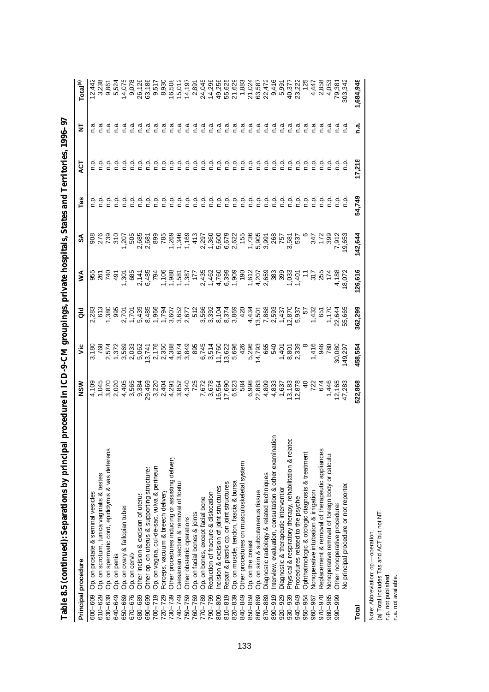| Principal procedure                                                                                                                        | NSW                       | ۶Ë                        | る                                                       | ⋚               | న్                                                                   | Tas    | ă      | 눋              | Total <sup>(a)</sup>       |
|--------------------------------------------------------------------------------------------------------------------------------------------|---------------------------|---------------------------|---------------------------------------------------------|-----------------|----------------------------------------------------------------------|--------|--------|----------------|----------------------------|
| Op. on prostate & seminal vesicles<br>600-609                                                                                              | 4,109                     | 3,180                     | 283                                                     |                 |                                                                      |        |        |                | 12,442<br>3,238            |
| $610 - 629$                                                                                                                                | 1,045                     | 768                       | 613                                                     | 26'             | 278<br>739                                                           |        |        |                |                            |
| 630-639                                                                                                                                    | 3,870                     |                           |                                                         | 74              |                                                                      |        |        |                | 9,86                       |
| 640-649                                                                                                                                    | 2,020                     | 2,574<br>1,372<br>3,569   | 1,380<br>995                                            | 491             | 31C                                                                  |        |        |                | 5,524                      |
| Op. on scrotum, tunica vaginalis & testes<br>Op. on spermatic cord, epididymis & vas deferens<br>Op. on ovary & fallopian tubes<br>650-669 | 4,405<br>3,565<br>9,384   |                           |                                                         | 1,301<br>685    | $-207$                                                               |        |        | ര<br>∩         | 14,075<br>9,078            |
| Op. on cervix<br>670-676                                                                                                                   |                           | 2,033<br>5,062            |                                                         |                 | 505                                                                  |        |        |                |                            |
| Other incision & excision of uterus<br>680-689                                                                                             |                           |                           |                                                         |                 | 2,685<br>2,681                                                       |        |        |                | 26,126<br>63,186           |
| Other op. on uterus & supporting structures<br>690-699                                                                                     |                           |                           |                                                         |                 |                                                                      |        |        | ീ.⊂            |                            |
| Op. on vagina, cul-de-sac, vulva & perineun<br>$700 - 719$                                                                                 |                           |                           |                                                         |                 | 89<br>785                                                            |        |        | ര<br>⊂         | 9,51                       |
| Forceps, vacuum & breech delivery<br>$720 - 729$                                                                                           | 29,469<br>3,220<br>2,404  |                           |                                                         |                 |                                                                      |        |        | ര<br>∩         | 8,930                      |
| Other procedures inducing or assisting delivery<br>730-739                                                                                 |                           |                           |                                                         |                 |                                                                      |        |        | ീ.⊂            | 16,508<br>15,012           |
| Caesarean section & removal of foetus<br>740-749                                                                                           |                           |                           |                                                         |                 |                                                                      |        |        | ື⊂             |                            |
| Other obstetric operations<br>750-759                                                                                                      |                           |                           |                                                         |                 |                                                                      |        |        | n a            |                            |
| Op. on facial bones & joints<br>760-769                                                                                                    |                           |                           |                                                         |                 |                                                                      |        |        | n a            | $\frac{14,197}{2,891}$     |
| Op. on bones, except facial bone<br>770-789                                                                                                |                           |                           |                                                         |                 |                                                                      |        |        | σ<br>Ω         | 24,04                      |
| Reduction of fracture & dislocation<br>790-799                                                                                             |                           |                           |                                                         |                 |                                                                      |        |        | n.a            | 14,296                     |
| Incision & excision of joint structures<br>800-809                                                                                         |                           |                           |                                                         |                 |                                                                      |        |        | n a            | 49,250<br>55,621           |
| Repair & plastic op. on joint structures<br>$810 - 819$                                                                                    |                           | 13,622                    |                                                         |                 |                                                                      |        | ç      | n a            |                            |
| Op. on muscle, tendon, fascia & bursa<br>820-839                                                                                           | 6,523<br>584              | 5,696                     |                                                         |                 |                                                                      |        | م<br>ء | n a            | 21,62                      |
| Other procedures on musculoskeletal system<br>840-849                                                                                      |                           | 426                       |                                                         |                 |                                                                      |        | م<br>ء | n.a            | 1,883                      |
| Op. on the breast<br>850-859                                                                                                               | 6,998                     | 5,296                     |                                                         |                 | 096001600020160605007<br>09600160000160000017<br>0960016000160000017 |        | م<br>م | $\overline{a}$ | 21,024<br>63,587<br>22,472 |
| Op. on skin & subcutaneous tissue<br>860-869                                                                                               | 22,883                    | 14,793                    |                                                         |                 |                                                                      |        | ç      | n.a            |                            |
| Diagnostic radiology & related techniques<br>870-889                                                                                       | 4,809                     | 65<br>53                  |                                                         |                 |                                                                      |        | ç      | n a            |                            |
| Interview, evaluation, consultation & other examination<br>890-919                                                                         | 4,833                     |                           |                                                         |                 |                                                                      |        | م<br>ء | n.a            | 9,416                      |
| Diagnostic & therapeutic interventior<br>920-929                                                                                           |                           |                           |                                                         | 399             |                                                                      |        | م<br>خ | n.a            | 5,991                      |
| ed<br>B<br>Physical & respiratory therapy, rehabilitation & relat<br>930-939                                                               | 1,637<br>13,183<br>12,878 | $7,401$<br>8,801<br>2,339 | 4.434<br>13.501<br>13.868<br>14.870<br>12.937<br>12.937 | 1,033           | 3,581<br>537                                                         |        | م<br>ء | n.a            | 40,377<br>23,222           |
| Procedures related to the psyche<br>940-949                                                                                                |                           |                           |                                                         |                 |                                                                      |        |        | n.a            |                            |
| Ophthalmologic & otologic diagnosis & treatment<br>950-954                                                                                 | $\triangleq$              |                           | $\frac{1}{2}$                                           |                 |                                                                      |        |        | n.a            |                            |
| Nonoperative intubation & irrigation<br>960-967                                                                                            | 722<br>674                | 1,416<br>946<br>180       | 1,432<br>1,174<br>1,174<br>50,664<br>50,665             |                 | 347                                                                  |        |        | ີດ<br>∩        | 4,447<br>2,858             |
| Replacement & removal of therapeutic appliances<br>970-978                                                                                 |                           |                           |                                                         | 25t             | 172                                                                  |        |        | σ<br>Γ         |                            |
| Nonoperative removal of foreign body or calculu:<br>980-985                                                                                | 1,446                     |                           |                                                         | $\tilde{\tau}$  | 399                                                                  |        |        |                | 4,053                      |
| Other nonoperative procedures<br>866-066                                                                                                   | 12,165                    |                           |                                                         | 4,188<br>18,07% | 7,912<br>19,653                                                      |        |        |                | 79,38'<br>303,34'          |
| No principal procedure or not reported                                                                                                     | 47,283                    | 30,080                    |                                                         |                 |                                                                      |        |        |                |                            |
| Total                                                                                                                                      | 522,868                   | 458,554                   | 362,299                                                 | 126,616         | 142,644                                                              | 54,749 | 17,218 | <u>ດີ</u>      | 1,684,948                  |

Table 8.5 (continued): Separations by principal procedure in ICD-9-CM groupings, private hospitals, States and Territories, 1996-97 **Table 8.5 (continued): Separations by principal procedure in ICD-9-CM groupings, private hospitals, States and Territories, 1996–97**

Note: Abbreviation: op.—operation.<br>(a) Total includes Tas and ACT but not NT.<br>n.p. not published.<br>n.a. not available. (a) Total includes Tas and ACT but not NT. Note: Abbreviation: op.— operation.

n.p. not published.

n.a. not available.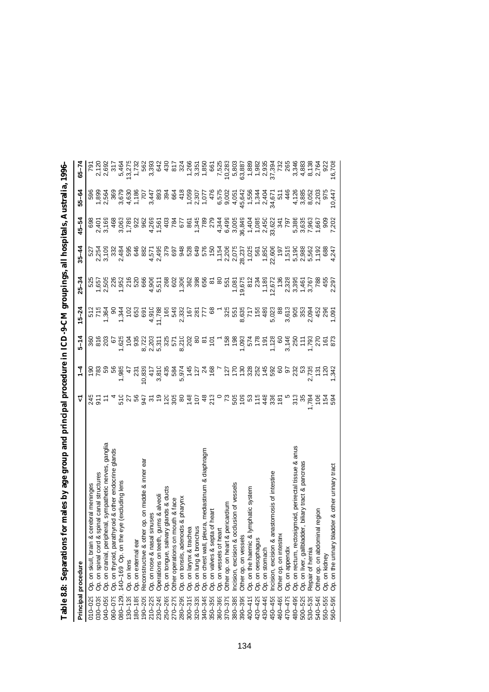| Principal procedure                                                    | ᡪ               | $\frac{1}{4}$  | $5 - 14$                            | $5 - 24$                                                                                                                                                                                                                                                                                                                                         | $25 - 34$                                           | $35 - 44$                   | 45–54            | 55-64                     | $65 - 74$               |
|------------------------------------------------------------------------|-----------------|----------------|-------------------------------------|--------------------------------------------------------------------------------------------------------------------------------------------------------------------------------------------------------------------------------------------------------------------------------------------------------------------------------------------------|-----------------------------------------------------|-----------------------------|------------------|---------------------------|-------------------------|
| Op. on skull, brain & cerebral meninges<br>010-029                     |                 | ă              | 360                                 |                                                                                                                                                                                                                                                                                                                                                  |                                                     |                             | 698              |                           |                         |
| ral canal structures<br>Op. on spinal cord & spir<br>030-039           | 51<br>21        | 783            | $\frac{816}{203}$                   | 512<br>715<br>1,364                                                                                                                                                                                                                                                                                                                              |                                                     |                             | 2,401            | 596<br>1,899<br>2,564     | 2,120<br>2,692          |
| , sympathetic nerves, ganglia<br>Op. on cranial, peripheral<br>040-059 |                 |                |                                     |                                                                                                                                                                                                                                                                                                                                                  |                                                     |                             | 3,169            |                           |                         |
| Op. on thyroid, parathyroid & other endocrine glands<br>060-079        |                 | ន ន            | 67                                  | $\frac{8}{2}$                                                                                                                                                                                                                                                                                                                                    | 525<br>5505 2052<br>5605 2050<br>5005 7006          | 527<br>2.354<br>2.532       | 468              | 369                       | 317                     |
| (excluding lens<br>140-169 Op. on the eye<br>$780 - 129$               | 510             | 1,985          |                                     |                                                                                                                                                                                                                                                                                                                                                  |                                                     | 2,484                       |                  |                           | 5,464                   |
| Op. on lens<br>$130 - 139$                                             | $\frac{27}{56}$ | 47             | 1,625<br>1 0 3<br>1 9 35            | <u>y 5 8 9</u>                                                                                                                                                                                                                                                                                                                                   |                                                     | 595                         | 3,063<br>1,789   | 3,679<br>4,630            | 13,275<br>1,732         |
| Op. on external ear<br>80-189                                          |                 | 231            |                                     |                                                                                                                                                                                                                                                                                                                                                  |                                                     | 646                         | 922              | 1,186                     |                         |
| Reconstructive & other op. on middle & inner ear<br>$90 - 209$         | 947             | 0,839          |                                     |                                                                                                                                                                                                                                                                                                                                                  |                                                     | 882                         | 962              | 707                       | 562                     |
| Op. on nose & nasal sinuses<br>210-229                                 |                 | 417            | 8,723<br>2,203                      | $\begin{array}{c} 1210 \\ + 111 \\ - 180 \\ - 180 \\ - 180 \\ - 180 \\ - 180 \\ - 180 \\ - 181 \\ - 181 \\ - 181 \\ - 181 \\ - 181 \\ - 181 \\ - 181 \\ - 181 \\ - 181 \\ - 181 \\ - 181 \\ - 181 \\ - 181 \\ - 181 \\ - 181 \\ - 181 \\ - 181 \\ - 181 \\ - 181 \\ - 181 \\ - 181 \\ - 181 \\ - 181 \\ - 181 \\ - 181 \\ - 181 \\ - 181 \\ - 1$ | $4,906$<br>$5,511$<br>$5,802$<br>$1,306$<br>$1,306$ | 4,571<br>2,495              | 4,269<br>1,561   | 3,447                     | 3,393                   |
| Operations on teeth, gums & alveoli<br>230-249                         |                 | 3,810          |                                     |                                                                                                                                                                                                                                                                                                                                                  |                                                     |                             |                  | 893                       | 642                     |
| Op. on tongue, salivary glands & ducts<br>250-269                      |                 | 435            |                                     |                                                                                                                                                                                                                                                                                                                                                  |                                                     |                             |                  | 394                       | 430                     |
| th & face<br>Other operations on mou<br>270-279                        |                 | 584            |                                     |                                                                                                                                                                                                                                                                                                                                                  |                                                     |                             |                  | 664                       | 817                     |
| & pharynx<br>Op. on tonsils, adenoids<br>280-299                       |                 | 5,974          | 5,311<br>325<br>571<br>8,210<br>202 |                                                                                                                                                                                                                                                                                                                                                  |                                                     | 0<br>5 0 3 0 3<br>5 0 3 0 3 | $\frac{488}{24}$ | 418                       | 324                     |
| Op. on larynx & trachea<br>$300 - 319$                                 | 80 48           | 145            |                                     |                                                                                                                                                                                                                                                                                                                                                  |                                                     |                             | 861              |                           |                         |
| Op. on lung & bronchus<br>320-339                                      | 107             | 127            |                                     |                                                                                                                                                                                                                                                                                                                                                  | 362<br>398                                          |                             | 1,345<br>789     | $7,307$<br>2,307<br>1,077 | 1,266<br>3,351<br>1,850 |
| mediastinum & diaphragm<br>Op. on chest wall, pleura<br>340-349        | 48              | $\mathcal{Z}$  |                                     |                                                                                                                                                                                                                                                                                                                                                  | 656                                                 | 576                         |                  |                           |                         |
| heart<br>Op. on valves & septa of<br>350-359                           | 213             | 168            |                                     | $\frac{8}{3}$                                                                                                                                                                                                                                                                                                                                    | <u>৯</u>                                            | 150                         | 279              | 476                       | 661                     |
| Op. on vessels of heart<br>360-369                                     | $\circ$         |                |                                     |                                                                                                                                                                                                                                                                                                                                                  | 80                                                  | 1,154                       | 4,344            | 6,575                     | 7,525                   |
| cardium<br>Other op. on heart & peri<br>370-379                        | $\mathbb{r}$    | 127            | $\frac{86}{158}$                    | $325$<br>$55$<br>$55$<br>$55$<br>$75$<br>$48$<br>$325$                                                                                                                                                                                                                                                                                           | 551                                                 | 2,206<br>2,075              | 6,499            | 9,002                     | 10,283                  |
| sion of vessels<br>ncision, excision & occlu<br>380-389                | 505             | 170            |                                     |                                                                                                                                                                                                                                                                                                                                                  | 1,081                                               |                             | 3,005            | 4,051                     | 5,803                   |
| Other op. on vessels<br>390-399                                        | ខ្លួ            | 588758         | 1,093<br>574<br>178<br>191          |                                                                                                                                                                                                                                                                                                                                                  | 19,675                                              | 28,237                      | 36,849           | 45,642                    | 63,887                  |
| phatic system<br>Op. on the haemic & lym<br>$400 - 419$                |                 |                |                                     |                                                                                                                                                                                                                                                                                                                                                  | 812<br>234                                          | 1,025                       | 1,404            | 1,556                     | 1,889                   |
| Op. on oesophagus<br>420-429                                           | 115             |                |                                     |                                                                                                                                                                                                                                                                                                                                                  |                                                     | 561                         | 1,085            | 1,344                     | 1,982                   |
| Op. on stomach<br>430-449                                              | 448             |                |                                     |                                                                                                                                                                                                                                                                                                                                                  | 1,189                                               | 1,850                       | 2,450            | 2,404                     | 2,935                   |
| Incision, excision & anastomosis of intestine<br>450-459               | 336             |                | 1,128                               | 5,023<br>88                                                                                                                                                                                                                                                                                                                                      | 12,672                                              | 22,606                      | 33,622           | 34,671                    | 37,394                  |
| Other op. on intestine<br>460-469                                      | 181             | 8              | 60                                  |                                                                                                                                                                                                                                                                                                                                                  | 136                                                 | 197                         | 341              | 511                       | 732                     |
| Op. on appendix<br>470-479                                             |                 | 9              | 3,146                               |                                                                                                                                                                                                                                                                                                                                                  | 2,328                                               | 1,515                       | 797              | 446                       | 265                     |
| noid, perirectal tissue & anus<br>Op. on rectum, rectosign<br>480-499  | 313             | 232            | 250<br>1793<br>1792                 | 3.613<br>3.653<br>3.634                                                                                                                                                                                                                                                                                                                          | 3,395                                               | 5,190<br>2,988              | 5,386            | 4,126                     | 3,346                   |
| biliary tract & pancreas<br>Op. on liver, gallbladder,<br>500-529      | 35              | S3             |                                     |                                                                                                                                                                                                                                                                                                                                                  | $\frac{1,461}{3,767}$                               |                             | 3,635            | 3,885                     | 4,883                   |
| Repair of hernia<br>530-539                                            | ,784            | 2,735          |                                     |                                                                                                                                                                                                                                                                                                                                                  |                                                     | 5,562                       | 7,963            | 8,052                     | 8,138                   |
| Other op. on abdominal region<br>540-549                               | 106             | $\frac{5}{12}$ |                                     | $\frac{1580}{200}$                                                                                                                                                                                                                                                                                                                               | 785                                                 | 1,192                       | 1,667            | 2,203                     | 2,764                   |
| Op. on kidney<br>550-559                                               | $154$<br>594    | $120$<br>$342$ | $\frac{161}{873}$                   |                                                                                                                                                                                                                                                                                                                                                  | 455<br>2,297                                        | 688                         | 909              | 975                       | 922                     |
| Op. on the urinary bladder & other urinary tract<br>560-599            |                 |                |                                     |                                                                                                                                                                                                                                                                                                                                                  |                                                     | 4,247                       | 7,202            | 10,447                    | 16,708                  |

**Table 8.8: Separations for males by age group and principal procedure in ICD-9-CM groupings, all hospitals, Australia, 1996–97** Table 8.8: Separations for males by age group and principal procedure in ICD-9-CM groupings, all hospitals, Australia, 1996-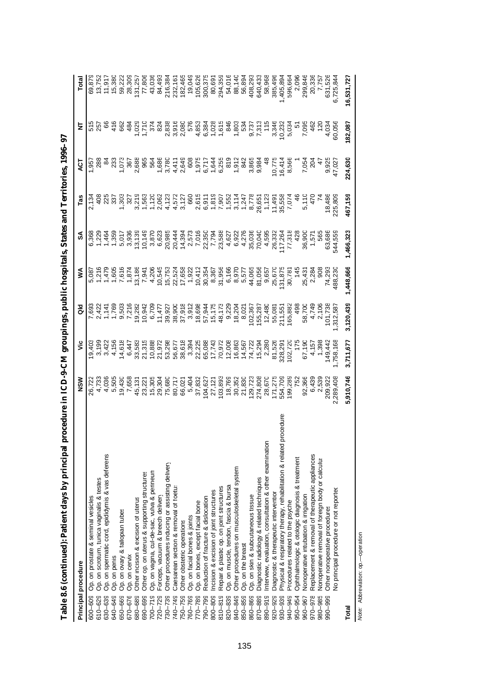| Principal procedure                                                              | MSN                                                     | ۶Ë                                                                                                                                                                                                                                                                                                            | る                                                              | ⋚                        | వ్                                                                                                                                                                                                                                                                                                                                                                                    | Tas                                                                                                                                   | ā                                                                                       | Ξ                 |                    |
|----------------------------------------------------------------------------------|---------------------------------------------------------|---------------------------------------------------------------------------------------------------------------------------------------------------------------------------------------------------------------------------------------------------------------------------------------------------------------|----------------------------------------------------------------|--------------------------|---------------------------------------------------------------------------------------------------------------------------------------------------------------------------------------------------------------------------------------------------------------------------------------------------------------------------------------------------------------------------------------|---------------------------------------------------------------------------------------------------------------------------------------|-----------------------------------------------------------------------------------------|-------------------|--------------------|
| Op. on prostate & seminal vesicles<br>600-609                                    | 26,722                                                  | 19,403                                                                                                                                                                                                                                                                                                        |                                                                |                          | 6,368                                                                                                                                                                                                                                                                                                                                                                                 |                                                                                                                                       | 1,95                                                                                    |                   |                    |
| Op. on scrotum, tunica vaginalis & testes<br>610-629                             |                                                         | 3,199                                                                                                                                                                                                                                                                                                         |                                                                |                          |                                                                                                                                                                                                                                                                                                                                                                                       |                                                                                                                                       | 288                                                                                     | 515<br>257        | 69,879<br>13,752   |
| Op. on spermatic cord, epididymis & vas deferens<br>630-639                      | 4,036                                                   | 3,42                                                                                                                                                                                                                                                                                                          |                                                                |                          |                                                                                                                                                                                                                                                                                                                                                                                       |                                                                                                                                       | $\frac{8}{2}$                                                                           |                   | 11,91              |
| Op. on penis<br>640-649                                                          |                                                         | 4,156                                                                                                                                                                                                                                                                                                         |                                                                |                          |                                                                                                                                                                                                                                                                                                                                                                                       |                                                                                                                                       |                                                                                         | 416               | 15,380             |
| Op. on ovary & fallopian tubes<br>650-669                                        | 5,505<br>19,430                                         |                                                                                                                                                                                                                                                                                                               |                                                                |                          |                                                                                                                                                                                                                                                                                                                                                                                       |                                                                                                                                       |                                                                                         |                   | 59,22              |
| Op. on cervix<br>670-676                                                         | 7,658                                                   | $14,618$<br>6,447<br>33,583                                                                                                                                                                                                                                                                                   | 7,693<br>2427 147 169<br>2503 1692<br>2692 1694<br>26942 16942 |                          | $\begin{array}{l} 1 \\ 1 \\ 2 \\ 3 \\ 4 \\ 5 \\ 6 \\ 7 \\ 8 \\ 9 \\ 1 \\ 1 \\ 1 \\ 2 \\ 3 \\ 4 \\ 5 \\ 6 \\ 7 \\ 8 \\ 9 \\ 1 \\ 1 \\ 2 \\ 3 \\ 4 \\ 5 \\ 6 \\ 7 \\ 8 \\ 9 \\ 1 \\ 1 \\ 2 \\ 3 \\ 4 \\ 5 \\ 6 \\ 7 \\ 8 \\ 9 \\ 1 \\ 1 \\ 2 \\ 3 \\ 4 \\ 5 \\ 7 \\ 8 \\ 9 \\ 1 \\ 1 \\ 2 \\ 3 \\ 4 \\ 5 \\ 7 \\ 8 \\ 9 \\ 1 \\ 1 \\ 1 \\ 1 \\ 1 \\ 1 \\ 1 \\ 1 \\ 1 \\ 1 \\ 1 \\ 1 \\$ | vi – vittely velkke keiselk<br>1982–1983<br>1982–1983 Sanner – Strand Schrift (1983–1983)<br>1982–1983 Sanner – Schrift Schrift (1984 | 233<br>1,073<br>2,688<br>2,688                                                          |                   | 28,309             |
| Other incision & excision of uterus<br>680-689                                   | 45,131                                                  |                                                                                                                                                                                                                                                                                                               |                                                                |                          |                                                                                                                                                                                                                                                                                                                                                                                       |                                                                                                                                       |                                                                                         |                   | 131,25             |
| Other op. on uterus & supporting structures<br>690-699                           | 23,221                                                  | 21,315                                                                                                                                                                                                                                                                                                        |                                                                |                          |                                                                                                                                                                                                                                                                                                                                                                                       |                                                                                                                                       | 965                                                                                     |                   | 77,806             |
| Op. on vagina, cul-de-sac, vulva & perineun<br>$700 - 719$                       |                                                         |                                                                                                                                                                                                                                                                                                               |                                                                |                          |                                                                                                                                                                                                                                                                                                                                                                                       |                                                                                                                                       | 564                                                                                     |                   | 43,036             |
| Forceps, vacuum & breech delivery<br>720-729                                     |                                                         | 10,888<br>21,972                                                                                                                                                                                                                                                                                              |                                                                |                          |                                                                                                                                                                                                                                                                                                                                                                                       |                                                                                                                                       |                                                                                         |                   | 84,493             |
| Other procedures inducing or assisting delivery<br>730-739                       | 15,305<br>29,304<br>75,580<br>7,832<br>66,021<br>57,832 | 53,298                                                                                                                                                                                                                                                                                                        |                                                                |                          |                                                                                                                                                                                                                                                                                                                                                                                       |                                                                                                                                       |                                                                                         |                   | 216,38             |
| Caesarean section & removal of foetus<br>740-749                                 |                                                         |                                                                                                                                                                                                                                                                                                               |                                                                |                          |                                                                                                                                                                                                                                                                                                                                                                                       |                                                                                                                                       |                                                                                         |                   | 232,161            |
| Other obstetric operations<br>750-759                                            |                                                         | 56,677<br>38,618                                                                                                                                                                                                                                                                                              |                                                                |                          |                                                                                                                                                                                                                                                                                                                                                                                       |                                                                                                                                       |                                                                                         |                   |                    |
| Op. on facial bones & joints<br>760-769                                          |                                                         | 3,394<br>22,225<br>25,088<br>77,372<br>70,972                                                                                                                                                                                                                                                                 |                                                                |                          |                                                                                                                                                                                                                                                                                                                                                                                       |                                                                                                                                       |                                                                                         |                   | 182,465<br>19,049  |
| Op. on bones, except facial bone<br>770-789                                      |                                                         |                                                                                                                                                                                                                                                                                                               |                                                                |                          |                                                                                                                                                                                                                                                                                                                                                                                       |                                                                                                                                       |                                                                                         |                   |                    |
| Reduction of fracture & dislocation<br>790-799                                   | 104,627<br>27,121                                       |                                                                                                                                                                                                                                                                                                               |                                                                |                          |                                                                                                                                                                                                                                                                                                                                                                                       |                                                                                                                                       |                                                                                         |                   | 105,626<br>300,375 |
| ncision & excision of joint structures<br>800-809                                |                                                         |                                                                                                                                                                                                                                                                                                               |                                                                |                          |                                                                                                                                                                                                                                                                                                                                                                                       |                                                                                                                                       |                                                                                         |                   | 80,691             |
| Repair & plastic op. on joint structures<br>$810 - 819$                          | 103,893                                                 |                                                                                                                                                                                                                                                                                                               |                                                                |                          |                                                                                                                                                                                                                                                                                                                                                                                       |                                                                                                                                       |                                                                                         |                   | 294,359            |
| Op. on muscle, tendon, fascia & bursa<br>820-839                                 | 18,769                                                  |                                                                                                                                                                                                                                                                                                               |                                                                |                          |                                                                                                                                                                                                                                                                                                                                                                                       |                                                                                                                                       |                                                                                         |                   | 54,016             |
| Other procedures on musculoskeletal system<br>840-849                            | 30,352                                                  |                                                                                                                                                                                                                                                                                                               |                                                                |                          |                                                                                                                                                                                                                                                                                                                                                                                       |                                                                                                                                       |                                                                                         |                   | 88,140             |
| Op. on the breast<br>850-859                                                     | 21,830                                                  |                                                                                                                                                                                                                                                                                                               |                                                                |                          |                                                                                                                                                                                                                                                                                                                                                                                       |                                                                                                                                       |                                                                                         |                   | 56,894             |
| Op. on skin & subcutaneous tissue<br>860-869                                     | 129,723                                                 |                                                                                                                                                                                                                                                                                                               |                                                                |                          |                                                                                                                                                                                                                                                                                                                                                                                       |                                                                                                                                       |                                                                                         |                   | 408,293            |
| Diagnostic radiology & related techniques<br>870-889                             | 274,808                                                 | $\begin{array}{l} 1500 \\ 1600 \\ 1700 \\ 1800 \\ 1900 \\ 1900 \\ 1900 \\ 1900 \\ 1900 \\ 1900 \\ 1900 \\ 1900 \\ 1900 \\ 1900 \\ 1900 \\ 1900 \\ 1900 \\ 1900 \\ 1900 \\ 1900 \\ 1900 \\ 1900 \\ 1900 \\ 1900 \\ 1900 \\ 1900 \\ 1900 \\ 1900 \\ 1900 \\ 1900 \\ 1900 \\ 1900 \\ 1900 \\ 1900 \\ 1900 \\ 19$ |                                                                |                          |                                                                                                                                                                                                                                                                                                                                                                                       |                                                                                                                                       | tu40 toto t wo 560 r of4<br>@SE4@@pr540@pag@a4b42 p3 4<br>@SE4@Dr540@5740@\$dr4@-224702 |                   | 640,433            |
| nterview, evaluation, consultation & other examination<br>890-919                | 28,670                                                  |                                                                                                                                                                                                                                                                                                               |                                                                |                          |                                                                                                                                                                                                                                                                                                                                                                                       |                                                                                                                                       |                                                                                         |                   | 58,968             |
| Diagnostic & therapeutic intervention<br>920-929                                 | 171,275                                                 | 81,526                                                                                                                                                                                                                                                                                                        | 55,08                                                          |                          |                                                                                                                                                                                                                                                                                                                                                                                       |                                                                                                                                       |                                                                                         |                   | 385,496            |
| vrocedure<br>Physical & respiratory therapy, rehabilitation & related<br>930-939 | 554,709                                                 | 328,291                                                                                                                                                                                                                                                                                                       | 211,551<br>165,882                                             | 131,875<br>30,781<br>145 |                                                                                                                                                                                                                                                                                                                                                                                       |                                                                                                                                       |                                                                                         | $10,232$<br>5,034 | 1,405,89           |
| Procedures related to the psyche<br>840-949                                      | 199,289                                                 | 102,720                                                                                                                                                                                                                                                                                                       |                                                                |                          |                                                                                                                                                                                                                                                                                                                                                                                       |                                                                                                                                       |                                                                                         |                   | 596,66             |
| Ophthalmologic & otologic diagnosis & treatment<br>950-954                       | 752                                                     | 175                                                                                                                                                                                                                                                                                                           | 498                                                            |                          | 428                                                                                                                                                                                                                                                                                                                                                                                   |                                                                                                                                       |                                                                                         |                   | 2,096              |
| Nonoperative intubation & irrigation<br>960-967                                  | 92,366                                                  |                                                                                                                                                                                                                                                                                                               | 58,700<br>4,749<br>2,106                                       | 25,431<br>2,284          | 36,900                                                                                                                                                                                                                                                                                                                                                                                | $5,110$<br>$5,110$<br>$470$                                                                                                           |                                                                                         | 1,095<br>19       | 299,846            |
| Replacement & removal of therapeutic appliances<br>970-978                       | 6,439                                                   |                                                                                                                                                                                                                                                                                                               |                                                                |                          | 1,57                                                                                                                                                                                                                                                                                                                                                                                  |                                                                                                                                       |                                                                                         | 462               | 20,336             |
| Nonoperative removal of foreign body or calculu:<br>980-985                      | 2,539                                                   |                                                                                                                                                                                                                                                                                                               |                                                                | $\tilde{90}$             | 585                                                                                                                                                                                                                                                                                                                                                                                   |                                                                                                                                       |                                                                                         |                   |                    |
| Other nonoperative procedures<br>990-999                                         | 209,922                                                 | 67,190<br>4,157<br>1,398<br>149,442                                                                                                                                                                                                                                                                           | 101,738                                                        | 74,293<br>488,230        | 63,686<br>544,559                                                                                                                                                                                                                                                                                                                                                                     | 18,486<br>225,809                                                                                                                     |                                                                                         | 4,034<br>60,056   |                    |
| No principal procedure or not reported                                           | 2,289,408                                               | ,758,16                                                                                                                                                                                                                                                                                                       |                                                                |                          |                                                                                                                                                                                                                                                                                                                                                                                       |                                                                                                                                       |                                                                                         |                   |                    |
| Total                                                                            | 5,910,746                                               | 3,711,67                                                                                                                                                                                                                                                                                                      | 3,120,439                                                      | 1,448,666                | 1,466,323                                                                                                                                                                                                                                                                                                                                                                             | 467,159                                                                                                                               | 224,630                                                                                 | 182,087           | 16,531,72          |
|                                                                                  |                                                         |                                                                                                                                                                                                                                                                                                               |                                                                |                          |                                                                                                                                                                                                                                                                                                                                                                                       |                                                                                                                                       |                                                                                         |                   |                    |

Table 8.6 (continued): Patient days by principal procedure in ICD-9-CM groupings, public hospitals, States and Territories, 1996-97 **Table 8.6 (continued): Patient days by principal procedure in ICD-9-CM groupings, public hospitals, States and Territories, 1996–97**

Note: Abbreviation: op.--operation *Note:* Abbreviation: op.— operation.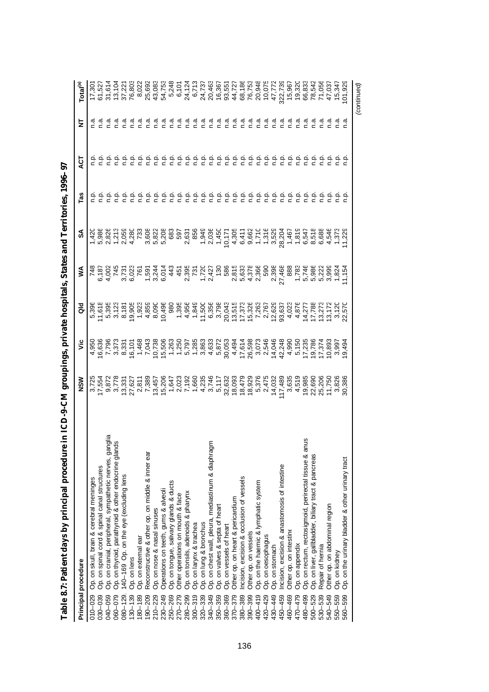| Principal procedure                                                                                | NSW              | ۶Ë                                                                                                                                                                                                                                                                                                                                                                                                                                                                                  | る                                                                                                                                                                                                                                                                                            | ⋚                                                                                                                         | వ్    | Tas           | ă             | Ξ       | Total <sup>(a)</sup>       |
|----------------------------------------------------------------------------------------------------|------------------|-------------------------------------------------------------------------------------------------------------------------------------------------------------------------------------------------------------------------------------------------------------------------------------------------------------------------------------------------------------------------------------------------------------------------------------------------------------------------------------|----------------------------------------------------------------------------------------------------------------------------------------------------------------------------------------------------------------------------------------------------------------------------------------------|---------------------------------------------------------------------------------------------------------------------------|-------|---------------|---------------|---------|----------------------------|
| 010-029                                                                                            | 3,725            |                                                                                                                                                                                                                                                                                                                                                                                                                                                                                     | 5,396                                                                                                                                                                                                                                                                                        |                                                                                                                           | 1,420 |               |               |         | 17,30'                     |
| Op. on skull, brain & cerebral meninges<br>Op. on spinal cord & spinal canal structures<br>030-039 | 17,554           |                                                                                                                                                                                                                                                                                                                                                                                                                                                                                     |                                                                                                                                                                                                                                                                                              |                                                                                                                           |       |               |               |         |                            |
| Op. on cranial, peripheral, sympathetic nerves, ganglia<br>040-059                                 | 9,872<br>3,778   |                                                                                                                                                                                                                                                                                                                                                                                                                                                                                     |                                                                                                                                                                                                                                                                                              |                                                                                                                           |       |               |               |         | 31,614                     |
| Op. on thyroid, parathyroid & other endocrine glands<br>060-079                                    |                  |                                                                                                                                                                                                                                                                                                                                                                                                                                                                                     |                                                                                                                                                                                                                                                                                              |                                                                                                                           |       |               |               | ه.<br>- | 13,104                     |
| 140-169 Op. on the eye (excluding lens<br>$080 - 129$                                              | 13,331           |                                                                                                                                                                                                                                                                                                                                                                                                                                                                                     | $\begin{array}{l} \tau_{\rm\,e\,o\,o\,o\,o\,o\,o} = \tau_{\rm\,q\,o\,o\,o} = \tau_{\rm\,q\,o\,o\,o} = \tau_{\rm\,q\,o\,o\,o\,o} = \tau_{\rm\,q\,o\,o\,o\,o\,o} = \tau_{\rm\,q\,o\,o\,o\,o\,o} = \tau_{\rm\,q\,o\,o\,o\,o\,o} = \tau_{\rm\,q\,o\,o\,o\,o\,o\,o} = \tau_{\rm\,q\,o\,o\,o\,o\,$ | nd und Lund und under Under Lennwurt<br>LOLLOL BILLE LEUNLIAL BEGLUNG BEGRIE BUDE<br>POLLOL BILLE BEGLUNG BEGREEN BEGLUNG |       | ءِ<br>ء       |               | n.a     | 37,221                     |
| Op. on lens<br>$130 - 139$                                                                         | 27,627           | 16,101                                                                                                                                                                                                                                                                                                                                                                                                                                                                              |                                                                                                                                                                                                                                                                                              |                                                                                                                           |       | ρ.<br>Γ       |               | ه.<br>۲ | 76,803                     |
| Op. on external ear<br>180-189                                                                     |                  |                                                                                                                                                                                                                                                                                                                                                                                                                                                                                     |                                                                                                                                                                                                                                                                                              |                                                                                                                           |       | غ             | ف<br>1        | ه<br>۲  | 8,02                       |
| Reconstructive & other op. on middle & inner ear<br>190-209                                        | 2,811<br>7,389   |                                                                                                                                                                                                                                                                                                                                                                                                                                                                                     |                                                                                                                                                                                                                                                                                              |                                                                                                                           |       | ن<br>ء        | ف<br>n        | م.<br>ا | 25,692                     |
| Op. on nose & nasal sinuses<br>$210 - 229$                                                         |                  |                                                                                                                                                                                                                                                                                                                                                                                                                                                                                     |                                                                                                                                                                                                                                                                                              |                                                                                                                           |       | غ             | نې<br>د       | ه<br>۲  | 43,083                     |
| Operations on teeth, gums & alveoli<br>230-249                                                     | 13,457<br>15,206 |                                                                                                                                                                                                                                                                                                                                                                                                                                                                                     |                                                                                                                                                                                                                                                                                              |                                                                                                                           |       | ن<br>م        | نې<br>C       | ი<br>ი  | 54,753                     |
| Op. on tongue, salivary glands & ducts<br>250-269                                                  |                  |                                                                                                                                                                                                                                                                                                                                                                                                                                                                                     |                                                                                                                                                                                                                                                                                              |                                                                                                                           |       |               |               |         | 5,248                      |
| Other operations on mouth & face<br>270-279                                                        |                  |                                                                                                                                                                                                                                                                                                                                                                                                                                                                                     |                                                                                                                                                                                                                                                                                              |                                                                                                                           |       | n.p           | ن<br>ء        |         | 6,101                      |
| Op. on tonsils, adenoids & pharynx<br>280-299                                                      |                  |                                                                                                                                                                                                                                                                                                                                                                                                                                                                                     |                                                                                                                                                                                                                                                                                              |                                                                                                                           |       | م.<br>P       | ن<br>ء        |         |                            |
| Op. on larynx & trachea<br>$300 - 319$                                                             |                  |                                                                                                                                                                                                                                                                                                                                                                                                                                                                                     |                                                                                                                                                                                                                                                                                              |                                                                                                                           |       | ن<br>ء        | $\frac{1}{2}$ |         |                            |
| Op. on lung & bronchus<br>$320 - 339$                                                              |                  |                                                                                                                                                                                                                                                                                                                                                                                                                                                                                     |                                                                                                                                                                                                                                                                                              |                                                                                                                           |       | ن<br>م        | نې<br>C       |         |                            |
| Op. on chest wall, pleura, mediastinum & diaphragm<br>340-349                                      |                  |                                                                                                                                                                                                                                                                                                                                                                                                                                                                                     |                                                                                                                                                                                                                                                                                              |                                                                                                                           |       | n.p           | غ<br>c        |         |                            |
| Op. on valves & septa of heart<br>350-359                                                          |                  |                                                                                                                                                                                                                                                                                                                                                                                                                                                                                     |                                                                                                                                                                                                                                                                                              |                                                                                                                           |       | م<br>ء        | نې<br>د       |         |                            |
| Op. on vessels of heart<br>360-369                                                                 |                  |                                                                                                                                                                                                                                                                                                                                                                                                                                                                                     |                                                                                                                                                                                                                                                                                              |                                                                                                                           |       | ρ             |               |         |                            |
| Other op. on heart & pericardium<br>$370 - 379$                                                    |                  | $\begin{array}{l} \, - \, \, \mathop{\triangleright} \, \mathop{\mathbb{C}} \, \mathop{\mathbb{C}} \, \mathop{\mathbb{C}} \, \mathop{\mathbb{C}} \, \mathop{\mathbb{C}} \, \mathop{\mathbb{C}} \, \mathop{\mathbb{C}} \, \mathop{\mathbb{C}} \, \mathop{\mathbb{C}} \, \mathop{\mathbb{C}} \, \mathop{\mathbb{C}} \, \mathop{\mathbb{C}} \, \mathop{\mathbb{C}} \, \mathop{\mathbb{C}} \, \mathop{\mathbb{C}} \, \mathop{\mathbb{C}} \, \mathop{\mathbb{C}} \, \mathop{\mathbb{C}}$ |                                                                                                                                                                                                                                                                                              |                                                                                                                           |       | ن<br>ء        | ن<br>ء        |         |                            |
| Incision, excision & occlusion of vessels<br>380-389                                               |                  |                                                                                                                                                                                                                                                                                                                                                                                                                                                                                     |                                                                                                                                                                                                                                                                                              |                                                                                                                           |       | $\frac{1}{2}$ | غ             |         |                            |
| Other op. on vessels<br>390-399                                                                    |                  |                                                                                                                                                                                                                                                                                                                                                                                                                                                                                     |                                                                                                                                                                                                                                                                                              |                                                                                                                           |       | نې<br>د       | ف<br>ء        |         |                            |
| Op. on the haemic & lymphatic system<br>$400 - 419$                                                |                  |                                                                                                                                                                                                                                                                                                                                                                                                                                                                                     |                                                                                                                                                                                                                                                                                              |                                                                                                                           |       | ېم            | ې             |         |                            |
| Op. on oesophagus<br>420-429                                                                       |                  |                                                                                                                                                                                                                                                                                                                                                                                                                                                                                     |                                                                                                                                                                                                                                                                                              |                                                                                                                           |       | ېم            | ېم            |         |                            |
| Op. on stomach<br>430-449                                                                          |                  |                                                                                                                                                                                                                                                                                                                                                                                                                                                                                     |                                                                                                                                                                                                                                                                                              |                                                                                                                           |       | ء<br>ء        | غ             |         |                            |
| Incision, excision & anastomosis of intestine<br>450-459                                           | 17,489           |                                                                                                                                                                                                                                                                                                                                                                                                                                                                                     |                                                                                                                                                                                                                                                                                              |                                                                                                                           |       | نې<br>C       |               |         |                            |
| Other op. on intestine<br>460-469                                                                  | 3,635            |                                                                                                                                                                                                                                                                                                                                                                                                                                                                                     |                                                                                                                                                                                                                                                                                              |                                                                                                                           |       | ف<br>ء        |               |         |                            |
| Op. on appendix<br>470-479                                                                         | 4,519            |                                                                                                                                                                                                                                                                                                                                                                                                                                                                                     |                                                                                                                                                                                                                                                                                              |                                                                                                                           |       | نې<br>ء       |               |         |                            |
| Op. on rectum, rectosigmoid, perirectal tissue & anus<br>480-499                                   | 19,985           |                                                                                                                                                                                                                                                                                                                                                                                                                                                                                     |                                                                                                                                                                                                                                                                                              |                                                                                                                           |       | نې<br>C       |               |         |                            |
| Op. on liver, gallbladder, biliary tract & pancreas<br>500-529                                     | 22,690<br>25,206 |                                                                                                                                                                                                                                                                                                                                                                                                                                                                                     |                                                                                                                                                                                                                                                                                              |                                                                                                                           |       |               |               |         | 78,542<br>71,056<br>47,037 |
| Repair of hernia<br>530-539                                                                        |                  |                                                                                                                                                                                                                                                                                                                                                                                                                                                                                     |                                                                                                                                                                                                                                                                                              |                                                                                                                           |       |               |               |         |                            |
| Other op. on abdominal region<br>540-549                                                           | 11,750           |                                                                                                                                                                                                                                                                                                                                                                                                                                                                                     |                                                                                                                                                                                                                                                                                              |                                                                                                                           |       |               |               |         |                            |
| Op. on kidney<br>550-559                                                                           | 3,826            |                                                                                                                                                                                                                                                                                                                                                                                                                                                                                     |                                                                                                                                                                                                                                                                                              |                                                                                                                           |       |               |               |         | 15,347                     |
| Op. on the urinary bladder & other urinary tract<br>560-599                                        | 30,386           | 9,494                                                                                                                                                                                                                                                                                                                                                                                                                                                                               | 22,570                                                                                                                                                                                                                                                                                       |                                                                                                                           |       |               |               | n.a     | 01,929                     |
|                                                                                                    |                  |                                                                                                                                                                                                                                                                                                                                                                                                                                                                                     |                                                                                                                                                                                                                                                                                              |                                                                                                                           |       |               |               |         | (continued)                |

| ֕                                                                    |
|----------------------------------------------------------------------|
|                                                                      |
|                                                                      |
|                                                                      |
|                                                                      |
|                                                                      |
|                                                                      |
|                                                                      |
| l<br>I                                                               |
| ١                                                                    |
|                                                                      |
| י                                                                    |
|                                                                      |
|                                                                      |
|                                                                      |
| ֚֚֚֬                                                                 |
|                                                                      |
|                                                                      |
|                                                                      |
|                                                                      |
|                                                                      |
| I                                                                    |
| ֕                                                                    |
|                                                                      |
|                                                                      |
| l                                                                    |
| ֖֖ׅׅ֚֚֚֚֚֚֚֚֚֚֚֚֚֚֚֚֚֬֡֡֡֡֡֡֡֡֡֬֡֡֬֡֡֬֓֡֡֬֓֞֓֡֬֓֞֬֓֞֡֡֬֓֞֡֬֞֞֬֞֓֞֬֝֬ |
|                                                                      |
|                                                                      |
| i                                                                    |
| I                                                                    |
| ֚֚֬                                                                  |
| $\frac{1}{1}$                                                        |
|                                                                      |
| i<br>i<br>$\overline{a}$                                             |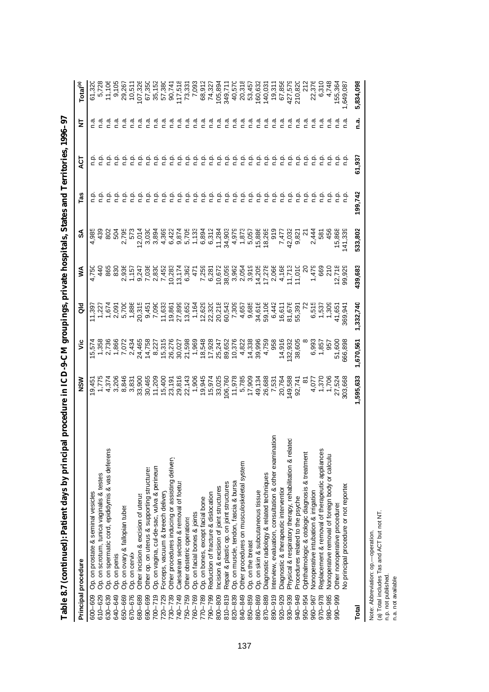| Principal procedure                                                    | NSM           | ۊ         | る              | ⋚                                  | వ్      | Tas     | হূ      | ₹       | Total <sup>(a)</sup> |
|------------------------------------------------------------------------|---------------|-----------|----------------|------------------------------------|---------|---------|---------|---------|----------------------|
| Op. on prostate & seminal vesicles<br>600-609                          | $\frac{6}{9}$ | 5,574     | 11,397         | 4,750                              | 4,985   |         |         |         | 61,320               |
| Op. on scrotum, tunica vaginalis & testes<br>610-629                   | 1,775         | 1,358     | 22             |                                    |         |         |         |         |                      |
| Op. on spermatic cord, epididymis & vas deferens<br>630-639            | 4,374         | 2,736     |                | 865                                | 802     |         |         |         |                      |
| Op. on penis<br>640-649                                                | 3,206         | 1,866     | 1,674<br>2,091 | 830                                | 504     |         |         |         | 9,105                |
| Op. on ovary & fallopian tubes<br>650-669                              | 8,846         | 7,072     | 5,700          | 2,936                              | 2,795   |         |         |         | 29,267               |
| Op. on cervix<br>670-676                                               | 3,831         | 2,434     | 1,886          | 1,15                               | 573     |         |         |         | 10,511               |
| Other incision & excision of uterus<br>680-689                         | 33,900        | 24,465    | 20,315         |                                    | 12,014  |         |         |         |                      |
| Other op. on uterus & supporting structures<br>690-699                 | 30,465        | 14,758    | 9,451          | 9,247<br>7,036                     | 3,030   |         |         |         | 107,326<br>67,350    |
| Op. on vagina, cul-de-sac, vulva & perineun<br>$700 - 719$             | 11,209        | 8,227     | 7,090          | 2,830                              | 3,894   |         |         |         | 35,152               |
| Forceps, vacuum & breech delivery<br>720-729                           | 15,400        | 15,315    | 11,633         | 7,452                              | 4,369   |         |         |         | 57,380               |
| Other procedures inducing or assisting delivery<br>730-739             | 23,19         | 26,27     | 19,86          | 10,283                             | 6,422   |         |         |         | 90,741               |
| Caesarean section & removal of foetus<br>740-749                       | 29,816        | 30,027    | 27,899         | 13,174                             | 9,874   |         |         |         | 117,518              |
| Other obstetric operations<br>750-759                                  | 22,143        | 21,598    | 13,652         | 6,362                              | 5,705   | q.q     |         |         | 73,331               |
| Op. on facial bones & joints<br>760-769                                | 1,906         | 1,969     | 1,164          | 471                                | 1,133   | م<br>ء  | n.p     |         | 7,093                |
| Op. on bones, except facial bone<br>770-789                            | 19,945        | 18,548    | 12,629         | 7,259                              | 6,894   |         | n.p     |         | 68,912               |
| Reduction of fracture & dislocation<br>790-799                         | 15,974        | 17,928    | 22,320         | 6,281                              | 6,312   |         |         |         | 74,327               |
| Incision & excision of joint structures<br>800-809                     | 33,025        | 25,247    | 20,218         | 10,672                             | 11,284  |         | n.p     |         | 105,894              |
| Repair & plastic op. on joint structures<br>$810 - 819$                | 106,760       | 89,652    | 60,543         | 38,059                             | 34,903  |         | n.p     |         | 349,711              |
| Op. on muscle, tendon, fascia & bursa<br>820-839                       | 11,978        | 10,376    | 7,309          | 3,962<br>2,054                     | 4,979   | n.p     | q.q     |         | 40,570               |
| Other procedures on musculoskeletal system<br>840-849                  | 5,785         | 4,822     | 4,657          |                                    | 1,873   | q.      | n.p     | ه.<br>۲ | 20,318               |
| Op. on the breast<br>850-859                                           | 17,909        | 14,338    | 9,685          | 3,919                              | 5,057   | n.p     | n.p     |         | 53,457               |
| Op. on skin & subcutaneous tissue<br>860-869                           | 49,134        | 39,996    | 34,616         | 14,205                             | 15,886  |         | م.<br>n |         | 160,632              |
| Diagnostic radiology & related techniques<br>870-889                   | 26,688        | 4,759     | 59,106         | 17,278                             | 18,265  |         |         |         | 140,031              |
| Interview, evaluation, consultation & other examination<br>$890 - 919$ | 7,531         | 958       | 6,442          |                                    | 919     | n p     |         |         | 19,311               |
| Diagnostic & therapeutic intervention<br>920-929                       | 20,764        | 14,916    | 16,611         | 2,066<br>4,168<br>11,713<br>11,010 | 7,47    | n.p     |         |         | 67,856               |
| Physical & respiratory therapy, rehabilitation & related<br>930-939    | 149,588       | 132,932   | 81,676         |                                    | 42,032  | n p     |         |         | 427,579              |
| Procedures related to the psyche<br>940-949                            | 92,741        | 38,605    | 55,391<br>72   |                                    | 9,821   |         |         |         | 210,820              |
| Ophthalmologic & otologic diagnosis & treatment<br>950-954             |               |           |                | $\approx$                          |         |         |         |         | 212                  |
| Nonoperative intubation & irrigation<br>960-967                        | 4,077         | 6,993     | 6,515<br>1,537 | 1,479                              | 2,444   |         |         |         | 22,376               |
| Replacement & removal of therapeutic appliances<br>970-978             | 1,370         | 1,857     |                | 669                                | 581     |         |         |         | 6,310                |
| Nonoperative removal of foreign body or calculu:<br>980-985            | 1,706         | 957       | 1,309          | $\frac{210}{12,718}$               | 456     |         |         |         | 4,748                |
| Other nonoperative procedures<br>990-999                               | 27,524        | 51,600    | 41,65          |                                    | 15,868  |         |         |         | 155,364              |
| No principal procedure or not reported                                 | 303,66        | 666,898   | 369,94         | 99,929                             | 141,339 |         |         |         | ,649,087             |
| Total                                                                  | 1,595,633     | 1,670,561 | 1,332,740      | 439,683                            | 533,802 | 199,742 | 61,937  | n.a.    | 5,834,098            |

Table 8.7 (continued): Patient days by principal procedure in ICD-9-CM groupings, private hospitals, States and Territories, 1996-97 **Table 8.7 (continued): Patient days by principal procedure in ICD-9-CM groupings, private hospitals, States and Territories, 1996–97**

Note: Abbreviation: op.—operation.<br>(a) Total includes Tas and ACT but not NT.<br>n.p. not published.<br>n.a. not available. (a) Total includes Tas and ACT but not NT. Note: Abbreviation: op.— operation.

n.p. not published.

n.a. not available.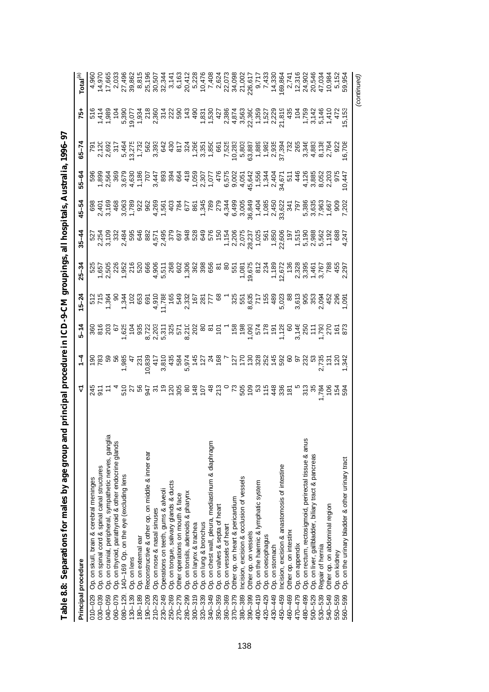| Table 8.8: Separations for males by age group and principal procedure in ICD-9-CM groupings,                               |   |               |          |           |           |           |           |                                       | all hospitals, Australia, 1996–97 |     |                           |
|----------------------------------------------------------------------------------------------------------------------------|---|---------------|----------|-----------|-----------|-----------|-----------|---------------------------------------|-----------------------------------|-----|---------------------------|
| Principal procedure                                                                                                        | ۲ | $\frac{1}{4}$ | $5 - 14$ | $15 - 24$ | $25 - 34$ | $35 - 44$ | $45 - 54$ | 55-64                                 | $65 - 74$                         | 75+ | Total $^{(a)}$            |
| Op. on skull, brain & cerebral meninges<br>$010 - 029$                                                                     |   |               |          |           |           |           |           |                                       |                                   |     |                           |
| Op. on spinal cord & spinal canal structures<br>030-039                                                                    |   |               |          |           |           |           |           |                                       |                                   |     | 4,960<br>14,970           |
| 040-059                                                                                                                    |   |               |          |           |           |           |           |                                       |                                   |     |                           |
| Op. on cranial, peripheral, sympathetic nerves, ganglia<br>Op. on thyroid, parathyroid & other endocrine glands<br>060-079 |   |               |          |           |           |           |           |                                       |                                   |     | 2,033<br>27,496<br>39,862 |
| 140-169 Op. on the eye (excluding lens<br>$080 - 129$                                                                      |   |               |          |           |           |           |           |                                       |                                   |     |                           |
| Op. on lens<br>$130 - 139$                                                                                                 |   |               |          |           |           |           |           |                                       |                                   |     |                           |
| Op. on external ear<br>80-189                                                                                              |   |               |          |           |           |           |           |                                       |                                   |     |                           |
| Reconstructive & other op. on middle & inner ear<br>$ 90 - 209$                                                            |   |               |          |           |           |           |           |                                       |                                   |     |                           |
| Op. on nose & nasal sinuses<br>$210 - 229$                                                                                 |   |               |          |           |           |           |           |                                       |                                   |     |                           |
| Operations on teeth, gums & alveoli<br>230-249                                                                             |   |               |          |           |           |           |           |                                       |                                   |     |                           |
| Op. on tongue, salivary glands & ducts<br>250-269                                                                          |   |               |          |           |           |           |           |                                       |                                   |     |                           |
| Other operations on mouth & face<br>270-279                                                                                |   |               |          |           |           |           |           |                                       |                                   |     |                           |
| Op. on tonsils, adenoids & pharynx<br>280-299                                                                              |   |               |          |           |           |           |           |                                       |                                   |     |                           |
| Op. on larynx & trachea<br>$300 - 319$                                                                                     |   |               |          |           |           |           |           |                                       |                                   |     |                           |
| Op. on lung & bronchus<br>$320 - 339$                                                                                      |   |               |          |           |           |           |           |                                       |                                   |     |                           |
| Op. on chest wall, pleura, mediastinum & diaphragm<br>Op. on valves & septa of heart<br>Op. on vessels of heart<br>340-349 |   |               |          |           |           |           |           |                                       |                                   |     |                           |
| 350-359                                                                                                                    |   |               |          |           |           |           |           |                                       |                                   |     |                           |
| 360-369                                                                                                                    |   |               |          |           |           |           |           |                                       |                                   |     |                           |
| Other op. on heart & pericardium<br>$370 - 379$                                                                            |   |               |          |           |           |           |           |                                       |                                   |     |                           |
| Incision, excision & occlusion of vessels<br>380-389                                                                       |   |               |          |           |           |           |           |                                       |                                   |     |                           |
| Other op. on vessels<br>390-399                                                                                            |   |               |          |           |           |           |           |                                       |                                   |     |                           |
| Op. on the haemic & lymphatic system<br>$400 - 419$                                                                        |   |               |          |           |           |           |           |                                       |                                   |     |                           |
| Op. on oesophagus<br>420-429                                                                                               |   |               |          |           |           |           |           |                                       |                                   |     |                           |
| Op. on stomach<br>430-449                                                                                                  |   |               |          |           |           |           |           |                                       |                                   |     |                           |
| ncision, excision & anastomosis of intestine<br>$450 - 459$                                                                |   |               |          |           |           |           |           |                                       |                                   |     |                           |
| Other op. on intestine<br>460-469                                                                                          |   |               |          |           |           |           |           |                                       |                                   |     |                           |
| Op. on appendix<br>470-479                                                                                                 |   |               |          |           |           |           |           |                                       |                                   |     |                           |
| Op. on rectum, rectosigmoid, perirectal tissue & anus<br>480-499                                                           |   |               |          |           |           |           |           |                                       |                                   |     |                           |
| Op. on liver, gallbladder, biliary tract & pancreas<br>$500 - 529$                                                         |   |               |          |           |           |           |           |                                       |                                   |     |                           |
| Repair of hernia<br>530-539                                                                                                |   |               |          |           |           |           |           |                                       |                                   |     |                           |
| Other op. on abdominal region<br>540-549                                                                                   |   |               |          |           |           |           |           | ta wat w tat w tat nooddatter awoon 5 |                                   |     |                           |
| Op. on kidney<br>550-559                                                                                                   |   |               |          |           |           |           |           |                                       |                                   |     |                           |
| Op. on the urinary bladder & other urinary tract<br>560-599                                                                |   |               |          |           |           |           |           |                                       |                                   |     |                           |
|                                                                                                                            |   |               |          |           |           |           |           |                                       |                                   |     | (continued)               |

| l                                          |
|--------------------------------------------|
|                                            |
|                                            |
|                                            |
|                                            |
|                                            |
|                                            |
|                                            |
|                                            |
|                                            |
| l                                          |
|                                            |
| ֖֖֖֦֦֪֦֪֪֦֪֪֦֪֪֪֦֪֪֦֪֪֦֪֪֦֪֪֦֪֦֚֚֚֚֬֝֝֝֬֝֝ |
| י<br>ו                                     |
| $\overline{a}$                             |
|                                            |
|                                            |
|                                            |
|                                            |
|                                            |
|                                            |
|                                            |
| $\frac{1}{2}$                              |
|                                            |
| しょく くりくし                                   |
|                                            |
|                                            |
|                                            |
|                                            |
|                                            |
|                                            |
|                                            |
|                                            |
|                                            |
| I                                          |
| $\ddot{\phantom{a}}$                       |
|                                            |
|                                            |
|                                            |
|                                            |
|                                            |
|                                            |
| $\vdots$                                   |
|                                            |
| <br> <br>                                  |
|                                            |
|                                            |
|                                            |
|                                            |
| ּ<br>י                                     |
|                                            |
| Ì                                          |
|                                            |
| ia India                                   |
|                                            |
|                                            |
|                                            |
|                                            |
|                                            |
|                                            |
|                                            |
|                                            |
|                                            |
|                                            |
|                                            |
|                                            |
|                                            |
|                                            |
|                                            |
|                                            |
| ׇ֠                                         |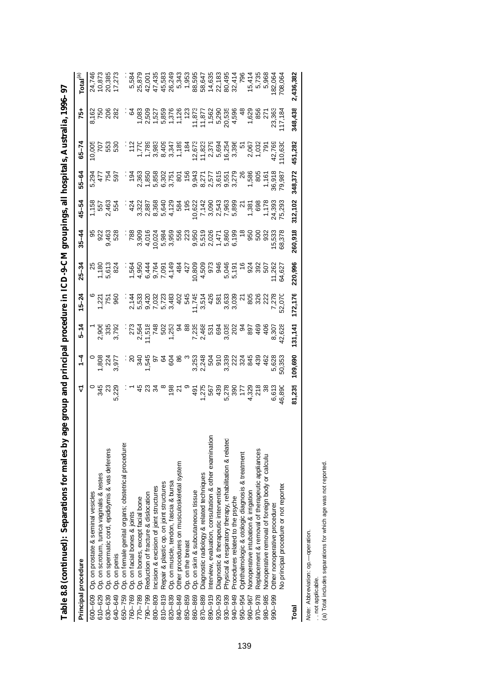| Principal procedure                                                                             | ᡪ                 | $\ddot{ }$            | $5 - 14$               | $15 - 24$                 | $25 - 34$                                                            | $35 - 44$                                  | 45-54                         | 55-64                     | $65 - 74$     | $75+$                                                    | Total $^{(a)}$             |
|-------------------------------------------------------------------------------------------------|-------------------|-----------------------|------------------------|---------------------------|----------------------------------------------------------------------|--------------------------------------------|-------------------------------|---------------------------|---------------|----------------------------------------------------------|----------------------------|
| Op. on prostate & seminal vesicles<br>600-609                                                   |                   |                       |                        |                           |                                                                      |                                            |                               |                           | 10,005        |                                                          | 24,746                     |
| Op. on scrotum, tunica vaginalis & testes<br>610-629                                            | 345               |                       |                        |                           |                                                                      |                                            |                               |                           |               |                                                          |                            |
| 630-639                                                                                         | ನಿ                |                       |                        |                           |                                                                      | မာ လူ ထို ထို<br>တို့ မို့ ထို<br>တို့ ထို | $7.563$<br>$2.463$<br>$2.554$ | 2375<br>2476<br>257       | 55<br>293     |                                                          | 10,873<br>20,385           |
| Op. on spermatic cord, epididymis & vas deferens<br>Op. on penis<br>640-649                     | 5,229             | 1,808<br>224<br>3,977 | 2,906<br>3355<br>3,792 | $-221$<br>$-250$<br>$-50$ | 25<br>1,180<br>5,613<br>5,824                                        |                                            |                               |                           |               | 3<br>250<br>282                                          | 17,273                     |
| Op. on female genital organs; obstetrical procedures<br>Op. on facial bones & joints<br>650-759 |                   |                       |                        |                           |                                                                      |                                            |                               |                           |               |                                                          |                            |
| 760-769                                                                                         |                   |                       |                        |                           |                                                                      |                                            |                               |                           |               | š                                                        |                            |
| Op. on bones, except facial bone<br>770-789                                                     |                   |                       |                        |                           |                                                                      |                                            |                               |                           |               |                                                          | 5,584<br>25,879            |
| Reduction of fracture & dislocation<br>790-799                                                  |                   |                       |                        |                           | 146914 54 656 696 566<br>200420449866996456888666<br>200420497996686 |                                            |                               |                           |               | 083<br>085085728<br>085085728<br>0850857                 | 42,00                      |
| Incision & excision of joint structures<br>800-809                                              |                   |                       |                        |                           |                                                                      |                                            |                               |                           |               |                                                          | 47,435                     |
| Repair & plastic op. on joint structures<br>$810 - 819$                                         |                   |                       |                        |                           |                                                                      |                                            |                               |                           |               |                                                          |                            |
| Op. on muscle, tendon, fascia & bursa<br>820-839                                                |                   |                       |                        |                           |                                                                      |                                            |                               |                           |               |                                                          |                            |
| Other procedures on musculoskeletal system<br>840-849                                           |                   |                       |                        |                           |                                                                      |                                            |                               |                           |               |                                                          | 45,583<br>26,243<br>5,343  |
| Op. on the breast<br>850-859                                                                    |                   |                       |                        |                           |                                                                      |                                            |                               |                           |               |                                                          |                            |
| Op. on skin & subcutaneous tissue<br>860-869                                                    |                   |                       |                        |                           |                                                                      |                                            |                               |                           |               |                                                          |                            |
| Diagnostic radiology & related techniques<br>870-889                                            |                   |                       |                        |                           |                                                                      |                                            |                               |                           |               | 11,873<br>11,872<br>11,562<br>10,535<br>11,898<br>20,598 |                            |
| Interview, evaluation, consultation & other examination<br>890-919                              |                   |                       |                        |                           |                                                                      |                                            |                               |                           |               |                                                          |                            |
| Diagnostic & therapeutic interventior<br>920-929                                                |                   |                       |                        |                           |                                                                      |                                            |                               |                           |               |                                                          |                            |
| Physical & respiratory therapy, rehabilitation & related<br>930-939                             |                   |                       |                        |                           |                                                                      |                                            |                               |                           |               |                                                          |                            |
| Procedures related to the psyche<br>840-049                                                     |                   |                       |                        |                           |                                                                      |                                            |                               |                           |               |                                                          |                            |
| Ophthalmologic & otologic diagnosis & treatment<br>950-954                                      |                   |                       |                        |                           |                                                                      |                                            |                               |                           |               | $rac{4}{4}$                                              |                            |
| Nonoperative intubation & irrigation<br>960-967                                                 | 4,328<br>218<br>4 |                       |                        |                           |                                                                      |                                            |                               |                           |               | 1,629<br>856                                             |                            |
| Replacement & removal of therapeutic appliances<br>970-978                                      |                   |                       |                        |                           |                                                                      |                                            |                               |                           |               |                                                          |                            |
| Nonoperative removal of foreign body or calculu:<br>980-985                                     |                   |                       |                        |                           |                                                                      |                                            |                               |                           |               | $\overline{2}$                                           | $15,414$<br>5,735<br>5,968 |
| Other nonoperative procedures<br>990-999                                                        | 6,613<br>46,890   | 5,628                 |                        |                           |                                                                      | 932<br>15,533                              |                               | 1,161<br>36,918<br>79,987 | 791<br>42,769 | 23,363                                                   | 182,064                    |
| No principal procedure or not reported                                                          |                   | 50,353                | 42,628                 | 52,070                    |                                                                      | 68,378                                     |                               |                           | 10,63         | 117,18                                                   | 708,06                     |
| Total                                                                                           | 81,235            | 109,690               | 131,141                | 172,176                   | 220,996                                                              | 260,918                                    | 312,102                       | 348,372                   | 451,282       | 348,438                                                  | 2,436,382                  |

Table 8.8 (continued): Separations for males by age group and principal procedure in ICD-9-CM groupings, all hospitals, Australia, 1996–97 **Table 8.8 (continued): Separations for males by age group and principal procedure in ICD-9-CM groupings, all hospitals, Australia, 1996–97**

*Note:* Abbreviation: op.— operation.

. . not applicable.

*Note:* Abbreviation: op.—operation.<br>. . not applicable.<br>(a) Total includes separations for which age was not reported. (a) Total includes separations for which age was not reported.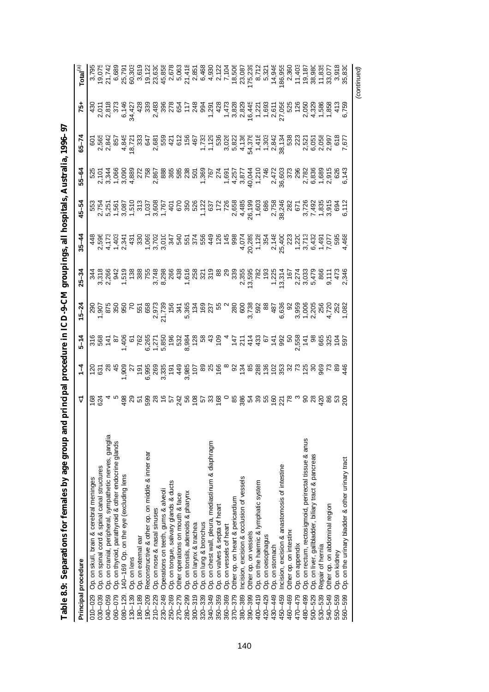| Table 8.9: Separations for females by age group and                |                                                       |               |          |          |                |           |       | principal procedure in ICD-9-CM groupings, all hospitals, Australia, 1996-97 |           |                                                                                      |                                                                                                                                                                                                                                                                                   |
|--------------------------------------------------------------------|-------------------------------------------------------|---------------|----------|----------|----------------|-----------|-------|------------------------------------------------------------------------------|-----------|--------------------------------------------------------------------------------------|-----------------------------------------------------------------------------------------------------------------------------------------------------------------------------------------------------------------------------------------------------------------------------------|
| Principal procedure                                                | V                                                     | $\frac{1}{4}$ | $5 - 14$ | $5 - 24$ | $25 - 34$      | $35 - 44$ | 45-54 | $55 - 64$                                                                    | $65 - 74$ | 75+                                                                                  | $\mathsf{Total}^\text{(a)}$                                                                                                                                                                                                                                                       |
| Op. on skull, brain & cerebral meninges<br>010-029                 |                                                       |               |          |          |                |           |       |                                                                              |           |                                                                                      |                                                                                                                                                                                                                                                                                   |
| Op. on spinal cord & spinal canal structures<br>030-039            | 1624<br>624                                           |               |          |          |                |           |       |                                                                              |           | $2,011$<br>$2,011$<br>$2,011$<br>$2,012$<br>$2,021$<br>$2,021$<br>$2,021$<br>$2,021$ | $\begin{array}{l} 19,075 \\ 21,742 \\ 6,689 \\ 25,791 \\ 60,303 \end{array}$                                                                                                                                                                                                      |
| Op. on cranial, peripheral, sympathetic nerves, ganglia<br>040-059 |                                                       |               |          |          |                |           |       |                                                                              |           |                                                                                      |                                                                                                                                                                                                                                                                                   |
| Op. on thyroid, parathyroid & other endocrine glands<br>060-079    |                                                       |               |          |          |                |           |       |                                                                              |           |                                                                                      |                                                                                                                                                                                                                                                                                   |
| 140-169 Op. on the eye (excluding lens<br>$080 - 129.$             |                                                       |               |          |          |                |           |       |                                                                              |           |                                                                                      |                                                                                                                                                                                                                                                                                   |
| Op. on lens<br>$130 - 139$                                         |                                                       |               |          |          |                |           |       |                                                                              |           |                                                                                      |                                                                                                                                                                                                                                                                                   |
| Op. on external ear<br>$180 - 189$                                 |                                                       |               |          |          |                |           |       |                                                                              |           |                                                                                      |                                                                                                                                                                                                                                                                                   |
| Reconstructive & other op. on middle & inner ear<br>190-209        |                                                       |               |          |          |                |           |       |                                                                              |           |                                                                                      |                                                                                                                                                                                                                                                                                   |
| Op. on nose & nasal sinuses<br>210-229                             | ទី ខា ២ មិន ៩ មិន មិន មិន ទី ១ នាន់ រូប មាន មិន មិន ន |               |          |          |                |           |       |                                                                              |           |                                                                                      | $\begin{array}{cccccccccc} 0.61 & 0.62 & 0.63 & 0.64 & 0.65 & 0.66 & 0.67 & 0.67 & 0.67 & 0.67 & 0.67 & 0.67 & 0.67 & 0.67 & 0.67 & 0.67 & 0.67 & 0.67 & 0.67 & 0.67 & 0.67 & 0.67 & 0.67 & 0.67 & 0.67 & 0.67 & 0.67 & 0.67 & 0.67 & 0.67 & 0.67 & 0.67 & 0.67 & 0.67 & 0.67 & $ |
| Operations on teeth, gums & alveoli<br>230-249                     |                                                       |               |          |          |                |           |       |                                                                              |           |                                                                                      |                                                                                                                                                                                                                                                                                   |
| Op. on tongue, salivary glands & ducts<br>250-269                  |                                                       |               |          |          |                |           |       |                                                                              |           |                                                                                      |                                                                                                                                                                                                                                                                                   |
| Other operations on mouth & face<br>270-279                        |                                                       |               |          |          |                |           |       |                                                                              |           |                                                                                      |                                                                                                                                                                                                                                                                                   |
| Op. on tonsils, adenoids & pharynx<br>280-299                      |                                                       |               |          |          |                |           |       |                                                                              |           |                                                                                      |                                                                                                                                                                                                                                                                                   |
| Op. on larynx & trachea<br>$300 - 319$                             |                                                       |               |          |          |                |           |       |                                                                              |           |                                                                                      |                                                                                                                                                                                                                                                                                   |
| Op. on lung & bronchus<br>320-339                                  |                                                       |               |          |          |                |           |       |                                                                              |           |                                                                                      |                                                                                                                                                                                                                                                                                   |
| Op. on chest wall, pleura, mediastinum & diaphragm<br>340-349      |                                                       |               |          |          |                |           |       |                                                                              |           |                                                                                      |                                                                                                                                                                                                                                                                                   |
| Op. on valves & septa of heart<br>350-359                          |                                                       |               |          |          |                |           |       |                                                                              |           |                                                                                      |                                                                                                                                                                                                                                                                                   |
| Op. on vessels of heart<br>360-369                                 |                                                       |               |          |          |                |           |       |                                                                              |           |                                                                                      |                                                                                                                                                                                                                                                                                   |
| Other op. on heart & pericardium<br>370-379                        |                                                       |               |          |          |                |           |       |                                                                              |           |                                                                                      |                                                                                                                                                                                                                                                                                   |
| ncision, excision & occlusion of vessels<br>380-389                |                                                       |               |          |          |                |           |       |                                                                              |           |                                                                                      |                                                                                                                                                                                                                                                                                   |
| Other op. on vessels<br>390-399                                    |                                                       |               |          |          |                |           |       |                                                                              |           |                                                                                      |                                                                                                                                                                                                                                                                                   |
| Op. on the haemic & lymphatic system<br>$400 - 419$                |                                                       |               |          |          |                |           |       |                                                                              |           |                                                                                      |                                                                                                                                                                                                                                                                                   |
| Op. on oesophagus<br>420-429                                       |                                                       |               |          |          |                |           |       |                                                                              |           |                                                                                      |                                                                                                                                                                                                                                                                                   |
| Op. on stomach<br>430-449                                          |                                                       |               |          |          |                |           |       |                                                                              |           |                                                                                      |                                                                                                                                                                                                                                                                                   |
| ncision, excision & anastomosis of intestine<br>450-459            |                                                       |               |          |          |                |           |       |                                                                              |           |                                                                                      |                                                                                                                                                                                                                                                                                   |
| Other op. on intestine<br>460-469                                  |                                                       |               |          |          |                |           |       |                                                                              |           |                                                                                      |                                                                                                                                                                                                                                                                                   |
| Op. on appendix<br>470-479                                         |                                                       |               |          |          |                |           |       |                                                                              |           |                                                                                      |                                                                                                                                                                                                                                                                                   |
| Op. on rectum, rectosigmoid, perirectal tissue & anus<br>480-499   |                                                       |               |          |          |                |           |       |                                                                              |           |                                                                                      |                                                                                                                                                                                                                                                                                   |
| Op. on liver, gallbladder, biliary tract & pancreas<br>500-529     |                                                       |               |          |          |                |           |       |                                                                              |           |                                                                                      |                                                                                                                                                                                                                                                                                   |
| Repair of hernia<br>530-539                                        |                                                       |               |          |          |                |           |       |                                                                              |           |                                                                                      |                                                                                                                                                                                                                                                                                   |
| Other op. on abdominal region<br>540-549                           | ននក្នុនន                                              |               |          |          | $9,111$<br>473 |           |       |                                                                              |           |                                                                                      |                                                                                                                                                                                                                                                                                   |
| Op. on kidney<br>550-559                                           |                                                       |               |          |          |                |           |       |                                                                              |           |                                                                                      |                                                                                                                                                                                                                                                                                   |
| Op. on the urinary bladder & other urinary tract<br>560-599        | $\frac{8}{2}$                                         |               |          |          | 2,346          | 4,468     |       |                                                                              |           |                                                                                      |                                                                                                                                                                                                                                                                                   |
|                                                                    |                                                       |               |          |          |                |           |       |                                                                              |           |                                                                                      | (continued)                                                                                                                                                                                                                                                                       |

| Ì                            |
|------------------------------|
| .<br>.<br>.                  |
|                              |
| I                            |
|                              |
|                              |
|                              |
|                              |
|                              |
|                              |
|                              |
|                              |
| l                            |
|                              |
|                              |
|                              |
| $-22$ and $-22$              |
|                              |
| )                            |
| ֘֒                           |
|                              |
|                              |
| ١                            |
| $\vdots$                     |
|                              |
|                              |
| こくくしし                        |
|                              |
| I                            |
|                              |
|                              |
|                              |
|                              |
|                              |
|                              |
| ;<br>;<br>;<br>;<br>;<br>l   |
|                              |
| ׅ֘                           |
|                              |
|                              |
| ı                            |
|                              |
|                              |
|                              |
| ׅ֘                           |
| ו<br>ו                       |
| י<br>י                       |
|                              |
| iage fq se<br>$\overline{a}$ |
|                              |
|                              |
|                              |
|                              |
|                              |
|                              |
|                              |
|                              |
|                              |
|                              |
|                              |
|                              |
| l                            |
|                              |
|                              |
|                              |
|                              |
|                              |
|                              |
|                              |
|                              |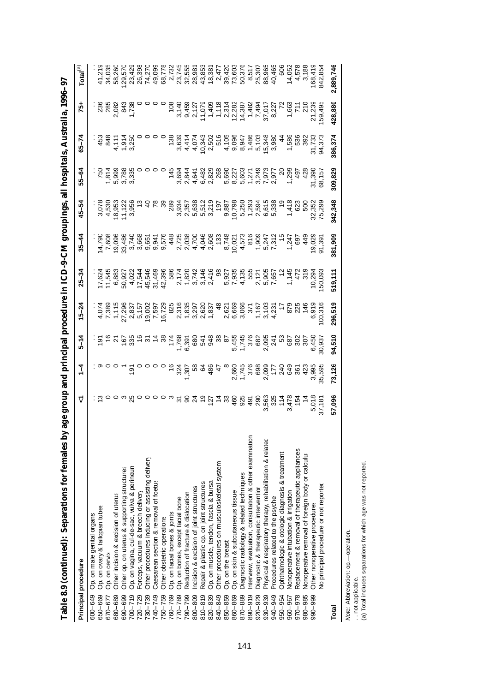| Alla Sale o'a (commetitor): Sebaranons ror remares ny               | age group and brinting the day |               |                                                                                                                                                                                                                                                                                                             |           |           |           |         |         |           | <b>CD-9-CM groupings, and mospitalis, Automatical and Construction</b>                                                                                                                                                                                                                                                                                                                                         |                                 |
|---------------------------------------------------------------------|--------------------------------|---------------|-------------------------------------------------------------------------------------------------------------------------------------------------------------------------------------------------------------------------------------------------------------------------------------------------------------|-----------|-----------|-----------|---------|---------|-----------|----------------------------------------------------------------------------------------------------------------------------------------------------------------------------------------------------------------------------------------------------------------------------------------------------------------------------------------------------------------------------------------------------------------|---------------------------------|
| Principal procedure                                                 | <u>ړ</u>                       | $\frac{1}{4}$ | $5 - 14$                                                                                                                                                                                                                                                                                                    | $15 - 24$ | $25 - 34$ | $35 - 44$ | 45–54   | 55-64   | $65 - 74$ | -57                                                                                                                                                                                                                                                                                                                                                                                                            | $\mathsf{Total}^{(\mathsf{a})}$ |
| Op. on male genital organs<br>600-649                               |                                |               |                                                                                                                                                                                                                                                                                                             |           |           |           |         |         |           |                                                                                                                                                                                                                                                                                                                                                                                                                |                                 |
| Op. on ovary & fallopian tubes<br>650-669                           |                                |               |                                                                                                                                                                                                                                                                                                             |           |           |           |         |         |           |                                                                                                                                                                                                                                                                                                                                                                                                                |                                 |
| Op. on cervix<br>670-677                                            |                                |               |                                                                                                                                                                                                                                                                                                             |           |           |           |         |         |           |                                                                                                                                                                                                                                                                                                                                                                                                                |                                 |
| Other incision & excision of uterus<br>680-689                      |                                |               |                                                                                                                                                                                                                                                                                                             |           |           |           |         |         |           |                                                                                                                                                                                                                                                                                                                                                                                                                | 58,26                           |
| Other op. on uterus & supporting structures<br>690-699              |                                |               |                                                                                                                                                                                                                                                                                                             |           |           |           |         |         |           |                                                                                                                                                                                                                                                                                                                                                                                                                | 129,57                          |
| Op. on vagina, cul-de-sac, vulva & perineun<br>$700 - 719$          |                                |               |                                                                                                                                                                                                                                                                                                             |           |           |           |         |         |           |                                                                                                                                                                                                                                                                                                                                                                                                                |                                 |
| Forceps, vacuum & breech delivery<br>720-729                        |                                |               |                                                                                                                                                                                                                                                                                                             |           |           |           |         |         |           |                                                                                                                                                                                                                                                                                                                                                                                                                |                                 |
| Other procedures inducing or assisting delivery<br>730-739          |                                |               |                                                                                                                                                                                                                                                                                                             |           |           |           |         |         |           |                                                                                                                                                                                                                                                                                                                                                                                                                |                                 |
| Caesarean section & removal of foetus<br>740-749                    |                                |               |                                                                                                                                                                                                                                                                                                             |           |           |           |         |         |           |                                                                                                                                                                                                                                                                                                                                                                                                                |                                 |
| Other obstetric operations<br>750-759                               |                                |               |                                                                                                                                                                                                                                                                                                             |           |           |           |         |         |           |                                                                                                                                                                                                                                                                                                                                                                                                                |                                 |
| Op. on facial bones & joints<br>760-769                             |                                |               |                                                                                                                                                                                                                                                                                                             |           |           |           |         |         |           |                                                                                                                                                                                                                                                                                                                                                                                                                |                                 |
| Op. on bones, except facial bone<br>770-789                         |                                |               |                                                                                                                                                                                                                                                                                                             |           |           |           |         |         |           |                                                                                                                                                                                                                                                                                                                                                                                                                |                                 |
| Reduction of fracture & dislocation<br>790-799                      |                                |               |                                                                                                                                                                                                                                                                                                             |           |           |           |         |         |           |                                                                                                                                                                                                                                                                                                                                                                                                                |                                 |
| Incision & excision of joint structures<br>800-809                  |                                |               |                                                                                                                                                                                                                                                                                                             |           |           |           |         |         |           |                                                                                                                                                                                                                                                                                                                                                                                                                |                                 |
| Repair & plastic op. on joint structures<br>$810 - 819$             |                                |               |                                                                                                                                                                                                                                                                                                             |           |           |           |         |         |           |                                                                                                                                                                                                                                                                                                                                                                                                                |                                 |
| Op. on muscle, tendon, fascia & bursa<br>820-839                    |                                |               |                                                                                                                                                                                                                                                                                                             |           |           |           |         |         |           |                                                                                                                                                                                                                                                                                                                                                                                                                |                                 |
| Other procedures on musculoskeletal system<br>840-849               |                                |               |                                                                                                                                                                                                                                                                                                             |           |           |           |         |         |           |                                                                                                                                                                                                                                                                                                                                                                                                                |                                 |
| Op. on the breast<br>850-859                                        |                                |               |                                                                                                                                                                                                                                                                                                             |           |           |           |         |         |           |                                                                                                                                                                                                                                                                                                                                                                                                                |                                 |
| Op. on skin & subcutaneous tissue<br>860-869                        |                                |               |                                                                                                                                                                                                                                                                                                             |           |           |           |         |         |           |                                                                                                                                                                                                                                                                                                                                                                                                                |                                 |
| Diagnostic radiology & related techniques<br>870-889                |                                |               |                                                                                                                                                                                                                                                                                                             |           |           |           |         |         |           |                                                                                                                                                                                                                                                                                                                                                                                                                |                                 |
| nterview, evaluation, consultation & other examination<br>890-919   |                                |               |                                                                                                                                                                                                                                                                                                             |           |           |           |         |         |           |                                                                                                                                                                                                                                                                                                                                                                                                                |                                 |
| Diagnostic & therapeutic intervention<br>920-929                    |                                |               |                                                                                                                                                                                                                                                                                                             |           |           |           |         |         |           |                                                                                                                                                                                                                                                                                                                                                                                                                |                                 |
| Physical & respiratory therapy, rehabilitation & related<br>930-939 |                                |               |                                                                                                                                                                                                                                                                                                             |           |           |           |         |         |           |                                                                                                                                                                                                                                                                                                                                                                                                                |                                 |
| Procedures related to the psyche<br>940-949                         |                                |               |                                                                                                                                                                                                                                                                                                             |           |           |           |         |         |           |                                                                                                                                                                                                                                                                                                                                                                                                                |                                 |
| Ophthalmologic & otologic diagnosis & treatment<br>950-954          |                                |               |                                                                                                                                                                                                                                                                                                             |           |           |           |         |         |           |                                                                                                                                                                                                                                                                                                                                                                                                                |                                 |
| Nonoperative intubation & irrigation<br>960-967                     |                                |               |                                                                                                                                                                                                                                                                                                             |           |           |           |         |         |           |                                                                                                                                                                                                                                                                                                                                                                                                                |                                 |
| Replacement & removal of therapeutic appliances<br>$970 - 978$      |                                |               |                                                                                                                                                                                                                                                                                                             |           |           |           |         |         |           |                                                                                                                                                                                                                                                                                                                                                                                                                |                                 |
| Nonoperative removal of foreign body or calculus<br>980-985         |                                |               |                                                                                                                                                                                                                                                                                                             |           |           |           |         |         |           |                                                                                                                                                                                                                                                                                                                                                                                                                |                                 |
| Other nonoperative procedures<br>990-999                            |                                |               |                                                                                                                                                                                                                                                                                                             |           |           |           |         |         |           |                                                                                                                                                                                                                                                                                                                                                                                                                |                                 |
| No principal procedure or not reported                              |                                |               | $\frac{25}{5}$ $\frac{25}{5}$ $\frac{25}{5}$ $\frac{25}{5}$ $\frac{25}{5}$ $\frac{25}{5}$ $\frac{25}{5}$ $\frac{25}{5}$ $\frac{25}{5}$ $\frac{25}{5}$ $\frac{25}{5}$ $\frac{25}{5}$ $\frac{25}{5}$ $\frac{25}{5}$ $\frac{25}{5}$ $\frac{25}{5}$ $\frac{25}{5}$ $\frac{25}{5}$ $\frac{25}{5}$ $\frac{25}{5}$ |           |           |           |         |         |           | $\begin{array}{r@{\hspace{1cm}}l@{\hspace{1cm}}l@{\hspace{1cm}}l@{\hspace{1cm}}l@{\hspace{1cm}}l@{\hspace{1cm}}l@{\hspace{1cm}}l@{\hspace{1cm}}l@{\hspace{1cm}}l@{\hspace{1cm}}l@{\hspace{1cm}}l@{\hspace{1cm}}l@{\hspace{1cm}}l@{\hspace{1cm}}l@{\hspace{1cm}}l@{\hspace{1cm}}l@{\hspace{1cm}}l@{\hspace{1cm}}l@{\hspace{1cm}}l@{\hspace{1cm}}l@{\hspace{1cm}}l@{\hspace{1cm}}l@{\hspace{1cm}}l@{\hspace{1cm$ |                                 |
| Total                                                               | 57,096                         | 73,126        | 94,510                                                                                                                                                                                                                                                                                                      | 296,519   | 519,111   | 381,909   | 342,348 | 309,829 | 386,374   | 428,880                                                                                                                                                                                                                                                                                                                                                                                                        | 2,889,746                       |

Table 8.9 (continued): Separations for females by age group and principal procedure in ICD-9-CM groupings, all hospitals, Australia, 1996–97 **Table 8.9 (continued): Separations for females by age group and principal procedure in ICD-9-CM groupings, all hospitals, Australia, 1996–97**

*Note:* Abbreviation: op.— operation.

*Note:* Abbreviation: op.—operation.<br>. . not applicable.<br>(a) Total includes separations for which age was not reported. (a) Total includes separations for which age was not reported. . . not applicable.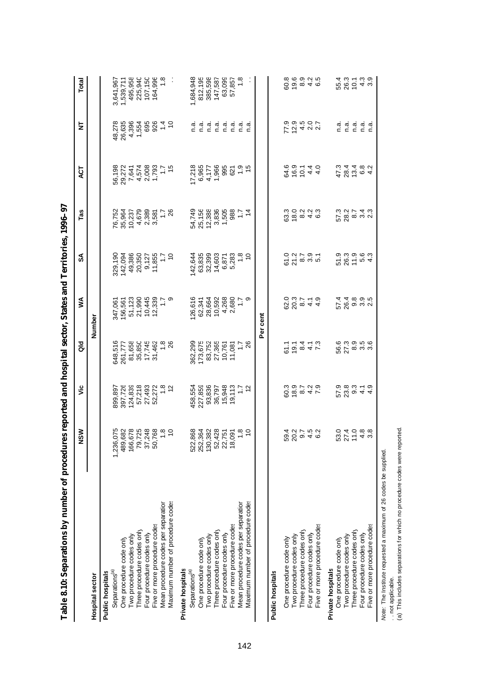| Table 8.10: Separations by number of procedures reported and hospital sector, States and Territories, 1996–97 |                                                                                     |                                                    |                                  |                                   |                                       |                                          |                                                          |                            |                                   |
|---------------------------------------------------------------------------------------------------------------|-------------------------------------------------------------------------------------|----------------------------------------------------|----------------------------------|-----------------------------------|---------------------------------------|------------------------------------------|----------------------------------------------------------|----------------------------|-----------------------------------|
|                                                                                                               | ŠΜ<br>z                                                                             | ئا                                                 | aio                              | ≸                                 | వ్                                    | Tas                                      | E                                                        | 눋                          | Total                             |
| <b>Hospital sector</b>                                                                                        |                                                                                     |                                                    |                                  | Number                            |                                       |                                          |                                                          |                            |                                   |
| Separations <sup>(a)</sup><br>Public hospitals                                                                |                                                                                     |                                                    |                                  | 347,061                           |                                       |                                          |                                                          |                            |                                   |
| One procedure code only                                                                                       | 1,236,<br>489,                                                                      | 899, 897<br>397, 726<br>124, 839                   | 648,516<br>261,777<br>81,658     |                                   | 329,190<br>142,094                    | 76,752<br>35,964<br>10,237               |                                                          | 48,278<br>26,635           | 3,641,967<br>1,539,711<br>495,958 |
| Two procedure codes only                                                                                      | 166,                                                                                |                                                    |                                  |                                   | 49,386                                |                                          |                                                          |                            |                                   |
| Three procedure codes only                                                                                    | 79,                                                                                 | 57,218                                             | 35,850                           | 156,561<br>51,123<br>21,990       | 20,350                                |                                          |                                                          | 4,396<br>1,554             | 225,940                           |
| Four procedure codes only                                                                                     | 5 <sub>i</sub>                                                                      |                                                    | 17,745                           |                                   |                                       |                                          |                                                          |                            | 107,150                           |
| Five or more procedure codes                                                                                  | 50                                                                                  |                                                    | 31,462                           |                                   |                                       |                                          |                                                          |                            | 164,996<br>1.8                    |
| Mean procedure codes per separation                                                                           |                                                                                     | 27,493<br>52,272<br>1.8<br>12                      | $\frac{8}{18}$                   | 10,445<br>12,339<br>1.7<br>1.7    | 9,127<br>11,855<br>1.7<br>1.7         | 4.679<br>6.385<br>4.0.6<br>4.0.6         |                                                          | 884.5<br>884.5             |                                   |
| Maximum number of procedure codes                                                                             |                                                                                     |                                                    |                                  |                                   |                                       |                                          |                                                          |                            |                                   |
| Private hospitals                                                                                             |                                                                                     |                                                    |                                  |                                   |                                       |                                          |                                                          |                            |                                   |
| Separations <sup>(a)</sup>                                                                                    | 522,                                                                                | 458,554                                            | 362,299                          | 26,616                            | 42,644                                |                                          | 17,218                                                   | n a                        | 1,684,948                         |
| One procedure code only                                                                                       | 32,868<br>53,364,428<br>130,382<br>12,428<br>52,426,700<br>12,000<br>12,000<br>252, | 227,859                                            | 173,675                          | 62,341                            | 63,835                                | 54,749<br>25,1588<br>54,7588<br>54,7,886 |                                                          |                            | 812, 195<br>385, 598<br>147, 587  |
| Two procedure codes only                                                                                      | 130,                                                                                | 93,836                                             |                                  | 28,664<br>10,592                  | 32,399                                |                                          | 6,965<br>4,177                                           |                            |                                   |
| Three procedure codes only                                                                                    |                                                                                     | 36,797<br>15,948                                   | 83,752<br>27,365                 |                                   | 14,603                                |                                          |                                                          |                            |                                   |
| Four procedure codes only                                                                                     |                                                                                     |                                                    | 10,761                           | 4,268                             | 6,871                                 |                                          |                                                          |                            | 63,099                            |
| Five or more procedure codes                                                                                  |                                                                                     |                                                    | 11,081                           |                                   |                                       |                                          |                                                          |                            | 57,857<br>1.8                     |
| Mean procedure codes per separation                                                                           |                                                                                     | $19,113$<br>$1.7$<br>$12$                          | 1.78                             | 2,680<br>1.7<br>9                 | 5,283<br>1.8<br>10                    | 88<br>1,7<br>88                          | $1,966$<br>$695$<br>$1,96$<br>$1,96$<br>$1,96$<br>$1,96$ |                            |                                   |
| Maximum number of procedure codes                                                                             |                                                                                     |                                                    |                                  |                                   |                                       |                                          |                                                          |                            |                                   |
|                                                                                                               |                                                                                     |                                                    |                                  | Per cent                          |                                       |                                          |                                                          |                            |                                   |
| Public hospitals                                                                                              |                                                                                     |                                                    |                                  |                                   |                                       |                                          |                                                          |                            |                                   |
| One procedure code only                                                                                       |                                                                                     |                                                    |                                  |                                   |                                       |                                          |                                                          |                            |                                   |
| Two procedure codes only                                                                                      |                                                                                     |                                                    | $60047$<br>$-20047$              |                                   | 0 0 0 0 0<br>6 7 0 0 0 0<br>6 7 0 0 0 | 8 8 9 9 4 6<br>8 9 9 9 4 6               | 8<br>4 6 5 4 4<br>6 9 4 4 9                              | 7 2 4 2 2 2<br>2 3 4 2 2 2 | 6<br>6 6 9 9 4 6<br>8 6 9 9 9     |
| Three procedure codes only                                                                                    |                                                                                     |                                                    |                                  |                                   |                                       |                                          |                                                          |                            |                                   |
| Four procedure codes only                                                                                     |                                                                                     |                                                    |                                  |                                   |                                       |                                          |                                                          |                            |                                   |
| Five or more procedure codes                                                                                  |                                                                                     |                                                    |                                  |                                   |                                       |                                          |                                                          |                            |                                   |
| Private hospitals                                                                                             |                                                                                     |                                                    |                                  |                                   |                                       |                                          |                                                          |                            |                                   |
| One procedure code only                                                                                       |                                                                                     |                                                    |                                  |                                   |                                       |                                          |                                                          |                            |                                   |
| Two procedure codes only                                                                                      | 621140<br>04088                                                                     | r <i>s</i><br>0<br>0<br>0 0 0 1 1 0<br>0 0 0 1 1 0 | comonico<br>Comonico<br>Comonico | ч ч ∞ ๑ ю<br>  с ⊙ ๑ ๓ ๙<br>  с Ҳ | 5<br>2611 104<br>1051 104             | 588832                                   | 4 2 4 5 6 4<br>2 8 5 6 4<br>4 7 5 6 7                    | ם הם הם<br>כככככ           |                                   |
| Three procedure codes only                                                                                    |                                                                                     |                                                    |                                  |                                   |                                       |                                          |                                                          |                            |                                   |
| Four procedure codes only                                                                                     |                                                                                     |                                                    |                                  |                                   |                                       |                                          |                                                          |                            |                                   |
| Five or more procedure codes                                                                                  |                                                                                     |                                                    |                                  |                                   |                                       |                                          |                                                          |                            |                                   |

142

*Note:* The Institute requested a maximum of 26 codes be supplied.

(a) This includes separations for which no procedure codes were reported.

Note: The Institute requested a maximum of 26 codes be supplied.<br>.. not applicable.<br>(a) This includes separations for which no procedure codes were reported.

. . not applicable.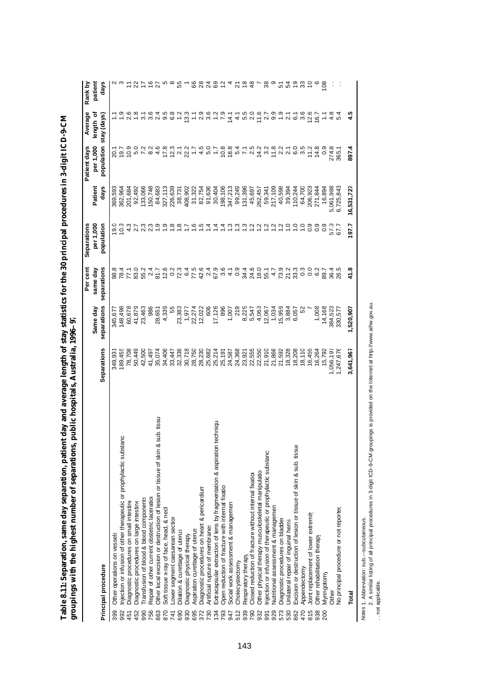|                                                                                      |             |             | Per cent        | Separations      |            | Patient days           | Average                                                                                                                                                                                                                          | Rank by           |
|--------------------------------------------------------------------------------------|-------------|-------------|-----------------|------------------|------------|------------------------|----------------------------------------------------------------------------------------------------------------------------------------------------------------------------------------------------------------------------------|-------------------|
|                                                                                      |             | Same day    | same day        | per 1,000        | Patient    | per 1,000              | length of                                                                                                                                                                                                                        | patient           |
| Principal procedure                                                                  | Separations | separations | separations     | population       | days       | population stay (days) |                                                                                                                                                                                                                                  | days              |
| Other operations on vessels<br>399                                                   | 349,93      | 345,67      | 98.8            | $\frac{0}{2}$    | 369,593    |                        |                                                                                                                                                                                                                                  |                   |
| tanc<br>Injection or infusion of other therapeutic or prophylactic subst<br>992      | 89,455      | 148,498     |                 | 10.3             | 362,964    | 20.1<br>19.7           |                                                                                                                                                                                                                                  |                   |
| Diagnostic procedures on small intestine<br>451                                      | 78,708      | 60,678      | 77.1            |                  | 201,684    | 10.9                   | 2.6                                                                                                                                                                                                                              |                   |
| Diagnostic procedures on large intestine<br>452                                      | 50,449      | 41,879      | 83.0            | $4.3$<br>2.7     | 92,492     |                        |                                                                                                                                                                                                                                  | 585               |
| ransfusion of blood & blood components<br>990                                        | 42,500      | 23,463      | 55.2            | $2.\overline{3}$ | 33,066     | 5.0<br>7.2             |                                                                                                                                                                                                                                  |                   |
| Repair of other current obstetric laceration<br>756                                  | 41,497      | 986         | 2.4             | Ċ,               | 50,748     | 8.2                    | 764                                                                                                                                                                                                                              | $\frac{6}{1}$     |
| Other local excision or destruction of lesion or tissue of skin & sub. tissu-<br>863 | 35,074      | 28,651      | 81.7            | 1.9              | 84,683     | 4.6                    |                                                                                                                                                                                                                                  | $\overline{z}$    |
| Soft tissue x-ray of face, head, & necl<br>870                                       | 34,406      | 4,339       |                 | $\ddot{ }$ .     | 327,113    | 17.8                   | ယ္<br>ၜ                                                                                                                                                                                                                          |                   |
| ower segment caesarean section<br>741                                                | 33,447      | 55          |                 |                  | 226,639    |                        | 6.8                                                                                                                                                                                                                              |                   |
| Dilation & curettage of uterus<br>690                                                | 32,336      | 23,383      |                 | $rac{66}{56}$    | 38,731     | 2322                   | $\frac{5}{1}$                                                                                                                                                                                                                    | 55                |
| Diagnostic physical therapy<br>930                                                   | 30,718      | 1,977       |                 |                  | 408,902    |                        | 13.3                                                                                                                                                                                                                             |                   |
| Aspiration curettage of uterus<br>695                                                | 28,750      | 22,274      |                 | $\frac{6}{1}$    | 31,322     | $\ddot{ }$ :           |                                                                                                                                                                                                                                  | 66                |
| Diagnostic procedures on heart & pericardium<br>372                                  | 28,230      | 12,022      |                 | 1.5              | 82,754     |                        |                                                                                                                                                                                                                                  |                   |
| Artificial rupture of membranes<br>730                                               | 25,682      | 606         |                 | $\frac{4}{3}$    | 91,636     | $4.0$<br>$9.0$         |                                                                                                                                                                                                                                  | <b>225</b><br>225 |
| Extracapsular extraction of lens by fragmentation & aspiration techniqu<br>134       | 25,214      | 17,126      |                 | $\dot{z}$        | 30,404     | $\ddot{ }$ :           | sidus in the side of the side of the side of the side of the side of the side of the side of the side of the s<br>The side of the side of the side of the side of the side of the side of the side of the side of the side of th |                   |
| Open reduction of fracture with internal fixation<br>793                             | 25,191      | 896         | $3,40$<br>$0.5$ | $1\overline{4}$  | 198,106    | $0.884 - 0.72$         |                                                                                                                                                                                                                                  |                   |
| Social work assessment & managemen<br>947                                            | 24,587      | 1,007       |                 |                  | 347,213    |                        |                                                                                                                                                                                                                                  |                   |
| Cholecystectomy<br>512                                                               | 24,368      | 219         |                 | ن ني ن           | 99,249     |                        |                                                                                                                                                                                                                                  | ন                 |
| Respiratory therapy<br>939                                                           | 23,921      | 8,225       |                 |                  | 131,396    |                        |                                                                                                                                                                                                                                  | $\frac{8}{1}$     |
| Closed reduction of fracture without internal fixation<br>790                        | 22,555      | 5,547       |                 | $\frac{1}{2}$    | 45,697     |                        |                                                                                                                                                                                                                                  | $\frac{8}{3}$     |
| Other physical therapy musculoskeletal manipulation<br>932                           | 22,550      | 4,063       |                 | $\frac{1}{2}$    | 262,457    | $14.2$<br>3.2          | $5.799776967$<br>$5.7997769929$                                                                                                                                                                                                  |                   |
| njection or infusion of therapeutic or prophylactic substance<br>991                 | 21,910      | 2,067       |                 | $\frac{1}{2}$    | 59,341     |                        |                                                                                                                                                                                                                                  | 38                |
| Nutritional assessment & managemen<br>929                                            | 21,866      | 1,034       | 4.7             | $\frac{1}{2}$    | 217,109    | 11.8                   |                                                                                                                                                                                                                                  |                   |
| Diagnostic procedures on bladder<br>573                                              | 21,592      | 5,959       | 73.9            | $\frac{1}{2}$    | 40,598     | 21105<br>21263         |                                                                                                                                                                                                                                  | <u> ភូ ភូ ភ</u>   |
| Jnilateral repair of inguinal hernia<br>530                                          | 18,328      | 3,884       | 21.3<br>33.3    | $\frac{1}{2}$    | 39,394     |                        |                                                                                                                                                                                                                                  |                   |
| Excision or destruction of lesion or tissue of skin & sub. tissu-<br>862             | 18,208      | 6,057       |                 | $\frac{1}{2}$    | 110,244    |                        |                                                                                                                                                                                                                                  |                   |
| Appendectomy<br>470                                                                  | 18,110      | 52          |                 | $\frac{1}{2}$    | 64,700     |                        |                                                                                                                                                                                                                                  | $30^{\circ}$      |
| Joint replacement of lower extremit<br>815                                           | 16,455      |             | coco<br>Coco    | $\overline{0}$ . | 206,923    | $11.8$<br>$14.8$       |                                                                                                                                                                                                                                  |                   |
| Other rehabilitation therapy<br>938                                                  | 16,264      | 1,008       |                 | $\frac{8}{2}$    | 271,844    |                        |                                                                                                                                                                                                                                  |                   |
| Myringotomy<br>200                                                                   | 15,792      | 14,168      | 89.7            | 0.9              | 16,894     | $\frac{5}{2}$          | Ξ                                                                                                                                                                                                                                | $\frac{8}{2}$     |
| <b>Other</b>                                                                         | 1,056,197   | 384,523     | 36.4            | 57.3             | 5,061,988  | 274.8                  | 4.8                                                                                                                                                                                                                              |                   |
| No principal procedure or not reported                                               | 1,247,676   | 330,57      |                 | 67.7             | 6,725,843  | 365.                   | 5.4                                                                                                                                                                                                                              |                   |
| Total                                                                                | 3,641,967   | 1,520,907   | 41.8            | 197.7            | 16,531,727 | 897.4                  |                                                                                                                                                                                                                                  |                   |

143

Table 8.11: Separation, same day separation, patient day and average length of stay statistics for the 30 principal procedures in 3-digit ICD-9-CM<br>groupings with the highest number of separations, public hospitals, Austral **Table 8.11: Separation, same day separation, patient day and average length of stay statistics for the 30 principal procedures in 3-digit ICD-9-CM groupings with the highest number of separations, public hospitals, Australia, 1996–97**

*Notes:* 1. Abbreviation: sub.— subcutaneous.

Motes 1. Abbreviation: sub.—subcutaneous.<br>2. A similar listing of all principal procedures in 3-digit ICD-9-CM groupings is provided on the Internet at http://www.aihw.gov.au.<br>. . not applicable. 2. A similar listing of all principal procedures in 3-digit ICD-9-CM groupings is provided on the Internet at http://www.aihw.gov.au.

. . not applicable.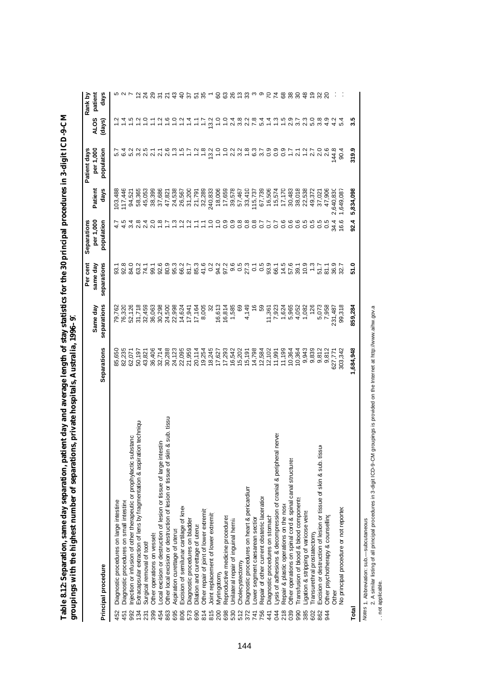| ;<br>;<br>-<br>-<br>-<br>-<br>i<br>ı<br>i |                                                                                                                                                                                                                    |
|-------------------------------------------|--------------------------------------------------------------------------------------------------------------------------------------------------------------------------------------------------------------------|
|                                           |                                                                                                                                                                                                                    |
|                                           |                                                                                                                                                                                                                    |
|                                           |                                                                                                                                                                                                                    |
| ļ                                         |                                                                                                                                                                                                                    |
| Į<br>j<br>j<br>ו<br>ו<br>1<br>۱           | i<br>ä<br>ì<br>֕                                                                                                                                                                                                   |
| i<br>ׇ֚֕֡<br>֕                            | )                                                                                                                                                                                                                  |
| ı<br>Ç<br>l                               | i                                                                                                                                                                                                                  |
| i<br>l<br>ì<br>ׇ֚֚֬֕                      | ֖֖ׅ֚֚֚֚֚֚֚֚֚֚֚֚֚֚֚֚֚֚֚֚֬֝֕֓֡֡֡֬֝֬֝֓֬֝֬֝֓֬֝֬֝֓֬֝֬֓֬֝֓֬֝֓֬֝֓֬֝֬֝֬֝֓֬֝֬֝֬֝֓֬֝֬֝֬֝֬֝֬֝֬֝֬֝֬<br>)<br>֖֖֖֖֖֖ׅ֪ׅׅׅׅ֪ׅ֪֪֪ׅ֖֧֪֪֪֪֪֪֪֪֪֪֪֪֪֪֪֪ׅ֖֚֚֚֚֚֚֚֚֚֚֚֚֚֚֚֚֚֚֬֝֬֝֬֝֬֝֬֝֓֬֝֬֝֓֬֝֬֝֬֓֬֝֓֬֝֓֬֝֬֝֬<br>$\frac{1}{2}$<br>ׇ֚֘֡ |

|                                                                                     |                    |                         | Per cent                | Separations             |                 | Patient days            |                       | Rank by         |
|-------------------------------------------------------------------------------------|--------------------|-------------------------|-------------------------|-------------------------|-----------------|-------------------------|-----------------------|-----------------|
| Principal procedure                                                                 | <b>Separations</b> | separations<br>Same day | separations<br>same day | per 1,000<br>population | Patient<br>days | per 1,000<br>population | <b>ALOS</b><br>(days) | patient<br>days |
| Diagnostic procedures on large intestine<br>452                                     | 85,650             | 79,762                  | 93.1                    |                         | 03,488          |                         |                       |                 |
| Diagnostic procedures on small intestine<br>451                                     | 82,235             | 76,320                  |                         |                         | 17,446          |                         |                       |                 |
| njection or infusion of other therapeutic or prophylactic substanc<br>992           | 62,071             | 52,126                  | 84.0                    |                         | 94,521          | 5.2                     |                       |                 |
| Extracapsular extraction of lens by fragmentation & aspiration techniqu<br>134      | 50,197             | 31,718                  | 63.2                    |                         | 58,365          | 3. 15<br>3. 17          |                       |                 |
| Surgical removal of tooth<br>231                                                    | 43,821             | 32,459                  | 74.1                    |                         | 45,053          |                         |                       |                 |
| Other operations on vessels<br>399                                                  | 36,406             | 36,063                  | 99.1                    |                         | 38,399          |                         |                       |                 |
| ocal excision or destruction of lesion or tissue of large intestin<br>454           | 32,714             | 30,298                  | 92.6                    |                         | 37,686          | $\frac{2}{2}$ .1        |                       |                 |
| Other local excision or destruction of lesion or tissue of skin & sub. tissu<br>863 | 30,288             | 24,500                  | 80.9                    |                         | 47,821          | 2.6                     |                       |                 |
| Aspiration curettage of uterus<br>695                                               | 24,123             | 22,998                  | 95.3                    |                         | 24,538          |                         |                       |                 |
| Excision of semilunar cartilage of knee<br>806                                      | 22,095             | 14,624                  | 66.2                    |                         | 26,567          |                         |                       | $\frac{1}{4}$   |
| Diagnostic procedures on bladder<br>573                                             | 21,959             | 17,941                  | 51.7                    |                         | 31,200          |                         |                       | 55              |
| Dilation and curettage of uterus<br>690                                             | 20,114             | 17,164                  | 85.3                    |                         | 21,791          |                         |                       | ù٥              |
| Other repair of joint of lower extremit<br>814                                      | 19,254             | 8,005                   | 41.6                    |                         | 32,289          | 1.8                     |                       | က္က             |
| Joint replacement of lower extremity<br>815                                         | 18,245             |                         | 0.2                     | ٥.                      | 240,833         | 13.2                    | 13.2                  |                 |
| Myringotomy<br>200                                                                  | 17,627             | 16,613                  | 94.2<br>97.2            |                         | 18,006          |                         |                       | 8               |
| Reproductive medicine procedures<br>698                                             | 17,293             | 16,814                  |                         | °0                      | 17,659          |                         |                       | ි               |
| Jnilateral repair of inguinal hemia<br>530                                          | 16,542             | 1,585                   | 9.5<br>0.5<br>27        | 0.9                     | 39,578          | 2.3                     | 24                    |                 |
| Cholecystectomy<br>512                                                              | 15,202             | 69                      |                         | 0.8                     | 57,467          | $\frac{5}{2}$           | 3.8                   |                 |
| Diagnostic procedures on heart & pericardium<br>372                                 | 15,191             | 4,149                   |                         | 0.8                     | 33,410          |                         |                       | ్ల              |
| Lower segment caesarean section<br>741                                              | 14,798             |                         |                         | 0.8                     | 115,737         |                         |                       |                 |
| Repair of other current obstetric laceration<br>756                                 | 12,584             | S9                      | $\frac{1}{0.5}$         | $\overline{0}$          | 67,739          |                         | 5.4                   |                 |
| Diagnostic procedures on stomach<br>441                                             | 12,102             | 11,361                  |                         | $\overline{0}$          | 16,506          |                         |                       |                 |
| ysis of adhesions & decompression of cranial & peripheral nerves<br>044             | 11,991             | 7,923                   | 9<br>99459<br>99459     | 0.7                     | 15,574          |                         |                       |                 |
| Repair & plastic operations on the nose<br>218                                      | 11,199             | 1,624                   |                         | 0.6                     | 17,170          |                         |                       | 89              |
| Other operations on spinal cord & spinal canal structures<br>039                    | 10,364             | 5,965                   |                         | 0.6                     | 30,483          |                         |                       | 38              |
| ransfusion of blood & blood components<br>990                                       | 10,364             | 4,052                   |                         | 0.6                     | 38,018          | $\overline{2}$ .1       |                       | $\overline{30}$ |
| ligation & stripping of varicose veins<br>385                                       | 9,943              | 1,082                   | 10.9                    | $\circ$                 | 22,538          |                         | 23                    |                 |
| ransurethral prostatectomy<br>602                                                   | 9,839              | 126                     | $\frac{3}{2}$           | ŗö.<br>$\circ$          | 49,372          | $1.2$<br>2.7            | 5.0                   |                 |
| Excision or destruction of lesion or tissue of skin & sub. tissue<br>862            | 9,812              | 5,073                   | 51.7                    | O                       | 37,021          | 0.6<br>2.8              | 3.8                   |                 |
| Other psychotherapy & counselling<br>944                                            | 9,812              | 7,958                   | 81.1                    | 0.5                     | 47,906          |                         | 4.9                   |                 |
| Other                                                                               | 627,771            | 231,487                 | 36.9                    | 34.4                    | 2,640,830       | 144.8                   | $\frac{2}{4}$         |                 |
| No principal procedure or not reported                                              | 303,342            | 99,318                  | 32.7                    | 16.6                    | 1,649,087       | 90.4                    | 5.4                   |                 |
| Total                                                                               | 1,684,948          | 859,284                 | ទី                      | 92.4                    | 5,834,098       | 319.9                   | 33                    |                 |

*Notes:* 1. Abbreviation: sub.— subcutaneous.

2. A similar listing of all principal procedures in 3-digit ICD-9-CM groupings is provided on the Internet at http://www.aihw.gov.au. Motes 1. Abbreviation: sub.—subcutaneous.<br>2. A similar listing of all principal procedures in 3-digit ICD-9-CM groupings is provided on the Internet at http://www.aihw.gov.a<br>. . .not applicable.

. . not applicable.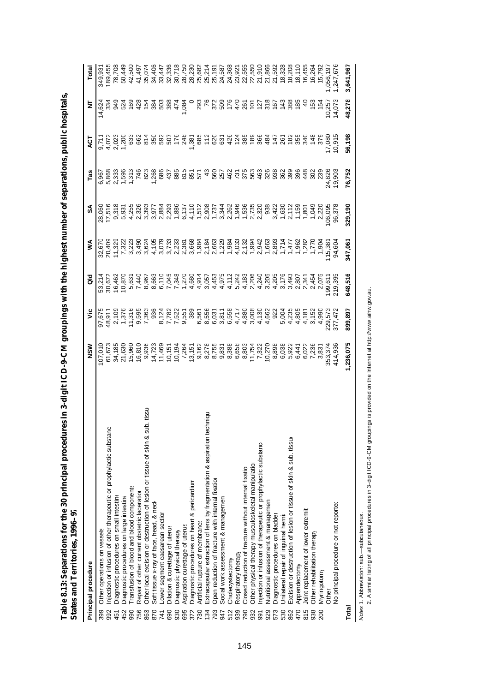| States and Territories, 1996–97                                                         |                     |                       |                         |                                                                                             |                                                                                                                                                                                                                                                                                                                                                                         |                                     |                     |                                                  |                  |
|-----------------------------------------------------------------------------------------|---------------------|-----------------------|-------------------------|---------------------------------------------------------------------------------------------|-------------------------------------------------------------------------------------------------------------------------------------------------------------------------------------------------------------------------------------------------------------------------------------------------------------------------------------------------------------------------|-------------------------------------|---------------------|--------------------------------------------------|------------------|
| Principal procedure                                                                     | NSM                 | ۊ                     | 응                       | ⋚                                                                                           | వ్                                                                                                                                                                                                                                                                                                                                                                      | Tas                                 | ្ទ្                 | Ξ                                                | Total            |
| Other operations on vessels<br>399                                                      | 07,010              | 97,675                |                         | 32,670                                                                                      | 28,060                                                                                                                                                                                                                                                                                                                                                                  | 6,96                                |                     | 14,62                                            | 349,93           |
| Injection or infusion of other therapeutic or prophylactic substand<br>992              | 61,673              | 48,911                | 30,672                  | 20,409                                                                                      | 17,516                                                                                                                                                                                                                                                                                                                                                                  | 5,868                               | 4,072               |                                                  | 189,455          |
| Diagnostic procedures on small intestine<br>451                                         | 34,185              | 2,109                 | 16,462                  | 11,32                                                                                       | 9,318                                                                                                                                                                                                                                                                                                                                                                   |                                     |                     |                                                  | 78,708           |
| Diagnostic procedures on large intestine<br>452                                         | 21,630              | 1,376                 | 10,870                  | 7,32                                                                                        | 5,931                                                                                                                                                                                                                                                                                                                                                                   | 2,333<br>1,596<br>1,313             | 2,023               | ಕೆ ನೆ                                            | 50,449           |
| Transfusion of blood and blood components<br>990                                        | 15,960              | 11,316                | 5,631                   |                                                                                             | 4,255                                                                                                                                                                                                                                                                                                                                                                   |                                     | $\ddot{6}$          | $\tilde{e}$                                      | 42,500           |
| Repair of other current obstetric laceration<br>756                                     | 16,810              | 9,595                 | 7,440                   | 3,49                                                                                        | 2,326                                                                                                                                                                                                                                                                                                                                                                   | 746                                 | 662                 | $\frac{5}{4}$                                    | 41,49            |
| b. tissu<br>Other local excision or destruction of lesion or tissue of skin & su<br>863 | 9,936               | 7,363                 | 8,967                   | 3,62                                                                                        | 3,393                                                                                                                                                                                                                                                                                                                                                                   | 823                                 |                     | $\frac{15}{5}$                                   | 35,07            |
| Soft tissue x-ray of face, head, & neck<br>870                                          | 14,723              | 936                   | 8,663                   | 4,105                                                                                       | 3,977                                                                                                                                                                                                                                                                                                                                                                   | 1,268                               |                     |                                                  | 34,406           |
| ower segment caesarean section<br>741                                                   | 11,469              |                       | 6,110                   | 3,079                                                                                       | 2,884                                                                                                                                                                                                                                                                                                                                                                   | 686                                 |                     | 38<br>503                                        | 33,447           |
| Dilation & curettage of uterus<br>690                                                   | 10, 15              | $\frac{8,122}{7,782}$ | 7,045                   | 3,73                                                                                        | 2,293                                                                                                                                                                                                                                                                                                                                                                   | 437                                 | 507                 | 388                                              | 32,33            |
| Diagnostic physical therapy<br>930                                                      | 10,194              | 7,522                 | 7,348                   | 2,23                                                                                        |                                                                                                                                                                                                                                                                                                                                                                         | 885                                 | 176                 | $\vec{4}$                                        | 30,718           |
| Aspiration curettage of uterus<br>695                                                   | 7,264               | 9,551                 |                         | 2,38                                                                                        |                                                                                                                                                                                                                                                                                                                                                                         | 815                                 | 248                 | 0.08 <sup>2</sup>                                | 28,750           |
| Diagnostic procedures on heart & pericardium<br>372                                     | 13,15               | 389                   | 1,270                   | 3,668                                                                                       |                                                                                                                                                                                                                                                                                                                                                                         |                                     |                     |                                                  | 28,23            |
| Artificial rupture of membranes<br>730                                                  |                     | 6,561                 |                         | 1,984                                                                                       |                                                                                                                                                                                                                                                                                                                                                                         | 57<br>57                            | 1,381<br>685        | 293                                              | 25,682           |
| Extracapsular extraction of lens by fragmentation & aspiration techniqu<br>134          | 9,162<br>8,278      | 8,556                 | 4,914<br>3,057          | 2,184                                                                                       |                                                                                                                                                                                                                                                                                                                                                                         |                                     | 112                 | $\frac{8}{10}$                                   | 25,214           |
| Open reduction of fracture with internal fixation<br>793                                | 8,755               | 6,03                  | 4,453                   |                                                                                             |                                                                                                                                                                                                                                                                                                                                                                         |                                     | 620                 |                                                  | 25,19'           |
| Social work assessment & managemen<br>947                                               | 9,831               | 3,811                 | 4,975                   |                                                                                             |                                                                                                                                                                                                                                                                                                                                                                         |                                     | 631                 |                                                  | 24,587           |
| Cholecystectomy<br>512                                                                  | 8,388               | 6,558                 | 4,112                   | $1,384$<br>$1,984$                                                                          |                                                                                                                                                                                                                                                                                                                                                                         |                                     | 426                 | $\begin{array}{c} 258 \\ 258 \\ 258 \end{array}$ | 24,368           |
| Respiratory therapy<br>939                                                              | 6,658               | 4,717                 | 5,242                   |                                                                                             |                                                                                                                                                                                                                                                                                                                                                                         |                                     |                     | 47                                               | 23,92            |
| Closed reduction of fracture without internal fixation<br>790                           | 8,803               | 4,880                 | 4,183                   |                                                                                             |                                                                                                                                                                                                                                                                                                                                                                         |                                     |                     | 80<br>192                                        | 22,555           |
| Other physical therapy musculoskeletal manipulation<br>932                              | 11,754              | 3,008                 | 2,206                   |                                                                                             |                                                                                                                                                                                                                                                                                                                                                                         | ទី ទី ដូន ដូន និង<br>ទី ដូន ដូន ដូន |                     |                                                  | 22,550           |
| injection or infusion of therapeutic or prophylactic substanc-<br>991                   | 7,322               | 4,130                 | 4,240<br>3,205<br>4,205 | $4.033$<br>$0.0344$<br>$0.0047$<br>$0.0033$<br>$0.0033$<br>$0.0033$<br>$0.0033$<br>$0.0034$ | $\begin{array}{l} -\mathfrak{e} & 0 & 4 & -\mathfrak{e} & \mathfrak{e} & \mathfrak{e} & \mathfrak{e} \\ \hline 0 & 0 & 0 & 0 & 0 & 0 & 0 \\ \mathfrak{e} & 0 & 0 & 0 & 0 & 0 & 0 \\ \mathfrak{e} & 0 & 0 & 0 & 0 & 0 & 0 \\ \mathfrak{e} & 0 & 0 & 0 & 0 & 0 & 0 \\ \mathfrak{e} & 0 & 0 & 0 & 0 & 0 & 0 \\ \mathfrak{e} & 0 & 0 & 0 & 0 & 0 & 0 \\ \mathfrak{e} & 0 &$ | 463                                 | $\frac{586}{28884}$ | $12\overline{1}$                                 | 21,910           |
| Nutritional assessment & managemen<br>929                                               | 10,270              | 4,662                 |                         |                                                                                             |                                                                                                                                                                                                                                                                                                                                                                         | 326                                 |                     | 318                                              | 21,866<br>21,592 |
| Diagnostic procedures on bladder<br>573                                                 | 8,898               | 922                   |                         |                                                                                             | 3,422                                                                                                                                                                                                                                                                                                                                                                   | 38<br>362                           | $147$<br>261        | 167                                              |                  |
| Unilateral repair of inguinal hernia<br>530                                             | 6,038               | 5,004                 | 3,176                   |                                                                                             | $\frac{1,630}{2,112}$                                                                                                                                                                                                                                                                                                                                                   |                                     |                     | $\frac{4}{3}$                                    | 18,328           |
| Excision or destruction of lesion or tissue of skin & sub. tissue<br>862                | 5,922               | 4,235                 | 3,493                   | 1,47                                                                                        |                                                                                                                                                                                                                                                                                                                                                                         | 399                                 | 182                 | 388                                              | 18,208           |
| Appendectomy<br>470                                                                     | 6,441               | 4,805                 | 2,807                   | 1, 28                                                                                       | 1,159                                                                                                                                                                                                                                                                                                                                                                   | 396                                 | 355                 | 185                                              | 18,110           |
| Joint replacement of lower extremity<br>815                                             | 6,022               | 4,18                  | 2,341                   |                                                                                             | 1,801                                                                                                                                                                                                                                                                                                                                                                   | 448                                 | 34C                 | $\frac{1}{4}$                                    | 16,455           |
| Other rehabilitation therapy<br>938                                                     | 7,236               | 3,15                  | 2,454                   | 1,770                                                                                       | 1,049                                                                                                                                                                                                                                                                                                                                                                   | 302                                 | 148                 | 153                                              | 16,26            |
| Myringotomy<br>200                                                                      | $3,83$ <sup>-</sup> | 4,990                 | 2,075                   | 1,90 <sup>2</sup>                                                                           | 2,220                                                                                                                                                                                                                                                                                                                                                                   | 239                                 | 375                 | 154                                              | 15,792           |
| Other                                                                                   | 353,374             | 229,573               | 99,611                  | 115,38                                                                                      | 106,095                                                                                                                                                                                                                                                                                                                                                                 | 24,826                              | 17,080              | 10,257                                           | ,056,19          |
| No principal procedure or not reported                                                  | 414,936             | 377,47                | 219,395                 | 94,604                                                                                      | 96,378                                                                                                                                                                                                                                                                                                                                                                  | 19,903                              | 10,915              | 14,073                                           | ,247,67          |
| Total                                                                                   | 1,236,075           | 899,897               | 648,516                 | 347,061                                                                                     | 329,190                                                                                                                                                                                                                                                                                                                                                                 | 76,752                              | 56,198              | 48,278                                           | 3,641,967        |

Table 8.13: Separations for the 30 principal procedures in 3-digit ICD-9-CM groupings with the highest number of separations, public hospitals, **Table 8.13: Separations for the 30 principal procedures in 3-digit ICD-9-CM groupings with the highest number of separations, public hospitals,**

*Notes:* 1. Abbreviation: sub.— subcutaneous.

Motes 1. Abbreviation: sub.—subcutaneous.<br>2. A similar listing of all principal procedures in 3-digit ICD-9-CM groupings is provided on the Internet at http://www.aihw.gov.au. 2. A similar listing of all principal procedures in 3-digit ICD-9-CM groupings is provided on the Internet at http://www.aihw.gov.au.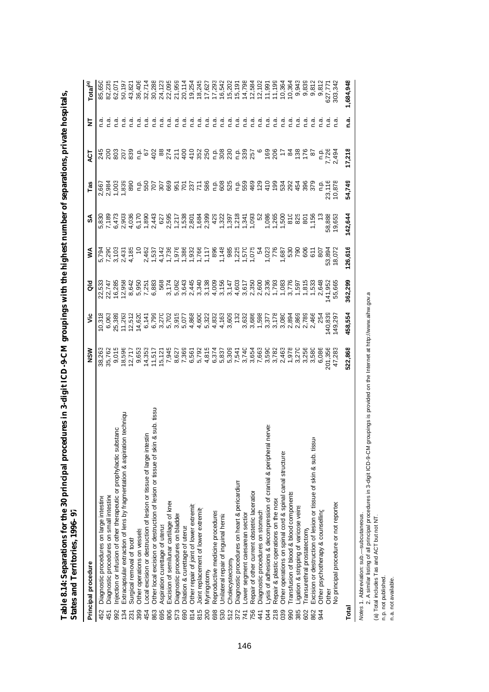|                        | ⋾<br><b>Dentes anno Territories, Too</b>                                      |                                 |                |                                                                           |                                                     |                |                         |                 |            |                      |
|------------------------|-------------------------------------------------------------------------------|---------------------------------|----------------|---------------------------------------------------------------------------|-----------------------------------------------------|----------------|-------------------------|-----------------|------------|----------------------|
| Principal procedure    |                                                                               | NSM                             | ۶Ë             | as<br>G                                                                   | ⋚                                                   | SA             | Tas                     | 40T             | ā          | Total <sup>(a)</sup> |
| 452                    | Diagnostic procedures on large intestine                                      | 38,263                          | 0,318          | 22,533                                                                    | 5,794                                               | 5,830          | 2,66                    | 245             |            | 85,650               |
| 451                    | Diagnostic procedures on small intestine                                      | 35,762                          |                | 22,747                                                                    | 7,290                                               | 7,189          | 2,984                   |                 |            |                      |
| 992                    | bstanc<br>njection or infusion of other therapeutic or prophylactic sure      | 9,015                           | 25,389         | 16,285                                                                    | 3,10 <sup>2</sup>                                   | 6,473          | 1,003                   | 803             | n.a        | 62,07                |
| 134                    | Extracapsular extraction of lens by fragmentation & aspiration techniqu       | 18,596                          | 11,263         | 12,958                                                                    | 2,43                                                | 2,903          | 1,839                   | 207             | n.a        | 50,197               |
| 231                    | Surgical removal of tooth                                                     | 12,717                          | 12,512         | 8,642                                                                     | 4,185                                               | 4,036          | 890                     | 839             | n.a        | 43,82                |
| 399                    | Other operations on vessels                                                   | 9,653                           | 14,620         | 5,950                                                                     |                                                     | 6,17           | نې<br>C                 |                 | n.a        | 36,406               |
| 454                    | ocal excision or destruction of lesion or tissue of large intestin            | 14,353                          | 6,141          | 7,251                                                                     | 2,462                                               | 1,890          | 550                     | $rac{1}{2}$     | n.a        | 32,714               |
| 863                    | Other local excision or destruction of lesion or tissue of skin & sub. tissu- | 11,517                          | 6,799          | 6,883                                                                     | 1,537                                               | 2,443          | 707                     | 402             | n.a        | 30,288               |
| 695                    | Aspiration curettage of uterus                                                | 15,121                          | 3,270          | 568                                                                       |                                                     | 627            | 307                     |                 | n.a        | 24,123               |
| 806                    | Excision of semilunar cartilage of knee                                       | 7,945                           | 5,702          | 3,174                                                                     | $4,142$<br>1,736                                    |                | <b>855258</b><br>852358 | 88<br>27<br>27  | n.a        | 22,095               |
| 573                    | Diagnostic procedures on bladder                                              | 8,627                           | 3,915          | 5,062                                                                     | 1,976                                               |                |                         |                 | ه.<br>۲    | 21,959               |
| 690                    | Dilation & curettage of uterus                                                | 7,369                           | 5,077          | 3,643                                                                     | 1,386                                               |                |                         | 400             | α<br>Γ.    | 20,11                |
| 814                    | Other repair of joint of lower extremit                                       | 6,561<br>6,792<br>6,46<br>6,374 | 4,868          | 2,445                                                                     | $1,766$<br>$1,766$<br>$1,766$<br>$1,766$<br>$1,760$ |                |                         | 1080            | n.a        | 19,254               |
| 815                    | Joint replacement of lower extremit                                           |                                 | 4,600          | 3,340<br>3,138                                                            |                                                     |                |                         |                 | α.<br>⊂    | 18,245               |
| Myringotomy<br>200     |                                                                               |                                 | 5,322<br>4,832 |                                                                           |                                                     |                |                         |                 | <u>ດ</u> ້ | 17,627               |
| 698                    | Reproductive medicine procedures                                              |                                 |                |                                                                           |                                                     | 429            |                         |                 | ີ.<br>ດ    | 17,293               |
| 530                    | Unilateral repair of inguinal hernia                                          | 5,837                           |                |                                                                           | 1,148                                               |                |                         |                 | n.a        | 16,542               |
| Cholecystectomy<br>512 |                                                                               | 5,309                           | 4,163<br>3,609 |                                                                           | 985                                                 |                | 58<br>58<br>58          | 2880            | n.a        | 15,202               |
| 372                    | Diagnostic procedures on heart & pericardium                                  | 7,541                           | 132            | $4,000$<br>$4,750$<br>$5,750$<br>$6,607$<br>$7,750$<br>$6,750$<br>$7,750$ | 1,225<br>1,570<br>1,075                             |                | n.p.<br>559             |                 | م.<br>C    | 15,191               |
| 741                    | ower segment caesarean section                                                | 3,740                           | 3,632          |                                                                           |                                                     |                |                         | 588<br>588      | n.a        | 14,798               |
| 756                    | Repair of other current obstetric laceration                                  | 3,654                           | 3,686          |                                                                           |                                                     | 1,093          | 469                     |                 | n.a        | 12,584               |
| 441                    | Diagnostic procedures on stomach                                              | 7,663                           | 1,598          | 2,600                                                                     | 54                                                  | $\frac{5}{2}$  | 129                     |                 | n.a        | 12,102               |
| 044                    | Lysis of adhesions & decompression of cranial & peripheral nerves             | 3,590                           | 3,377          | 2,336<br>1,793                                                            | 1,023                                               | 1,086          | 410                     | $\frac{8}{206}$ | ය<br>⊂     | 11,991               |
| 218                    | Repair & plastic operations on the nose                                       | 3,782                           | 3,178          |                                                                           | 776                                                 | 1,265          | 199                     |                 | n.a        | 11,199               |
| 039                    | Other operations on spinal cord & spinal canal structures                     | 2,463                           | 3,080          | 1,083                                                                     | 1,687                                               | 1,500          | 534                     | $\frac{1}{2}$   | n.a        | 10,364               |
| 990                    | ransfusion of blood & blood components                                        | 1,978                           | 2,894          | 3,776                                                                     | 530                                                 | 810            | 292                     | $\frac{84}{3}$  | n.a        | 10,364               |
| 385                    | -igation & stripping of varicose veins                                        | 3,27C                           | 2,869          | 1,597                                                                     | 790                                                 | 825            | 454                     | 138             | n.a        | 9,943                |
| 602                    | ransurethral prostatectomy                                                    | 3,256                           | 2,789          | 1,815                                                                     | 606                                                 | $\overline{8}$ | 396                     | 176             | n.ai       | 9,839                |
| 862                    | Excision or destruction of lesion or tissue of skin & sub. tissure            | 3,580                           | 2,466          | 1,533                                                                     | 611                                                 | 1,156          | 379                     | 5               | n.a        | 9,812                |
| 944                    | Other psychotherapy & counselling                                             | 6,086                           | 254            | 2,648                                                                     | 807                                                 | ლ<br>—         | ۹.                      | م.<br>C         |            | 9,812                |
| Other                  |                                                                               | 201,356                         | 140,839        | 141,952                                                                   | 53,894                                              | 58,888         | 23,116                  | 7,726           |            | 627,77               |
|                        | No principal procedure or not reported                                        | 47,283                          | 149,29         | 55,665                                                                    | 18,072                                              | 19,653         | 10,878                  | 2,49            |            | 303,342              |
| Total                  |                                                                               | 522,868                         | 458,554        | 362,299                                                                   | 126,616                                             | 142,644        | 54,749                  | 17,218          | n.a.       | 1,684,948            |

Table 8.14: Separations for the 30 principal procedures in 3-digit ICD-9-CM groupings with the highest number of separations, private hospitals,<br>States and Territories, 1996–97 **Table 8.14: Separations for the 30 principal procedures in 3-digit ICD-9-CM groupings with the highest number of separations, private hospitals, States and Territories, 1996–97**

Ades 1. Abbreviation: sub.—subcutaneous.<br>2. A similar listing of all principal procedures in 3-digit ICD-9-CM groupings is provided on the Internet at http://www.aihw.gov.a<br>(a) Total includes Tas and ACT but not NT.<br>n.a. 2. A similar listing of all principal procedures in 3-digit ICD-9-CM groupings is provided on the Internet at http://www.aihw.gov.au. *Notes:* 1. Abbreviation: sub.— subcutaneous.

(a) Total includes Tas and ACT but not NT.

n.p. not published.

n.a. not available.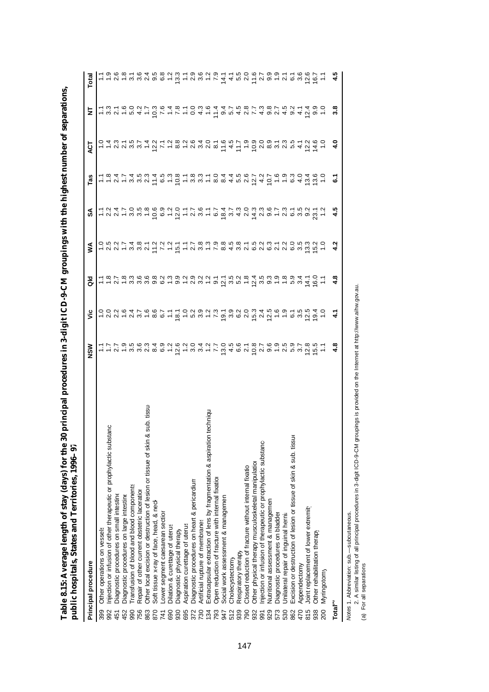| public hospitals, States and Territories, 1996-97                                         |                                                             |                                                                                                                                                                                                                                |   |   |                                                            |                                                           |   |     |                                                         |
|-------------------------------------------------------------------------------------------|-------------------------------------------------------------|--------------------------------------------------------------------------------------------------------------------------------------------------------------------------------------------------------------------------------|---|---|------------------------------------------------------------|-----------------------------------------------------------|---|-----|---------------------------------------------------------|
| Principal procedure                                                                       | NSW                                                         | š                                                                                                                                                                                                                              | 응 | ≸ | వ్                                                         | Tas                                                       | ā | 눋   | Total                                                   |
| Other operations on vessels<br>399                                                        |                                                             |                                                                                                                                                                                                                                |   |   |                                                            |                                                           |   |     |                                                         |
| Injection or infusion of other therapeutic or prophylactic substanc<br>992                |                                                             |                                                                                                                                                                                                                                |   |   |                                                            |                                                           |   |     |                                                         |
| Diagnostic procedures on small intestine<br>451                                           |                                                             |                                                                                                                                                                                                                                |   |   |                                                            |                                                           |   |     |                                                         |
| Diagnostic procedures on large intestine<br>452                                           |                                                             |                                                                                                                                                                                                                                |   |   |                                                            |                                                           |   |     |                                                         |
| Transfusion of blood and blood components<br>990                                          |                                                             |                                                                                                                                                                                                                                |   |   |                                                            |                                                           |   |     |                                                         |
| Repair of other current obstetric laceration<br>756                                       |                                                             |                                                                                                                                                                                                                                |   |   |                                                            |                                                           |   |     |                                                         |
| sub. tissu<br>త<br>Other local excision or destruction of lesion or tissue of skin<br>863 |                                                             |                                                                                                                                                                                                                                |   |   |                                                            |                                                           |   |     |                                                         |
| Soft tissue x-ray of face, head, & necl<br>870                                            | イイス13588101011151820291253251111111111111011111111111111111 | codine di codine di codine di codine di codine di di codine di codine di codine di codine di codine di codine<br>Codine di codine di codine di codine di codine di codine di codine di codine di codine di codine di codine di |   |   | 1247058692017817473038126122121111105802017817473038131521 | 112158215101881044587276930460118474534538183108445810100 |   |     | トークトリミクタクスピークのクリートでいるアクリートののアートのサートのようなこと しゅうしゅう しゅうしょう |
| ower segment caesarean section<br>741                                                     |                                                             |                                                                                                                                                                                                                                |   |   |                                                            |                                                           |   |     |                                                         |
| Dilation & curettage of uterus<br>690                                                     |                                                             |                                                                                                                                                                                                                                |   |   |                                                            |                                                           |   |     |                                                         |
| Diagnostic physical therapy<br>930                                                        |                                                             |                                                                                                                                                                                                                                |   |   |                                                            |                                                           |   |     |                                                         |
| Aspiration curettage of uterus<br>695                                                     |                                                             |                                                                                                                                                                                                                                |   |   |                                                            |                                                           |   |     |                                                         |
| Diagnostic procedures on heart & pericardium<br>372                                       |                                                             |                                                                                                                                                                                                                                |   |   |                                                            |                                                           |   |     |                                                         |
| Artificial rupture of membranes<br>730                                                    |                                                             |                                                                                                                                                                                                                                |   |   |                                                            |                                                           |   |     |                                                         |
| Extracapsular extraction of lens by fragmentation & aspiration techniqu<br>134            |                                                             |                                                                                                                                                                                                                                |   |   |                                                            |                                                           |   |     |                                                         |
| Open reduction of fracture with internal fixation<br>793                                  |                                                             |                                                                                                                                                                                                                                |   |   |                                                            |                                                           |   |     |                                                         |
| Social work assessment & managemen<br>947                                                 |                                                             |                                                                                                                                                                                                                                |   |   |                                                            |                                                           |   |     |                                                         |
| Cholecystectomy<br>512                                                                    |                                                             |                                                                                                                                                                                                                                |   |   |                                                            |                                                           |   |     |                                                         |
| Respiratory therapy<br>939                                                                |                                                             |                                                                                                                                                                                                                                |   |   |                                                            |                                                           |   |     |                                                         |
| Closed reduction of fracture without internal fixation<br>790                             |                                                             |                                                                                                                                                                                                                                |   |   |                                                            |                                                           |   |     |                                                         |
| Other physical therapy musculoskeletal manipulation<br>932                                |                                                             |                                                                                                                                                                                                                                |   |   |                                                            |                                                           |   |     |                                                         |
| Injection or infusion of therapeutic or prophylactic substanc-<br>991                     |                                                             |                                                                                                                                                                                                                                |   |   |                                                            |                                                           |   |     |                                                         |
| Nutritional assessment & managemen<br>929                                                 |                                                             |                                                                                                                                                                                                                                |   |   |                                                            |                                                           |   |     |                                                         |
| Diagnostic procedures on bladder<br>573                                                   |                                                             |                                                                                                                                                                                                                                |   |   |                                                            |                                                           |   |     |                                                         |
| Unilateral repair of inguinal hernia<br>530                                               |                                                             |                                                                                                                                                                                                                                |   |   |                                                            |                                                           |   |     |                                                         |
| Excision or destruction of lesion or tissue of skin & sub. tissu<br>862                   |                                                             |                                                                                                                                                                                                                                |   |   |                                                            |                                                           |   |     |                                                         |
| Appendectomy<br>470                                                                       |                                                             |                                                                                                                                                                                                                                |   |   |                                                            |                                                           |   |     |                                                         |
| Joint replacement of lower extremity<br>815                                               |                                                             |                                                                                                                                                                                                                                |   |   |                                                            |                                                           |   |     |                                                         |
| Other rehabilitation therapy<br>938                                                       |                                                             |                                                                                                                                                                                                                                |   |   |                                                            |                                                           |   |     |                                                         |
| Myringotomy<br>200                                                                        |                                                             |                                                                                                                                                                                                                                |   |   |                                                            |                                                           |   |     |                                                         |
| Total <sup>vey</sup>                                                                      | 4.8                                                         |                                                                                                                                                                                                                                |   |   |                                                            |                                                           |   | 3.8 |                                                         |

Table 8.15: Average length of stay (days) for the 30 principal procedures in 3-digit ICD-9-CM groupings with the highest number of separations, **Table 8.15: Average length of stay (days) for the 30 principal procedures in 3-digit ICD-9-CM groupings with the highest number of separations,** 

*Notes:* 1. Abbreviation: sub.— subcutaneous.

Notes 1. Abbreviation: sub.—subcutaneous.<br>2. A similar listing of all principal procedures in 3-digit ICD-9-CM groupings is provided on the Internet at http://www.aihw.gov.au.<br>(a) For all separations 2. A similar listing of all principal procedures in 3-digit ICD-9-CM groupings is provided on the Internet at http://www.aihw.gov.au. (a) For all separations.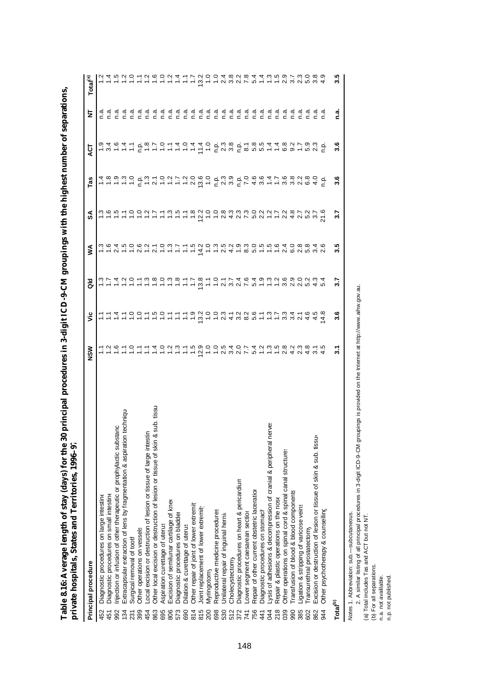Table 8.16: Average length of stay (days) for the 30 principal procedures in 3-digit ICD-9-CM groupings with the highest number of separations,<br>private hospitals, States and Territories, 1996–97 **Table 8.16: Average length of stay (days) for the 30 principal procedures in 3-digit ICD-9-CM groupings with the highest number of separations, private hospitals, States and Territories, 1996–97**

| Principal procedure                                                                    | <b>NSM</b> | $\ddot{\bar{z}}$                | $\frac{8}{3}$                                                        | ⋚                        | న్ట్                                                       | Tas                                            | ă       | W                | Total <sup>(a)</sup>  |
|----------------------------------------------------------------------------------------|------------|---------------------------------|----------------------------------------------------------------------|--------------------------|------------------------------------------------------------|------------------------------------------------|---------|------------------|-----------------------|
|                                                                                        |            |                                 |                                                                      |                          |                                                            |                                                |         |                  |                       |
| Diagnostic procedures on large intestine<br>452                                        |            |                                 |                                                                      | ო დ<br>                  |                                                            |                                                |         |                  |                       |
| Diagnostic procedures on small intestine<br>451                                        |            |                                 |                                                                      |                          |                                                            |                                                |         |                  |                       |
| tanc<br>njection or infusion of other therapeutic or prophylactic subsi-<br>992        |            |                                 |                                                                      |                          |                                                            |                                                |         |                  |                       |
| 1 techniqu<br>Extracapsular extraction of lens by fragmentation & aspiration<br>134    |            |                                 |                                                                      |                          |                                                            |                                                |         | didididi<br>CCCC |                       |
| Surgical removal of tooth<br>231                                                       |            |                                 | $\frac{2}{1}$ $\frac{1}{2}$                                          | $\frac{10000}{10000}$    |                                                            |                                                |         | n.a              |                       |
| Other operations on vessels<br>399                                                     |            |                                 |                                                                      |                          |                                                            |                                                |         | n.a              |                       |
| ocal excision or destruction of lesion or tissue of large intest<br>454                |            |                                 |                                                                      |                          |                                                            |                                                |         |                  |                       |
| sub. tissu<br>Other local excision or destruction of lesion or tissue of skin &<br>863 |            |                                 |                                                                      | $\overline{2}$ .         |                                                            |                                                |         |                  |                       |
| Aspiration curettage of uterus<br>695                                                  |            | けけはけののけおのけけけい 200のほうとうきっちょう 300 | $rac{6}{5}$ $rac{1}{5}$ $rac{1}{5}$ $rac{1}{5}$ $rac{1}{5}$          |                          | こうちこうこうこうかい                                                | はぁぅぃぃ ゖ゙゙゙ぃ゙゙ゖ゙ゖ゙ゖ゙ヷゟ゙ゖ゙ゖ゙ゖ゙ゖ゚ゖゖヸゕ゚゚゚゚゚゚゚ゖヸゖゖゕ |         |                  | 2 4 5 5 5 5 5 6 6 7 4 |
| Excision of semilunar cartilage of knee<br>806                                         |            |                                 |                                                                      |                          |                                                            |                                                |         |                  |                       |
| Diagnostic procedures on bladder<br>573                                                |            |                                 |                                                                      |                          |                                                            |                                                |         |                  |                       |
| Dilation & curettage of uterus<br>690                                                  |            |                                 |                                                                      |                          |                                                            |                                                |         |                  |                       |
| Other repair of joint of lower extremit<br>814                                         | بة<br>1    |                                 | $\ddot{ }$ :                                                         | $\frac{5}{1}$            |                                                            |                                                |         |                  | $\ddot{ }$            |
| Joint replacement of lower extremit<br>815                                             | 12.9       |                                 | $-2524$<br>$-2224$                                                   | $74.0$<br>$7.0$<br>$7.3$ | $-200$                                                     |                                                |         |                  | 13.2                  |
| <b>Myringotomy</b><br>200                                                              |            |                                 |                                                                      |                          |                                                            |                                                |         |                  |                       |
| Reproductive medicine procedures<br>698                                                |            |                                 |                                                                      |                          |                                                            |                                                |         |                  |                       |
| Jnilateral repair of inguinal hernia<br>530                                            | 25<br>2    |                                 |                                                                      | $\frac{5}{2}$            |                                                            |                                                |         |                  |                       |
| Cholecystectomy<br>512                                                                 |            |                                 |                                                                      |                          |                                                            |                                                |         |                  | 8.<br>8. N            |
| Diagnostic procedures on heart & pericardium<br>372                                    |            |                                 |                                                                      |                          | c g g g g g g g d c g g g g<br>c g g g g g g g g c g g g c |                                                |         |                  |                       |
| Lower segment caesarean section<br>741                                                 |            |                                 |                                                                      |                          |                                                            |                                                |         |                  | 7.8                   |
| Repair of other current obstetric laceration<br>756                                    | 54         |                                 | 5.4                                                                  | 5.0                      |                                                            |                                                |         |                  | 5.4                   |
| Diagnostic procedures on stomach<br>441                                                |            |                                 |                                                                      |                          |                                                            |                                                |         |                  |                       |
| erve:<br>ysis of adhesions & decompression of cranial & peripheral n<br>044            |            |                                 |                                                                      |                          |                                                            |                                                |         |                  |                       |
| Repair & plastic operations on the nose<br>218                                         |            |                                 |                                                                      | $10040$<br>$-100$        |                                                            |                                                |         |                  | $- - - 99$            |
| Other operations on spinal cord & spinal canal structures<br>039                       |            |                                 |                                                                      |                          |                                                            |                                                |         |                  |                       |
| Transfusion of blood & blood components<br>990                                         |            |                                 |                                                                      |                          |                                                            |                                                |         | n.a              |                       |
| Ligation & stripping of varicose veins<br>385                                          |            |                                 |                                                                      |                          |                                                            |                                                |         | n.a              | $\frac{3}{2}$         |
| ransurethral prostatectomy<br>602                                                      |            |                                 |                                                                      |                          |                                                            | $\frac{8}{6}$                                  | 5.9     | n.a              |                       |
| Excision or destruction of lesion or tissue of skin & sub. tissu<br>862                |            | 4.5                             |                                                                      |                          | $376$<br>$376$                                             |                                                |         | n.a              |                       |
| Other psychotherapy & counselling<br>944                                               |            | 4.8                             |                                                                      |                          |                                                            | ę                                              | فہ<br>خ | n.a              |                       |
| Total <sup>(b)</sup>                                                                   | 3.1        | 3.6                             | $\overline{\overline{\overline{}}\overline{\overline{\overline{}}}}$ | 3.5                      | 3.7                                                        | 3.6                                            | 3.6     | ة<br>C           | 3.5                   |
|                                                                                        |            |                                 |                                                                      |                          |                                                            |                                                |         |                  |                       |

Notes 1. Abbreviation: sub.-subcutaneous. *Notes:* 1. Abbreviation: sub.— subcutaneous.

Motes 1. Abbreviation: sub.—subcutaneous.<br>2. A similar listing of all principal procedures in 3-digit ICD-9-CM groupings is provided on the Internet at http://www.aihw.gov.au.<br>(a) Total includes Tas and ACT but not NT.<br>( 2. A similar listing of all principal procedures in 3-digit ICD-9-CM groupings is provided on the Internet at http://www.aihw.gov.au.

(a) Total includes Tas and ACT but not NT.

(b) For all separations.

n.a. not avalilable.

n.p. not published.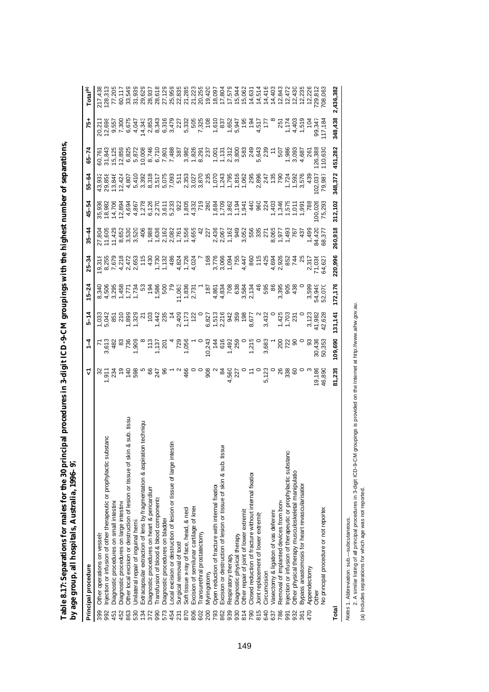| I                        |                     |
|--------------------------|---------------------|
|                          |                     |
|                          |                     |
|                          |                     |
|                          |                     |
|                          |                     |
|                          |                     |
|                          |                     |
|                          |                     |
| $\frac{1}{3}$            |                     |
|                          |                     |
|                          |                     |
|                          |                     |
|                          |                     |
|                          |                     |
|                          |                     |
|                          |                     |
|                          |                     |
|                          |                     |
| l<br>ċ                   | i<br>$\overline{1}$ |
| u manc<br>i              | ı<br>$\frac{1}{2}$  |
| i<br>I<br>Í<br>ĺ         | i<br>ׇ֚֘֡<br>Ì      |
| $\overline{\phantom{a}}$ | i                   |
| ı<br>こう                  | mun.all<br>I        |
|                          | j                   |
| Talalo<br>I              | Ī<br>i<br>ì<br>I    |

| Principal procedure                                                                           |                  | $\frac{1}{4}$ | $5 - 14$ | $15 - 24$ | $25 - 34$ | $35 - 44$ | 45–54                                                                                                                                                                                                                                                                                                                                                                                                                                                                                           | 55-64            | <b>Տ5–74</b> | 57                                                                                                                                                                                                                                  | Total <sup>(a)</sup>                   |
|-----------------------------------------------------------------------------------------------|------------------|---------------|----------|-----------|-----------|-----------|-------------------------------------------------------------------------------------------------------------------------------------------------------------------------------------------------------------------------------------------------------------------------------------------------------------------------------------------------------------------------------------------------------------------------------------------------------------------------------------------------|------------------|--------------|-------------------------------------------------------------------------------------------------------------------------------------------------------------------------------------------------------------------------------------|----------------------------------------|
| Other operations on vessels<br>399                                                            |                  |               |          |           |           |           |                                                                                                                                                                                                                                                                                                                                                                                                                                                                                                 |                  |              |                                                                                                                                                                                                                                     |                                        |
| stanc<br>Injection or infusion of other therapeutic or prophylactic sub<br>992                |                  |               |          |           |           |           |                                                                                                                                                                                                                                                                                                                                                                                                                                                                                                 |                  |              |                                                                                                                                                                                                                                     | 217,438<br>128,313<br>77,205<br>60,117 |
| Diagnostic procedures on small intestine<br>451                                               |                  |               |          |           |           |           |                                                                                                                                                                                                                                                                                                                                                                                                                                                                                                 |                  |              |                                                                                                                                                                                                                                     |                                        |
| Diagnostic procedures on large intestine<br>452                                               |                  |               |          |           |           |           |                                                                                                                                                                                                                                                                                                                                                                                                                                                                                                 |                  |              |                                                                                                                                                                                                                                     |                                        |
| sub. tissu<br>ఱ<br>Other local excision or destruction of lesion or tissue of skin<br>863     |                  |               |          |           |           |           |                                                                                                                                                                                                                                                                                                                                                                                                                                                                                                 |                  |              |                                                                                                                                                                                                                                     | 33,549                                 |
| Jnilateral repair of inguinal hernia<br>530                                                   |                  |               |          |           |           |           |                                                                                                                                                                                                                                                                                                                                                                                                                                                                                                 |                  |              |                                                                                                                                                                                                                                     |                                        |
| on techniqu<br>Extracapsular extraction of lens by fragmentation & aspirati<br>$\frac{34}{5}$ |                  |               |          |           |           |           |                                                                                                                                                                                                                                                                                                                                                                                                                                                                                                 |                  |              |                                                                                                                                                                                                                                     |                                        |
| Diagnostic procedures on heart & pericardium                                                  |                  |               |          |           |           |           |                                                                                                                                                                                                                                                                                                                                                                                                                                                                                                 |                  |              |                                                                                                                                                                                                                                     |                                        |
| Transfusion of blood & blood components<br>990                                                |                  |               |          |           |           |           |                                                                                                                                                                                                                                                                                                                                                                                                                                                                                                 |                  |              |                                                                                                                                                                                                                                     |                                        |
| Diagnostic procedures on bladder<br>573                                                       |                  |               |          |           |           |           | $\begin{array}{cccccccccccccc} \mathcal{R}\oplus\mathcal{R}\oplus\mathcal{R}\oplus\mathcal{R}\oplus\mathcal{R}\oplus\mathcal{R}\oplus\mathcal{R}\oplus\mathcal{R}\oplus\mathcal{R}\oplus\mathcal{R}\oplus\mathcal{R}\oplus\mathcal{R}\oplus\mathcal{R}\oplus\mathcal{R}\oplus\mathcal{R}\oplus\mathcal{R}\oplus\mathcal{R}\oplus\mathcal{R}\oplus\mathcal{R}\oplus\mathcal{R}\oplus\mathcal{R}\oplus\mathcal{R}\oplus\mathcal{R}\oplus\mathcal{R}\oplus\mathcal{R}\oplus\mathcal{R}\oplus\math$ |                  |              | לולו בית המונח בית המונח לה להיו בית להיו בית המונח להיו בית המונח להיו בית המונח להיו בית המונח להיו בית המונ<br>בית המונח להיו המונח להיו המונח להיו להיו המונח להיו המונח להיו המונח להיו המונח להיו המונח להיו המונח להיו ה<br> | 33<br>3337<br>3337<br>333729<br>333725 |
| Local excision or destruction of lesion or tissue of large intestin<br>454                    |                  |               |          |           |           |           |                                                                                                                                                                                                                                                                                                                                                                                                                                                                                                 |                  |              |                                                                                                                                                                                                                                     |                                        |
| Surgical removal of tooth<br>231                                                              |                  |               |          |           |           |           |                                                                                                                                                                                                                                                                                                                                                                                                                                                                                                 |                  |              |                                                                                                                                                                                                                                     | 22,835                                 |
| Soft tissue x-ray of face, head, & necl                                                       |                  |               |          |           |           |           |                                                                                                                                                                                                                                                                                                                                                                                                                                                                                                 |                  |              |                                                                                                                                                                                                                                     |                                        |
| Excision of semilunar cartilage of knee<br>806                                                |                  |               |          |           |           |           |                                                                                                                                                                                                                                                                                                                                                                                                                                                                                                 |                  |              |                                                                                                                                                                                                                                     |                                        |
| ransurethral prostatectomy<br>602                                                             |                  |               |          |           |           |           |                                                                                                                                                                                                                                                                                                                                                                                                                                                                                                 |                  |              |                                                                                                                                                                                                                                     |                                        |
| Myringotomy<br>200                                                                            |                  |               |          |           |           |           |                                                                                                                                                                                                                                                                                                                                                                                                                                                                                                 |                  |              |                                                                                                                                                                                                                                     |                                        |
| Open reduction of fracture with internal fixation<br>793                                      |                  |               |          |           |           |           |                                                                                                                                                                                                                                                                                                                                                                                                                                                                                                 |                  |              |                                                                                                                                                                                                                                     |                                        |
| Excision or destruction of lesion or tissue of skin & sub. tissue<br>862                      |                  |               |          |           |           |           |                                                                                                                                                                                                                                                                                                                                                                                                                                                                                                 |                  |              |                                                                                                                                                                                                                                     |                                        |
| Respiratory therapy<br>939                                                                    |                  |               |          |           |           |           |                                                                                                                                                                                                                                                                                                                                                                                                                                                                                                 |                  |              |                                                                                                                                                                                                                                     |                                        |
| Diagnostic physical therapy<br>930                                                            |                  |               |          |           |           |           |                                                                                                                                                                                                                                                                                                                                                                                                                                                                                                 |                  |              |                                                                                                                                                                                                                                     |                                        |
| Other repair of joint of lower extremit<br>814                                                |                  |               |          |           |           |           |                                                                                                                                                                                                                                                                                                                                                                                                                                                                                                 |                  |              |                                                                                                                                                                                                                                     |                                        |
| Closed reduction of fracture without internal fixation<br>790                                 |                  |               |          |           |           |           |                                                                                                                                                                                                                                                                                                                                                                                                                                                                                                 |                  |              |                                                                                                                                                                                                                                     |                                        |
| Joint replacement of lower extremit<br>815                                                    |                  |               |          |           |           |           |                                                                                                                                                                                                                                                                                                                                                                                                                                                                                                 |                  |              |                                                                                                                                                                                                                                     |                                        |
| Circumcision<br>640                                                                           |                  |               |          |           |           |           |                                                                                                                                                                                                                                                                                                                                                                                                                                                                                                 |                  |              |                                                                                                                                                                                                                                     |                                        |
| Vasectomy & ligation of vas deferens<br>637                                                   |                  |               |          |           |           |           |                                                                                                                                                                                                                                                                                                                                                                                                                                                                                                 |                  |              |                                                                                                                                                                                                                                     |                                        |
| Removal of implanted devices from bone<br>786                                                 |                  |               |          |           |           |           |                                                                                                                                                                                                                                                                                                                                                                                                                                                                                                 |                  |              |                                                                                                                                                                                                                                     |                                        |
| injection or infusion of therapeutic or prophylactic substance<br>991                         |                  |               |          |           |           |           |                                                                                                                                                                                                                                                                                                                                                                                                                                                                                                 |                  |              |                                                                                                                                                                                                                                     |                                        |
| Other physical therapy musculoskeletal manipulation<br>932                                    |                  |               |          |           |           |           |                                                                                                                                                                                                                                                                                                                                                                                                                                                                                                 |                  |              |                                                                                                                                                                                                                                     |                                        |
| Bypass anastomosis for heart revascularisation<br>361                                         |                  |               |          |           |           |           |                                                                                                                                                                                                                                                                                                                                                                                                                                                                                                 |                  |              |                                                                                                                                                                                                                                     |                                        |
| Appendectomy<br>470                                                                           |                  |               |          |           |           |           |                                                                                                                                                                                                                                                                                                                                                                                                                                                                                                 |                  |              |                                                                                                                                                                                                                                     |                                        |
| Other                                                                                         | 19,186<br>46,890 |               |          |           |           |           | 00,026<br>75,293                                                                                                                                                                                                                                                                                                                                                                                                                                                                                | 02,037<br>79,987 |              | 99,347<br>I17,18                                                                                                                                                                                                                    |                                        |
| No principal procedure or not reported                                                        |                  |               |          |           |           |           |                                                                                                                                                                                                                                                                                                                                                                                                                                                                                                 |                  | 110,63       |                                                                                                                                                                                                                                     |                                        |
| Total                                                                                         | 81,235           | 109,690       | 131,141  | 172,176   | 220,996   | 260,918   | 312,102                                                                                                                                                                                                                                                                                                                                                                                                                                                                                         | 348,372          | 451,282      | 348,438                                                                                                                                                                                                                             | 2,436,382                              |

Motes 1. Abbreviation: sub.—subcutaneous.<br>2. A similar listing of all principal procedures in 3-digit ICD-9-CM groupings is provided on the Internet at http://www.aihw.gov.au.<br>(a) Indudes separations for which age was not 2. A similar listing of all principal procedures in 3-digit ICD-9-CM groupings is provided on the Internet at http://www.aihw.gov.au. *Notes:* 1. Abbreviation: sub.— subcutaneous.

(a) Includes separations for which age was not reported.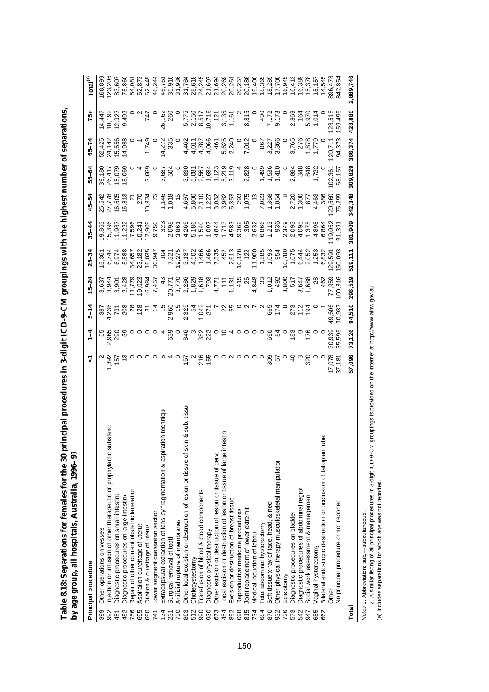| l                                                |                  |
|--------------------------------------------------|------------------|
|                                                  |                  |
| י<br>ג<br>$\vdots$<br>-<br>-<br>-<br>-<br>I<br>í |                  |
| ׇ֚֘֡<br>l<br>į<br>ĺ                              |                  |
| j                                                | l                |
| ׇ֚֘֡<br>١<br>ı<br>ı                              | ŗ<br>i<br>i<br>j |

| ,     | ì<br>o<br>Q                                                                        |                         |                 |                   |                       |                 |           |                |         |                  |                         |                      |
|-------|------------------------------------------------------------------------------------|-------------------------|-----------------|-------------------|-----------------------|-----------------|-----------|----------------|---------|------------------|-------------------------|----------------------|
|       | Principal procedure                                                                | ᡪ                       | $\frac{1}{4}$   | $5 - 14$          | $15 - 24$             | $25 - 34$       | $35 - 44$ | 45–54          | 55-64   | 4<br>$-5-7$      | $75+$                   | Total <sup>(a)</sup> |
| 399   | Other operations on vessels                                                        |                         |                 |                   |                       | 13,361          | 19,863    | 25,542         | 39,180  | 52,425           | 14,447                  | 168,899              |
| 992   | Injection or infusion of other therapeutic or prophylactic substanc                | 1,392                   | 55<br>365<br>۸i | 387<br>236        | 3,637<br>3,944        | 6,744           | 15,396    | 27,778         | 26,417  | 24,142           |                         | 123,206              |
| 451   | Diagnostic procedures on small intestine                                           | 157                     | 290<br>39       | $\overline{51}$   | $3,901$<br>$2,428$    | 6,974           | 11,987    | 16,605         | 15,079  | 15,556<br>14,988 | 10,192<br>12,327        | 83,607               |
| 452   | Diagnostic procedures on large intestine                                           |                         |                 | 208               |                       | 5,588           | 11,22     | 16,813         | 15,069  |                  | 9,492                   | 75,860               |
| 756   | Repair of other current obstetric laceration                                       |                         |                 |                   | 11,77                 | 34,657          | 7,596     | <u>년</u>       |         |                  |                         | 54,081               |
| 695   | Aspiration curettage of uterus                                                     |                         |                 | ಇ ಇ ಸ             | 19,023                | 23,182          | 10,24     | 270            |         |                  |                         | 52,873               |
| 690   | Dilation & curettage of uterus                                                     |                         |                 |                   | 6,984<br>7,457        | 16,035          | 12,909    | 10,324         | 3,669   | 1,749            | 747                     | 52,449               |
| 741   | Lower segment caesarean section                                                    |                         |                 |                   |                       | 30,947          | 9,750     |                |         |                  |                         | 48,244               |
| 134   | Extracapsular extraction of lens by fragmentation & aspiration techniqu            |                         |                 | $\hat{r}$         | 43                    | $\frac{104}{5}$ | 323       |                | 3,687   | 14,272           | 26,162                  | 45,761               |
| 231   | Surgical removal of tooth                                                          |                         | 639             | 2,960             | 20,77                 | 7,321           | 2,098     | 1,146<br>1,018 | 504     | 335              | 260                     | 35,910               |
| 730   | Artificial rupture of membranes                                                    |                         |                 | $\frac{5}{2}$     | 8,770                 | 19,275          | 3,861     | $\frac{5}{1}$  |         |                  |                         | 31,936               |
| 863   | sub. tissu<br>ఱ<br>Other local excision or destruction of lesion or tissue of skin | 157                     | 846             | 2,325             | 2,286                 | 3,137<br>4,502  | 4,269     | 4,697          | 3,830   | 4,462            | 5,775<br>2,150<br>8,517 | 31,784               |
| 512   | Cholecystectomy                                                                    | $\sim$                  | ო               | Ŗ,                |                       |                 | 5,186     | 5,800          | 5,081   |                  |                         | 28,618               |
| 990   | Transfusion of blood & blood components                                            | 216                     | 382             | 1,042<br>271      | 1,829<br>1,618<br>793 | 1,466           | 1,540     | 2,110          | 2,567   | 4,011<br>4,787   |                         | 24,245               |
| 930   | Diagnostic physical therapy                                                        | 155                     | 222             |                   |                       | 1,466           | 1,097     | 1,227          | 1,684   | 4,066            | 10,716                  | 21,697               |
| 673   | Other excision or destruction of lesion or tissue of cervi.                        |                         |                 |                   | 4,771                 | 7,335           | 4,844     | 3,032          | 1,123   | 461              | $\frac{1}{2}$           | 21,694               |
| 454   | Local excision or destruction of lesion or tissue of large intestin                |                         |                 | ଧ                 | $\frac{1}{2}$         | 452             | 1,713     | 3,982          | 5,219   | 5,625            | 3,135                   | 20,269               |
| 852   | Excision or destruction of breast tissue                                           |                         |                 | 55                | 1,131                 | 2,613           | 4,583     | 5,353          | 3,119   | 2,240            | 1,161                   | 20,261               |
| 698   | Reproductive medicine procedures                                                   | $\circ$ $\land$ $\circ$ |                 |                   | 415                   | 10,178          | 9,362     | 293            |         |                  |                         | 20,257               |
| 815   | Joint replacement of lower extremity                                               |                         |                 | $\mathbf{\Omega}$ | $\frac{8}{2}$         | 122             | 305       | 1,075          | 2,828   | 7,012            | 8,815                   | 20,186               |
| 734   | Medical induction of labour                                                        |                         | $\circ$         |                   | 4,848                 | 11,900          | 2,632     | بہ<br>پ        |         |                  |                         | 19,400               |
| 684   | Total abdominal hysterectomy                                                       |                         |                 | $\sim$            | ೫                     | 1,585           | 6,866     | 7,023          | 1,499   | 867              | 490                     | 18,365               |
| 870   | Soft tissue x-ray of face, head, & necl                                            | 309                     | 690             | 665               | 1,012                 | 1,093           | 1,213     | 1,368          | 1,536   | 3,227            | 7,172                   | 18,285               |
| 932   | Other physical therapy musculoskeletal manipulation                                | 57                      | $\mathfrak{A}$  | 174               | 492                   | 954             | 936       | 1,054          | 1,410   | 3,366            | 9,173                   | 17,700               |
| 736   | Episiotomy                                                                         |                         |                 |                   | 3,800<br>517          | 10,780          | 2,349     |                |         |                  |                         | 16,945               |
| 573   | Diagnostic procedures on bladder                                                   | $\overline{a}$          | $\frac{83}{2}$  | 273               |                       | 1,075           | 2,093     | 2,720          | 2,884   | 3,765            | 2,863                   | 16,413               |
| 542   | Diagnostic procedures of abdominal regior                                          | ო<br>320                |                 | 112               | 3,647                 | 6,444           | 4,095     | 1,300          | 348     | 276              | 164                     | 16,389               |
| 947   | Social work assessment & managemen                                                 |                         | 176             | 194               | 1,688                 | 2,052           | 1,375     | 87             | 848     | 1,878            | 5,970                   | 15,378               |
| 685   | Vaginal hysterectomy                                                               |                         |                 |                   |                       | 1,253           | 4,898     | 4,463          | 1,722   | 1,779            | 1,014                   | 15,157               |
| 662   | ğί<br>Bilateral endoscopic destruction or occlusion of fallopian tub               |                         |                 |                   | 462                   | 6,832           | 6,864     | 386            |         |                  |                         | 14,545               |
|       | Other                                                                              | 17,078                  | 30,939          | 49,606            | 77,959                | 29,591          | 119,052   | 120,66         | 102,361 | 120,711          | 128,518                 | 896,478              |
|       | No principal procedure or not reported                                             | 37,181                  | 35,595          | 30,937            | 100,316               | 50,093          | 91,391    | 75,299         | 68,157  | 94,373           | 159,495                 | 842,854              |
| Total |                                                                                    | 57,096                  | 73,126          | 94,510            | 296,519               | 519,111         | 381,909   | 342,348        | 309,829 | 386,374          | 428,880                 | 2,889,746            |
|       |                                                                                    |                         |                 |                   |                       |                 |           |                |         |                  |                         |                      |

*Notes:* 1. Abbreviation: sub.— subcutaneous.

Mdes 1. Abbreviation: sub.—subcutaneous.<br>2. A similar listing of all principal procedures in 3-digit ICD-9-CM groupings is provided on the Internet at http://www.aihw.gov.au.<br>(a) Includes separations for which age was not 2. A similar listing of all principal procedures in 3-digit ICD-9-CM groupings is provided on the Internet at http://www.aihw.gov.au. (a) Includes separations for which age was not reported.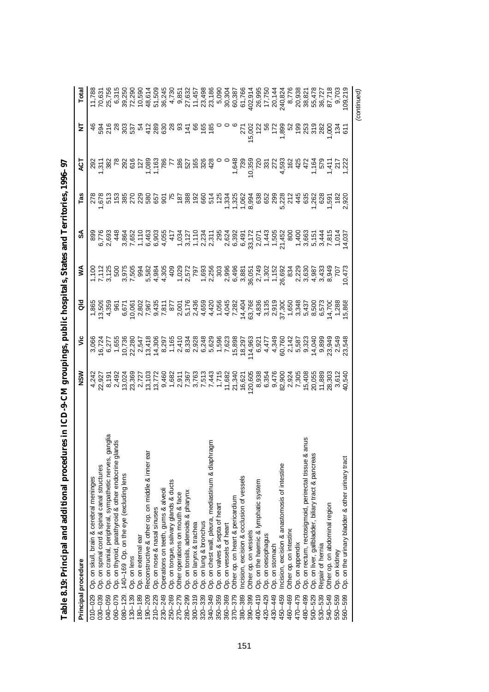|             | Principal procedure                                                                                             | NSM                                                                                                                                                                                                                                                                                                                                                                                                                    | ئ                                              | る                                                                                                                                             | ≸ | వ్                                                                                                                                                                                                                                   | Tas                                                                                                                                                                                                                                                                        | 5                                                   | ₹ | Total       |
|-------------|-----------------------------------------------------------------------------------------------------------------|------------------------------------------------------------------------------------------------------------------------------------------------------------------------------------------------------------------------------------------------------------------------------------------------------------------------------------------------------------------------------------------------------------------------|------------------------------------------------|-----------------------------------------------------------------------------------------------------------------------------------------------|---|--------------------------------------------------------------------------------------------------------------------------------------------------------------------------------------------------------------------------------------|----------------------------------------------------------------------------------------------------------------------------------------------------------------------------------------------------------------------------------------------------------------------------|-----------------------------------------------------|---|-------------|
| 010-029     | Op. on skull, brain & cerebral meninges                                                                         |                                                                                                                                                                                                                                                                                                                                                                                                                        |                                                |                                                                                                                                               |   |                                                                                                                                                                                                                                      |                                                                                                                                                                                                                                                                            |                                                     |   |             |
| 030-039     | Op. on spinal cord & spinal canal structures                                                                    |                                                                                                                                                                                                                                                                                                                                                                                                                        |                                                |                                                                                                                                               |   |                                                                                                                                                                                                                                      |                                                                                                                                                                                                                                                                            |                                                     |   |             |
| 040-059     |                                                                                                                 | $\begin{array}{l} 4\ \textrm{ } \textrm{ } \textrm{ } \textrm{ } \textrm{ } \textrm{ } \textrm{ } \textrm{ } \textrm{ } \textrm{ } \textrm{ } \textrm{ } \textrm{ } \textrm{ } \textrm{ } \textrm{ } \textrm{ } \textrm{ } \textrm{ } \textrm{ } \textrm{ } \textrm{ } \textrm{ } \textrm{ } \textrm{ } \textrm{ } \textrm{ } \textrm{ } \textrm{ } \textrm{ } \textrm{ } \textrm{ } \textrm{ } \textrm{ } \textrm{ }$ | 3,066<br>16,7277<br>16,275<br>10,736<br>10,736 | ι Ξα το Θανουν τη συντιτια της πωρείας της πρ<br>προκατορούντας της προσατιστιστού τους τους<br>προκατορούντας προσαπολείας τους προσαπολείας |   | cod wr - cod - curva vood drie Langur-4<br>Stock Scheen - curva cod - cod - curva cod - curva cod - curva cod - curva<br>Stock Cod - curva cod - curva cod - curva cod - curva cod - curva cod - curva cod - curva cod - curva cod - | $\begin{array}{l} 0.65 & 0.75 & 0.75 & 0.75 & 0.75 & 0.75 & 0.75 & 0.75 & 0.75 & 0.75 & 0.75 & 0.75 & 0.75 & 0.75 & 0.75 & 0.75 & 0.75 & 0.75 & 0.75 & 0.75 & 0.75 & 0.75 & 0.75 & 0.75 & 0.75 & 0.75 & 0.75 & 0.75 & 0.75 & 0.75 & 0.75 & 0.75 & 0.75 & 0.75 & 0.75 & 0.$ |                                                     |   |             |
| 060-079     | Op. on cranial, peripheral, sympathetic nerves, ganglia<br>Op. on thyroid, parathyroid & other endocrine glands |                                                                                                                                                                                                                                                                                                                                                                                                                        |                                                |                                                                                                                                               |   |                                                                                                                                                                                                                                      |                                                                                                                                                                                                                                                                            |                                                     |   |             |
| $080 - 129$ | 140-169 Op. on the eye (excluding lens                                                                          |                                                                                                                                                                                                                                                                                                                                                                                                                        |                                                |                                                                                                                                               |   |                                                                                                                                                                                                                                      |                                                                                                                                                                                                                                                                            |                                                     |   |             |
| $130 - 139$ | Op. on lens                                                                                                     |                                                                                                                                                                                                                                                                                                                                                                                                                        | 22,280                                         |                                                                                                                                               |   |                                                                                                                                                                                                                                      |                                                                                                                                                                                                                                                                            |                                                     |   |             |
| $180 - 189$ | Op. on external ear                                                                                             |                                                                                                                                                                                                                                                                                                                                                                                                                        |                                                |                                                                                                                                               |   |                                                                                                                                                                                                                                      |                                                                                                                                                                                                                                                                            |                                                     |   |             |
| 190-209     | Reconstructive & other op. on middle & inner ear                                                                |                                                                                                                                                                                                                                                                                                                                                                                                                        |                                                |                                                                                                                                               |   |                                                                                                                                                                                                                                      |                                                                                                                                                                                                                                                                            |                                                     |   |             |
| $210 - 229$ | Op. on nose & nasal sinuses                                                                                     |                                                                                                                                                                                                                                                                                                                                                                                                                        |                                                |                                                                                                                                               |   |                                                                                                                                                                                                                                      |                                                                                                                                                                                                                                                                            |                                                     |   |             |
| $230 - 249$ | Operations on teeth, gums & alveoli                                                                             |                                                                                                                                                                                                                                                                                                                                                                                                                        |                                                |                                                                                                                                               |   |                                                                                                                                                                                                                                      |                                                                                                                                                                                                                                                                            |                                                     |   |             |
| 250-269     | p. on tongue, salivary glands & ducts                                                                           |                                                                                                                                                                                                                                                                                                                                                                                                                        |                                                |                                                                                                                                               |   |                                                                                                                                                                                                                                      |                                                                                                                                                                                                                                                                            |                                                     |   |             |
| 270-279     | Other operations on mouth & face                                                                                |                                                                                                                                                                                                                                                                                                                                                                                                                        |                                                |                                                                                                                                               |   |                                                                                                                                                                                                                                      |                                                                                                                                                                                                                                                                            |                                                     |   |             |
| 280-299     | p. on tonsils, adenoids & pharynx                                                                               |                                                                                                                                                                                                                                                                                                                                                                                                                        |                                                |                                                                                                                                               |   |                                                                                                                                                                                                                                      |                                                                                                                                                                                                                                                                            |                                                     |   |             |
| $300 - 319$ | Op. on larynx & trachea                                                                                         |                                                                                                                                                                                                                                                                                                                                                                                                                        |                                                |                                                                                                                                               |   |                                                                                                                                                                                                                                      |                                                                                                                                                                                                                                                                            |                                                     |   |             |
| $320 - 339$ | Op. on lung & bronchus                                                                                          |                                                                                                                                                                                                                                                                                                                                                                                                                        |                                                |                                                                                                                                               |   |                                                                                                                                                                                                                                      |                                                                                                                                                                                                                                                                            |                                                     |   |             |
| 340-349     | pp. on chest wall, pleura, mediastinum & diaphragm                                                              |                                                                                                                                                                                                                                                                                                                                                                                                                        |                                                |                                                                                                                                               |   |                                                                                                                                                                                                                                      |                                                                                                                                                                                                                                                                            |                                                     |   |             |
| 350-359     | p. on valves & septa of heart                                                                                   |                                                                                                                                                                                                                                                                                                                                                                                                                        |                                                |                                                                                                                                               |   |                                                                                                                                                                                                                                      |                                                                                                                                                                                                                                                                            |                                                     |   |             |
| 360-369     | p. on vessels of heart                                                                                          |                                                                                                                                                                                                                                                                                                                                                                                                                        |                                                |                                                                                                                                               |   |                                                                                                                                                                                                                                      |                                                                                                                                                                                                                                                                            |                                                     |   |             |
| 370-379     | Other op. on heart & pericardium                                                                                |                                                                                                                                                                                                                                                                                                                                                                                                                        |                                                |                                                                                                                                               |   |                                                                                                                                                                                                                                      |                                                                                                                                                                                                                                                                            |                                                     |   |             |
| 380-389     | ncision, excision & occlusion of vessels                                                                        |                                                                                                                                                                                                                                                                                                                                                                                                                        |                                                |                                                                                                                                               |   |                                                                                                                                                                                                                                      |                                                                                                                                                                                                                                                                            |                                                     |   |             |
| 390-399     | Other op. on vessels                                                                                            |                                                                                                                                                                                                                                                                                                                                                                                                                        |                                                |                                                                                                                                               |   |                                                                                                                                                                                                                                      |                                                                                                                                                                                                                                                                            |                                                     |   |             |
| $400 - 419$ | Op. on the haemic & lymphatic system                                                                            |                                                                                                                                                                                                                                                                                                                                                                                                                        |                                                |                                                                                                                                               |   |                                                                                                                                                                                                                                      |                                                                                                                                                                                                                                                                            |                                                     |   |             |
| 420-429     | Op. on oesophagus                                                                                               |                                                                                                                                                                                                                                                                                                                                                                                                                        |                                                |                                                                                                                                               |   |                                                                                                                                                                                                                                      |                                                                                                                                                                                                                                                                            |                                                     |   |             |
| 430-449     | Op. on stomach                                                                                                  |                                                                                                                                                                                                                                                                                                                                                                                                                        |                                                |                                                                                                                                               |   |                                                                                                                                                                                                                                      |                                                                                                                                                                                                                                                                            |                                                     |   |             |
| 450-459     | ncision, excision & anastomosis of intestine                                                                    |                                                                                                                                                                                                                                                                                                                                                                                                                        |                                                |                                                                                                                                               |   |                                                                                                                                                                                                                                      |                                                                                                                                                                                                                                                                            |                                                     |   |             |
| 460-469     | Other op. on intestine                                                                                          |                                                                                                                                                                                                                                                                                                                                                                                                                        |                                                |                                                                                                                                               |   |                                                                                                                                                                                                                                      |                                                                                                                                                                                                                                                                            |                                                     |   |             |
| 470-479     | Op. on appendix                                                                                                 |                                                                                                                                                                                                                                                                                                                                                                                                                        |                                                |                                                                                                                                               |   |                                                                                                                                                                                                                                      |                                                                                                                                                                                                                                                                            | 425                                                 |   |             |
| 480-499     | anus<br>Op. on rectum, rectosigmoid, perirectal tissue &                                                        |                                                                                                                                                                                                                                                                                                                                                                                                                        |                                                |                                                                                                                                               |   |                                                                                                                                                                                                                                      |                                                                                                                                                                                                                                                                            |                                                     |   |             |
| $500 - 529$ | p. on liver, gallbladder, biliary tract & pancreas                                                              |                                                                                                                                                                                                                                                                                                                                                                                                                        | 14,040                                         |                                                                                                                                               |   |                                                                                                                                                                                                                                      |                                                                                                                                                                                                                                                                            |                                                     |   |             |
| 530-539     | Repair of hernia                                                                                                |                                                                                                                                                                                                                                                                                                                                                                                                                        |                                                |                                                                                                                                               |   |                                                                                                                                                                                                                                      |                                                                                                                                                                                                                                                                            |                                                     |   |             |
| 540-549     | Other op. on abdominal region                                                                                   |                                                                                                                                                                                                                                                                                                                                                                                                                        | 003<br>003<br>003<br>003<br>003<br>003         |                                                                                                                                               |   |                                                                                                                                                                                                                                      |                                                                                                                                                                                                                                                                            | $1,184$<br>$1,094$<br>$1,184$<br>$1,094$<br>$1,025$ |   |             |
| 550-559     | Op. on kidney                                                                                                   |                                                                                                                                                                                                                                                                                                                                                                                                                        |                                                |                                                                                                                                               |   |                                                                                                                                                                                                                                      |                                                                                                                                                                                                                                                                            |                                                     |   |             |
| 560-599     | Op. on the urinary bladder & other urinary tract                                                                |                                                                                                                                                                                                                                                                                                                                                                                                                        |                                                |                                                                                                                                               |   |                                                                                                                                                                                                                                      |                                                                                                                                                                                                                                                                            |                                                     |   |             |
|             |                                                                                                                 |                                                                                                                                                                                                                                                                                                                                                                                                                        |                                                |                                                                                                                                               |   |                                                                                                                                                                                                                                      |                                                                                                                                                                                                                                                                            |                                                     |   | (continued) |

| ļ<br>ī                                                                                                                                                               |
|----------------------------------------------------------------------------------------------------------------------------------------------------------------------|
|                                                                                                                                                                      |
|                                                                                                                                                                      |
|                                                                                                                                                                      |
|                                                                                                                                                                      |
|                                                                                                                                                                      |
|                                                                                                                                                                      |
|                                                                                                                                                                      |
|                                                                                                                                                                      |
| ֚                                                                                                                                                                    |
| $\frac{1}{2}$                                                                                                                                                        |
|                                                                                                                                                                      |
|                                                                                                                                                                      |
| ֖֖֖֖֖֖֪ׅׅ֪ׅ֖֧ׅ֪ׅ֖֧ׅ֪֪ׅ֪֧ׅ֧֚֚֚֚֚֚֚֚֚֚֚֚֚֚֚֚֚֚֚֚֚֡֝֝֝֝֓֞֓֞֬֝֬֓֞֝֬                                                                                                      |
| ֚֓<br>$\overline{\phantom{a}}$<br>ׇׇׇ֘֝֝<br>֡֡֡֡֡֡<br>and the state of the state of the state of the state of the state of the state of the state of the state of th |
| $\overline{\phantom{a}}$<br>ׇ֚֘֝֝֬<br>֖֖֖֧ׅ֖֖֧֪ׅ֖֧֚֚֚֚֚֚֚֚֚֚֚֚֚֚֚֚֚֚֚֚֚֚֚֚֡֝֝֝֝֝֝֝֝֝֝֝                                                                               |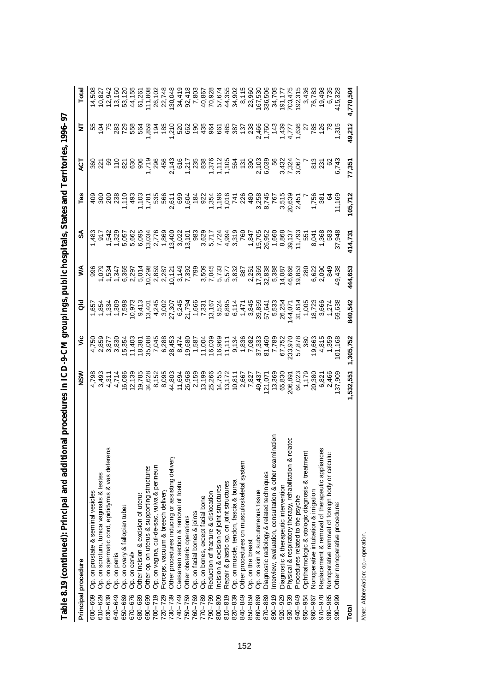|             | Principal procedure                                      | MSN                                                                                                                                                                                                                                                                                                                                                                                                                                                                                                                 | ۶Ë                                              | ă                                                                                                                                                                                                                                                                                                                                                                                                                                                                                                                                                                                                                                                                                         | ⋚                                                                                                                                                                                                                                    | ઙే      | Tas     | ā                                                                                                                                                                                                                                                                                                                                                                                                                                 | Ξ                 | Total     |
|-------------|----------------------------------------------------------|---------------------------------------------------------------------------------------------------------------------------------------------------------------------------------------------------------------------------------------------------------------------------------------------------------------------------------------------------------------------------------------------------------------------------------------------------------------------------------------------------------------------|-------------------------------------------------|-------------------------------------------------------------------------------------------------------------------------------------------------------------------------------------------------------------------------------------------------------------------------------------------------------------------------------------------------------------------------------------------------------------------------------------------------------------------------------------------------------------------------------------------------------------------------------------------------------------------------------------------------------------------------------------------|--------------------------------------------------------------------------------------------------------------------------------------------------------------------------------------------------------------------------------------|---------|---------|-----------------------------------------------------------------------------------------------------------------------------------------------------------------------------------------------------------------------------------------------------------------------------------------------------------------------------------------------------------------------------------------------------------------------------------|-------------------|-----------|
| 600-609     | Op. on prostate & seminal vesicles                       |                                                                                                                                                                                                                                                                                                                                                                                                                                                                                                                     |                                                 |                                                                                                                                                                                                                                                                                                                                                                                                                                                                                                                                                                                                                                                                                           |                                                                                                                                                                                                                                      | 1,483   |         |                                                                                                                                                                                                                                                                                                                                                                                                                                   |                   |           |
| 610-629     | Op. on scrotum, tunica vaginalis & testes                |                                                                                                                                                                                                                                                                                                                                                                                                                                                                                                                     |                                                 |                                                                                                                                                                                                                                                                                                                                                                                                                                                                                                                                                                                                                                                                                           |                                                                                                                                                                                                                                      |         |         |                                                                                                                                                                                                                                                                                                                                                                                                                                   | 3 g<br>8 g<br>8 x |           |
| 630-639     | Op. on spermatic cord, epididymis & vas deferens         |                                                                                                                                                                                                                                                                                                                                                                                                                                                                                                                     |                                                 |                                                                                                                                                                                                                                                                                                                                                                                                                                                                                                                                                                                                                                                                                           |                                                                                                                                                                                                                                      |         |         |                                                                                                                                                                                                                                                                                                                                                                                                                                   |                   |           |
| 640-649     | Op. on penis                                             |                                                                                                                                                                                                                                                                                                                                                                                                                                                                                                                     |                                                 |                                                                                                                                                                                                                                                                                                                                                                                                                                                                                                                                                                                                                                                                                           |                                                                                                                                                                                                                                      |         |         |                                                                                                                                                                                                                                                                                                                                                                                                                                   |                   |           |
| 650-669     | Op. on ovary & fallopian tubes                           |                                                                                                                                                                                                                                                                                                                                                                                                                                                                                                                     |                                                 |                                                                                                                                                                                                                                                                                                                                                                                                                                                                                                                                                                                                                                                                                           |                                                                                                                                                                                                                                      |         |         |                                                                                                                                                                                                                                                                                                                                                                                                                                   |                   |           |
| 670-676     | Op. on cervix                                            |                                                                                                                                                                                                                                                                                                                                                                                                                                                                                                                     |                                                 |                                                                                                                                                                                                                                                                                                                                                                                                                                                                                                                                                                                                                                                                                           |                                                                                                                                                                                                                                      |         |         |                                                                                                                                                                                                                                                                                                                                                                                                                                   |                   |           |
| 680-689     | Other incision & excision of uterus                      |                                                                                                                                                                                                                                                                                                                                                                                                                                                                                                                     |                                                 |                                                                                                                                                                                                                                                                                                                                                                                                                                                                                                                                                                                                                                                                                           |                                                                                                                                                                                                                                      |         |         |                                                                                                                                                                                                                                                                                                                                                                                                                                   |                   |           |
| 690-699     | Other op. on uterus & supporting structures              |                                                                                                                                                                                                                                                                                                                                                                                                                                                                                                                     |                                                 |                                                                                                                                                                                                                                                                                                                                                                                                                                                                                                                                                                                                                                                                                           |                                                                                                                                                                                                                                      |         |         |                                                                                                                                                                                                                                                                                                                                                                                                                                   |                   |           |
| $700 - 719$ | Op. on vagina, cul-de-sac, vulva & perineun              |                                                                                                                                                                                                                                                                                                                                                                                                                                                                                                                     |                                                 |                                                                                                                                                                                                                                                                                                                                                                                                                                                                                                                                                                                                                                                                                           |                                                                                                                                                                                                                                      |         |         |                                                                                                                                                                                                                                                                                                                                                                                                                                   |                   |           |
| $720 - 729$ | Forceps, vacuum & breech delivery                        |                                                                                                                                                                                                                                                                                                                                                                                                                                                                                                                     |                                                 |                                                                                                                                                                                                                                                                                                                                                                                                                                                                                                                                                                                                                                                                                           |                                                                                                                                                                                                                                      |         |         |                                                                                                                                                                                                                                                                                                                                                                                                                                   |                   |           |
| $730 - 739$ | Other procedures inducing or assisting delivery          |                                                                                                                                                                                                                                                                                                                                                                                                                                                                                                                     |                                                 |                                                                                                                                                                                                                                                                                                                                                                                                                                                                                                                                                                                                                                                                                           |                                                                                                                                                                                                                                      |         |         |                                                                                                                                                                                                                                                                                                                                                                                                                                   |                   |           |
| 740-749     | Caesarean section & removal of foetus                    |                                                                                                                                                                                                                                                                                                                                                                                                                                                                                                                     |                                                 |                                                                                                                                                                                                                                                                                                                                                                                                                                                                                                                                                                                                                                                                                           |                                                                                                                                                                                                                                      |         |         |                                                                                                                                                                                                                                                                                                                                                                                                                                   |                   |           |
| 750-759     | Other obstetric operations                               |                                                                                                                                                                                                                                                                                                                                                                                                                                                                                                                     |                                                 |                                                                                                                                                                                                                                                                                                                                                                                                                                                                                                                                                                                                                                                                                           |                                                                                                                                                                                                                                      |         |         |                                                                                                                                                                                                                                                                                                                                                                                                                                   |                   |           |
| 760-769     | Op. on facial bones & joints                             |                                                                                                                                                                                                                                                                                                                                                                                                                                                                                                                     |                                                 |                                                                                                                                                                                                                                                                                                                                                                                                                                                                                                                                                                                                                                                                                           |                                                                                                                                                                                                                                      |         |         |                                                                                                                                                                                                                                                                                                                                                                                                                                   |                   |           |
| 770-789     | Op. on bones, except facial bone                         |                                                                                                                                                                                                                                                                                                                                                                                                                                                                                                                     |                                                 |                                                                                                                                                                                                                                                                                                                                                                                                                                                                                                                                                                                                                                                                                           |                                                                                                                                                                                                                                      |         |         |                                                                                                                                                                                                                                                                                                                                                                                                                                   |                   |           |
| 790-799     | Reduction of fracture & dislocation                      |                                                                                                                                                                                                                                                                                                                                                                                                                                                                                                                     |                                                 |                                                                                                                                                                                                                                                                                                                                                                                                                                                                                                                                                                                                                                                                                           |                                                                                                                                                                                                                                      |         |         |                                                                                                                                                                                                                                                                                                                                                                                                                                   |                   |           |
| 800-809     | Incision & excision of joint structures                  |                                                                                                                                                                                                                                                                                                                                                                                                                                                                                                                     |                                                 |                                                                                                                                                                                                                                                                                                                                                                                                                                                                                                                                                                                                                                                                                           |                                                                                                                                                                                                                                      |         |         |                                                                                                                                                                                                                                                                                                                                                                                                                                   |                   |           |
| 810-819     | Repair & plastic op. on joint structures                 |                                                                                                                                                                                                                                                                                                                                                                                                                                                                                                                     |                                                 |                                                                                                                                                                                                                                                                                                                                                                                                                                                                                                                                                                                                                                                                                           |                                                                                                                                                                                                                                      |         |         |                                                                                                                                                                                                                                                                                                                                                                                                                                   |                   |           |
| 820-839     | Op. on muscle, tendon, fascia & bursa                    |                                                                                                                                                                                                                                                                                                                                                                                                                                                                                                                     |                                                 |                                                                                                                                                                                                                                                                                                                                                                                                                                                                                                                                                                                                                                                                                           |                                                                                                                                                                                                                                      |         |         |                                                                                                                                                                                                                                                                                                                                                                                                                                   |                   |           |
| 840-849     | Other procedures on musculoskeletal system               |                                                                                                                                                                                                                                                                                                                                                                                                                                                                                                                     |                                                 |                                                                                                                                                                                                                                                                                                                                                                                                                                                                                                                                                                                                                                                                                           |                                                                                                                                                                                                                                      |         |         |                                                                                                                                                                                                                                                                                                                                                                                                                                   |                   |           |
| 850-859     | Op. on the breast                                        |                                                                                                                                                                                                                                                                                                                                                                                                                                                                                                                     |                                                 |                                                                                                                                                                                                                                                                                                                                                                                                                                                                                                                                                                                                                                                                                           |                                                                                                                                                                                                                                      |         |         |                                                                                                                                                                                                                                                                                                                                                                                                                                   |                   |           |
| 860-869     | Op. on skin & subcutaneous tissue                        |                                                                                                                                                                                                                                                                                                                                                                                                                                                                                                                     |                                                 |                                                                                                                                                                                                                                                                                                                                                                                                                                                                                                                                                                                                                                                                                           |                                                                                                                                                                                                                                      |         |         |                                                                                                                                                                                                                                                                                                                                                                                                                                   |                   |           |
| 870-889     | Diagnostic radiology & related techniques                |                                                                                                                                                                                                                                                                                                                                                                                                                                                                                                                     |                                                 |                                                                                                                                                                                                                                                                                                                                                                                                                                                                                                                                                                                                                                                                                           |                                                                                                                                                                                                                                      |         |         |                                                                                                                                                                                                                                                                                                                                                                                                                                   |                   |           |
| 890-919     | Interview, evaluation, consultation & other examination  |                                                                                                                                                                                                                                                                                                                                                                                                                                                                                                                     |                                                 |                                                                                                                                                                                                                                                                                                                                                                                                                                                                                                                                                                                                                                                                                           |                                                                                                                                                                                                                                      |         |         |                                                                                                                                                                                                                                                                                                                                                                                                                                   |                   |           |
| $920 - 929$ | Diagnostic & therapeutic intervention                    |                                                                                                                                                                                                                                                                                                                                                                                                                                                                                                                     |                                                 |                                                                                                                                                                                                                                                                                                                                                                                                                                                                                                                                                                                                                                                                                           |                                                                                                                                                                                                                                      |         |         |                                                                                                                                                                                                                                                                                                                                                                                                                                   |                   |           |
| 930-939     | Physical & respiratory therapy, rehabilitation & related |                                                                                                                                                                                                                                                                                                                                                                                                                                                                                                                     |                                                 |                                                                                                                                                                                                                                                                                                                                                                                                                                                                                                                                                                                                                                                                                           |                                                                                                                                                                                                                                      |         |         |                                                                                                                                                                                                                                                                                                                                                                                                                                   |                   |           |
| 940-949     | Procedures related to the psyche                         |                                                                                                                                                                                                                                                                                                                                                                                                                                                                                                                     |                                                 |                                                                                                                                                                                                                                                                                                                                                                                                                                                                                                                                                                                                                                                                                           |                                                                                                                                                                                                                                      |         |         |                                                                                                                                                                                                                                                                                                                                                                                                                                   |                   |           |
| 950-954     | Ophthalmologic & otologic diagnosis & treatment          |                                                                                                                                                                                                                                                                                                                                                                                                                                                                                                                     |                                                 |                                                                                                                                                                                                                                                                                                                                                                                                                                                                                                                                                                                                                                                                                           |                                                                                                                                                                                                                                      |         |         |                                                                                                                                                                                                                                                                                                                                                                                                                                   |                   |           |
| 960-967     | Nonoperative intubation & irrigation                     |                                                                                                                                                                                                                                                                                                                                                                                                                                                                                                                     |                                                 |                                                                                                                                                                                                                                                                                                                                                                                                                                                                                                                                                                                                                                                                                           |                                                                                                                                                                                                                                      |         |         |                                                                                                                                                                                                                                                                                                                                                                                                                                   |                   |           |
| 970-978     | Replacement & removal of therapeutic appliances          |                                                                                                                                                                                                                                                                                                                                                                                                                                                                                                                     |                                                 |                                                                                                                                                                                                                                                                                                                                                                                                                                                                                                                                                                                                                                                                                           |                                                                                                                                                                                                                                      |         |         |                                                                                                                                                                                                                                                                                                                                                                                                                                   |                   |           |
| 980-985     | Nonoperative removal of foreign body or calculu          |                                                                                                                                                                                                                                                                                                                                                                                                                                                                                                                     |                                                 |                                                                                                                                                                                                                                                                                                                                                                                                                                                                                                                                                                                                                                                                                           |                                                                                                                                                                                                                                      |         |         |                                                                                                                                                                                                                                                                                                                                                                                                                                   |                   |           |
| 990–999     | Other nonoperative procedures                            | $\begin{smallmatrix} 4&\times&4&\xrightarrow{6}&6&\xrightarrow{6}&6&\xrightarrow{6}&6&\xrightarrow{6}&6&\xrightarrow{6}&6&\xrightarrow{6}&6&\xrightarrow{6}&6&\xrightarrow{6}&6&\xrightarrow{6}&6&\xrightarrow{6}&6&\xrightarrow{6}&6&\xrightarrow{6}&6&\xrightarrow{6}&6&\xrightarrow{6}&6&\xrightarrow{6}&6&\xrightarrow{6}&6&\xrightarrow{6}&6&\xrightarrow{6}&6&\xrightarrow{6}&6&\xrightarrow{6}&6&\xrightarrow{6}&6&\xrightarrow{6}&6&\xrightarrow{6}&6&\xrightarrow{6}&6&\xrightarrow{6}&6&\xrightarrow{6}&$ | 233,970<br>57,878<br>19,663<br>1,359<br>101,168 | $\begin{array}{l} \tau\rightarrow\tau\rightarrow\infty\\ \tau\rightarrow\tau\rightarrow\infty\\ \tau\rightarrow\infty\\ \tau\rightarrow\infty\\ \tau\rightarrow\infty\\ \tau\rightarrow\infty\\ \tau\rightarrow\infty\\ \tau\rightarrow\infty\\ \tau\rightarrow\infty\\ \tau\rightarrow\infty\\ \tau\rightarrow\infty\\ \tau\rightarrow\infty\\ \tau\rightarrow\infty\\ \tau\rightarrow\infty\\ \tau\rightarrow\infty\\ \tau\rightarrow\infty\\ \tau\rightarrow\infty\\ \tau\rightarrow\infty\\ \tau\rightarrow\infty\\ \tau\rightarrow\infty\\ \tau\rightarrow\infty\\ \tau\rightarrow\infty\\ \tau\rightarrow\infty\\ \tau\rightarrow\infty\\ \tau\rightarrow\infty\\ \tau\rightarrow\$ | e cristal cristal cristal cristal cristal de cristal de cristal de cristal de cristal de cristal de cristal de<br>Socion de cristal de cristal de cristal de cristal de cristal de cristal de cristal de cristal de cristal de c<br> |         |         | $\begin{array}{l} \mathcal{L}_{1}^{2}(\mathcal{L}_{2}^{2})=\mathcal{L}_{3}^{2}(\mathcal{L}_{3}^{2})=\mathcal{L}_{4}^{2}(\mathcal{L}_{4}^{2})=\mathcal{L}_{5}^{2}(\mathcal{L}_{4}^{2})=\mathcal{L}_{6}^{2}(\mathcal{L}_{4}^{2})=\mathcal{L}_{6}^{2}(\mathcal{L}_{4}^{2})=\mathcal{L}_{6}^{2}(\mathcal{L}_{4}^{2})=\mathcal{L}_{6}^{2}(\mathcal{L}_{4}^{2})=\mathcal{L}_{6}^{2}(\mathcal{L}_{4}^{2})=\mathcal{L}_{6}^{2}(\mathcal{$ |                   |           |
| Total       |                                                          | 1,532,551                                                                                                                                                                                                                                                                                                                                                                                                                                                                                                           | 1,305,752                                       | 840,542                                                                                                                                                                                                                                                                                                                                                                                                                                                                                                                                                                                                                                                                                   | 444,653                                                                                                                                                                                                                              | 414,731 | 105,712 | 77,351                                                                                                                                                                                                                                                                                                                                                                                                                            | 49,212            | 4,770,504 |

Table 8.19 (continued): Principal and additional procedures in ICD-9-CM groupings, public hospitals, States and Territories, 1996-97 **Table 8.19 (continued): Principal and additional procedures in ICD-9-CM groupings, public hospitals, States and Territories, 1996–97**

Note: Abbreviation: op.-operation. *Note:* Abbreviation: op.–operation.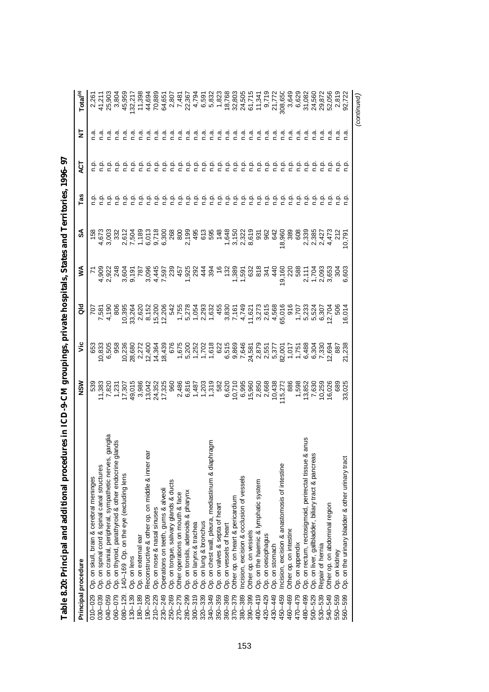| Principal procedure                                                            | NSM                                | š                                                              | as<br>o                                                                                                 | ⋚                          | న్                                   | Tas     | ä       | 5<br>N | Total <sup>(a)</sup>                           |
|--------------------------------------------------------------------------------|------------------------------------|----------------------------------------------------------------|---------------------------------------------------------------------------------------------------------|----------------------------|--------------------------------------|---------|---------|--------|------------------------------------------------|
| Op. on skull, brain & cerebral meninges<br>$010 - 029$                         | 539                                | 653                                                            | 70ī                                                                                                     |                            | 158                                  |         |         |        |                                                |
| Op. on spinal cord & spinal canal structures<br>030-039                        | 11,383                             | 10,833                                                         | 7,581                                                                                                   | 1,905                      | 4,673                                |         |         |        | 41,211                                         |
| ganglia<br>lands<br>Op. on cranial, peripheral, sympathetic nerves,<br>040-059 | 7,820                              | 6,505                                                          | 4,190                                                                                                   |                            |                                      |         |         |        | 25,903                                         |
| Op. on thyroid, parathyroid & other endocrine g<br>060-079                     | 1,231                              | 958                                                            | 806                                                                                                     | 2,922<br>248               | 3,003<br>332                         |         | غ<br>c  |        | 3,804                                          |
| 140-169 Op. on the eye (excluding lens<br>$080 - 129$                          | 17,307                             | 10,236                                                         | 10,395                                                                                                  | 3,604                      | 2012<br>2013<br>2013<br>2013<br>2013 |         | غ       |        | 45,959                                         |
| Op. on lens<br>$130 - 139$                                                     | 49,015                             | 28,680                                                         | 33,264                                                                                                  | 9,191                      |                                      |         | ف<br>C  |        |                                                |
| Op. on external ear<br>80-189                                                  | 3,986                              | 2,272                                                          | 2,620                                                                                                   | $\overline{78}$            |                                      |         | 흔       |        | 132,217<br>11,398                              |
| Reconstructive & other op. on middle & inner ear<br>$190 - 209$                | 13,042                             | 12,400                                                         | 8,152                                                                                                   | 3,096                      |                                      |         | ف<br>1  |        | 44,694                                         |
| Op. on nose & nasal sinuses<br>$210 - 229$                                     | 24,352                             | 14,364                                                         | 15,200                                                                                                  |                            |                                      |         | غ<br>c  |        | 70,889                                         |
| Operations on teeth, gums & alveoli<br>230-249                                 | 17,325                             | 18,439                                                         | 12,206                                                                                                  | 4,445<br>7,597<br>239      |                                      |         | ېم      |        | 64,65                                          |
| Op. on tongue, salivary glands & ducts<br>250-269                              | 960                                |                                                                |                                                                                                         |                            | 268<br>800                           |         | نې<br>C |        |                                                |
| Other operations on mouth & face<br>270-279                                    | 2,486                              |                                                                |                                                                                                         | 457                        |                                      |         | نې<br>C |        |                                                |
| Op. on tonsils, adenoids & pharynx<br>280-299                                  | 6,816                              |                                                                |                                                                                                         | 1,925<br>292               | 2,199                                |         | نې<br>C |        | 2,807<br>7,481<br>22,367                       |
| Op. on larynx & trachea<br>$300 - 319$                                         |                                    |                                                                |                                                                                                         |                            | 495                                  | نې<br>C | ن<br>ء  | n a    |                                                |
| Op. on lung & bronchus<br>$320 - 339$                                          |                                    |                                                                |                                                                                                         | 444                        |                                      | e,      | نې<br>C | n.a    |                                                |
| Op. on chest wall, pleura, mediastinum & diaphragm<br>340-349                  | 1<br>4,000<br>1,000<br>1,000       |                                                                |                                                                                                         | 394                        | 613<br>595                           |         | e<br>C  |        |                                                |
| Op. on valves & septa of heart<br>350-359                                      |                                    |                                                                |                                                                                                         |                            | 148                                  | ę       | غ<br>ء  | n.a    |                                                |
| Op. on vessels of heart<br>360-369                                             | 6,620                              |                                                                |                                                                                                         |                            |                                      |         | م<br>c  |        |                                                |
| Other op. on heart & pericardium<br>370-379                                    | 10,710                             |                                                                |                                                                                                         | 9 م بر<br>1 مقرر<br>1 مقرر | 1,648<br>3,150<br>2,322              | ę       | 흔       | n.a    |                                                |
| Incision, excision & occlusion of vessels<br>380-389                           |                                    |                                                                |                                                                                                         | 1,591                      |                                      | غ       | ف<br>م  | n.a    |                                                |
| Other op. on vessels<br>390-399                                                |                                    |                                                                |                                                                                                         |                            | 8,619                                | فہ<br>خ |         | n.a    |                                                |
| Op. on the haemic & lymphatic system<br>$400 - 419$                            | 6,995<br>15,960<br>15,850<br>2,668 | 24,581<br>2,87551<br>2,551<br>2,001<br>2,001<br>2,488<br>6,488 | $1.821$ $1.827$ $1.827$ $1.827$ $1.827$ $1.827$ $1.827$ $1.827$ $1.827$ $1.827$ $1.827$ $1.827$ $1.827$ | 632<br>818                 | 55<br>962                            | ېم      | ءِ ج    | n.a    | 18,768<br>32,803<br>24,505<br>61,341<br>11,341 |
| Op. on oesophagus<br>420-429                                                   |                                    |                                                                |                                                                                                         | 34'                        |                                      | ې       | ې       | n.a    |                                                |
| Op. on stomach<br>430-449                                                      | 10,438                             |                                                                |                                                                                                         | 440                        | 642                                  | ېم      |         | n a    | 9,719<br>21,772                                |
| Incision, excision & anastomosis of intestine<br>450-459                       | 15,273                             |                                                                |                                                                                                         | 19,160<br>220<br>588       | 18,960                               | نج      |         |        | 308,650                                        |
| Other op. on intestine<br>460-469                                              | 886                                |                                                                |                                                                                                         |                            | 380<br>608                           | نې<br>خ |         |        | 3,649                                          |
| Op. on appendix<br>470-479                                                     | 1,598                              |                                                                |                                                                                                         |                            |                                      | فہ<br>خ |         |        | 6,629                                          |
| Op. on rectum, rectosigmoid, perirectal tissue & anus<br>480-499               | 13,852                             |                                                                |                                                                                                         | 2,11                       | 2,339<br>2,385                       | ن<br>م  |         |        | 31,082                                         |
| Op. on liver, gallbladder, biliary tract & pancreas<br>500-529                 | 7,630                              | 6,304                                                          |                                                                                                         | 1,704                      |                                      |         |         |        | 24,560                                         |
| Repair of hernia<br>530-539                                                    | 10,259                             | 7,330                                                          |                                                                                                         | 2,093<br>3,653             | 2,427<br>4,473                       |         |         |        | 29,872                                         |
| Other op. on abdominal region<br>540-549                                       | 16,026                             | 12,694                                                         | 12,704                                                                                                  |                            |                                      |         |         |        | 52,056                                         |
| Op. on kidney<br>550-559                                                       | 689                                | 887                                                            | 506                                                                                                     | $\frac{5}{2}$              | 212                                  |         |         |        | 2,819                                          |
| Op. on the urinary bladder & other urinary tract<br>560-599                    | 33,025                             | 21,238                                                         | 6,014                                                                                                   | 6,603                      | 10,79                                |         |         | n.a    |                                                |
|                                                                                |                                    |                                                                |                                                                                                         |                            |                                      |         |         |        | (continued)                                    |

| i<br>C<br>י<br>י<br>ı       |
|-----------------------------|
|                             |
|                             |
|                             |
| ֚֚                          |
|                             |
|                             |
|                             |
|                             |
|                             |
|                             |
| ׇ֚֓֡<br>֠<br>è              |
| ֡֡֡֡֡֡<br>i<br>ׇׇ֘֝֝֬֝<br>ĺ |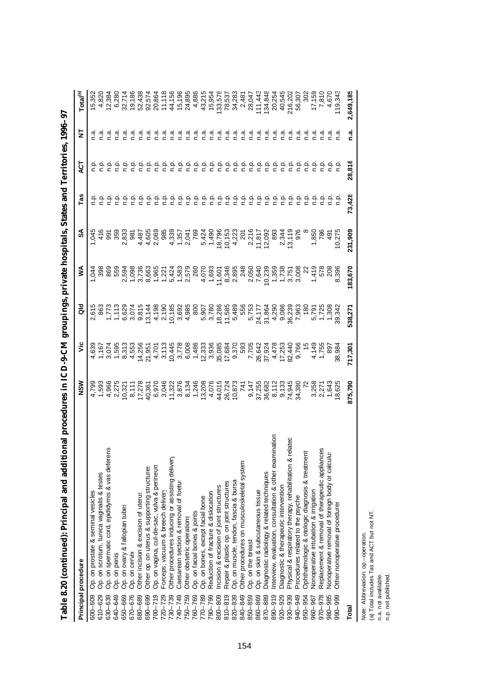| Principal procedure                                                    | <b>NSM</b>                          | š       | ᅙ                                                                                                                                                                                                                                    | ⋚         | \$      | Tas    | ă                                                                                         | ₹       | $\overline{\phantom{a}}^{\phantom{\dag}}$ Total                                                                                                                                                                                                                   |
|------------------------------------------------------------------------|-------------------------------------|---------|--------------------------------------------------------------------------------------------------------------------------------------------------------------------------------------------------------------------------------------|-----------|---------|--------|-------------------------------------------------------------------------------------------|---------|-------------------------------------------------------------------------------------------------------------------------------------------------------------------------------------------------------------------------------------------------------------------|
| Op. on prostate & seminal vesicles<br>600-609                          | 4,798<br>4,5966<br>4,966<br>4,4 2,5 |         |                                                                                                                                                                                                                                      | $\vec{q}$ |         |        |                                                                                           |         |                                                                                                                                                                                                                                                                   |
| Op. on scrotum, tunica vaginalis & testes<br>610-629                   |                                     |         |                                                                                                                                                                                                                                      | 398       |         |        |                                                                                           |         |                                                                                                                                                                                                                                                                   |
| Op. on spermatic cord, epididymis & vas deferens<br>630-639            |                                     |         | comparting the compart of the compart of the compart of the compart of the compart of the compart of the compa<br>Compart the compart of the compart of the compart of the compart of the compart of the compart of the compart<br>C |           |         |        |                                                                                           |         | 52<br>62<br>522<br>5222<br>5222                                                                                                                                                                                                                                   |
| Op. on penis<br>640-649                                                |                                     |         |                                                                                                                                                                                                                                      |           |         |        |                                                                                           | n.a     |                                                                                                                                                                                                                                                                   |
| Op. on ovary & fallopian tubes<br>650-669                              |                                     |         |                                                                                                                                                                                                                                      |           |         |        |                                                                                           |         |                                                                                                                                                                                                                                                                   |
| Op. on cervix<br>670-676                                               |                                     |         |                                                                                                                                                                                                                                      |           |         |        | 후 후 후 후 후 후                                                                               |         | $\begin{array}{l} 29.508 & 20.708 & 20.708 & 20.708 & 20.708 & 20.708 & 20.708 & 20.708 & 20.708 & 20.708 & 20.708 & 20.708 & 20.708 & 20.708 & 20.708 & 20.708 & 20.708 & 20.708 & 20.708 & 20.708 & 20.708 & 20.708 & 20.708 & 20.708 & 20.708 & 20.708 & 20.7$ |
| Other incision & excision of uterus<br>680-689                         |                                     |         |                                                                                                                                                                                                                                      |           |         |        |                                                                                           |         |                                                                                                                                                                                                                                                                   |
| Other op. on uterus & supporting structures<br>690-699                 |                                     |         |                                                                                                                                                                                                                                      |           |         |        |                                                                                           |         |                                                                                                                                                                                                                                                                   |
| Op. on vagina, cul-de-sac, vulva & perineun<br>$700 - 719$             |                                     |         |                                                                                                                                                                                                                                      |           |         |        |                                                                                           |         |                                                                                                                                                                                                                                                                   |
| Forceps, vacuum & breech delivery<br>$720 - 729$                       |                                     |         |                                                                                                                                                                                                                                      |           |         |        |                                                                                           | ്റ      |                                                                                                                                                                                                                                                                   |
| Other procedures inducing or assisting delivery<br>730-739             |                                     |         |                                                                                                                                                                                                                                      |           |         |        | ېم                                                                                        |         |                                                                                                                                                                                                                                                                   |
| Caesarean section & removal of foetus<br>740-749                       |                                     |         |                                                                                                                                                                                                                                      |           |         |        |                                                                                           |         |                                                                                                                                                                                                                                                                   |
| Other obstetric operations<br>750-759                                  |                                     |         |                                                                                                                                                                                                                                      |           |         |        |                                                                                           | ີ ເ     |                                                                                                                                                                                                                                                                   |
| Op. on facial bones & joints<br>760-769                                |                                     |         |                                                                                                                                                                                                                                      |           |         |        |                                                                                           | ვ<br>ი  |                                                                                                                                                                                                                                                                   |
| Op. on bones, except facial bone<br>770-789                            |                                     |         |                                                                                                                                                                                                                                      |           |         | 흥흥흥    |                                                                                           |         |                                                                                                                                                                                                                                                                   |
| Reduction of fracture & dislocation<br>790-799                         |                                     |         |                                                                                                                                                                                                                                      |           |         | ېم     | $\begin{array}{cccccccccc} c & c & c & c & c & c \\ c & c & c & c & c & c \\ \end{array}$ | e.n     |                                                                                                                                                                                                                                                                   |
| Incision & excision of joint structures<br>800-809                     |                                     |         |                                                                                                                                                                                                                                      |           |         | ې      |                                                                                           | ិ<br>C  |                                                                                                                                                                                                                                                                   |
| Repair & plastic op. on joint structures<br>$810 - 819$                |                                     |         |                                                                                                                                                                                                                                      |           |         | ېم     | م.<br>C                                                                                   | а<br>С  |                                                                                                                                                                                                                                                                   |
| Op. on muscle, tendon, fascia & bursa<br>820-839                       |                                     |         |                                                                                                                                                                                                                                      |           |         | ېم     | o.<br>D                                                                                   | α<br>Γ  |                                                                                                                                                                                                                                                                   |
| Other procedures on musculoskeletal system<br>840-849                  |                                     |         |                                                                                                                                                                                                                                      |           |         | م<br>ح | $\frac{a}{c}$                                                                             | e.ñ     |                                                                                                                                                                                                                                                                   |
| Op. on the breast<br>850-859                                           |                                     |         |                                                                                                                                                                                                                                      |           |         | م<br>C |                                                                                           | e.n     |                                                                                                                                                                                                                                                                   |
| Op. on skin & subcutaneous tissue<br>860-869                           |                                     |         |                                                                                                                                                                                                                                      |           |         | ېم     |                                                                                           | σ.<br>Γ |                                                                                                                                                                                                                                                                   |
| Diagnostic radiology & related techniques<br>870-889                   |                                     |         |                                                                                                                                                                                                                                      |           |         | غ      | e e e<br>c c c                                                                            | n.a     |                                                                                                                                                                                                                                                                   |
| ninatior<br>nterview, evaluation, consultation & other exan<br>890-919 |                                     |         |                                                                                                                                                                                                                                      |           |         | ن<br>ء | ېن                                                                                        | σ.      |                                                                                                                                                                                                                                                                   |
| Diagnostic & therapeutic intervention<br>920-929                       |                                     |         |                                                                                                                                                                                                                                      |           |         |        | نې<br>د                                                                                   | ិ<br>C  |                                                                                                                                                                                                                                                                   |
| related<br>Physical & respiratory therapy, rehabilitation &<br>930-939 |                                     |         |                                                                                                                                                                                                                                      |           |         |        | ءِ<br>ء                                                                                   | ত<br>⊂  |                                                                                                                                                                                                                                                                   |
| Procedures related to the psyche<br>940-949                            |                                     |         |                                                                                                                                                                                                                                      |           |         |        |                                                                                           | σ<br>Γ  |                                                                                                                                                                                                                                                                   |
| Ophthalmologic & otologic diagnosis & treatment<br>950-954             |                                     |         |                                                                                                                                                                                                                                      |           |         |        |                                                                                           | σ.      |                                                                                                                                                                                                                                                                   |
| Nonoperative intubation & irrigation<br>960-967                        |                                     |         |                                                                                                                                                                                                                                      |           |         |        |                                                                                           |         |                                                                                                                                                                                                                                                                   |
| Replacement & removal of therapeutic appliances<br>970-978             |                                     |         |                                                                                                                                                                                                                                      |           |         |        |                                                                                           |         | $\begin{array}{r} 17,159 \\ 7,810 \\ 4,670 \\ 119,345 \end{array}$                                                                                                                                                                                                |
| Nonoperative removal of foreign body or calculu<br>980-985             |                                     |         |                                                                                                                                                                                                                                      |           |         |        |                                                                                           |         |                                                                                                                                                                                                                                                                   |
| Other nonoperative procedures<br>990-999                               |                                     |         |                                                                                                                                                                                                                                      |           |         |        |                                                                                           |         |                                                                                                                                                                                                                                                                   |
| Total                                                                  | 875,790                             | 717,301 | 538,271                                                                                                                                                                                                                              | 183,670   | 231,909 | 73,428 | 28,816                                                                                    | n.a.    | 2,649,185                                                                                                                                                                                                                                                         |

Table 8.20 (continued): Principal and additional procedures in ICD-9-CM groupings, private hospitals, States and Territories, 1996–97 **Table 8.20 (continued): Principal and additional procedures in ICD-9-CM groupings, private hospitals, States and Territories, 1996–97**

*Note:* Abbreviation: op.–operation.

*Note: Abbreviation: op.*-operation.<br>(a) Total includes Tas and ACT but not NT.<br>n.a. not avalilable.<br>n.p. not published. (a) Total includes Tas and ACT but not NT.

n.a. not avalilable.

n.p. not published.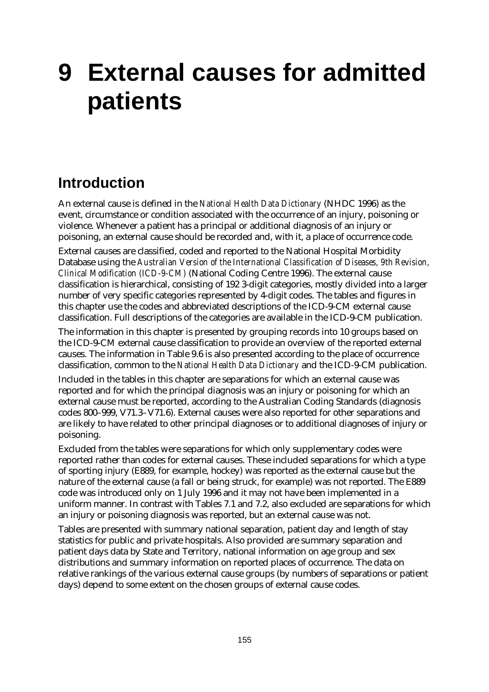# **9 External causes for admitted patients**

### **Introduction**

An external cause is defined in the *National Health Data Dictionary* (NHDC 1996) as the event, circumstance or condition associated with the occurrence of an injury, poisoning or violence. Whenever a patient has a principal or additional diagnosis of an injury or poisoning, an external cause should be recorded and, with it, a place of occurrence code.

External causes are classified, coded and reported to the National Hospital Morbidity Database using the *Australian Version of the International Classification of Diseases, 9th Revision, Clinical Modification (ICD-9-CM)* (National Coding Centre 1996). The external cause classification is hierarchical, consisting of 192 3-digit categories, mostly divided into a larger number of very specific categories represented by 4-digit codes. The tables and figures in this chapter use the codes and abbreviated descriptions of the ICD-9-CM external cause classification. Full descriptions of the categories are available in the ICD-9-CM publication.

The information in this chapter is presented by grouping records into 10 groups based on the ICD-9-CM external cause classification to provide an overview of the reported external causes. The information in Table 9.6 is also presented according to the place of occurrence classification, common to the *National Health Data Dictionary* and the ICD-9-CM publication.

Included in the tables in this chapter are separations for which an external cause was reported and for which the principal diagnosis was an injury or poisoning for which an external cause must be reported, according to the Australian Coding Standards (diagnosis codes 800–999, V71.3–V71.6). External causes were also reported for other separations and are likely to have related to other principal diagnoses or to additional diagnoses of injury or poisoning.

Excluded from the tables were separations for which only supplementary codes were reported rather than codes for external causes. These included separations for which a type of sporting injury (E889, for example, hockey) was reported as the external cause but the nature of the external cause (a fall or being struck, for example) was not reported. The E889 code was introduced only on 1 July 1996 and it may not have been implemented in a uniform manner. In contrast with Tables 7.1 and 7.2, also excluded are separations for which an injury or poisoning diagnosis was reported, but an external cause was not.

Tables are presented with summary national separation, patient day and length of stay statistics for public and private hospitals. Also provided are summary separation and patient days data by State and Territory, national information on age group and sex distributions and summary information on reported places of occurrence. The data on relative rankings of the various external cause groups (by numbers of separations or patient days) depend to some extent on the chosen groups of external cause codes.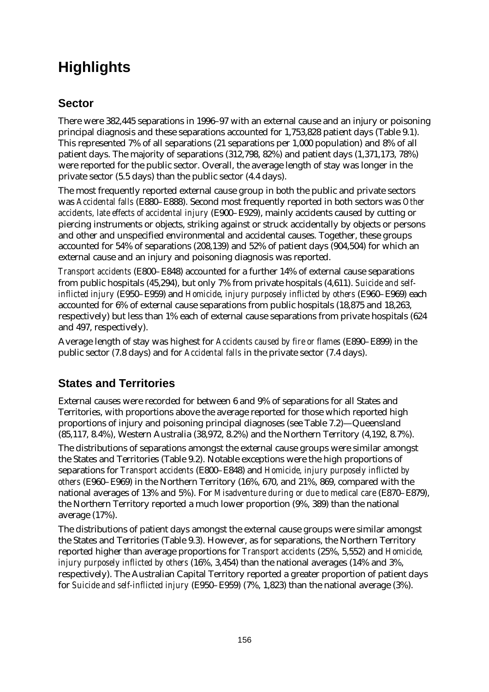## **Highlights**

#### **Sector**

There were 382,445 separations in 1996–97 with an external cause and an injury or poisoning principal diagnosis and these separations accounted for 1,753,828 patient days (Table 9.1). This represented 7% of all separations (21 separations per 1,000 population) and 8% of all patient days. The majority of separations (312,798, 82%) and patient days (1,371,173, 78%) were reported for the public sector. Overall, the average length of stay was longer in the private sector (5.5 days) than the public sector (4.4 days).

The most frequently reported external cause group in both the public and private sectors was *Accidental falls* (E880–E888). Second most frequently reported in both sectors was *Other accidents, late effects of accidental injury* (E900–E929), mainly accidents caused by cutting or piercing instruments or objects, striking against or struck accidentally by objects or persons and other and unspecified environmental and accidental causes. Together, these groups accounted for 54% of separations (208,139) and 52% of patient days (904,504) for which an external cause and an injury and poisoning diagnosis was reported.

*Transport accidents* (E800–E848) accounted for a further 14% of external cause separations from public hospitals (45,294), but only 7% from private hospitals (4,611). *Suicide and selfinflicted injury* (E950–E959) and *Homicide, injury purposely inflicted by others* (E960–E969) each accounted for 6% of external cause separations from public hospitals (18,875 and 18,263, respectively) but less than 1% each of external cause separations from private hospitals (624 and 497, respectively).

Average length of stay was highest for *Accidents caused by fire or flames* (E890–E899) in the public sector (7.8 days) and for *Accidental falls* in the private sector (7.4 days).

#### **States and Territories**

External causes were recorded for between 6 and 9% of separations for all States and Territories, with proportions above the average reported for those which reported high proportions of injury and poisoning principal diagnoses (see Table 7.2)— Queensland (85,117, 8.4%), Western Australia (38,972, 8.2%) and the Northern Territory (4,192, 8.7%).

The distributions of separations amongst the external cause groups were similar amongst the States and Territories (Table 9.2). Notable exceptions were the high proportions of separations for *Transport accidents* (E800–E848) and *Homicide, injury purposely inflicted by others* (E960–E969) in the Northern Territory (16%, 670, and 21%, 869, compared with the national averages of 13% and 5%). For *Misadventure during or due to medical care* (E870–E879), the Northern Territory reported a much lower proportion (9%, 389) than the national average (17%).

The distributions of patient days amongst the external cause groups were similar amongst the States and Territories (Table 9.3). However, as for separations, the Northern Territory reported higher than average proportions for *Transport accidents* (25%, 5,552) and *Homicide, injury purposely inflicted by others* (16%, 3,454) than the national averages (14% and 3%, respectively). The Australian Capital Territory reported a greater proportion of patient days for *Suicide and self-inflicted injury* (E950–E959) (7%, 1,823) than the national average (3%).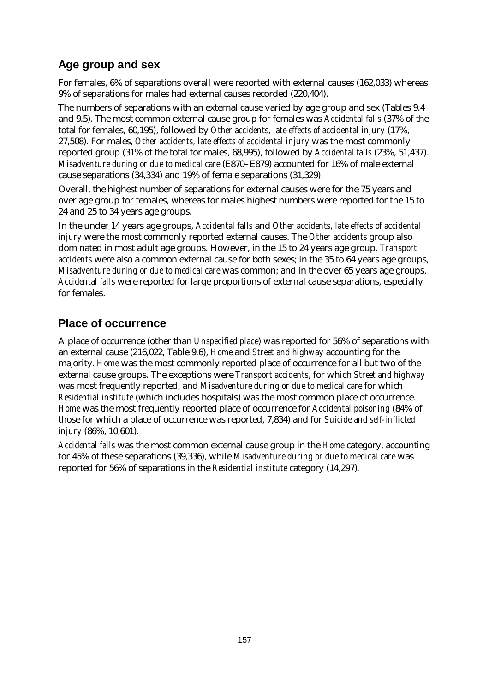#### **Age group and sex**

For females, 6% of separations overall were reported with external causes (162,033) whereas 9% of separations for males had external causes recorded (220,404).

The numbers of separations with an external cause varied by age group and sex (Tables 9.4 and 9.5). The most common external cause group for females was *Accidental falls* (37% of the total for females, 60,195), followed by *Other accidents, late effects of accidental injury* (17%, 27,508). For males, *Other accidents, late effects of accidental injury* was the most commonly reported group (31% of the total for males, 68,995), followed by *Accidental falls* (23%, 51,437). *Misadventure during or due to medical care* (E870–E879) accounted for 16% of male external cause separations (34,334) and 19% of female separations (31,329).

Overall, the highest number of separations for external causes were for the 75 years and over age group for females, whereas for males highest numbers were reported for the 15 to 24 and 25 to 34 years age groups.

In the under 14 years age groups, *Accidental falls* and *Other accidents, late effects of accidental injury* were the most commonly reported external causes. The *Other accidents* group also dominated in most adult age groups. However, in the 15 to 24 years age group*, Transport accidents* were also a common external cause for both sexes; in the 35 to 64 years age groups, *Misadventure during or due to medical care* was common; and in the over 65 years age groups, *Accidental falls* were reported for large proportions of external cause separations, especially for females.

#### **Place of occurrence**

A place of occurrence (other than *Unspecified place*) was reported for 56% of separations with an external cause (216,022, Table 9.6), *Home* and *Street and highway* accounting for the majority. *Home* was the most commonly reported place of occurrence for all but two of the external cause groups. The exceptions were *Transport accidents*, for which *Street and highway* was most frequently reported, and *Misadventure during or due to medical care* for which *Residential institute* (which includes hospitals) was the most common place of occurrence. *Home* was the most frequently reported place of occurrence for *Accidental poisoning* (84% of those for which a place of occurrence was reported, 7,834) and for *Suicide and self-inflicted injury* (86%, 10,601).

*Accidental falls* was the most common external cause group in the *Home* category, accounting for 45% of these separations (39,336), while *Misadventure during or due to medical care* was reported for 56% of separations in the *Residential institute* category (14,297)*.*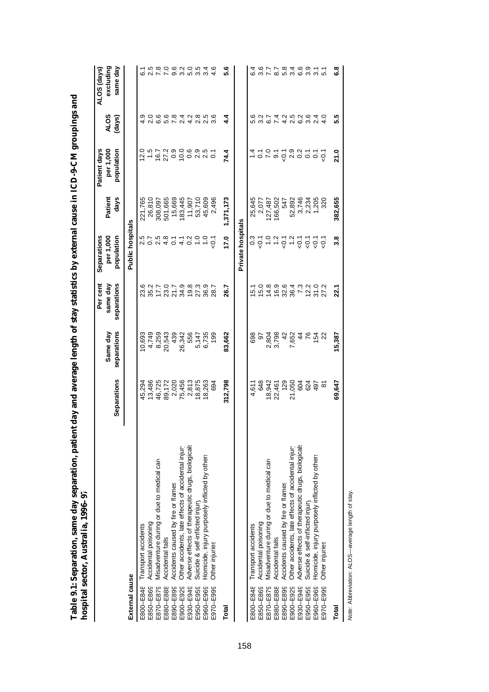|                | hospital sector, Australia, 1996–97                |               |                         |                                     |                                        |                 |                                         |                                |                                                       |
|----------------|----------------------------------------------------|---------------|-------------------------|-------------------------------------|----------------------------------------|-----------------|-----------------------------------------|--------------------------------|-------------------------------------------------------|
|                |                                                    | Separations   | separations<br>Same day | Per cent<br>separations<br>same day | Separations<br>per 1,000<br>population | days<br>Patient | per 1,000<br>Patient days<br>population | <b>ALOS</b><br>(days)          | same day<br>excluding<br>ALOS (days)                  |
| External cause |                                                    |               |                         |                                     | <b>Public hospitals</b>                |                 |                                         |                                |                                                       |
| E800-E848      | Transport accidents                                | 45,294        | 10,693                  | ဖ                                   |                                        | 221,765         | 12.0                                    |                                | ق                                                     |
| E850-E869      | Accidental poisoning                               | 13,486        | 4,749                   |                                     |                                        | 26,810          | $\frac{5}{1}$                           |                                |                                                       |
| E870-E879      | Misadventure during or due to medical care         | 46,725        | 8,259                   |                                     | 5<br>2 5 7 9<br>2 9 9                  | 308,097         | 16.7                                    | O C C C C H V<br>O C C C C H V | 78                                                    |
| E880-E888      | Accidental falls                                   | 89,172        | 20,543                  |                                     | $\frac{4}{0}$ .1                       | 501,665         | 27.2                                    |                                | $\begin{array}{c} 0 & 0 & 0 \\ 0 & 0 & 0 \end{array}$ |
| E890-E899      | Accidents caused by fire or flames                 | 2,020         | 439                     |                                     |                                        | 15,669          | $0.9$<br>10.0                           |                                |                                                       |
| E900-E929      | Other accidents, late effects of accidental injury | 75,456        | 26,342                  |                                     | $\frac{1}{4}$                          | 183,445         |                                         |                                |                                                       |
| E930-E949      | Adverse effects of therapeutic drugs, biologicals  | 2,813         | 556                     |                                     | $\frac{2}{3}$                          | 11,907          | 0.9<br>2.9                              |                                | 5.0                                                   |
| E950-E959      | Suicide & self-inflicted injury                    | 18,875        | 5,147                   |                                     | $\frac{0}{1}$                          | 53,710          |                                         | 2.8                            | 3.5                                                   |
| E960-E969      | Homicide, injury purposely inflicted by others     | 18,263        | 6,735                   | 36.9                                | $\frac{0}{1}$                          | 45,609          | 2.5                                     | 2.5                            | 3.4                                                   |
| E970-E999      | Other injuries                                     | 694           | 199                     | 28.7                                | ر<br>ج                                 | 2,496           | $\overline{0}$                          | 3.6                            | 4.6                                                   |
| Total          |                                                    | 312,798       | 83,662                  | 26.7                                | 17.0                                   | 1,371,173       | 74.4                                    | $4\overline{4}$                | 5.6                                                   |
|                |                                                    |               |                         |                                     | Private hospitals                      |                 |                                         |                                |                                                       |
| E800-E848      | Transport accidents                                | 4,611         | 698                     | ம்                                  |                                        | 25,645          |                                         |                                | 6.4                                                   |
| E850-E869      | Accidental poisoning                               | 648           | 5                       | 15.0                                | ैं<br>उन्                              | 2,077           | 7.0                                     | 3.2                            | 3.6                                                   |
| E870-E879      | Misadventure during or due to medical care         | 18,942        | 2,804                   | 14.8                                | $\frac{0}{1}$                          | 127,487         |                                         |                                | 7.7                                                   |
| E880-E888      | Accidental falls                                   | 22,461        | 3,798                   | 16.9                                | $\frac{2}{1}$                          | 166,502         | $\overline{9}$ . 1                      | 6 7 4 7 6 9<br>0 7 4 7 6 9 9   |                                                       |
| E890-E899      | Accidents caused by fire or flames                 | 129           | $\frac{2}{3}$           |                                     |                                        | 547             | $-0.1$                                  |                                |                                                       |
| E900-E929      | Other accidents, late effects of accidental injury | 21,050        | 7,652                   | 32.6<br>36.4                        |                                        | 52,892          |                                         |                                |                                                       |
| E930-E949      | Adverse effects of therapeutic drugs, biologicals  | 604           | $44$ $76$               | $7.3$<br>12.2                       | $0.797$<br>$0.799$                     | 3,746           | a a s s s s                             |                                |                                                       |
| E950-E959      | Suicide & self-inflicted injury                    | 624           |                         |                                     |                                        | 2,234           |                                         |                                |                                                       |
| E960-E969      | Homicide, injury purposely inflicted by others     | 497           | 154                     | $31.0$<br>$27.2$                    | $\overline{Q}$                         | 1,205           |                                         | 2.4                            | $\frac{5}{10}$                                        |
| E970-E999      | Other injuries                                     | $\frac{5}{2}$ |                         |                                     | $\overline{Q}$                         |                 |                                         | $\frac{0}{4}$                  |                                                       |
| Total          |                                                    | 69,647        | 15,387                  | 22.1                                | 3.8                                    | 382,655         | 21.0                                    | 5.5                            | <u>ဇီ</u>                                             |
|                |                                                    |               |                         |                                     |                                        |                 |                                         |                                |                                                       |

Note: Abbreviation: ALOS-average length of stay. *Note:* Abbreviation: ALOS— average length of stay.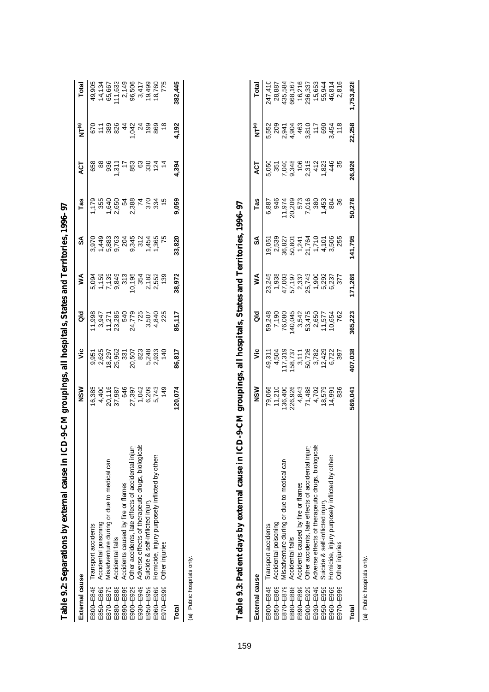|                                                              | Ĵ<br>Ć      |        |          |                                                                                 |        |       |                |                             |                                                                                              |
|--------------------------------------------------------------|-------------|--------|----------|---------------------------------------------------------------------------------|--------|-------|----------------|-----------------------------|----------------------------------------------------------------------------------------------|
| External cause                                               | $rac{8}{2}$ | ۶Ë     | ald<br>a | ⋚                                                                               | S      | Tas   | ā              | ั๊<br>Σ                     | Total                                                                                        |
| E800-E848 Transport accidents                                |             |        |          |                                                                                 |        |       |                |                             | 49,905<br>41,133,906<br>44,667,1496<br>45,667,1496<br>49,133,906<br>49,133,906<br>49,133,906 |
| E850-E869 Accidental poisoning                               |             |        |          |                                                                                 |        |       |                |                             |                                                                                              |
| E870-E879 Misadventure during or due to medical care         |             |        |          |                                                                                 |        |       |                |                             |                                                                                              |
| E880-E888 Accidental falls                                   |             |        |          |                                                                                 |        |       |                |                             |                                                                                              |
| E890-E899 Accidents caused by fire or flames                 |             |        |          |                                                                                 |        |       |                |                             |                                                                                              |
| E900-E929 Other accidents, late effects of accidental injury |             |        |          |                                                                                 |        |       |                |                             |                                                                                              |
| E930-E949 Adverse effects of therapeutic drugs, biologicals  |             |        |          |                                                                                 |        |       |                |                             |                                                                                              |
| Suicide & self-inflicted injury<br>E950-E959                 |             |        |          | 5 5 5 5 6 7 7 8 7 8 9<br>0 5 5 7 8 7 9 7 9 7 9 7 9<br>0 7 9 9 7 9 7 9 7 9 7 9 9 |        |       | 88867788887778 | <b>SE884878</b><br>SE884878 |                                                                                              |
| E960-E969 Homicide, injury purposely inflicted by others     |             |        |          |                                                                                 |        |       |                |                             |                                                                                              |
| E970-E999 Other injuries                                     |             |        |          |                                                                                 |        |       |                | 869<br>18                   |                                                                                              |
| Total                                                        | 20,074      | 86,817 | 85,117   | 38,972                                                                          | 33,820 | 9,059 | 1,394          | 4,192                       | 382,445                                                                                      |
| (a) Public hospitals only.                                   |             |        |          |                                                                                 |        |       |                |                             |                                                                                              |

Table 9.2: Separations by external cause in ICD-9-CM groupings, all hospitals, States and Territories, 1996-97 **Table 9.2: Separations by external cause in ICD-9-CM groupings, all hospitals, States and Territories, 1996–97**

(a) Public hospitals only.

| r      |
|--------|
|        |
|        |
|        |
|        |
|        |
|        |
|        |
|        |
|        |
|        |
|        |
|        |
|        |
|        |
|        |
|        |
|        |
|        |
|        |
|        |
| l      |
|        |
|        |
|        |
|        |
| I      |
| י<br>ו |
|        |
|        |
|        |
|        |
|        |
|        |
|        |
|        |
|        |
|        |
|        |
|        |
|        |
|        |
|        |
|        |

| External cause |                                                             | $rac{8}{2}$                                                              | ۊ                                                                             | as<br>G                                                           | ⋚      | S      | Tas    | ACT    | مّ⊾<br>Σ                                               | Total                                                      |
|----------------|-------------------------------------------------------------|--------------------------------------------------------------------------|-------------------------------------------------------------------------------|-------------------------------------------------------------------|--------|--------|--------|--------|--------------------------------------------------------|------------------------------------------------------------|
|                | E800-E848 Transport accidents                               |                                                                          |                                                                               |                                                                   |        |        |        |        |                                                        | 247,410                                                    |
| E850-E869      | Accidental poisoning                                        | 79,066<br>11,210                                                         |                                                                               |                                                                   |        |        |        |        |                                                        |                                                            |
|                | E870-E879 Misadventure during or due to medical care        |                                                                          | 49,311<br>4,504<br>4,512,722,822<br>4 4,505,722,822<br>4 4 5,723<br>4 4 5,723 | 59,248<br>7,190<br>76,080                                         |        |        |        |        | 5,552<br>0,041<br>0,0403<br>5,0400<br>5,0500<br>5,0500 | 28,887<br>135,584<br>368,167<br>16,337<br>15,944<br>55,944 |
| E880-E888      | Accidental falls                                            |                                                                          |                                                                               |                                                                   |        |        |        |        |                                                        |                                                            |
|                | E890-E899 Accidents caused by fire or flames                |                                                                          |                                                                               |                                                                   |        |        |        |        |                                                        |                                                            |
| E900-E929      | Other accidents, late effects of accidental injury          | 136,400<br>226,928<br>4,438<br>7,438<br>7,500<br>7,936<br>7,936<br>7,936 |                                                                               | 40,045<br>3,5475<br>53,475<br>53,475<br>40,654<br>10,654<br>10,62 |        |        |        |        |                                                        |                                                            |
|                | E930-E949 Adverse effects of therapeutic drugs, biologicals |                                                                          |                                                                               |                                                                   |        |        |        |        |                                                        |                                                            |
|                | E950-E959 Suicide & self-inflicted injury                   |                                                                          |                                                                               |                                                                   |        |        |        |        | 89<br>9454<br>90<br>90<br>90                           |                                                            |
| E960-E969      | Homicide, injury purposely inflicted by others              |                                                                          |                                                                               |                                                                   |        |        | 804    |        |                                                        |                                                            |
|                | E970-E999 Other injuries                                    |                                                                          |                                                                               |                                                                   |        |        |        |        |                                                        | 46,814<br>2,816                                            |
| Total          |                                                             | 569,041                                                                  | 107,038                                                                       | 365,223                                                           | 71,269 | 41,795 | 50,278 | 26,926 | 22,258                                                 | ,753,828                                                   |
|                |                                                             |                                                                          |                                                                               |                                                                   |        |        |        |        |                                                        |                                                            |

(a) Public hospitals only. (a) Public hospitals only.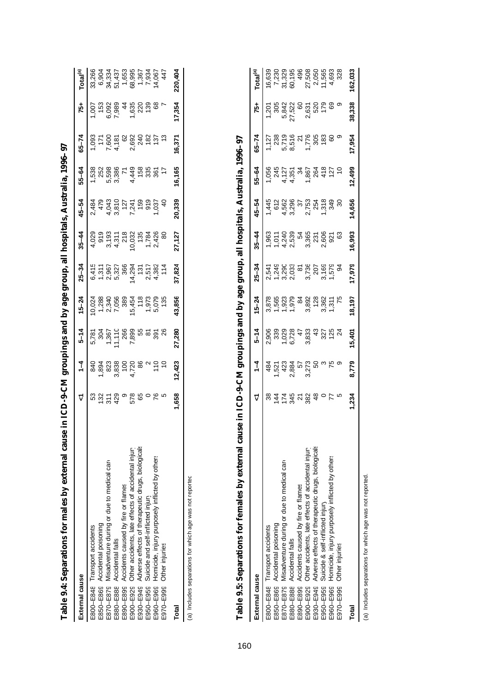| The strip community of the strip is the strip of the strip of the strip of the strip of the strip of the strip of the strip of the strip of the strip of the strip of the strip of the strip of the strip of the strip of the | where the contribution is a set of the contribution of the contribution of the contribution of the contribution of the contribution of the contribution of the contribution of the contribution of the contribution of the con |               |          |                                                                                                             |                                                              |                                                                                                 |           |        |                                                                                         |                                                                                                                                                                                                                                                                           |                                                                                                           |
|-------------------------------------------------------------------------------------------------------------------------------------------------------------------------------------------------------------------------------|--------------------------------------------------------------------------------------------------------------------------------------------------------------------------------------------------------------------------------|---------------|----------|-------------------------------------------------------------------------------------------------------------|--------------------------------------------------------------|-------------------------------------------------------------------------------------------------|-----------|--------|-----------------------------------------------------------------------------------------|---------------------------------------------------------------------------------------------------------------------------------------------------------------------------------------------------------------------------------------------------------------------------|-----------------------------------------------------------------------------------------------------------|
| External cause                                                                                                                                                                                                                |                                                                                                                                                                                                                                | $\frac{1}{4}$ | $5 - 14$ | $15 - 24$                                                                                                   | $25 - 34$                                                    | $35 - 44$                                                                                       | $45 - 54$ | 55-64  | $65 - 74$                                                                               | -97                                                                                                                                                                                                                                                                       | Total <sup>(a)</sup>                                                                                      |
| E800-E848 Transport accidents                                                                                                                                                                                                 |                                                                                                                                                                                                                                |               |          |                                                                                                             |                                                              |                                                                                                 |           |        |                                                                                         |                                                                                                                                                                                                                                                                           | 33,266                                                                                                    |
| E850-E869 Accidental poisoning                                                                                                                                                                                                |                                                                                                                                                                                                                                |               |          |                                                                                                             |                                                              |                                                                                                 |           |        |                                                                                         |                                                                                                                                                                                                                                                                           |                                                                                                           |
| E870-E879 Misadventure during or due to medical care                                                                                                                                                                          |                                                                                                                                                                                                                                |               |          |                                                                                                             |                                                              |                                                                                                 |           |        |                                                                                         | $\begin{array}{cccc}\n 1.65 & 0.000 & 0.000 & 0.000 & 0.000 & 0.000 & 0.000 & 0.000 & 0.000 & 0.000 & 0.000 & 0.000 & 0.000 & 0.000 & 0.000 & 0.000 & 0.000 & 0.000 & 0.000 & 0.000 & 0.000 & 0.000 & 0.000 & 0.000 & 0.000 & 0.000 & 0.000 & 0.000 & 0.000 & 0.000 & 0.$ |                                                                                                           |
| E880-E888 Accidental falls                                                                                                                                                                                                    |                                                                                                                                                                                                                                |               |          |                                                                                                             |                                                              |                                                                                                 |           |        |                                                                                         |                                                                                                                                                                                                                                                                           |                                                                                                           |
| E890-E899 Accidents caused by fire or flames                                                                                                                                                                                  |                                                                                                                                                                                                                                |               |          |                                                                                                             |                                                              |                                                                                                 |           |        |                                                                                         |                                                                                                                                                                                                                                                                           |                                                                                                           |
| E900-E929 Other accidents, late effects of accidental injury                                                                                                                                                                  |                                                                                                                                                                                                                                |               |          |                                                                                                             |                                                              |                                                                                                 |           |        |                                                                                         |                                                                                                                                                                                                                                                                           |                                                                                                           |
| E930-E949 Adverse effects of therapeutic drugs, biologicals                                                                                                                                                                   |                                                                                                                                                                                                                                |               |          |                                                                                                             |                                                              |                                                                                                 |           |        |                                                                                         |                                                                                                                                                                                                                                                                           |                                                                                                           |
| E950-E959 Suicide and self-inflicted injury                                                                                                                                                                                   |                                                                                                                                                                                                                                |               |          |                                                                                                             |                                                              |                                                                                                 |           |        |                                                                                         |                                                                                                                                                                                                                                                                           |                                                                                                           |
| E960-E969 Homicide, injury purposely inflicted by others                                                                                                                                                                      |                                                                                                                                                                                                                                |               |          | $0.038$<br>$0.00000$<br>$0.00000$<br>$0.00000$<br>$0.00000$<br>$0.0000$<br>$0.0000$<br>$0.0000$<br>$0.0000$ | e – vin – 4 vin<br>1989 – 1989<br>1989 – 1984<br>1989 – 1984 | $4.029$ $0.075$ $0.075$ $0.075$ $0.075$ $0.075$ $0.075$ $0.075$ $0.075$ $0.075$ $0.075$ $0.075$ |           |        | $1.093$ $7.605$ $7.605$ $0.610$ $0.620$ $0.620$ $0.620$ $0.620$ $0.620$ $0.620$ $0.620$ |                                                                                                                                                                                                                                                                           | 6,904<br>33,3343,050<br>3,3343,050<br>4,357<br>6,904<br>4,357<br>4,550<br>4,904<br>4,550<br>4,904<br>4,77 |
| E970-E999 Other injuries                                                                                                                                                                                                      |                                                                                                                                                                                                                                |               |          |                                                                                                             |                                                              |                                                                                                 |           |        |                                                                                         |                                                                                                                                                                                                                                                                           |                                                                                                           |
| Total                                                                                                                                                                                                                         | 1,658                                                                                                                                                                                                                          | 12,423        | 27,280   | 43,856                                                                                                      | 37,824                                                       | 27,127                                                                                          | 20,339    | 16,165 | 16,371                                                                                  | 17,354                                                                                                                                                                                                                                                                    | 220,404                                                                                                   |
|                                                                                                                                                                                                                               |                                                                                                                                                                                                                                |               |          |                                                                                                             |                                                              |                                                                                                 |           |        |                                                                                         |                                                                                                                                                                                                                                                                           |                                                                                                           |

Table 9.4: Separations for males by external cause in ICD-9-CM groupings and by age group, all hospitals, Australia, 1996–97 **Table 9.4: Separations for males by external cause in ICD-9-CM groupings and by age group, all hospitals, Australia, 1996–97**

(a) Includes separations for which age was not reported (a) Includes separations for which age was not reported.

| Table 9.5: Separations for females by external car           | $CD-9-CM$<br>use in   |                                             |          | pings and by age group, all hospitals, |                                                              |           |           | Australia                                | 996–97                                   |                                 |                                                         |
|--------------------------------------------------------------|-----------------------|---------------------------------------------|----------|----------------------------------------|--------------------------------------------------------------|-----------|-----------|------------------------------------------|------------------------------------------|---------------------------------|---------------------------------------------------------|
| External cause                                               |                       | $\frac{1}{4}$                               | $5 - 14$ | $5 - 24$                               | $25 - 34$                                                    | $35 - 44$ | $45 - 54$ | $55 - 64$                                | $65 - 74$                                | 75+                             | rotal <sup>(a)</sup>                                    |
| E800-E848 Transport accidents                                |                       |                                             |          |                                        |                                                              |           |           |                                          |                                          |                                 |                                                         |
| E850-E869 Accidental poisoning                               |                       |                                             |          |                                        |                                                              |           |           |                                          |                                          | 1.201<br>2012<br>1.842<br>1.842 |                                                         |
| E870-E879 Misadventure during or due to medical care         |                       |                                             |          |                                        |                                                              |           |           |                                          |                                          |                                 |                                                         |
| E880-E888 Accidental falls                                   |                       |                                             |          |                                        |                                                              |           |           |                                          |                                          |                                 |                                                         |
| E890-E899 Accidents caused by fire or flames                 |                       |                                             |          |                                        |                                                              |           |           |                                          |                                          |                                 |                                                         |
| E900-E929 Other accidents, late effects of accidental injury | $5580880$<br>44628840 | 487138720001<br>452188720001<br>45218872001 |          |                                        | 1990 1990 1991<br>1990 1991 1992 1993<br>1990 1992 1993 1994 |           |           | 1056<br>0457578004407<br>105757604020412 | 128961168886<br>12856168886<br>128561168 | 2,631<br>520<br>179<br>69       | 1632<br>2323 545056538<br>2532 545056538<br>2532 568538 |
| E930-E949 Adverse effects of therapeutic drugs, biologicals  |                       |                                             |          |                                        |                                                              |           |           |                                          |                                          |                                 |                                                         |
| Suicide & self-inflicted injury<br>E950-E959                 |                       |                                             |          |                                        |                                                              |           |           |                                          |                                          |                                 |                                                         |
| E960-E969 Homicide, injury purposely inflicted by others     | 77                    |                                             |          |                                        |                                                              |           |           |                                          |                                          |                                 |                                                         |
| E970-E999 Other injuries                                     |                       |                                             |          | $\frac{5}{5}$                          |                                                              |           |           |                                          |                                          |                                 |                                                         |

(a) Includes separations for which age was not reported. (a) Includes separations for which age was not reported.

Total

**Total 1,234 8,779 15,401 18,197 17,979 16,993 14,656 12,499 17,954 38,338 162,033**

8,779

 $1,234$ 

15,401

162,033

38,338

17,954

12,499

14,656

16,993

17,979

18,197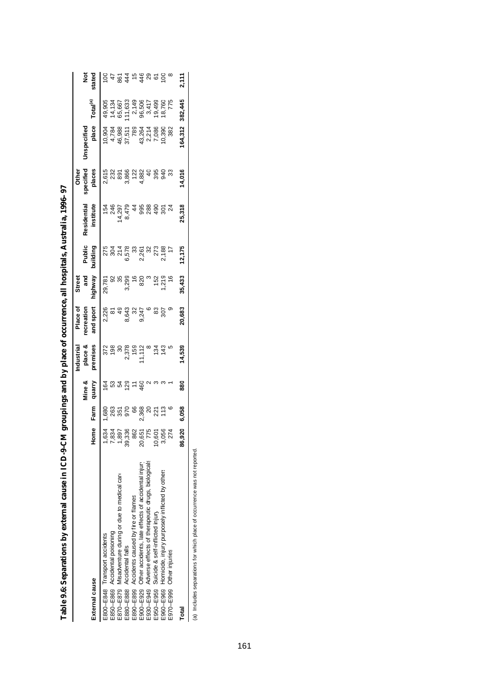|                                                                |                                       | $\overline{\phantom{0}}$ | -<br>י               |                                       |                       |                                                    |                                                                |                                                               |                                              |                                                |                                                                             |                |
|----------------------------------------------------------------|---------------------------------------|--------------------------|----------------------|---------------------------------------|-----------------------|----------------------------------------------------|----------------------------------------------------------------|---------------------------------------------------------------|----------------------------------------------|------------------------------------------------|-----------------------------------------------------------------------------|----------------|
|                                                                |                                       |                          | Mine &               | place &<br>ndustrial                  | Place of<br>ecreation | and<br><b>Street</b>                               | Public                                                         | Residential                                                   | specified<br>Other                           | Inspecified                                    |                                                                             |                |
| External cause                                                 | ome                                   | Farm                     | quarry               | remises                               | ind sport             | vswngin                                            |                                                                | institute                                                     | places                                       | place                                          | Total <sup>(a)</sup>                                                        | stated         |
| E800-E848 Transport accidents                                  |                                       |                          |                      |                                       |                       |                                                    |                                                                |                                                               |                                              |                                                | 49,905                                                                      | $\overline{5}$ |
| E850-E869 Accidental poisoning                                 |                                       |                          |                      | $\frac{25}{198}$                      | 2,226                 |                                                    |                                                                |                                                               |                                              |                                                |                                                                             |                |
| E870-E879 Misadventure during or due to medical care           |                                       |                          |                      |                                       |                       |                                                    |                                                                |                                                               |                                              |                                                |                                                                             |                |
| E880-E888 Accidental falls                                     | တ္တ                                   |                          | <u>ទី ដូ វិ មី ភ</u> |                                       | 49<br>8,643           |                                                    |                                                                | $1400$<br>$4700$<br>$470$<br>$470$<br>$470$<br>$470$<br>$470$ | 015<br>0232<br>039566<br>0232<br>0354<br>034 |                                                |                                                                             |                |
| E890-E899 Accidents caused by fire or flames                   |                                       |                          |                      |                                       |                       |                                                    |                                                                |                                                               |                                              |                                                |                                                                             |                |
| E900-E929 Other accidents, late effects of accidental injury   | <u>ន</u>                              |                          | 460                  |                                       | 324° 850<br>324° 850  |                                                    |                                                                |                                                               |                                              |                                                |                                                                             |                |
| Adverse effects of therapeutic drugs, biologicals<br>E930-E949 |                                       |                          |                      |                                       |                       |                                                    |                                                                |                                                               | $\overline{a}$                               |                                                |                                                                             |                |
| Suicide & self-inflicted injury<br>E950-E959                   | ä                                     |                          |                      |                                       |                       |                                                    |                                                                |                                                               | 395<br>940                                   |                                                |                                                                             |                |
| E960-E969 Homicide, injury purposely inflicted by others       | 6.8.8.9.8.6.000<br>8.9.9.9.9.9.7.0004 |                          |                      | $30.5000000000000$<br>$20.5000000000$ |                       | 87<br>87<br>88 88 88 98 98 98<br>88 98 98 98 98 98 | 275<br>2011 2012 2012 2013<br>2012 2013 2014<br>2012 2013 2014 | <u>ន្ល</u> ី ឌី ខ្លី ដូ                                       |                                              | 5482 34716388<br>1982558756988<br>198258756888 | 14,134<br>65,667<br>11,633<br>10,149<br>9,149<br>18,760<br>18,775<br>18,775 | 84648050       |
| E970-E999 Other injuries                                       |                                       |                          |                      |                                       |                       |                                                    |                                                                |                                                               |                                              |                                                |                                                                             |                |
| Total                                                          | $\frac{20}{20}$<br>జ్జ                | 6,058                    | នី                   | 14,539                                | 20,683                | 35,433                                             | 12,175                                                         | 25,318                                                        | 14,016                                       | 64,312                                         | 382,445                                                                     | 2,111          |

Table 9.6: Separations by external cause in ICD-9-CM groupings and by place of occurrence, all hospitals, Australia, 1996-97 **Table 9.6: Separations by external cause in ICD-9-CM groupings and by place of occurrence, all hospitals, Australia, 1996–97**

(a) Includes separations for which place of occurrence was not reported. (a) Includes separations for which place of occurrence was not reported.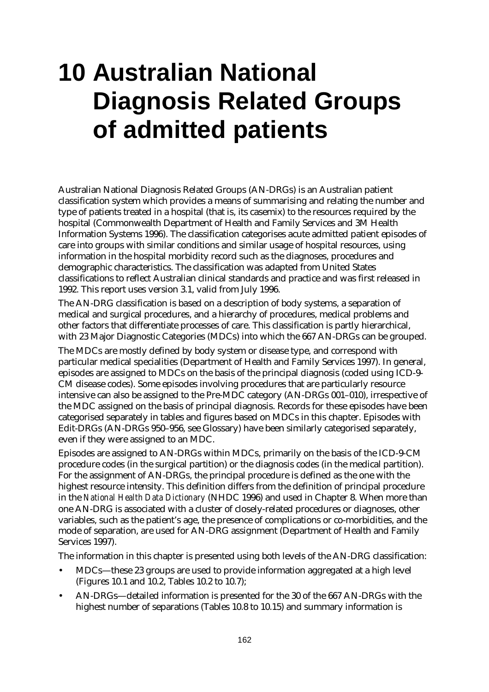# **10 Australian National Diagnosis Related Groups of admitted patients**

Australian National Diagnosis Related Groups (AN-DRGs) is an Australian patient classification system which provides a means of summarising and relating the number and type of patients treated in a hospital (that is, its casemix) to the resources required by the hospital (Commonwealth Department of Health and Family Services and 3M Health Information Systems 1996). The classification categorises acute admitted patient episodes of care into groups with similar conditions and similar usage of hospital resources, using information in the hospital morbidity record such as the diagnoses, procedures and demographic characteristics. The classification was adapted from United States classifications to reflect Australian clinical standards and practice and was first released in 1992. This report uses version 3.1, valid from July 1996.

The AN-DRG classification is based on a description of body systems, a separation of medical and surgical procedures, and a hierarchy of procedures, medical problems and other factors that differentiate processes of care. This classification is partly hierarchical, with 23 Major Diagnostic Categories (MDCs) into which the 667 AN-DRGs can be grouped.

The MDCs are mostly defined by body system or disease type, and correspond with particular medical specialities (Department of Health and Family Services 1997). In general, episodes are assigned to MDCs on the basis of the principal diagnosis (coded using ICD-9- CM disease codes). Some episodes involving procedures that are particularly resource intensive can also be assigned to the Pre-MDC category (AN-DRGs 001–010), irrespective of the MDC assigned on the basis of principal diagnosis. Records for these episodes have been categorised separately in tables and figures based on MDCs in this chapter. Episodes with Edit-DRGs (AN-DRGs 950–956, see Glossary) have been similarly categorised separately, even if they were assigned to an MDC.

Episodes are assigned to AN-DRGs within MDCs, primarily on the basis of the ICD-9-CM procedure codes (in the surgical partition) or the diagnosis codes (in the medical partition). For the assignment of AN-DRGs, the principal procedure is defined as the one with the highest resource intensity. This definition differs from the definition of principal procedure in the *National Health Data Dictionary* (NHDC 1996) and used in Chapter 8. When more than one AN-DRG is associated with a cluster of closely-related procedures or diagnoses, other variables, such as the patient's age, the presence of complications or co-morbidities, and the mode of separation, are used for AN-DRG assignment (Department of Health and Family Services 1997).

The information in this chapter is presented using both levels of the AN-DRG classification:

- MDCs— these 23 groups are used to provide information aggregated at a high level (Figures 10.1 and 10.2, Tables 10.2 to 10.7);
- AN-DRGs— detailed information is presented for the 30 of the 667 AN-DRGs with the highest number of separations (Tables 10.8 to 10.15) and summary information is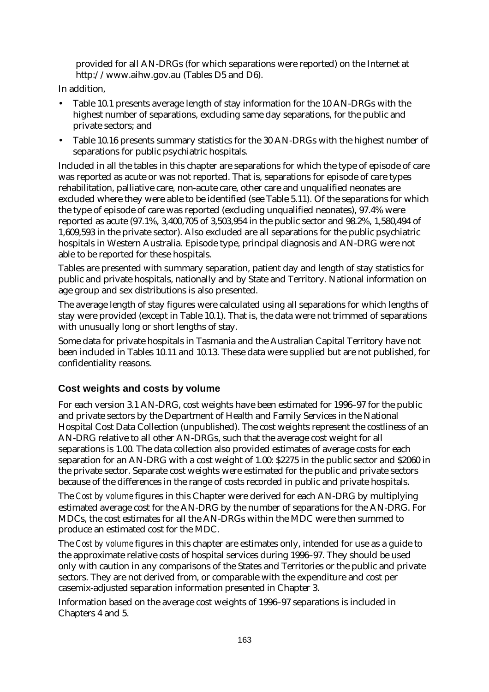provided for all AN-DRGs (for which separations were reported) on the Internet at http://www.aihw.gov.au (Tables D5 and D6).

In addition,

- Table 10.1 presents average length of stay information for the 10 AN-DRGs with the highest number of separations, excluding same day separations, for the public and private sectors; and
- Table 10.16 presents summary statistics for the 30 AN-DRGs with the highest number of separations for public psychiatric hospitals.

Included in all the tables in this chapter are separations for which the type of episode of care was reported as acute or was not reported. That is, separations for episode of care types rehabilitation, palliative care, non-acute care, other care and unqualified neonates are excluded where they were able to be identified (see Table 5.11). Of the separations for which the type of episode of care was reported (excluding unqualified neonates), 97.4% were reported as acute (97.1%, 3,400,705 of 3,503,954 in the public sector and 98.2%, 1,580,494 of 1,609,593 in the private sector). Also excluded are all separations for the public psychiatric hospitals in Western Australia. Episode type, principal diagnosis and AN-DRG were not able to be reported for these hospitals.

Tables are presented with summary separation, patient day and length of stay statistics for public and private hospitals, nationally and by State and Territory. National information on age group and sex distributions is also presented.

The average length of stay figures were calculated using all separations for which lengths of stay were provided (except in Table 10.1). That is, the data were not trimmed of separations with unusually long or short lengths of stay.

Some data for private hospitals in Tasmania and the Australian Capital Territory have not been included in Tables 10.11 and 10.13. These data were supplied but are not published, for confidentiality reasons.

#### **Cost weights and costs by volume**

For each version 3.1 AN-DRG, cost weights have been estimated for 1996–97 for the public and private sectors by the Department of Health and Family Services in the National Hospital Cost Data Collection (unpublished). The cost weights represent the costliness of an AN-DRG relative to all other AN-DRGs, such that the average cost weight for all separations is 1.00. The data collection also provided estimates of average costs for each separation for an AN-DRG with a cost weight of 1.00: \$2275 in the public sector and \$2060 in the private sector. Separate cost weights were estimated for the public and private sectors because of the differences in the range of costs recorded in public and private hospitals.

The *Cost by volume* figures in this Chapter were derived for each AN-DRG by multiplying estimated average cost for the AN-DRG by the number of separations for the AN-DRG. For MDCs, the cost estimates for all the AN-DRGs within the MDC were then summed to produce an estimated cost for the MDC.

The *Cost by volume* figures in this chapter are estimates only, intended for use as a guide to the approximate relative costs of hospital services during 1996–97. They should be used only with caution in any comparisons of the States and Territories or the public and private sectors. They are not derived from, or comparable with the expenditure and cost per casemix-adjusted separation information presented in Chapter 3.

Information based on the average cost weights of 1996–97 separations is included in Chapters 4 and 5.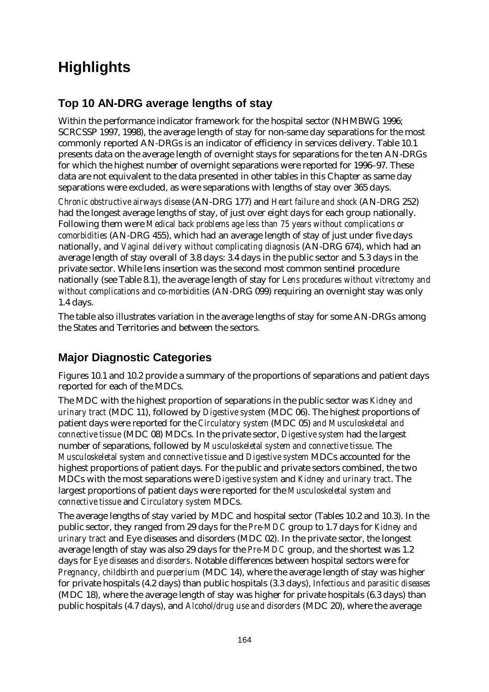# **Highlights**

## **Top 10 AN-DRG average lengths of stay**

Within the performance indicator framework for the hospital sector (NHMBWG 1996; SCRCSSP 1997, 1998), the average length of stay for non-same day separations for the most commonly reported AN-DRGs is an indicator of efficiency in services delivery. Table 10.1 presents data on the average length of overnight stays for separations for the ten AN-DRGs for which the highest number of overnight separations were reported for 1996–97. These data are not equivalent to the data presented in other tables in this Chapter as same day separations were excluded, as were separations with lengths of stay over 365 days.

*Chronic obstructive airways disease* (AN-DRG 177) and *Heart failure and shock* (AN-DRG 252) had the longest average lengths of stay, of just over eight days for each group nationally. Following them were *Medical back problems age less than 75 years without complications or comorbidities* (AN-DRG 455), which had an average length of stay of just under five days nationally, and *Vaginal delivery without complicating diagnosis* (AN-DRG 674), which had an average length of stay overall of 3.8 days: 3.4 days in the public sector and 5.3 days in the private sector. While lens insertion was the second most common sentinel procedure nationally (see Table 8.1), the average length of stay for *Lens procedures without vitrectomy and without complications and co-morbidities* (AN-DRG 099) requiring an overnight stay was only 1.4 days.

The table also illustrates variation in the average lengths of stay for some AN-DRGs among the States and Territories and between the sectors.

## **Major Diagnostic Categories**

Figures 10.1 and 10.2 provide a summary of the proportions of separations and patient days reported for each of the MDCs.

The MDC with the highest proportion of separations in the public sector was *Kidney and urinary tract* (MDC 11), followed by *Digestive system* (MDC 06). The highest proportions of patient days were reported for the *Circulatory system* (MDC 05) *and Musculoskeletal and connective tissue* (MDC 08) MDCs. In the private sector, *Digestive system* had the largest number of separations, followed by *Musculoskeletal system and connective tissue*. The *Musculoskeletal system and connective tissue* and *Digestive system* MDCs accounted for the highest proportions of patient days. For the public and private sectors combined, the two MDCs with the most separations were *Digestive system* and *Kidney and urinary tract*. The largest proportions of patient days were reported for the *Musculoskeletal system and connective tissue* and *Circulatory system* MDCs.

The average lengths of stay varied by MDC and hospital sector (Tables 10.2 and 10.3). In the public sector, they ranged from 29 days for the *Pre-MDC* group to 1.7 days for *Kidney and urinary tract* and Eye diseases and disorders (MDC 02). In the private sector, the longest average length of stay was also 29 days for the *Pre-MDC* group, and the shortest was 1.2 days for *Eye diseases and disorders*. Notable differences between hospital sectors were for *Pregnancy, childbirth and puerperium* (MDC 14), where the average length of stay was higher for private hospitals (4.2 days) than public hospitals (3.3 days), *Infectious and parasitic diseases* (MDC 18), where the average length of stay was higher for private hospitals (6.3 days) than public hospitals (4.7 days), and *Alcohol/drug use and disorders* (MDC 20), where the average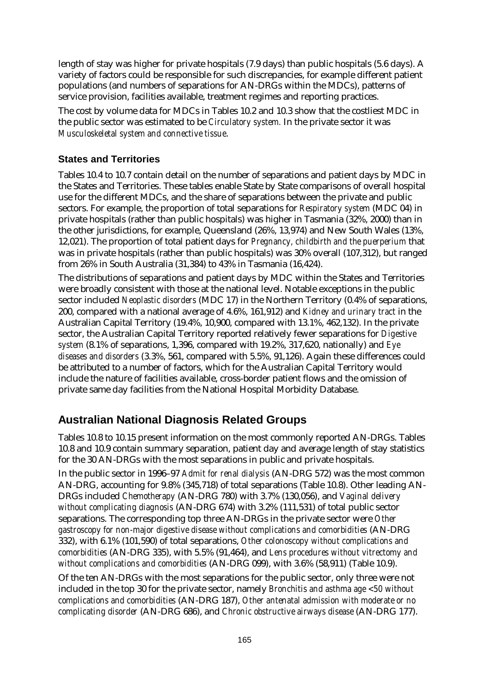length of stay was higher for private hospitals (7.9 days) than public hospitals (5.6 days). A variety of factors could be responsible for such discrepancies, for example different patient populations (and numbers of separations for AN-DRGs within the MDCs), patterns of service provision, facilities available, treatment regimes and reporting practices.

The cost by volume data for MDCs in Tables 10.2 and 10.3 show that the costliest MDC in the public sector was estimated to be *Circulatory system.* In the private sector it was *Musculoskeletal system and connective tissue*.

#### **States and Territories**

Tables 10.4 to 10.7 contain detail on the number of separations and patient days by MDC in the States and Territories. These tables enable State by State comparisons of overall hospital use for the different MDCs, and the share of separations between the private and public sectors. For example, the proportion of total separations for *Respiratory system* (MDC 04) in private hospitals (rather than public hospitals) was higher in Tasmania (32%, 2000) than in the other jurisdictions, for example, Queensland (26%, 13,974) and New South Wales (13%, 12,021). The proportion of total patient days for *Pregnancy, childbirth and the puerperium* that was in private hospitals (rather than public hospitals) was 30% overall (107,312), but ranged from 26% in South Australia (31,384) to 43% in Tasmania (16,424).

The distributions of separations and patient days by MDC within the States and Territories were broadly consistent with those at the national level. Notable exceptions in the public sector included *Neoplastic disorders* (MDC 17) in the Northern Territory (0.4% of separations, 200, compared with a national average of 4.6%, 161,912) and *Kidney and urinary tract* in the Australian Capital Territory (19.4%, 10,900, compared with 13.1%, 462,132). In the private sector, the Australian Capital Territory reported relatively fewer separations for *Digestive system* (8.1% of separations, 1,396, compared with 19.2%, 317,620, nationally) and *Eye diseases and disorders* (3.3%, 561, compared with 5.5%, 91,126). Again these differences could be attributed to a number of factors, which for the Australian Capital Territory would include the nature of facilities available, cross-border patient flows and the omission of private same day facilities from the National Hospital Morbidity Database.

### **Australian National Diagnosis Related Groups**

Tables 10.8 to 10.15 present information on the most commonly reported AN-DRGs. Tables 10.8 and 10.9 contain summary separation, patient day and average length of stay statistics for the 30 AN-DRGs with the most separations in public and private hospitals.

In the public sector in 1996–97 *Admit for renal dialysis* (AN-DRG 572) was the most common AN-DRG, accounting for 9.8% (345,718) of total separations (Table 10.8). Other leading AN-DRGs included *Chemotherapy* (AN-DRG 780) with 3.7% (130,056), and *Vaginal delivery without complicating diagnosis* (AN-DRG 674) with 3.2% (111,531) of total public sector separations. The corresponding top three AN-DRGs in the private sector were *Other gastroscopy for non-major digestive disease without complications and comorbidities* (AN-DRG 332), with 6.1% (101,590) of total separations, *Other colonoscopy without complications and comorbidities* (AN-DRG 335), with 5.5% (91,464), and *Lens procedures without vitrectomy and without complications and comorbidities* (AN-DRG 099), with 3.6% (58,911) (Table 10.9).

Of the ten AN-DRGs with the most separations for the public sector, only three were not included in the top 30 for the private sector, namely *Bronchitis and asthma age <50 without complications and comorbidities* (AN-DRG 187), *Other antenatal admission with moderate or no complicating disorder* (AN-DRG 686), and *Chronic obstructive airways disease* (AN-DRG 177).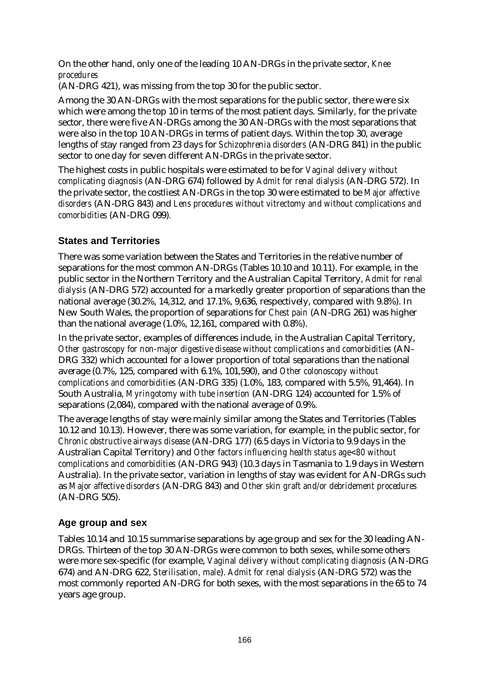On the other hand, only one of the leading 10 AN-DRGs in the private sector, *Knee procedures*

(AN-DRG 421), was missing from the top 30 for the public sector.

Among the 30 AN-DRGs with the most separations for the public sector, there were six which were among the top 10 in terms of the most patient days. Similarly, for the private sector, there were five AN-DRGs among the 30 AN-DRGs with the most separations that were also in the top 10 AN-DRGs in terms of patient days. Within the top 30, average lengths of stay ranged from 23 days for *Schizophrenia disorders* (AN-DRG 841) in the public sector to one day for seven different AN-DRGs in the private sector.

The highest costs in public hospitals were estimated to be for *Vaginal delivery without complicating diagnosis* (AN-DRG 674) followed by *Admit for renal dialysis* (AN-DRG 572). In the private sector, the costliest AN-DRGs in the top 30 were estimated to be *Major affective disorders* (AN-DRG 843) and *Lens procedures without vitrectomy and without complications and comorbidities* (AN-DRG 099)*.*

#### **States and Territories**

There was some variation between the States and Territories in the relative number of separations for the most common AN-DRGs (Tables 10.10 and 10.11). For example, in the public sector in the Northern Territory and the Australian Capital Territory, *Admit for renal dialysis* (AN-DRG 572) accounted for a markedly greater proportion of separations than the national average (30.2%, 14,312, and 17.1%, 9,636, respectively, compared with 9.8%). In New South Wales, the proportion of separations for *Chest pain* (AN-DRG 261) was higher than the national average (1.0%, 12,161, compared with 0.8%).

In the private sector, examples of differences include, in the Australian Capital Territory, *Other gastroscopy for non-major digestive disease without complications and comorbidities* (AN-DRG 332) which accounted for a lower proportion of total separations than the national average (0.7%, 125, compared with 6.1%, 101,590), and *Other colonoscopy without complications and comorbidities* (AN-DRG 335) (1.0%, 183, compared with 5.5%, 91,464). In South Australia, *Myringotomy with tube insertion* (AN-DRG 124) accounted for 1.5% of separations (2,084), compared with the national average of 0.9%.

The average lengths of stay were mainly similar among the States and Territories (Tables 10.12 and 10.13). However, there was some variation, for example, in the public sector, for *Chronic obstructive airways disease* (AN-DRG 177) (6.5 days in Victoria to 9.9 days in the Australian Capital Territory) and *Other factors influencing health status age<80 without complications and comorbidities* (AN-DRG 943) (10.3 days in Tasmania to 1.9 days in Western Australia). In the private sector, variation in lengths of stay was evident for AN-DRGs such as *Major affective disorders* (AN-DRG 843) and *Other skin graft and/or debridement procedures* (AN-DRG 505).

#### **Age group and sex**

Tables 10.14 and 10.15 summarise separations by age group and sex for the 30 leading AN-DRGs. Thirteen of the top 30 AN-DRGs were common to both sexes, while some others were more sex-specific (for example, *Vaginal delivery without complicating diagnosis* (AN-DRG 674) and AN-DRG 622, *Sterilisation, male*). *Admit for renal dialysis* (AN-DRG 572) was the most commonly reported AN-DRG for both sexes, with the most separations in the 65 to 74 years age group.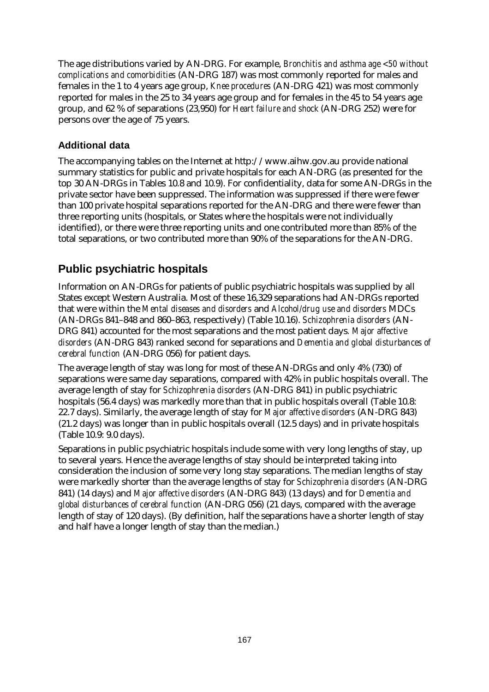The age distributions varied by AN-DRG. For example, *Bronchitis and asthma age <50 without complications and comorbidities* (AN-DRG 187) was most commonly reported for males and females in the 1 to 4 years age group, *Knee procedures* (AN-DRG 421) was most commonly reported for males in the 25 to 34 years age group and for females in the 45 to 54 years age group, and 62 % of separations (23,950) for *Heart failure and shock* (AN-DRG 252) were for persons over the age of 75 years.

#### **Additional data**

The accompanying tables on the Internet at http://www.aihw.gov.au provide national summary statistics for public and private hospitals for each AN-DRG (as presented for the top 30 AN-DRGs in Tables 10.8 and 10.9). For confidentiality, data for some AN-DRGs in the private sector have been suppressed. The information was suppressed if there were fewer than 100 private hospital separations reported for the AN-DRG and there were fewer than three reporting units (hospitals, or States where the hospitals were not individually identified), or there were three reporting units and one contributed more than 85% of the total separations, or two contributed more than 90% of the separations for the AN-DRG.

### **Public psychiatric hospitals**

Information on AN-DRGs for patients of public psychiatric hospitals was supplied by all States except Western Australia. Most of these 16,329 separations had AN-DRGs reported that were within the *Mental diseases and disorders* and *Alcohol/drug use and disorders* MDCs (AN-DRGs 841–848 and 860–863, respectively) (Table 10.16). *Schizophrenia disorders* (AN-DRG 841) accounted for the most separations and the most patient days*. Major affective disorders* (AN-DRG 843) ranked second for separations and *Dementia and global disturbances of cerebral function* (AN-DRG 056) for patient days.

The average length of stay was long for most of these AN-DRGs and only 4% (730) of separations were same day separations, compared with 42% in public hospitals overall. The average length of stay for *Schizophrenia disorders* (AN-DRG 841) in public psychiatric hospitals (56.4 days) was markedly more than that in public hospitals overall (Table 10.8: 22.7 days). Similarly, the average length of stay for *Major affective disorders* (AN-DRG 843) (21.2 days) was longer than in public hospitals overall (12.5 days) and in private hospitals (Table 10.9: 9.0 days).

Separations in public psychiatric hospitals include some with very long lengths of stay, up to several years. Hence the average lengths of stay should be interpreted taking into consideration the inclusion of some very long stay separations. The median lengths of stay were markedly shorter than the average lengths of stay for *Schizophrenia disorders* (AN-DRG 841) (14 days) and *Major affective disorders* (AN-DRG 843) (13 days) and for *Dementia and global disturbances of cerebral function* (AN-DRG 056) (21 days, compared with the average length of stay of 120 days). (By definition, half the separations have a shorter length of stay and half have a longer length of stay than the median.)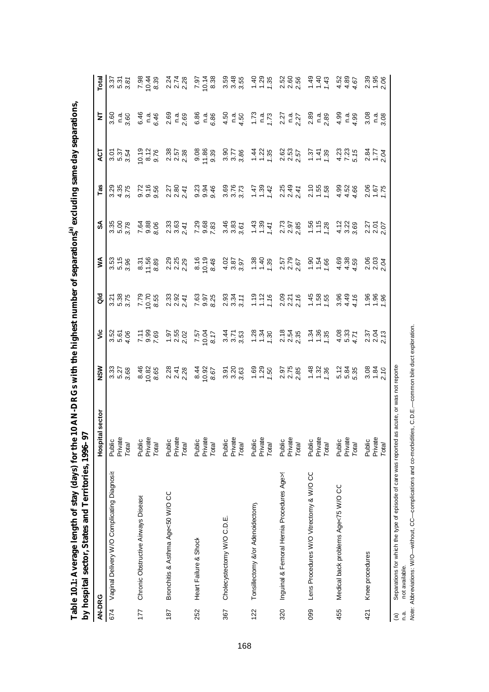| I<br>)<br>Ì<br>ā                                                                |                                 |
|---------------------------------------------------------------------------------|---------------------------------|
| I                                                                               |                                 |
| )                                                                               |                                 |
|                                                                                 |                                 |
| رُ<br>ׇ֚֘<br>l<br>i<br>ı<br>֚֘֝֬<br>I                                           | ĺ<br>l<br>i<br>ī                |
| ֖֖֖֖֧ׅ֖֧֧ׅ֧֪֧֚֚֚֚֚֚֚֚֚֚֚֚֚֚֚֚֚֚֚֚֚֚֚֚֚֚֚֚֚֚֚֚֚֬֝֝֓֞֝֬֓֬֝֬֝֬<br>l<br>I<br>١<br>Ï | ļ<br>ä<br>I<br>j<br>i<br>į<br>Ï |
| )<br>l<br>ׇ֚<br>I<br>י<br>I<br>l<br>l                                           | $\overline{a}$<br>Ē             |
| $\overline{a}$<br>Ì<br>ţ<br>ı                                                   | J.<br>è<br>F                    |

|               | by hospital sector, States and Territories, 1996-                                           | ë                                 |                                 |                                                         |                                            |                            |                                |                            |                                              |                            |                                                                          |
|---------------|---------------------------------------------------------------------------------------------|-----------------------------------|---------------------------------|---------------------------------------------------------|--------------------------------------------|----------------------------|--------------------------------|----------------------------|----------------------------------------------|----------------------------|--------------------------------------------------------------------------|
| AN-DRG        |                                                                                             | Hospital sector                   | NSW                             | ۊ                                                       | $\frac{d}{d}$                              | ⋚                          | వ్                             | $\mathsf{Ta}$              | <b>LO</b>                                    | ₹                          | Total                                                                    |
| 674           | Vaginal Delivery W/O Complicating Diagnosis                                                 | Public<br>Private<br>Total        | 33<br>527<br>538                | 35<br>35<br>34                                          | 5.38<br>5.88<br>5.99                       | 55<br>5.15<br>5.36         | $3.88$<br>$3.88$               | 3.35<br>3.45<br>3.45       | 2<br>2<br>2<br>2<br>2<br>2<br>2<br>2         | $\frac{a}{3}$ .60<br>3.60  | 22<br>222<br>222                                                         |
| 177           | Chronic Obstructive Airways Disease                                                         | Private<br>Public<br>Total        | 8.46<br>0.82<br>8.65            | 7.588<br>7.69                                           | 7.79<br>0.70<br>8.55                       | $8.31$<br>$1.58$<br>$8.89$ | 7.88<br>9.88<br>8.96           | 9.78<br>9.96<br>9.96       | $0.19$<br>$8.76$<br>$9.76$                   | 6.46<br>6.46               | $7.98$<br>0.43<br>8.39                                                   |
| 187           | Bronchitis & Asthma Age<50 W/O CC                                                           | Public<br>Private<br>Total        | 2.28<br>2.47<br>2.28            | 55<br>25<br>22                                          | 2384<br>2384                               | 2.25<br>2.25<br>2.29       | 2.33<br>2.34<br>2.41           | $2.27$<br>$2.80$<br>$2.41$ | 2.38<br>2.57<br>2.38                         | 2.69<br>2.69               | 21<br>21<br>22<br>22                                                     |
| 252           | Heart Failure & Shock                                                                       | Private<br>Public<br><b>Total</b> | $\frac{0.08}{3.95}$             | 1.57<br>10.04<br>15.7                                   | 7.63<br>0.97<br>8.25                       | $8.16$<br>0.19<br>8.48     | 7.29<br>9.68<br>7.83           | 0.946<br>0.946             | 9.86<br>1 9.39<br>9.79                       | 6.86<br>n.a.<br>6.86       | 7.97<br>0.14<br>0.38                                                     |
| 367           | Cholecystectomy W/O C.D.E.                                                                  | Private<br>Public<br>Total        | 5, 2, 3<br>3, 2, 3,<br>3, 3, 3, | 22<br>222<br>23                                         | 03 34<br>21 34<br>21 31                    | $4.02$<br>$3.87$<br>$3.87$ | $3.83$<br>$3.85$<br>$3.67$     | 88<br>3.73<br>3.3          | $3.786$<br>$3.786$                           | $4.50$<br>$4.50$           | 59<br>3.45<br>3.35                                                       |
| 122           | Tonsillectomy &/or Adenoidectomy                                                            | Private<br>Public<br>Total        | $1.50$<br>$-7.50$               | $\frac{28}{1} \div \frac{1}{2}$                         | $118$<br>$126$<br>$2376$<br>$216$<br>$216$ | $7.38$<br>$7.39$           | $\frac{43}{10}$ $\frac{2}{10}$ | $147$<br>$147$<br>$142$    | $\frac{1}{4}$ 5 $\frac{1}{2}$                | $1.73$<br>$1.73$           | $\frac{48}{10}$ $\frac{28}{10}$                                          |
| 320           | Inguinal & Femoral Hernia Procedures Age>!                                                  | Private<br>Public<br>Total        | 2.97<br>2.75<br>2.85            | 2.12.35<br>2.12.92                                      |                                            | 2.57<br>2.79<br>2.67       | 2.73<br>2.97<br>2.85           | 2.25<br>2.49<br>2.41       | ននិង<br>ត្ត<br>ត្ត                           | $2.27$<br>$n.a.$<br>$2.27$ | 2<br>2<br>2<br>2<br>2<br>2<br>2                                          |
| 099           | Lens Procedures W/O Vitrectomy & W/O CC                                                     | Private<br>Public<br>Total        | $\frac{48}{1}$ $\frac{38}{1}$   | $\frac{1}{2}$ $\frac{1}{2}$ $\frac{1}{2}$ $\frac{1}{2}$ | $\frac{45}{100}$ $\frac{8}{10}$            | $-1.8$<br>$-1.8$           | $1.56$<br>$1.58$               | $2.58$<br>$7.58$           | $\frac{1}{2}$ $\frac{4}{2}$ $\frac{8}{2}$    | 2.89<br>C 3.89             | $\begin{array}{c}\n 4 \\  4 \\  \hline\n 4 \\  \hline\n 6\n \end{array}$ |
| 455           | Medical back problems Age<75 W/O CC                                                         | Private<br>Public<br>Total        | 5.35<br>5.85<br>5.35            | $404$<br>$68$<br>$62$                                   | $3.48$<br>$4.48$                           | 8<br>9<br>4<br>4<br>4<br>4 | 2788                           | $4.50$<br>$4.50$<br>$4.50$ | ង 2<br>ដ<br>ស<br>ស<br>ស                      | $4.99$<br>$-4.99$          | $4480$<br>$440$                                                          |
| 421           | Knee procedures                                                                             | Public<br>Privat<br>Total         | $3840$<br>$720$                 | 5<br>2<br>2<br>2<br>2<br>2                              | $\frac{866}{758}$                          | 06<br>0.03<br>0.04         | 25<br>25<br>25<br>27           | 86<br>257<br>27            | $\frac{5}{25}$ $\frac{1}{25}$ $\frac{2}{25}$ | 3.08<br>3.08               | $2.358$<br>$2.56$                                                        |
| $\widehat{a}$ | Separations for which the type of episode of care was reported as acute, or was not reporte |                                   |                                 |                                                         |                                            |                            |                                |                            |                                              |                            |                                                                          |

(a) Separations for which the type of episode of care was reported as acute, or was not reporter<br>n.a. not available.<br>Mote: Abbreviations: W/O—without, CC—complications and co-morbidities, C.D.E.—common bile duct ex *Note:* Abbreviations: W/O— without, CC— complications and co-morbidities, C.D.E.— common bile duct exploration. n.a. not available.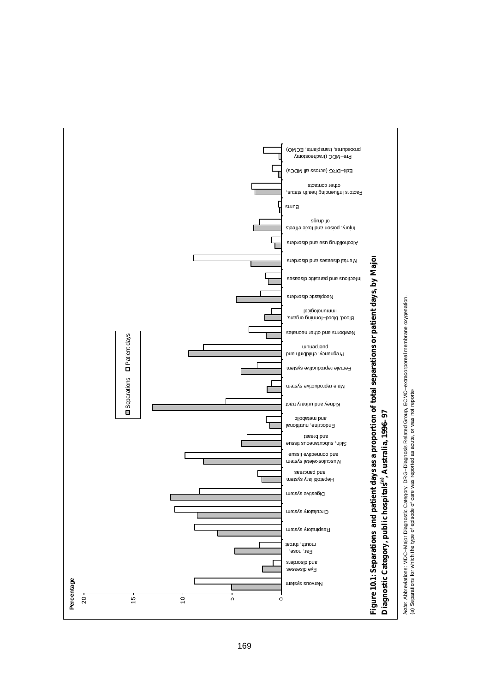

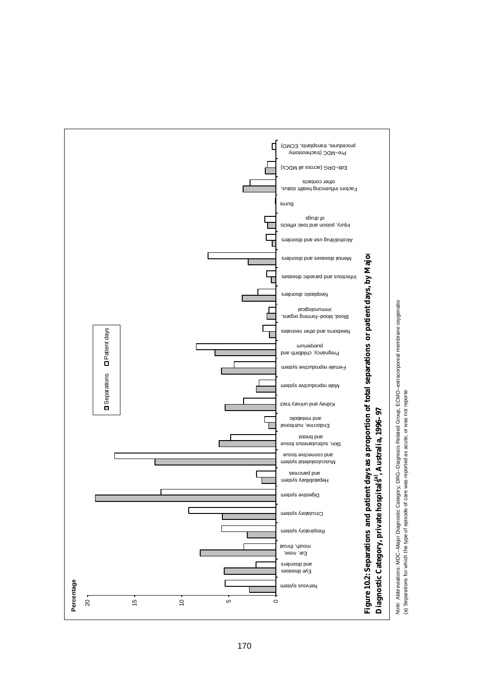

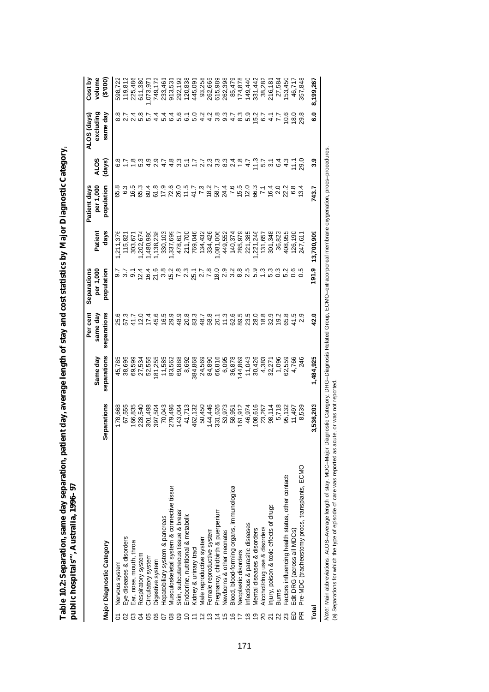| ı                                                                                                                                                                                                                                   |          |
|-------------------------------------------------------------------------------------------------------------------------------------------------------------------------------------------------------------------------------------|----------|
|                                                                                                                                                                                                                                     |          |
|                                                                                                                                                                                                                                     |          |
|                                                                                                                                                                                                                                     |          |
| J                                                                                                                                                                                                                                   |          |
|                                                                                                                                                                                                                                     |          |
| Ì                                                                                                                                                                                                                                   |          |
|                                                                                                                                                                                                                                     |          |
|                                                                                                                                                                                                                                     |          |
|                                                                                                                                                                                                                                     |          |
|                                                                                                                                                                                                                                     |          |
|                                                                                                                                                                                                                                     |          |
|                                                                                                                                                                                                                                     |          |
|                                                                                                                                                                                                                                     |          |
| i<br>Film                                                                                                                                                                                                                           |          |
|                                                                                                                                                                                                                                     |          |
| j                                                                                                                                                                                                                                   |          |
|                                                                                                                                                                                                                                     |          |
|                                                                                                                                                                                                                                     |          |
|                                                                                                                                                                                                                                     |          |
|                                                                                                                                                                                                                                     |          |
|                                                                                                                                                                                                                                     |          |
| <b>Comparent</b>                                                                                                                                                                                                                    |          |
|                                                                                                                                                                                                                                     |          |
|                                                                                                                                                                                                                                     |          |
| ı                                                                                                                                                                                                                                   |          |
| į<br>I<br>Ï                                                                                                                                                                                                                         |          |
|                                                                                                                                                                                                                                     | I        |
| l                                                                                                                                                                                                                                   |          |
|                                                                                                                                                                                                                                     |          |
| $\mathbf{\tilde{a}}$                                                                                                                                                                                                                | ı        |
|                                                                                                                                                                                                                                     | ć<br>l   |
| in the contract of the contract of the contract of the contract of the contract of the contract of the contract of the contract of the contract of the contract of the contract of the contract of the contract of the contrac<br>í | ľ        |
| ۱<br>l<br>ì                                                                                                                                                                                                                         |          |
| d                                                                                                                                                                                                                                   | J<br>Ì   |
|                                                                                                                                                                                                                                     | ֚֚֬<br>Í |
| ı                                                                                                                                                                                                                                   |          |
| j                                                                                                                                                                                                                                   | Ï        |
|                                                                                                                                                                                                                                     |          |
|                                                                                                                                                                                                                                     |          |

|                                                   |             | Same day         | Per cent<br>same day | Separations<br>per 1,000 | Patient    | per 1,000<br>Patient days | <b>ALOS</b>          | excluding<br>ALOS (days)                 | Cost by<br>volume    |
|---------------------------------------------------|-------------|------------------|----------------------|--------------------------|------------|---------------------------|----------------------|------------------------------------------|----------------------|
| Major Diagnostic Category                         | Separations | separations      | separations          | population               | days       | population                | (days)               | same day                                 | (0000)               |
| Nervous system                                    | 178,668     | 45,785           | 25.6                 |                          | 211,376    | 65.8                      |                      |                                          | 598,722              |
| Eye diseases & disorders                          | 67,555      | 38,695           |                      |                          | 115,82     | 6.3<br>16.5               |                      |                                          | 119,812              |
| Ear, nose, mouth, throa                           | 166,835     |                  | 41.7                 |                          | 303,67     |                           | $\frac{8}{1}$        |                                          | 225,486              |
| Respiratory system                                | 228,540     | 69,599<br>27,534 | 12.0                 |                          | ,202,674   | 65.3                      | 10.4<br>10.4         | 0.0.0.0.4<br>V 4 00 V 4                  | 611,380              |
| Circulatory system                                | 301,498     | 52,555           | 17.4                 |                          | ,480,980   | 80.4                      |                      |                                          |                      |
| Digestive system<br>ୁ                             | 397,504     | 81,255           | 45.6                 |                          | ,138,238   | 61.8                      | $2.\overline{9}$     |                                          | 1,073,971<br>749,172 |
| Hepatobiliary system & pancreas                   | 70,043      | 11,585           | $16.5$<br>29.9       |                          | 330,103    | 17<br>72.6                | $\ddot{4}$           | n c n c n 4 4 9 9<br>4 4 6 4 6 7 9 9 9 9 | 233,46               |
| Ausculoskeletal system & connective tissue        | 279,496     | 83,562           |                      |                          | ,337,699   |                           | $4.\overline{8}$     |                                          | 913,53               |
| Skin, subcutaneous tissue & breast                | 143,004     | 69,888           | 48.9                 |                          | 478,617    | 26.0                      | 3.1<br>5.1           |                                          | 292,192              |
| Endocrine, nutritional & metabolic                | 41,713      | 8,692            | 20.8                 |                          | 211,700    | $\frac{11.5}{41.7}$       |                      |                                          | 120,838              |
| Kidney & urinary tract                            | 462,132     | 384,868          | 83.3                 |                          | 769,046    |                           | 17                   |                                          | 445,09               |
| Male reproductive system                          | 50,450      | 24,569<br>84,890 | 48.7                 |                          | 134,432    | $7.\overline{3}$<br>18.2  |                      |                                          | 93,258               |
| Female reproductive system                        | 144,446     |                  | 58.8                 |                          | 334,426    |                           | 22224274<br>22224274 |                                          | 262,665              |
| Pregnancy, childbirth & puerperium                | 331,626     | 66,816           | 20.1                 |                          | ,081,006   | 58.7<br>24.4              |                      |                                          | 615,989              |
| Newborns & other neonates                         | 53,973      | 6,095            | 11.3                 |                          | 449,552    |                           |                      |                                          | 262,398              |
| Blood, blood-forming organs, immunologica         | 58,951      | 36,878           | 62.6                 |                          | 140,374    | 7.6                       |                      | $4.\overline{3}$<br>8.3                  | 85,479<br>174,878    |
| Neoplastic disorders                              | 161,912     | 144,869          | 89.5                 |                          | 285,979    | 15.5                      |                      |                                          |                      |
| nfectious & parasitic diseases                    | 46,974      | 11,043           | 23.5                 |                          | 221,385    | 12.0                      |                      | 5.9                                      | 149,440              |
| Mental diseases & disorders<br>σ.                 | 108,616     | 30,426           | 28.0                 |                          | ,221,246   | 66.3<br>7.1               |                      | $15.7$<br>6.7                            | 331,442              |
| Alcohol/drug use & disorders                      | 23,267      | 4,383            | 18.8                 |                          | 131,657    |                           | $7.574$<br>$-5.74$   |                                          | 38,282               |
| Injury, poison & toxic effects of drugs           | 98,114      | 32,271           | 32.9                 |                          | 301,348    | 16.4                      |                      | $\frac{1}{4}$                            | 216,181              |
| <b>Burns</b>                                      | 5,718       | 1,096            |                      | 3<br>5<br>5<br>5         | 36,823     | $\overline{2}$ .0         |                      | 7.7                                      | 27,584               |
| Factors influencing health status, other contact: | 95,132      | 62,559           | $19.8$<br>65.8       |                          | 408,955    | 22.2                      | $\frac{3}{4}$        | 10.6                                     | 153,450              |
| Edit DRG (across all MDCs)                        | 11,497      | 4,766            | 41.5                 | 8.5<br>0.5               | 126,190    | $6.\overline{3}$<br>13.4  | $\frac{11}{29}$      | $\frac{18.0}{29.8}$                      | 46,717               |
| Pre-MDC (tracheostomy procs, transplants, ECMO    | 8,539       |                  | 2.9                  |                          | 61<br>247, |                           |                      |                                          | 357,848              |
| Total                                             | 3,536,203   | 1,484,925        | 42.0                 | 191.9                    | 13,700,909 | 743.7                     | 3.9                  | <b>0</b> .                               | 8,199,267            |
|                                                   |             |                  |                      |                          |            |                           |                      |                                          |                      |

*Nd*e: Main abbreviations: ALOS–Average length of stay, MDC–Major Diagnostic Category, DRG–Diagnosis Related Group, ECMO–extracorporeal membrane oxygenation, procs–procedures.<br>(a) Separations for which the type of episode *Note:* Main abbreviations: ALOS–Average length of stay, MDC–Major Diagnostic Category, DRG–Diagnosis Related Group, ECMO–extracorporeal membrane oxygenation, procs–procedures.

(a) Separations for which the type of episode of care was reported as acute, or was not reported.

171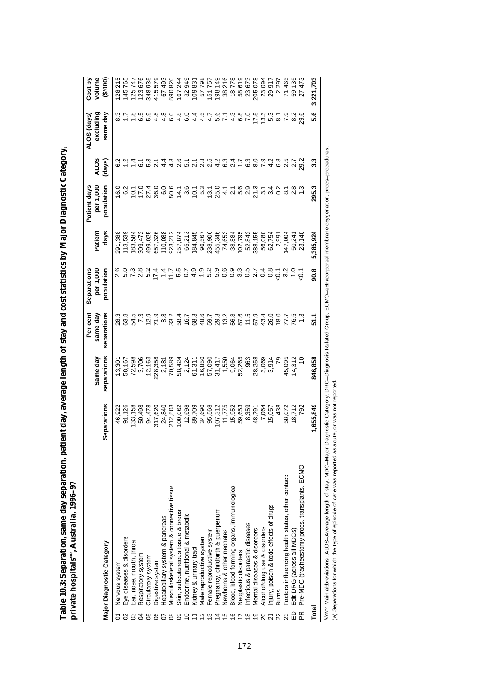| ı                             |                  |
|-------------------------------|------------------|
| ١                             |                  |
| ζ                             |                  |
|                               |                  |
| )<br>֕                        |                  |
|                               |                  |
| ֚֚֡<br>I<br>ׇ֚֬֡              |                  |
|                               |                  |
|                               |                  |
|                               |                  |
| $\overline{a}$                |                  |
|                               |                  |
| $\overline{1}$                |                  |
|                               |                  |
| ١                             |                  |
| Ï                             |                  |
| l                             |                  |
|                               |                  |
| I                             |                  |
|                               |                  |
| l                             |                  |
| I<br>$\overline{\phantom{a}}$ |                  |
|                               |                  |
| l                             | ĺ                |
| ľ<br>j<br>Ï                   |                  |
|                               | ۱<br>Ï<br>í<br>I |
|                               |                  |
|                               |                  |
| d<br>Ç                        | Ì<br>I           |
|                               |                  |
| ׇ֚֬                           |                  |
| ֚֚֬                           |                  |

|                                                   |                   | Same day                                                           | Per cent<br>same day | per 1,000<br>Separations | Patient                                | per 1,000<br>Patient days | <b>ALOS</b>                     | excluding<br>ALOS (days)                                   | volume<br>Cost by                              |
|---------------------------------------------------|-------------------|--------------------------------------------------------------------|----------------------|--------------------------|----------------------------------------|---------------------------|---------------------------------|------------------------------------------------------------|------------------------------------------------|
| Major Diagnostic Category                         | Separations       | separations                                                        | separations          | population               | days                                   | population                | (days)                          | same day                                                   | (000.3)                                        |
| Nervous system                                    | 46,922            |                                                                    |                      |                          | 291,388                                |                           |                                 |                                                            | 128,215                                        |
| Eye diseases & disorders                          |                   |                                                                    |                      |                          | 113,539                                | 0 0<br>6 0<br>6 0         |                                 |                                                            | 145,765                                        |
| Ear, nose, mouth, throa                           | 91,126<br>133,158 |                                                                    |                      |                          | 183,584                                |                           |                                 |                                                            | 125,747                                        |
| Respiratory system                                |                   | 13,301<br>58,598<br>58,706<br>12,163                               |                      |                          | 309,472                                |                           |                                 |                                                            | 123,676                                        |
| Circulatory system                                | 50,498<br>94,478  |                                                                    |                      |                          | 499,025                                |                           | 5.3                             |                                                            | 348,935                                        |
| Digestive system                                  | 317,620           | 228,358                                                            |                      |                          | 657,326                                |                           |                                 | 8118598000045161580535182880118041000000010100000000000000 | 415,579                                        |
| Hepatobiliary system & pancreas                   | 24,840<br>212,503 |                                                                    |                      |                          | 110,088<br>923,212                     |                           |                                 |                                                            | 67,493<br>590,820<br>167,244<br>32,949         |
| Vlusculoskeletal system & connective tissue       |                   |                                                                    |                      |                          |                                        |                           |                                 |                                                            |                                                |
| Skin, subcutaneous tissue & breast                | 100,062           | 2188<br>2007 215 2008 215<br>2008 215 2009 215<br>2008 215 225 236 |                      |                          | 257,874<br>65,213<br>184,845           |                           | 4 4 5 6 4<br>4 4 5 6 4          |                                                            |                                                |
| Endocrine, nutritional & metabolic                | 12,698            |                                                                    |                      |                          |                                        |                           |                                 |                                                            |                                                |
| Kidney & urinary tract                            | 89,709            |                                                                    |                      |                          |                                        |                           | 2<br>2<br>2<br>2<br>2<br>2<br>2 |                                                            | 109,831                                        |
| Male reproductive system                          | 34,690<br>95,568  |                                                                    |                      |                          |                                        |                           |                                 |                                                            |                                                |
| Female reproductive system                        |                   |                                                                    |                      |                          | 96,567<br>238,906<br>455,346<br>74,653 |                           |                                 |                                                            | 57,798<br>151,757                              |
| Pregnancy, childbirth & puerperium                | 107,312<br>11,775 |                                                                    |                      |                          |                                        |                           |                                 |                                                            | 198,149                                        |
| Newborns & other neonates                         |                   |                                                                    |                      |                          |                                        |                           |                                 |                                                            |                                                |
| Blood, blood-forming organs, immunologica         | 15,952            |                                                                    |                      |                          |                                        |                           |                                 |                                                            |                                                |
| Neoplastic disorders                              | 59,653            |                                                                    |                      |                          | 38,884<br>102,795                      |                           |                                 |                                                            |                                                |
| Infectious & parasitic diseases                   | 8,359             | 963                                                                |                      |                          | 52,842<br>388,155                      |                           |                                 |                                                            |                                                |
| Mental diseases & disorders<br>თ                  | 48,791            | 28,258                                                             |                      |                          |                                        |                           |                                 |                                                            | 38,216<br>18,778<br>18,619<br>23,078<br>23,094 |
| Alcohol/drug use & disorders                      | 7,064<br>15,057   | 3,069<br>3,914<br>79                                               |                      |                          | 56,080                                 |                           |                                 |                                                            |                                                |
| Injury, poison & toxic effects of drugs           |                   |                                                                    |                      |                          | 62,754                                 |                           |                                 |                                                            | 29,917                                         |
| <b>Burns</b>                                      | 438               |                                                                    |                      |                          |                                        |                           |                                 |                                                            | 2,297                                          |
| Factors influencing health status, other contact: | 58,072            | 45,095                                                             |                      |                          | 2,991<br>147,004                       |                           | 2.5                             |                                                            | 71,465                                         |
| Edit DRG (across all MDCs)                        | 18,712<br>792     | $14,312$<br>$10$                                                   |                      |                          | 50,241<br>23,140                       |                           | $\overline{5}$                  |                                                            | 59,135                                         |
| Pre-MDC (tracheostomy procs, transplants, ECMO    |                   |                                                                    |                      |                          |                                        |                           | 29.2                            |                                                            |                                                |
| Total                                             | 1,655,849         | 846,858                                                            | <b>51.7</b>          | 90.8                     | 5,385,924                              | 295.3                     | 3.3                             | 5.6                                                        | 3,221,703                                      |
|                                                   |                   |                                                                    |                      |                          |                                        |                           |                                 |                                                            |                                                |

*No*te: Main abbreviations: ALOS–Average length of stay, MDC–Major Diagnostic Category, DRG–Diagnosis Related Group, ECMO–extracorporeal membrane oxygenation, procs–procedures.<br>(a) Separations for which the type of episo *Note:* Main abbreviations: ALOS–Average length of stay, MDC–Major Diagnostic Category, DRG–Diagnosis Related Group, ECMO–extracorporeal membrane oxygenation, procs–procedures. (a) Separations for which the type of episode of care was reported as acute, or was not reported.

172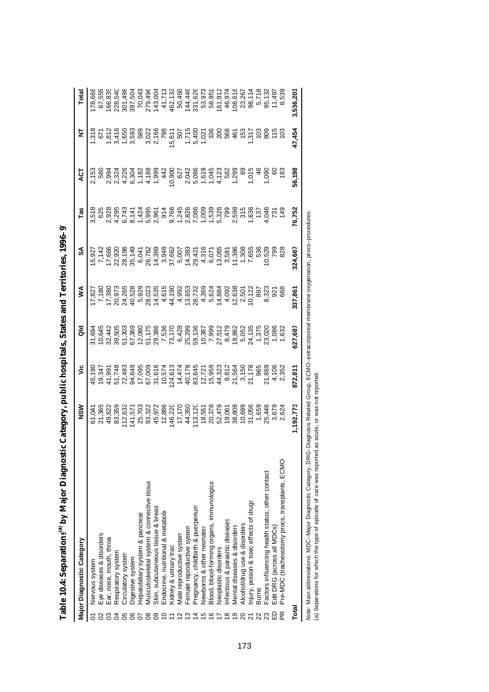|       | Major Diagnostic Category                                                                                                                                        | ≥<br>2                                                                               | ۶Ë                               | aio                                             | ⋚                                                                                                                                                                                                                                                                                                   | వ్                                           | Tas                | ā             | ₹                                                 | Total                                            |
|-------|------------------------------------------------------------------------------------------------------------------------------------------------------------------|--------------------------------------------------------------------------------------|----------------------------------|-------------------------------------------------|-----------------------------------------------------------------------------------------------------------------------------------------------------------------------------------------------------------------------------------------------------------------------------------------------------|----------------------------------------------|--------------------|---------------|---------------------------------------------------|--------------------------------------------------|
| 5     | Nervous system                                                                                                                                                   | 61,041                                                                               | 45,190                           | 31,694                                          | 7,827                                                                                                                                                                                                                                                                                               | 5,927                                        | 3,518              |               |                                                   | 178,668                                          |
|       | Eye diseases & disorders                                                                                                                                         | 21,365                                                                               | 19,347                           | <b>645</b>                                      | 7,180                                                                                                                                                                                                                                                                                               | 7,142                                        |                    | 2,153<br>580  |                                                   | 67,555                                           |
|       | Ear, nose, mouth, throa                                                                                                                                          | 49,622                                                                               | 41,991                           | 32,442                                          | 17,380                                                                                                                                                                                                                                                                                              | 17,666                                       |                    |               |                                                   | 166,835                                          |
|       | Respiratory system                                                                                                                                               | 83,359                                                                               |                                  | 39,505                                          | 20,973                                                                                                                                                                                                                                                                                              | 22,920                                       |                    |               |                                                   | 228,540                                          |
|       | Circulatory system                                                                                                                                               | 112,632                                                                              | 51,748<br>72,483<br>94,849       | 51,303                                          |                                                                                                                                                                                                                                                                                                     |                                              |                    |               | 1.318<br>6716003<br>1.8146003<br>1.81460          | 301,498                                          |
|       | Digestive system                                                                                                                                                 |                                                                                      |                                  | 67,369                                          | 24,265<br>40,528                                                                                                                                                                                                                                                                                    | 28,196<br>35,149                             |                    |               |                                                   |                                                  |
|       | Hepatobiliary system & pancreas                                                                                                                                  |                                                                                      | 17,095                           | 12,080                                          | 5,929                                                                                                                                                                                                                                                                                               | 6,041                                        |                    |               |                                                   |                                                  |
|       | Musculoskeletal system & connective tissue                                                                                                                       | 141,571<br>25,703<br>93,322                                                          |                                  | 51,175<br>29,386                                |                                                                                                                                                                                                                                                                                                     | 26,762<br>14,369<br>3,948                    |                    |               |                                                   | 397,504<br>70,043<br>779,496<br>41,713<br>41,713 |
|       | Skin, subcutaneous tissue & breast                                                                                                                               | 45,972                                                                               | 67,009<br>31,616                 |                                                 | $\begin{array}{l} 23.75 \\ 26.75 \\ 27.75 \\ 28.75 \\ 29.75 \\ 20.75 \\ 21.75 \\ 22.75 \\ 23.75 \\ 24.75 \\ 25.75 \\ 26.75 \\ 27.75 \\ 28.75 \\ 29.75 \\ 20.75 \\ 21.75 \\ 22.75 \\ 23.75 \\ 24.75 \\ 25.75 \\ 26.75 \\ 27.75 \\ 28.75 \\ 29.75 \\ 20.75 \\ 21.75 \\ 22.75 \\ 23.75 \\ 24.75 \\ 25$ |                                              |                    |               | 3,028<br>2,166<br>798                             |                                                  |
|       | Endocrine, nutritional & metabolic                                                                                                                               | 12,886                                                                               | 10,574                           |                                                 |                                                                                                                                                                                                                                                                                                     |                                              |                    |               |                                                   |                                                  |
|       | Kidney & urinary tract                                                                                                                                           | 146,220                                                                              | 124,613                          | 7,536<br>7,7728<br>7,3428<br>6,5,367<br>0,0,567 |                                                                                                                                                                                                                                                                                                     | 37,662<br>5,007<br>14,383                    |                    |               |                                                   | 462,132                                          |
|       | Male reproductive system                                                                                                                                         |                                                                                      |                                  |                                                 |                                                                                                                                                                                                                                                                                                     |                                              |                    |               |                                                   |                                                  |
|       | Female reproductive system                                                                                                                                       | 17,170<br>44,350                                                                     | 14,474<br>40,178                 |                                                 |                                                                                                                                                                                                                                                                                                     |                                              |                    |               |                                                   | 50,450<br>144,446                                |
|       | Pregnancy, childbirth & puerperium                                                                                                                               |                                                                                      | 83,645                           |                                                 |                                                                                                                                                                                                                                                                                                     |                                              |                    |               |                                                   | 331,626                                          |
|       | Newborns & other neonates                                                                                                                                        | 113,120<br>18,551<br>20,378                                                          |                                  |                                                 |                                                                                                                                                                                                                                                                                                     | 29,421<br>4,316<br>6,076<br>6,0986<br>4,0986 |                    |               | 5,611<br>507<br>5,400<br>5,4021<br>5,021<br>5,021 | 53,973<br>58,951                                 |
|       | Blood, blood-forming organs, immunologica                                                                                                                        |                                                                                      | $12,721$<br>$15,959$<br>$44,323$ |                                                 |                                                                                                                                                                                                                                                                                                     |                                              |                    |               |                                                   |                                                  |
|       | Neoplastic disorders                                                                                                                                             |                                                                                      |                                  |                                                 |                                                                                                                                                                                                                                                                                                     |                                              |                    |               |                                                   | 161,912                                          |
|       | Infectious & parasitic diseases                                                                                                                                  |                                                                                      | 9,812                            |                                                 |                                                                                                                                                                                                                                                                                                     |                                              |                    |               |                                                   | 46,974                                           |
|       | Mental diseases & disorders                                                                                                                                      | 52,479<br>19,061<br>38,808                                                           | 21,564                           | 7,999<br>27,512<br>8,479<br>19,862              |                                                                                                                                                                                                                                                                                                     |                                              |                    |               | <u>័</u><br>ខេត្ត ភ្នំ                            | 108,616                                          |
|       | Alcohol/drug use & disorders                                                                                                                                     | 10,699                                                                               | 3,150                            |                                                 | 2,501<br>10,122                                                                                                                                                                                                                                                                                     |                                              |                    | 89            |                                                   | 23,267                                           |
|       | Injury, poison & toxic effects of drugs                                                                                                                          | 31,056                                                                               | 21,178                           | 5,052<br>24,135                                 |                                                                                                                                                                                                                                                                                                     | 1,308<br>7,655                               |                    | 1,015         | 317                                               | 98,114                                           |
|       | <b>Burns</b>                                                                                                                                                     | 1,659                                                                                | 965                              | 1,375                                           | 897                                                                                                                                                                                                                                                                                                 | 536                                          |                    | $\frac{6}{4}$ | $\frac{2}{3}$                                     | 5,718                                            |
|       | Factors influencing health status, other contacts                                                                                                                | 25,446                                                                               |                                  | 23,020                                          |                                                                                                                                                                                                                                                                                                     |                                              |                    | 1,090         | 80 <sup>o</sup>                                   | 95,132                                           |
| 읎     | Edit DRG (across all MDCs)                                                                                                                                       | 3,679                                                                                | 21,869<br>4,106<br>2,352         |                                                 | ន.32<br>និង<br>ខេ                                                                                                                                                                                                                                                                                   | 1,529<br>792                                 | 1946<br>251<br>149 | 8             | 78                                                |                                                  |
|       | Pre-MDC (tracheostomy procs, transplants, ECMO                                                                                                                   | 2,624                                                                                |                                  | 1,63                                            |                                                                                                                                                                                                                                                                                                     | $\frac{8}{25}$                               |                    | $\frac{8}{3}$ |                                                   |                                                  |
| Total |                                                                                                                                                                  | 1,192,773                                                                            | 872,811                          | 627,687                                         | 337,861                                                                                                                                                                                                                                                                                             | 324,667                                      | 76,752             | 56,198        | 47,454                                            | 3,536,203                                        |
|       | (a) Separations for which the type of episode of care was reported as acute, or was not reported<br>Note: Main abbreviations: MDC-Major Diagnostic Category, DRG | -Diagnosis Related Group, ECMO-extracorporeal membrane oxygenation, procs-procedures |                                  |                                                 |                                                                                                                                                                                                                                                                                                     |                                              |                    |               |                                                   |                                                  |

| i<br>I |
|--------|
|        |
|        |
|        |
|        |
| ֕<br>י |
|        |
|        |
| ı      |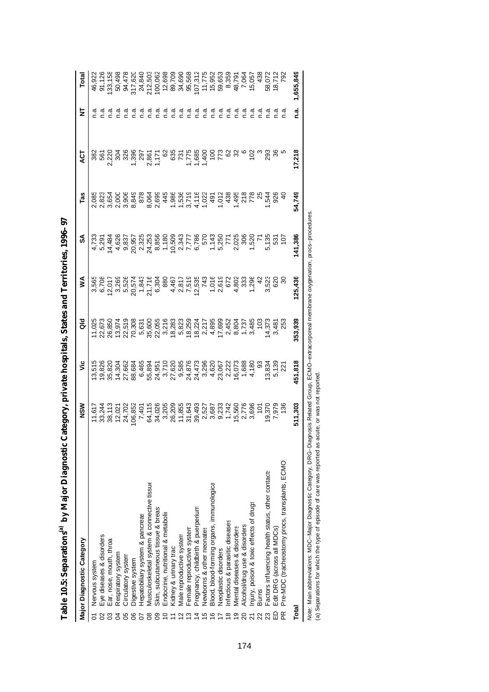| Major Diagnostic Category                                             | MSN                                                      | ۶Ë                                                                                                                                                                                                                                                                                                | aio                    | ⋚                                                     | వ                          | Tas          | ā                                        | 2        | Total                                                                   |
|-----------------------------------------------------------------------|----------------------------------------------------------|---------------------------------------------------------------------------------------------------------------------------------------------------------------------------------------------------------------------------------------------------------------------------------------------------|------------------------|-------------------------------------------------------|----------------------------|--------------|------------------------------------------|----------|-------------------------------------------------------------------------|
| Nervous system<br>δ                                                   | 11,617                                                   |                                                                                                                                                                                                                                                                                                   |                        |                                                       |                            |              |                                          |          |                                                                         |
| Eye diseases & disorders                                              |                                                          |                                                                                                                                                                                                                                                                                                   |                        |                                                       |                            |              |                                          | σ.<br>⊂  |                                                                         |
| Ear, nose, mouth, throa                                               | 33,244<br>38,113                                         | $\begin{array}{l} 19.516 \\ 19.820 \\ 19.821 \\ 19.660 \\ 19.730 \\ 19.660 \\ 19.660 \\ 19.80 \\ 19.80 \\ 19.80 \\ 19.80 \\ 19.80 \\ 19.80 \\ 19.80 \\ 19.80 \\ 19.80 \\ 19.80 \\ 19.80 \\ 19.80 \\ 19.80 \\ 19.80 \\ 19.80 \\ 19.80 \\ 19.80 \\ 19.80 \\ 19.80 \\ 19.80 \\ 19.80 \\ 19.80 \\ 19$ |                        | 5565<br>6707 5886574376<br>68865743768880<br>88867768 | $4,733$<br>5,291<br>14,484 |              |                                          | σ.<br>Γ  | 91,126<br>133,158<br>50,498<br>504,620<br>503,593<br>212,620<br>200,062 |
| Respiratory system                                                    | 12,027                                                   |                                                                                                                                                                                                                                                                                                   |                        |                                                       | 4,626<br>9.837             |              |                                          | ື້.<br>ດ |                                                                         |
| Circulatory system<br>80                                              | 24,702                                                   |                                                                                                                                                                                                                                                                                                   |                        |                                                       |                            |              |                                          | n.a      |                                                                         |
| Digestive system<br>8                                                 | 06,852                                                   |                                                                                                                                                                                                                                                                                                   |                        |                                                       |                            |              |                                          | ه.<br>ا  |                                                                         |
| Hepatobiliary system & pancreas                                       | 7,401                                                    |                                                                                                                                                                                                                                                                                                   |                        |                                                       |                            |              |                                          | م.<br>ا  |                                                                         |
| Vlusculoskeletal system & connective tissue                           | 64,115                                                   |                                                                                                                                                                                                                                                                                                   |                        |                                                       |                            |              |                                          | а<br>С   |                                                                         |
| Skin, subcutaneous tissue & breas:<br>Զ                               | 34,026                                                   |                                                                                                                                                                                                                                                                                                   |                        |                                                       |                            |              |                                          | م.<br>-  |                                                                         |
| indocrine, nutritional & metabolic                                    | 3,205                                                    |                                                                                                                                                                                                                                                                                                   |                        |                                                       |                            |              |                                          | ್.ಗ      | 12,698                                                                  |
| Kidney & urinary tract                                                |                                                          |                                                                                                                                                                                                                                                                                                   |                        |                                                       |                            |              |                                          | n a      |                                                                         |
| Male reproductive system                                              |                                                          |                                                                                                                                                                                                                                                                                                   |                        |                                                       |                            |              |                                          | ດ<br>⊂   | 89,709<br>34,690                                                        |
| Female reproductive system                                            | 26,209<br>11,855<br>31,643                               |                                                                                                                                                                                                                                                                                                   |                        |                                                       |                            |              | 835<br>2515<br>889<br>877<br>889<br>8927 | n.a      | 95,568                                                                  |
| Pregnancy, childbirth & puerperium<br>4                               |                                                          |                                                                                                                                                                                                                                                                                                   |                        |                                                       |                            |              |                                          | σ.<br>⊂  |                                                                         |
| Newborns & other neonates                                             | 893<br>8527 8823<br>86233 8625<br>8627 8826<br>8827 8826 |                                                                                                                                                                                                                                                                                                   |                        |                                                       |                            |              |                                          | ة.<br>أ  | 107,312<br>11,775<br>15,952<br>59,359<br>8,359                          |
| Blood, blood-forming organs, immunologica<br>ဖ                        |                                                          |                                                                                                                                                                                                                                                                                                   |                        |                                                       |                            |              |                                          | ن<br>ح   |                                                                         |
| Neoplastic disorders                                                  |                                                          |                                                                                                                                                                                                                                                                                                   |                        |                                                       |                            |              |                                          | n.a      |                                                                         |
| nfectious & parasitic diseases<br>$\infty$                            |                                                          |                                                                                                                                                                                                                                                                                                   |                        |                                                       |                            |              | ଌ                                        | ن<br>ح   |                                                                         |
| Mental diseases & disorders<br>တ                                      |                                                          |                                                                                                                                                                                                                                                                                                   |                        |                                                       |                            | 1,495<br>218 |                                          | ര<br>⊂   |                                                                         |
| Alcohol/drug use & disorders<br>$\overline{c}$                        |                                                          |                                                                                                                                                                                                                                                                                                   |                        |                                                       |                            |              |                                          | ್ತ       | 48,791<br>7,064                                                         |
| njury, poison & toxic effects of drugs                                |                                                          |                                                                                                                                                                                                                                                                                                   |                        |                                                       |                            | 778          | 102                                      | ن<br>م   | 15,057                                                                  |
| <b>Burns</b><br>$\overline{22}$                                       |                                                          |                                                                                                                                                                                                                                                                                                   |                        |                                                       |                            |              |                                          | ة.<br>C  | 436                                                                     |
| Factors influencing health status, other contact:<br>23               | 9,370<br>7,979<br>136                                    | 13,834                                                                                                                                                                                                                                                                                            |                        | ង<br>ភូមិ<br>ភូមិ                                     |                            | 1,544        | 293                                      | а<br>С   |                                                                         |
| Edit DRG (across all MDCs)<br>$\Omega$                                |                                                          | 5,139<br>221                                                                                                                                                                                                                                                                                      | 14,373<br>3,481<br>253 |                                                       | 5,135<br>531<br>107        | 926          |                                          | ه<br>۲   | 58,072<br>18,712<br>792                                                 |
| Pre-MDC (tracheostomy procs, transplants, ECMO)<br>$\frac{\alpha}{2}$ |                                                          |                                                                                                                                                                                                                                                                                                   |                        |                                                       |                            |              |                                          | ة.<br>C  |                                                                         |
| Total                                                                 | 511,303                                                  | 451,818                                                                                                                                                                                                                                                                                           | 353,939                | 125,436                                               | 141,386                    | 54,749       | 17,218                                   | n.a.     | 1,655,849                                                               |

| $\ddot{\phantom{0}}$ |
|----------------------|
|                      |
|                      |
|                      |
|                      |
| ı                    |
|                      |
|                      |
|                      |
|                      |
| i<br>l<br>י          |
| ì                    |
| I                    |
| I                    |
|                      |
| ſ<br>l               |

*Note:* Main abbreviations: MDC–Major Diagnostic Category, DRG–Diagnosis Related Group, ECMO–extracorporeal membrane oxygenation, procs–procedures.

Note: Main abbreviations: MDC–Major Diagnostic Category, DRG–Diagnosis Related Group, ECMO–extracorporeal membrane oxygenation, procs–procedures.<br>(a) Separations for which the type of episode of care was reported as acute,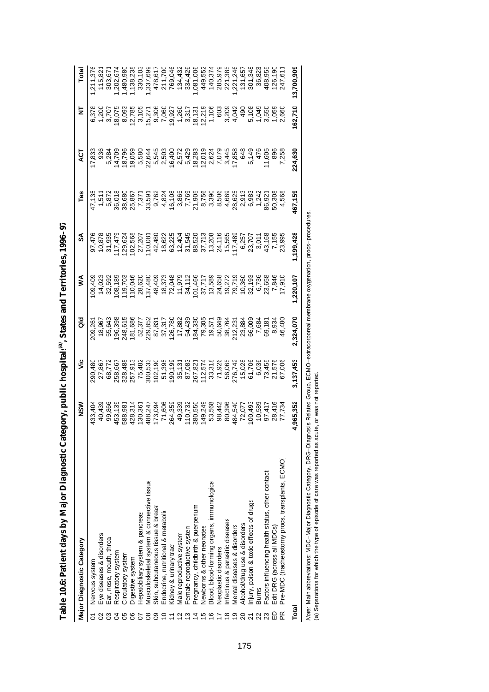|              | <b>Major Diagnostic Category</b>                  | MS<br>N                                                                                                                                                                                                                                                                                     | ۶Ë               | る                                                                                                                                       | ⋚         | వ్               | Fas     | ā       | ₹                  |                                                                   |
|--------------|---------------------------------------------------|---------------------------------------------------------------------------------------------------------------------------------------------------------------------------------------------------------------------------------------------------------------------------------------------|------------------|-----------------------------------------------------------------------------------------------------------------------------------------|-----------|------------------|---------|---------|--------------------|-------------------------------------------------------------------|
|              | Nervous system                                    | 433,404                                                                                                                                                                                                                                                                                     | 290,480          | 109,261                                                                                                                                 |           |                  |         | 7,833   |                    |                                                                   |
|              | Eye diseases & disorders                          |                                                                                                                                                                                                                                                                                             |                  |                                                                                                                                         |           |                  |         |         |                    |                                                                   |
|              | Ear, nose, mouth, throa                           | 40,439<br>99,866                                                                                                                                                                                                                                                                            | 27,867<br>68,772 | 18,967<br>55,643                                                                                                                        |           | 10,878<br>31,935 |         |         | $1,200$<br>$3,700$ | 115,821<br>303,671                                                |
|              | Respiratory system                                |                                                                                                                                                                                                                                                                                             |                  | 196,398                                                                                                                                 |           |                  |         |         | 18,075             |                                                                   |
|              | Circulatory system                                |                                                                                                                                                                                                                                                                                             |                  | 248,615<br>181,686                                                                                                                      |           |                  |         |         |                    |                                                                   |
|              | Digestive system                                  |                                                                                                                                                                                                                                                                                             |                  |                                                                                                                                         |           |                  |         |         |                    |                                                                   |
|              | Hepatobiliary system & pancreas                   |                                                                                                                                                                                                                                                                                             |                  | 52,377                                                                                                                                  |           |                  |         |         |                    |                                                                   |
|              | Musculoskeletal system & connective tissue        | $\begin{array}{l} 45.131 \\ 458.981 \\ 586.981 \\ 426.31 \\ 426.31 \\ 430.361 \\ 440.361 \\ 450.361 \\ 460.362 \\ 470.363 \\ 480.363 \\ 490.363 \\ 400.363 \\ 41.50 \\ 42.50 \\ 460.364 \\ 47.50 \\ 48.50 \\ 49.50 \\ 49.50 \\ 40.50 \\ 40.50 \\ 40.50 \\ 40.50 \\ 40.50 \\ 40.50 \\ 40.50$ |                  | 229,852                                                                                                                                 |           |                  |         |         |                    |                                                                   |
|              | Skin, subcutaneous tissue & breast                |                                                                                                                                                                                                                                                                                             |                  |                                                                                                                                         |           |                  |         |         |                    |                                                                   |
|              | Endocrine, nutritional & metabolic                |                                                                                                                                                                                                                                                                                             |                  | 87,831<br>37,317                                                                                                                        |           |                  |         |         |                    |                                                                   |
|              | Kidney & urinary tract                            |                                                                                                                                                                                                                                                                                             |                  | 126,780                                                                                                                                 |           |                  |         |         |                    |                                                                   |
|              | Vlale reproductive system                         |                                                                                                                                                                                                                                                                                             |                  | 17,882                                                                                                                                  |           |                  |         |         |                    |                                                                   |
|              | Female reproductive system                        |                                                                                                                                                                                                                                                                                             |                  | 54,439                                                                                                                                  |           |                  |         |         |                    |                                                                   |
|              | Pregnancy, childbirth & puerperium                |                                                                                                                                                                                                                                                                                             |                  | 184,330<br>79,305<br>19,571<br>50,649                                                                                                   |           |                  |         |         |                    |                                                                   |
|              | Newborns & other neonates                         |                                                                                                                                                                                                                                                                                             |                  |                                                                                                                                         |           |                  |         |         |                    |                                                                   |
|              | Blood, blood-forming organs, immunologica         |                                                                                                                                                                                                                                                                                             |                  |                                                                                                                                         |           |                  |         |         |                    |                                                                   |
|              | Neoplastic disorders                              |                                                                                                                                                                                                                                                                                             |                  |                                                                                                                                         |           |                  |         |         |                    |                                                                   |
|              | nfectious & parasitic diseases                    |                                                                                                                                                                                                                                                                                             |                  | 38,764                                                                                                                                  |           |                  |         |         |                    |                                                                   |
|              | Viental diseases & disorders                      |                                                                                                                                                                                                                                                                                             |                  |                                                                                                                                         |           |                  |         |         |                    |                                                                   |
|              | Alcohol/drug use & disorders                      |                                                                                                                                                                                                                                                                                             |                  |                                                                                                                                         |           |                  |         |         |                    |                                                                   |
|              | Injury, poison & toxic effects of drugs           |                                                                                                                                                                                                                                                                                             |                  |                                                                                                                                         |           |                  |         |         |                    |                                                                   |
|              | <b>Burns</b>                                      |                                                                                                                                                                                                                                                                                             |                  |                                                                                                                                         |           |                  |         |         |                    |                                                                   |
|              | Factors influencing health status, other contacts | 98,442<br>80,540,0788<br>80,540,07888<br>80,540,07788<br>98,077888<br>98,442<br>98,442                                                                                                                                                                                                      |                  | $\begin{array}{l} 212.231 \\ 213.884 \\ 23.600 \\ 66.008 \\ 7.634 \\ 8.481 \\ 7.481 \\ 8.481 \\ 9.344 \\ 9.480 \\ 4.480 \\ \end{array}$ |           |                  |         |         |                    | 1,221,246<br>131,657<br>301,348<br>36,823<br>408,1955<br>42,1,611 |
| $\Omega$     | Edit DRG (across all MDCs)                        |                                                                                                                                                                                                                                                                                             |                  |                                                                                                                                         |           |                  |         |         |                    |                                                                   |
| $\mathbb{R}$ | Pre-MDC (tracheostomy procs, transplants, ECMO    |                                                                                                                                                                                                                                                                                             |                  |                                                                                                                                         |           |                  |         |         |                    |                                                                   |
| Total        |                                                   | 4,965,352                                                                                                                                                                                                                                                                                   | 3,137,453        | 2,324,070                                                                                                                               | 1,220,107 | ,199,428         | 467,159 | 224,630 | 62,710             | 13,700,909                                                        |
|              |                                                   |                                                                                                                                                                                                                                                                                             |                  |                                                                                                                                         |           |                  |         |         |                    |                                                                   |

**Table 10.6: Patient days by Major Diagnostic Category, public hospitals** Table 10.6: Patient days by Major Diagnostic Category, public hospital<sup>(a)</sup>, States and Territories, 1996-97 **, States and Territories, 1996–97**

Note: Main abbreviations: MDC–Major Diagnostic Category, DRG–Diagnosis Related Group, ECMO–extracorporeal membrane oxygenation, procs–procedures.<br>(a) Separations for which the type of episode of care was reported as acute, *Note:* Main abbreviations: MDC–Major Diagnostic Category, DRG–Diagnosis Related Group, ECMO–extracorporeal membrane oxygenation, procs–procedures.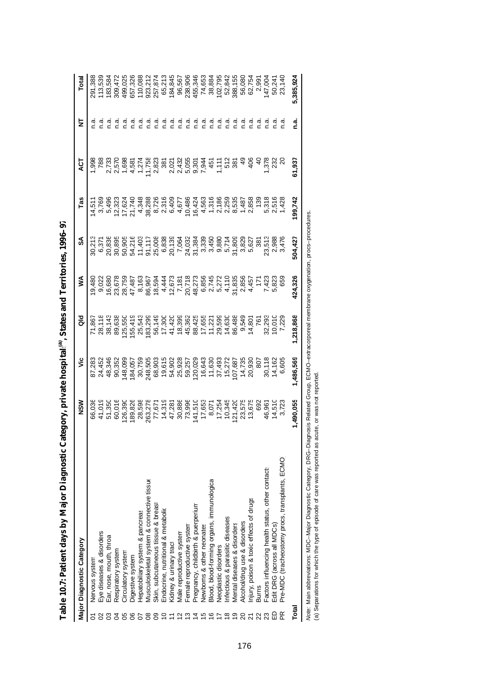|       | Major Diagnostic Category                                                                                                                                                                                                                            | MSN       | ۶Ë        | as<br>G    | ⋚                                          | న్                              | Tas                              | 75                    | ₹             | Total     |
|-------|------------------------------------------------------------------------------------------------------------------------------------------------------------------------------------------------------------------------------------------------------|-----------|-----------|------------|--------------------------------------------|---------------------------------|----------------------------------|-----------------------|---------------|-----------|
| δ     | Nervous system                                                                                                                                                                                                                                       | 66,036    | 87,283    | 71,867     | 9,480                                      | 30,213                          | 14,511                           | $-998$                | ة<br>أ        | 291,388   |
|       | Eye diseases & disorders                                                                                                                                                                                                                             | 41,019    | 24,452    | 28,118     | 9,022                                      |                                 | 3,769                            |                       | $\frac{a}{c}$ | 113,539   |
|       | Ear, nose, mouth, throa                                                                                                                                                                                                                              | 51,350    | 48,346    | 38,143     | 16,680                                     | 20,836                          | 5,496                            | 2,733                 | ್ತೆ           | 83,584    |
|       | Respiratory system                                                                                                                                                                                                                                   | 60,016    | 90,352    | 89,638     | 23,678                                     | 30,895                          | 12,323                           | 2,570                 | σ<br>⊂        | 309,472   |
| 56    | Circulatory system                                                                                                                                                                                                                                   | 126,390   | 148,095   | 25,550     | 28,759                                     | 50,905                          | 17,624                           | 1,698                 | $\frac{a}{c}$ | 499,025   |
|       | Digestive system                                                                                                                                                                                                                                     | 189,826   | 184,057   | 55,419     | 47,487                                     | 54,216                          | 21,740                           | 4,581                 | $\frac{a}{c}$ | 357,326   |
|       | Hepatobiliary system & pancreas                                                                                                                                                                                                                      | 28,598    | 30,759    | 25,543     | 8,163                                      | 11,403                          |                                  | 1,274                 | σ.<br>Ω       | 110,088   |
|       | Musculoskeletal system & connective tissue                                                                                                                                                                                                           | 263,278   | 248,505   | 83,299     | 86,967                                     | 91,117                          | 4,348<br>38,288                  | 11,758                | ة.<br>أ       | 923,212   |
|       | Skin, subcutaneous tissue & breast                                                                                                                                                                                                                   | 77,671    | 68,903    | 56,149     | 18,594                                     | 25,008                          |                                  | 2,823                 | σ<br>⊂        | 257,874   |
|       | Endocrine, nutritional & metabolio                                                                                                                                                                                                                   | 14,319    | 19,615    | 17,300     | 4,444                                      | 6,838                           | 8,726<br>2,316<br>2,409<br>4,677 | 381                   | ة.<br>C       | 65,213    |
|       | Kidney & urinary tract                                                                                                                                                                                                                               | 47,281    | 54,902    | 41,420     | $\frac{12,673}{7,181}$                     | 20,139                          |                                  | 2,021                 | ດ<br>⊂        | 184,845   |
|       | Male reproductive system                                                                                                                                                                                                                             | 30,886    | 25,928    | 18,399     |                                            | 7,064                           |                                  | 2,432                 | σ.<br>Γ       | 96,567    |
|       | Female reproductive system                                                                                                                                                                                                                           | 73,996    | 59,257    | 45,362     | 20,718                                     | 24,032                          | 10,486                           | 5,055                 | ີດ.<br>⊂      | 238,906   |
|       | Pregnancy, childbirth & puerperium                                                                                                                                                                                                                   | 141,510   | 120,029   | 88,425     |                                            | 31,384                          | 16,424                           |                       | ್ತೆ           | 455,346   |
|       | Newborns & other neonates                                                                                                                                                                                                                            | 17,653    | 16,643    | 17,655     | 48,273<br>6,856<br>6,745<br>5,272<br>5,272 |                                 | 4,563                            | 0.944                 | σ.<br>Ω       | 74,653    |
|       | Blood, blood-forming organs, immunologica                                                                                                                                                                                                            | 8,071     | 11,630    | 11,221     |                                            | 330<br>334<br>380<br>300<br>500 | 1,316                            | 451                   | ್ತ            | 38,884    |
|       | Neoplastic disorders                                                                                                                                                                                                                                 | 17,254    | 37,493    | 29,599     |                                            |                                 | 2,186                            |                       | σ.<br>⊂       | 102,795   |
|       | Infectious & parasitic diseases                                                                                                                                                                                                                      | 10,345    | 15,272    | 14,630     | 4,110                                      |                                 | 2,259                            |                       | ત<br>⊂        | 52,842    |
| ഇ     | Mental diseases & disorders                                                                                                                                                                                                                          | 121,420   | 107,687   | 86,488     | 31,835                                     | 31,809                          | 8,535                            | $1,111$<br>512<br>381 | σ.<br>Π       | 388,15    |
|       | Alcohol/drug use & disorders                                                                                                                                                                                                                         | 23,575    | 14,735    | 9,549      | 2,856                                      | 3,829                           | 1,487                            | ୱ                     | σ.<br>Γ       | 56,080    |
| 21    | Injury, poison & toxic effects of drugs                                                                                                                                                                                                              | 13,675    | 20,930    | 14,801     | 4,457                                      | 5,627                           | 2,858                            | 406                   | ್ತ            | 62,754    |
|       | <b>Burns</b>                                                                                                                                                                                                                                         | 692       | 807       | 761        | 171                                        | 381                             | 139                              | ੩                     | $\frac{a}{c}$ | 2,991     |
| 23    | Factors influencing health status, other contact                                                                                                                                                                                                     | 46,961    | 30,118    | 32,293     | 7,423                                      | 23,513                          | 5,318                            |                       | ة.<br>أ       | 147,004   |
| 읎     | Edit DRG (across all MDCs)                                                                                                                                                                                                                           | 14,510    | 14,162    | 10,010     | 5,823                                      | 2,988                           | 2,516                            | 378<br>232            | ه<br>۲        | 50,241    |
|       | Pre-MDC (tracheostomy procs, transplants, ECMO                                                                                                                                                                                                       | 3,723     | 6,605     | <b>229</b> | 659                                        | 3,476                           |                                  |                       | م.<br>ا       | 23,140    |
| Total |                                                                                                                                                                                                                                                      | 1,490,055 | 1,486,569 | ,218,868   | 424,326                                    | 504,427                         | 199,742                          | 61,937                | <u>ក្នុ</u>   | 5.385.924 |
|       | Mote: Main abbreviations: MDC−Major Diagnostic Category, DRG−Diagnosis Related Group, ECMO−extracorporeal membrane oxygenation, procs–procedures<br>(a) Separations for which the type of episode of care was reported as acute, or was not reported |           |           |            |                                            |                                 |                                  |                       |               |           |

| ì                                                                            |
|------------------------------------------------------------------------------|
|                                                                              |
| l                                                                            |
|                                                                              |
|                                                                              |
| י                                                                            |
|                                                                              |
|                                                                              |
|                                                                              |
| ì                                                                            |
|                                                                              |
| ı                                                                            |
| ׇ֚֘                                                                          |
|                                                                              |
|                                                                              |
| I                                                                            |
|                                                                              |
|                                                                              |
|                                                                              |
|                                                                              |
| I                                                                            |
| $\begin{array}{c} \begin{array}{c} \hline \end{array} \\ \hline \end{array}$ |
|                                                                              |
|                                                                              |
| Ï                                                                            |
| ī                                                                            |
|                                                                              |
| í                                                                            |
|                                                                              |
| ׇ֚֘֝֬<br>í                                                                   |
|                                                                              |
| í<br>l                                                                       |
| I<br>֠<br>ı                                                                  |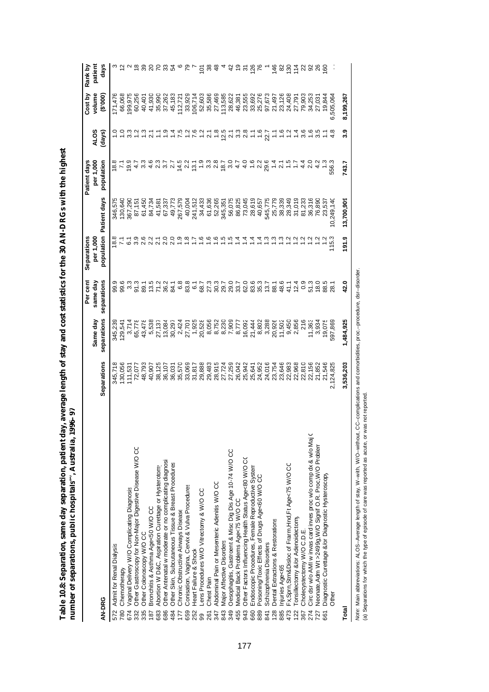| $\sim$ 00 $\sim$<br>ة<br>$f = f - f$<br>֧֧֧֧֧֧֧֧ׅ֧֧֧֧֧֧֧֧֪֧֚֚֚֚֚֚֚֚֚֚֚֚֚֚֚֚֚֚֚֚֚֚֚֚֚֝֓֝֓֝֬֝֓֝֓֝֬֜֓֝֬֝֬֝֓֜<br>Î<br>$\ddot{\phantom{a}}$ |   |
|----------------------------------------------------------------------------------------------------------------------------------------|---|
| l<br>ì<br>ğ<br>I<br>י                                                                                                                  | Į |

|                                                                         |                            |                                                                       | Per cent                      | Separations      |                            | Patient days                |                    | Cost by                              | Rank by                 |
|-------------------------------------------------------------------------|----------------------------|-----------------------------------------------------------------------|-------------------------------|------------------|----------------------------|-----------------------------|--------------------|--------------------------------------|-------------------------|
|                                                                         |                            | Same day                                                              | same day                      | per 1,000        |                            | per 1,000                   | <b>ALOS</b>        | volume                               | patient                 |
| AN-DRG                                                                  | Separations                | separations                                                           | separations                   |                  | population Patient days    | population                  | (days)             | (000, 3)                             | days                    |
| 572 Admit for Renal Dialysis                                            | 345,718                    | 345,239                                                               |                               | 18.8             | 346,575                    |                             |                    | 171,476                              |                         |
| Chemotherapy<br>780                                                     | 130,056                    | 129,541                                                               | 99.6<br>99.6                  |                  | 130,640                    |                             |                    | 66,068                               |                         |
| Vaginal Delivery W/O Complicating Diagnosis<br>674                      | 111,531                    |                                                                       | $3.\overline{3}$              |                  | 367,290                    | 요 - 이<br><u>요 - 이</u>       |                    | 199,975                              |                         |
| Other Gastroscopy for Non-Major Digestive Disease W/O CC<br>332         | 72,077                     | 3,714<br>65,778                                                       |                               | ္သိ              | 87,151                     |                             |                    | 60,256                               |                         |
| Other Colonoscopy W/O CC<br>335                                         | 48,793                     | 43,478                                                                |                               |                  | 61,450                     |                             |                    | 40,401                               |                         |
| Bronchitis & Asthma Age<50 W/O CC<br>187                                | 40,907                     | 5,538                                                                 |                               |                  | 84,734                     |                             | $-0.00000$         | 41,930                               |                         |
| Abortion W D&C, Aspiration Curettage or Hysterotom<br>683               | 38,125                     | 27,137                                                                |                               |                  | 41,581                     |                             |                    | 35,990                               |                         |
| Other Antenatal w moderate or no complicating diagnosis<br>686          | 36,107                     |                                                                       | 7.83<br>2.83                  |                  | 67,337                     |                             |                    | 37,262                               | <u>ន្ត ខ្លួ ង</u>       |
| Other Skin, Subcutaneous Tissue & Breast Procedures<br>484              | 36,031                     | $\begin{array}{c} 13,084 \\ 30,297 \\ 2,424 \\ 2,701 \end{array}$     |                               |                  | 49,773                     |                             | circicia<br>Circus | 45,183                               |                         |
| Chronic Obstructive Airways Disease<br>177                              | 35,570                     |                                                                       |                               |                  | 267,579                    |                             |                    | 112,721                              |                         |
| Conisation, Vagina, Cervix & Vulva Procedures<br>659                    | 33,069                     |                                                                       | စ် အီ <del>၁</del><br>စီ အီ စ | 5.65             | 40,004                     |                             |                    | 33,929                               |                         |
| Heart Failure & Shock<br>252                                            | 31,817                     |                                                                       |                               |                  | 241,512                    |                             |                    | 106,714                              |                         |
| ens Procedures W/O Vitrectomy & W/O CC<br>99                            | 29,888                     |                                                                       |                               | 1.6              |                            |                             |                    |                                      | $\frac{28}{3}$          |
| <b>Chest Pain</b><br>261                                                | 29,483                     |                                                                       |                               | $\frac{6}{1}$    | 34,433<br>61,636<br>52,265 |                             |                    | 52,603<br>35,586                     |                         |
| Abdominal Pain or Mesenteric Adenitis W/O CC<br>347                     | 28,915                     |                                                                       |                               |                  |                            |                             | $\frac{8}{1}$      | 27,469                               | 48                      |
| <b>Major Affective Disorders</b><br>843                                 | 27,724                     |                                                                       |                               |                  | 345,351                    |                             |                    | 113,585                              |                         |
| Oesophagitis, Gastroent & Misc Dig Dis Age 10-74 W/O CC<br>349          | 27,259                     |                                                                       |                               |                  | 56,075                     |                             |                    | 28,622                               |                         |
| Medical Back Problems Age<75 W/O CC<br>455                              |                            |                                                                       |                               |                  |                            |                             |                    | 46,381                               |                         |
| Other Factors Influencing Health Status Age<80 W/O CC<br>943            | 26,042<br>25,942           | - 926<br>- 9266 230<br>- 9275230<br>- 927523<br>- 927524<br>- 9287524 |                               |                  | 86,825<br>73,045           |                             | 25.798767776       | 23,555<br>33,692<br>25,276<br>97,673 | 4 ភូ <u>ទី ខ</u> ្លួន ៤ |
| Endoscopic Procedures, Female Reproductive System<br>660                |                            |                                                                       |                               |                  | 28,619                     |                             |                    |                                      |                         |
| Poisoning/Toxic Effects of Drugs Age<60 W/O CC<br>889                   | 25,641<br>24,952<br>24,016 | 8,802<br>3,288                                                        |                               | $\frac{4}{4}$ is | 40,657                     |                             |                    |                                      |                         |
| Schizophrenia Disorders<br>841                                          |                            |                                                                       |                               |                  | 545,775                    |                             |                    |                                      |                         |
| Dental Extractions & Restorations<br>128                                | 23,754                     | 20,926                                                                |                               | <u>က္</u>        | 25,779                     |                             |                    | 21,497                               |                         |
| njuries Age<65<br>885                                                   | 23,646                     | 11,502                                                                | 48.6                          | <u>ო</u>         | 38,339                     |                             |                    | 23,126                               |                         |
| Fx,Spm,Stm&Disloc of Frarm, Hnd,Ft Age<75 W/O CC<br>473                 | 22,983                     | 9,450<br>2,856                                                        | $41.1$<br>$12.4$              |                  | 28,349                     |                             |                    | 24,408                               | $\frac{48851}{6825}$    |
| Tonsillectomy &/or Adenoidectomy<br>122                                 | 22,968                     |                                                                       |                               |                  | 31,019<br>81,233           |                             |                    | 27,791                               |                         |
| Cholecystectomy W/O C.D.E.<br>367                                       | 22,810                     | 216                                                                   | 0.9                           |                  |                            |                             | 3.6                | 79,903                               |                         |
| Circ dsr w/o AMI w invas card inves proc w/o comp dx & w/o Maj C<br>274 | 22,156                     | 11,363                                                                | 51.3                          |                  | 36,316                     |                             |                    | 34,253                               |                         |
| Neonate, Adm Wt >2499g, W/O Signif O.R. Proc, W/O Problem<br>727        | 21,852                     | 3,934                                                                 | 18.0                          |                  | 76,890                     | $\frac{a}{4}$ $\frac{a}{2}$ |                    | 27,031                               |                         |
| Diagnostic Curettage &/or Diagnostic Hysteroscopy<br>661                | 21,546                     | 19,075                                                                | 88.5                          |                  | 23,537                     |                             |                    | 19,844                               |                         |
| Other                                                                   | 2,124,825                  | 597,869                                                               | 28.1                          | 115.3            | 10,249,140                 |                             |                    | 505,06                               |                         |
| Total                                                                   | 3,536,203                  | 1,484,925                                                             | 42.0                          | 191.9            | 13,700,909                 | 743.7                       | ი<br>ი             | 8,199,267                            |                         |

*Note: Main abbreviations:* ALOS–Average length of stay, W–with, W/O–without, CC–complications and comorbidities, proc.–procedure, dsr–disorder.<br>(а) Separations for which the type of episode of care was reported as acute *Note:* Main abbreviations: ALOS–Average length of stay, W–with, W/O–without, CC–complications and comorbidities, proc.–procedure, dsr–disorder.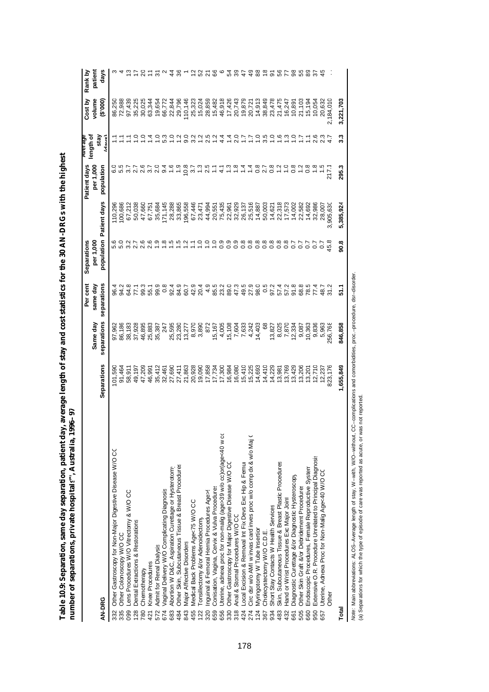| l<br>J<br>くりりし |        |
|----------------|--------|
|                |        |
|                |        |
|                |        |
|                |        |
| ۱              |        |
|                |        |
|                |        |
| į              |        |
|                |        |
| l              | ı      |
| i              | į<br>í |
|                | ļ      |
|                |        |
| ı              |        |
|                |        |
|                |        |
|                |        |

|                                                                         |             |               | Per cent         | Separations             |           | Patient days  | Average              | Cost by   | Rank by       |
|-------------------------------------------------------------------------|-------------|---------------|------------------|-------------------------|-----------|---------------|----------------------|-----------|---------------|
|                                                                         |             | Same day      | same day         | per 1,000               |           | per 1,000     | length of            | volume    | patient       |
| AN-DRG                                                                  | Separations | separations   | separations      | population Patient days |           | population    | stay<br><b>Anish</b> | (000.3)   | days          |
| Other Gastroscopy for Non-Major Digestive Disease W/O CC<br>332         | 101,590     | 97,962        | 96.4             |                         | 110,296   |               |                      | 86,250    |               |
| Other Colonoscopy W/O CC<br>335                                         | 91,464      | 86,186        | 94.2             |                         | 00,686    |               |                      | 72,988    |               |
| Lens Procedures W/O Vitrectomy & W/O CC<br>099                          | 58,911      | 38,183        | 64.8             |                         | 67,212    |               |                      | 97,439    |               |
| Dental Extractions & Restorations<br><b>28</b>                          | 49,197      | 37,928        | 77.1             |                         | 50,038    | $2.7$<br>2.6  | $\ddot{ }$           | 35,225    |               |
| Chemotherapy<br>780                                                     | 47,209      | 46,895        | 99.3<br>55.1     |                         | 47,660    |               | $\frac{0}{1}$        | 30,025    |               |
| Knee Procedures                                                         | 46,991      | 25,883        |                  | $0.69$<br>$0.99$        | 67,751    | 37            | $\frac{4}{1}$        | 63,344    |               |
| Admit for Renal Dialysis<br>572                                         | 35,412      | 35,387        | 99.9             |                         | 35,684    | 2.0           | $\frac{1}{2}$        | 19,654    |               |
| Vaginal Delivery W/O Complicating Diagnosis<br>674                      | 32,461      | 247           | $0.\overline{8}$ |                         | 171,145   | 9.4           | 53                   | 66,772    |               |
| Abortion W D&C, Aspiration Curettage or Hysterotom<br>683               | 27,690      | 25,595        | 92.4             |                         | 28,288    |               |                      | 22,844    |               |
| Other Skin, Subcutaneous Tissue & Breast Procedures<br>484              | 27,411      | 23,280        | 84.9             |                         | 33,865    |               | $-20$                | 29,796    |               |
| Major Affective Disorders<br>843                                        | 21,863      | 13,277        | 60.7             | $\tilde{a}$             | 196,558   | $rac{8}{3.7}$ | 9.0                  | 110,146   |               |
| Medical Back Problems Age<75 W/O CC<br>455                              | 20,928      | 8,970         | 42.9             |                         | 67,446    |               | 3.2                  | 25,323    |               |
| Tonsillectomy &/or Adenoidectomy<br>22                                  | 19,090      | 3,890         | 20.4             | ူ                       | 23,471    | $\frac{3}{2}$ | $\frac{1}{2}$        | 15,024    | ℅             |
| Inguinal & Femoral Hernia Procedures Age><br>320                        | 17,858      | 872           | 4.9              | $\ddot{ }$              | 44,994    | 2.5           | 2.5                  | 28,859    | ম             |
| Conisation, Vagina, Cervix & Vulva Procedures<br>659                    | 17,734      | 15,167        | 85.5             | $\frac{1}{2}$           | 20,551    | Ξ             |                      | 15,482    | အ             |
| Uterine, adnexa proc for non-malig (age>39 w/o cc)or(age<40 w cc<br>656 | 17,300      | 4,005         | 23.2             | $\frac{6}{2}$           | 75,435    | $\frac{1}{4}$ |                      | 46,918    |               |
| Other Gastroscopy for Major Digestive Disease W/O CC<br>330             | 16,984      | 15,108        | 89.0             | $\frac{0}{2}$           | 22,961    | $\frac{3}{2}$ | $\dot{z}$            | 17,426    |               |
| Anal & Stomal Procedures W/O CC<br>$\frac{8}{3}$                        | 16,080      | 7,604         | 47.3             | 0.9                     | 32,929    | $\frac{8}{1}$ | 2.0                  | 20,743    |               |
| coal Excision & Removal Int Fix Devs Exc Hip & Femul<br>424             | 15,410      | 7,633         | 49.5             | 0.8                     | 26,137    |               | ζĻ                   | 19,879    | 4             |
| Circ dsr w/o AMI w invas card inves proc w/o comp dx & w/o Maj C<br>274 | 15,225      | 4,242         | 27.9             | 0.8                     | 25,516    |               | Ľ,                   | 20,721    | ą9            |
| Myringotomy W Tube Insertion<br>$\overline{24}$                         | 14,693      | 14,403        | 98.0             | 0.8                     | 14,887    | $rac{8}{2}7$  | $\frac{0}{1}$        | 14,913    | 88            |
| Cholecystectomy W/O C.D.E.<br>367                                       | 14,410      | $\frac{8}{5}$ | 0.5              | 0.8                     | 50,003    |               | 3.5                  | 38,849    | $\frac{8}{1}$ |
| Short Stay Contacts W Health Services<br>934                            | 14,229      | 13,827        | 97.2             | 0.8                     | 14,621    | 0.8           | $\frac{1}{2}$        | 23,478    | ଚ             |
| Skin, Subcutaneous Tissue & Breast Plastic Procedures<br>483            | 13,981      | 8,025         | 57.4             | 0.8                     | 22,318    |               | $\frac{6}{1}$        | 21,475    |               |
| Hand or Wrist Procedures Exc Major Joint<br>432                         | 13,769      | 7,870         | 57.2             | 0.8                     | 17,573    |               | $\frac{3}{2}$        | 16,247    |               |
| Diagnostic Curettage &/or Diagnostic Hysteroscopy<br>661                | 13,429      | 12,334        | 91.8             | 2.0                     | 14,002    | 0.8           | $\frac{1}{2}$        | 10,891    |               |
| Other Skin Graft &/or Debridement Procedures<br>505                     | 13,206      | 9,087         | 68.8             | 2.0                     | 22,582    |               | Ξ                    | 21,103    |               |
| Endoscopic Procedures, Female Reproductive System<br>660                | 13,201      | 10,363        | 78.5             | G                       | 14,692    | $\frac{8}{2}$ |                      | 15,194    |               |
| Extensive O.R. Procedure Unrelated to Principal Diagnosis<br>950        | 12,710      | 9,836         | 77.4             |                         | 32,986    |               | 2.6                  | 10,054    |               |
| Uterine, Adnexa Proc for Non-Malig Age<40 W/O CO<br>657                 | 12,237      | 5,963         | 48.7             |                         | 28,007    |               |                      | 20,632    |               |
| Other                                                                   | 823,17      | 256,76        | $\frac{2}{31}$   | 45.8                    | ,905,630  | 217.7         |                      | 2,184,01C |               |
| Total                                                                   | 1,655,849   | 846,858       | ۲.<br>5          | $\frac{8}{2}$           | 5,385,924 | 295.3         | 33                   | 3,221,703 |               |

*Note: Ma*in abbreviations: ALOS–Average length of stay, W–with, W/O–without, CC–complications and comorbidities, proc.–procedure, dsr−disorder.<br>(a) Separations for which the type of episode of care was reported as acute, *Note:* Main abbreviations: ALOS–Average length of stay, W–with, W/O–without, CC–complications and comorbidities, proc.–procedure, dsr–disorder. (a) Separations for which the type of episode of care was reported as acute, or was not reported.

178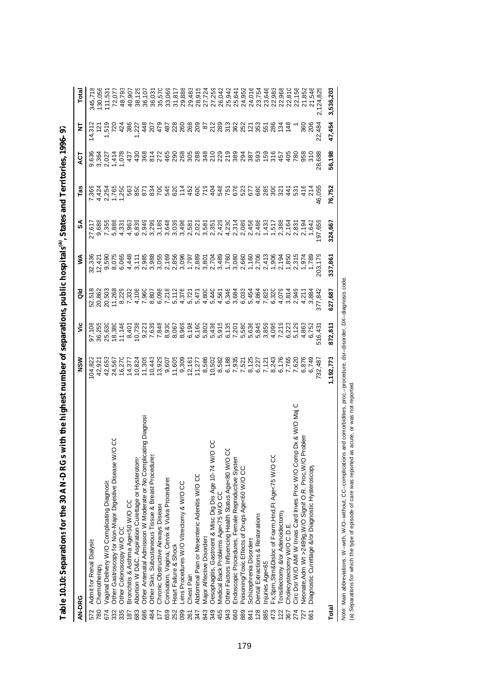| AN-DRG                                                                   | NSM              | ۊ                       | ă                                                                                                                                                                                                                                                                                                                                                                                                                                                                                                                                                                                          | ≸       | SA                      | Tas           | ă                     | ₹                           |                             |
|--------------------------------------------------------------------------|------------------|-------------------------|--------------------------------------------------------------------------------------------------------------------------------------------------------------------------------------------------------------------------------------------------------------------------------------------------------------------------------------------------------------------------------------------------------------------------------------------------------------------------------------------------------------------------------------------------------------------------------------------|---------|-------------------------|---------------|-----------------------|-----------------------------|-----------------------------|
| Admit for Renal Dialysis<br>572                                          | 04,822           | 97,108                  |                                                                                                                                                                                                                                                                                                                                                                                                                                                                                                                                                                                            | 32,336  | 27,617                  | 7,369         |                       |                             | 345,71                      |
| Chemotherapy<br>780                                                      | 42,92            |                         | 52,518<br>20,862                                                                                                                                                                                                                                                                                                                                                                                                                                                                                                                                                                           |         |                         |               |                       |                             |                             |
| Vaginal Delivery W/O Complicating Diagnosis<br>674                       |                  |                         |                                                                                                                                                                                                                                                                                                                                                                                                                                                                                                                                                                                            | 9,590   | 9,688<br>7,355<br>5,888 |               |                       |                             |                             |
| o<br>O<br>Other Gastroscopy for Non-Major Digestive Disease W/<br>332    | 24,567           |                         |                                                                                                                                                                                                                                                                                                                                                                                                                                                                                                                                                                                            | 8,07    |                         | 1,765         |                       |                             | 111,531<br>72,077<br>48,793 |
| Other Colonoscopy W/O CC<br>335                                          | 16,27            |                         |                                                                                                                                                                                                                                                                                                                                                                                                                                                                                                                                                                                            |         | 4,33                    | 1,250         |                       | 42 <sup>2</sup>             |                             |
| Bronchitis & Asthma Age<50 W/O CC<br>187                                 |                  |                         | 20,503<br>11,268<br>8,229<br>7,332                                                                                                                                                                                                                                                                                                                                                                                                                                                                                                                                                         |         |                         |               | $\frac{14000}{10000}$ | 386                         | 40,907                      |
| Abortion W D&C, Aspiration Curettage or Hysterotom<br>683                |                  |                         | $\begin{array}{cccccccccccccc} A & \vdash & \alpha & \alpha & \vdash & \alpha & \vdash & \alpha & \vdash & \alpha & \vdash & \alpha & \vdash & \alpha & \vdash & \alpha & \vdash & \alpha & \vdash & \alpha & \vdash & \alpha & \vdash & \alpha & \vdash & \alpha & \vdash & \alpha & \vdash & \alpha & \vdash & \alpha & \vdash & \alpha & \vdash & \alpha & \vdash & \alpha & \vdash & \alpha & \vdash & \alpha & \vdash & \alpha & \vdash & \alpha & \vdash & \alpha & \vdash & \alpha & \vdash & \alpha & \vdash & \alpha & \vdash & \alpha & \vdash & \alpha & \vdash & \alpha & \vd$ |         |                         |               |                       | $-237$<br>$748$<br>$759$    | 38,125                      |
| Other Antenatal Admission W Moderate or No Complicating Diagnosia<br>686 |                  |                         |                                                                                                                                                                                                                                                                                                                                                                                                                                                                                                                                                                                            |         |                         |               |                       |                             |                             |
| Other Skin, Subcutaneous Tissue & Breast Procedures<br>484               |                  |                         |                                                                                                                                                                                                                                                                                                                                                                                                                                                                                                                                                                                            |         |                         |               | 3827                  |                             | 36,03                       |
| Chronic Obstructive Airways Disease<br>Ë                                 |                  |                         |                                                                                                                                                                                                                                                                                                                                                                                                                                                                                                                                                                                            |         |                         |               |                       |                             | 35,57                       |
| Conisation, Vagina, Cervix & Vulva Procedures<br>659                     |                  |                         |                                                                                                                                                                                                                                                                                                                                                                                                                                                                                                                                                                                            |         |                         |               | 465                   |                             | 33,06                       |
| Heart Failure & Shock<br>252                                             |                  |                         |                                                                                                                                                                                                                                                                                                                                                                                                                                                                                                                                                                                            |         |                         |               |                       |                             |                             |
| Lens Procedures W/O Vitrectomy & W/O CC<br>099                           |                  |                         |                                                                                                                                                                                                                                                                                                                                                                                                                                                                                                                                                                                            |         |                         |               |                       |                             |                             |
| <b>Chest Pain</b><br>261                                                 |                  |                         |                                                                                                                                                                                                                                                                                                                                                                                                                                                                                                                                                                                            |         |                         |               |                       |                             |                             |
| Abdominal Pain or Mesenteric Adenitis W/O CC<br>347                      |                  |                         |                                                                                                                                                                                                                                                                                                                                                                                                                                                                                                                                                                                            |         |                         |               |                       |                             |                             |
| Major Affective Disorders<br>843                                         |                  |                         |                                                                                                                                                                                                                                                                                                                                                                                                                                                                                                                                                                                            |         |                         |               |                       |                             |                             |
| ပ္ပ<br>Oesophagitis, Gastroent & Misc Dig Dis Age 10-74 W/O<br>349       |                  |                         |                                                                                                                                                                                                                                                                                                                                                                                                                                                                                                                                                                                            |         |                         |               |                       |                             |                             |
| Medical Back Problems Age<75 W/O CC<br>455                               |                  |                         |                                                                                                                                                                                                                                                                                                                                                                                                                                                                                                                                                                                            |         |                         |               |                       |                             |                             |
| Other Factors Influencing Health Status Age<80 W/O CO<br>943             |                  |                         |                                                                                                                                                                                                                                                                                                                                                                                                                                                                                                                                                                                            |         |                         |               |                       |                             |                             |
| Endoscopic Procedures, Female Reproductive System<br>660                 |                  |                         |                                                                                                                                                                                                                                                                                                                                                                                                                                                                                                                                                                                            |         |                         |               |                       |                             |                             |
| Poisoning/Toxic Effects of Drugs Age<60 W/O CC<br>889                    |                  |                         |                                                                                                                                                                                                                                                                                                                                                                                                                                                                                                                                                                                            |         |                         |               |                       |                             |                             |
| Schizophrenia Disorders<br>841                                           |                  |                         |                                                                                                                                                                                                                                                                                                                                                                                                                                                                                                                                                                                            |         |                         |               |                       |                             |                             |
| Dental Extractions & Restorations<br>128                                 |                  |                         |                                                                                                                                                                                                                                                                                                                                                                                                                                                                                                                                                                                            |         |                         |               |                       | 878998779707888             |                             |
| Injuries Age<65<br>885                                                   |                  |                         |                                                                                                                                                                                                                                                                                                                                                                                                                                                                                                                                                                                            |         |                         |               |                       |                             |                             |
| Fx,Sprn,Strn&Disloc of Frarm, Hnd,Ft Age<75 W/O CC<br>473                |                  |                         |                                                                                                                                                                                                                                                                                                                                                                                                                                                                                                                                                                                            |         |                         |               |                       |                             |                             |
| Tonsillectomy &/or Adenoidectomy<br>122                                  |                  |                         |                                                                                                                                                                                                                                                                                                                                                                                                                                                                                                                                                                                            |         |                         |               |                       | $\frac{1}{2}$ $\frac{4}{5}$ |                             |
| Cholecystectomy W/O C.D.E.<br>367                                        |                  |                         |                                                                                                                                                                                                                                                                                                                                                                                                                                                                                                                                                                                            |         |                         | $\frac{4}{1}$ | 405                   |                             |                             |
| Circ Dsr W/O AMI W Invas Card Inves Proc W/O Comp Dx & W/O Maj C<br>274  |                  |                         |                                                                                                                                                                                                                                                                                                                                                                                                                                                                                                                                                                                            |         |                         | 531           | 780                   |                             |                             |
| roblen<br>Neonate, Adm Wt >2499g, W/O Signif O.R. Proc, W/O P<br>727     |                  | 5,129<br>4,863<br>6,752 |                                                                                                                                                                                                                                                                                                                                                                                                                                                                                                                                                                                            |         |                         | 416           | 958                   | 360                         | 21,852                      |
| Diagnostic Curettage &/or Diagnostic Hysteroscopy<br>661                 |                  |                         | 3,884                                                                                                                                                                                                                                                                                                                                                                                                                                                                                                                                                                                      |         |                         | 214           | 310<br>28,688         | 206                         | 21,546                      |
|                                                                          | 6,749<br>732,487 | \$16,43                 | 377,842                                                                                                                                                                                                                                                                                                                                                                                                                                                                                                                                                                                    |         | 1,642<br>197,659        | 46,055        |                       | 22,484                      | 2,124,825                   |
| Total                                                                    | 1,192,773        | 872,811                 | 627,687                                                                                                                                                                                                                                                                                                                                                                                                                                                                                                                                                                                    | 337,861 | 324,667                 | 76,752        | 56,198                | 47,454                      | 3,536,203                   |

| í<br>į                                                                                                                          |
|---------------------------------------------------------------------------------------------------------------------------------|
|                                                                                                                                 |
|                                                                                                                                 |
| I                                                                                                                               |
|                                                                                                                                 |
|                                                                                                                                 |
|                                                                                                                                 |
|                                                                                                                                 |
|                                                                                                                                 |
|                                                                                                                                 |
|                                                                                                                                 |
|                                                                                                                                 |
|                                                                                                                                 |
|                                                                                                                                 |
|                                                                                                                                 |
|                                                                                                                                 |
|                                                                                                                                 |
|                                                                                                                                 |
| I<br>֠                                                                                                                          |
|                                                                                                                                 |
|                                                                                                                                 |
|                                                                                                                                 |
| ı                                                                                                                               |
|                                                                                                                                 |
|                                                                                                                                 |
| i                                                                                                                               |
|                                                                                                                                 |
|                                                                                                                                 |
| l                                                                                                                               |
|                                                                                                                                 |
|                                                                                                                                 |
|                                                                                                                                 |
|                                                                                                                                 |
|                                                                                                                                 |
| I                                                                                                                               |
|                                                                                                                                 |
|                                                                                                                                 |
|                                                                                                                                 |
|                                                                                                                                 |
|                                                                                                                                 |
|                                                                                                                                 |
|                                                                                                                                 |
|                                                                                                                                 |
|                                                                                                                                 |
|                                                                                                                                 |
| )                                                                                                                               |
|                                                                                                                                 |
|                                                                                                                                 |
|                                                                                                                                 |
|                                                                                                                                 |
|                                                                                                                                 |
| ֧֖֧֢ׅ֧֧֧֧֧֪֧֧֪֪֧֚֚֚֚֚֚֚֚֚֚֚֚֚֚֚֚֚֚֚֚֚֚֚֚֚֚֚֚֚֝֓֓֓֝֓֝֓֓֝֬֝֓֝֬<br>I                                                               |
|                                                                                                                                 |
|                                                                                                                                 |
|                                                                                                                                 |
| $\mathcal{L}^{\text{max}}_{\text{max}}$ and $\mathcal{L}^{\text{max}}_{\text{max}}$ and $\mathcal{L}^{\text{max}}_{\text{max}}$ |
|                                                                                                                                 |
|                                                                                                                                 |
| f<br>i<br>í                                                                                                                     |
|                                                                                                                                 |
|                                                                                                                                 |
|                                                                                                                                 |
|                                                                                                                                 |
|                                                                                                                                 |
|                                                                                                                                 |
|                                                                                                                                 |
|                                                                                                                                 |
|                                                                                                                                 |
|                                                                                                                                 |
|                                                                                                                                 |
|                                                                                                                                 |
| l                                                                                                                               |
| ļ                                                                                                                               |
|                                                                                                                                 |
| ׇ֚֬֡                                                                                                                            |
| ;<br>;                                                                                                                          |
|                                                                                                                                 |
|                                                                                                                                 |
|                                                                                                                                 |
| -<br>E<br>۱                                                                                                                     |
|                                                                                                                                 |

Note: Main abbreviations: W−with, W/O−without, CC−complications and comorbidities, proc.−procedure, dsr−disorder, DX−diagnosis code.<br>(a) Separations for which the type of episode of care was reported as acute, or was not *Note:* Main abbreviations: W–with, W/O–without, CC–complications and comorbidities, proc.–procedure, dsr–disorder, DX–diagnosis code.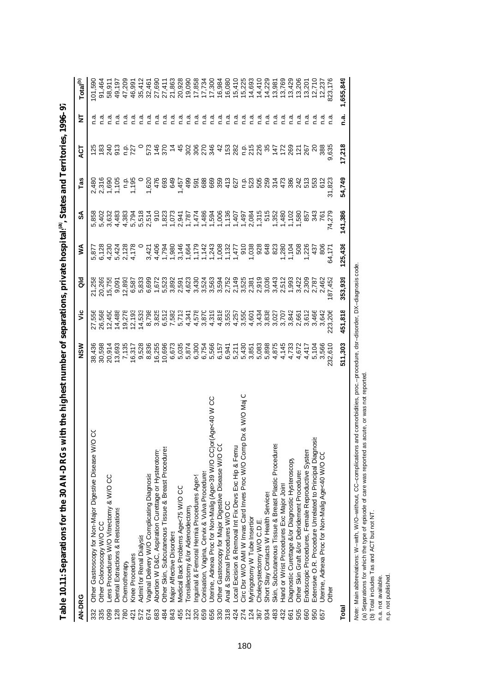| AN-DRG |                                                                     | NSM     | ۶Ë                                         | る                         | ⋚                                                  | వ్                                                                                                                                                                                                                                   | Tas            | 5<br>4         | 눌    | Total <sup>(b)</sup> |
|--------|---------------------------------------------------------------------|---------|--------------------------------------------|---------------------------|----------------------------------------------------|--------------------------------------------------------------------------------------------------------------------------------------------------------------------------------------------------------------------------------------|----------------|----------------|------|----------------------|
| 332    | ୪<br>Other Gastroscopy for Non-Major Digestive Disease W/C          | 38,436  | 27,556                                     |                           | 5,877                                              | 858                                                                                                                                                                                                                                  | 2,480          |                |      | 01,590               |
| 335    | Other Colonoscopy W/O CC                                            | 30,598  | 26,568                                     | 21,258<br>20,269          | 6,128                                              | 5,402                                                                                                                                                                                                                                | 2,316          |                |      | 91,464               |
| 099    | ens Procedures W/O Vitrectomy & W/O CC                              | 20,914  | 12,450                                     | 15,755                    | 4 10 21 4<br>0 4 4 5 6 7<br>0 4 7 8 0<br>1 4 7 8 0 | 3,632                                                                                                                                                                                                                                | 1,690<br>1,105 | 240            | n a  | 58,911               |
| 128    | Dental Extractions & Restorations                                   | 13,693  | 14,488                                     | 9,091                     |                                                    | 4,483                                                                                                                                                                                                                                |                | 5 2 2<br>9 2 2 | n.a  | 49,197               |
| 780    | Chemotherapy                                                        | 7,135   |                                            | 12,893                    |                                                    | 4,383                                                                                                                                                                                                                                |                |                | n.a  | 47,209               |
| 421    | Knee Procedures                                                     | 16,317  | 19,278<br>12,193                           | 6,587                     |                                                    | 5,794                                                                                                                                                                                                                                | 1,195          |                | n.a  | 46,991               |
| 572    | Admit for Renal Dialysis                                            | 9,528   | 14,533<br>8,798                            | 5,833                     |                                                    |                                                                                                                                                                                                                                      |                |                | n.a  | 35,412               |
| 674    | Vaginal Delivery W/O Complicating Diagnosis                         | 8,836   |                                            | 6,699                     |                                                    |                                                                                                                                                                                                                                      | 1,620<br>476   |                | n.a  | 32,461               |
| 683    | Abortion W D&C, Aspiration Curettage or Hysterotomy                 | 6,255   | 825<br>85582<br>ตั้ง F มี                  | 1.623<br>1.6335<br>1.6355 |                                                    | 52 11:00 11:00 12:00 12:00 13:00 14:00 15:00 16:00 16:00 16:00 16:00 16:00 16:00 16:00 16:00 16:00 16:00 16:00<br>5.00 10:00 16:00 16:00 16:00 16:00 16:00 16:00 16:00 16:00 16:00 16:00 16:00 16:00 16:00 16:00 16:00 16:00 16<br>5 |                |                | n.a  | 27,690               |
| 484    | Other Skin, Subcutaneous Tissue & Breast Procedures                 | 0,696   |                                            |                           |                                                    |                                                                                                                                                                                                                                      | 693            |                | n.a  | 27,411               |
| 843    | <b>Major Affective Disorders</b>                                    | 6,673   |                                            |                           |                                                    |                                                                                                                                                                                                                                      | <b>649</b>     |                | n.a  | 21,863               |
| 455    | Medical Back Problems Age<75 W/O CC                                 | 5,035   |                                            |                           |                                                    |                                                                                                                                                                                                                                      | 1,457          |                | n.a  | 20,928               |
| 122    | Tonsillectomy &/or Adenoidectomy                                    | 5,874   | 4,341                                      | 4,623                     |                                                    |                                                                                                                                                                                                                                      | 499            |                | n.a  | 19,090               |
| 320    | Inguinal & Femoral Hernia Procedures Age>                           | 6,300   | 4,578                                      | 3,43                      |                                                    |                                                                                                                                                                                                                                      | 591            |                | n.a  | 17,858               |
| 659    | Conisation, Vagina, Cervix & Vulva Procedures                       | 6,754   | 3,870                                      | 3,524<br>3,563            |                                                    |                                                                                                                                                                                                                                      | 688            |                | n.a  | 17,734               |
| 656    | CO Nove-Adness Rock Mor-Nor-Nor-DN to the state of the Sandy Co     | 5,566   | 4,319                                      |                           |                                                    |                                                                                                                                                                                                                                      | 669            |                | n.a  | 17,300               |
| 330    | Other Gastroscopy for Major Digestive Disease W/O CC                | 6,157   | 4,818                                      |                           |                                                    |                                                                                                                                                                                                                                      | 359            | $4\frac{1}{2}$ | n a  | 16,984               |
| 318    | Anal & Stomal Procedures W/O CC                                     |         | 3,553                                      |                           |                                                    |                                                                                                                                                                                                                                      | 413            |                | n.a  | 16,080               |
| 424    | -ocal Excision & Removal Int Fix Devs Exc Hip & Femu                |         | 4,257                                      |                           |                                                    |                                                                                                                                                                                                                                      | 627            |                | n.a  | 15,410               |
| 274    | Dx & W/O Maj C<br>Circ Dsr W/O AMI W Invas Card Inves Proc W/O Comp |         | 3,550                                      |                           | 928<br>2010<br>2010                                |                                                                                                                                                                                                                                      | $-58887$       |                | n.a  | 15,225               |
| 124    | Myringotomy W Tube Insertion                                        |         | 4,601                                      |                           |                                                    |                                                                                                                                                                                                                                      |                |                | n.a  | 14,693               |
| 367    | Cholecystectomy W/O C.D.E.                                          |         |                                            |                           |                                                    |                                                                                                                                                                                                                                      |                |                | e.n  | 14,410               |
| 934    | Short Stay Contacts W Health Services                               |         | အို အီ ၁ )<br>အီ အီ ၁ )<br>ကို ကို ကို ကို |                           | 648                                                |                                                                                                                                                                                                                                      |                |                | n.a  | 14,229               |
| 483    | Skin, Subcutaneous Tissue & Breast Plastic Procedures               | 4,875   |                                            |                           | 823                                                |                                                                                                                                                                                                                                      |                |                | n.a  | 13,981               |
| 432    | Hand or Wrist Procedures Exc Major Joint                            | 4,145   |                                            |                           | $-280$                                             |                                                                                                                                                                                                                                      | 473            |                | n a  | 13,769               |
| 661    | Diagnostic Curettage &/or Diagnostic Hysteroscopy                   | 4,733   | 3,842                                      | 1,993                     | $\frac{5}{9}$                                      | $1,102$<br>$1,580$                                                                                                                                                                                                                   | 386            |                | n.a  | 13,429               |
| 505    | Other Skin Graft &/or Debridement Procedures                        | 4,672   | 2,661                                      | 3,422<br>2,309            |                                                    |                                                                                                                                                                                                                                      | 242            | $\frac{5}{2}$  | n a  | 13,206               |
| 660    | Endoscopic Procedures, Female Reproductive System                   | 4,417   | 3,612                                      |                           | 1,226                                              | 857                                                                                                                                                                                                                                  | 513            | 267            | n a  | 13,201               |
| 950    | Extensive O.R. Procedure Unrelated to Principal Diagnosis           | 5,104   | 3,466                                      | 2,787                     | $43\overline{ }$                                   | 343                                                                                                                                                                                                                                  | 553            | g              | n.a  | 12,710               |
| 657    | Uterine, Adnexa Proc for Non-Malig Age<40 W/O CC                    | 3,566   | 3,642                                      | 2,462                     | 80E                                                | 761                                                                                                                                                                                                                                  | 612            | 388            |      |                      |
|        | Other                                                               | 232,610 | 223,20E                                    | 87,452                    | 64,17                                              | <b>279</b><br>74.                                                                                                                                                                                                                    | 823<br>31      | 9,635          | n.a  | 323,176              |
| Total  |                                                                     | 511,303 | 451,818                                    | 353,939                   | 125,436                                            | 141,386                                                                                                                                                                                                                              | 54,749         | 17,218         | n.a. | 1,655,849            |
|        |                                                                     |         |                                            |                           |                                                    |                                                                                                                                                                                                                                      |                |                |      |                      |

**Table 10.11: Separations for the 30 AN-DRGs with the highest number of separations, private hospitals** Table 10.11: Separations for the 30 AN-DRGs with the highest number of separations, private hospital<sup>(a)</sup>, States and Territories, 1996–97 **, States and Territories, 1996–97**

*Note:* Main abbreviations: W–with, W/O–without, CC–complications and comorbidities, proc.–procedure, dsr−disorder, DX–diagnosis code.<br>(a) Separations for which the type of episode of care was reported as acute, or was no *Note:* Main abbreviations: W–with, W/O–without, CC–complications and comorbidities, proc.–procedure, dsr–disorder, DX–diagnosis code.

(a) Separations for which the type of episode of care was reported as acute, or was not reported.

(b) Total includes Tas and ACT but not NT.

n.a. not available.

n.p. not published.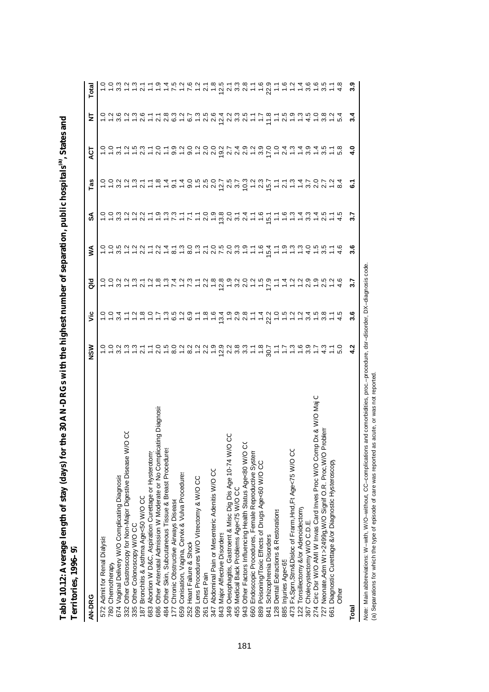| <b>Lettilones, 1990-97</b>                                                 |     |                                                                                                               |   |     |                                          |     |   |   |       |
|----------------------------------------------------------------------------|-----|---------------------------------------------------------------------------------------------------------------|---|-----|------------------------------------------|-----|---|---|-------|
| AN-DRG                                                                     | NSM | ۶Ë                                                                                                            | ă | ⋚   | న                                        | Tas | ä | 눋 | Total |
| 572 Admit for Renal Dialysis                                               |     |                                                                                                               |   |     |                                          |     |   |   |       |
| 780 Chemotherapy                                                           |     |                                                                                                               |   |     |                                          |     |   |   |       |
| 674 Vaginal Delivery W/O Complicating Diagnosis                            |     | c c q c c c c c c c q c q c c c c c c q c q q c c q c c c c c q c q c c q c c q c q c q c q c q c q c q c q c |   |     | cownant construction danner preferant de |     |   |   |       |
| ŏ<br>$\circ$<br>332 Other Gastroscopy for Non-Major Digestive Disease W/   |     |                                                                                                               |   |     |                                          |     |   |   |       |
| 335 Other Colonoscopy W/O CC                                               |     |                                                                                                               |   |     |                                          |     |   |   |       |
| Bronchitis & Asthma Age<50 W/O CC<br>187                                   |     |                                                                                                               |   |     |                                          |     |   |   |       |
| Abortion W D&C, Aspiration Curettage or Hysterotomy<br>683                 |     |                                                                                                               |   |     |                                          |     |   |   |       |
| 686 Other Antenatal Admission W Moderate or No Complicating Diagnosi       |     |                                                                                                               |   |     |                                          |     |   |   |       |
| 484 Other Skin, Subcutaneous Tissue & Breast Procedures                    |     |                                                                                                               |   |     |                                          |     |   |   |       |
| Chronic Obstructive Airways Disease<br>177 <sub>1</sub>                    |     |                                                                                                               |   |     |                                          |     |   |   |       |
| Conisation, Vagina, Cervix & Vulva Procedures<br>659                       |     |                                                                                                               |   |     |                                          |     |   |   |       |
| Heart Failure & Shock<br>252                                               |     |                                                                                                               |   |     |                                          |     |   |   |       |
| 099 Lens Procedures W/O Vitrectomy & W/O CC                                |     |                                                                                                               |   |     |                                          |     |   |   |       |
| Chest Pain<br>261                                                          |     |                                                                                                               |   |     |                                          |     |   |   |       |
| 347 Abdominal Pain or Mesenteric Adenitis W/O CC                           |     |                                                                                                               |   |     |                                          |     |   |   |       |
| Major Affective Disorders<br>8431                                          |     |                                                                                                               |   |     |                                          |     |   |   |       |
| ပ္ပ<br>Oesophagitis, Gastroent & Misc Dig Dis Age 10-74 W/O<br>349         |     |                                                                                                               |   |     |                                          |     |   |   |       |
| Medical Back Problems Age<75 W/O CC<br>455                                 |     |                                                                                                               |   |     |                                          |     |   |   |       |
| 943 Other Factors Influencing Health Status Age<80 W/O CO                  |     |                                                                                                               |   |     |                                          |     |   |   |       |
| Endoscopic Procedures, Female Reproductive System<br>660                   |     |                                                                                                               |   |     |                                          |     |   |   |       |
| Poisoning/Toxic Effects of Drugs Age<60 W/O CC<br>889                      |     |                                                                                                               |   |     |                                          |     |   |   |       |
| Schizophrenia Disorders<br>841:                                            |     |                                                                                                               |   |     |                                          |     |   |   |       |
| Dental Extractions & Restorations<br>128                                   |     |                                                                                                               |   |     |                                          |     |   |   |       |
| 885 Injuries Age<65                                                        |     |                                                                                                               |   |     |                                          |     |   |   |       |
| 473 Fx, Sprn, Strn&Disloc of Frarm, Hnd, Ft Age<75 W/O CC                  |     |                                                                                                               |   |     |                                          |     |   |   |       |
| Tonsillectomy &/or Adenoidectomy<br>$122 - 367$                            |     |                                                                                                               |   |     |                                          |     |   |   |       |
| Cholecystectomy W/O C.D.E.                                                 |     |                                                                                                               |   |     |                                          |     |   |   |       |
| ပ<br>Circ Dsr W/O AMI W Invas Card Inves Proc W/O Comp Dx & W/O Maj<br>274 |     |                                                                                                               |   |     |                                          |     |   |   |       |
| roblen<br>Neonate, Adm Wt >2499g, W/O Signif O.R. Proc, W/O P              |     |                                                                                                               |   |     |                                          |     |   |   |       |
| Diagnostic Curettage &/or Diagnostic Hysteroscopy<br>661                   |     |                                                                                                               |   |     |                                          |     |   |   |       |
| <b>Other</b>                                                               |     |                                                                                                               |   |     |                                          |     |   |   |       |
| Total                                                                      |     | 3.6                                                                                                           |   | 3.6 |                                          | 5   |   |   | 3.9   |

**Table 10.12: Average length of stay (days) for the 30 AN-DRGs with the highest number of separations, public hospitals** Table 10.12: Average length of stay (days) for the 30 AN-DRGs with the highest number of separation; public hospitals<sup>ta</sup>, States and<br>Territories 1996–97 **, States and Territories, 1996–97**

Note: Main abbreviations: W-with, W/O-without, CC-complications and comorbidities, proc.-procedure, dsr-disorder, DX-diagnosis code.<br>(a) Separations for which the type of episode of care was reported as acute, or was not r *Note:* Main abbreviations: W–with, W/O–without, CC–complications and comorbidities, proc.–procedure, dsr–disorder, DX–diagnosis code.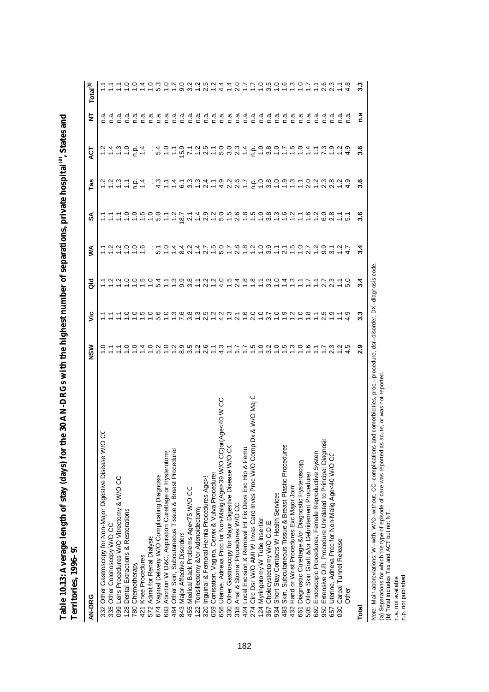| <b>Letritories, 1996–9</b>                                                    |           |     |                                                                                                                                                                                                                                                                                                                                |                                                                                                                                                                                                                                |                    |                                                                       |                                                                                                                                                                                                                                                                                                                                                                                                                                                                                                                                                      |                              |                               |
|-------------------------------------------------------------------------------|-----------|-----|--------------------------------------------------------------------------------------------------------------------------------------------------------------------------------------------------------------------------------------------------------------------------------------------------------------------------------|--------------------------------------------------------------------------------------------------------------------------------------------------------------------------------------------------------------------------------|--------------------|-----------------------------------------------------------------------|------------------------------------------------------------------------------------------------------------------------------------------------------------------------------------------------------------------------------------------------------------------------------------------------------------------------------------------------------------------------------------------------------------------------------------------------------------------------------------------------------------------------------------------------------|------------------------------|-------------------------------|
| AN-DRG                                                                        | NSW       | š   | as<br>o                                                                                                                                                                                                                                                                                                                        | ⋚                                                                                                                                                                                                                              | న                  | Tas                                                                   | ä                                                                                                                                                                                                                                                                                                                                                                                                                                                                                                                                                    | ₹                            | Total <sup>(b)</sup>          |
| ୪<br>$\circ$<br>332 Other Gastroscopy for Non-Major Digestive Disease W.      |           |     |                                                                                                                                                                                                                                                                                                                                |                                                                                                                                                                                                                                |                    |                                                                       |                                                                                                                                                                                                                                                                                                                                                                                                                                                                                                                                                      |                              |                               |
| 335 Other Colonoscopy W/O CC                                                  |           |     |                                                                                                                                                                                                                                                                                                                                |                                                                                                                                                                                                                                |                    |                                                                       |                                                                                                                                                                                                                                                                                                                                                                                                                                                                                                                                                      |                              |                               |
| 099 Lens Procedures W/O Vitrectomy & W/O CC                                   |           |     |                                                                                                                                                                                                                                                                                                                                |                                                                                                                                                                                                                                |                    |                                                                       |                                                                                                                                                                                                                                                                                                                                                                                                                                                                                                                                                      |                              |                               |
| 128 Dental Extractions & Restorations                                         |           |     | $\begin{array}{c} 2 & 0 & 0 & 0 \\ 0 & 0 & 0 & 0 \\ 0 & 0 & 0 & 0 \\ 0 & 0 & 0 & 0 \\ 0 & 0 & 0 & 0 \\ 0 & 0 & 0 & 0 \\ 0 & 0 & 0 & 0 \\ 0 & 0 & 0 & 0 \\ 0 & 0 & 0 & 0 \\ 0 & 0 & 0 & 0 \\ 0 & 0 & 0 & 0 \\ 0 & 0 & 0 & 0 \\ 0 & 0 & 0 & 0 & 0 \\ 0 & 0 & 0 & 0 & 0 \\ 0 & 0 & 0 & 0 & 0 \\ 0 & 0 & 0 & 0 & 0 \\ 0 & 0 & 0 &$ | $-999999$                                                                                                                                                                                                                      |                    | $\frac{2}{1}$ $\frac{2}{1}$ $\frac{3}{1}$ $\frac{3}{1}$ $\frac{5}{1}$ | ごさこう うち                                                                                                                                                                                                                                                                                                                                                                                                                                                                                                                                              | ס ס ס ס ס ס ס<br>כ כ כ כ כ כ | 5599                          |
| 780 Chemotherapy                                                              | o o       |     |                                                                                                                                                                                                                                                                                                                                |                                                                                                                                                                                                                                |                    |                                                                       |                                                                                                                                                                                                                                                                                                                                                                                                                                                                                                                                                      |                              |                               |
| Knee Procedures<br>421                                                        | Δ.        |     |                                                                                                                                                                                                                                                                                                                                |                                                                                                                                                                                                                                | $- - - - 0$        | $rac{1}{2}$                                                           |                                                                                                                                                                                                                                                                                                                                                                                                                                                                                                                                                      |                              |                               |
| Admit for Renal Dialysis<br>572                                               |           |     |                                                                                                                                                                                                                                                                                                                                |                                                                                                                                                                                                                                |                    |                                                                       |                                                                                                                                                                                                                                                                                                                                                                                                                                                                                                                                                      |                              |                               |
| 674 Vaginal Delivery W/O Complicating Diagnosis                               |           |     | 5.4                                                                                                                                                                                                                                                                                                                            |                                                                                                                                                                                                                                |                    |                                                                       |                                                                                                                                                                                                                                                                                                                                                                                                                                                                                                                                                      | ີ້.<br>ດ                     |                               |
| Abortion W D&C, Aspiration Curettage or Hysterotomy<br>683                    | 3000      |     |                                                                                                                                                                                                                                                                                                                                |                                                                                                                                                                                                                                |                    |                                                                       |                                                                                                                                                                                                                                                                                                                                                                                                                                                                                                                                                      | ີ້.<br>ດ                     |                               |
| Other Skin, Subcutaneous Tissue & Breast Procedures<br>484                    |           |     |                                                                                                                                                                                                                                                                                                                                |                                                                                                                                                                                                                                |                    |                                                                       |                                                                                                                                                                                                                                                                                                                                                                                                                                                                                                                                                      | n.a                          |                               |
| Major Affective Disorders<br>843                                              | 0.0000000 |     |                                                                                                                                                                                                                                                                                                                                |                                                                                                                                                                                                                                | $7.287$<br>$-2.57$ |                                                                       |                                                                                                                                                                                                                                                                                                                                                                                                                                                                                                                                                      | ੁੰ                           | $10000000000$                 |
| Medical Back Problems Age<75 W/O CC<br>455                                    |           |     |                                                                                                                                                                                                                                                                                                                                |                                                                                                                                                                                                                                |                    |                                                                       |                                                                                                                                                                                                                                                                                                                                                                                                                                                                                                                                                      | n.ª                          |                               |
| Tonsillectomy &/or Adenoidectomy<br>122                                       |           |     |                                                                                                                                                                                                                                                                                                                                |                                                                                                                                                                                                                                |                    |                                                                       |                                                                                                                                                                                                                                                                                                                                                                                                                                                                                                                                                      | ີ້.<br>ດ                     |                               |
| 320 Inguinal & Femoral Hernia Procedures Age>                                 |           |     |                                                                                                                                                                                                                                                                                                                                |                                                                                                                                                                                                                                | 2.9                |                                                                       |                                                                                                                                                                                                                                                                                                                                                                                                                                                                                                                                                      | n.a                          | $\frac{5}{2}$ 5               |
| Conisation, Vagina, Cervix & Vulva Procedures<br>659                          |           |     |                                                                                                                                                                                                                                                                                                                                |                                                                                                                                                                                                                                |                    |                                                                       |                                                                                                                                                                                                                                                                                                                                                                                                                                                                                                                                                      | $\tilde{a}$                  |                               |
| 656 Uterine, Adnexa Proc for Non-Malig (Age>39 W/O CC)or(Age<40 W CC          |           |     |                                                                                                                                                                                                                                                                                                                                |                                                                                                                                                                                                                                |                    |                                                                       |                                                                                                                                                                                                                                                                                                                                                                                                                                                                                                                                                      |                              | $\frac{4}{4}$                 |
| Other Gastroscopy for Major Digestive Disease W/O CC<br>330 <sub>1</sub>      |           |     |                                                                                                                                                                                                                                                                                                                                |                                                                                                                                                                                                                                | ယ္                 |                                                                       |                                                                                                                                                                                                                                                                                                                                                                                                                                                                                                                                                      |                              | $\frac{4}{1}$                 |
| Anal & Stomal Procedures W/O CC<br>318                                        |           |     |                                                                                                                                                                                                                                                                                                                                |                                                                                                                                                                                                                                |                    |                                                                       |                                                                                                                                                                                                                                                                                                                                                                                                                                                                                                                                                      |                              | 2.0                           |
| Local Excision & Removal Int Fix Devs Exc Hip & Femu<br>424                   |           |     |                                                                                                                                                                                                                                                                                                                                |                                                                                                                                                                                                                                |                    |                                                                       |                                                                                                                                                                                                                                                                                                                                                                                                                                                                                                                                                      |                              |                               |
| ပ<br>Dx & W/O Maj<br>Circ Dsr W/O AMI W Invas Card Inves Proc W/O Comp<br>274 |           |     |                                                                                                                                                                                                                                                                                                                                | $5.5$ $-0.7$ $-0.4$ $-0.4$ $-0.7$ $-0.6$ $-0.7$ $-0.6$ $-0.7$ $-0.7$ $-0.7$ $-0.7$ $-0.7$ $-0.7$ $-0.7$ $-0.7$ $-0.7$ $-0.7$ $-0.7$ $-0.7$ $-0.7$ $-0.7$ $-0.7$ $-0.7$ $-0.7$ $-0.7$ $-0.7$ $-0.7$ $-0.7$ $-0.7$ $-0.7$ $-0.7$ |                    |                                                                       | $\begin{array}{l} \begin{array}{l} \hline \begin{array}{l} \hline \begin{array}{l} \hline \begin{array}{l} \hline \begin{array}{l} \hline \begin{array}{l} \hline \begin{array}{l} \hline \begin{array}{l} \hline \begin{array}{l} \hline \begin{array}{l} \hline \begin{array}{l} \hline \end{array} \\ \hline \hline \end{array} \\ \hline \end{array} \\ \hline \end{array} \end{array} & \begin{array}{l} \hline \begin{array}{l} \hline \begin{array}{l} \hline \begin{array}{l} \hline \begin{array}{l} \hline \begin{array}{l} \hline \begin$ |                              | $1.7.9.9.9.9.9.0.7.7.8.0.7.8$ |
| Myringotomy W Tube Insertior<br>124                                           |           |     |                                                                                                                                                                                                                                                                                                                                |                                                                                                                                                                                                                                |                    |                                                                       |                                                                                                                                                                                                                                                                                                                                                                                                                                                                                                                                                      |                              |                               |
| Cholecystectomy W/O C.D.E.<br>367                                             |           |     |                                                                                                                                                                                                                                                                                                                                |                                                                                                                                                                                                                                |                    |                                                                       |                                                                                                                                                                                                                                                                                                                                                                                                                                                                                                                                                      |                              |                               |
| Short Stay Contacts W Health Services<br>934                                  |           |     |                                                                                                                                                                                                                                                                                                                                |                                                                                                                                                                                                                                |                    |                                                                       |                                                                                                                                                                                                                                                                                                                                                                                                                                                                                                                                                      |                              |                               |
| Skin, Subcutaneous Tissue & Breast Plastic Procedures<br>483                  |           |     |                                                                                                                                                                                                                                                                                                                                |                                                                                                                                                                                                                                |                    |                                                                       |                                                                                                                                                                                                                                                                                                                                                                                                                                                                                                                                                      |                              |                               |
| Hand or Wrist Procedures Exc Major Joint<br>432                               |           |     |                                                                                                                                                                                                                                                                                                                                |                                                                                                                                                                                                                                |                    |                                                                       |                                                                                                                                                                                                                                                                                                                                                                                                                                                                                                                                                      |                              |                               |
| Diagnostic Curettage &/or Diagnostic Hysteroscopy<br>661                      |           |     |                                                                                                                                                                                                                                                                                                                                |                                                                                                                                                                                                                                |                    |                                                                       |                                                                                                                                                                                                                                                                                                                                                                                                                                                                                                                                                      |                              |                               |
| Other Skin Graft &/or Debridement Procedures<br>505                           |           |     |                                                                                                                                                                                                                                                                                                                                |                                                                                                                                                                                                                                |                    |                                                                       |                                                                                                                                                                                                                                                                                                                                                                                                                                                                                                                                                      |                              |                               |
| Endoscopic Procedures, Female Reproductive System<br>660                      |           |     |                                                                                                                                                                                                                                                                                                                                |                                                                                                                                                                                                                                |                    |                                                                       |                                                                                                                                                                                                                                                                                                                                                                                                                                                                                                                                                      |                              |                               |
| Extensive O.R. Procedure Unrelated to Principal Diagnosis<br>950              |           |     |                                                                                                                                                                                                                                                                                                                                |                                                                                                                                                                                                                                |                    |                                                                       |                                                                                                                                                                                                                                                                                                                                                                                                                                                                                                                                                      |                              |                               |
| Uterine, Adnexa Proc for Non-Malig Age<40 W/O CC<br>657                       |           |     |                                                                                                                                                                                                                                                                                                                                |                                                                                                                                                                                                                                |                    |                                                                       |                                                                                                                                                                                                                                                                                                                                                                                                                                                                                                                                                      |                              |                               |
| Carpal Tunnel Release<br>030                                                  |           |     |                                                                                                                                                                                                                                                                                                                                |                                                                                                                                                                                                                                |                    |                                                                       |                                                                                                                                                                                                                                                                                                                                                                                                                                                                                                                                                      |                              |                               |
| <b>Other</b>                                                                  |           |     |                                                                                                                                                                                                                                                                                                                                |                                                                                                                                                                                                                                |                    |                                                                       |                                                                                                                                                                                                                                                                                                                                                                                                                                                                                                                                                      |                              |                               |
| Total                                                                         | ಼         | 3.3 | $3\cdot$                                                                                                                                                                                                                                                                                                                       |                                                                                                                                                                                                                                | 3.6                | 3.6                                                                   | 3.6                                                                                                                                                                                                                                                                                                                                                                                                                                                                                                                                                  | n.a                          | 3.3                           |

**Table 10.13: Average length of stay (days) for the 30 AN-DRGs with the highest number of separations, private hospitals** Table 10.13: Average length of stay (days) for the 30 AN-DRGs with the highest number of separations, private hospital<sup>121</sup>, States and<br>Togetherization one of **, States and Territories, 1996–97**

*Note: N*lain abbreviations: W–with, W/O–without, CC–complications and comorbidities, proc.–procedure, dsr–disorder, DX–diagnosis code.<br>(a) Separations for which the type of episode of care was reported as acute, or was n *Note:* Main abbreviations: W–with, W/O–without, CC–complications and comorbidities, proc.–procedure, dsr–disorder, DX–diagnosis code. (a) Separations for which the type of episode of care was reported as acute, or was not reported.

(b) Total includes Tas and ACT but not NT.

n.a. not available.

n.p. not published.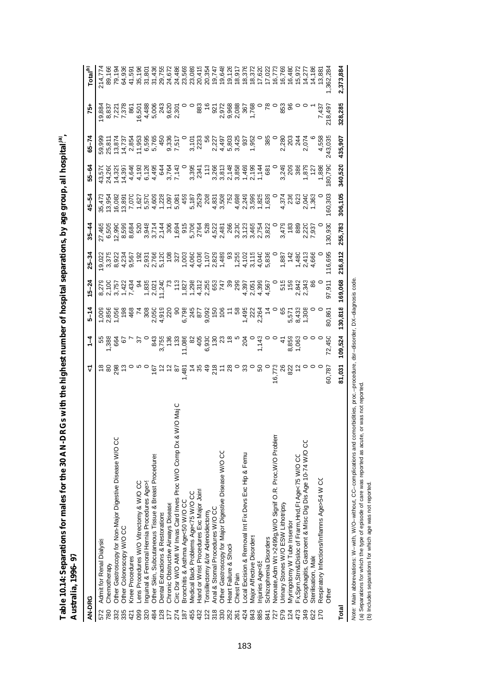|               | Australia, 1996–97                                               |                                                                                                                                                                                                                             |                                                                                                                                                                                                                                     |          |                                                                                          |           |                                                                                                                                                                                                                                      |                                                                                                                                                |           |           |                                                                                                                                                                                                                                           |                                       |
|---------------|------------------------------------------------------------------|-----------------------------------------------------------------------------------------------------------------------------------------------------------------------------------------------------------------------------|-------------------------------------------------------------------------------------------------------------------------------------------------------------------------------------------------------------------------------------|----------|------------------------------------------------------------------------------------------|-----------|--------------------------------------------------------------------------------------------------------------------------------------------------------------------------------------------------------------------------------------|------------------------------------------------------------------------------------------------------------------------------------------------|-----------|-----------|-------------------------------------------------------------------------------------------------------------------------------------------------------------------------------------------------------------------------------------------|---------------------------------------|
| <b>AN-DRG</b> |                                                                  | ᡪ                                                                                                                                                                                                                           | $\frac{1}{4}$                                                                                                                                                                                                                       | $5 - 14$ | $15 - 24$                                                                                | $25 - 34$ | $35 - 44$                                                                                                                                                                                                                            | 45-54                                                                                                                                          | $55 - 64$ | $65 - 74$ | -51                                                                                                                                                                                                                                       |                                       |
| 572           | <b>Admit for Renal Dialysis</b>                                  |                                                                                                                                                                                                                             |                                                                                                                                                                                                                                     |          |                                                                                          |           |                                                                                                                                                                                                                                      |                                                                                                                                                |           |           |                                                                                                                                                                                                                                           |                                       |
| 780           | Chemotherapy                                                     |                                                                                                                                                                                                                             |                                                                                                                                                                                                                                     |          |                                                                                          |           |                                                                                                                                                                                                                                      |                                                                                                                                                |           |           |                                                                                                                                                                                                                                           | 214,774<br>89,166<br>79,194<br>64,936 |
| 332           | Other Gastroscopy for Non-Major Digestive Disease W/O CC         |                                                                                                                                                                                                                             |                                                                                                                                                                                                                                     |          |                                                                                          |           |                                                                                                                                                                                                                                      |                                                                                                                                                |           |           |                                                                                                                                                                                                                                           |                                       |
| 335           | Other Colonoscopy W/O CC                                         |                                                                                                                                                                                                                             |                                                                                                                                                                                                                                     |          |                                                                                          |           |                                                                                                                                                                                                                                      |                                                                                                                                                |           |           |                                                                                                                                                                                                                                           |                                       |
| 421           | Knee Procedures                                                  |                                                                                                                                                                                                                             |                                                                                                                                                                                                                                     |          |                                                                                          |           |                                                                                                                                                                                                                                      |                                                                                                                                                |           |           |                                                                                                                                                                                                                                           |                                       |
| 099           | Lens Procedures W/O Vitrectomy & W/O CC                          |                                                                                                                                                                                                                             |                                                                                                                                                                                                                                     |          |                                                                                          |           |                                                                                                                                                                                                                                      |                                                                                                                                                |           |           |                                                                                                                                                                                                                                           |                                       |
| 320           | Inguinal & Femoral Hernia Procedures Age>S                       |                                                                                                                                                                                                                             |                                                                                                                                                                                                                                     |          |                                                                                          |           |                                                                                                                                                                                                                                      |                                                                                                                                                |           |           |                                                                                                                                                                                                                                           | 35,196<br>31,801<br>31,436<br>29,755  |
| 484           | Other Skin, Subcutaneous Tissue & Breast Procedures              |                                                                                                                                                                                                                             |                                                                                                                                                                                                                                     |          |                                                                                          |           |                                                                                                                                                                                                                                      |                                                                                                                                                |           |           |                                                                                                                                                                                                                                           |                                       |
| 128           | Dental Extractions & Restorations                                |                                                                                                                                                                                                                             |                                                                                                                                                                                                                                     |          |                                                                                          |           |                                                                                                                                                                                                                                      |                                                                                                                                                |           |           |                                                                                                                                                                                                                                           |                                       |
|               | Chronic Obstructive Airways Disease                              |                                                                                                                                                                                                                             |                                                                                                                                                                                                                                     |          |                                                                                          |           |                                                                                                                                                                                                                                      |                                                                                                                                                |           |           |                                                                                                                                                                                                                                           | 24,672                                |
| 274           | Circ Dsr W/O AMI W Invas Card Inves Proc W/O Comp Dx & W/O Maj C |                                                                                                                                                                                                                             |                                                                                                                                                                                                                                     |          |                                                                                          |           |                                                                                                                                                                                                                                      |                                                                                                                                                |           |           |                                                                                                                                                                                                                                           |                                       |
| 187           | Bronchitis & Asthma Age<50 W/O CC                                |                                                                                                                                                                                                                             |                                                                                                                                                                                                                                     |          |                                                                                          |           |                                                                                                                                                                                                                                      |                                                                                                                                                |           |           |                                                                                                                                                                                                                                           |                                       |
| 455           | Medical Back Problems Age<75 W/O CC                              |                                                                                                                                                                                                                             |                                                                                                                                                                                                                                     |          |                                                                                          |           |                                                                                                                                                                                                                                      |                                                                                                                                                |           |           |                                                                                                                                                                                                                                           |                                       |
| 432           | Hand or Wrist Procedures Exc Major Joint                         |                                                                                                                                                                                                                             |                                                                                                                                                                                                                                     |          |                                                                                          |           |                                                                                                                                                                                                                                      |                                                                                                                                                |           |           |                                                                                                                                                                                                                                           |                                       |
| 122           | onsillectomy &/or Adenoidectomy                                  |                                                                                                                                                                                                                             |                                                                                                                                                                                                                                     |          |                                                                                          |           |                                                                                                                                                                                                                                      |                                                                                                                                                |           |           |                                                                                                                                                                                                                                           |                                       |
| 318           | Anal & Stomal Procedures W/O CC                                  |                                                                                                                                                                                                                             |                                                                                                                                                                                                                                     |          |                                                                                          |           |                                                                                                                                                                                                                                      |                                                                                                                                                |           |           |                                                                                                                                                                                                                                           |                                       |
| 330           | Other Gastroscopy for Major Digestive Disease W/O CC             |                                                                                                                                                                                                                             |                                                                                                                                                                                                                                     |          |                                                                                          |           |                                                                                                                                                                                                                                      |                                                                                                                                                |           |           |                                                                                                                                                                                                                                           |                                       |
| 252           | Heart Failure & Shock                                            |                                                                                                                                                                                                                             |                                                                                                                                                                                                                                     |          |                                                                                          |           |                                                                                                                                                                                                                                      |                                                                                                                                                |           |           |                                                                                                                                                                                                                                           |                                       |
| 261           | Chest Pain                                                       |                                                                                                                                                                                                                             |                                                                                                                                                                                                                                     |          |                                                                                          |           |                                                                                                                                                                                                                                      |                                                                                                                                                |           |           |                                                                                                                                                                                                                                           |                                       |
| 424           | Local Excision & Removal Int Fix Devs Exc Hip & Femul            |                                                                                                                                                                                                                             |                                                                                                                                                                                                                                     |          |                                                                                          |           |                                                                                                                                                                                                                                      |                                                                                                                                                |           |           |                                                                                                                                                                                                                                           |                                       |
| 843           | Major Affective Disorders                                        |                                                                                                                                                                                                                             |                                                                                                                                                                                                                                     |          |                                                                                          |           |                                                                                                                                                                                                                                      |                                                                                                                                                |           |           | <b>6</b><br>88221 - 8826 - 8826 - 8826 - 8936 - 8946 - 8946 - 8946 - 8946 - 8946 - 8946 - 8946 - 8946 - 8956 - 8956 - 895<br>895 - 895 - 895 - 8956 - 8956 - 8956 - 8956 - 8956 - 8956 - 8956 - 8956 - 8956 - 8956 - 8956 - 8956 - 8956 - |                                       |
| 885           | Injuries Age<65                                                  |                                                                                                                                                                                                                             |                                                                                                                                                                                                                                     |          |                                                                                          |           |                                                                                                                                                                                                                                      |                                                                                                                                                |           |           |                                                                                                                                                                                                                                           |                                       |
| 841           | Schizophrenia Disorders                                          |                                                                                                                                                                                                                             |                                                                                                                                                                                                                                     |          |                                                                                          |           |                                                                                                                                                                                                                                      |                                                                                                                                                |           |           |                                                                                                                                                                                                                                           |                                       |
| 727           | Neonate, Adm Wt >2499g, W/O Signif O.R. Proc, W/O Problem        |                                                                                                                                                                                                                             |                                                                                                                                                                                                                                     |          |                                                                                          |           |                                                                                                                                                                                                                                      |                                                                                                                                                |           |           |                                                                                                                                                                                                                                           |                                       |
| 579           | Urinary Stones W/O ESW Lithotripsy                               |                                                                                                                                                                                                                             |                                                                                                                                                                                                                                     |          |                                                                                          |           |                                                                                                                                                                                                                                      |                                                                                                                                                |           |           |                                                                                                                                                                                                                                           |                                       |
| 124           | Myringotomy W Tube Insertior                                     |                                                                                                                                                                                                                             |                                                                                                                                                                                                                                     |          |                                                                                          |           |                                                                                                                                                                                                                                      |                                                                                                                                                |           |           |                                                                                                                                                                                                                                           |                                       |
| 473           | Fx, Sprn, Strn&Disloc of Frarm, Hnd, Ft Age<75 W/O CC            | 80<br>2010 - 2020 - 2030 - 2040 - 2040 - 2040 - 2040 - 2040 - 2040 - 2040 - 2040 - 2040 - 2040 - 2040 - 20<br>2040 - 2040 - 2040 - 2040 - 2040 - 2040 - 2040 - 2040 - 2040 - 2040 - 2040 - 2040 - 2040 - 2040 - 2040 - 2040 | - 2007 - 2010 - 2010 - 2010 - 2010 - 2010 - 2010 - 2010 - 2010 - 2010 - 2010 - 2010 - 2010 - 2010 - 2010 - 201<br>Residence - 2010 - 2010 - 2010 - 2010 - 2010 - 2010 - 2010 - 2010 - 2010 - 2010 - 2010 - 2010 - 2010 - 2010 -<br> |          | aguutr tut tutu aguuta dag<br>Straa sood tooduse asoos peas as<br>Separang aguuta dagaal |           | Ve Ga a a u a a la diversi della consegnazione di controlla di consegnazione di consegnazione di consegnazione<br>Ale di consegnazione di consegnazione di consegnazione di consegnazione di consegnazione di consegnazione di c<br> | te dar - par - par par and - par a dr.<br>1980 - par par par par a dr. par a dr. par a dr.<br>1980 - par par par par a dr. par a dr. par a dr. |           |           |                                                                                                                                                                                                                                           |                                       |
| 349           | Oesophagitis, Gastroent & Misc Dig Dis Age 10-74 W/O CC          |                                                                                                                                                                                                                             |                                                                                                                                                                                                                                     |          |                                                                                          |           |                                                                                                                                                                                                                                      |                                                                                                                                                |           |           |                                                                                                                                                                                                                                           |                                       |
| 622           | Sterilisation, Male                                              |                                                                                                                                                                                                                             |                                                                                                                                                                                                                                     |          |                                                                                          |           |                                                                                                                                                                                                                                      |                                                                                                                                                |           |           |                                                                                                                                                                                                                                           |                                       |
| 170           | Respiratory Infections/Inflamns Age>54 W CC                      |                                                                                                                                                                                                                             |                                                                                                                                                                                                                                     |          |                                                                                          |           |                                                                                                                                                                                                                                      |                                                                                                                                                |           |           |                                                                                                                                                                                                                                           |                                       |
|               | Other                                                            |                                                                                                                                                                                                                             |                                                                                                                                                                                                                                     | 80,861   | 97,911                                                                                   | 116,695   | 130,930                                                                                                                                                                                                                              | 60,303                                                                                                                                         |           |           | $7,437$<br>7.437<br>7.8,497                                                                                                                                                                                                               |                                       |
| Total         |                                                                  | 81,031                                                                                                                                                                                                                      | 109,524                                                                                                                                                                                                                             | 130,818  | 169,068                                                                                  | 216,812   | 255,783                                                                                                                                                                                                                              | 306,105                                                                                                                                        | 340,520   | 435,907   | 328,285                                                                                                                                                                                                                                   | 2,373,884                             |

**Table 10.14: Separations for males for the 30 AN-DRGs with the highest number of hospital separations, by age group, all hospitals Australia, 1996–97**

**(a) ,** 

*Nde: Main abbreviations: W−with, WIO–without, CC–complications and comorbidities, proc.–procedure, dsr−disorder, DX–diagnosis code.<br>(a) Separations for which the type of episode of care was reported as acute, or was not Note:* Main abbreviations: W–with, W/O–without, CC–complications and comorbidities, proc.–procedure, dsr–disorder, DX–diagnosis code.

(a) Separations for which the type of episode of care was reported as acute, or was not reported.

(b) Includes separations for which age was not reported.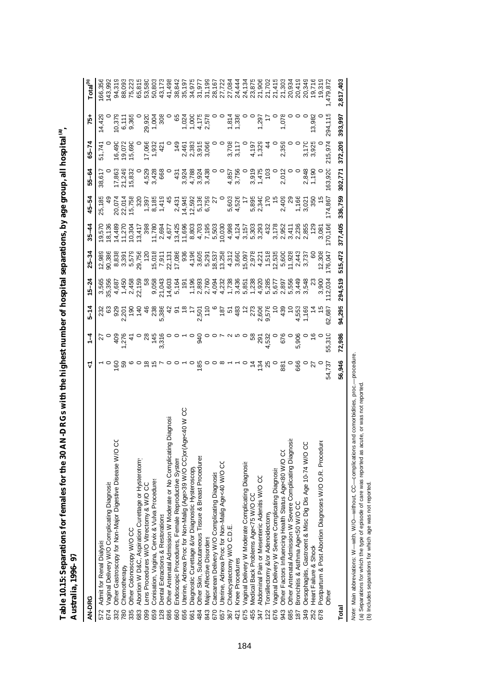| AN-DRG                                                                    | ᡪ                        | $\frac{1}{4}$                                                                                                                   | $5 - 14$ | $15 - 24$                                                                                                                                                                                                                            | $25 - 34$ | $35 - 44$ | 45–54                                                                                                                                                          | 55–64                                | $65 - 74$                  | $75+$                                                                                                                                                                                                                                | Total <sup>(b)</sup>                                   |
|---------------------------------------------------------------------------|--------------------------|---------------------------------------------------------------------------------------------------------------------------------|----------|--------------------------------------------------------------------------------------------------------------------------------------------------------------------------------------------------------------------------------------|-----------|-----------|----------------------------------------------------------------------------------------------------------------------------------------------------------------|--------------------------------------|----------------------------|--------------------------------------------------------------------------------------------------------------------------------------------------------------------------------------------------------------------------------------|--------------------------------------------------------|
| <b>Admit for Renal Dialysis</b><br>572                                    |                          |                                                                                                                                 |          |                                                                                                                                                                                                                                      |           |           |                                                                                                                                                                | 38,617                               | 51,74                      | 14,429                                                                                                                                                                                                                               |                                                        |
| Vaginal Delivery W/O Complicating Diagnosis<br>674                        |                          |                                                                                                                                 |          |                                                                                                                                                                                                                                      |           |           | 25,185<br>49                                                                                                                                                   |                                      |                            |                                                                                                                                                                                                                                      |                                                        |
| ŏ<br>Other Gastroscopy for Non-Major Digestive Disease W/O<br>332         |                          |                                                                                                                                 |          |                                                                                                                                                                                                                                      |           |           |                                                                                                                                                                | 17,863<br>21,249<br>15,832<br>15,832 | 16,490<br>19,072<br>15,690 |                                                                                                                                                                                                                                      | 94,319                                                 |
| Chemotherapy<br>780                                                       |                          |                                                                                                                                 |          |                                                                                                                                                                                                                                      |           |           |                                                                                                                                                                |                                      |                            |                                                                                                                                                                                                                                      | 88,093                                                 |
| Other Colonoscopy W/O CC<br>335                                           |                          |                                                                                                                                 |          |                                                                                                                                                                                                                                      |           |           |                                                                                                                                                                |                                      |                            |                                                                                                                                                                                                                                      |                                                        |
| Abortion W D&C, Aspiration Curettage or Hysterotomy<br>683                |                          |                                                                                                                                 |          |                                                                                                                                                                                                                                      |           |           |                                                                                                                                                                |                                      |                            |                                                                                                                                                                                                                                      | 65,815                                                 |
| Lens Procedures W/O Vitrectomy & W/O CC<br>099                            |                          |                                                                                                                                 |          |                                                                                                                                                                                                                                      |           |           |                                                                                                                                                                |                                      |                            |                                                                                                                                                                                                                                      | 53,580                                                 |
| Conisation, Vagina, Cervix & Vulva Procedures<br>659                      | たいこの。<br>バーバーの。<br>バーバー。 | t a control door uno a chocologo do<br>2006 10 miliosopho door uno a chocologo do<br>2006 10 miliosopho door uno a chocologo do |          | comparticly or the result of resource or the comparticle or the comparticle or the comparticle or the comparti<br>Resource or the comparticle of the comparticle or the comparticle or the comparticle or the comparticle or the<br> |           |           | 2020: 1820: 2020: 2020: 2020: 2020: 2020: 2020: 2020: 2020: 2020: 2021<br>2020: 2020: 2020: 2020: 2020: 2020: 2020<br>2020: 2020: 2020: 2020: 2020: 2020: 2020 |                                      |                            | de su terre te te distribution di distribution di distribution di distribution di distribution di di<br>La distribution di distribution di distribution di distribution di distribution di distribution di distributio<br>La distrib | 50,803                                                 |
| Dental Extractions & Restorations<br>128                                  |                          |                                                                                                                                 |          |                                                                                                                                                                                                                                      |           |           |                                                                                                                                                                |                                      |                            |                                                                                                                                                                                                                                      | 43,173                                                 |
| Other Antenatal Admission W Moderate or No Complicating Diagnosi<br>686   |                          |                                                                                                                                 |          |                                                                                                                                                                                                                                      |           |           |                                                                                                                                                                |                                      |                            |                                                                                                                                                                                                                                      | 41,498                                                 |
| Endoscopic Procedures, Female Reproductive System<br>660                  |                          |                                                                                                                                 |          |                                                                                                                                                                                                                                      |           |           |                                                                                                                                                                |                                      |                            |                                                                                                                                                                                                                                      | 38,842                                                 |
| Uterine, Adnexa Proc for Non-Malig (Age-39 W/O CC) or (Age-40 W CC<br>656 |                          |                                                                                                                                 |          |                                                                                                                                                                                                                                      |           |           |                                                                                                                                                                |                                      |                            |                                                                                                                                                                                                                                      | 35,197                                                 |
| Diagnostic Curettage &/or Diagnostic Hysteroscopy<br>661                  |                          |                                                                                                                                 |          |                                                                                                                                                                                                                                      |           |           |                                                                                                                                                                |                                      |                            |                                                                                                                                                                                                                                      |                                                        |
| Other Skin, Subcutaneous Tissue & Breast Procedures<br>484                |                          |                                                                                                                                 |          |                                                                                                                                                                                                                                      |           |           |                                                                                                                                                                |                                      |                            |                                                                                                                                                                                                                                      | 34,975<br>31,977                                       |
| Major Affective Disorders<br>843                                          |                          |                                                                                                                                 |          |                                                                                                                                                                                                                                      |           |           |                                                                                                                                                                |                                      |                            |                                                                                                                                                                                                                                      | 31,199                                                 |
| Caesarean Delivery W/O Complicating Diagnosis<br>670                      |                          |                                                                                                                                 |          |                                                                                                                                                                                                                                      |           |           |                                                                                                                                                                |                                      |                            |                                                                                                                                                                                                                                      |                                                        |
| Uterine, Adnexa Proc for Non-Malig Age<40 W/O CC<br>657                   |                          |                                                                                                                                 |          |                                                                                                                                                                                                                                      |           |           |                                                                                                                                                                |                                      |                            |                                                                                                                                                                                                                                      | 28,167<br>27,722                                       |
| Cholecystectomy W/O C.D.E.<br>367                                         |                          |                                                                                                                                 |          |                                                                                                                                                                                                                                      |           |           | 1988<br>1988 - 1989 - 1989 - 1989<br>1989 - 1989 - 1980<br>1980 - 1980 - 1980 - 1980<br>1980 - 1980 - 1980 - 1980                                              |                                      |                            |                                                                                                                                                                                                                                      | 27,332<br>24,438,500<br>24,438,500<br>24,415<br>25,900 |
| Knee Procedures<br>421                                                    |                          |                                                                                                                                 |          |                                                                                                                                                                                                                                      |           |           |                                                                                                                                                                |                                      |                            |                                                                                                                                                                                                                                      |                                                        |
| Vaginal Delivery W Moderate Complicating Diagnosis<br>675                 |                          |                                                                                                                                 |          |                                                                                                                                                                                                                                      |           |           |                                                                                                                                                                |                                      |                            |                                                                                                                                                                                                                                      |                                                        |
| Medical Back Problems Age<75 W/O CC<br>455                                |                          |                                                                                                                                 |          |                                                                                                                                                                                                                                      |           |           |                                                                                                                                                                |                                      |                            |                                                                                                                                                                                                                                      |                                                        |
| Abdominal Pain or Mesenteric Adenitis W/O CC<br>347                       |                          |                                                                                                                                 |          |                                                                                                                                                                                                                                      |           |           |                                                                                                                                                                |                                      |                            |                                                                                                                                                                                                                                      |                                                        |
| Tonsillectomy &/or Adenoidectomy<br>122                                   |                          |                                                                                                                                 |          |                                                                                                                                                                                                                                      |           |           |                                                                                                                                                                |                                      |                            |                                                                                                                                                                                                                                      |                                                        |
| Vaginal Delivery W Severe Complicating Diagnosis<br>676                   |                          |                                                                                                                                 |          |                                                                                                                                                                                                                                      |           |           |                                                                                                                                                                |                                      |                            |                                                                                                                                                                                                                                      |                                                        |
| Other Factors Influencing Health Status Age<80 W/O CC<br>943              |                          |                                                                                                                                 |          |                                                                                                                                                                                                                                      |           |           |                                                                                                                                                                |                                      |                            |                                                                                                                                                                                                                                      | 21,303                                                 |
| Other Antenatal Admission W Severe Complicating Diagnosis<br>685          |                          |                                                                                                                                 |          |                                                                                                                                                                                                                                      |           |           |                                                                                                                                                                |                                      |                            |                                                                                                                                                                                                                                      | 20,934                                                 |
| Bronchitis & Asthma Age<50 W/O CC<br>187                                  |                          |                                                                                                                                 |          |                                                                                                                                                                                                                                      |           |           |                                                                                                                                                                |                                      |                            |                                                                                                                                                                                                                                      | 20,419                                                 |
| Oesophagitis, Gastroent & Misc Dig Dis Age 10-74 W/O CC<br>349            |                          |                                                                                                                                 |          |                                                                                                                                                                                                                                      |           |           |                                                                                                                                                                |                                      |                            |                                                                                                                                                                                                                                      | 20,349                                                 |
| Heart Failure & Shock<br>252                                              |                          |                                                                                                                                 |          |                                                                                                                                                                                                                                      |           |           |                                                                                                                                                                | 2,848<br>1,190                       |                            |                                                                                                                                                                                                                                      | 19,716                                                 |
| Postpartum & Post Abortion Diagnoses W/O O.R. Procedure<br>678            |                          |                                                                                                                                 |          |                                                                                                                                                                                                                                      |           | 3,081     | $\tilde{t}$                                                                                                                                                    |                                      |                            |                                                                                                                                                                                                                                      | 19,319                                                 |
|                                                                           |                          | 55,310                                                                                                                          | 62,687   |                                                                                                                                                                                                                                      |           | 170,166   | 174,867                                                                                                                                                        | 163,920                              | 215,974                    | 294,115                                                                                                                                                                                                                              | ,479,872                                               |
| Total                                                                     | 56,946                   | 72,986                                                                                                                          | 94.295   | 294,519                                                                                                                                                                                                                              | 515,472   | 377,405   | 336,759                                                                                                                                                        | 302.771                              | 372.209                    | 393,997                                                                                                                                                                                                                              | 2,817,403                                              |

**Table 10.15: Separations for females for the 30 AN-DRGs with the highest number of hospital separations, by age group, all hospitals Australia, 1996–97**

**(a) ,**

*Note: Main abbreviations: W—with, W/O—without, CC—complications and comorbidities, proc.—procedure.*<br>(a) Separations for which the type of episode of care was reported as acute, or was not reported.<br>(b) Includes separati *Note:* Main abbreviations: W— with, W/O— without, CC— complications and comorbidities, proc.— procedure.

(a) Separations for which the type of episode of care was reported as acute, or was not reported.

(b) Includes separations for which age was not reported.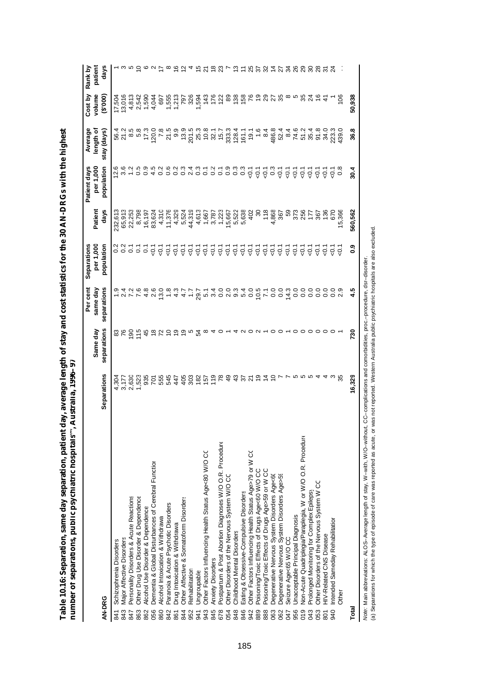| )<br><b>Contract</b><br>$\sim$ |                  |
|--------------------------------|------------------|
|                                |                  |
|                                | ļ<br>l           |
| į                              |                  |
| i<br>I<br>$\frac{1}{2}$<br>i   | ۱<br>į<br>l<br>į |
|                                | ֡֡֡֡֡֡֡֡         |
| į<br>ı                         | ļ<br>d           |
|                                | i                |
| ֠                              |                  |
|                                | ļ                |

|                                                                   |                      |                     | Per cent                                                       | Separations       |                | Patient days     | Average                                                                                                                                                                                                                                                                                             | Cost by                                 | Rank by          |
|-------------------------------------------------------------------|----------------------|---------------------|----------------------------------------------------------------|-------------------|----------------|------------------|-----------------------------------------------------------------------------------------------------------------------------------------------------------------------------------------------------------------------------------------------------------------------------------------------------|-----------------------------------------|------------------|
|                                                                   |                      | Same day            | same day                                                       | per 1,000         | Patient        | per 1,000        | length of                                                                                                                                                                                                                                                                                           | volume                                  | patient          |
| AN-DRG                                                            | <b>Separations</b>   | separations         | separations                                                    | population        | days           | population       | stay (days)                                                                                                                                                                                                                                                                                         | (0000)                                  | days             |
| Schizophrenia Disorders<br>841                                    |                      |                     |                                                                |                   | 232,61         | 12.6             |                                                                                                                                                                                                                                                                                                     | 17,504                                  |                  |
| <b>Major Affective Disorders</b><br>843                           | 4,304<br>3,177       | 3<br>76             |                                                                | 2<br>0.2<br>0.2   | 65,913         | 3.6              | 56.4<br>21.2                                                                                                                                                                                                                                                                                        | 13,016                                  | a n 5 o u 7      |
| Personality Disorders & Acute Reactions<br>847                    | 2,630                | $\overline{8}$      |                                                                | $\overline{c}$    | 22,253         | 1.2              |                                                                                                                                                                                                                                                                                                     |                                         |                  |
| Other Drug Use Disorder & Dependence<br>863                       | 1,523                | $\frac{5}{1}$       |                                                                | $\overline{c}$    | 8,798          | 0.5              | 8.5<br>6.9                                                                                                                                                                                                                                                                                          | 4,813<br>2,542<br>1,590                 |                  |
| Alcohol Use Disorder & Dependence<br>862                          |                      | 45                  |                                                                | $\overline{c}$    | 16,197         | 0.9              | 17.3                                                                                                                                                                                                                                                                                                |                                         |                  |
| Dementia & Global Disturbances of Cerebral Function<br>056        |                      |                     |                                                                | $-0.1$            | 83,624         | 4.5              |                                                                                                                                                                                                                                                                                                     | 4,044                                   |                  |
| Alcohol Intoxication & Withdrawa<br>860                           |                      |                     |                                                                | $\overline{Q}$ .  | 4,310          | 0.2              | 120.0<br>7.8                                                                                                                                                                                                                                                                                        |                                         |                  |
| Paranoia & Acute Psychotic Disorders<br>842                       | <b>35555</b><br>5555 |                     | ー ク ア ア 4 2 0 0 8 2 7 4 4 4 1 1 0 0 0 0 5 2 <del>4</del> 4 1 1 | $-5$              | 11,376         | 0.6              | 21.5                                                                                                                                                                                                                                                                                                | 697<br>1,555<br>1,213<br>226            | $\infty$         |
| Drug Intoxication & Withdrawa<br>861                              |                      | ္ငာ                 |                                                                | $\overline{Q}$ .  | 4,329          |                  | 9.9                                                                                                                                                                                                                                                                                                 |                                         | <u>್ದ ರ</u>      |
| Other Affective & Somatoform Disorders<br>844                     |                      | စ္                  |                                                                | $\overline{Q}$ .  | 5,524          |                  |                                                                                                                                                                                                                                                                                                     |                                         |                  |
| Rehabilitation<br>952                                             |                      |                     |                                                                | $\overline{Q}$    | 44,319         |                  |                                                                                                                                                                                                                                                                                                     |                                         |                  |
| <b>Ungroupable</b><br>941                                         | 4482452              | 모                   |                                                                | $\overline{Q}$ .  | 4,613          |                  |                                                                                                                                                                                                                                                                                                     |                                         | 15/21            |
| Other Factors Influencing Health Status Age<80 W/O CC<br>943      |                      | $\infty$            |                                                                | $\overline{Q}$ .  | 1,667          |                  |                                                                                                                                                                                                                                                                                                     |                                         |                  |
| <b>Anxiety Disorders</b><br>845                                   |                      |                     |                                                                | - 5<br>- 5<br>- 7 | 3,787          |                  |                                                                                                                                                                                                                                                                                                     |                                         |                  |
| Postpartum & Post Abortion Diagnoses W/O O.R. Procedure<br>678    | 78                   |                     |                                                                |                   | 1,223          |                  |                                                                                                                                                                                                                                                                                                     |                                         | ల ని             |
| Other Disorders of the Nervous System W/O CC<br>054               | $\frac{9}{4}$        |                     |                                                                | -0.1              | 15,667         |                  |                                                                                                                                                                                                                                                                                                     |                                         |                  |
| Childhood Mental Disorders<br>848                                 | $\frac{3}{4}$        |                     |                                                                | $\overline{Q}$    |                |                  |                                                                                                                                                                                                                                                                                                     |                                         |                  |
| Eating & Obsessive-Compulsive Disorders<br>846                    |                      |                     |                                                                | $\overline{Q}$ .  | 5,522<br>5,638 |                  | $\begin{array}{c} 0.99 \\ 0.794 \\ 0.794 \\ 0.794 \\ 0.794 \\ 0.794 \\ 0.794 \\ 0.794 \\ 0.794 \\ 0.794 \\ 0.794 \\ 0.794 \\ 0.794 \\ 0.794 \\ 0.794 \\ 0.794 \\ 0.794 \\ 0.794 \\ 0.794 \\ 0.794 \\ 0.794 \\ 0.794 \\ 0.794 \\ 0.794 \\ 0.794 \\ 0.794 \\ 0.794 \\ 0.794 \\ 0.794 \\ 0.794 \\ 0.7$ | 1294<br>243<br>243 26 26 26 26 26 26 27 | $\frac{1}{2}$    |
| Other Factors Influencing Health Status Age>79 or W CO<br>942     | 57<br>21             |                     |                                                                | $\overline{Q}$ .  | 402            | $-0.1$           | 19.1                                                                                                                                                                                                                                                                                                |                                         |                  |
| Poisoning/Toxic Effects of Drugs Age<60 W/O CC<br>889             | $\frac{6}{1}$        |                     |                                                                | $\overline{Q}$ .  | ౚ              | $-0.1$           | 1.6                                                                                                                                                                                                                                                                                                 |                                         |                  |
| Poisoning/Toxic Effects of Drugs Age>59 or W CC<br>888            |                      | $\circ$ $\circ$     |                                                                | $\overline{Q}$ .  | 118            | $\frac{1}{9}$    | 8.4                                                                                                                                                                                                                                                                                                 |                                         | 2523             |
| Degenerative Nervous System Disorders Age<60<br>063               | $\frac{1}{4}$ 0      | $\circ$             |                                                                | $\overline{Q}$ .  | 4,868          |                  |                                                                                                                                                                                                                                                                                                     | 25                                      | $rac{4}{2}$      |
| Degenerative Nervous System Disorders Age>59                      |                      |                     |                                                                | $-5$              | 367            | $\overline{Q}$ . | 486.8<br>52.4                                                                                                                                                                                                                                                                                       |                                         |                  |
| Seizure Age<65 W/O CC<br>747                                      |                      |                     | 14.3                                                           | -0.1              | S9             | $\overline{5}$   | 8.4                                                                                                                                                                                                                                                                                                 |                                         | 38               |
| Jnacceptable Principal Diagnosis<br>956                           |                      |                     | °°                                                             | $-5$              | 373            | $\overline{Q}$ . | 74.6                                                                                                                                                                                                                                                                                                |                                         |                  |
| Non-Acute Quadriplegia/Paraplegia, W or W/O O.R. Procedure<br>019 |                      | $\circ$             | °°                                                             | ر<br>ج            | 256            | $-0.1$           | 51.2                                                                                                                                                                                                                                                                                                |                                         | 29               |
| Prolonged Monitoring for Complex Epilepsy                         |                      |                     | S                                                              | ر<br>ج            | 177            | -o<br>२          | 35.4                                                                                                                                                                                                                                                                                                | 35 <sub>4</sub>                         | $\boldsymbol{S}$ |
| Other Disorders of the Nervous System W CC                        |                      | $\circ \circ \circ$ | S                                                              | $\overline{Q}$    | 367            | $\overline{Q}$ . | 91.8                                                                                                                                                                                                                                                                                                |                                         |                  |
| HIV-Related CNS Disease<br>$\overline{8}0$                        |                      |                     | S                                                              | ر<br>ج            | 136            | $\overline{Q}$   | 34.0                                                                                                                                                                                                                                                                                                |                                         | స్               |
| Intended Sameday Rehabilitation<br>940                            |                      |                     |                                                                | ر<br>ج            | <b>670</b>     | $\overline{5}$   | 223.3                                                                                                                                                                                                                                                                                               |                                         |                  |
| <b>Other</b>                                                      |                      |                     | $\ddot{\circ}$ $\ddot{\circ}$                                  | $\overline{Q}$    | 5,366          | $\frac{8}{2}$    | 139.                                                                                                                                                                                                                                                                                                | 106                                     |                  |
| Total                                                             | 16,329               | 730                 |                                                                | <b>e</b> :0       | 560,562        | 30.4             | 36.8                                                                                                                                                                                                                                                                                                | 50,938                                  |                  |

*Note:* Main abbreviations: ALOS–Average length of stay, W–with, W/O–without, CC–complications and comorbidities, proc.−procedure, dsr−disorder.<br>(a) Separations for which the type of episode of care was reported as acute, *Note:* Main abbreviations: ALOS–Average length of stay, W–with, W/O–without, CC–complications and comorbidities, proc.–procedure, dsr–disorder.

(a) Separations for which the type of episode of care was reported as acute, or was not reported. Western Australia public psychiatric hospitals are also excluded.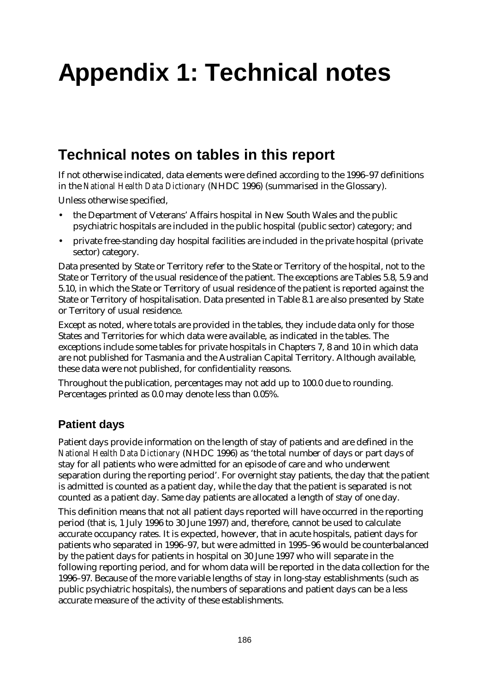# **Appendix 1: Technical notes**

# **Technical notes on tables in this report**

If not otherwise indicated, data elements were defined according to the 1996–97 definitions in the *National Health Data Dictionary* (NHDC 1996) (summarised in the Glossary).

Unless otherwise specified,

- the Department of Veterans' Affairs hospital in New South Wales and the public psychiatric hospitals are included in the public hospital (public sector) category; and
- private free-standing day hospital facilities are included in the private hospital (private sector) category.

Data presented by State or Territory refer to the State or Territory of the hospital, not to the State or Territory of the usual residence of the patient. The exceptions are Tables 5.8, 5.9 and 5.10, in which the State or Territory of usual residence of the patient is reported against the State or Territory of hospitalisation. Data presented in Table 8.1 are also presented by State or Territory of usual residence.

Except as noted, where totals are provided in the tables, they include data only for those States and Territories for which data were available, as indicated in the tables. The exceptions include some tables for private hospitals in Chapters 7, 8 and 10 in which data are not published for Tasmania and the Australian Capital Territory. Although available, these data were not published, for confidentiality reasons.

Throughout the publication, percentages may not add up to 100.0 due to rounding. Percentages printed as 0.0 may denote less than 0.05%.

#### **Patient days**

Patient days provide information on the length of stay of patients and are defined in the *National Health Data Dictionary* (NHDC 1996) as 'the total number of days or part days of stay for all patients who were admitted for an episode of care and who underwent separation during the reporting period'. For overnight stay patients, the day that the patient is admitted is counted as a patient day, while the day that the patient is separated is not counted as a patient day. Same day patients are allocated a length of stay of one day.

This definition means that not all patient days reported will have occurred in the reporting period (that is, 1 July 1996 to 30 June 1997) and, therefore, cannot be used to calculate accurate occupancy rates. It is expected, however, that in acute hospitals, patient days for patients who separated in 1996–97, but were admitted in 1995–96 would be counterbalanced by the patient days for patients in hospital on 30 June 1997 who will separate in the following reporting period, and for whom data will be reported in the data collection for the 1996–97. Because of the more variable lengths of stay in long-stay establishments (such as public psychiatric hospitals), the numbers of separations and patient days can be a less accurate measure of the activity of these establishments.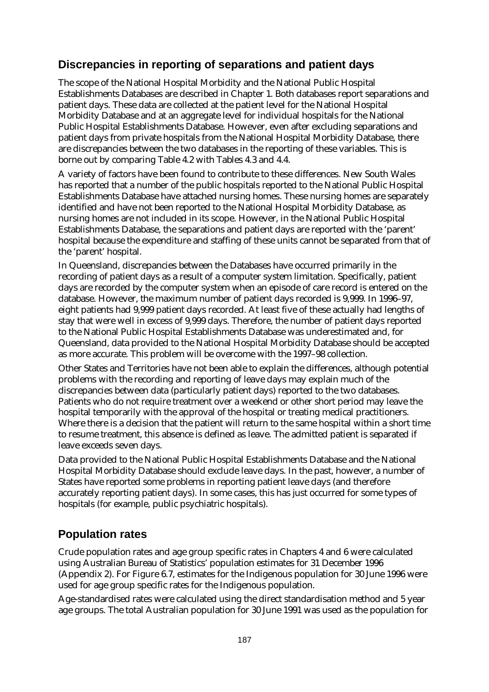### **Discrepancies in reporting of separations and patient days**

The scope of the National Hospital Morbidity and the National Public Hospital Establishments Databases are described in Chapter 1. Both databases report separations and patient days. These data are collected at the patient level for the National Hospital Morbidity Database and at an aggregate level for individual hospitals for the National Public Hospital Establishments Database. However, even after excluding separations and patient days from private hospitals from the National Hospital Morbidity Database, there are discrepancies between the two databases in the reporting of these variables. This is borne out by comparing Table 4.2 with Tables 4.3 and 4.4.

A variety of factors have been found to contribute to these differences. New South Wales has reported that a number of the public hospitals reported to the National Public Hospital Establishments Database have attached nursing homes. These nursing homes are separately identified and have not been reported to the National Hospital Morbidity Database, as nursing homes are not included in its scope. However, in the National Public Hospital Establishments Database, the separations and patient days are reported with the 'parent' hospital because the expenditure and staffing of these units cannot be separated from that of the 'parent' hospital.

In Queensland, discrepancies between the Databases have occurred primarily in the recording of patient days as a result of a computer system limitation. Specifically, patient days are recorded by the computer system when an episode of care record is entered on the database. However, the maximum number of patient days recorded is 9,999. In 1996–97, eight patients had 9,999 patient days recorded. At least five of these actually had lengths of stay that were well in excess of 9,999 days. Therefore, the number of patient days reported to the National Public Hospital Establishments Database was underestimated and, for Queensland, data provided to the National Hospital Morbidity Database should be accepted as more accurate. This problem will be overcome with the 1997–98 collection.

Other States and Territories have not been able to explain the differences, although potential problems with the recording and reporting of leave days may explain much of the discrepancies between data (particularly patient days) reported to the two databases. Patients who do not require treatment over a weekend or other short period may leave the hospital temporarily with the approval of the hospital or treating medical practitioners. Where there is a decision that the patient will return to the same hospital within a short time to resume treatment, this absence is defined as leave. The admitted patient is separated if leave exceeds seven days.

Data provided to the National Public Hospital Establishments Database and the National Hospital Morbidity Database should exclude leave days. In the past, however, a number of States have reported some problems in reporting patient leave days (and therefore accurately reporting patient days). In some cases, this has just occurred for some types of hospitals (for example, public psychiatric hospitals).

### **Population rates**

Crude population rates and age group specific rates in Chapters 4 and 6 were calculated using Australian Bureau of Statistics' population estimates for 31 December 1996 (Appendix 2). For Figure 6.7, estimates for the Indigenous population for 30 June 1996 were used for age group specific rates for the Indigenous population.

Age-standardised rates were calculated using the direct standardisation method and 5 year age groups. The total Australian population for 30 June 1991 was used as the population for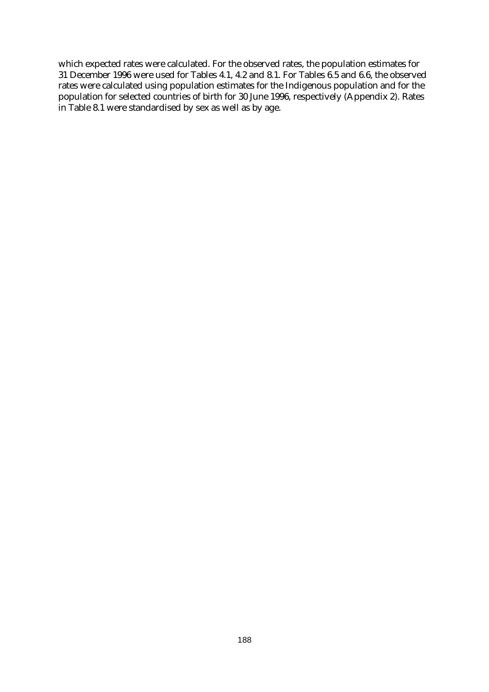which expected rates were calculated. For the observed rates, the population estimates for 31 December 1996 were used for Tables 4.1, 4.2 and 8.1. For Tables 6.5 and 6.6, the observed rates were calculated using population estimates for the Indigenous population and for the population for selected countries of birth for 30 June 1996, respectively (Appendix 2). Rates in Table 8.1 were standardised by sex as well as by age.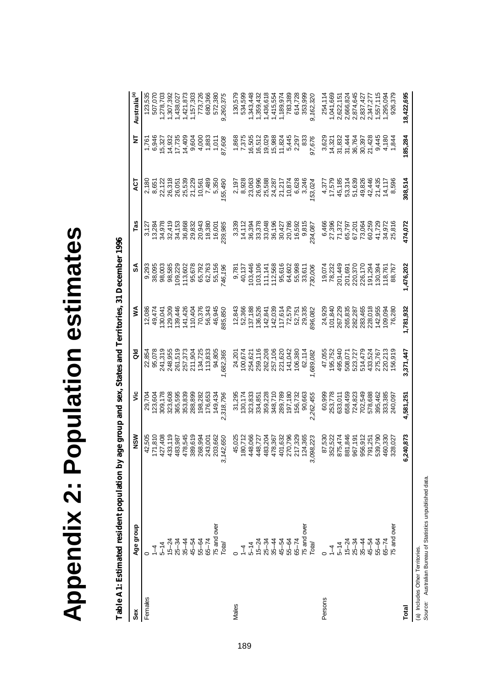| ī                                    |
|--------------------------------------|
| π<br>Г<br>ı<br>I                     |
| l<br>l<br>I<br>г<br>I<br>E<br>I<br>I |

Table A1: Estimated resident population by age group and sex, States and Territories, 31 December 1996 **Table A1: Estimated resident population by age group and sex, States and Territories, 31 December 1996** 

| šex     | Age group          | NSM                                                                                                                                                                                 | ۊ                                                                                                                                           | る                                                                                                                                                                                                      | ≸                                                                                                   | వ్                                                                                                                                                                                                                                                                                          | Tas                                                                                                                                                                                                                                                                                                 |                                                                                                                                                                                                                                                                                                     | Ξ       | Australia <sup>(a)</sup>                                                                                                                                                                                                                                   |
|---------|--------------------|-------------------------------------------------------------------------------------------------------------------------------------------------------------------------------------|---------------------------------------------------------------------------------------------------------------------------------------------|--------------------------------------------------------------------------------------------------------------------------------------------------------------------------------------------------------|-----------------------------------------------------------------------------------------------------|---------------------------------------------------------------------------------------------------------------------------------------------------------------------------------------------------------------------------------------------------------------------------------------------|-----------------------------------------------------------------------------------------------------------------------------------------------------------------------------------------------------------------------------------------------------------------------------------------------------|-----------------------------------------------------------------------------------------------------------------------------------------------------------------------------------------------------------------------------------------------------------------------------------------------------|---------|------------------------------------------------------------------------------------------------------------------------------------------------------------------------------------------------------------------------------------------------------------|
| Females |                    |                                                                                                                                                                                     | 29,704                                                                                                                                      |                                                                                                                                                                                                        |                                                                                                     | 9,293                                                                                                                                                                                                                                                                                       |                                                                                                                                                                                                                                                                                                     |                                                                                                                                                                                                                                                                                                     |         | 123,535                                                                                                                                                                                                                                                    |
|         | $\overline{1}$     | $42,505$ $17,810$ $17,403$ $17,403$ $17,403$ $17,503$ $17,503$ $17,503$ $17,503$ $17,503$ $17,503$ $17,503$ $17,503$ $17,503$ $17,503$ $17,503$ $17,503$ $17,503$ $17,503$ $17,503$ | 123,604                                                                                                                                     |                                                                                                                                                                                                        | 12,086<br>49,0474<br>49,093,04428<br>49,093,04426<br>49,0942643456<br>49,0942643456<br>49,094264456 |                                                                                                                                                                                                                                                                                             |                                                                                                                                                                                                                                                                                                     |                                                                                                                                                                                                                                                                                                     |         |                                                                                                                                                                                                                                                            |
|         |                    |                                                                                                                                                                                     |                                                                                                                                             |                                                                                                                                                                                                        |                                                                                                     |                                                                                                                                                                                                                                                                                             |                                                                                                                                                                                                                                                                                                     |                                                                                                                                                                                                                                                                                                     |         | 507,070<br> 278,703<br> 278,7392<br> 280,7393<br> 27,720,806<br> 27,730,806<br> 272,380                                                                                                                                                                    |
|         |                    |                                                                                                                                                                                     |                                                                                                                                             |                                                                                                                                                                                                        |                                                                                                     |                                                                                                                                                                                                                                                                                             |                                                                                                                                                                                                                                                                                                     |                                                                                                                                                                                                                                                                                                     |         |                                                                                                                                                                                                                                                            |
|         |                    |                                                                                                                                                                                     |                                                                                                                                             |                                                                                                                                                                                                        |                                                                                                     |                                                                                                                                                                                                                                                                                             |                                                                                                                                                                                                                                                                                                     |                                                                                                                                                                                                                                                                                                     |         |                                                                                                                                                                                                                                                            |
|         |                    |                                                                                                                                                                                     |                                                                                                                                             |                                                                                                                                                                                                        |                                                                                                     |                                                                                                                                                                                                                                                                                             |                                                                                                                                                                                                                                                                                                     |                                                                                                                                                                                                                                                                                                     |         |                                                                                                                                                                                                                                                            |
|         |                    |                                                                                                                                                                                     |                                                                                                                                             |                                                                                                                                                                                                        |                                                                                                     |                                                                                                                                                                                                                                                                                             |                                                                                                                                                                                                                                                                                                     |                                                                                                                                                                                                                                                                                                     |         |                                                                                                                                                                                                                                                            |
|         |                    |                                                                                                                                                                                     |                                                                                                                                             |                                                                                                                                                                                                        |                                                                                                     |                                                                                                                                                                                                                                                                                             |                                                                                                                                                                                                                                                                                                     |                                                                                                                                                                                                                                                                                                     |         |                                                                                                                                                                                                                                                            |
|         |                    |                                                                                                                                                                                     |                                                                                                                                             |                                                                                                                                                                                                        |                                                                                                     |                                                                                                                                                                                                                                                                                             |                                                                                                                                                                                                                                                                                                     |                                                                                                                                                                                                                                                                                                     |         |                                                                                                                                                                                                                                                            |
|         |                    |                                                                                                                                                                                     | $309,178$ $32,3608$ $32,3608$ $32,3608$ $32,3608$ $32,3608$ $32,3608$ $32,3608$ $32,3608$ $32,3608$ $32,3608$ $32,3608$ $32,3608$ $32,3608$ |                                                                                                                                                                                                        |                                                                                                     |                                                                                                                                                                                                                                                                                             |                                                                                                                                                                                                                                                                                                     |                                                                                                                                                                                                                                                                                                     |         |                                                                                                                                                                                                                                                            |
|         | Total              | 3,142,650                                                                                                                                                                           |                                                                                                                                             | ,682,365                                                                                                                                                                                               |                                                                                                     | $\begin{array}{l} 38,095 \\ 39,003 \\ 98,582 \\ 99,623 \\ 99,722 \\ 99,61 \\ 99,623 \\ 99,623 \\ 99,623 \\ 99,728 \\ 99,728 \\ 99,729 \\ 99,729 \\ 99,729 \\ 99,729 \\ 99,729 \\ 99,729 \\ 99,729 \\ 99,729 \\ 99,729 \\ 99,729 \\ 99,729 \\ 99,729 \\ 99,729 \\ 99,729 \\ 99,729 \\ 99,72$ | $\begin{array}{l} 77 \\ 77.29 \\ 12.39 \\ 13.49 \\ 14.59 \\ 15.49 \\ 16.59 \\ 17.59 \\ 18.59 \\ 19.59 \\ 19.59 \\ 19.59 \\ 19.59 \\ 19.59 \\ 19.59 \\ 19.59 \\ 19.59 \\ 19.59 \\ 19.59 \\ 19.59 \\ 19.59 \\ 19.59 \\ 19.59 \\ 19.59 \\ 19.59 \\ 19.59 \\ 19.59 \\ 19.59 \\ 19.59 \\ 19.59 \\ 19.59$ | $\begin{array}{l} 2,180 \\ 2,127 \\ 3,651 \\ 2,123 \\ 2,136 \\ 2,165 \\ 2,173 \\ 2,185 \\ 2,195 \\ 2,195 \\ 2,195 \\ 2,195 \\ 2,105 \\ 2,105 \\ 2,105 \\ 2,105 \\ 2,105 \\ 2,105 \\ 2,105 \\ 2,105 \\ 2,105 \\ 2,105 \\ 2,105 \\ 2,105 \\ 2,105 \\ 2,105 \\ 2,105 \\ 2,105 \\ 2,105 \\ 2,105 \\ 2,$ |         | 9,260,375                                                                                                                                                                                                                                                  |
| Males   |                    |                                                                                                                                                                                     |                                                                                                                                             |                                                                                                                                                                                                        | $12,843\n52,366\n52,1368\n137,1886\n142,039\n1442,039\n157,184\n172,751\n52,751$                    |                                                                                                                                                                                                                                                                                             |                                                                                                                                                                                                                                                                                                     |                                                                                                                                                                                                                                                                                                     |         |                                                                                                                                                                                                                                                            |
|         | 7                  |                                                                                                                                                                                     |                                                                                                                                             |                                                                                                                                                                                                        |                                                                                                     |                                                                                                                                                                                                                                                                                             |                                                                                                                                                                                                                                                                                                     |                                                                                                                                                                                                                                                                                                     |         |                                                                                                                                                                                                                                                            |
|         | $-14$              |                                                                                                                                                                                     |                                                                                                                                             |                                                                                                                                                                                                        |                                                                                                     |                                                                                                                                                                                                                                                                                             |                                                                                                                                                                                                                                                                                                     |                                                                                                                                                                                                                                                                                                     |         |                                                                                                                                                                                                                                                            |
|         |                    |                                                                                                                                                                                     |                                                                                                                                             |                                                                                                                                                                                                        |                                                                                                     |                                                                                                                                                                                                                                                                                             |                                                                                                                                                                                                                                                                                                     |                                                                                                                                                                                                                                                                                                     |         |                                                                                                                                                                                                                                                            |
|         |                    |                                                                                                                                                                                     | 31,295<br>130,174<br>130,333<br>334,852<br>359,2710<br>348,710                                                                              |                                                                                                                                                                                                        |                                                                                                     |                                                                                                                                                                                                                                                                                             |                                                                                                                                                                                                                                                                                                     |                                                                                                                                                                                                                                                                                                     |         |                                                                                                                                                                                                                                                            |
|         |                    |                                                                                                                                                                                     |                                                                                                                                             |                                                                                                                                                                                                        |                                                                                                     |                                                                                                                                                                                                                                                                                             |                                                                                                                                                                                                                                                                                                     |                                                                                                                                                                                                                                                                                                     |         |                                                                                                                                                                                                                                                            |
|         |                    |                                                                                                                                                                                     |                                                                                                                                             |                                                                                                                                                                                                        |                                                                                                     |                                                                                                                                                                                                                                                                                             |                                                                                                                                                                                                                                                                                                     |                                                                                                                                                                                                                                                                                                     |         |                                                                                                                                                                                                                                                            |
|         |                    |                                                                                                                                                                                     |                                                                                                                                             |                                                                                                                                                                                                        |                                                                                                     |                                                                                                                                                                                                                                                                                             |                                                                                                                                                                                                                                                                                                     |                                                                                                                                                                                                                                                                                                     |         |                                                                                                                                                                                                                                                            |
|         | $65 - 74$          |                                                                                                                                                                                     |                                                                                                                                             |                                                                                                                                                                                                        |                                                                                                     |                                                                                                                                                                                                                                                                                             |                                                                                                                                                                                                                                                                                                     |                                                                                                                                                                                                                                                                                                     |         |                                                                                                                                                                                                                                                            |
|         | 5 and over         |                                                                                                                                                                                     | 289,789<br>197,180<br>156,732<br>90,663                                                                                                     |                                                                                                                                                                                                        | 29,335                                                                                              | $\begin{array}{r} 9,781 \\ 9,137 \\ 40,137 \\ 103,446 \\ 103,106 \\ 117,147 \\ 112,568 \\ 64,602 \\ 65,998 \\ 55,611 \\ \end{array}$                                                                                                                                                        |                                                                                                                                                                                                                                                                                                     |                                                                                                                                                                                                                                                                                                     |         | $\begin{array}{l} 130,579\\ 1343,436\\ 1343,437\\ 1,369,4432\\ 1,369,618\\ 1,436,554\\ 1,436,554\\ 1,436,554\\ 1,436,554\\ 1,436,554\\ 1,436,564\\ 1,436,564\\ 1,436,564\\ 1,436,564\\ 1,436,564\\ 1,436,564\\ 1,436,564\\ 1,436,564\\ 1,436,564\\ 1,436,$ |
|         | Total              | 450,027<br>180,027<br>180,027 360,038<br>180,027 360,038<br>180,038 380<br>180,038 380<br>180,038 380<br>180,027 380<br>180,027 380<br>ω,                                           | 2,262,455                                                                                                                                   | $74,201\n74,621\n74,621\n74,621\n74,621\n74,620\n74,620\n74,620\n74,620\n74,620\n74,620\n74,620\n74,620\n74,620\n74,620\n74,620\n74,620\n74,620\n74,620\n74,620\n74,620\n74,620\n74,620\n74,740\n75,6$ | 396,082                                                                                             | 730,006                                                                                                                                                                                                                                                                                     |                                                                                                                                                                                                                                                                                                     | $\begin{array}{l} 7,197\\ 7,928\\ 8,926\\ 8,966\\ 8,966\\ 8,966\\ 8,966\\ 8,966\\ 8,966\\ 8,966\\ 8,966\\ 8,966\\ 8,966\\ 8,966\\ 8,966\\ 8,966\\ 8,966\\ 8,966\\ 8,966\\ 8,966\\ 8,966\\ 8,966\\ 8,966\\ 8,966\\ 8,966\\ 8,966\\ 8,966\\ 8,966\\ 8,966\\ 8,966\\ 8,$                               |         | 9,162,320                                                                                                                                                                                                                                                  |
| Persons |                    |                                                                                                                                                                                     | 60,999                                                                                                                                      | 47,055                                                                                                                                                                                                 | 24,929                                                                                              |                                                                                                                                                                                                                                                                                             |                                                                                                                                                                                                                                                                                                     |                                                                                                                                                                                                                                                                                                     |         |                                                                                                                                                                                                                                                            |
|         |                    |                                                                                                                                                                                     | 253,778                                                                                                                                     | 195,752                                                                                                                                                                                                | 101,840                                                                                             |                                                                                                                                                                                                                                                                                             |                                                                                                                                                                                                                                                                                                     |                                                                                                                                                                                                                                                                                                     |         |                                                                                                                                                                                                                                                            |
|         | $5 - 14$           | 87,530<br>352,474<br>352,4746<br>352,4765<br>35,1757<br>87,257<br>89,257                                                                                                            | 633,011                                                                                                                                     | 495,940                                                                                                                                                                                                | 267,229<br>265,835<br>265,287<br>283,465<br>283,465<br>280,018<br>109,280                           | 19,074<br>78,232<br>201,449                                                                                                                                                                                                                                                                 |                                                                                                                                                                                                                                                                                                     |                                                                                                                                                                                                                                                                                                     |         |                                                                                                                                                                                                                                                            |
|         | $15 - 24$<br>25-34 |                                                                                                                                                                                     | 658,459                                                                                                                                     |                                                                                                                                                                                                        |                                                                                                     | 201,691                                                                                                                                                                                                                                                                                     |                                                                                                                                                                                                                                                                                                     |                                                                                                                                                                                                                                                                                                     |         |                                                                                                                                                                                                                                                            |
|         |                    |                                                                                                                                                                                     | 724,823                                                                                                                                     |                                                                                                                                                                                                        |                                                                                                     | 220,370                                                                                                                                                                                                                                                                                     |                                                                                                                                                                                                                                                                                                     |                                                                                                                                                                                                                                                                                                     |         |                                                                                                                                                                                                                                                            |
|         | $35 - 44$          |                                                                                                                                                                                     | 702,549                                                                                                                                     | 508,071<br>523,4727<br>523,524<br>525,767<br>435,767<br>156,919                                                                                                                                        |                                                                                                     | 226,170<br>191,294                                                                                                                                                                                                                                                                          |                                                                                                                                                                                                                                                                                                     |                                                                                                                                                                                                                                                                                                     |         |                                                                                                                                                                                                                                                            |
|         | 45-54              |                                                                                                                                                                                     | 578,688                                                                                                                                     |                                                                                                                                                                                                        |                                                                                                     |                                                                                                                                                                                                                                                                                             |                                                                                                                                                                                                                                                                                                     |                                                                                                                                                                                                                                                                                                     |         |                                                                                                                                                                                                                                                            |
|         | 55-64              | 539,790                                                                                                                                                                             | 395,462                                                                                                                                     |                                                                                                                                                                                                        |                                                                                                     | 130,394<br>118,761<br>88,767                                                                                                                                                                                                                                                                |                                                                                                                                                                                                                                                                                                     |                                                                                                                                                                                                                                                                                                     |         |                                                                                                                                                                                                                                                            |
|         | $65 - 74$          |                                                                                                                                                                                     | 333,385<br>240,097                                                                                                                          |                                                                                                                                                                                                        |                                                                                                     |                                                                                                                                                                                                                                                                                             |                                                                                                                                                                                                                                                                                                     |                                                                                                                                                                                                                                                                                                     |         |                                                                                                                                                                                                                                                            |
|         | 5 and over         | 460,330<br>328,027                                                                                                                                                                  |                                                                                                                                             |                                                                                                                                                                                                        |                                                                                                     |                                                                                                                                                                                                                                                                                             |                                                                                                                                                                                                                                                                                                     | $47.578$ $77.578$ $77.578$ $77.578$ $77.578$ $77.578$ $77.578$ $77.578$ $77.578$ $77.578$ $77.578$ $77.578$ $77.578$ $77.578$                                                                                                                                                                       |         |                                                                                                                                                                                                                                                            |
| Total   |                    | 240,873<br>ဖ                                                                                                                                                                        | 4,581,25                                                                                                                                    | 3,371,447                                                                                                                                                                                              | 1,781,932                                                                                           | 1,476,20                                                                                                                                                                                                                                                                                    | 474,072                                                                                                                                                                                                                                                                                             | 308,514                                                                                                                                                                                                                                                                                             | 185,284 | 18,422,695                                                                                                                                                                                                                                                 |

(a) Includes Other Territories.<br>Source: Australian Bureau of Statistics unpublished data. *Source:* Australian Bureau of Statistics unpublished data. (a) Includes Other Territories.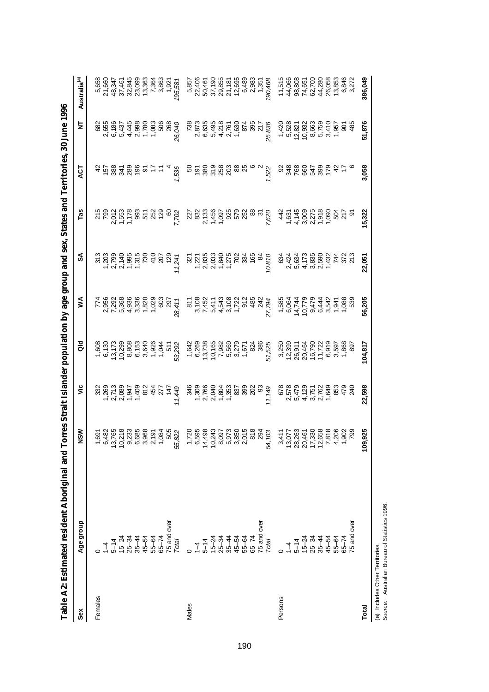|         | Table A2: Estimated resident Aboriginal and Torres Strait Islander population by age group and sex, States and Territories, 30 June 1996                                                                                                                                                                                                                                              |                                                                                                                                                                                                                                                                                         |        |                                                                                                                                                                                                                                                                                                                                                                                                                                    |                                                                                                  |                                                                                                                                                                                                                                                                                                                                                   |                                     |                               |                                                            |                          |
|---------|---------------------------------------------------------------------------------------------------------------------------------------------------------------------------------------------------------------------------------------------------------------------------------------------------------------------------------------------------------------------------------------|-----------------------------------------------------------------------------------------------------------------------------------------------------------------------------------------------------------------------------------------------------------------------------------------|--------|------------------------------------------------------------------------------------------------------------------------------------------------------------------------------------------------------------------------------------------------------------------------------------------------------------------------------------------------------------------------------------------------------------------------------------|--------------------------------------------------------------------------------------------------|---------------------------------------------------------------------------------------------------------------------------------------------------------------------------------------------------------------------------------------------------------------------------------------------------------------------------------------------------|-------------------------------------|-------------------------------|------------------------------------------------------------|--------------------------|
| Sex     | Age group                                                                                                                                                                                                                                                                                                                                                                             | NSM                                                                                                                                                                                                                                                                                     | ۶Ë     | <b>Dio</b>                                                                                                                                                                                                                                                                                                                                                                                                                         | ⋚                                                                                                | వ్                                                                                                                                                                                                                                                                                                                                                | Tas                                 | ES                            | 눋                                                          | Australia <sup>(a)</sup> |
| Females |                                                                                                                                                                                                                                                                                                                                                                                       |                                                                                                                                                                                                                                                                                         |        |                                                                                                                                                                                                                                                                                                                                                                                                                                    |                                                                                                  |                                                                                                                                                                                                                                                                                                                                                   |                                     |                               |                                                            |                          |
|         | $\bar{1}$                                                                                                                                                                                                                                                                                                                                                                             |                                                                                                                                                                                                                                                                                         |        |                                                                                                                                                                                                                                                                                                                                                                                                                                    |                                                                                                  |                                                                                                                                                                                                                                                                                                                                                   | 215<br>799                          |                               |                                                            |                          |
|         | $5 - 14$                                                                                                                                                                                                                                                                                                                                                                              |                                                                                                                                                                                                                                                                                         |        |                                                                                                                                                                                                                                                                                                                                                                                                                                    |                                                                                                  |                                                                                                                                                                                                                                                                                                                                                   |                                     | <b>parase</b>                 | 82<br>685 857 438 86<br>685 857 438 862<br>685 867 467 568 |                          |
|         |                                                                                                                                                                                                                                                                                                                                                                                       | င္ ၃                                                                                                                                                                                                                                                                                    |        |                                                                                                                                                                                                                                                                                                                                                                                                                                    |                                                                                                  |                                                                                                                                                                                                                                                                                                                                                   |                                     |                               |                                                            |                          |
|         |                                                                                                                                                                                                                                                                                                                                                                                       |                                                                                                                                                                                                                                                                                         |        |                                                                                                                                                                                                                                                                                                                                                                                                                                    |                                                                                                  |                                                                                                                                                                                                                                                                                                                                                   |                                     |                               |                                                            |                          |
|         |                                                                                                                                                                                                                                                                                                                                                                                       |                                                                                                                                                                                                                                                                                         |        |                                                                                                                                                                                                                                                                                                                                                                                                                                    |                                                                                                  |                                                                                                                                                                                                                                                                                                                                                   |                                     |                               |                                                            |                          |
|         |                                                                                                                                                                                                                                                                                                                                                                                       |                                                                                                                                                                                                                                                                                         |        |                                                                                                                                                                                                                                                                                                                                                                                                                                    |                                                                                                  |                                                                                                                                                                                                                                                                                                                                                   |                                     | $\mathcal{P}$                 |                                                            |                          |
|         |                                                                                                                                                                                                                                                                                                                                                                                       |                                                                                                                                                                                                                                                                                         |        |                                                                                                                                                                                                                                                                                                                                                                                                                                    |                                                                                                  |                                                                                                                                                                                                                                                                                                                                                   |                                     |                               |                                                            |                          |
|         |                                                                                                                                                                                                                                                                                                                                                                                       |                                                                                                                                                                                                                                                                                         |        |                                                                                                                                                                                                                                                                                                                                                                                                                                    |                                                                                                  |                                                                                                                                                                                                                                                                                                                                                   |                                     |                               |                                                            |                          |
|         |                                                                                                                                                                                                                                                                                                                                                                                       |                                                                                                                                                                                                                                                                                         |        |                                                                                                                                                                                                                                                                                                                                                                                                                                    |                                                                                                  |                                                                                                                                                                                                                                                                                                                                                   |                                     |                               |                                                            |                          |
|         |                                                                                                                                                                                                                                                                                                                                                                                       | 55                                                                                                                                                                                                                                                                                      | 11,449 |                                                                                                                                                                                                                                                                                                                                                                                                                                    | 28,411                                                                                           | $\begin{array}{c} 11.7 \\ 22.7 \\ 23.8 \\ 24.7 \\ 25.8 \\ 26.9 \\ 27.8 \\ 28.9 \\ 29.9 \\ 20.9 \\ 21.9 \\ 22.9 \\ 23.9 \\ 24.7 \\ 25.9 \\ 26.9 \\ 27.9 \\ 28.9 \\ 29.9 \\ 29.9 \\ 27.9 \\ 28.9 \\ 29.9 \\ 29.9 \\ 29.9 \\ 29.9 \\ 29.9 \\ 29.9 \\ 29.9 \\ 29.9 \\ 29.9 \\ 29.9 \\ 29.9 \\ 29.9 \\ 29.9 \\ 29$                                     | 7,702                               | 1,536                         | 26,040                                                     |                          |
| Males   |                                                                                                                                                                                                                                                                                                                                                                                       |                                                                                                                                                                                                                                                                                         |        |                                                                                                                                                                                                                                                                                                                                                                                                                                    |                                                                                                  |                                                                                                                                                                                                                                                                                                                                                   |                                     | 50                            | 738                                                        |                          |
|         | $\overline{1}$                                                                                                                                                                                                                                                                                                                                                                        | 72068842570666688403<br>- 63064426666666840<br>- 640666666666                                                                                                                                                                                                                           |        | $\begin{array}{l} -\; \mathfrak{G}\; \mathfrak{G}\; \mathfrak{G}\; \mathfrak{G}\; \mathfrak{G}\; \mathfrak{G}\; \mathfrak{G}\; \mathfrak{G}\; \mathfrak{G}\; \mathfrak{G}\; \mathfrak{G}\; \mathfrak{G}\; \mathfrak{G}\; \mathfrak{G}\; \mathfrak{G}\; \mathfrak{G}\; \mathfrak{G}\; \mathfrak{G}\; \mathfrak{G}\; \mathfrak{G}\; \mathfrak{G}\; \mathfrak{G}\; \mathfrak{G}\; \mathfrak{G}\; \mathfrak{G}\; \mathfrak{G}\; \math$ |                                                                                                  | $\begin{array}{c} 22 \\ 24 \\ 25 \\ 26 \\ 27 \\ 28 \\ 29 \\ 20 \\ 20 \\ 20 \\ 27 \\ 28 \\ 29 \\ 20 \\ 20 \\ 24 \\ 26 \\ 27 \\ 28 \\ 29 \\ 29 \\ 20 \\ 24 \\ 29 \\ 20 \\ 24 \\ 20 \\ 27 \\ 29 \\ 29 \\ 20 \\ 24 \\ 27 \\ 29 \\ 29 \\ 29 \\ 29 \\ 29 \\ 20 \\ 29 \\ 20 \\ 29 \\ 20 \\ 20 \\ 27 \\ 29 \\ 29 \\ 20 \\ 20 \\ 20 \\ 20 \\ 20 \\ 20 \\ $ | 227<br>832                          |                               |                                                            |                          |
|         | $5 - 14$                                                                                                                                                                                                                                                                                                                                                                              |                                                                                                                                                                                                                                                                                         |        |                                                                                                                                                                                                                                                                                                                                                                                                                                    |                                                                                                  |                                                                                                                                                                                                                                                                                                                                                   | 133<br>1456<br>1450<br>1752<br>1752 | <u>គន្លី ទី ខ្លួន ខ្លួន ន</u> | 2,873<br>6,635                                             |                          |
|         |                                                                                                                                                                                                                                                                                                                                                                                       | $rac{4}{4}$                                                                                                                                                                                                                                                                             |        |                                                                                                                                                                                                                                                                                                                                                                                                                                    |                                                                                                  |                                                                                                                                                                                                                                                                                                                                                   |                                     |                               | 496<br>442163048577<br>54216888277<br>5421588888           |                          |
|         |                                                                                                                                                                                                                                                                                                                                                                                       |                                                                                                                                                                                                                                                                                         |        |                                                                                                                                                                                                                                                                                                                                                                                                                                    |                                                                                                  |                                                                                                                                                                                                                                                                                                                                                   |                                     |                               |                                                            |                          |
|         |                                                                                                                                                                                                                                                                                                                                                                                       |                                                                                                                                                                                                                                                                                         |        |                                                                                                                                                                                                                                                                                                                                                                                                                                    |                                                                                                  |                                                                                                                                                                                                                                                                                                                                                   |                                     |                               |                                                            |                          |
|         |                                                                                                                                                                                                                                                                                                                                                                                       |                                                                                                                                                                                                                                                                                         |        |                                                                                                                                                                                                                                                                                                                                                                                                                                    |                                                                                                  |                                                                                                                                                                                                                                                                                                                                                   |                                     |                               |                                                            |                          |
|         |                                                                                                                                                                                                                                                                                                                                                                                       |                                                                                                                                                                                                                                                                                         |        |                                                                                                                                                                                                                                                                                                                                                                                                                                    |                                                                                                  |                                                                                                                                                                                                                                                                                                                                                   |                                     |                               |                                                            |                          |
|         |                                                                                                                                                                                                                                                                                                                                                                                       |                                                                                                                                                                                                                                                                                         |        |                                                                                                                                                                                                                                                                                                                                                                                                                                    |                                                                                                  | 165                                                                                                                                                                                                                                                                                                                                               | 88<br>37                            |                               |                                                            |                          |
|         |                                                                                                                                                                                                                                                                                                                                                                                       |                                                                                                                                                                                                                                                                                         |        |                                                                                                                                                                                                                                                                                                                                                                                                                                    |                                                                                                  | $\infty$                                                                                                                                                                                                                                                                                                                                          |                                     |                               |                                                            |                          |
|         | $\begin{array}{l} \text{1-22} \\ \text{1-23} \\ \text{1-24} \\ \text{1-25} \\ \text{1-26} \\ \text{1-26} \\ \text{1-27} \\ \text{1-28} \\ \text{1-29} \\ \text{1-20} \\ \text{1-21} \\ \text{1-22} \\ \text{1-23} \\ \text{1-24} \\ \text{1-24} \\ \text{1-25} \\ \text{1-26} \\ \text{1-27} \\ \text{1-28} \\ \text{1-29} \\ \text{1-20} \\ \text{1-20} \\ \text{1-20} \\ \text{1-2$ | 54,                                                                                                                                                                                                                                                                                     | 11,149 | 51,525                                                                                                                                                                                                                                                                                                                                                                                                                             |                                                                                                  | 10,810                                                                                                                                                                                                                                                                                                                                            | 7,620                               | 1,522                         |                                                            |                          |
| Persons |                                                                                                                                                                                                                                                                                                                                                                                       |                                                                                                                                                                                                                                                                                         |        |                                                                                                                                                                                                                                                                                                                                                                                                                                    |                                                                                                  | $\mathfrak{S}^2$                                                                                                                                                                                                                                                                                                                                  |                                     | 8                             |                                                            |                          |
|         | $\overline{1}$                                                                                                                                                                                                                                                                                                                                                                        |                                                                                                                                                                                                                                                                                         |        |                                                                                                                                                                                                                                                                                                                                                                                                                                    |                                                                                                  |                                                                                                                                                                                                                                                                                                                                                   |                                     |                               | 1,420<br>5,528                                             |                          |
|         | $5 - 14$                                                                                                                                                                                                                                                                                                                                                                              |                                                                                                                                                                                                                                                                                         |        |                                                                                                                                                                                                                                                                                                                                                                                                                                    |                                                                                                  |                                                                                                                                                                                                                                                                                                                                                   |                                     | 348                           |                                                            |                          |
|         |                                                                                                                                                                                                                                                                                                                                                                                       |                                                                                                                                                                                                                                                                                         |        |                                                                                                                                                                                                                                                                                                                                                                                                                                    |                                                                                                  |                                                                                                                                                                                                                                                                                                                                                   |                                     |                               |                                                            |                          |
|         |                                                                                                                                                                                                                                                                                                                                                                                       |                                                                                                                                                                                                                                                                                         |        |                                                                                                                                                                                                                                                                                                                                                                                                                                    |                                                                                                  |                                                                                                                                                                                                                                                                                                                                                   |                                     |                               |                                                            |                          |
|         | <b>ተ</b><br>ዋግ<br>አይታ<br>አይታ                                                                                                                                                                                                                                                                                                                                                          | $\begin{array}{l} 3.59877 \\ 3.5987888 \\ 3.5988888 \\ 3.5988888 \\ 3.5988888 \\ 3.598888 \\ 3.598888 \\ 3.5998 \\ 3.5998 \\ 3.5998 \\ 3.5998 \\ 3.5998 \\ 3.5998 \\ 3.5998 \\ 3.5998 \\ 3.5998 \\ 3.5998 \\ 3.5998 \\ 3.5998 \\ 3.5998 \\ 3.5998 \\ 3.5998 \\ 3.5998 \\ 3.5998 \\ 3.5$ |        |                                                                                                                                                                                                                                                                                                                                                                                                                                    | - c 4 5 0 0 0 4 - 4<br>10 0 7 7 4 4 0 0 0 10<br>10 0 4 10 0 4 7 4 7 8 9<br>2 2 4 5 6 4 7 4 7 8 9 | v n 4 ω v 4<br>4 ω 4 ω 6 4 k ω 6<br>4 ω 6 ω 6 4 k ω 6<br>4 4 ω 6 0 0 7 4 k ω                                                                                                                                                                                                                                                                      |                                     | <b>응유왕능 4 는</b>               | 551<br>662<br>5663<br>5655<br>56555<br>56555               |                          |
|         |                                                                                                                                                                                                                                                                                                                                                                                       |                                                                                                                                                                                                                                                                                         |        |                                                                                                                                                                                                                                                                                                                                                                                                                                    |                                                                                                  |                                                                                                                                                                                                                                                                                                                                                   |                                     |                               |                                                            |                          |
|         | 55-64                                                                                                                                                                                                                                                                                                                                                                                 |                                                                                                                                                                                                                                                                                         |        |                                                                                                                                                                                                                                                                                                                                                                                                                                    |                                                                                                  |                                                                                                                                                                                                                                                                                                                                                   |                                     |                               |                                                            |                          |
|         | $65 - 74$                                                                                                                                                                                                                                                                                                                                                                             |                                                                                                                                                                                                                                                                                         |        |                                                                                                                                                                                                                                                                                                                                                                                                                                    |                                                                                                  |                                                                                                                                                                                                                                                                                                                                                   |                                     |                               |                                                            |                          |
|         | 75 and over                                                                                                                                                                                                                                                                                                                                                                           |                                                                                                                                                                                                                                                                                         |        |                                                                                                                                                                                                                                                                                                                                                                                                                                    |                                                                                                  |                                                                                                                                                                                                                                                                                                                                                   |                                     |                               |                                                            |                          |
| Total   |                                                                                                                                                                                                                                                                                                                                                                                       | 1,925<br>$\frac{6}{2}$                                                                                                                                                                                                                                                                  | 22,598 | 104,817                                                                                                                                                                                                                                                                                                                                                                                                                            | 56,205                                                                                           | 22,051                                                                                                                                                                                                                                                                                                                                            | 15,322                              | 3,058                         | 51,876                                                     | 386,049                  |

(a) Includes Other Territories.<br>Source: Australian Bureau of Statistics 1996. *Source:* Australian Bureau of Statistics 1996. (a) Includes Other Territories.

190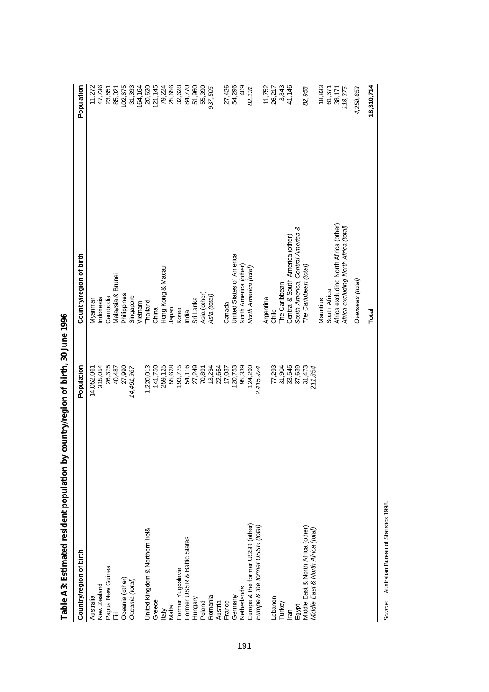| Country/region of birth            | Population | Country/region of birth               | Population |
|------------------------------------|------------|---------------------------------------|------------|
|                                    |            |                                       |            |
| Australia                          | 14,052,061 | Myannar                               | 11,272     |
| New Zealand                        | 315,054    | Indonesia                             | 47,736     |
| Papua New Guinea                   | 26,375     | Cambodia                              | 23,851     |
| Ē                                  | 40,487     | Malaysia & Brunei                     | 85,021     |
| Oceania (other)                    | 27,990     | Philippines                           | 102,675    |
| Oceania (total)                    | 14,461,967 | Singapore                             | 31,393     |
|                                    |            | Vietnam                               | 164,164    |
| United Kingdom & Northern Irel&    | 1,220,013  | Thailand                              | 20,620     |
| Greece                             | 141,750    | China                                 | 121, 145   |
| <b>Italy</b>                       | 259,125    | Hong Kong & Macau                     | 79,224     |
| Malta                              | 55,628     | Japan                                 | 25,656     |
| Former Yugoslavia                  | 193,775    | Korea                                 | 32,628     |
| Former USSR & Baltic States        | 54,116     | India                                 | 84,770     |
| Hungary                            | 27,249     | Sri Lanka                             | 51,960     |
| Poland                             | 70,891     | Asia (other)                          | 55,390     |
| Romania                            | 13,294     | Asia (total)                          | 937,505    |
| Austria                            | 22,664     |                                       |            |
| France                             | 17,037     | Canada                                | 27,426     |
| Germany                            | 120,753    | <b>Jnited States of America</b>       | 54,296     |
| Netherlands                        | 95,339     | North America (other)                 | 409        |
| Europe & the former USSR (other)   | 124,290    | Vorth America (total)                 | 82,131     |
| Europe & the former USSR (total)   | 2,415,924  |                                       |            |
|                                    |            | Argentina                             | 11,752     |
| Lebanon                            | 77,293     | Chile                                 | 26,217     |
| Turkey                             | 31,904     | The Caribbean                         | 3,843      |
| lran                               | 33,545     | Central & South America (other)       | 41,146     |
| Egypt                              | 37,639     | South America, Central America &      |            |
| Middle East & North Africa (other) | 31,473     | The Caribbean (total)                 | 82,958     |
| Middle East & North Africa (total) | 211,854    |                                       |            |
|                                    |            | Mauritius                             | 18,833     |
|                                    |            | South Africa                          | 61,371     |
|                                    |            | Africa excluding North Africa (other) | 38,171     |
|                                    |            | Africa excluding North Africa (total) | 118,375    |
|                                    |            | Overseas (total)                      | 4,258,653  |
|                                    |            | Total                                 | 18,310,714 |

Table A3: Estimated resident population by country/region of birth, 30 June 1996 **Table A3: Estimated resident population by country/region of birth, 30 June 1996** 

Source: Australian Bureau of Statistics 1998. *Source:* Australian Bureau of Statistics 1998.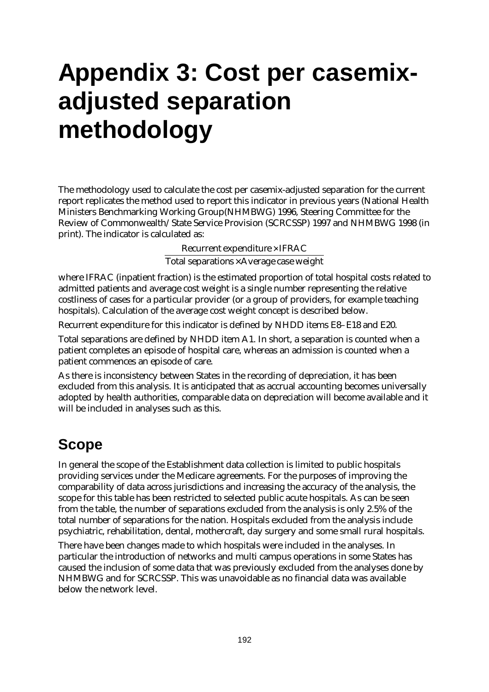# **Appendix 3: Cost per casemixadjusted separation methodology**

The methodology used to calculate the cost per casemix-adjusted separation for the current report replicates the method used to report this indicator in previous years (National Health Ministers Benchmarking Working Group(NHMBWG) 1996, Steering Committee for the Review of Commonwealth/State Service Provision (SCRCSSP) 1997 and NHMBWG 1998 (in print). The indicator is calculated as:

 $Recurrent$  expenditure  $\times$  IFRAC

Total separations $\times$ Average case weight

where IFRAC (inpatient fraction) is the estimated proportion of total hospital costs related to admitted patients and average cost weight is a single number representing the relative costliness of cases for a particular provider (or a group of providers, for example teaching hospitals). Calculation of the average cost weight concept is described below.

Recurrent expenditure for this indicator is defined by NHDD items E8–E18 and E20.

Total separations are defined by NHDD item A1. In short, a separation is counted when a patient completes an episode of hospital care, whereas an admission is counted when a patient commences an episode of care.

As there is inconsistency between States in the recording of depreciation, it has been excluded from this analysis. It is anticipated that as accrual accounting becomes universally adopted by health authorities, comparable data on depreciation will become available and it will be included in analyses such as this.

# **Scope**

In general the scope of the Establishment data collection is limited to public hospitals providing services under the Medicare agreements. For the purposes of improving the comparability of data across jurisdictions and increasing the accuracy of the analysis, the scope for this table has been restricted to selected public acute hospitals. As can be seen from the table, the number of separations excluded from the analysis is only 2.5% of the total number of separations for the nation. Hospitals excluded from the analysis include psychiatric, rehabilitation, dental, mothercraft, day surgery and some small rural hospitals.

There have been changes made to which hospitals were included in the analyses. In particular the introduction of networks and multi campus operations in some States has caused the inclusion of some data that was previously excluded from the analyses done by NHMBWG and for SCRCSSP. This was unavoidable as no financial data was available below the network level.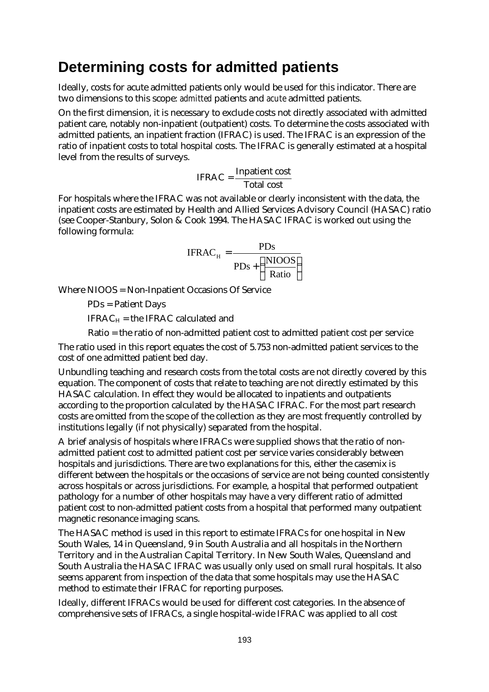## **Determining costs for admitted patients**

Ideally, costs for acute admitted patients only would be used for this indicator. There are two dimensions to this scope: *admitted* patients and *acute* admitted patients.

On the first dimension, it is necessary to exclude costs not directly associated with admitted patient care, notably non-inpatient (outpatient) costs. To determine the costs associated with admitted patients, an inpatient fraction (IFRAC) is used. The IFRAC is an expression of the ratio of inpatient costs to total hospital costs. The IFRAC is generally estimated at a hospital level from the results of surveys.

$$
IFRAC = \frac{Inpatient cost}{Total cost}
$$

For hospitals where the IFRAC was not available or clearly inconsistent with the data, the inpatient costs are estimated by Health and Allied Services Advisory Council (HASAC) ratio (see Cooper-Stanbury, Solon & Cook 1994. The HASAC IFRAC is worked out using the following formula:

$$
IFRACH = \frac{PDs}{PDs + \left(\frac{NIOOS}{Ratio}\right)}
$$

Where NIOOS = Non-Inpatient Occasions Of Service

PDs = Patient Days

 $IFRAC<sub>H</sub> =$  the IFRAC calculated and

Ratio = the ratio of non-admitted patient cost to admitted patient cost per service

The ratio used in this report equates the cost of 5.753 non-admitted patient services to the cost of one admitted patient bed day.

Unbundling teaching and research costs from the total costs are not directly covered by this equation. The component of costs that relate to teaching are not directly estimated by this HASAC calculation. In effect they would be allocated to inpatients and outpatients according to the proportion calculated by the HASAC IFRAC. For the most part research costs are omitted from the scope of the collection as they are most frequently controlled by institutions legally (if not physically) separated from the hospital.

A brief analysis of hospitals where IFRACs were supplied shows that the ratio of nonadmitted patient cost to admitted patient cost per service varies considerably between hospitals and jurisdictions. There are two explanations for this, either the casemix is different between the hospitals or the occasions of service are not being counted consistently across hospitals or across jurisdictions. For example, a hospital that performed outpatient pathology for a number of other hospitals may have a very different ratio of admitted patient cost to non-admitted patient costs from a hospital that performed many outpatient magnetic resonance imaging scans.

The HASAC method is used in this report to estimate IFRACs for one hospital in New South Wales, 14 in Queensland, 9 in South Australia and all hospitals in the Northern Territory and in the Australian Capital Territory. In New South Wales, Queensland and South Australia the HASAC IFRAC was usually only used on small rural hospitals. It also seems apparent from inspection of the data that some hospitals may use the HASAC method to estimate their IFRAC for reporting purposes.

Ideally, different IFRACs would be used for different cost categories. In the absence of comprehensive sets of IFRACs, a single hospital-wide IFRAC was applied to all cost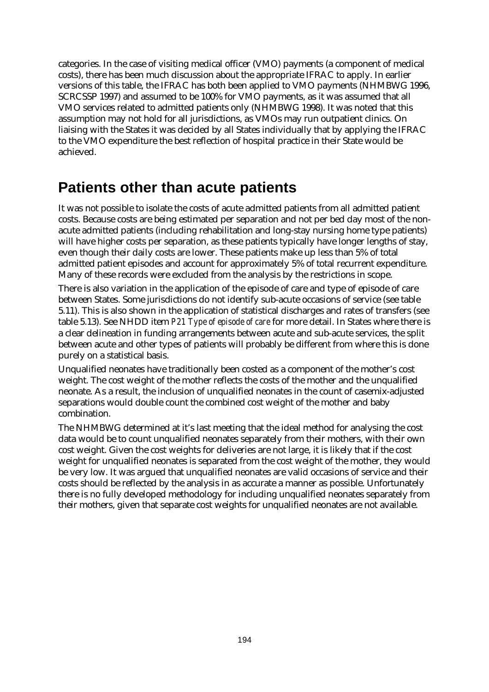categories. In the case of visiting medical officer (VMO) payments (a component of medical costs), there has been much discussion about the appropriate IFRAC to apply. In earlier versions of this table, the IFRAC has both been applied to VMO payments (NHMBWG 1996, SCRCSSP 1997) and assumed to be 100% for VMO payments, as it was assumed that all VMO services related to admitted patients only (NHMBWG 1998). It was noted that this assumption may not hold for all jurisdictions, as VMOs may run outpatient clinics. On liaising with the States it was decided by all States individually that by applying the IFRAC to the VMO expenditure the best reflection of hospital practice in their State would be achieved.

## **Patients other than acute patients**

It was not possible to isolate the costs of acute admitted patients from all admitted patient costs. Because costs are being estimated per separation and not per bed day most of the nonacute admitted patients (including rehabilitation and long-stay nursing home type patients) will have higher costs per separation, as these patients typically have longer lengths of stay, even though their daily costs are lower. These patients make up less than 5% of total admitted patient episodes and account for approximately 5% of total recurrent expenditure. Many of these records were excluded from the analysis by the restrictions in scope.

There is also variation in the application of the episode of care and type of episode of care between States. Some jurisdictions do not identify sub-acute occasions of service (see table 5.11). This is also shown in the application of statistical discharges and rates of transfers (see table 5.13). See NHDD item *P21 Type of episode of care* for more detail. In States where there is a clear delineation in funding arrangements between acute and sub-acute services, the split between acute and other types of patients will probably be different from where this is done purely on a statistical basis.

Unqualified neonates have traditionally been costed as a component of the mother's cost weight. The cost weight of the mother reflects the costs of the mother and the unqualified neonate. As a result, the inclusion of unqualified neonates in the count of casemix-adjusted separations would double count the combined cost weight of the mother and baby combination.

The NHMBWG determined at it's last meeting that the ideal method for analysing the cost data would be to count unqualified neonates separately from their mothers, with their own cost weight. Given the cost weights for deliveries are not large, it is likely that if the cost weight for unqualified neonates is separated from the cost weight of the mother, they would be very low. It was argued that unqualified neonates are valid occasions of service and their costs should be reflected by the analysis in as accurate a manner as possible. Unfortunately there is no fully developed methodology for including unqualified neonates separately from their mothers, given that separate cost weights for unqualified neonates are not available.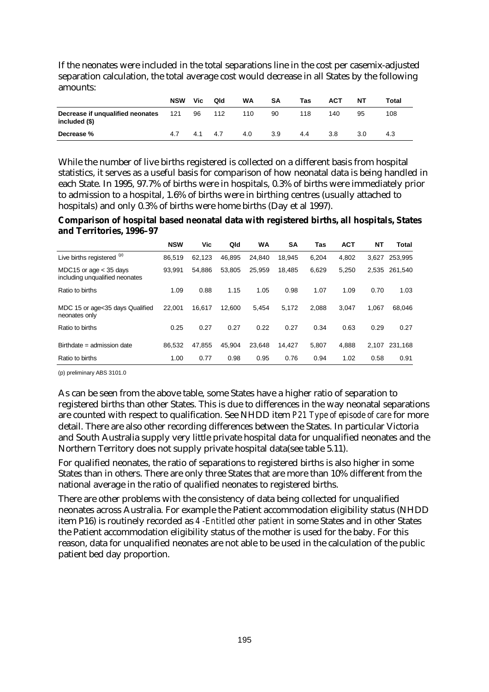If the neonates were included in the total separations line in the cost per casemix-adjusted separation calculation, the total average cost would decrease in all States by the following amounts:

|                                                              | <b>NSW</b> | Vic. | Qld | WA  | SΑ  | Tas | ACT | NΤ  | Total |
|--------------------------------------------------------------|------------|------|-----|-----|-----|-----|-----|-----|-------|
| <b>Decrease if unqualified neonates</b> 121<br>included (\$) |            | 96   | 112 | 110 | 90  | 118 | 140 | 95  | 108   |
| Decrease %                                                   | 4.7        | 4.1  | 4.7 | 4.0 | 3.9 | 4.4 | 3.8 | 3.0 | 4.3   |

While the number of live births registered is collected on a different basis from hospital statistics, it serves as a useful basis for comparison of how neonatal data is being handled in each State. In 1995, 97.7% of births were in hospitals, 0.3% of births were immediately prior to admission to a hospital, 1.6% of births were in birthing centres (usually attached to hospitals) and only 0.3% of births were home births (Day et al 1997).

**Comparison of hospital based neonatal data with registered births, all hospitals, States and Territories, 1996–97**

|                                                            | <b>NSW</b> | Vic    | Qld    | WA     | SΑ     | Tas   | <b>ACT</b> | NT    | Total   |
|------------------------------------------------------------|------------|--------|--------|--------|--------|-------|------------|-------|---------|
| Live births registered (p)                                 | 86.519     | 62.123 | 46.895 | 24.840 | 18.945 | 6.204 | 4.802      | 3.627 | 253,995 |
| MDC15 or age $<$ 35 days<br>including unqualified neonates | 93.991     | 54.886 | 53.805 | 25.959 | 18.485 | 6.629 | 5.250      | 2,535 | 261,540 |
| Ratio to births                                            | 1.09       | 0.88   | 1.15   | 1.05   | 0.98   | 1.07  | 1.09       | 0.70  | 1.03    |
| MDC 15 or age < 35 days Qualified<br>neonates only         | 22.001     | 16.617 | 12.600 | 5.454  | 5.172  | 2.088 | 3.047      | 1.067 | 68,046  |
| Ratio to births                                            | 0.25       | 0.27   | 0.27   | 0.22   | 0.27   | 0.34  | 0.63       | 0.29  | 0.27    |
| Birthdate = admission date                                 | 86.532     | 47.855 | 45.904 | 23.648 | 14.427 | 5.807 | 4.888      | 2.107 | 231,168 |
| Ratio to births                                            | 1.00       | 0.77   | 0.98   | 0.95   | 0.76   | 0.94  | 1.02       | 0.58  | 0.91    |

(p) preliminary ABS 3101.0

As can be seen from the above table, some States have a higher ratio of separation to registered births than other States. This is due to differences in the way neonatal separations are counted with respect to qualification. See NHDD item *P21 Type of episode of care* for more detail. There are also other recording differences between the States. In particular Victoria and South Australia supply very little private hospital data for unqualified neonates and the Northern Territory does not supply private hospital data(see table 5.11).

For qualified neonates, the ratio of separations to registered births is also higher in some States than in others. There are only three States that are more than 10% different from the national average in the ratio of qualified neonates to registered births.

There are other problems with the consistency of data being collected for unqualified neonates across Australia. For example the Patient accommodation eligibility status (NHDD item P16) is routinely recorded as *4 -Entitled other patient* in some States and in other States the Patient accommodation eligibility status of the mother is used for the baby. For this reason, data for unqualified neonates are not able to be used in the calculation of the public patient bed day proportion.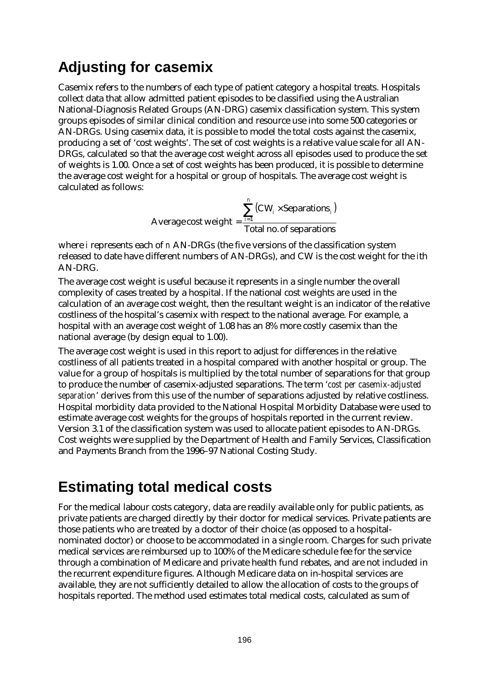## **Adjusting for casemix**

Casemix refers to the numbers of each type of patient category a hospital treats. Hospitals collect data that allow admitted patient episodes to be classified using the Australian National-Diagnosis Related Groups (AN-DRG) casemix classification system. This system groups episodes of similar clinical condition and resource use into some 500 categories or AN-DRGs. Using casemix data, it is possible to model the total costs against the casemix, producing a set of 'cost weights'. The set of cost weights is a relative value scale for all AN-DRGs, calculated so that the average cost weight across all episodes used to produce the set of weights is 1.00. Once a set of cost weights has been produced, it is possible to determine the average cost weight for a hospital or group of hospitals. The average cost weight is calculated as follows:

Average cost weight = 
$$
\frac{\sum_{i=1}^{n} (CW_i \times \text{Separations}_i)}{\text{Total no. of separations}}
$$

where *i* represents each of *n* AN-DRGs (the five versions of the classification system released to date have different numbers of AN-DRGs), and CW is the cost weight for the *i*th AN-DRG.

The average cost weight is useful because it represents in a single number the overall complexity of cases treated by a hospital. If the national cost weights are used in the calculation of an average cost weight, then the resultant weight is an indicator of the relative costliness of the hospital's casemix with respect to the national average. For example, a hospital with an average cost weight of 1.08 has an 8% more costly casemix than the national average (by design equal to 1.00).

The average cost weight is used in this report to adjust for differences in the relative costliness of all patients treated in a hospital compared with another hospital or group. The value for a group of hospitals is multiplied by the total number of separations for that group to produce the number of casemix-adjusted separations. The term '*cost per casemix-adjusted separation*' derives from this use of the number of separations adjusted by relative costliness. Hospital morbidity data provided to the National Hospital Morbidity Database were used to estimate average cost weights for the groups of hospitals reported in the current review. Version 3.1 of the classification system was used to allocate patient episodes to AN-DRGs. Cost weights were supplied by the Department of Health and Family Services, Classification and Payments Branch from the 1996–97 National Costing Study.

## **Estimating total medical costs**

For the medical labour costs category, data are readily available only for public patients, as private patients are charged directly by their doctor for medical services. Private patients are those patients who are treated by a doctor of their choice (as opposed to a hospitalnominated doctor) or choose to be accommodated in a single room. Charges for such private medical services are reimbursed up to 100% of the Medicare schedule fee for the service through a combination of Medicare and private health fund rebates, and are not included in the recurrent expenditure figures. Although Medicare data on in-hospital services are available, they are not sufficiently detailed to allow the allocation of costs to the groups of hospitals reported. The method used estimates total medical costs, calculated as sum of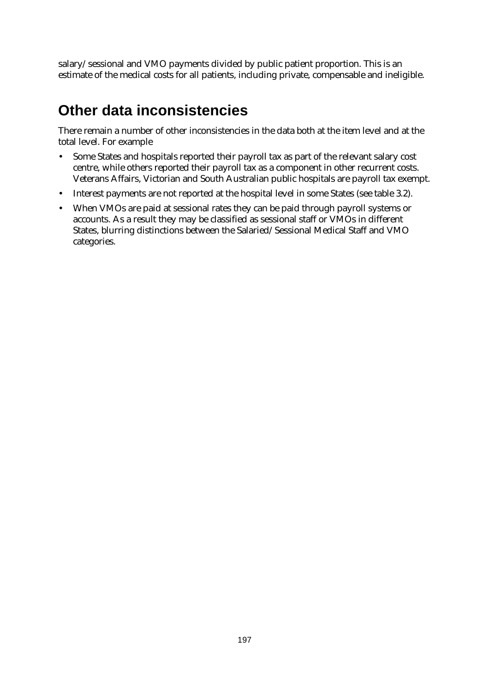salary/sessional and VMO payments divided by public patient proportion. This is an estimate of the medical costs for all patients, including private, compensable and ineligible.

#### **Other data inconsistencies**

There remain a number of other inconsistencies in the data both at the item level and at the total level. For example

- Some States and hospitals reported their payroll tax as part of the relevant salary cost centre, while others reported their payroll tax as a component in other recurrent costs. Veterans Affairs, Victorian and South Australian public hospitals are payroll tax exempt.
- Interest payments are not reported at the hospital level in some States (see table 3.2).
- When VMOs are paid at sessional rates they can be paid through payroll systems or accounts. As a result they may be classified as sessional staff or VMOs in different States, blurring distinctions between the Salaried/Sessional Medical Staff and VMO categories.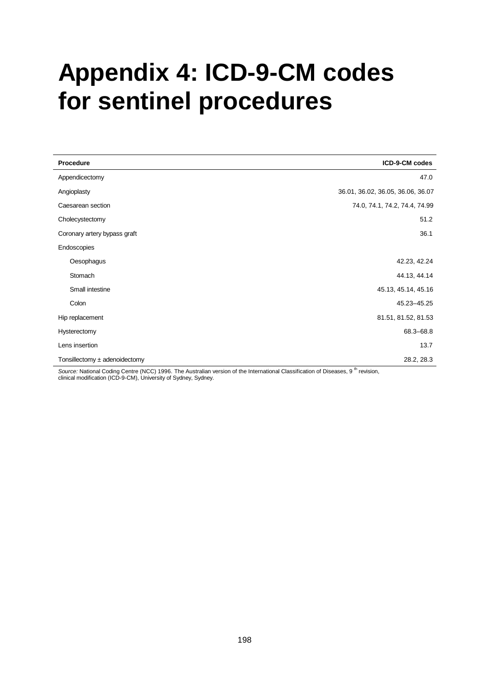# **Appendix 4: ICD-9-CM codes for sentinel procedures**

| Procedure                         | ICD-9-CM codes                    |
|-----------------------------------|-----------------------------------|
| Appendicectomy                    | 47.0                              |
| Angioplasty                       | 36.01, 36.02, 36.05, 36.06, 36.07 |
| Caesarean section                 | 74.0, 74.1, 74.2, 74.4, 74.99     |
| Cholecystectomy                   | 51.2                              |
| Coronary artery bypass graft      | 36.1                              |
| Endoscopies                       |                                   |
| Oesophagus                        | 42.23, 42.24                      |
| Stomach                           | 44.13, 44.14                      |
| Small intestine                   | 45.13, 45.14, 45.16               |
| Colon                             | 45.23-45.25                       |
| Hip replacement                   | 81.51, 81.52, 81.53               |
| Hysterectomy                      | 68.3-68.8                         |
| Lens insertion                    | 13.7                              |
| Tonsillectomy $\pm$ adenoidectomy | 28.2, 28.3<br>Alex 1              |

Source: National Coding Centre (NCC) 1996. The Australian version of the International Classification of Diseases, 9<sup>th</sup> revision, clinical modification (ICD-9-CM), University of Sydney, Sydney.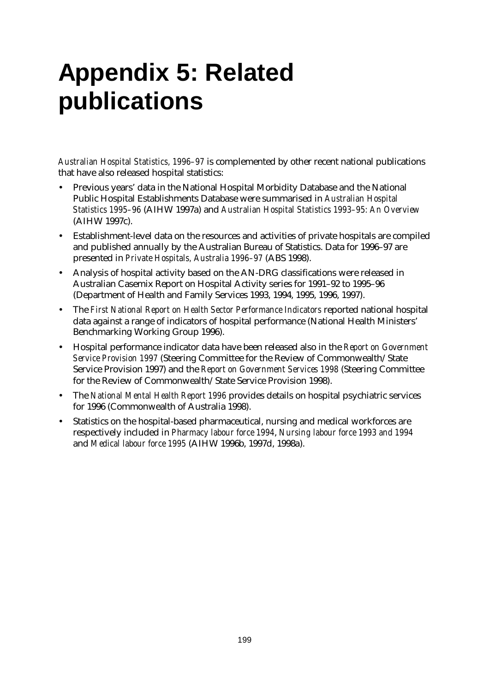# **Appendix 5: Related publications**

*Australian Hospital Statistics, 1996–97* is complemented by other recent national publications that have also released hospital statistics:

- Previous years' data in the National Hospital Morbidity Database and the National Public Hospital Establishments Database were summarised in *Australian Hospital Statistics 1995–96* (AIHW 1997a) and *Australian Hospital Statistics 1993–95: An Overview* (AIHW 1997c).
- Establishment-level data on the resources and activities of private hospitals are compiled and published annually by the Australian Bureau of Statistics. Data for 1996–97 are presented in *Private Hospitals, Australia 1996–97* (ABS 1998).
- Analysis of hospital activity based on the AN-DRG classifications were released in Australian Casemix Report on Hospital Activity series for 1991–92 to 1995–96 (Department of Health and Family Services 1993, 1994, 1995, 1996, 1997).
- The *First National Report on Health Sector Performance Indicators* reported national hospital data against a range of indicators of hospital performance (National Health Ministers' Benchmarking Working Group 1996).
- Hospital performance indicator data have been released also in the *Report on Government Service Provision 1997* (Steering Committee for the Review of Commonwealth/State Service Provision 1997) and the *Report on Government Services 1998* (Steering Committee for the Review of Commonwealth/State Service Provision 1998).
- The *National Mental Health Report 1996* provides details on hospital psychiatric services for 1996 (Commonwealth of Australia 1998).
- Statistics on the hospital-based pharmaceutical, nursing and medical workforces are respectively included in *Pharmacy labour force 1994*, *Nursing labour force 1993 and 1994* and *Medical labour force 1995* (AIHW 1996b, 1997d, 1998a).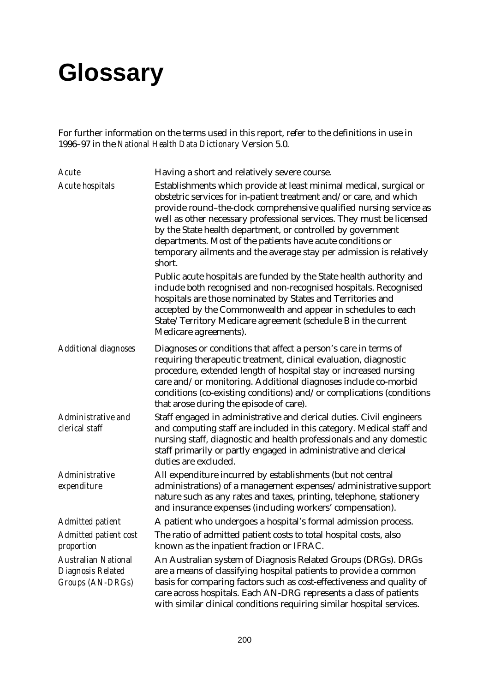# **Glossary**

For further information on the terms used in this report, refer to the definitions in use in 1996–97 in the *National Health Data Dictionary* Version 5.0.

| Acute                                                               | Having a short and relatively severe course.                                                                                                                                                                                                                                                                                                                                                                                                                                                         |
|---------------------------------------------------------------------|------------------------------------------------------------------------------------------------------------------------------------------------------------------------------------------------------------------------------------------------------------------------------------------------------------------------------------------------------------------------------------------------------------------------------------------------------------------------------------------------------|
| <b>Acute hospitals</b>                                              | Establishments which provide at least minimal medical, surgical or<br>obstetric services for in-patient treatment and/or care, and which<br>provide round-the-clock comprehensive qualified nursing service as<br>well as other necessary professional services. They must be licensed<br>by the State health department, or controlled by government<br>departments. Most of the patients have acute conditions or<br>temporary ailments and the average stay per admission is relatively<br>short. |
|                                                                     | Public acute hospitals are funded by the State health authority and<br>include both recognised and non-recognised hospitals. Recognised<br>hospitals are those nominated by States and Territories and<br>accepted by the Commonwealth and appear in schedules to each<br>State/Territory Medicare agreement (schedule B in the current<br>Medicare agreements).                                                                                                                                     |
| <b>Additional diagnoses</b>                                         | Diagnoses or conditions that affect a person's care in terms of<br>requiring therapeutic treatment, clinical evaluation, diagnostic<br>procedure, extended length of hospital stay or increased nursing<br>care and/or monitoring. Additional diagnoses include co-morbid<br>conditions (co-existing conditions) and/or complications (conditions<br>that arose during the episode of care).                                                                                                         |
| Administrative and<br>clerical staff                                | Staff engaged in administrative and clerical duties. Civil engineers<br>and computing staff are included in this category. Medical staff and<br>nursing staff, diagnostic and health professionals and any domestic<br>staff primarily or partly engaged in administrative and clerical<br>duties are excluded.                                                                                                                                                                                      |
| Administrative<br>expenditure                                       | All expenditure incurred by establishments (but not central<br>administrations) of a management expenses/administrative support<br>nature such as any rates and taxes, printing, telephone, stationery<br>and insurance expenses (including workers' compensation).                                                                                                                                                                                                                                  |
| <b>Admitted patient</b>                                             | A patient who undergoes a hospital's formal admission process.                                                                                                                                                                                                                                                                                                                                                                                                                                       |
| Admitted patient cost<br>proportion                                 | The ratio of admitted patient costs to total hospital costs, also<br>known as the inpatient fraction or IFRAC.                                                                                                                                                                                                                                                                                                                                                                                       |
| <b>Australian National</b><br>Diagnosis Related<br>Groups (AN-DRGs) | An Australian system of Diagnosis Related Groups (DRGs). DRGs<br>are a means of classifying hospital patients to provide a common<br>basis for comparing factors such as cost-effectiveness and quality of<br>care across hospitals. Each AN-DRG represents a class of patients<br>with similar clinical conditions requiring similar hospital services.                                                                                                                                             |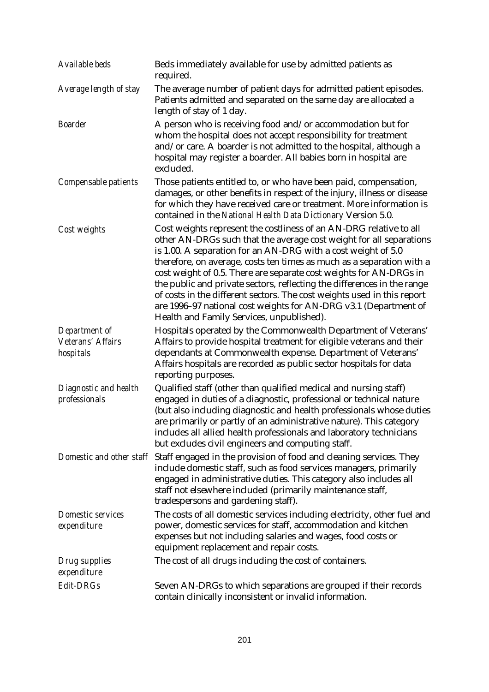| Available beds                                  | Beds immediately available for use by admitted patients as<br>required.                                                                                                                                                                                                                                                                                                                                                                                                                                                                                                                                                          |
|-------------------------------------------------|----------------------------------------------------------------------------------------------------------------------------------------------------------------------------------------------------------------------------------------------------------------------------------------------------------------------------------------------------------------------------------------------------------------------------------------------------------------------------------------------------------------------------------------------------------------------------------------------------------------------------------|
| Average length of stay                          | The average number of patient days for admitted patient episodes.<br>Patients admitted and separated on the same day are allocated a<br>length of stay of 1 day.                                                                                                                                                                                                                                                                                                                                                                                                                                                                 |
| <b>Boarder</b>                                  | A person who is receiving food and/or accommodation but for<br>whom the hospital does not accept responsibility for treatment<br>and/or care. A boarder is not admitted to the hospital, although a<br>hospital may register a boarder. All babies born in hospital are<br>excluded.                                                                                                                                                                                                                                                                                                                                             |
| Compensable patients                            | Those patients entitled to, or who have been paid, compensation,<br>damages, or other benefits in respect of the injury, illness or disease<br>for which they have received care or treatment. More information is<br>contained in the National Health Data Dictionary Version 5.0.                                                                                                                                                                                                                                                                                                                                              |
| Cost weights                                    | Cost weights represent the costliness of an AN-DRG relative to all<br>other AN-DRGs such that the average cost weight for all separations<br>is 1.00. A separation for an AN-DRG with a cost weight of 5.0<br>therefore, on average, costs ten times as much as a separation with a<br>cost weight of 0.5. There are separate cost weights for AN-DRGs in<br>the public and private sectors, reflecting the differences in the range<br>of costs in the different sectors. The cost weights used in this report<br>are 1996-97 national cost weights for AN-DRG v3.1 (Department of<br>Health and Family Services, unpublished). |
| Department of<br>Veterans' Affairs<br>hospitals | Hospitals operated by the Commonwealth Department of Veterans'<br>Affairs to provide hospital treatment for eligible veterans and their<br>dependants at Commonwealth expense. Department of Veterans'<br>Affairs hospitals are recorded as public sector hospitals for data<br>reporting purposes.                                                                                                                                                                                                                                                                                                                              |
| Diagnostic and health<br>professionals          | Qualified staff (other than qualified medical and nursing staff)<br>engaged in duties of a diagnostic, professional or technical nature<br>(but also including diagnostic and health professionals whose duties<br>are primarily or partly of an administrative nature). This category<br>includes all allied health professionals and laboratory technicians<br>but excludes civil engineers and computing staff.                                                                                                                                                                                                               |
| Domestic and other staff                        | Staff engaged in the provision of food and cleaning services. They<br>include domestic staff, such as food services managers, primarily<br>engaged in administrative duties. This category also includes all<br>staff not elsewhere included (primarily maintenance staff,<br>tradespersons and gardening staff).                                                                                                                                                                                                                                                                                                                |
| Domestic services<br>expenditure                | The costs of all domestic services including electricity, other fuel and<br>power, domestic services for staff, accommodation and kitchen<br>expenses but not including salaries and wages, food costs or<br>equipment replacement and repair costs.                                                                                                                                                                                                                                                                                                                                                                             |
| Drug supplies<br>expenditure                    | The cost of all drugs including the cost of containers.                                                                                                                                                                                                                                                                                                                                                                                                                                                                                                                                                                          |
| Edit-DRGs                                       | Seven AN-DRGs to which separations are grouped if their records<br>contain clinically inconsistent or invalid information.                                                                                                                                                                                                                                                                                                                                                                                                                                                                                                       |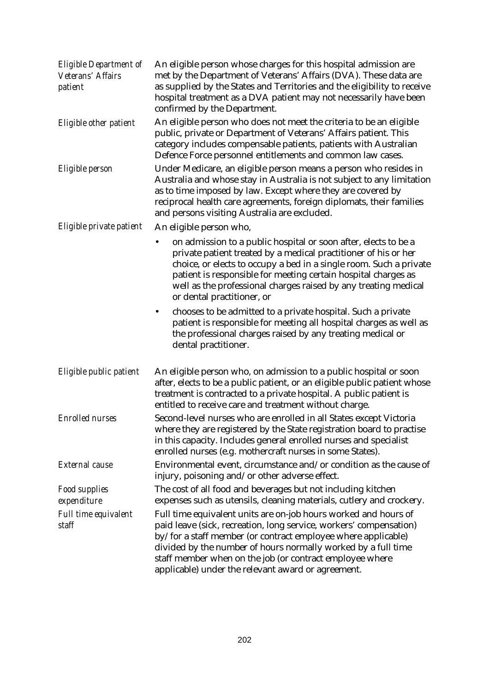| <b>Eligible Department of</b><br>Veterans' Affairs<br>patient | An eligible person whose charges for this hospital admission are<br>met by the Department of Veterans' Affairs (DVA). These data are<br>as supplied by the States and Territories and the eligibility to receive<br>hospital treatment as a DVA patient may not necessarily have been<br>confirmed by the Department.                                                                     |
|---------------------------------------------------------------|-------------------------------------------------------------------------------------------------------------------------------------------------------------------------------------------------------------------------------------------------------------------------------------------------------------------------------------------------------------------------------------------|
| Eligible other patient                                        | An eligible person who does not meet the criteria to be an eligible<br>public, private or Department of Veterans' Affairs patient. This<br>category includes compensable patients, patients with Australian<br>Defence Force personnel entitlements and common law cases.                                                                                                                 |
| Eligible person                                               | Under Medicare, an eligible person means a person who resides in<br>Australia and whose stay in Australia is not subject to any limitation<br>as to time imposed by law. Except where they are covered by<br>reciprocal health care agreements, foreign diplomats, their families<br>and persons visiting Australia are excluded.                                                         |
| Eligible private patient                                      | An eligible person who,                                                                                                                                                                                                                                                                                                                                                                   |
|                                                               | on admission to a public hospital or soon after, elects to be a<br>٠<br>private patient treated by a medical practitioner of his or her<br>choice, or elects to occupy a bed in a single room. Such a private<br>patient is responsible for meeting certain hospital charges as<br>well as the professional charges raised by any treating medical<br>or dental practitioner, or          |
|                                                               | chooses to be admitted to a private hospital. Such a private<br>$\bullet$<br>patient is responsible for meeting all hospital charges as well as<br>the professional charges raised by any treating medical or<br>dental practitioner.                                                                                                                                                     |
| Eligible public patient                                       | An eligible person who, on admission to a public hospital or soon<br>after, elects to be a public patient, or an eligible public patient whose<br>treatment is contracted to a private hospital. A public patient is<br>entitled to receive care and treatment without charge.                                                                                                            |
| <b>Enrolled nurses</b>                                        | Second-level nurses who are enrolled in all States except Victoria<br>where they are registered by the State registration board to practise<br>in this capacity. Includes general enrolled nurses and specialist<br>enrolled nurses (e.g. mothercraft nurses in some States).                                                                                                             |
| <b>External</b> cause                                         | Environmental event, circumstance and/or condition as the cause of<br>injury, poisoning and/or other adverse effect.                                                                                                                                                                                                                                                                      |
| <b>Food supplies</b><br>expenditure                           | The cost of all food and beverages but not including kitchen<br>expenses such as utensils, cleaning materials, cutlery and crockery.                                                                                                                                                                                                                                                      |
| Full time equivalent<br>staff                                 | Full time equivalent units are on-job hours worked and hours of<br>paid leave (sick, recreation, long service, workers' compensation)<br>by/for a staff member (or contract employee where applicable)<br>divided by the number of hours normally worked by a full time<br>staff member when on the job (or contract employee where<br>applicable) under the relevant award or agreement. |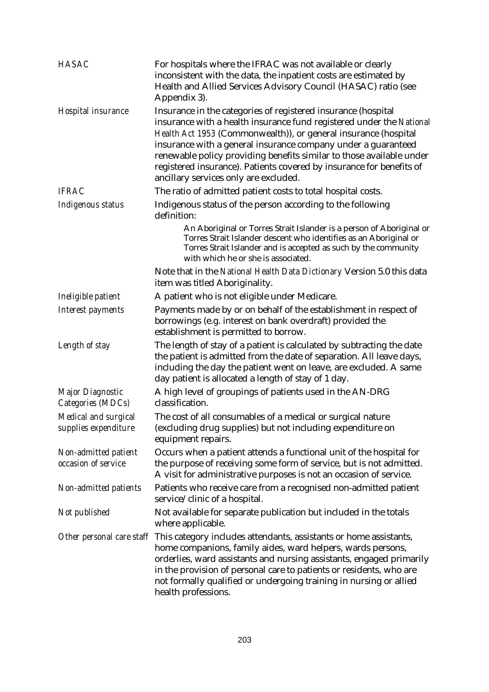| <b>HASAC</b>                                 | For hospitals where the IFRAC was not available or clearly<br>inconsistent with the data, the inpatient costs are estimated by<br>Health and Allied Services Advisory Council (HASAC) ratio (see<br>Appendix 3).                                                                                                                                                                                                                                                   |
|----------------------------------------------|--------------------------------------------------------------------------------------------------------------------------------------------------------------------------------------------------------------------------------------------------------------------------------------------------------------------------------------------------------------------------------------------------------------------------------------------------------------------|
| Hospital insurance                           | Insurance in the categories of registered insurance (hospital<br>insurance with a health insurance fund registered under the National<br>Health Act 1953 (Commonwealth)), or general insurance (hospital<br>insurance with a general insurance company under a guaranteed<br>renewable policy providing benefits similar to those available under<br>registered insurance). Patients covered by insurance for benefits of<br>ancillary services only are excluded. |
| <b>IFRAC</b>                                 | The ratio of admitted patient costs to total hospital costs.                                                                                                                                                                                                                                                                                                                                                                                                       |
| Indigenous status                            | Indigenous status of the person according to the following<br>definition:                                                                                                                                                                                                                                                                                                                                                                                          |
|                                              | An Aboriginal or Torres Strait Islander is a person of Aboriginal or<br>Torres Strait Islander descent who identifies as an Aboriginal or<br>Torres Strait Islander and is accepted as such by the community<br>with which he or she is associated.                                                                                                                                                                                                                |
|                                              | Note that in the National Health Data Dictionary Version 5.0 this data<br>item was titled Aboriginality.                                                                                                                                                                                                                                                                                                                                                           |
| Ineligible patient                           | A patient who is not eligible under Medicare.                                                                                                                                                                                                                                                                                                                                                                                                                      |
| Interest payments                            | Payments made by or on behalf of the establishment in respect of<br>borrowings (e.g. interest on bank overdraft) provided the<br>establishment is permitted to borrow.                                                                                                                                                                                                                                                                                             |
| Length of stay                               | The length of stay of a patient is calculated by subtracting the date<br>the patient is admitted from the date of separation. All leave days,<br>including the day the patient went on leave, are excluded. A same<br>day patient is allocated a length of stay of 1 day.                                                                                                                                                                                          |
| Major Diagnostic<br>Categories (MDCs)        | A high level of groupings of patients used in the AN-DRG<br>classification.                                                                                                                                                                                                                                                                                                                                                                                        |
| Medical and surgical<br>supplies expenditure | The cost of all consumables of a medical or surgical nature<br>(excluding drug supplies) but not including expenditure on<br>equipment repairs.                                                                                                                                                                                                                                                                                                                    |
| Non-admitted patient<br>occasion of service  | Occurs when a patient attends a functional unit of the hospital for<br>the purpose of receiving some form of service, but is not admitted.<br>A visit for administrative purposes is not an occasion of service.                                                                                                                                                                                                                                                   |
| Non-admitted patients                        | Patients who receive care from a recognised non-admitted patient<br>service/clinic of a hospital.                                                                                                                                                                                                                                                                                                                                                                  |
| Not published                                | Not available for separate publication but included in the totals<br>where applicable.                                                                                                                                                                                                                                                                                                                                                                             |
|                                              | Other personal care staff This category includes attendants, assistants or home assistants,<br>home companions, family aides, ward helpers, wards persons,<br>orderlies, ward assistants and nursing assistants, engaged primarily<br>in the provision of personal care to patients or residents, who are<br>not formally qualified or undergoing training in nursing or allied<br>health professions.                                                             |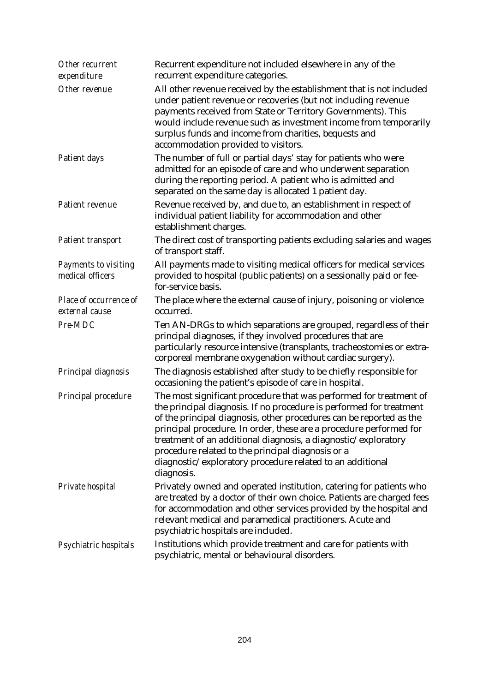| Other recurrent<br>expenditure           | Recurrent expenditure not included elsewhere in any of the<br>recurrent expenditure categories.                                                                                                                                                                                                                                                                                                                                                                                          |
|------------------------------------------|------------------------------------------------------------------------------------------------------------------------------------------------------------------------------------------------------------------------------------------------------------------------------------------------------------------------------------------------------------------------------------------------------------------------------------------------------------------------------------------|
| Other revenue                            | All other revenue received by the establishment that is not included<br>under patient revenue or recoveries (but not including revenue<br>payments received from State or Territory Governments). This<br>would include revenue such as investment income from temporarily<br>surplus funds and income from charities, bequests and<br>accommodation provided to visitors.                                                                                                               |
| Patient days                             | The number of full or partial days' stay for patients who were<br>admitted for an episode of care and who underwent separation<br>during the reporting period. A patient who is admitted and<br>separated on the same day is allocated 1 patient day.                                                                                                                                                                                                                                    |
| Patient revenue                          | Revenue received by, and due to, an establishment in respect of<br>individual patient liability for accommodation and other<br>establishment charges.                                                                                                                                                                                                                                                                                                                                    |
| Patient transport                        | The direct cost of transporting patients excluding salaries and wages<br>of transport staff.                                                                                                                                                                                                                                                                                                                                                                                             |
| Payments to visiting<br>medical officers | All payments made to visiting medical officers for medical services<br>provided to hospital (public patients) on a sessionally paid or fee-<br>for-service basis.                                                                                                                                                                                                                                                                                                                        |
| Place of occurrence of<br>external cause | The place where the external cause of injury, poisoning or violence<br>occurred.                                                                                                                                                                                                                                                                                                                                                                                                         |
| Pre-MDC                                  | Ten AN-DRGs to which separations are grouped, regardless of their<br>principal diagnoses, if they involved procedures that are<br>particularly resource intensive (transplants, tracheostomies or extra-<br>corporeal membrane oxygenation without cardiac surgery).                                                                                                                                                                                                                     |
| Principal diagnosis                      | The diagnosis established after study to be chiefly responsible for<br>occasioning the patient's episode of care in hospital.                                                                                                                                                                                                                                                                                                                                                            |
| Principal procedure                      | The most significant procedure that was performed for treatment of<br>the principal diagnosis. If no procedure is performed for treatment<br>of the principal diagnosis, other procedures can be reported as the<br>principal procedure. In order, these are a procedure performed for<br>treatment of an additional diagnosis, a diagnostic/exploratory<br>procedure related to the principal diagnosis or a<br>diagnostic/exploratory procedure related to an additional<br>diagnosis. |
| Private hospital                         | Privately owned and operated institution, catering for patients who<br>are treated by a doctor of their own choice. Patients are charged fees<br>for accommodation and other services provided by the hospital and<br>relevant medical and paramedical practitioners. Acute and<br>psychiatric hospitals are included.                                                                                                                                                                   |
| Psychiatric hospitals                    | Institutions which provide treatment and care for patients with<br>psychiatric, mental or behavioural disorders.                                                                                                                                                                                                                                                                                                                                                                         |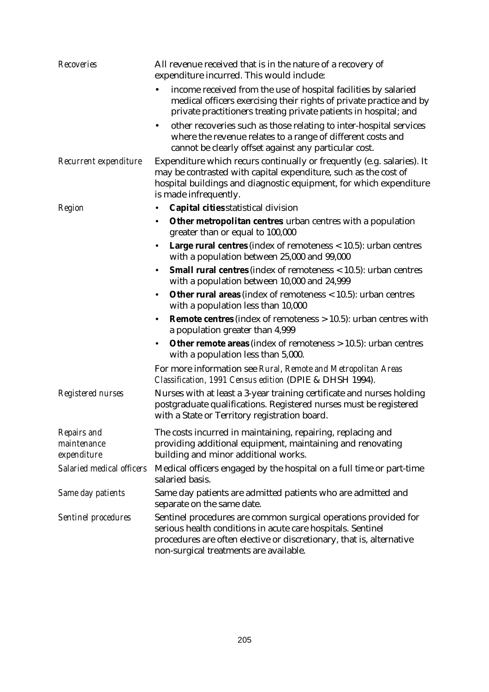| <b>Recoveries</b>                         | All revenue received that is in the nature of a recovery of<br>expenditure incurred. This would include:                                                                                                                                         |
|-------------------------------------------|--------------------------------------------------------------------------------------------------------------------------------------------------------------------------------------------------------------------------------------------------|
|                                           | income received from the use of hospital facilities by salaried<br>٠<br>medical officers exercising their rights of private practice and by<br>private practitioners treating private patients in hospital; and                                  |
|                                           | other recoveries such as those relating to inter-hospital services<br>٠<br>where the revenue relates to a range of different costs and<br>cannot be clearly offset against any particular cost.                                                  |
| Recurrent expenditure                     | Expenditure which recurs continually or frequently (e.g. salaries). It<br>may be contrasted with capital expenditure, such as the cost of<br>hospital buildings and diagnostic equipment, for which expenditure<br>is made infrequently.         |
| Region                                    | Capital cities statistical division<br>٠                                                                                                                                                                                                         |
|                                           | Other metropolitan centres urban centres with a population<br>٠<br>greater than or equal to 100,000                                                                                                                                              |
|                                           | <b>Large rural centres</b> (index of remoteness $<$ 10.5): urban centres<br>٠<br>with a population between 25,000 and 99,000                                                                                                                     |
|                                           | <b>Small rural centres</b> (index of remoteness $<$ 10.5): urban centres<br>with a population between 10,000 and 24,999                                                                                                                          |
|                                           | <b>Other rural areas</b> (index of remoteness $<$ 10.5): urban centres<br>٠<br>with a population less than 10,000                                                                                                                                |
|                                           | <b>Remote centres</b> (index of remoteness $> 10.5$ ): urban centres with<br>a population greater than 4,999                                                                                                                                     |
|                                           | <b>Other remote areas</b> (index of remoteness $> 10.5$ ): urban centres<br>$\bullet$<br>with a population less than 5,000.                                                                                                                      |
|                                           | For more information see Rural, Remote and Metropolitan Areas<br>Classification, 1991 Census edition (DPIE & DHSH 1994).                                                                                                                         |
| Registered nurses                         | Nurses with at least a 3-year training certificate and nurses holding<br>postgraduate qualifications. Registered nurses must be registered<br>with a State or Territory registration board.                                                      |
| Repairs and<br>maintenance<br>expenditure | The costs incurred in maintaining, repairing, replacing and<br>providing additional equipment, maintaining and renovating<br>building and minor additional works.                                                                                |
| Salaried medical officers                 | Medical officers engaged by the hospital on a full time or part-time<br>salaried basis.                                                                                                                                                          |
| Same day patients                         | Same day patients are admitted patients who are admitted and<br>separate on the same date.                                                                                                                                                       |
| <b>Sentinel procedures</b>                | Sentinel procedures are common surgical operations provided for<br>serious health conditions in acute care hospitals. Sentinel<br>procedures are often elective or discretionary, that is, alternative<br>non-surgical treatments are available. |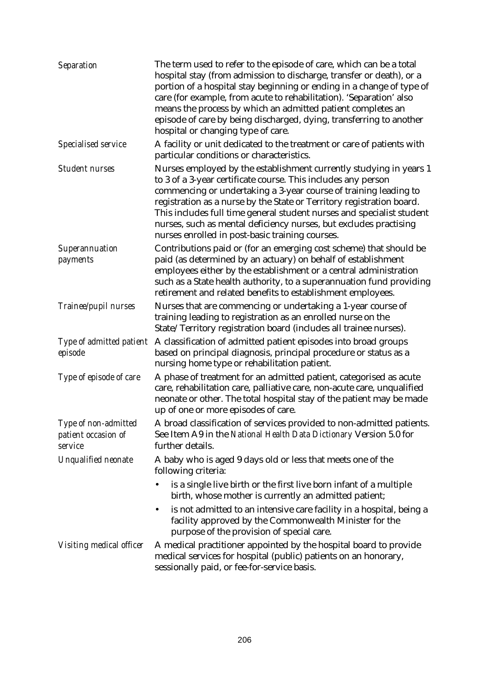| Separation                                             | The term used to refer to the episode of care, which can be a total<br>hospital stay (from admission to discharge, transfer or death), or a<br>portion of a hospital stay beginning or ending in a change of type of<br>care (for example, from acute to rehabilitation). 'Separation' also<br>means the process by which an admitted patient completes an<br>episode of care by being discharged, dying, transferring to another<br>hospital or changing type of care.           |
|--------------------------------------------------------|-----------------------------------------------------------------------------------------------------------------------------------------------------------------------------------------------------------------------------------------------------------------------------------------------------------------------------------------------------------------------------------------------------------------------------------------------------------------------------------|
| Specialised service                                    | A facility or unit dedicated to the treatment or care of patients with<br>particular conditions or characteristics.                                                                                                                                                                                                                                                                                                                                                               |
| <b>Student nurses</b>                                  | Nurses employed by the establishment currently studying in years 1<br>to 3 of a 3-year certificate course. This includes any person<br>commencing or undertaking a 3-year course of training leading to<br>registration as a nurse by the State or Territory registration board.<br>This includes full time general student nurses and specialist student<br>nurses, such as mental deficiency nurses, but excludes practising<br>nurses enrolled in post-basic training courses. |
| Superannuation<br>payments                             | Contributions paid or (for an emerging cost scheme) that should be<br>paid (as determined by an actuary) on behalf of establishment<br>employees either by the establishment or a central administration<br>such as a State health authority, to a superannuation fund providing<br>retirement and related benefits to establishment employees.                                                                                                                                   |
| Trainee/pupil nurses                                   | Nurses that are commencing or undertaking a 1-year course of<br>training leading to registration as an enrolled nurse on the<br>State/Territory registration board (includes all trainee nurses).                                                                                                                                                                                                                                                                                 |
| Type of admitted patient<br>episode                    | A classification of admitted patient episodes into broad groups<br>based on principal diagnosis, principal procedure or status as a<br>nursing home type or rehabilitation patient.                                                                                                                                                                                                                                                                                               |
| Type of episode of care                                | A phase of treatment for an admitted patient, categorised as acute<br>care, rehabilitation care, palliative care, non-acute care, unqualified<br>neonate or other. The total hospital stay of the patient may be made<br>up of one or more episodes of care.                                                                                                                                                                                                                      |
| Type of non-admitted<br>patient occasion of<br>service | A broad classification of services provided to non-admitted patients.<br>See Item A9 in the National Health Data Dictionary Version 5.0 for<br>further details.                                                                                                                                                                                                                                                                                                                   |
| <b>Unqualified neonate</b>                             | A baby who is aged 9 days old or less that meets one of the<br>following criteria:                                                                                                                                                                                                                                                                                                                                                                                                |
|                                                        | is a single live birth or the first live born infant of a multiple<br>birth, whose mother is currently an admitted patient;                                                                                                                                                                                                                                                                                                                                                       |
|                                                        | is not admitted to an intensive care facility in a hospital, being a<br>facility approved by the Commonwealth Minister for the<br>purpose of the provision of special care.                                                                                                                                                                                                                                                                                                       |
| Visiting medical officer                               | A medical practitioner appointed by the hospital board to provide<br>medical services for hospital (public) patients on an honorary,<br>sessionally paid, or fee-for-service basis.                                                                                                                                                                                                                                                                                               |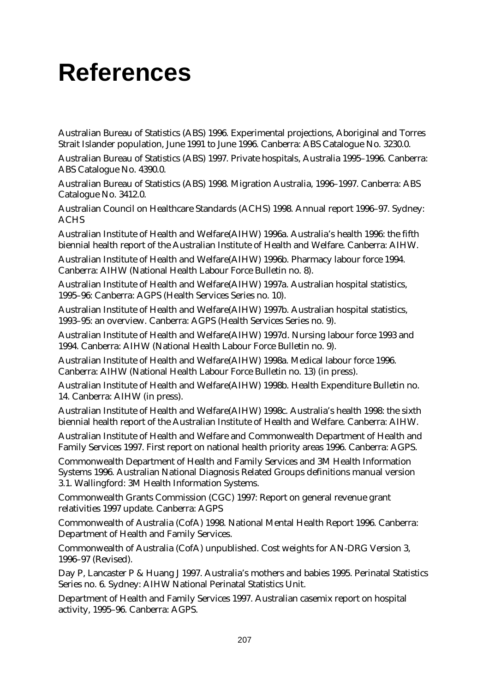# **References**

Australian Bureau of Statistics (ABS) 1996. Experimental projections, Aboriginal and Torres Strait Islander population, June 1991 to June 1996. Canberra: ABS Catalogue No. 3230.0.

Australian Bureau of Statistics (ABS) 1997. Private hospitals, Australia 1995–1996. Canberra: ABS Catalogue No. 4390.0.

Australian Bureau of Statistics (ABS) 1998. Migration Australia, 1996–1997. Canberra: ABS Catalogue No. 3412.0.

Australian Council on Healthcare Standards (ACHS) 1998. Annual report 1996–97. Sydney: ACHS

Australian Institute of Health and Welfare(AIHW) 1996a. Australia's health 1996: the fifth biennial health report of the Australian Institute of Health and Welfare. Canberra: AIHW.

Australian Institute of Health and Welfare(AIHW) 1996b. Pharmacy labour force 1994. Canberra: AIHW (National Health Labour Force Bulletin no. 8).

Australian Institute of Health and Welfare(AIHW) 1997a. Australian hospital statistics, 1995–96: Canberra: AGPS (Health Services Series no. 10).

Australian Institute of Health and Welfare(AIHW) 1997b. Australian hospital statistics, 1993–95: an overview. Canberra: AGPS (Health Services Series no. 9).

Australian Institute of Health and Welfare(AIHW) 1997d. Nursing labour force 1993 and 1994. Canberra: AIHW (National Health Labour Force Bulletin no. 9).

Australian Institute of Health and Welfare(AIHW) 1998a. Medical labour force 1996. Canberra: AIHW (National Health Labour Force Bulletin no. 13) (in press).

Australian Institute of Health and Welfare(AIHW) 1998b. Health Expenditure Bulletin no. 14. Canberra: AIHW (in press).

Australian Institute of Health and Welfare(AIHW) 1998c. Australia's health 1998: the sixth biennial health report of the Australian Institute of Health and Welfare. Canberra: AIHW.

Australian Institute of Health and Welfare and Commonwealth Department of Health and Family Services 1997. First report on national health priority areas 1996. Canberra: AGPS.

Commonwealth Department of Health and Family Services and 3M Health Information Systems 1996. Australian National Diagnosis Related Groups definitions manual version 3.1. Wallingford: 3M Health Information Systems.

Commonwealth Grants Commission (CGC) 1997: Report on general revenue grant relativities 1997 update. Canberra: AGPS

Commonwealth of Australia (CofA) 1998. National Mental Health Report 1996. Canberra: Department of Health and Family Services.

Commonwealth of Australia (CofA) unpublished. Cost weights for AN-DRG Version 3, 1996–97 (Revised).

Day P, Lancaster P & Huang J 1997. Australia's mothers and babies 1995. Perinatal Statistics Series no. 6. Sydney: AIHW National Perinatal Statistics Unit.

Department of Health and Family Services 1997. Australian casemix report on hospital activity, 1995–96. Canberra: AGPS.